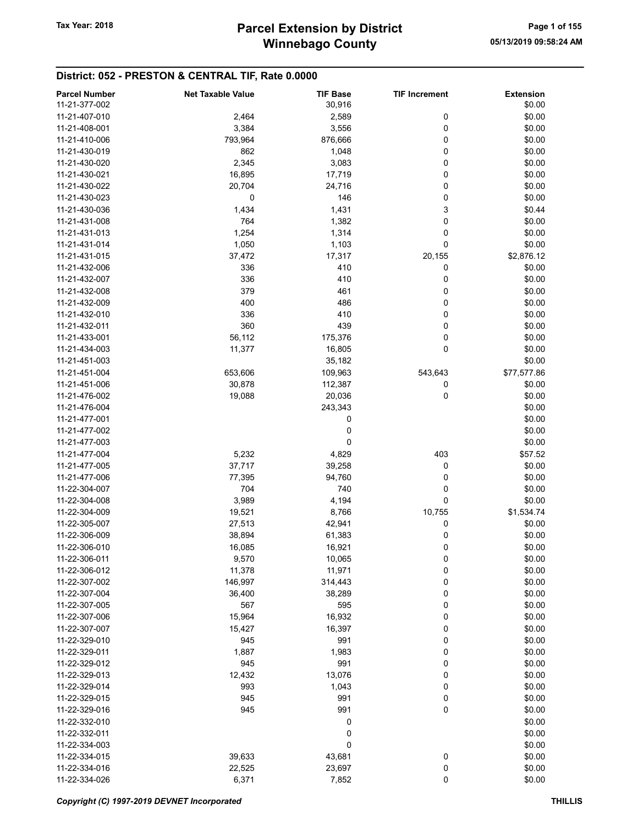# District: 052 - PRESTON & CENTRAL TIF, Rate 0.0000

| <b>Parcel Number</b> | <b>Net Taxable Value</b> | <b>TIF Base</b> | <b>TIF Increment</b> | <b>Extension</b> |
|----------------------|--------------------------|-----------------|----------------------|------------------|
| 11-21-377-002        |                          | 30,916          |                      | \$0.00           |
| 11-21-407-010        | 2,464                    | 2,589           | 0                    | \$0.00           |
|                      |                          |                 |                      |                  |
| 11-21-408-001        | 3,384                    | 3,556           | 0                    | \$0.00           |
| 11-21-410-006        | 793,964                  | 876,666         | 0                    | \$0.00           |
| 11-21-430-019        | 862                      | 1,048           | 0                    | \$0.00           |
| 11-21-430-020        | 2,345                    | 3,083           | 0                    | \$0.00           |
| 11-21-430-021        | 16,895                   | 17,719          | 0                    | \$0.00           |
| 11-21-430-022        | 20,704                   | 24,716          | 0                    | \$0.00           |
| 11-21-430-023        | 0                        | 146             | 0                    | \$0.00           |
| 11-21-430-036        | 1,434                    | 1,431           | 3                    | \$0.44           |
| 11-21-431-008        | 764                      | 1,382           | 0                    | \$0.00           |
|                      |                          |                 |                      |                  |
| 11-21-431-013        | 1,254                    | 1,314           | 0                    | \$0.00           |
| 11-21-431-014        | 1,050                    | 1,103           | 0                    | \$0.00           |
| 11-21-431-015        | 37,472                   | 17,317          | 20,155               | \$2,876.12       |
| 11-21-432-006        | 336                      | 410             | 0                    | \$0.00           |
| 11-21-432-007        | 336                      | 410             | 0                    | \$0.00           |
| 11-21-432-008        | 379                      | 461             | 0                    | \$0.00           |
| 11-21-432-009        | 400                      | 486             | 0                    | \$0.00           |
| 11-21-432-010        | 336                      | 410             | 0                    | \$0.00           |
| 11-21-432-011        | 360                      | 439             | 0                    | \$0.00           |
|                      |                          |                 |                      |                  |
| 11-21-433-001        | 56,112                   | 175,376         | 0                    | \$0.00           |
| 11-21-434-003        | 11,377                   | 16,805          | 0                    | \$0.00           |
| 11-21-451-003        |                          | 35,182          |                      | \$0.00           |
| 11-21-451-004        | 653,606                  | 109,963         | 543,643              | \$77,577.86      |
| 11-21-451-006        | 30,878                   | 112,387         | 0                    | \$0.00           |
| 11-21-476-002        | 19,088                   | 20,036          | 0                    | \$0.00           |
| 11-21-476-004        |                          | 243,343         |                      | \$0.00           |
| 11-21-477-001        |                          | 0               |                      | \$0.00           |
| 11-21-477-002        |                          | 0               |                      | \$0.00           |
| 11-21-477-003        |                          | 0               |                      | \$0.00           |
|                      |                          |                 |                      |                  |
| 11-21-477-004        | 5,232                    | 4,829           | 403                  | \$57.52          |
| 11-21-477-005        | 37,717                   | 39,258          | 0                    | \$0.00           |
| 11-21-477-006        | 77,395                   | 94,760          | 0                    | \$0.00           |
| 11-22-304-007        | 704                      | 740             | 0                    | \$0.00           |
| 11-22-304-008        | 3,989                    | 4,194           | 0                    | \$0.00           |
| 11-22-304-009        | 19,521                   | 8,766           | 10,755               | \$1,534.74       |
| 11-22-305-007        | 27,513                   | 42,941          | 0                    | \$0.00           |
| 11-22-306-009        | 38,894                   | 61,383          | 0                    | \$0.00           |
| 11-22-306-010        | 16,085                   | 16,921          | 0                    | \$0.00           |
| 11-22-306-011        | 9,570                    | 10,065          |                      | \$0.00           |
|                      |                          |                 | 0                    |                  |
| 11-22-306-012        | 11,378                   | 11,971          | 0                    | \$0.00           |
| 11-22-307-002        | 146,997                  | 314,443         | 0                    | \$0.00           |
| 11-22-307-004        | 36,400                   | 38,289          | 0                    | \$0.00           |
| 11-22-307-005        | 567                      | 595             | 0                    | \$0.00           |
| 11-22-307-006        | 15,964                   | 16,932          | 0                    | \$0.00           |
| 11-22-307-007        | 15,427                   | 16,397          | 0                    | \$0.00           |
| 11-22-329-010        | 945                      | 991             | 0                    | \$0.00           |
| 11-22-329-011        | 1,887                    | 1,983           | 0                    | \$0.00           |
| 11-22-329-012        | 945                      | 991             | 0                    | \$0.00           |
|                      |                          |                 |                      |                  |
| 11-22-329-013        | 12,432                   | 13,076          | 0                    | \$0.00           |
| 11-22-329-014        | 993                      | 1,043           | 0                    | \$0.00           |
| 11-22-329-015        | 945                      | 991             | 0                    | \$0.00           |
| 11-22-329-016        | 945                      | 991             | 0                    | \$0.00           |
| 11-22-332-010        |                          | 0               |                      | \$0.00           |
| 11-22-332-011        |                          | 0               |                      | \$0.00           |
| 11-22-334-003        |                          | 0               |                      | \$0.00           |
| 11-22-334-015        | 39,633                   | 43,681          | 0                    | \$0.00           |
| 11-22-334-016        | 22,525                   | 23,697          | 0                    | \$0.00           |
| 11-22-334-026        | 6,371                    | 7,852           | 0                    | \$0.00           |
|                      |                          |                 |                      |                  |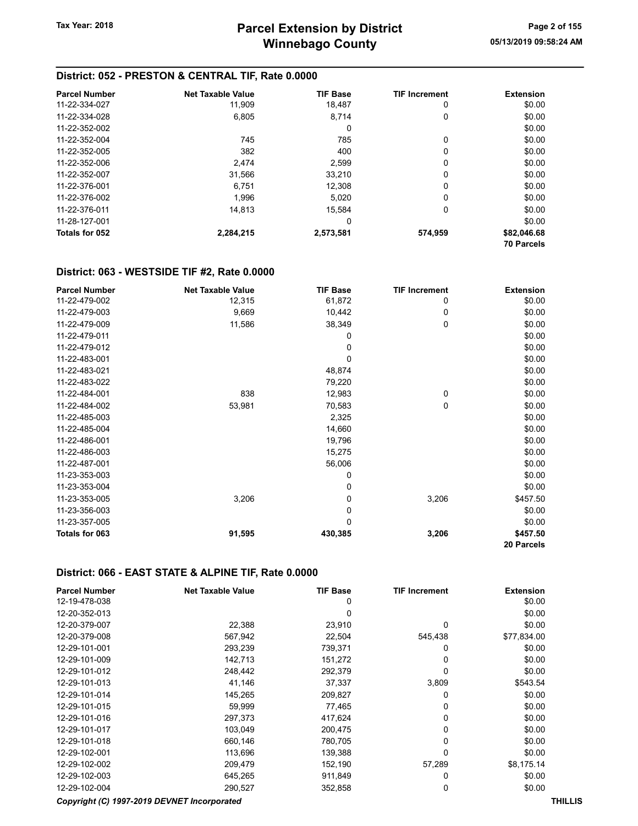#### District: 052 - PRESTON & CENTRAL TIF, Rate 0.0000

| <b>Parcel Number</b> | <b>Net Taxable Value</b> | <b>TIF Base</b> | <b>TIF Increment</b> | <b>Extension</b>  |
|----------------------|--------------------------|-----------------|----------------------|-------------------|
| 11-22-334-027        | 11,909                   | 18,487          | 0                    | \$0.00            |
| 11-22-334-028        | 6.805                    | 8.714           | 0                    | \$0.00            |
| 11-22-352-002        |                          | 0               |                      | \$0.00            |
| 11-22-352-004        | 745                      | 785             | 0                    | \$0.00            |
| 11-22-352-005        | 382                      | 400             | $\Omega$             | \$0.00            |
| 11-22-352-006        | 2.474                    | 2.599           | 0                    | \$0.00            |
| 11-22-352-007        | 31.566                   | 33.210          | 0                    | \$0.00            |
| 11-22-376-001        | 6.751                    | 12,308          | $\Omega$             | \$0.00            |
| 11-22-376-002        | 1.996                    | 5.020           | $\Omega$             | \$0.00            |
| 11-22-376-011        | 14.813                   | 15.584          | 0                    | \$0.00            |
| 11-28-127-001        |                          | 0               |                      | \$0.00            |
| Totals for 052       | 2,284,215                | 2,573,581       | 574,959              | \$82,046.68       |
|                      |                          |                 |                      | <b>70 Parcels</b> |

#### District: 063 - WESTSIDE TIF #2, Rate 0.0000

| <b>Parcel Number</b> | <b>Net Taxable Value</b> | <b>TIF Base</b> | <b>TIF Increment</b> | <b>Extension</b> |
|----------------------|--------------------------|-----------------|----------------------|------------------|
| 11-22-479-002        | 12,315                   | 61,872          | 0                    | \$0.00           |
| 11-22-479-003        | 9,669                    | 10,442          | $\mathbf 0$          | \$0.00           |
| 11-22-479-009        | 11,586                   | 38,349          | 0                    | \$0.00           |
| 11-22-479-011        |                          | 0               |                      | \$0.00           |
| 11-22-479-012        |                          | 0               |                      | \$0.00           |
| 11-22-483-001        |                          | 0               |                      | \$0.00           |
| 11-22-483-021        |                          | 48,874          |                      | \$0.00           |
| 11-22-483-022        |                          | 79,220          |                      | \$0.00           |
| 11-22-484-001        | 838                      | 12,983          | $\mathbf 0$          | \$0.00           |
| 11-22-484-002        | 53,981                   | 70,583          | $\mathbf 0$          | \$0.00           |
| 11-22-485-003        |                          | 2,325           |                      | \$0.00           |
| 11-22-485-004        |                          | 14,660          |                      | \$0.00           |
| 11-22-486-001        |                          | 19,796          |                      | \$0.00           |
| 11-22-486-003        |                          | 15,275          |                      | \$0.00           |
| 11-22-487-001        |                          | 56,006          |                      | \$0.00           |
| 11-23-353-003        |                          | 0               |                      | \$0.00           |
| 11-23-353-004        |                          | 0               |                      | \$0.00           |
| 11-23-353-005        | 3,206                    | 0               | 3,206                | \$457.50         |
| 11-23-356-003        |                          | 0               |                      | \$0.00           |
| 11-23-357-005        |                          | 0               |                      | \$0.00           |
| Totals for 063       | 91,595                   | 430,385         | 3,206                | \$457.50         |
|                      |                          |                 |                      | 20 Parcels       |

#### District: 066 - EAST STATE & ALPINE TIF, Rate 0.0000

| <b>Parcel Number</b> | <b>Net Taxable Value</b>                    | <b>TIF Base</b> | <b>TIF Increment</b> | <b>Extension</b> |
|----------------------|---------------------------------------------|-----------------|----------------------|------------------|
| 12-19-478-038        |                                             | 0               |                      | \$0.00           |
| 12-20-352-013        |                                             | 0               |                      | \$0.00           |
| 12-20-379-007        | 22,388                                      | 23,910          | 0                    | \$0.00           |
| 12-20-379-008        | 567,942                                     | 22,504          | 545,438              | \$77,834.00      |
| 12-29-101-001        | 293,239                                     | 739,371         | 0                    | \$0.00           |
| 12-29-101-009        | 142,713                                     | 151,272         | 0                    | \$0.00           |
| 12-29-101-012        | 248,442                                     | 292,379         | 0                    | \$0.00           |
| 12-29-101-013        | 41,146                                      | 37,337          | 3,809                | \$543.54         |
| 12-29-101-014        | 145,265                                     | 209,827         | 0                    | \$0.00           |
| 12-29-101-015        | 59,999                                      | 77,465          | 0                    | \$0.00           |
| 12-29-101-016        | 297,373                                     | 417,624         | 0                    | \$0.00           |
| 12-29-101-017        | 103,049                                     | 200,475         | 0                    | \$0.00           |
| 12-29-101-018        | 660,146                                     | 780,705         | 0                    | \$0.00           |
| 12-29-102-001        | 113,696                                     | 139,388         | 0                    | \$0.00           |
| 12-29-102-002        | 209,479                                     | 152,190         | 57,289               | \$8,175.14       |
| 12-29-102-003        | 645,265                                     | 911,849         | 0                    | \$0.00           |
| 12-29-102-004        | 290,527                                     | 352,858         | 0                    | \$0.00           |
|                      | Copyright (C) 1997-2019 DEVNET Incorporated |                 |                      | <b>THILLIS</b>   |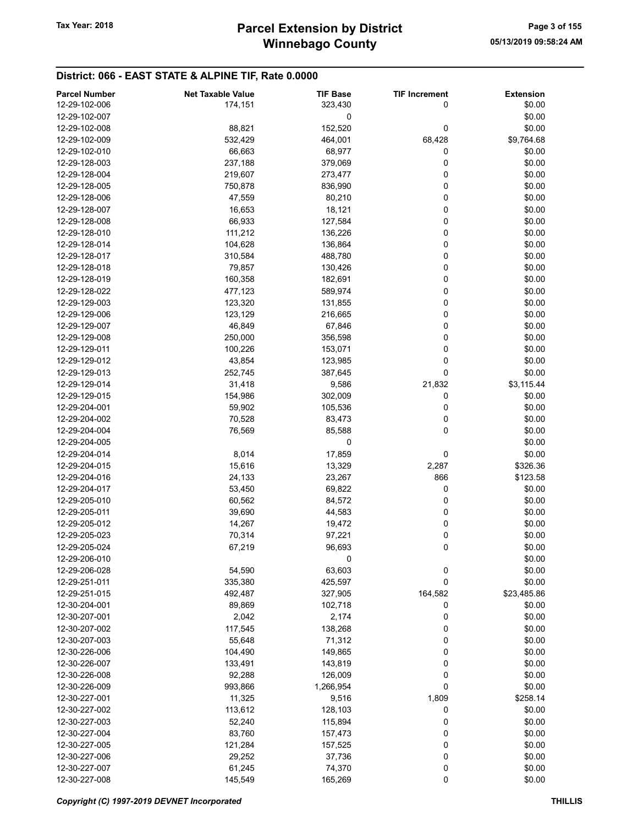#### District: 066 - EAST STATE & ALPINE TIF, Rate 0.0000

| <b>Parcel Number</b> | <b>Net Taxable Value</b> | <b>TIF Base</b> | <b>TIF Increment</b> | <b>Extension</b> |
|----------------------|--------------------------|-----------------|----------------------|------------------|
| 12-29-102-006        | 174,151                  | 323,430         | 0                    | \$0.00           |
| 12-29-102-007        |                          | 0               |                      | \$0.00           |
| 12-29-102-008        | 88,821                   | 152,520         | 0                    | \$0.00           |
| 12-29-102-009        | 532,429                  | 464,001         | 68,428               | \$9,764.68       |
| 12-29-102-010        | 66,663                   | 68,977          | 0                    | \$0.00           |
| 12-29-128-003        | 237,188                  | 379,069         | 0                    | \$0.00           |
| 12-29-128-004        | 219,607                  | 273,477         | 0                    | \$0.00           |
| 12-29-128-005        | 750,878                  | 836,990         | 0                    | \$0.00           |
| 12-29-128-006        | 47,559                   | 80,210          | 0                    | \$0.00           |
| 12-29-128-007        | 16,653                   |                 | 0                    | \$0.00           |
| 12-29-128-008        |                          | 18,121          | 0                    | \$0.00           |
|                      | 66,933                   | 127,584         |                      |                  |
| 12-29-128-010        | 111,212                  | 136,226         | 0                    | \$0.00           |
| 12-29-128-014        | 104,628                  | 136,864         | 0                    | \$0.00           |
| 12-29-128-017        | 310,584                  | 488,780         | 0                    | \$0.00           |
| 12-29-128-018        | 79,857                   | 130,426         | 0                    | \$0.00           |
| 12-29-128-019        | 160,358                  | 182,691         | 0                    | \$0.00           |
| 12-29-128-022        | 477,123                  | 589,974         | 0                    | \$0.00           |
| 12-29-129-003        | 123,320                  | 131,855         | 0                    | \$0.00           |
| 12-29-129-006        | 123,129                  | 216,665         | 0                    | \$0.00           |
| 12-29-129-007        | 46,849                   | 67,846          | 0                    | \$0.00           |
| 12-29-129-008        | 250,000                  | 356,598         | 0                    | \$0.00           |
| 12-29-129-011        | 100,226                  | 153,071         | 0                    | \$0.00           |
| 12-29-129-012        | 43,854                   | 123,985         | 0                    | \$0.00           |
| 12-29-129-013        | 252,745                  | 387,645         | 0                    | \$0.00           |
| 12-29-129-014        | 31,418                   | 9,586           | 21,832               | \$3,115.44       |
| 12-29-129-015        | 154,986                  | 302,009         | 0                    | \$0.00           |
| 12-29-204-001        | 59,902                   | 105,536         | 0                    | \$0.00           |
| 12-29-204-002        | 70,528                   | 83,473          | 0                    | \$0.00           |
| 12-29-204-004        | 76,569                   | 85,588          | 0                    | \$0.00           |
| 12-29-204-005        |                          | 0               |                      | \$0.00           |
| 12-29-204-014        | 8,014                    | 17,859          | 0                    | \$0.00           |
| 12-29-204-015        | 15,616                   | 13,329          | 2,287                | \$326.36         |
| 12-29-204-016        | 24,133                   | 23,267          | 866                  | \$123.58         |
| 12-29-204-017        | 53,450                   | 69,822          | 0                    | \$0.00           |
| 12-29-205-010        | 60,562                   | 84,572          | 0                    | \$0.00           |
| 12-29-205-011        | 39,690                   | 44,583          | 0                    | \$0.00           |
| 12-29-205-012        |                          |                 | 0                    | \$0.00           |
|                      | 14,267                   | 19,472          |                      |                  |
| 12-29-205-023        | 70,314                   | 97,221          | 0                    | \$0.00           |
| 12-29-205-024        | 67,219                   | 96,693          | 0                    | \$0.00           |
| 12-29-206-010        |                          | 0               |                      | \$0.00           |
| 12-29-206-028        | 54,590                   | 63,603          | 0                    | \$0.00           |
| 12-29-251-011        | 335,380                  | 425,597         | 0                    | \$0.00           |
| 12-29-251-015        | 492,487                  | 327,905         | 164,582              | \$23,485.86      |
| 12-30-204-001        | 89,869                   | 102,718         | 0                    | \$0.00           |
| 12-30-207-001        | 2,042                    | 2,174           | 0                    | \$0.00           |
| 12-30-207-002        | 117,545                  | 138,268         | 0                    | \$0.00           |
| 12-30-207-003        | 55,648                   | 71,312          | 0                    | \$0.00           |
| 12-30-226-006        | 104,490                  | 149,865         | 0                    | \$0.00           |
| 12-30-226-007        | 133,491                  | 143,819         | 0                    | \$0.00           |
| 12-30-226-008        | 92,288                   | 126,009         | 0                    | \$0.00           |
| 12-30-226-009        | 993,866                  | 1,266,954       | 0                    | \$0.00           |
| 12-30-227-001        | 11,325                   | 9,516           | 1,809                | \$258.14         |
| 12-30-227-002        | 113,612                  | 128,103         | 0                    | \$0.00           |
| 12-30-227-003        | 52,240                   | 115,894         | 0                    | \$0.00           |
| 12-30-227-004        | 83,760                   | 157,473         | 0                    | \$0.00           |
| 12-30-227-005        | 121,284                  | 157,525         | 0                    | \$0.00           |
| 12-30-227-006        | 29,252                   | 37,736          | 0                    | \$0.00           |
| 12-30-227-007        | 61,245                   | 74,370          | 0                    | \$0.00           |
| 12-30-227-008        | 145,549                  | 165,269         | 0                    | \$0.00           |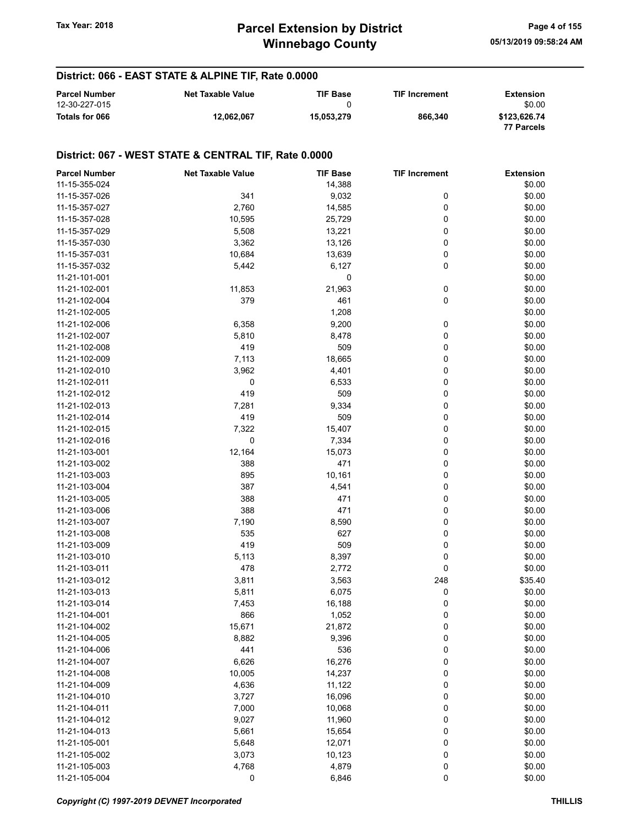# Winnebago County Tax Year: 2018 **Parcel Extension by District** Tax Year: 2018 Page 4 of 155

#### District: 066 - EAST STATE & ALPINE TIF, Rate 0.0000

| <b>Parcel Number</b><br>12-30-227-015 | <b>Net Taxable Value</b> | <b>TIF Base</b> | <b>TIF Increment</b> | Extension<br>\$0.00        |
|---------------------------------------|--------------------------|-----------------|----------------------|----------------------------|
| Totals for 066                        | 12.062.067               | 15.053.279      | 866.340              | \$123.626.74<br>77 Parcels |

| <b>Parcel Number</b> | <b>Net Taxable Value</b> | <b>TIF Base</b> | <b>TIF Increment</b> | <b>Extension</b> |
|----------------------|--------------------------|-----------------|----------------------|------------------|
| 11-15-355-024        |                          | 14,388          |                      | \$0.00           |
| 11-15-357-026        | 341                      | 9,032           | 0                    | \$0.00           |
| 11-15-357-027        | 2,760                    | 14,585          | 0                    | \$0.00           |
| 11-15-357-028        | 10,595                   | 25,729          | 0                    | \$0.00           |
| 11-15-357-029        | 5,508                    | 13,221          | 0                    | \$0.00           |
| 11-15-357-030        | 3,362                    | 13,126          | 0                    | \$0.00           |
| 11-15-357-031        | 10,684                   | 13,639          | 0                    | \$0.00           |
| 11-15-357-032        | 5,442                    | 6,127           | 0                    | \$0.00           |
| 11-21-101-001        |                          | 0               |                      | \$0.00           |
| 11-21-102-001        | 11,853                   | 21,963          | 0                    | \$0.00           |
| 11-21-102-004        | 379                      | 461             | 0                    | \$0.00           |
| 11-21-102-005        |                          | 1,208           |                      | \$0.00           |
| 11-21-102-006        | 6,358                    | 9,200           | 0                    | \$0.00           |
| 11-21-102-007        | 5,810                    | 8,478           | 0                    | \$0.00           |
| 11-21-102-008        | 419                      | 509             | 0                    | \$0.00           |
| 11-21-102-009        | 7,113                    | 18,665          | 0                    | \$0.00           |
| 11-21-102-010        | 3,962                    | 4,401           | 0                    | \$0.00           |
| 11-21-102-011        | 0                        | 6,533           | 0                    | \$0.00           |
| 11-21-102-012        | 419                      | 509             | 0                    | \$0.00           |
| 11-21-102-013        | 7,281                    | 9,334           | 0                    | \$0.00           |
| 11-21-102-014        | 419                      | 509             | 0                    | \$0.00           |
| 11-21-102-015        | 7,322                    | 15,407          | 0                    | \$0.00           |
| 11-21-102-016        | 0                        | 7,334           | 0                    | \$0.00           |
| 11-21-103-001        | 12,164                   | 15,073          | 0                    | \$0.00           |
| 11-21-103-002        | 388                      | 471             | 0                    | \$0.00           |
| 11-21-103-003        | 895                      | 10,161          | 0                    | \$0.00           |
| 11-21-103-004        | 387                      | 4,541           | 0                    | \$0.00           |
| 11-21-103-005        | 388                      | 471             | 0                    | \$0.00           |
| 11-21-103-006        | 388                      | 471             | 0                    | \$0.00           |
| 11-21-103-007        | 7,190                    | 8,590           | 0                    | \$0.00           |
| 11-21-103-008        | 535                      | 627             | 0                    | \$0.00           |
| 11-21-103-009        | 419                      | 509             | 0                    | \$0.00           |
| 11-21-103-010        | 5,113                    | 8,397           | 0                    | \$0.00           |
| 11-21-103-011        | 478                      | 2,772           | 0                    | \$0.00           |
| 11-21-103-012        | 3,811                    | 3,563           | 248                  | \$35.40          |
| 11-21-103-013        | 5,811                    | 6,075           | 0                    | \$0.00           |
| 11-21-103-014        | 7,453                    | 16,188          | 0                    | \$0.00           |
| 11-21-104-001        | 866                      | 1,052           | 0                    | \$0.00           |
| 11-21-104-002        | 15,671                   | 21,872          | 0                    | \$0.00           |
| 11-21-104-005        | 8,882                    | 9,396           | 0                    | \$0.00           |
| 11-21-104-006        | 441                      | 536             |                      | \$0.00           |
| 11-21-104-007        | 6,626                    | 16,276          | 0<br>0               | \$0.00           |
| 11-21-104-008        | 10,005                   | 14,237          |                      | \$0.00           |
|                      |                          |                 | 0                    | \$0.00           |
| 11-21-104-009        | 4,636                    | 11,122          | 0                    |                  |
| 11-21-104-010        | 3,727                    | 16,096          | 0                    | \$0.00           |
| 11-21-104-011        | 7,000                    | 10,068          | 0                    | \$0.00           |
| 11-21-104-012        | 9,027                    | 11,960          | 0                    | \$0.00           |
| 11-21-104-013        | 5,661                    | 15,654          | 0                    | \$0.00           |
| 11-21-105-001        | 5,648                    | 12,071          | 0                    | \$0.00           |
| 11-21-105-002        | 3,073                    | 10,123          | 0                    | \$0.00           |
| 11-21-105-003        | 4,768                    | 4,879           | 0                    | \$0.00           |
| 11-21-105-004        | 0                        | 6,846           | 0                    | \$0.00           |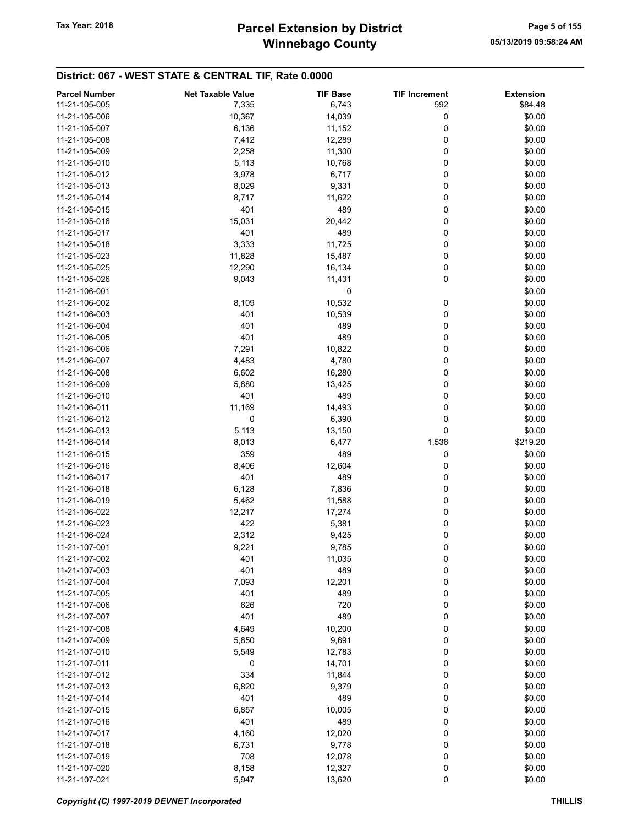# Winnebago County Tax Year: 2018 **Parcel Extension by District** Tax Year: 2018 Page 5 of 155

| 11-21-105-005<br>6,743<br>592<br>\$84.48<br>7,335<br>10,367<br>0<br>\$0.00<br>11-21-105-006<br>14,039<br>0<br>11-21-105-007<br>6,136<br>11,152<br>\$0.00<br>\$0.00<br>7,412<br>12,289<br>0<br>11-21-105-008<br>0<br>\$0.00<br>11-21-105-009<br>2,258<br>11,300<br>\$0.00<br>5,113<br>10,768<br>0<br>11-21-105-010<br>3,978<br>6,717<br>0<br>\$0.00<br>11-21-105-012<br>\$0.00<br>11-21-105-013<br>8,029<br>9,331<br>0<br>0<br>\$0.00<br>11-21-105-014<br>8,717<br>11,622<br>401<br>489<br>\$0.00<br>11-21-105-015<br>0<br>0<br>15,031<br>20,442<br>\$0.00<br>11-21-105-016<br>401<br>489<br>0<br>\$0.00<br>11-21-105-017<br>11,725<br>\$0.00<br>3,333<br>0<br>11-21-105-018<br>\$0.00<br>11-21-105-023<br>11,828<br>15,487<br>0<br>0<br>\$0.00<br>11-21-105-025<br>12,290<br>16,134<br>0<br>\$0.00<br>11-21-105-026<br>9,043<br>11,431<br>0<br>\$0.00<br>11-21-106-001<br>10,532<br>\$0.00<br>11-21-106-002<br>8,109<br>0<br>401<br>\$0.00<br>11-21-106-003<br>10,539<br>0<br>\$0.00<br>401<br>489<br>0<br>11-21-106-004<br>11-21-106-005<br>401<br>489<br>0<br>\$0.00<br>\$0.00<br>11-21-106-006<br>7,291<br>10,822<br>0<br>\$0.00<br>11-21-106-007<br>4,483<br>4,780<br>0<br>11-21-106-008<br>6,602<br>16,280<br>0<br>\$0.00<br>0<br>5,880<br>13,425<br>\$0.00<br>11-21-106-009<br>489<br>\$0.00<br>11-21-106-010<br>401<br>0<br>\$0.00<br>11,169<br>14,493<br>0<br>11-21-106-011<br>0<br>6,390<br>0<br>\$0.00<br>11-21-106-012<br>\$0.00<br>5,113<br>13,150<br>0<br>11-21-106-013<br>\$219.20<br>11-21-106-014<br>8,013<br>6,477<br>1,536<br>359<br>489<br>\$0.00<br>11-21-106-015<br>0<br>0<br>8,406<br>12,604<br>\$0.00<br>11-21-106-016<br>401<br>489<br>\$0.00<br>11-21-106-017<br>0<br>\$0.00<br>6,128<br>7,836<br>0<br>11-21-106-018<br>\$0.00<br>11-21-106-019<br>5,462<br>11,588<br>0<br>17,274<br>0<br>\$0.00<br>11-21-106-022<br>12,217<br>11-21-106-023<br>422<br>5,381<br>0<br>\$0.00<br>\$0.00<br>11-21-106-024<br>2,312<br>9,425<br>0<br>0<br>11-21-107-001<br>9,221<br>9,785<br>\$0.00<br>\$0.00<br>11-21-107-002<br>401<br>11,035<br>0<br>401<br>489<br>0<br>\$0.00<br>11-21-107-003<br>\$0.00<br>11-21-107-004<br>7,093<br>12,201<br>0<br>\$0.00<br>11-21-107-005<br>401<br>489<br>0<br>720<br>\$0.00<br>11-21-107-006<br>626<br>0<br>401<br>489<br>\$0.00<br>11-21-107-007<br>0<br>0<br>11-21-107-008<br>4,649<br>10,200<br>\$0.00<br>\$0.00<br>11-21-107-009<br>5,850<br>9,691<br>0<br>\$0.00<br>11-21-107-010<br>5,549<br>12,783<br>0<br>\$0.00<br>11-21-107-011<br>14,701<br>0<br>0<br>\$0.00<br>334<br>0<br>11-21-107-012<br>11,844<br>\$0.00<br>11-21-107-013<br>6,820<br>9,379<br>0<br>401<br>489<br>0<br>\$0.00<br>11-21-107-014<br>0<br>\$0.00<br>11-21-107-015<br>6,857<br>10,005<br>401<br>489<br>\$0.00<br>11-21-107-016<br>0<br>\$0.00<br>11-21-107-017<br>4,160<br>12,020<br>0<br>\$0.00<br>11-21-107-018<br>6,731<br>9,778<br>0<br>708<br>0<br>\$0.00<br>11-21-107-019<br>12,078<br>\$0.00<br>11-21-107-020<br>8,158<br>12,327<br>0<br>0<br>5,947<br>13,620<br>\$0.00<br>11-21-107-021 | <b>Parcel Number</b> | <b>Net Taxable Value</b> | <b>TIF Base</b> | <b>TIF Increment</b> | <b>Extension</b> |
|---------------------------------------------------------------------------------------------------------------------------------------------------------------------------------------------------------------------------------------------------------------------------------------------------------------------------------------------------------------------------------------------------------------------------------------------------------------------------------------------------------------------------------------------------------------------------------------------------------------------------------------------------------------------------------------------------------------------------------------------------------------------------------------------------------------------------------------------------------------------------------------------------------------------------------------------------------------------------------------------------------------------------------------------------------------------------------------------------------------------------------------------------------------------------------------------------------------------------------------------------------------------------------------------------------------------------------------------------------------------------------------------------------------------------------------------------------------------------------------------------------------------------------------------------------------------------------------------------------------------------------------------------------------------------------------------------------------------------------------------------------------------------------------------------------------------------------------------------------------------------------------------------------------------------------------------------------------------------------------------------------------------------------------------------------------------------------------------------------------------------------------------------------------------------------------------------------------------------------------------------------------------------------------------------------------------------------------------------------------------------------------------------------------------------------------------------------------------------------------------------------------------------------------------------------------------------------------------------------------------------------------------------------------------------------------------------------------------------------------------------------------------------------------------------------------------------------------------------------------------------------------------------------------------------------------------------------------------------------------------------------------------------|----------------------|--------------------------|-----------------|----------------------|------------------|
|                                                                                                                                                                                                                                                                                                                                                                                                                                                                                                                                                                                                                                                                                                                                                                                                                                                                                                                                                                                                                                                                                                                                                                                                                                                                                                                                                                                                                                                                                                                                                                                                                                                                                                                                                                                                                                                                                                                                                                                                                                                                                                                                                                                                                                                                                                                                                                                                                                                                                                                                                                                                                                                                                                                                                                                                                                                                                                                                                                                                                           |                      |                          |                 |                      |                  |
|                                                                                                                                                                                                                                                                                                                                                                                                                                                                                                                                                                                                                                                                                                                                                                                                                                                                                                                                                                                                                                                                                                                                                                                                                                                                                                                                                                                                                                                                                                                                                                                                                                                                                                                                                                                                                                                                                                                                                                                                                                                                                                                                                                                                                                                                                                                                                                                                                                                                                                                                                                                                                                                                                                                                                                                                                                                                                                                                                                                                                           |                      |                          |                 |                      |                  |
|                                                                                                                                                                                                                                                                                                                                                                                                                                                                                                                                                                                                                                                                                                                                                                                                                                                                                                                                                                                                                                                                                                                                                                                                                                                                                                                                                                                                                                                                                                                                                                                                                                                                                                                                                                                                                                                                                                                                                                                                                                                                                                                                                                                                                                                                                                                                                                                                                                                                                                                                                                                                                                                                                                                                                                                                                                                                                                                                                                                                                           |                      |                          |                 |                      |                  |
|                                                                                                                                                                                                                                                                                                                                                                                                                                                                                                                                                                                                                                                                                                                                                                                                                                                                                                                                                                                                                                                                                                                                                                                                                                                                                                                                                                                                                                                                                                                                                                                                                                                                                                                                                                                                                                                                                                                                                                                                                                                                                                                                                                                                                                                                                                                                                                                                                                                                                                                                                                                                                                                                                                                                                                                                                                                                                                                                                                                                                           |                      |                          |                 |                      |                  |
|                                                                                                                                                                                                                                                                                                                                                                                                                                                                                                                                                                                                                                                                                                                                                                                                                                                                                                                                                                                                                                                                                                                                                                                                                                                                                                                                                                                                                                                                                                                                                                                                                                                                                                                                                                                                                                                                                                                                                                                                                                                                                                                                                                                                                                                                                                                                                                                                                                                                                                                                                                                                                                                                                                                                                                                                                                                                                                                                                                                                                           |                      |                          |                 |                      |                  |
|                                                                                                                                                                                                                                                                                                                                                                                                                                                                                                                                                                                                                                                                                                                                                                                                                                                                                                                                                                                                                                                                                                                                                                                                                                                                                                                                                                                                                                                                                                                                                                                                                                                                                                                                                                                                                                                                                                                                                                                                                                                                                                                                                                                                                                                                                                                                                                                                                                                                                                                                                                                                                                                                                                                                                                                                                                                                                                                                                                                                                           |                      |                          |                 |                      |                  |
|                                                                                                                                                                                                                                                                                                                                                                                                                                                                                                                                                                                                                                                                                                                                                                                                                                                                                                                                                                                                                                                                                                                                                                                                                                                                                                                                                                                                                                                                                                                                                                                                                                                                                                                                                                                                                                                                                                                                                                                                                                                                                                                                                                                                                                                                                                                                                                                                                                                                                                                                                                                                                                                                                                                                                                                                                                                                                                                                                                                                                           |                      |                          |                 |                      |                  |
|                                                                                                                                                                                                                                                                                                                                                                                                                                                                                                                                                                                                                                                                                                                                                                                                                                                                                                                                                                                                                                                                                                                                                                                                                                                                                                                                                                                                                                                                                                                                                                                                                                                                                                                                                                                                                                                                                                                                                                                                                                                                                                                                                                                                                                                                                                                                                                                                                                                                                                                                                                                                                                                                                                                                                                                                                                                                                                                                                                                                                           |                      |                          |                 |                      |                  |
|                                                                                                                                                                                                                                                                                                                                                                                                                                                                                                                                                                                                                                                                                                                                                                                                                                                                                                                                                                                                                                                                                                                                                                                                                                                                                                                                                                                                                                                                                                                                                                                                                                                                                                                                                                                                                                                                                                                                                                                                                                                                                                                                                                                                                                                                                                                                                                                                                                                                                                                                                                                                                                                                                                                                                                                                                                                                                                                                                                                                                           |                      |                          |                 |                      |                  |
|                                                                                                                                                                                                                                                                                                                                                                                                                                                                                                                                                                                                                                                                                                                                                                                                                                                                                                                                                                                                                                                                                                                                                                                                                                                                                                                                                                                                                                                                                                                                                                                                                                                                                                                                                                                                                                                                                                                                                                                                                                                                                                                                                                                                                                                                                                                                                                                                                                                                                                                                                                                                                                                                                                                                                                                                                                                                                                                                                                                                                           |                      |                          |                 |                      |                  |
|                                                                                                                                                                                                                                                                                                                                                                                                                                                                                                                                                                                                                                                                                                                                                                                                                                                                                                                                                                                                                                                                                                                                                                                                                                                                                                                                                                                                                                                                                                                                                                                                                                                                                                                                                                                                                                                                                                                                                                                                                                                                                                                                                                                                                                                                                                                                                                                                                                                                                                                                                                                                                                                                                                                                                                                                                                                                                                                                                                                                                           |                      |                          |                 |                      |                  |
|                                                                                                                                                                                                                                                                                                                                                                                                                                                                                                                                                                                                                                                                                                                                                                                                                                                                                                                                                                                                                                                                                                                                                                                                                                                                                                                                                                                                                                                                                                                                                                                                                                                                                                                                                                                                                                                                                                                                                                                                                                                                                                                                                                                                                                                                                                                                                                                                                                                                                                                                                                                                                                                                                                                                                                                                                                                                                                                                                                                                                           |                      |                          |                 |                      |                  |
|                                                                                                                                                                                                                                                                                                                                                                                                                                                                                                                                                                                                                                                                                                                                                                                                                                                                                                                                                                                                                                                                                                                                                                                                                                                                                                                                                                                                                                                                                                                                                                                                                                                                                                                                                                                                                                                                                                                                                                                                                                                                                                                                                                                                                                                                                                                                                                                                                                                                                                                                                                                                                                                                                                                                                                                                                                                                                                                                                                                                                           |                      |                          |                 |                      |                  |
|                                                                                                                                                                                                                                                                                                                                                                                                                                                                                                                                                                                                                                                                                                                                                                                                                                                                                                                                                                                                                                                                                                                                                                                                                                                                                                                                                                                                                                                                                                                                                                                                                                                                                                                                                                                                                                                                                                                                                                                                                                                                                                                                                                                                                                                                                                                                                                                                                                                                                                                                                                                                                                                                                                                                                                                                                                                                                                                                                                                                                           |                      |                          |                 |                      |                  |
|                                                                                                                                                                                                                                                                                                                                                                                                                                                                                                                                                                                                                                                                                                                                                                                                                                                                                                                                                                                                                                                                                                                                                                                                                                                                                                                                                                                                                                                                                                                                                                                                                                                                                                                                                                                                                                                                                                                                                                                                                                                                                                                                                                                                                                                                                                                                                                                                                                                                                                                                                                                                                                                                                                                                                                                                                                                                                                                                                                                                                           |                      |                          |                 |                      |                  |
|                                                                                                                                                                                                                                                                                                                                                                                                                                                                                                                                                                                                                                                                                                                                                                                                                                                                                                                                                                                                                                                                                                                                                                                                                                                                                                                                                                                                                                                                                                                                                                                                                                                                                                                                                                                                                                                                                                                                                                                                                                                                                                                                                                                                                                                                                                                                                                                                                                                                                                                                                                                                                                                                                                                                                                                                                                                                                                                                                                                                                           |                      |                          |                 |                      |                  |
|                                                                                                                                                                                                                                                                                                                                                                                                                                                                                                                                                                                                                                                                                                                                                                                                                                                                                                                                                                                                                                                                                                                                                                                                                                                                                                                                                                                                                                                                                                                                                                                                                                                                                                                                                                                                                                                                                                                                                                                                                                                                                                                                                                                                                                                                                                                                                                                                                                                                                                                                                                                                                                                                                                                                                                                                                                                                                                                                                                                                                           |                      |                          |                 |                      |                  |
|                                                                                                                                                                                                                                                                                                                                                                                                                                                                                                                                                                                                                                                                                                                                                                                                                                                                                                                                                                                                                                                                                                                                                                                                                                                                                                                                                                                                                                                                                                                                                                                                                                                                                                                                                                                                                                                                                                                                                                                                                                                                                                                                                                                                                                                                                                                                                                                                                                                                                                                                                                                                                                                                                                                                                                                                                                                                                                                                                                                                                           |                      |                          |                 |                      |                  |
|                                                                                                                                                                                                                                                                                                                                                                                                                                                                                                                                                                                                                                                                                                                                                                                                                                                                                                                                                                                                                                                                                                                                                                                                                                                                                                                                                                                                                                                                                                                                                                                                                                                                                                                                                                                                                                                                                                                                                                                                                                                                                                                                                                                                                                                                                                                                                                                                                                                                                                                                                                                                                                                                                                                                                                                                                                                                                                                                                                                                                           |                      |                          |                 |                      |                  |
|                                                                                                                                                                                                                                                                                                                                                                                                                                                                                                                                                                                                                                                                                                                                                                                                                                                                                                                                                                                                                                                                                                                                                                                                                                                                                                                                                                                                                                                                                                                                                                                                                                                                                                                                                                                                                                                                                                                                                                                                                                                                                                                                                                                                                                                                                                                                                                                                                                                                                                                                                                                                                                                                                                                                                                                                                                                                                                                                                                                                                           |                      |                          |                 |                      |                  |
|                                                                                                                                                                                                                                                                                                                                                                                                                                                                                                                                                                                                                                                                                                                                                                                                                                                                                                                                                                                                                                                                                                                                                                                                                                                                                                                                                                                                                                                                                                                                                                                                                                                                                                                                                                                                                                                                                                                                                                                                                                                                                                                                                                                                                                                                                                                                                                                                                                                                                                                                                                                                                                                                                                                                                                                                                                                                                                                                                                                                                           |                      |                          |                 |                      |                  |
|                                                                                                                                                                                                                                                                                                                                                                                                                                                                                                                                                                                                                                                                                                                                                                                                                                                                                                                                                                                                                                                                                                                                                                                                                                                                                                                                                                                                                                                                                                                                                                                                                                                                                                                                                                                                                                                                                                                                                                                                                                                                                                                                                                                                                                                                                                                                                                                                                                                                                                                                                                                                                                                                                                                                                                                                                                                                                                                                                                                                                           |                      |                          |                 |                      |                  |
|                                                                                                                                                                                                                                                                                                                                                                                                                                                                                                                                                                                                                                                                                                                                                                                                                                                                                                                                                                                                                                                                                                                                                                                                                                                                                                                                                                                                                                                                                                                                                                                                                                                                                                                                                                                                                                                                                                                                                                                                                                                                                                                                                                                                                                                                                                                                                                                                                                                                                                                                                                                                                                                                                                                                                                                                                                                                                                                                                                                                                           |                      |                          |                 |                      |                  |
|                                                                                                                                                                                                                                                                                                                                                                                                                                                                                                                                                                                                                                                                                                                                                                                                                                                                                                                                                                                                                                                                                                                                                                                                                                                                                                                                                                                                                                                                                                                                                                                                                                                                                                                                                                                                                                                                                                                                                                                                                                                                                                                                                                                                                                                                                                                                                                                                                                                                                                                                                                                                                                                                                                                                                                                                                                                                                                                                                                                                                           |                      |                          |                 |                      |                  |
|                                                                                                                                                                                                                                                                                                                                                                                                                                                                                                                                                                                                                                                                                                                                                                                                                                                                                                                                                                                                                                                                                                                                                                                                                                                                                                                                                                                                                                                                                                                                                                                                                                                                                                                                                                                                                                                                                                                                                                                                                                                                                                                                                                                                                                                                                                                                                                                                                                                                                                                                                                                                                                                                                                                                                                                                                                                                                                                                                                                                                           |                      |                          |                 |                      |                  |
|                                                                                                                                                                                                                                                                                                                                                                                                                                                                                                                                                                                                                                                                                                                                                                                                                                                                                                                                                                                                                                                                                                                                                                                                                                                                                                                                                                                                                                                                                                                                                                                                                                                                                                                                                                                                                                                                                                                                                                                                                                                                                                                                                                                                                                                                                                                                                                                                                                                                                                                                                                                                                                                                                                                                                                                                                                                                                                                                                                                                                           |                      |                          |                 |                      |                  |
|                                                                                                                                                                                                                                                                                                                                                                                                                                                                                                                                                                                                                                                                                                                                                                                                                                                                                                                                                                                                                                                                                                                                                                                                                                                                                                                                                                                                                                                                                                                                                                                                                                                                                                                                                                                                                                                                                                                                                                                                                                                                                                                                                                                                                                                                                                                                                                                                                                                                                                                                                                                                                                                                                                                                                                                                                                                                                                                                                                                                                           |                      |                          |                 |                      |                  |
|                                                                                                                                                                                                                                                                                                                                                                                                                                                                                                                                                                                                                                                                                                                                                                                                                                                                                                                                                                                                                                                                                                                                                                                                                                                                                                                                                                                                                                                                                                                                                                                                                                                                                                                                                                                                                                                                                                                                                                                                                                                                                                                                                                                                                                                                                                                                                                                                                                                                                                                                                                                                                                                                                                                                                                                                                                                                                                                                                                                                                           |                      |                          |                 |                      |                  |
|                                                                                                                                                                                                                                                                                                                                                                                                                                                                                                                                                                                                                                                                                                                                                                                                                                                                                                                                                                                                                                                                                                                                                                                                                                                                                                                                                                                                                                                                                                                                                                                                                                                                                                                                                                                                                                                                                                                                                                                                                                                                                                                                                                                                                                                                                                                                                                                                                                                                                                                                                                                                                                                                                                                                                                                                                                                                                                                                                                                                                           |                      |                          |                 |                      |                  |
|                                                                                                                                                                                                                                                                                                                                                                                                                                                                                                                                                                                                                                                                                                                                                                                                                                                                                                                                                                                                                                                                                                                                                                                                                                                                                                                                                                                                                                                                                                                                                                                                                                                                                                                                                                                                                                                                                                                                                                                                                                                                                                                                                                                                                                                                                                                                                                                                                                                                                                                                                                                                                                                                                                                                                                                                                                                                                                                                                                                                                           |                      |                          |                 |                      |                  |
|                                                                                                                                                                                                                                                                                                                                                                                                                                                                                                                                                                                                                                                                                                                                                                                                                                                                                                                                                                                                                                                                                                                                                                                                                                                                                                                                                                                                                                                                                                                                                                                                                                                                                                                                                                                                                                                                                                                                                                                                                                                                                                                                                                                                                                                                                                                                                                                                                                                                                                                                                                                                                                                                                                                                                                                                                                                                                                                                                                                                                           |                      |                          |                 |                      |                  |
|                                                                                                                                                                                                                                                                                                                                                                                                                                                                                                                                                                                                                                                                                                                                                                                                                                                                                                                                                                                                                                                                                                                                                                                                                                                                                                                                                                                                                                                                                                                                                                                                                                                                                                                                                                                                                                                                                                                                                                                                                                                                                                                                                                                                                                                                                                                                                                                                                                                                                                                                                                                                                                                                                                                                                                                                                                                                                                                                                                                                                           |                      |                          |                 |                      |                  |
|                                                                                                                                                                                                                                                                                                                                                                                                                                                                                                                                                                                                                                                                                                                                                                                                                                                                                                                                                                                                                                                                                                                                                                                                                                                                                                                                                                                                                                                                                                                                                                                                                                                                                                                                                                                                                                                                                                                                                                                                                                                                                                                                                                                                                                                                                                                                                                                                                                                                                                                                                                                                                                                                                                                                                                                                                                                                                                                                                                                                                           |                      |                          |                 |                      |                  |
|                                                                                                                                                                                                                                                                                                                                                                                                                                                                                                                                                                                                                                                                                                                                                                                                                                                                                                                                                                                                                                                                                                                                                                                                                                                                                                                                                                                                                                                                                                                                                                                                                                                                                                                                                                                                                                                                                                                                                                                                                                                                                                                                                                                                                                                                                                                                                                                                                                                                                                                                                                                                                                                                                                                                                                                                                                                                                                                                                                                                                           |                      |                          |                 |                      |                  |
|                                                                                                                                                                                                                                                                                                                                                                                                                                                                                                                                                                                                                                                                                                                                                                                                                                                                                                                                                                                                                                                                                                                                                                                                                                                                                                                                                                                                                                                                                                                                                                                                                                                                                                                                                                                                                                                                                                                                                                                                                                                                                                                                                                                                                                                                                                                                                                                                                                                                                                                                                                                                                                                                                                                                                                                                                                                                                                                                                                                                                           |                      |                          |                 |                      |                  |
|                                                                                                                                                                                                                                                                                                                                                                                                                                                                                                                                                                                                                                                                                                                                                                                                                                                                                                                                                                                                                                                                                                                                                                                                                                                                                                                                                                                                                                                                                                                                                                                                                                                                                                                                                                                                                                                                                                                                                                                                                                                                                                                                                                                                                                                                                                                                                                                                                                                                                                                                                                                                                                                                                                                                                                                                                                                                                                                                                                                                                           |                      |                          |                 |                      |                  |
|                                                                                                                                                                                                                                                                                                                                                                                                                                                                                                                                                                                                                                                                                                                                                                                                                                                                                                                                                                                                                                                                                                                                                                                                                                                                                                                                                                                                                                                                                                                                                                                                                                                                                                                                                                                                                                                                                                                                                                                                                                                                                                                                                                                                                                                                                                                                                                                                                                                                                                                                                                                                                                                                                                                                                                                                                                                                                                                                                                                                                           |                      |                          |                 |                      |                  |
|                                                                                                                                                                                                                                                                                                                                                                                                                                                                                                                                                                                                                                                                                                                                                                                                                                                                                                                                                                                                                                                                                                                                                                                                                                                                                                                                                                                                                                                                                                                                                                                                                                                                                                                                                                                                                                                                                                                                                                                                                                                                                                                                                                                                                                                                                                                                                                                                                                                                                                                                                                                                                                                                                                                                                                                                                                                                                                                                                                                                                           |                      |                          |                 |                      |                  |
|                                                                                                                                                                                                                                                                                                                                                                                                                                                                                                                                                                                                                                                                                                                                                                                                                                                                                                                                                                                                                                                                                                                                                                                                                                                                                                                                                                                                                                                                                                                                                                                                                                                                                                                                                                                                                                                                                                                                                                                                                                                                                                                                                                                                                                                                                                                                                                                                                                                                                                                                                                                                                                                                                                                                                                                                                                                                                                                                                                                                                           |                      |                          |                 |                      |                  |
|                                                                                                                                                                                                                                                                                                                                                                                                                                                                                                                                                                                                                                                                                                                                                                                                                                                                                                                                                                                                                                                                                                                                                                                                                                                                                                                                                                                                                                                                                                                                                                                                                                                                                                                                                                                                                                                                                                                                                                                                                                                                                                                                                                                                                                                                                                                                                                                                                                                                                                                                                                                                                                                                                                                                                                                                                                                                                                                                                                                                                           |                      |                          |                 |                      |                  |
|                                                                                                                                                                                                                                                                                                                                                                                                                                                                                                                                                                                                                                                                                                                                                                                                                                                                                                                                                                                                                                                                                                                                                                                                                                                                                                                                                                                                                                                                                                                                                                                                                                                                                                                                                                                                                                                                                                                                                                                                                                                                                                                                                                                                                                                                                                                                                                                                                                                                                                                                                                                                                                                                                                                                                                                                                                                                                                                                                                                                                           |                      |                          |                 |                      |                  |
|                                                                                                                                                                                                                                                                                                                                                                                                                                                                                                                                                                                                                                                                                                                                                                                                                                                                                                                                                                                                                                                                                                                                                                                                                                                                                                                                                                                                                                                                                                                                                                                                                                                                                                                                                                                                                                                                                                                                                                                                                                                                                                                                                                                                                                                                                                                                                                                                                                                                                                                                                                                                                                                                                                                                                                                                                                                                                                                                                                                                                           |                      |                          |                 |                      |                  |
|                                                                                                                                                                                                                                                                                                                                                                                                                                                                                                                                                                                                                                                                                                                                                                                                                                                                                                                                                                                                                                                                                                                                                                                                                                                                                                                                                                                                                                                                                                                                                                                                                                                                                                                                                                                                                                                                                                                                                                                                                                                                                                                                                                                                                                                                                                                                                                                                                                                                                                                                                                                                                                                                                                                                                                                                                                                                                                                                                                                                                           |                      |                          |                 |                      |                  |
|                                                                                                                                                                                                                                                                                                                                                                                                                                                                                                                                                                                                                                                                                                                                                                                                                                                                                                                                                                                                                                                                                                                                                                                                                                                                                                                                                                                                                                                                                                                                                                                                                                                                                                                                                                                                                                                                                                                                                                                                                                                                                                                                                                                                                                                                                                                                                                                                                                                                                                                                                                                                                                                                                                                                                                                                                                                                                                                                                                                                                           |                      |                          |                 |                      |                  |
|                                                                                                                                                                                                                                                                                                                                                                                                                                                                                                                                                                                                                                                                                                                                                                                                                                                                                                                                                                                                                                                                                                                                                                                                                                                                                                                                                                                                                                                                                                                                                                                                                                                                                                                                                                                                                                                                                                                                                                                                                                                                                                                                                                                                                                                                                                                                                                                                                                                                                                                                                                                                                                                                                                                                                                                                                                                                                                                                                                                                                           |                      |                          |                 |                      |                  |
|                                                                                                                                                                                                                                                                                                                                                                                                                                                                                                                                                                                                                                                                                                                                                                                                                                                                                                                                                                                                                                                                                                                                                                                                                                                                                                                                                                                                                                                                                                                                                                                                                                                                                                                                                                                                                                                                                                                                                                                                                                                                                                                                                                                                                                                                                                                                                                                                                                                                                                                                                                                                                                                                                                                                                                                                                                                                                                                                                                                                                           |                      |                          |                 |                      |                  |
|                                                                                                                                                                                                                                                                                                                                                                                                                                                                                                                                                                                                                                                                                                                                                                                                                                                                                                                                                                                                                                                                                                                                                                                                                                                                                                                                                                                                                                                                                                                                                                                                                                                                                                                                                                                                                                                                                                                                                                                                                                                                                                                                                                                                                                                                                                                                                                                                                                                                                                                                                                                                                                                                                                                                                                                                                                                                                                                                                                                                                           |                      |                          |                 |                      |                  |
|                                                                                                                                                                                                                                                                                                                                                                                                                                                                                                                                                                                                                                                                                                                                                                                                                                                                                                                                                                                                                                                                                                                                                                                                                                                                                                                                                                                                                                                                                                                                                                                                                                                                                                                                                                                                                                                                                                                                                                                                                                                                                                                                                                                                                                                                                                                                                                                                                                                                                                                                                                                                                                                                                                                                                                                                                                                                                                                                                                                                                           |                      |                          |                 |                      |                  |
|                                                                                                                                                                                                                                                                                                                                                                                                                                                                                                                                                                                                                                                                                                                                                                                                                                                                                                                                                                                                                                                                                                                                                                                                                                                                                                                                                                                                                                                                                                                                                                                                                                                                                                                                                                                                                                                                                                                                                                                                                                                                                                                                                                                                                                                                                                                                                                                                                                                                                                                                                                                                                                                                                                                                                                                                                                                                                                                                                                                                                           |                      |                          |                 |                      |                  |
|                                                                                                                                                                                                                                                                                                                                                                                                                                                                                                                                                                                                                                                                                                                                                                                                                                                                                                                                                                                                                                                                                                                                                                                                                                                                                                                                                                                                                                                                                                                                                                                                                                                                                                                                                                                                                                                                                                                                                                                                                                                                                                                                                                                                                                                                                                                                                                                                                                                                                                                                                                                                                                                                                                                                                                                                                                                                                                                                                                                                                           |                      |                          |                 |                      |                  |
|                                                                                                                                                                                                                                                                                                                                                                                                                                                                                                                                                                                                                                                                                                                                                                                                                                                                                                                                                                                                                                                                                                                                                                                                                                                                                                                                                                                                                                                                                                                                                                                                                                                                                                                                                                                                                                                                                                                                                                                                                                                                                                                                                                                                                                                                                                                                                                                                                                                                                                                                                                                                                                                                                                                                                                                                                                                                                                                                                                                                                           |                      |                          |                 |                      |                  |
|                                                                                                                                                                                                                                                                                                                                                                                                                                                                                                                                                                                                                                                                                                                                                                                                                                                                                                                                                                                                                                                                                                                                                                                                                                                                                                                                                                                                                                                                                                                                                                                                                                                                                                                                                                                                                                                                                                                                                                                                                                                                                                                                                                                                                                                                                                                                                                                                                                                                                                                                                                                                                                                                                                                                                                                                                                                                                                                                                                                                                           |                      |                          |                 |                      |                  |
|                                                                                                                                                                                                                                                                                                                                                                                                                                                                                                                                                                                                                                                                                                                                                                                                                                                                                                                                                                                                                                                                                                                                                                                                                                                                                                                                                                                                                                                                                                                                                                                                                                                                                                                                                                                                                                                                                                                                                                                                                                                                                                                                                                                                                                                                                                                                                                                                                                                                                                                                                                                                                                                                                                                                                                                                                                                                                                                                                                                                                           |                      |                          |                 |                      |                  |
|                                                                                                                                                                                                                                                                                                                                                                                                                                                                                                                                                                                                                                                                                                                                                                                                                                                                                                                                                                                                                                                                                                                                                                                                                                                                                                                                                                                                                                                                                                                                                                                                                                                                                                                                                                                                                                                                                                                                                                                                                                                                                                                                                                                                                                                                                                                                                                                                                                                                                                                                                                                                                                                                                                                                                                                                                                                                                                                                                                                                                           |                      |                          |                 |                      |                  |
|                                                                                                                                                                                                                                                                                                                                                                                                                                                                                                                                                                                                                                                                                                                                                                                                                                                                                                                                                                                                                                                                                                                                                                                                                                                                                                                                                                                                                                                                                                                                                                                                                                                                                                                                                                                                                                                                                                                                                                                                                                                                                                                                                                                                                                                                                                                                                                                                                                                                                                                                                                                                                                                                                                                                                                                                                                                                                                                                                                                                                           |                      |                          |                 |                      |                  |
|                                                                                                                                                                                                                                                                                                                                                                                                                                                                                                                                                                                                                                                                                                                                                                                                                                                                                                                                                                                                                                                                                                                                                                                                                                                                                                                                                                                                                                                                                                                                                                                                                                                                                                                                                                                                                                                                                                                                                                                                                                                                                                                                                                                                                                                                                                                                                                                                                                                                                                                                                                                                                                                                                                                                                                                                                                                                                                                                                                                                                           |                      |                          |                 |                      |                  |
|                                                                                                                                                                                                                                                                                                                                                                                                                                                                                                                                                                                                                                                                                                                                                                                                                                                                                                                                                                                                                                                                                                                                                                                                                                                                                                                                                                                                                                                                                                                                                                                                                                                                                                                                                                                                                                                                                                                                                                                                                                                                                                                                                                                                                                                                                                                                                                                                                                                                                                                                                                                                                                                                                                                                                                                                                                                                                                                                                                                                                           |                      |                          |                 |                      |                  |
|                                                                                                                                                                                                                                                                                                                                                                                                                                                                                                                                                                                                                                                                                                                                                                                                                                                                                                                                                                                                                                                                                                                                                                                                                                                                                                                                                                                                                                                                                                                                                                                                                                                                                                                                                                                                                                                                                                                                                                                                                                                                                                                                                                                                                                                                                                                                                                                                                                                                                                                                                                                                                                                                                                                                                                                                                                                                                                                                                                                                                           |                      |                          |                 |                      |                  |
|                                                                                                                                                                                                                                                                                                                                                                                                                                                                                                                                                                                                                                                                                                                                                                                                                                                                                                                                                                                                                                                                                                                                                                                                                                                                                                                                                                                                                                                                                                                                                                                                                                                                                                                                                                                                                                                                                                                                                                                                                                                                                                                                                                                                                                                                                                                                                                                                                                                                                                                                                                                                                                                                                                                                                                                                                                                                                                                                                                                                                           |                      |                          |                 |                      |                  |
|                                                                                                                                                                                                                                                                                                                                                                                                                                                                                                                                                                                                                                                                                                                                                                                                                                                                                                                                                                                                                                                                                                                                                                                                                                                                                                                                                                                                                                                                                                                                                                                                                                                                                                                                                                                                                                                                                                                                                                                                                                                                                                                                                                                                                                                                                                                                                                                                                                                                                                                                                                                                                                                                                                                                                                                                                                                                                                                                                                                                                           |                      |                          |                 |                      |                  |
|                                                                                                                                                                                                                                                                                                                                                                                                                                                                                                                                                                                                                                                                                                                                                                                                                                                                                                                                                                                                                                                                                                                                                                                                                                                                                                                                                                                                                                                                                                                                                                                                                                                                                                                                                                                                                                                                                                                                                                                                                                                                                                                                                                                                                                                                                                                                                                                                                                                                                                                                                                                                                                                                                                                                                                                                                                                                                                                                                                                                                           |                      |                          |                 |                      |                  |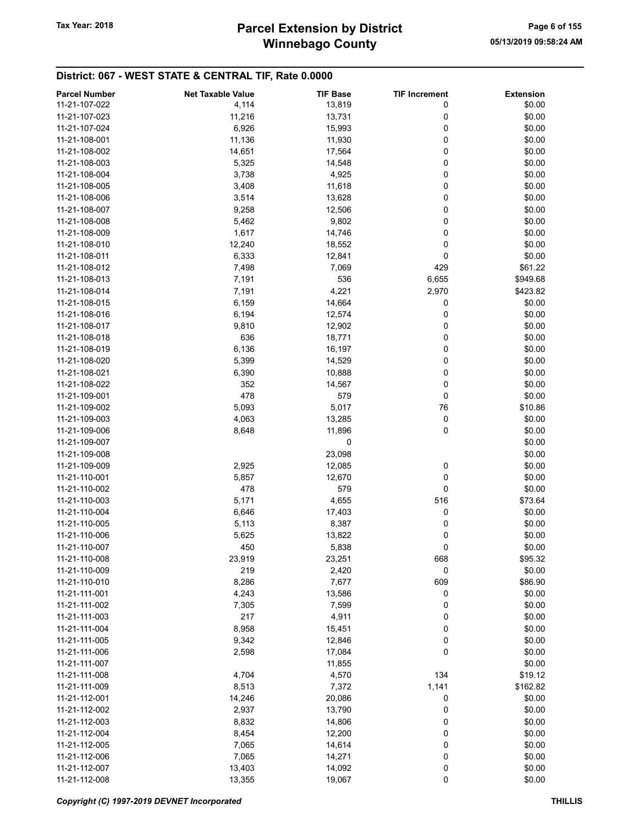# Winnebago County Tax Year: 2018 **Parcel Extension by District** Tax Year: 2018 Page 6 of 155

| <b>Parcel Number</b> | <b>Net Taxable Value</b> | <b>TIF Base</b> | <b>TIF Increment</b> | <b>Extension</b> |
|----------------------|--------------------------|-----------------|----------------------|------------------|
| 11-21-107-022        | 4,114                    | 13,819          | 0                    | \$0.00           |
| 11-21-107-023        | 11,216                   | 13,731          | 0                    | \$0.00           |
| 11-21-107-024        | 6,926                    | 15,993          | 0                    | \$0.00           |
| 11-21-108-001        | 11,136                   | 11,930          | 0                    | \$0.00           |
| 11-21-108-002        |                          |                 | 0                    | \$0.00           |
|                      | 14,651                   | 17,564          |                      |                  |
| 11-21-108-003        | 5,325                    | 14,548          | 0                    | \$0.00           |
| 11-21-108-004        | 3,738                    | 4,925           | 0                    | \$0.00           |
| 11-21-108-005        | 3,408                    | 11,618          | 0                    | \$0.00           |
| 11-21-108-006        | 3,514                    | 13,628          | 0                    | \$0.00           |
| 11-21-108-007        | 9,258                    | 12,506          | 0                    | \$0.00           |
| 11-21-108-008        | 5,462                    | 9,802           | 0                    | \$0.00           |
| 11-21-108-009        | 1,617                    | 14,746          | 0                    | \$0.00           |
| 11-21-108-010        | 12,240                   | 18,552          | 0                    | \$0.00           |
| 11-21-108-011        | 6,333                    | 12,841          | 0                    | \$0.00           |
| 11-21-108-012        | 7,498                    | 7,069           | 429                  | \$61.22          |
| 11-21-108-013        | 7,191                    | 536             | 6,655                | \$949.68         |
| 11-21-108-014        | 7,191                    | 4,221           | 2,970                | \$423.82         |
| 11-21-108-015        | 6,159                    | 14,664          | 0                    | \$0.00           |
| 11-21-108-016        | 6,194                    | 12,574          | 0                    | \$0.00           |
| 11-21-108-017        |                          |                 | 0                    |                  |
|                      | 9,810                    | 12,902          |                      | \$0.00           |
| 11-21-108-018        | 636                      | 18,771          | 0                    | \$0.00           |
| 11-21-108-019        | 6,136                    | 16,197          | 0                    | \$0.00           |
| 11-21-108-020        | 5,399                    | 14,529          | 0                    | \$0.00           |
| 11-21-108-021        | 6,390                    | 10,888          | 0                    | \$0.00           |
| 11-21-108-022        | 352                      | 14,567          | 0                    | \$0.00           |
| 11-21-109-001        | 478                      | 579             | 0                    | \$0.00           |
| 11-21-109-002        | 5,093                    | 5,017           | 76                   | \$10.86          |
| 11-21-109-003        | 4,063                    | 13,285          | 0                    | \$0.00           |
| 11-21-109-006        | 8,648                    | 11,896          | 0                    | \$0.00           |
| 11-21-109-007        |                          | 0               |                      | \$0.00           |
| 11-21-109-008        |                          | 23,098          |                      | \$0.00           |
| 11-21-109-009        | 2,925                    | 12,085          | 0                    | \$0.00           |
| 11-21-110-001        | 5,857                    | 12,670          | 0                    | \$0.00           |
| 11-21-110-002        | 478                      | 579             | 0                    | \$0.00           |
| 11-21-110-003        | 5,171                    | 4,655           | 516                  | \$73.64          |
|                      |                          |                 |                      |                  |
| 11-21-110-004        | 6,646                    | 17,403          | 0                    | \$0.00           |
| 11-21-110-005        | 5,113                    | 8,387           | 0                    | \$0.00           |
| 11-21-110-006        | 5,625                    | 13,822          | 0                    | \$0.00           |
| 11-21-110-007        | 450                      | 5,838           | 0                    | \$0.00           |
| 11-21-110-008        | 23,919                   | 23,251          | 668                  | \$95.32          |
| 11-21-110-009        | 219                      | 2,420           | 0                    | \$0.00           |
| 11-21-110-010        | 8,286                    | 7,677           | 609                  | \$86.90          |
| 11-21-111-001        | 4,243                    | 13,586          | 0                    | \$0.00           |
| 11-21-111-002        | 7,305                    | 7,599           | 0                    | \$0.00           |
| 11-21-111-003        | 217                      | 4,911           | 0                    | \$0.00           |
| 11-21-111-004        | 8,958                    | 15,451          | 0                    | \$0.00           |
| 11-21-111-005        | 9,342                    | 12,846          | 0                    | \$0.00           |
| 11-21-111-006        | 2,598                    | 17,084          | 0                    | \$0.00           |
| 11-21-111-007        |                          | 11,855          |                      | \$0.00           |
| 11-21-111-008        | 4,704                    | 4,570           | 134                  | \$19.12          |
|                      |                          |                 |                      |                  |
| 11-21-111-009        | 8,513                    | 7,372           | 1,141                | \$162.82         |
| 11-21-112-001        | 14,246                   | 20,086          | 0                    | \$0.00           |
| 11-21-112-002        | 2,937                    | 13,790          | 0                    | \$0.00           |
| 11-21-112-003        | 8,832                    | 14,806          | 0                    | \$0.00           |
| 11-21-112-004        | 8,454                    | 12,200          | 0                    | \$0.00           |
| 11-21-112-005        | 7,065                    | 14,614          | 0                    | \$0.00           |
| 11-21-112-006        | 7,065                    | 14,271          | 0                    | \$0.00           |
| 11-21-112-007        | 13,403                   | 14,092          | 0                    | \$0.00           |
| 11-21-112-008        | 13,355                   | 19,067          | 0                    | \$0.00           |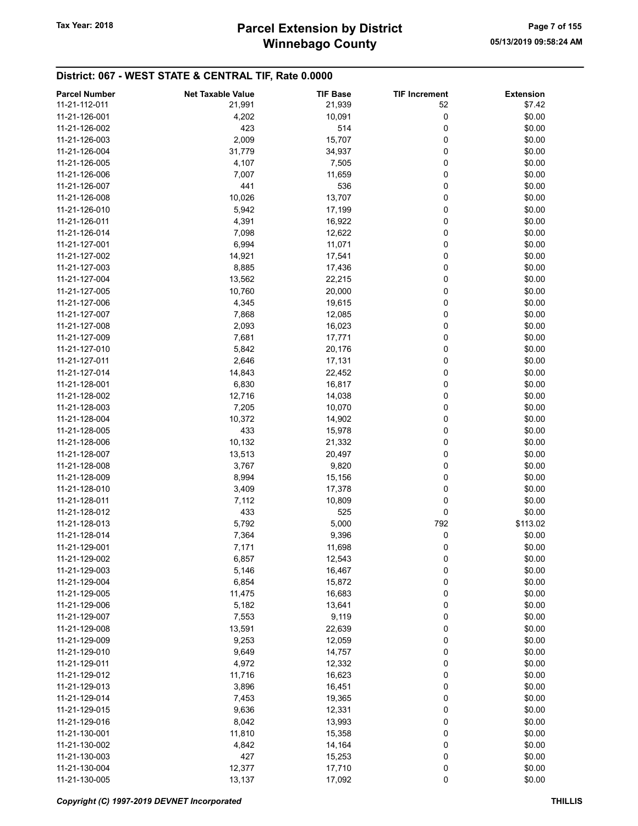# Winnebago County Tax Year: 2018 **Parcel Extension by District** Fage 7 of 155

| 11-21-112-011<br>21,939<br>52<br>21,991<br>\$7.42<br>0<br>\$0.00<br>11-21-126-001<br>4,202<br>10,091<br>514<br>0<br>11-21-126-002<br>423<br>\$0.00<br>2,009<br>15,707<br>0<br>\$0.00<br>11-21-126-003<br>0<br>\$0.00<br>11-21-126-004<br>31,779<br>34,937<br>\$0.00<br>11-21-126-005<br>4,107<br>7,505<br>0<br>0<br>7,007<br>11,659<br>\$0.00<br>11-21-126-006<br>0<br>\$0.00<br>11-21-126-007<br>441<br>536<br>10,026<br>13,707<br>0<br>\$0.00<br>11-21-126-008<br>0<br>\$0.00<br>11-21-126-010<br>5,942<br>17,199<br>0<br>\$0.00<br>4,391<br>16,922<br>11-21-126-011<br>0<br>\$0.00<br>11-21-126-014<br>7,098<br>12,622<br>6,994<br>\$0.00<br>11-21-127-001<br>11,071<br>0<br>\$0.00<br>11-21-127-002<br>14,921<br>17,541<br>0<br>0<br>\$0.00<br>11-21-127-003<br>8,885<br>17,436<br>0<br>\$0.00<br>11-21-127-004<br>13,562<br>22,215<br>0<br>\$0.00<br>11-21-127-005<br>10,760<br>20,000<br>0<br>\$0.00<br>11-21-127-006<br>4,345<br>19,615<br>0<br>\$0.00<br>11-21-127-007<br>7,868<br>12,085<br>\$0.00<br>2,093<br>16,023<br>0<br>11-21-127-008<br>0<br>7,681<br>\$0.00<br>11-21-127-009<br>17,771<br>\$0.00<br>11-21-127-010<br>5,842<br>0<br>20,176<br>0<br>11-21-127-011<br>2,646<br>17,131<br>\$0.00<br>11-21-127-014<br>14,843<br>22,452<br>0<br>\$0.00<br>0<br>6,830<br>16,817<br>\$0.00<br>11-21-128-001<br>0<br>\$0.00<br>11-21-128-002<br>12,716<br>14,038<br>0<br>\$0.00<br>11-21-128-003<br>7,205<br>10,070<br>0<br>10,372<br>\$0.00<br>11-21-128-004<br>14,902<br>0<br>\$0.00<br>11-21-128-005<br>433<br>15,978<br>10,132<br>0<br>\$0.00<br>11-21-128-006<br>21,332<br>13,513<br>\$0.00<br>11-21-128-007<br>20,497<br>0<br>0<br>\$0.00<br>3,767<br>9,820<br>11-21-128-008<br>0<br>\$0.00<br>11-21-128-009<br>8,994<br>15,156<br>\$0.00<br>11-21-128-010<br>3,409<br>17,378<br>0<br>\$0.00<br>11-21-128-011<br>7,112<br>10,809<br>0<br>0<br>433<br>525<br>\$0.00<br>11-21-128-012<br>11-21-128-013<br>5,792<br>5,000<br>792<br>\$113.02<br>0<br>11-21-128-014<br>7,364<br>9,396<br>\$0.00<br>0<br>11-21-129-001<br>7,171<br>11,698<br>\$0.00<br>11-21-129-002<br>\$0.00<br>6,857<br>12,543<br>0<br>0<br>\$0.00<br>11-21-129-003<br>5,146<br>16,467<br>\$0.00<br>11-21-129-004<br>6,854<br>15,872<br>0<br>0<br>\$0.00<br>11-21-129-005<br>16,683<br>11,475<br>0<br>\$0.00<br>11-21-129-006<br>5,182<br>13,641<br>7,553<br>9,119<br>0<br>\$0.00<br>11-21-129-007<br>0<br>13,591<br>22,639<br>\$0.00<br>11-21-129-008<br>\$0.00<br>9,253<br>0<br>11-21-129-009<br>12,059<br>\$0.00<br>11-21-129-010<br>9,649<br>14,757<br>0<br>\$0.00<br>11-21-129-011<br>4,972<br>12,332<br>0<br>\$0.00<br>11,716<br>0<br>11-21-129-012<br>16,623<br>16,451<br>\$0.00<br>11-21-129-013<br>3,896<br>0<br>0<br>\$0.00<br>11-21-129-014<br>7,453<br>19,365<br>0<br>9,636<br>12,331<br>\$0.00<br>11-21-129-015<br>8,042<br>\$0.00<br>13,993<br>0<br>11-21-129-016<br>0<br>\$0.00<br>11-21-130-001<br>11,810<br>15,358<br>\$0.00<br>11-21-130-002<br>4,842<br>14,164<br>0<br>0<br>427<br>\$0.00<br>11-21-130-003<br>15,253<br>\$0.00<br>11-21-130-004<br>12,377<br>17,710<br>0 | <b>Parcel Number</b> | <b>Net Taxable Value</b> | <b>TIF Base</b> | <b>TIF Increment</b> | <b>Extension</b> |
|-------------------------------------------------------------------------------------------------------------------------------------------------------------------------------------------------------------------------------------------------------------------------------------------------------------------------------------------------------------------------------------------------------------------------------------------------------------------------------------------------------------------------------------------------------------------------------------------------------------------------------------------------------------------------------------------------------------------------------------------------------------------------------------------------------------------------------------------------------------------------------------------------------------------------------------------------------------------------------------------------------------------------------------------------------------------------------------------------------------------------------------------------------------------------------------------------------------------------------------------------------------------------------------------------------------------------------------------------------------------------------------------------------------------------------------------------------------------------------------------------------------------------------------------------------------------------------------------------------------------------------------------------------------------------------------------------------------------------------------------------------------------------------------------------------------------------------------------------------------------------------------------------------------------------------------------------------------------------------------------------------------------------------------------------------------------------------------------------------------------------------------------------------------------------------------------------------------------------------------------------------------------------------------------------------------------------------------------------------------------------------------------------------------------------------------------------------------------------------------------------------------------------------------------------------------------------------------------------------------------------------------------------------------------------------------------------------------------------------------------------------------------------------------------------------------------------------------------------------------------------------------------------------------------------------------------------------------------------------------------------------------------------------------------------------------------------|----------------------|--------------------------|-----------------|----------------------|------------------|
|                                                                                                                                                                                                                                                                                                                                                                                                                                                                                                                                                                                                                                                                                                                                                                                                                                                                                                                                                                                                                                                                                                                                                                                                                                                                                                                                                                                                                                                                                                                                                                                                                                                                                                                                                                                                                                                                                                                                                                                                                                                                                                                                                                                                                                                                                                                                                                                                                                                                                                                                                                                                                                                                                                                                                                                                                                                                                                                                                                                                                                                                         |                      |                          |                 |                      |                  |
|                                                                                                                                                                                                                                                                                                                                                                                                                                                                                                                                                                                                                                                                                                                                                                                                                                                                                                                                                                                                                                                                                                                                                                                                                                                                                                                                                                                                                                                                                                                                                                                                                                                                                                                                                                                                                                                                                                                                                                                                                                                                                                                                                                                                                                                                                                                                                                                                                                                                                                                                                                                                                                                                                                                                                                                                                                                                                                                                                                                                                                                                         |                      |                          |                 |                      |                  |
|                                                                                                                                                                                                                                                                                                                                                                                                                                                                                                                                                                                                                                                                                                                                                                                                                                                                                                                                                                                                                                                                                                                                                                                                                                                                                                                                                                                                                                                                                                                                                                                                                                                                                                                                                                                                                                                                                                                                                                                                                                                                                                                                                                                                                                                                                                                                                                                                                                                                                                                                                                                                                                                                                                                                                                                                                                                                                                                                                                                                                                                                         |                      |                          |                 |                      |                  |
|                                                                                                                                                                                                                                                                                                                                                                                                                                                                                                                                                                                                                                                                                                                                                                                                                                                                                                                                                                                                                                                                                                                                                                                                                                                                                                                                                                                                                                                                                                                                                                                                                                                                                                                                                                                                                                                                                                                                                                                                                                                                                                                                                                                                                                                                                                                                                                                                                                                                                                                                                                                                                                                                                                                                                                                                                                                                                                                                                                                                                                                                         |                      |                          |                 |                      |                  |
|                                                                                                                                                                                                                                                                                                                                                                                                                                                                                                                                                                                                                                                                                                                                                                                                                                                                                                                                                                                                                                                                                                                                                                                                                                                                                                                                                                                                                                                                                                                                                                                                                                                                                                                                                                                                                                                                                                                                                                                                                                                                                                                                                                                                                                                                                                                                                                                                                                                                                                                                                                                                                                                                                                                                                                                                                                                                                                                                                                                                                                                                         |                      |                          |                 |                      |                  |
|                                                                                                                                                                                                                                                                                                                                                                                                                                                                                                                                                                                                                                                                                                                                                                                                                                                                                                                                                                                                                                                                                                                                                                                                                                                                                                                                                                                                                                                                                                                                                                                                                                                                                                                                                                                                                                                                                                                                                                                                                                                                                                                                                                                                                                                                                                                                                                                                                                                                                                                                                                                                                                                                                                                                                                                                                                                                                                                                                                                                                                                                         |                      |                          |                 |                      |                  |
|                                                                                                                                                                                                                                                                                                                                                                                                                                                                                                                                                                                                                                                                                                                                                                                                                                                                                                                                                                                                                                                                                                                                                                                                                                                                                                                                                                                                                                                                                                                                                                                                                                                                                                                                                                                                                                                                                                                                                                                                                                                                                                                                                                                                                                                                                                                                                                                                                                                                                                                                                                                                                                                                                                                                                                                                                                                                                                                                                                                                                                                                         |                      |                          |                 |                      |                  |
|                                                                                                                                                                                                                                                                                                                                                                                                                                                                                                                                                                                                                                                                                                                                                                                                                                                                                                                                                                                                                                                                                                                                                                                                                                                                                                                                                                                                                                                                                                                                                                                                                                                                                                                                                                                                                                                                                                                                                                                                                                                                                                                                                                                                                                                                                                                                                                                                                                                                                                                                                                                                                                                                                                                                                                                                                                                                                                                                                                                                                                                                         |                      |                          |                 |                      |                  |
|                                                                                                                                                                                                                                                                                                                                                                                                                                                                                                                                                                                                                                                                                                                                                                                                                                                                                                                                                                                                                                                                                                                                                                                                                                                                                                                                                                                                                                                                                                                                                                                                                                                                                                                                                                                                                                                                                                                                                                                                                                                                                                                                                                                                                                                                                                                                                                                                                                                                                                                                                                                                                                                                                                                                                                                                                                                                                                                                                                                                                                                                         |                      |                          |                 |                      |                  |
|                                                                                                                                                                                                                                                                                                                                                                                                                                                                                                                                                                                                                                                                                                                                                                                                                                                                                                                                                                                                                                                                                                                                                                                                                                                                                                                                                                                                                                                                                                                                                                                                                                                                                                                                                                                                                                                                                                                                                                                                                                                                                                                                                                                                                                                                                                                                                                                                                                                                                                                                                                                                                                                                                                                                                                                                                                                                                                                                                                                                                                                                         |                      |                          |                 |                      |                  |
|                                                                                                                                                                                                                                                                                                                                                                                                                                                                                                                                                                                                                                                                                                                                                                                                                                                                                                                                                                                                                                                                                                                                                                                                                                                                                                                                                                                                                                                                                                                                                                                                                                                                                                                                                                                                                                                                                                                                                                                                                                                                                                                                                                                                                                                                                                                                                                                                                                                                                                                                                                                                                                                                                                                                                                                                                                                                                                                                                                                                                                                                         |                      |                          |                 |                      |                  |
|                                                                                                                                                                                                                                                                                                                                                                                                                                                                                                                                                                                                                                                                                                                                                                                                                                                                                                                                                                                                                                                                                                                                                                                                                                                                                                                                                                                                                                                                                                                                                                                                                                                                                                                                                                                                                                                                                                                                                                                                                                                                                                                                                                                                                                                                                                                                                                                                                                                                                                                                                                                                                                                                                                                                                                                                                                                                                                                                                                                                                                                                         |                      |                          |                 |                      |                  |
|                                                                                                                                                                                                                                                                                                                                                                                                                                                                                                                                                                                                                                                                                                                                                                                                                                                                                                                                                                                                                                                                                                                                                                                                                                                                                                                                                                                                                                                                                                                                                                                                                                                                                                                                                                                                                                                                                                                                                                                                                                                                                                                                                                                                                                                                                                                                                                                                                                                                                                                                                                                                                                                                                                                                                                                                                                                                                                                                                                                                                                                                         |                      |                          |                 |                      |                  |
|                                                                                                                                                                                                                                                                                                                                                                                                                                                                                                                                                                                                                                                                                                                                                                                                                                                                                                                                                                                                                                                                                                                                                                                                                                                                                                                                                                                                                                                                                                                                                                                                                                                                                                                                                                                                                                                                                                                                                                                                                                                                                                                                                                                                                                                                                                                                                                                                                                                                                                                                                                                                                                                                                                                                                                                                                                                                                                                                                                                                                                                                         |                      |                          |                 |                      |                  |
|                                                                                                                                                                                                                                                                                                                                                                                                                                                                                                                                                                                                                                                                                                                                                                                                                                                                                                                                                                                                                                                                                                                                                                                                                                                                                                                                                                                                                                                                                                                                                                                                                                                                                                                                                                                                                                                                                                                                                                                                                                                                                                                                                                                                                                                                                                                                                                                                                                                                                                                                                                                                                                                                                                                                                                                                                                                                                                                                                                                                                                                                         |                      |                          |                 |                      |                  |
|                                                                                                                                                                                                                                                                                                                                                                                                                                                                                                                                                                                                                                                                                                                                                                                                                                                                                                                                                                                                                                                                                                                                                                                                                                                                                                                                                                                                                                                                                                                                                                                                                                                                                                                                                                                                                                                                                                                                                                                                                                                                                                                                                                                                                                                                                                                                                                                                                                                                                                                                                                                                                                                                                                                                                                                                                                                                                                                                                                                                                                                                         |                      |                          |                 |                      |                  |
|                                                                                                                                                                                                                                                                                                                                                                                                                                                                                                                                                                                                                                                                                                                                                                                                                                                                                                                                                                                                                                                                                                                                                                                                                                                                                                                                                                                                                                                                                                                                                                                                                                                                                                                                                                                                                                                                                                                                                                                                                                                                                                                                                                                                                                                                                                                                                                                                                                                                                                                                                                                                                                                                                                                                                                                                                                                                                                                                                                                                                                                                         |                      |                          |                 |                      |                  |
|                                                                                                                                                                                                                                                                                                                                                                                                                                                                                                                                                                                                                                                                                                                                                                                                                                                                                                                                                                                                                                                                                                                                                                                                                                                                                                                                                                                                                                                                                                                                                                                                                                                                                                                                                                                                                                                                                                                                                                                                                                                                                                                                                                                                                                                                                                                                                                                                                                                                                                                                                                                                                                                                                                                                                                                                                                                                                                                                                                                                                                                                         |                      |                          |                 |                      |                  |
|                                                                                                                                                                                                                                                                                                                                                                                                                                                                                                                                                                                                                                                                                                                                                                                                                                                                                                                                                                                                                                                                                                                                                                                                                                                                                                                                                                                                                                                                                                                                                                                                                                                                                                                                                                                                                                                                                                                                                                                                                                                                                                                                                                                                                                                                                                                                                                                                                                                                                                                                                                                                                                                                                                                                                                                                                                                                                                                                                                                                                                                                         |                      |                          |                 |                      |                  |
|                                                                                                                                                                                                                                                                                                                                                                                                                                                                                                                                                                                                                                                                                                                                                                                                                                                                                                                                                                                                                                                                                                                                                                                                                                                                                                                                                                                                                                                                                                                                                                                                                                                                                                                                                                                                                                                                                                                                                                                                                                                                                                                                                                                                                                                                                                                                                                                                                                                                                                                                                                                                                                                                                                                                                                                                                                                                                                                                                                                                                                                                         |                      |                          |                 |                      |                  |
|                                                                                                                                                                                                                                                                                                                                                                                                                                                                                                                                                                                                                                                                                                                                                                                                                                                                                                                                                                                                                                                                                                                                                                                                                                                                                                                                                                                                                                                                                                                                                                                                                                                                                                                                                                                                                                                                                                                                                                                                                                                                                                                                                                                                                                                                                                                                                                                                                                                                                                                                                                                                                                                                                                                                                                                                                                                                                                                                                                                                                                                                         |                      |                          |                 |                      |                  |
|                                                                                                                                                                                                                                                                                                                                                                                                                                                                                                                                                                                                                                                                                                                                                                                                                                                                                                                                                                                                                                                                                                                                                                                                                                                                                                                                                                                                                                                                                                                                                                                                                                                                                                                                                                                                                                                                                                                                                                                                                                                                                                                                                                                                                                                                                                                                                                                                                                                                                                                                                                                                                                                                                                                                                                                                                                                                                                                                                                                                                                                                         |                      |                          |                 |                      |                  |
|                                                                                                                                                                                                                                                                                                                                                                                                                                                                                                                                                                                                                                                                                                                                                                                                                                                                                                                                                                                                                                                                                                                                                                                                                                                                                                                                                                                                                                                                                                                                                                                                                                                                                                                                                                                                                                                                                                                                                                                                                                                                                                                                                                                                                                                                                                                                                                                                                                                                                                                                                                                                                                                                                                                                                                                                                                                                                                                                                                                                                                                                         |                      |                          |                 |                      |                  |
|                                                                                                                                                                                                                                                                                                                                                                                                                                                                                                                                                                                                                                                                                                                                                                                                                                                                                                                                                                                                                                                                                                                                                                                                                                                                                                                                                                                                                                                                                                                                                                                                                                                                                                                                                                                                                                                                                                                                                                                                                                                                                                                                                                                                                                                                                                                                                                                                                                                                                                                                                                                                                                                                                                                                                                                                                                                                                                                                                                                                                                                                         |                      |                          |                 |                      |                  |
|                                                                                                                                                                                                                                                                                                                                                                                                                                                                                                                                                                                                                                                                                                                                                                                                                                                                                                                                                                                                                                                                                                                                                                                                                                                                                                                                                                                                                                                                                                                                                                                                                                                                                                                                                                                                                                                                                                                                                                                                                                                                                                                                                                                                                                                                                                                                                                                                                                                                                                                                                                                                                                                                                                                                                                                                                                                                                                                                                                                                                                                                         |                      |                          |                 |                      |                  |
|                                                                                                                                                                                                                                                                                                                                                                                                                                                                                                                                                                                                                                                                                                                                                                                                                                                                                                                                                                                                                                                                                                                                                                                                                                                                                                                                                                                                                                                                                                                                                                                                                                                                                                                                                                                                                                                                                                                                                                                                                                                                                                                                                                                                                                                                                                                                                                                                                                                                                                                                                                                                                                                                                                                                                                                                                                                                                                                                                                                                                                                                         |                      |                          |                 |                      |                  |
|                                                                                                                                                                                                                                                                                                                                                                                                                                                                                                                                                                                                                                                                                                                                                                                                                                                                                                                                                                                                                                                                                                                                                                                                                                                                                                                                                                                                                                                                                                                                                                                                                                                                                                                                                                                                                                                                                                                                                                                                                                                                                                                                                                                                                                                                                                                                                                                                                                                                                                                                                                                                                                                                                                                                                                                                                                                                                                                                                                                                                                                                         |                      |                          |                 |                      |                  |
|                                                                                                                                                                                                                                                                                                                                                                                                                                                                                                                                                                                                                                                                                                                                                                                                                                                                                                                                                                                                                                                                                                                                                                                                                                                                                                                                                                                                                                                                                                                                                                                                                                                                                                                                                                                                                                                                                                                                                                                                                                                                                                                                                                                                                                                                                                                                                                                                                                                                                                                                                                                                                                                                                                                                                                                                                                                                                                                                                                                                                                                                         |                      |                          |                 |                      |                  |
|                                                                                                                                                                                                                                                                                                                                                                                                                                                                                                                                                                                                                                                                                                                                                                                                                                                                                                                                                                                                                                                                                                                                                                                                                                                                                                                                                                                                                                                                                                                                                                                                                                                                                                                                                                                                                                                                                                                                                                                                                                                                                                                                                                                                                                                                                                                                                                                                                                                                                                                                                                                                                                                                                                                                                                                                                                                                                                                                                                                                                                                                         |                      |                          |                 |                      |                  |
|                                                                                                                                                                                                                                                                                                                                                                                                                                                                                                                                                                                                                                                                                                                                                                                                                                                                                                                                                                                                                                                                                                                                                                                                                                                                                                                                                                                                                                                                                                                                                                                                                                                                                                                                                                                                                                                                                                                                                                                                                                                                                                                                                                                                                                                                                                                                                                                                                                                                                                                                                                                                                                                                                                                                                                                                                                                                                                                                                                                                                                                                         |                      |                          |                 |                      |                  |
|                                                                                                                                                                                                                                                                                                                                                                                                                                                                                                                                                                                                                                                                                                                                                                                                                                                                                                                                                                                                                                                                                                                                                                                                                                                                                                                                                                                                                                                                                                                                                                                                                                                                                                                                                                                                                                                                                                                                                                                                                                                                                                                                                                                                                                                                                                                                                                                                                                                                                                                                                                                                                                                                                                                                                                                                                                                                                                                                                                                                                                                                         |                      |                          |                 |                      |                  |
|                                                                                                                                                                                                                                                                                                                                                                                                                                                                                                                                                                                                                                                                                                                                                                                                                                                                                                                                                                                                                                                                                                                                                                                                                                                                                                                                                                                                                                                                                                                                                                                                                                                                                                                                                                                                                                                                                                                                                                                                                                                                                                                                                                                                                                                                                                                                                                                                                                                                                                                                                                                                                                                                                                                                                                                                                                                                                                                                                                                                                                                                         |                      |                          |                 |                      |                  |
|                                                                                                                                                                                                                                                                                                                                                                                                                                                                                                                                                                                                                                                                                                                                                                                                                                                                                                                                                                                                                                                                                                                                                                                                                                                                                                                                                                                                                                                                                                                                                                                                                                                                                                                                                                                                                                                                                                                                                                                                                                                                                                                                                                                                                                                                                                                                                                                                                                                                                                                                                                                                                                                                                                                                                                                                                                                                                                                                                                                                                                                                         |                      |                          |                 |                      |                  |
|                                                                                                                                                                                                                                                                                                                                                                                                                                                                                                                                                                                                                                                                                                                                                                                                                                                                                                                                                                                                                                                                                                                                                                                                                                                                                                                                                                                                                                                                                                                                                                                                                                                                                                                                                                                                                                                                                                                                                                                                                                                                                                                                                                                                                                                                                                                                                                                                                                                                                                                                                                                                                                                                                                                                                                                                                                                                                                                                                                                                                                                                         |                      |                          |                 |                      |                  |
|                                                                                                                                                                                                                                                                                                                                                                                                                                                                                                                                                                                                                                                                                                                                                                                                                                                                                                                                                                                                                                                                                                                                                                                                                                                                                                                                                                                                                                                                                                                                                                                                                                                                                                                                                                                                                                                                                                                                                                                                                                                                                                                                                                                                                                                                                                                                                                                                                                                                                                                                                                                                                                                                                                                                                                                                                                                                                                                                                                                                                                                                         |                      |                          |                 |                      |                  |
|                                                                                                                                                                                                                                                                                                                                                                                                                                                                                                                                                                                                                                                                                                                                                                                                                                                                                                                                                                                                                                                                                                                                                                                                                                                                                                                                                                                                                                                                                                                                                                                                                                                                                                                                                                                                                                                                                                                                                                                                                                                                                                                                                                                                                                                                                                                                                                                                                                                                                                                                                                                                                                                                                                                                                                                                                                                                                                                                                                                                                                                                         |                      |                          |                 |                      |                  |
|                                                                                                                                                                                                                                                                                                                                                                                                                                                                                                                                                                                                                                                                                                                                                                                                                                                                                                                                                                                                                                                                                                                                                                                                                                                                                                                                                                                                                                                                                                                                                                                                                                                                                                                                                                                                                                                                                                                                                                                                                                                                                                                                                                                                                                                                                                                                                                                                                                                                                                                                                                                                                                                                                                                                                                                                                                                                                                                                                                                                                                                                         |                      |                          |                 |                      |                  |
|                                                                                                                                                                                                                                                                                                                                                                                                                                                                                                                                                                                                                                                                                                                                                                                                                                                                                                                                                                                                                                                                                                                                                                                                                                                                                                                                                                                                                                                                                                                                                                                                                                                                                                                                                                                                                                                                                                                                                                                                                                                                                                                                                                                                                                                                                                                                                                                                                                                                                                                                                                                                                                                                                                                                                                                                                                                                                                                                                                                                                                                                         |                      |                          |                 |                      |                  |
|                                                                                                                                                                                                                                                                                                                                                                                                                                                                                                                                                                                                                                                                                                                                                                                                                                                                                                                                                                                                                                                                                                                                                                                                                                                                                                                                                                                                                                                                                                                                                                                                                                                                                                                                                                                                                                                                                                                                                                                                                                                                                                                                                                                                                                                                                                                                                                                                                                                                                                                                                                                                                                                                                                                                                                                                                                                                                                                                                                                                                                                                         |                      |                          |                 |                      |                  |
|                                                                                                                                                                                                                                                                                                                                                                                                                                                                                                                                                                                                                                                                                                                                                                                                                                                                                                                                                                                                                                                                                                                                                                                                                                                                                                                                                                                                                                                                                                                                                                                                                                                                                                                                                                                                                                                                                                                                                                                                                                                                                                                                                                                                                                                                                                                                                                                                                                                                                                                                                                                                                                                                                                                                                                                                                                                                                                                                                                                                                                                                         |                      |                          |                 |                      |                  |
|                                                                                                                                                                                                                                                                                                                                                                                                                                                                                                                                                                                                                                                                                                                                                                                                                                                                                                                                                                                                                                                                                                                                                                                                                                                                                                                                                                                                                                                                                                                                                                                                                                                                                                                                                                                                                                                                                                                                                                                                                                                                                                                                                                                                                                                                                                                                                                                                                                                                                                                                                                                                                                                                                                                                                                                                                                                                                                                                                                                                                                                                         |                      |                          |                 |                      |                  |
|                                                                                                                                                                                                                                                                                                                                                                                                                                                                                                                                                                                                                                                                                                                                                                                                                                                                                                                                                                                                                                                                                                                                                                                                                                                                                                                                                                                                                                                                                                                                                                                                                                                                                                                                                                                                                                                                                                                                                                                                                                                                                                                                                                                                                                                                                                                                                                                                                                                                                                                                                                                                                                                                                                                                                                                                                                                                                                                                                                                                                                                                         |                      |                          |                 |                      |                  |
|                                                                                                                                                                                                                                                                                                                                                                                                                                                                                                                                                                                                                                                                                                                                                                                                                                                                                                                                                                                                                                                                                                                                                                                                                                                                                                                                                                                                                                                                                                                                                                                                                                                                                                                                                                                                                                                                                                                                                                                                                                                                                                                                                                                                                                                                                                                                                                                                                                                                                                                                                                                                                                                                                                                                                                                                                                                                                                                                                                                                                                                                         |                      |                          |                 |                      |                  |
|                                                                                                                                                                                                                                                                                                                                                                                                                                                                                                                                                                                                                                                                                                                                                                                                                                                                                                                                                                                                                                                                                                                                                                                                                                                                                                                                                                                                                                                                                                                                                                                                                                                                                                                                                                                                                                                                                                                                                                                                                                                                                                                                                                                                                                                                                                                                                                                                                                                                                                                                                                                                                                                                                                                                                                                                                                                                                                                                                                                                                                                                         |                      |                          |                 |                      |                  |
|                                                                                                                                                                                                                                                                                                                                                                                                                                                                                                                                                                                                                                                                                                                                                                                                                                                                                                                                                                                                                                                                                                                                                                                                                                                                                                                                                                                                                                                                                                                                                                                                                                                                                                                                                                                                                                                                                                                                                                                                                                                                                                                                                                                                                                                                                                                                                                                                                                                                                                                                                                                                                                                                                                                                                                                                                                                                                                                                                                                                                                                                         |                      |                          |                 |                      |                  |
|                                                                                                                                                                                                                                                                                                                                                                                                                                                                                                                                                                                                                                                                                                                                                                                                                                                                                                                                                                                                                                                                                                                                                                                                                                                                                                                                                                                                                                                                                                                                                                                                                                                                                                                                                                                                                                                                                                                                                                                                                                                                                                                                                                                                                                                                                                                                                                                                                                                                                                                                                                                                                                                                                                                                                                                                                                                                                                                                                                                                                                                                         |                      |                          |                 |                      |                  |
|                                                                                                                                                                                                                                                                                                                                                                                                                                                                                                                                                                                                                                                                                                                                                                                                                                                                                                                                                                                                                                                                                                                                                                                                                                                                                                                                                                                                                                                                                                                                                                                                                                                                                                                                                                                                                                                                                                                                                                                                                                                                                                                                                                                                                                                                                                                                                                                                                                                                                                                                                                                                                                                                                                                                                                                                                                                                                                                                                                                                                                                                         |                      |                          |                 |                      |                  |
|                                                                                                                                                                                                                                                                                                                                                                                                                                                                                                                                                                                                                                                                                                                                                                                                                                                                                                                                                                                                                                                                                                                                                                                                                                                                                                                                                                                                                                                                                                                                                                                                                                                                                                                                                                                                                                                                                                                                                                                                                                                                                                                                                                                                                                                                                                                                                                                                                                                                                                                                                                                                                                                                                                                                                                                                                                                                                                                                                                                                                                                                         |                      |                          |                 |                      |                  |
|                                                                                                                                                                                                                                                                                                                                                                                                                                                                                                                                                                                                                                                                                                                                                                                                                                                                                                                                                                                                                                                                                                                                                                                                                                                                                                                                                                                                                                                                                                                                                                                                                                                                                                                                                                                                                                                                                                                                                                                                                                                                                                                                                                                                                                                                                                                                                                                                                                                                                                                                                                                                                                                                                                                                                                                                                                                                                                                                                                                                                                                                         |                      |                          |                 |                      |                  |
|                                                                                                                                                                                                                                                                                                                                                                                                                                                                                                                                                                                                                                                                                                                                                                                                                                                                                                                                                                                                                                                                                                                                                                                                                                                                                                                                                                                                                                                                                                                                                                                                                                                                                                                                                                                                                                                                                                                                                                                                                                                                                                                                                                                                                                                                                                                                                                                                                                                                                                                                                                                                                                                                                                                                                                                                                                                                                                                                                                                                                                                                         |                      |                          |                 |                      |                  |
|                                                                                                                                                                                                                                                                                                                                                                                                                                                                                                                                                                                                                                                                                                                                                                                                                                                                                                                                                                                                                                                                                                                                                                                                                                                                                                                                                                                                                                                                                                                                                                                                                                                                                                                                                                                                                                                                                                                                                                                                                                                                                                                                                                                                                                                                                                                                                                                                                                                                                                                                                                                                                                                                                                                                                                                                                                                                                                                                                                                                                                                                         |                      |                          |                 |                      |                  |
|                                                                                                                                                                                                                                                                                                                                                                                                                                                                                                                                                                                                                                                                                                                                                                                                                                                                                                                                                                                                                                                                                                                                                                                                                                                                                                                                                                                                                                                                                                                                                                                                                                                                                                                                                                                                                                                                                                                                                                                                                                                                                                                                                                                                                                                                                                                                                                                                                                                                                                                                                                                                                                                                                                                                                                                                                                                                                                                                                                                                                                                                         |                      |                          |                 |                      |                  |
|                                                                                                                                                                                                                                                                                                                                                                                                                                                                                                                                                                                                                                                                                                                                                                                                                                                                                                                                                                                                                                                                                                                                                                                                                                                                                                                                                                                                                                                                                                                                                                                                                                                                                                                                                                                                                                                                                                                                                                                                                                                                                                                                                                                                                                                                                                                                                                                                                                                                                                                                                                                                                                                                                                                                                                                                                                                                                                                                                                                                                                                                         |                      |                          |                 |                      |                  |
|                                                                                                                                                                                                                                                                                                                                                                                                                                                                                                                                                                                                                                                                                                                                                                                                                                                                                                                                                                                                                                                                                                                                                                                                                                                                                                                                                                                                                                                                                                                                                                                                                                                                                                                                                                                                                                                                                                                                                                                                                                                                                                                                                                                                                                                                                                                                                                                                                                                                                                                                                                                                                                                                                                                                                                                                                                                                                                                                                                                                                                                                         |                      |                          |                 |                      |                  |
|                                                                                                                                                                                                                                                                                                                                                                                                                                                                                                                                                                                                                                                                                                                                                                                                                                                                                                                                                                                                                                                                                                                                                                                                                                                                                                                                                                                                                                                                                                                                                                                                                                                                                                                                                                                                                                                                                                                                                                                                                                                                                                                                                                                                                                                                                                                                                                                                                                                                                                                                                                                                                                                                                                                                                                                                                                                                                                                                                                                                                                                                         |                      |                          |                 |                      |                  |
|                                                                                                                                                                                                                                                                                                                                                                                                                                                                                                                                                                                                                                                                                                                                                                                                                                                                                                                                                                                                                                                                                                                                                                                                                                                                                                                                                                                                                                                                                                                                                                                                                                                                                                                                                                                                                                                                                                                                                                                                                                                                                                                                                                                                                                                                                                                                                                                                                                                                                                                                                                                                                                                                                                                                                                                                                                                                                                                                                                                                                                                                         |                      |                          |                 |                      |                  |
|                                                                                                                                                                                                                                                                                                                                                                                                                                                                                                                                                                                                                                                                                                                                                                                                                                                                                                                                                                                                                                                                                                                                                                                                                                                                                                                                                                                                                                                                                                                                                                                                                                                                                                                                                                                                                                                                                                                                                                                                                                                                                                                                                                                                                                                                                                                                                                                                                                                                                                                                                                                                                                                                                                                                                                                                                                                                                                                                                                                                                                                                         |                      |                          |                 |                      |                  |
|                                                                                                                                                                                                                                                                                                                                                                                                                                                                                                                                                                                                                                                                                                                                                                                                                                                                                                                                                                                                                                                                                                                                                                                                                                                                                                                                                                                                                                                                                                                                                                                                                                                                                                                                                                                                                                                                                                                                                                                                                                                                                                                                                                                                                                                                                                                                                                                                                                                                                                                                                                                                                                                                                                                                                                                                                                                                                                                                                                                                                                                                         |                      |                          |                 |                      |                  |
|                                                                                                                                                                                                                                                                                                                                                                                                                                                                                                                                                                                                                                                                                                                                                                                                                                                                                                                                                                                                                                                                                                                                                                                                                                                                                                                                                                                                                                                                                                                                                                                                                                                                                                                                                                                                                                                                                                                                                                                                                                                                                                                                                                                                                                                                                                                                                                                                                                                                                                                                                                                                                                                                                                                                                                                                                                                                                                                                                                                                                                                                         |                      |                          |                 |                      |                  |
|                                                                                                                                                                                                                                                                                                                                                                                                                                                                                                                                                                                                                                                                                                                                                                                                                                                                                                                                                                                                                                                                                                                                                                                                                                                                                                                                                                                                                                                                                                                                                                                                                                                                                                                                                                                                                                                                                                                                                                                                                                                                                                                                                                                                                                                                                                                                                                                                                                                                                                                                                                                                                                                                                                                                                                                                                                                                                                                                                                                                                                                                         |                      |                          |                 |                      |                  |
|                                                                                                                                                                                                                                                                                                                                                                                                                                                                                                                                                                                                                                                                                                                                                                                                                                                                                                                                                                                                                                                                                                                                                                                                                                                                                                                                                                                                                                                                                                                                                                                                                                                                                                                                                                                                                                                                                                                                                                                                                                                                                                                                                                                                                                                                                                                                                                                                                                                                                                                                                                                                                                                                                                                                                                                                                                                                                                                                                                                                                                                                         |                      |                          |                 |                      |                  |
|                                                                                                                                                                                                                                                                                                                                                                                                                                                                                                                                                                                                                                                                                                                                                                                                                                                                                                                                                                                                                                                                                                                                                                                                                                                                                                                                                                                                                                                                                                                                                                                                                                                                                                                                                                                                                                                                                                                                                                                                                                                                                                                                                                                                                                                                                                                                                                                                                                                                                                                                                                                                                                                                                                                                                                                                                                                                                                                                                                                                                                                                         | 11-21-130-005        | 13,137                   | 17,092          | 0                    | \$0.00           |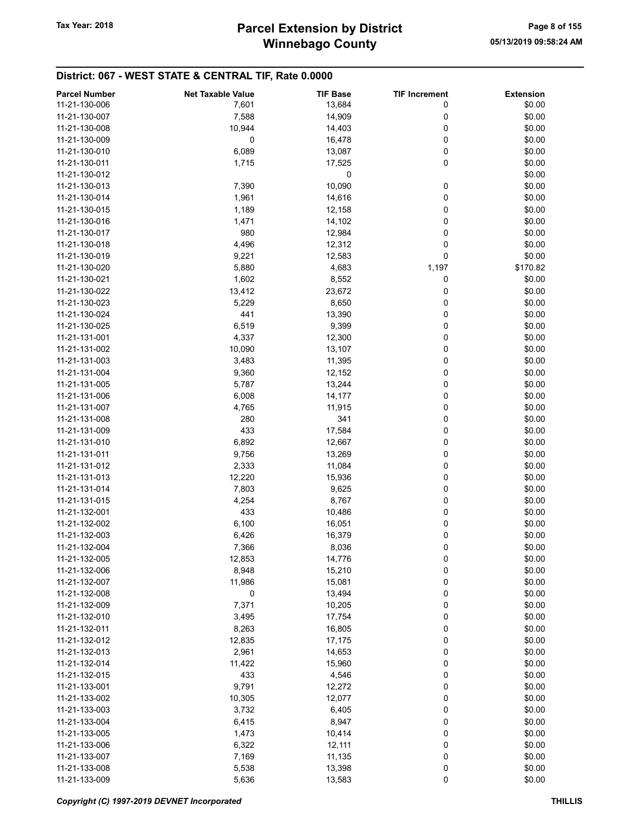|                      | <b>Net Taxable Value</b> |                 |                      |                  |
|----------------------|--------------------------|-----------------|----------------------|------------------|
| <b>Parcel Number</b> |                          | <b>TIF Base</b> | <b>TIF Increment</b> | <b>Extension</b> |
| 11-21-130-006        | 7,601                    | 13,684          | 0                    | \$0.00           |
| 11-21-130-007        | 7,588                    | 14,909          | 0                    | \$0.00           |
| 11-21-130-008        | 10,944                   | 14,403          | 0                    | \$0.00           |
| 11-21-130-009        | 0                        | 16,478          | 0                    | \$0.00           |
| 11-21-130-010        | 6,089                    | 13,087          | 0                    | \$0.00           |
| 11-21-130-011        | 1,715                    | 17,525          | 0                    | \$0.00           |
| 11-21-130-012        |                          | 0               |                      | \$0.00           |
|                      |                          |                 |                      |                  |
| 11-21-130-013        | 7,390                    | 10,090          | 0                    | \$0.00           |
| 11-21-130-014        | 1,961                    | 14,616          | 0                    | \$0.00           |
| 11-21-130-015        | 1,189                    | 12,158          | 0                    | \$0.00           |
| 11-21-130-016        | 1,471                    | 14,102          | 0                    | \$0.00           |
| 11-21-130-017        | 980                      | 12,984          | 0                    | \$0.00           |
| 11-21-130-018        | 4,496                    | 12,312          | 0                    | \$0.00           |
| 11-21-130-019        | 9,221                    | 12,583          | 0                    | \$0.00           |
| 11-21-130-020        | 5,880                    | 4,683           | 1,197                | \$170.82         |
|                      |                          |                 |                      |                  |
| 11-21-130-021        | 1,602                    | 8,552           | 0                    | \$0.00           |
| 11-21-130-022        | 13,412                   | 23,672          | 0                    | \$0.00           |
| 11-21-130-023        | 5,229                    | 8,650           | 0                    | \$0.00           |
| 11-21-130-024        | 441                      | 13,390          | 0                    | \$0.00           |
| 11-21-130-025        | 6,519                    | 9,399           | 0                    | \$0.00           |
| 11-21-131-001        | 4,337                    | 12,300          | 0                    | \$0.00           |
| 11-21-131-002        | 10,090                   | 13,107          | 0                    | \$0.00           |
|                      |                          |                 |                      |                  |
| 11-21-131-003        | 3,483                    | 11,395          | 0                    | \$0.00           |
| 11-21-131-004        | 9,360                    | 12,152          | 0                    | \$0.00           |
| 11-21-131-005        | 5,787                    | 13,244          | 0                    | \$0.00           |
| 11-21-131-006        | 6,008                    | 14,177          | 0                    | \$0.00           |
| 11-21-131-007        | 4,765                    | 11,915          | 0                    | \$0.00           |
| 11-21-131-008        | 280                      | 341             | 0                    | \$0.00           |
| 11-21-131-009        | 433                      | 17,584          | 0                    | \$0.00           |
| 11-21-131-010        | 6,892                    | 12,667          | 0                    | \$0.00           |
| 11-21-131-011        | 9,756                    | 13,269          | 0                    | \$0.00           |
| 11-21-131-012        |                          |                 | 0                    | \$0.00           |
|                      | 2,333                    | 11,084          |                      |                  |
| 11-21-131-013        | 12,220                   | 15,936          | 0                    | \$0.00           |
| 11-21-131-014        | 7,803                    | 9,625           | 0                    | \$0.00           |
| 11-21-131-015        | 4,254                    | 8,767           | 0                    | \$0.00           |
| 11-21-132-001        | 433                      | 10,486          | 0                    | \$0.00           |
| 11-21-132-002        | 6,100                    | 16,051          | 0                    | \$0.00           |
| 11-21-132-003        | 6,426                    | 16,379          | 0                    | \$0.00           |
| 11-21-132-004        | 7,366                    | 8,036           | 0                    | \$0.00           |
| 11-21-132-005        | 12,853                   | 14,776          | 0                    | \$0.00           |
|                      |                          |                 |                      |                  |
| 11-21-132-006        | 8,948                    | 15,210          | 0                    | \$0.00           |
| 11-21-132-007        | 11,986                   | 15,081          | 0                    | \$0.00           |
| 11-21-132-008        | 0                        | 13,494          | 0                    | \$0.00           |
| 11-21-132-009        | 7,371                    | 10,205          | 0                    | \$0.00           |
| 11-21-132-010        | 3,495                    | 17,754          | 0                    | \$0.00           |
| 11-21-132-011        | 8,263                    | 16,805          | 0                    | \$0.00           |
| 11-21-132-012        | 12,835                   | 17,175          | 0                    | \$0.00           |
| 11-21-132-013        | 2,961                    | 14,653          | 0                    | \$0.00           |
| 11-21-132-014        | 11,422                   | 15,960          | 0                    | \$0.00           |
|                      |                          |                 |                      |                  |
| 11-21-132-015        | 433                      | 4,546           | 0                    | \$0.00           |
| 11-21-133-001        | 9,791                    | 12,272          | 0                    | \$0.00           |
| 11-21-133-002        | 10,305                   | 12,077          | 0                    | \$0.00           |
| 11-21-133-003        | 3,732                    | 6,405           | 0                    | \$0.00           |
| 11-21-133-004        | 6,415                    | 8,947           | 0                    | \$0.00           |
| 11-21-133-005        | 1,473                    | 10,414          | 0                    | \$0.00           |
| 11-21-133-006        | 6,322                    | 12,111          | 0                    | \$0.00           |
| 11-21-133-007        | 7,169                    | 11,135          | 0                    | \$0.00           |
|                      |                          |                 |                      |                  |
| 11-21-133-008        | 5,538                    | 13,398          | 0                    | \$0.00           |
| 11-21-133-009        | 5,636                    | 13,583          | 0                    | \$0.00           |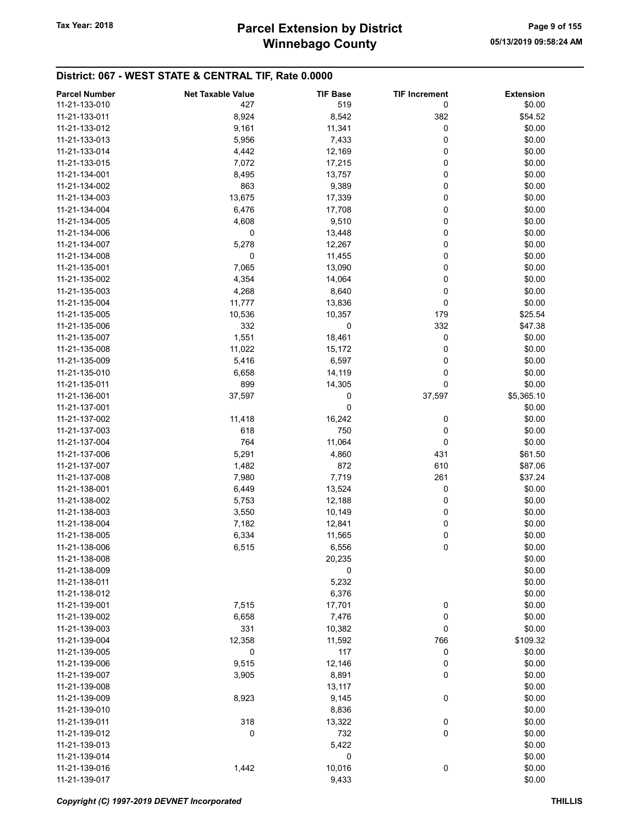| <b>Parcel Number</b> | <b>Net Taxable Value</b> | <b>TIF Base</b> | <b>TIF Increment</b> | <b>Extension</b> |
|----------------------|--------------------------|-----------------|----------------------|------------------|
| 11-21-133-010        | 427                      | 519             | 0                    | \$0.00           |
| 11-21-133-011        | 8,924                    | 8,542           | 382                  | \$54.52          |
| 11-21-133-012        | 9,161                    | 11,341          | 0                    | \$0.00           |
| 11-21-133-013        | 5,956                    | 7,433           | 0                    | \$0.00           |
| 11-21-133-014        | 4,442                    | 12,169          | 0                    | \$0.00           |
| 11-21-133-015        |                          |                 |                      | \$0.00           |
|                      | 7,072                    | 17,215          | 0                    |                  |
| 11-21-134-001        | 8,495                    | 13,757          | 0                    | \$0.00           |
| 11-21-134-002        | 863                      | 9,389           | 0                    | \$0.00           |
| 11-21-134-003        | 13,675                   | 17,339          | 0                    | \$0.00           |
| 11-21-134-004        | 6,476                    | 17,708          | 0                    | \$0.00           |
| 11-21-134-005        | 4,608                    | 9,510           | 0                    | \$0.00           |
| 11-21-134-006        | 0                        | 13,448          | 0                    | \$0.00           |
| 11-21-134-007        | 5,278                    | 12,267          | 0                    | \$0.00           |
| 11-21-134-008        | 0                        | 11,455          | 0                    | \$0.00           |
| 11-21-135-001        | 7,065                    | 13,090          | 0                    | \$0.00           |
| 11-21-135-002        | 4,354                    | 14,064          | 0                    | \$0.00           |
| 11-21-135-003        | 4,268                    | 8,640           | 0                    | \$0.00           |
| 11-21-135-004        | 11,777                   | 13,836          | 0                    | \$0.00           |
| 11-21-135-005        | 10,536                   | 10,357          | 179                  | \$25.54          |
| 11-21-135-006        | 332                      | 0               | 332                  | \$47.38          |
| 11-21-135-007        | 1,551                    | 18,461          | 0                    | \$0.00           |
| 11-21-135-008        | 11,022                   | 15,172          | 0                    | \$0.00           |
| 11-21-135-009        | 5,416                    | 6,597           | 0                    | \$0.00           |
| 11-21-135-010        | 6,658                    | 14,119          | 0                    | \$0.00           |
| 11-21-135-011        | 899                      | 14,305          | 0                    | \$0.00           |
| 11-21-136-001        | 37,597                   | 0               | 37,597               | \$5,365.10       |
| 11-21-137-001        |                          | 0               |                      | \$0.00           |
| 11-21-137-002        | 11,418                   | 16,242          | 0                    | \$0.00           |
| 11-21-137-003        | 618                      | 750             | 0                    | \$0.00           |
| 11-21-137-004        | 764                      | 11,064          | 0                    | \$0.00           |
| 11-21-137-006        | 5,291                    | 4,860           | 431                  | \$61.50          |
| 11-21-137-007        | 1,482                    | 872             | 610                  | \$87.06          |
| 11-21-137-008        | 7,980                    | 7,719           | 261                  | \$37.24          |
| 11-21-138-001        | 6,449                    | 13,524          | 0                    | \$0.00           |
| 11-21-138-002        | 5,753                    | 12,188          | 0                    | \$0.00           |
| 11-21-138-003        | 3,550                    | 10,149          | 0                    | \$0.00           |
| 11-21-138-004        |                          |                 |                      | \$0.00           |
| 11-21-138-005        | 7,182                    | 12,841          | 0                    |                  |
|                      | 6,334                    | 11,565          | 0                    | \$0.00           |
| 11-21-138-006        | 6,515                    | 6,556           | 0                    | \$0.00           |
| 11-21-138-008        |                          | 20,235          |                      | \$0.00           |
| 11-21-138-009        |                          | 0               |                      | \$0.00           |
| 11-21-138-011        |                          | 5,232           |                      | \$0.00           |
| 11-21-138-012        |                          | 6,376           |                      | \$0.00           |
| 11-21-139-001        | 7,515                    | 17,701          | 0                    | \$0.00           |
| 11-21-139-002        | 6,658                    | 7,476           | 0                    | \$0.00           |
| 11-21-139-003        | 331                      | 10,382          | 0                    | \$0.00           |
| 11-21-139-004        | 12,358                   | 11,592          | 766                  | \$109.32         |
| 11-21-139-005        | 0                        | 117             | 0                    | \$0.00           |
| 11-21-139-006        | 9,515                    | 12,146          | 0                    | \$0.00           |
| 11-21-139-007        | 3,905                    | 8,891           | 0                    | \$0.00           |
| 11-21-139-008        |                          | 13,117          |                      | \$0.00           |
| 11-21-139-009        | 8,923                    | 9,145           | 0                    | \$0.00           |
| 11-21-139-010        |                          | 8,836           |                      | \$0.00           |
| 11-21-139-011        | 318                      | 13,322          | 0                    | \$0.00           |
| 11-21-139-012        | 0                        | 732             | 0                    | \$0.00           |
| 11-21-139-013        |                          | 5,422           |                      | \$0.00           |
| 11-21-139-014        |                          | 0               |                      | \$0.00           |
| 11-21-139-016        | 1,442                    | 10,016          | 0                    | \$0.00           |
| 11-21-139-017        |                          | 9,433           |                      | \$0.00           |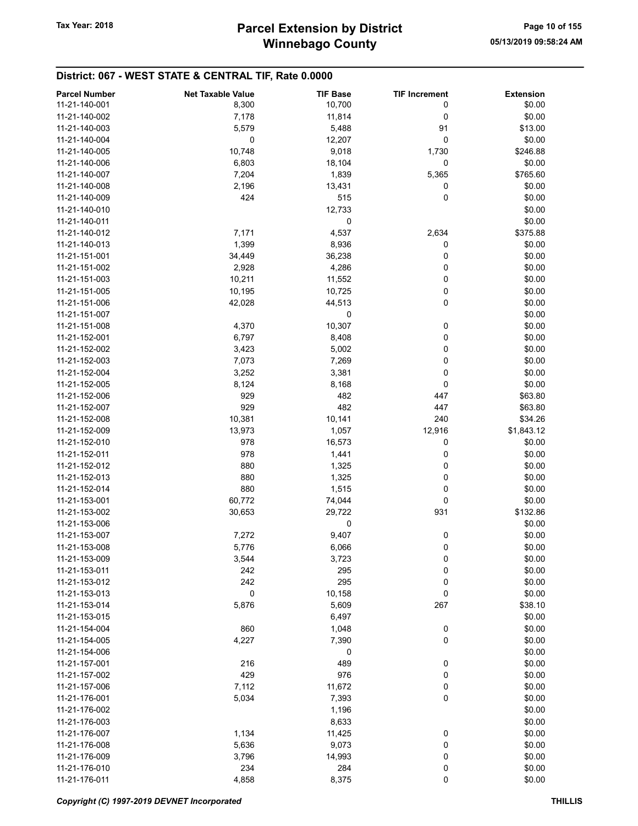| <b>Parcel Number</b> | <b>Net Taxable Value</b> | <b>TIF Base</b> | <b>TIF Increment</b> | <b>Extension</b> |
|----------------------|--------------------------|-----------------|----------------------|------------------|
| 11-21-140-001        |                          | 10,700          |                      | \$0.00           |
|                      | 8,300                    |                 | 0                    |                  |
| 11-21-140-002        | 7,178                    | 11,814          | 0                    | \$0.00           |
| 11-21-140-003        | 5,579                    | 5,488           | 91                   | \$13.00          |
| 11-21-140-004        | 0                        | 12,207          | 0                    | \$0.00           |
| 11-21-140-005        | 10,748                   | 9,018           | 1,730                | \$246.88         |
| 11-21-140-006        | 6,803                    | 18,104          | 0                    | \$0.00           |
| 11-21-140-007        | 7,204                    | 1,839           | 5,365                | \$765.60         |
| 11-21-140-008        | 2,196                    | 13,431          | 0                    | \$0.00           |
| 11-21-140-009        | 424                      | 515             | 0                    | \$0.00           |
| 11-21-140-010        |                          | 12,733          |                      | \$0.00           |
| 11-21-140-011        |                          | 0               |                      | \$0.00           |
| 11-21-140-012        | 7,171                    | 4,537           | 2,634                | \$375.88         |
| 11-21-140-013        | 1,399                    | 8,936           | 0                    | \$0.00           |
|                      |                          |                 |                      |                  |
| 11-21-151-001        | 34,449                   | 36,238          | 0                    | \$0.00           |
| 11-21-151-002        | 2,928                    | 4,286           | 0                    | \$0.00           |
| 11-21-151-003        | 10,211                   | 11,552          | 0                    | \$0.00           |
| 11-21-151-005        | 10,195                   | 10,725          | 0                    | \$0.00           |
| 11-21-151-006        | 42,028                   | 44,513          | 0                    | \$0.00           |
| 11-21-151-007        |                          | 0               |                      | \$0.00           |
| 11-21-151-008        | 4,370                    | 10,307          | 0                    | \$0.00           |
| 11-21-152-001        | 6,797                    | 8,408           | 0                    | \$0.00           |
| 11-21-152-002        | 3,423                    | 5,002           | 0                    | \$0.00           |
| 11-21-152-003        | 7,073                    | 7,269           | 0                    | \$0.00           |
| 11-21-152-004        | 3,252                    | 3,381           | 0                    | \$0.00           |
|                      |                          |                 | 0                    |                  |
| 11-21-152-005        | 8,124                    | 8,168           |                      | \$0.00           |
| 11-21-152-006        | 929                      | 482             | 447                  | \$63.80          |
| 11-21-152-007        | 929                      | 482             | 447                  | \$63.80          |
| 11-21-152-008        | 10,381                   | 10,141          | 240                  | \$34.26          |
| 11-21-152-009        | 13,973                   | 1,057           | 12,916               | \$1,843.12       |
| 11-21-152-010        | 978                      | 16,573          | 0                    | \$0.00           |
| 11-21-152-011        | 978                      | 1,441           | 0                    | \$0.00           |
| 11-21-152-012        | 880                      | 1,325           | 0                    | \$0.00           |
| 11-21-152-013        | 880                      | 1,325           | 0                    | \$0.00           |
| 11-21-152-014        | 880                      | 1,515           | 0                    | \$0.00           |
| 11-21-153-001        | 60,772                   | 74,044          | 0                    | \$0.00           |
| 11-21-153-002        | 30,653                   | 29,722          | 931                  | \$132.86         |
| 11-21-153-006        |                          | 0               |                      | \$0.00           |
|                      |                          |                 |                      |                  |
| 11-21-153-007        | 7,272                    | 9,407           | 0                    | \$0.00           |
| 11-21-153-008        | 5,776                    | 6,066           | 0                    | \$0.00           |
| 11-21-153-009        | 3,544                    | 3,723           | 0                    | \$0.00           |
| 11-21-153-011        | 242                      | 295             | 0                    | \$0.00           |
| 11-21-153-012        | 242                      | 295             | 0                    | \$0.00           |
| 11-21-153-013        | 0                        | 10,158          | 0                    | \$0.00           |
| 11-21-153-014        | 5,876                    | 5,609           | 267                  | \$38.10          |
| 11-21-153-015        |                          | 6,497           |                      | \$0.00           |
| 11-21-154-004        | 860                      | 1,048           | 0                    | \$0.00           |
| 11-21-154-005        | 4,227                    | 7,390           | 0                    | \$0.00           |
| 11-21-154-006        |                          | 0               |                      | \$0.00           |
| 11-21-157-001        | 216                      | 489             | 0                    | \$0.00           |
| 11-21-157-002        | 429                      |                 |                      | \$0.00           |
|                      |                          | 976             | 0                    |                  |
| 11-21-157-006        | 7,112                    | 11,672          | 0                    | \$0.00           |
| 11-21-176-001        | 5,034                    | 7,393           | 0                    | \$0.00           |
| 11-21-176-002        |                          | 1,196           |                      | \$0.00           |
| 11-21-176-003        |                          | 8,633           |                      | \$0.00           |
| 11-21-176-007        | 1,134                    | 11,425          | 0                    | \$0.00           |
| 11-21-176-008        | 5,636                    | 9,073           | 0                    | \$0.00           |
| 11-21-176-009        | 3,796                    | 14,993          | 0                    | \$0.00           |
| 11-21-176-010        | 234                      | 284             | 0                    | \$0.00           |
| 11-21-176-011        | 4,858                    | 8,375           | 0                    | \$0.00           |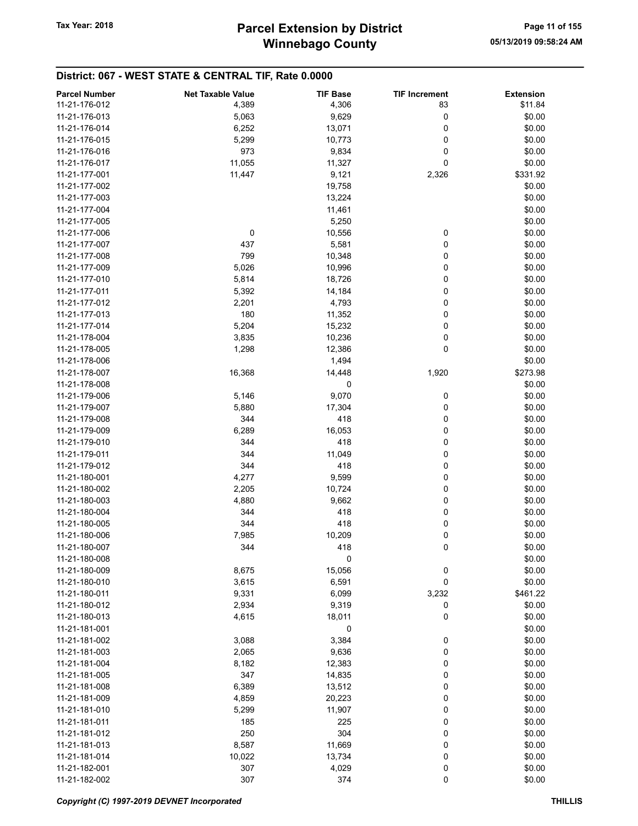| <b>Parcel Number</b> | <b>Net Taxable Value</b> | <b>TIF Base</b> | <b>TIF Increment</b> | <b>Extension</b> |
|----------------------|--------------------------|-----------------|----------------------|------------------|
| 11-21-176-012        | 4,389                    | 4,306           | 83                   | \$11.84          |
| 11-21-176-013        |                          | 9,629           |                      |                  |
|                      | 5,063                    |                 | 0                    | \$0.00           |
| 11-21-176-014        | 6,252                    | 13,071          | 0                    | \$0.00           |
| 11-21-176-015        | 5,299                    | 10,773          | 0                    | \$0.00           |
| 11-21-176-016        | 973                      | 9,834           | 0                    | \$0.00           |
| 11-21-176-017        | 11,055                   | 11,327          | 0                    | \$0.00           |
| 11-21-177-001        | 11,447                   | 9,121           | 2,326                | \$331.92         |
| 11-21-177-002        |                          | 19,758          |                      | \$0.00           |
| 11-21-177-003        |                          | 13,224          |                      | \$0.00           |
| 11-21-177-004        |                          | 11,461          |                      | \$0.00           |
| 11-21-177-005        |                          | 5,250           |                      | \$0.00           |
| 11-21-177-006        | $\mathbf 0$              | 10,556          | 0                    | \$0.00           |
| 11-21-177-007        | 437                      | 5,581           | 0                    | \$0.00           |
| 11-21-177-008        | 799                      | 10,348          | 0                    | \$0.00           |
| 11-21-177-009        | 5,026                    | 10,996          | 0                    | \$0.00           |
| 11-21-177-010        | 5,814                    | 18,726          | 0                    | \$0.00           |
| 11-21-177-011        | 5,392                    | 14,184          | 0                    | \$0.00           |
| 11-21-177-012        | 2,201                    | 4,793           | 0                    | \$0.00           |
| 11-21-177-013        | 180                      | 11,352          | 0                    | \$0.00           |
| 11-21-177-014        | 5,204                    | 15,232          | 0                    | \$0.00           |
| 11-21-178-004        | 3,835                    | 10,236          | 0                    | \$0.00           |
| 11-21-178-005        | 1,298                    | 12,386          | 0                    | \$0.00           |
| 11-21-178-006        |                          | 1,494           |                      | \$0.00           |
| 11-21-178-007        | 16,368                   | 14,448          | 1,920                | \$273.98         |
| 11-21-178-008        |                          | 0               |                      | \$0.00           |
| 11-21-179-006        |                          | 9,070           |                      | \$0.00           |
|                      | 5,146                    |                 | 0                    |                  |
| 11-21-179-007        | 5,880                    | 17,304          | 0                    | \$0.00           |
| 11-21-179-008        | 344                      | 418             | 0                    | \$0.00           |
| 11-21-179-009        | 6,289                    | 16,053          | 0                    | \$0.00           |
| 11-21-179-010        | 344                      | 418             | 0                    | \$0.00           |
| 11-21-179-011        | 344                      | 11,049          | 0                    | \$0.00           |
| 11-21-179-012        | 344                      | 418             | 0                    | \$0.00           |
| 11-21-180-001        | 4,277                    | 9,599           | 0                    | \$0.00           |
| 11-21-180-002        | 2,205                    | 10,724          | 0                    | \$0.00           |
| 11-21-180-003        | 4,880                    | 9,662           | 0                    | \$0.00           |
| 11-21-180-004        | 344                      | 418             | 0                    | \$0.00           |
| 11-21-180-005        | 344                      | 418             | 0                    | \$0.00           |
| 11-21-180-006        | 7,985                    | 10,209          | 0                    | \$0.00           |
| 11-21-180-007        | 344                      | 418             | $\pmb{0}$            | \$0.00           |
| 11-21-180-008        |                          | 0               |                      | \$0.00           |
| 11-21-180-009        | 8,675                    | 15,056          | 0                    | \$0.00           |
| 11-21-180-010        | 3,615                    | 6,591           | 0                    | \$0.00           |
| 11-21-180-011        | 9,331                    | 6,099           | 3,232                | \$461.22         |
| 11-21-180-012        | 2,934                    | 9,319           | 0                    | \$0.00           |
| 11-21-180-013        | 4,615                    | 18,011          | 0                    | \$0.00           |
| 11-21-181-001        |                          | 0               |                      | \$0.00           |
| 11-21-181-002        | 3,088                    | 3,384           | 0                    | \$0.00           |
| 11-21-181-003        | 2,065                    | 9,636           | 0                    | \$0.00           |
| 11-21-181-004        | 8,182                    | 12,383          | 0                    | \$0.00           |
| 11-21-181-005        | 347                      | 14,835          | 0                    | \$0.00           |
| 11-21-181-008        | 6,389                    | 13,512          | 0                    | \$0.00           |
| 11-21-181-009        | 4,859                    | 20,223          | 0                    | \$0.00           |
| 11-21-181-010        | 5,299                    | 11,907          | 0                    | \$0.00           |
| 11-21-181-011        | 185                      | 225             | 0                    | \$0.00           |
|                      |                          |                 |                      |                  |
| 11-21-181-012        | 250                      | 304             | 0                    | \$0.00           |
| 11-21-181-013        | 8,587                    | 11,669          | 0                    | \$0.00           |
| 11-21-181-014        | 10,022                   | 13,734          | 0                    | \$0.00           |
| 11-21-182-001        | 307                      | 4,029           | 0                    | \$0.00           |
| 11-21-182-002        | 307                      | 374             | 0                    | \$0.00           |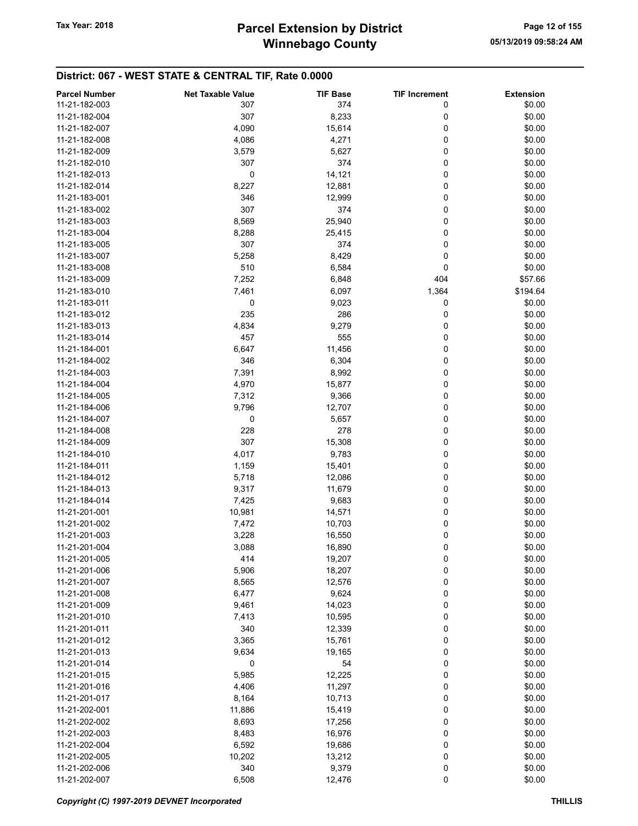| <b>Parcel Number</b> | <b>Net Taxable Value</b> | <b>TIF Base</b> | <b>TIF Increment</b> | <b>Extension</b> |
|----------------------|--------------------------|-----------------|----------------------|------------------|
| 11-21-182-003        | 307                      | 374             | 0                    | \$0.00           |
| 11-21-182-004        | 307                      | 8,233           | 0                    | \$0.00           |
|                      |                          |                 |                      |                  |
| 11-21-182-007        | 4,090                    | 15,614          | 0                    | \$0.00           |
| 11-21-182-008        | 4,086                    | 4,271           | 0                    | \$0.00           |
| 11-21-182-009        | 3,579                    | 5,627           | 0                    | \$0.00           |
| 11-21-182-010        | 307                      | 374             | 0                    | \$0.00           |
| 11-21-182-013        | 0                        | 14,121          | 0                    | \$0.00           |
| 11-21-182-014        | 8,227                    | 12,881          | 0                    | \$0.00           |
| 11-21-183-001        | 346                      | 12,999          | 0                    | \$0.00           |
| 11-21-183-002        | 307                      | 374             | 0                    | \$0.00           |
| 11-21-183-003        | 8,569                    | 25,940          | 0                    | \$0.00           |
|                      |                          |                 |                      |                  |
| 11-21-183-004        | 8,288                    | 25,415          | 0                    | \$0.00           |
| 11-21-183-005        | 307                      | 374             | 0                    | \$0.00           |
| 11-21-183-007        | 5,258                    | 8,429           | 0                    | \$0.00           |
| 11-21-183-008        | 510                      | 6,584           | 0                    | \$0.00           |
| 11-21-183-009        | 7,252                    | 6,848           | 404                  | \$57.66          |
| 11-21-183-010        | 7,461                    | 6,097           | 1,364                | \$194.64         |
| 11-21-183-011        | 0                        | 9,023           | 0                    | \$0.00           |
| 11-21-183-012        | 235                      | 286             | 0                    | \$0.00           |
| 11-21-183-013        | 4,834                    | 9,279           | 0                    | \$0.00           |
|                      |                          |                 |                      |                  |
| 11-21-183-014        | 457                      | 555             | 0                    | \$0.00           |
| 11-21-184-001        | 6,647                    | 11,456          | 0                    | \$0.00           |
| 11-21-184-002        | 346                      | 6,304           | 0                    | \$0.00           |
| 11-21-184-003        | 7,391                    | 8,992           | 0                    | \$0.00           |
| 11-21-184-004        | 4,970                    | 15,877          | 0                    | \$0.00           |
| 11-21-184-005        | 7,312                    | 9,366           | 0                    | \$0.00           |
| 11-21-184-006        | 9,796                    | 12,707          | 0                    | \$0.00           |
| 11-21-184-007        | 0                        | 5,657           | 0                    | \$0.00           |
|                      |                          |                 |                      |                  |
| 11-21-184-008        | 228                      | 278             | 0                    | \$0.00           |
| 11-21-184-009        | 307                      | 15,308          | 0                    | \$0.00           |
| 11-21-184-010        | 4,017                    | 9,783           | 0                    | \$0.00           |
| 11-21-184-011        | 1,159                    | 15,401          | 0                    | \$0.00           |
| 11-21-184-012        | 5,718                    | 12,086          | 0                    | \$0.00           |
| 11-21-184-013        | 9,317                    | 11,679          | 0                    | \$0.00           |
| 11-21-184-014        | 7,425                    | 9,683           | 0                    | \$0.00           |
| 11-21-201-001        | 10,981                   | 14,571          | 0                    | \$0.00           |
| 11-21-201-002        | 7,472                    | 10,703          | 0                    | \$0.00           |
| 11-21-201-003        | 3,228                    | 16,550          | 0                    | \$0.00           |
|                      |                          |                 |                      |                  |
| 11-21-201-004        | 3,088                    | 16,890          | 0                    | \$0.00           |
| 11-21-201-005        | 414                      | 19,207          | 0                    | \$0.00           |
| 11-21-201-006        | 5,906                    | 18,207          | 0                    | \$0.00           |
| 11-21-201-007        | 8,565                    | 12,576          | 0                    | \$0.00           |
| 11-21-201-008        | 6,477                    | 9,624           | 0                    | \$0.00           |
| 11-21-201-009        | 9,461                    | 14,023          | 0                    | \$0.00           |
| 11-21-201-010        | 7,413                    | 10,595          | 0                    | \$0.00           |
| 11-21-201-011        | 340                      | 12,339          | 0                    | \$0.00           |
| 11-21-201-012        | 3,365                    | 15,761          | 0                    | \$0.00           |
|                      |                          |                 |                      |                  |
| 11-21-201-013        | 9,634                    | 19,165          | 0                    | \$0.00           |
| 11-21-201-014        | 0                        | 54              | 0                    | \$0.00           |
| 11-21-201-015        | 5,985                    | 12,225          | 0                    | \$0.00           |
| 11-21-201-016        | 4,406                    | 11,297          | 0                    | \$0.00           |
| 11-21-201-017        | 8,164                    | 10,713          | 0                    | \$0.00           |
| 11-21-202-001        | 11,886                   | 15,419          | 0                    | \$0.00           |
| 11-21-202-002        | 8,693                    | 17,256          | 0                    | \$0.00           |
| 11-21-202-003        | 8,483                    | 16,976          | 0                    | \$0.00           |
| 11-21-202-004        | 6,592                    | 19,686          | 0                    | \$0.00           |
|                      |                          |                 | 0                    |                  |
| 11-21-202-005        | 10,202                   | 13,212          |                      | \$0.00           |
| 11-21-202-006        | 340                      | 9,379           | 0                    | \$0.00           |
| 11-21-202-007        | 6,508                    | 12,476          | 0                    | \$0.00           |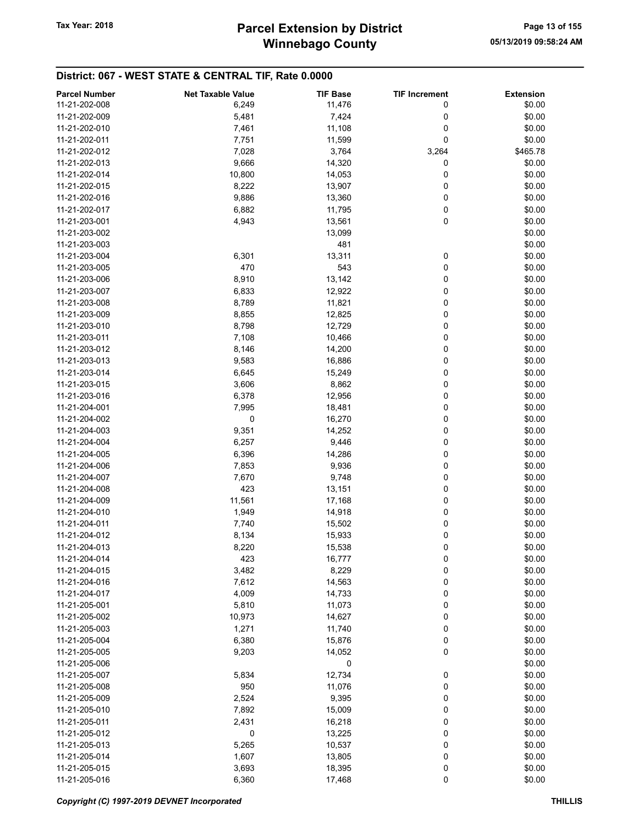| <b>Parcel Number</b> | <b>Net Taxable Value</b> | <b>TIF Base</b> | <b>TIF Increment</b> | <b>Extension</b> |
|----------------------|--------------------------|-----------------|----------------------|------------------|
| 11-21-202-008        | 6,249                    | 11,476          | 0                    | \$0.00           |
| 11-21-202-009        | 5,481                    | 7,424           | 0                    | \$0.00           |
| 11-21-202-010        | 7,461                    | 11,108          | 0                    | \$0.00           |
|                      |                          |                 |                      |                  |
| 11-21-202-011        | 7,751                    | 11,599          | 0                    | \$0.00           |
| 11-21-202-012        | 7,028                    | 3,764           | 3,264                | \$465.78         |
| 11-21-202-013        | 9,666                    | 14,320          | 0                    | \$0.00           |
| 11-21-202-014        | 10,800                   | 14,053          | 0                    | \$0.00           |
| 11-21-202-015        | 8,222                    | 13,907          | 0                    | \$0.00           |
| 11-21-202-016        | 9,886                    | 13,360          | 0                    | \$0.00           |
| 11-21-202-017        | 6,882                    | 11,795          | 0                    | \$0.00           |
| 11-21-203-001        | 4,943                    | 13,561          | 0                    | \$0.00           |
| 11-21-203-002        |                          | 13,099          |                      | \$0.00           |
| 11-21-203-003        |                          | 481             |                      | \$0.00           |
| 11-21-203-004        | 6,301                    | 13,311          | 0                    | \$0.00           |
| 11-21-203-005        | 470                      | 543             | 0                    | \$0.00           |
|                      |                          |                 |                      |                  |
| 11-21-203-006        | 8,910                    | 13,142          | 0                    | \$0.00           |
| 11-21-203-007        | 6,833                    | 12,922          | 0                    | \$0.00           |
| 11-21-203-008        | 8,789                    | 11,821          | 0                    | \$0.00           |
| 11-21-203-009        | 8,855                    | 12,825          | 0                    | \$0.00           |
| 11-21-203-010        | 8,798                    | 12,729          | 0                    | \$0.00           |
| 11-21-203-011        | 7,108                    | 10,466          | 0                    | \$0.00           |
| 11-21-203-012        | 8,146                    | 14,200          | 0                    | \$0.00           |
| 11-21-203-013        | 9,583                    | 16,886          | 0                    | \$0.00           |
| 11-21-203-014        | 6,645                    | 15,249          | 0                    | \$0.00           |
| 11-21-203-015        | 3,606                    | 8,862           | 0                    | \$0.00           |
| 11-21-203-016        | 6,378                    | 12,956          | 0                    | \$0.00           |
|                      |                          |                 |                      |                  |
| 11-21-204-001        | 7,995                    | 18,481          | 0                    | \$0.00           |
| 11-21-204-002        | 0                        | 16,270          | 0                    | \$0.00           |
| 11-21-204-003        | 9,351                    | 14,252          | 0                    | \$0.00           |
| 11-21-204-004        | 6,257                    | 9,446           | 0                    | \$0.00           |
| 11-21-204-005        | 6,396                    | 14,286          | 0                    | \$0.00           |
| 11-21-204-006        | 7,853                    | 9,936           | 0                    | \$0.00           |
| 11-21-204-007        | 7,670                    | 9,748           | 0                    | \$0.00           |
| 11-21-204-008        | 423                      | 13,151          | 0                    | \$0.00           |
| 11-21-204-009        | 11,561                   | 17,168          | 0                    | \$0.00           |
| 11-21-204-010        | 1,949                    | 14,918          | 0                    | \$0.00           |
| 11-21-204-011        | 7,740                    | 15,502          | 0                    | \$0.00           |
| 11-21-204-012        | 8,134                    | 15,933          | 0                    | \$0.00           |
| 11-21-204-013        | 8,220                    | 15,538          | 0                    | \$0.00           |
| 11-21-204-014        | 423                      | 16,777          | 0                    | \$0.00           |
|                      |                          |                 |                      |                  |
| 11-21-204-015        | 3,482                    | 8,229           | 0                    | \$0.00           |
| 11-21-204-016        | 7,612                    | 14,563          | 0                    | \$0.00           |
| 11-21-204-017        | 4,009                    | 14,733          | 0                    | \$0.00           |
| 11-21-205-001        | 5,810                    | 11,073          | 0                    | \$0.00           |
| 11-21-205-002        | 10,973                   | 14,627          | 0                    | \$0.00           |
| 11-21-205-003        | 1,271                    | 11,740          | 0                    | \$0.00           |
| 11-21-205-004        | 6,380                    | 15,876          | 0                    | \$0.00           |
| 11-21-205-005        | 9,203                    | 14,052          | 0                    | \$0.00           |
| 11-21-205-006        |                          | 0               |                      | \$0.00           |
| 11-21-205-007        | 5,834                    | 12,734          | 0                    | \$0.00           |
| 11-21-205-008        | 950                      | 11,076          | 0                    | \$0.00           |
| 11-21-205-009        | 2,524                    | 9,395           | 0                    | \$0.00           |
| 11-21-205-010        | 7,892                    | 15,009          | 0                    | \$0.00           |
|                      |                          |                 |                      |                  |
| 11-21-205-011        | 2,431                    | 16,218          | 0                    | \$0.00           |
| 11-21-205-012        | 0                        | 13,225          | 0                    | \$0.00           |
| 11-21-205-013        | 5,265                    | 10,537          | 0                    | \$0.00           |
| 11-21-205-014        | 1,607                    | 13,805          | 0                    | \$0.00           |
| 11-21-205-015        | 3,693                    | 18,395          | 0                    | \$0.00           |
| 11-21-205-016        | 6,360                    | 17,468          | 0                    | \$0.00           |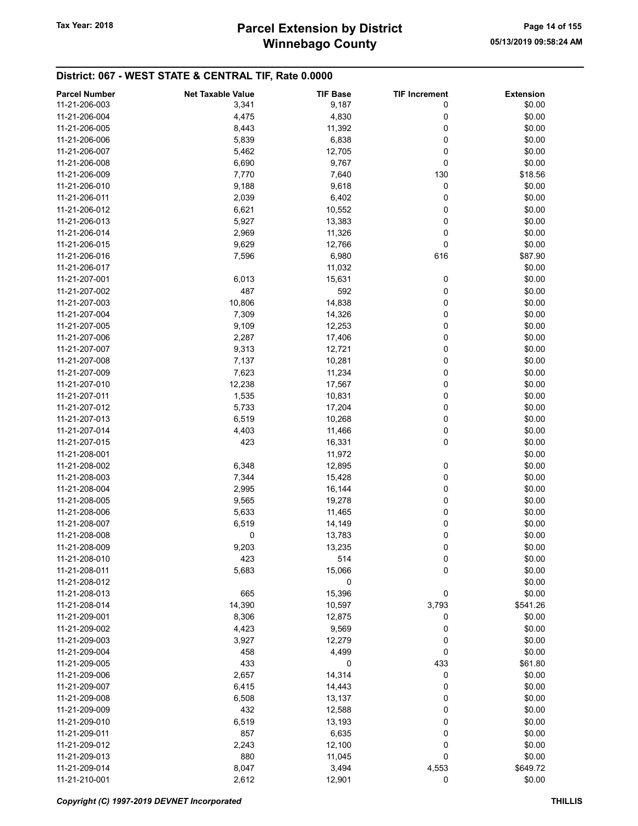| <b>Parcel Number</b> | <b>Net Taxable Value</b> | <b>TIF Base</b> | <b>TIF Increment</b> | <b>Extension</b> |
|----------------------|--------------------------|-----------------|----------------------|------------------|
| 11-21-206-003        | 3,341                    | 9,187           | 0                    | \$0.00           |
| 11-21-206-004        | 4,475                    | 4,830           | 0                    | \$0.00           |
| 11-21-206-005        | 8,443                    | 11,392          | 0                    | \$0.00           |
|                      |                          |                 |                      |                  |
| 11-21-206-006        | 5,839                    | 6,838           | 0                    | \$0.00           |
| 11-21-206-007        | 5,462                    | 12,705          | 0                    | \$0.00           |
| 11-21-206-008        | 6,690                    | 9,767           | 0                    | \$0.00           |
| 11-21-206-009        | 7,770                    | 7,640           | 130                  | \$18.56          |
| 11-21-206-010        | 9,188                    | 9,618           | 0                    | \$0.00           |
| 11-21-206-011        | 2,039                    | 6,402           | 0                    | \$0.00           |
| 11-21-206-012        | 6,621                    | 10,552          | 0                    | \$0.00           |
| 11-21-206-013        | 5,927                    | 13,383          | 0                    | \$0.00           |
| 11-21-206-014        | 2,969                    | 11,326          | 0                    | \$0.00           |
| 11-21-206-015        | 9,629                    | 12,766          | 0                    | \$0.00           |
| 11-21-206-016        | 7,596                    | 6,980           | 616                  | \$87.90          |
|                      |                          |                 |                      |                  |
| 11-21-206-017        |                          | 11,032          |                      | \$0.00           |
| 11-21-207-001        | 6,013                    | 15,631          | 0                    | \$0.00           |
| 11-21-207-002        | 487                      | 592             | 0                    | \$0.00           |
| 11-21-207-003        | 10,806                   | 14,838          | 0                    | \$0.00           |
| 11-21-207-004        | 7,309                    | 14,326          | 0                    | \$0.00           |
| 11-21-207-005        | 9,109                    | 12,253          | 0                    | \$0.00           |
| 11-21-207-006        | 2,287                    | 17,406          | 0                    | \$0.00           |
| 11-21-207-007        | 9,313                    | 12,721          | 0                    | \$0.00           |
| 11-21-207-008        | 7,137                    | 10,281          | 0                    | \$0.00           |
| 11-21-207-009        | 7,623                    | 11,234          | 0                    | \$0.00           |
| 11-21-207-010        | 12,238                   | 17,567          | 0                    | \$0.00           |
| 11-21-207-011        | 1,535                    | 10,831          | 0                    | \$0.00           |
|                      |                          |                 |                      |                  |
| 11-21-207-012        | 5,733                    | 17,204          | 0                    | \$0.00           |
| 11-21-207-013        | 6,519                    | 10,268          | 0                    | \$0.00           |
| 11-21-207-014        | 4,403                    | 11,466          | 0                    | \$0.00           |
| 11-21-207-015        | 423                      | 16,331          | 0                    | \$0.00           |
| 11-21-208-001        |                          | 11,972          |                      | \$0.00           |
| 11-21-208-002        | 6,348                    | 12,895          | 0                    | \$0.00           |
| 11-21-208-003        | 7,344                    | 15,428          | 0                    | \$0.00           |
| 11-21-208-004        | 2,995                    | 16,144          | 0                    | \$0.00           |
| 11-21-208-005        | 9,565                    | 19,278          | 0                    | \$0.00           |
| 11-21-208-006        | 5,633                    | 11,465          | 0                    | \$0.00           |
| 11-21-208-007        | 6,519                    | 14,149          | 0                    | \$0.00           |
| 11-21-208-008        | 0                        | 13,783          | 0                    | \$0.00           |
| 11-21-208-009        | 9,203                    |                 | 0                    | \$0.00           |
| 11-21-208-010        |                          | 13,235<br>514   |                      |                  |
|                      | 423                      |                 | $\pmb{0}$            | \$0.00           |
| 11-21-208-011        | 5,683                    | 15,066          | 0                    | \$0.00           |
| 11-21-208-012        |                          | 0               |                      | \$0.00           |
| 11-21-208-013        | 665                      | 15,396          | 0                    | \$0.00           |
| 11-21-208-014        | 14,390                   | 10,597          | 3,793                | \$541.26         |
| 11-21-209-001        | 8,306                    | 12,875          | 0                    | \$0.00           |
| 11-21-209-002        | 4,423                    | 9,569           | 0                    | \$0.00           |
| 11-21-209-003        | 3,927                    | 12,279          | 0                    | \$0.00           |
| 11-21-209-004        | 458                      | 4,499           | 0                    | \$0.00           |
| 11-21-209-005        | 433                      | 0               | 433                  | \$61.80          |
| 11-21-209-006        | 2,657                    | 14,314          | 0                    | \$0.00           |
| 11-21-209-007        | 6,415                    | 14,443          | 0                    | \$0.00           |
| 11-21-209-008        | 6,508                    | 13,137          | 0                    | \$0.00           |
|                      |                          |                 |                      |                  |
| 11-21-209-009        | 432                      | 12,588          | 0                    | \$0.00           |
| 11-21-209-010        | 6,519                    | 13,193          | 0                    | \$0.00           |
| 11-21-209-011        | 857                      | 6,635           | 0                    | \$0.00           |
| 11-21-209-012        | 2,243                    | 12,100          | 0                    | \$0.00           |
| 11-21-209-013        | 880                      | 11,045          | 0                    | \$0.00           |
| 11-21-209-014        | 8,047                    | 3,494           | 4,553                | \$649.72         |
| 11-21-210-001        | 2,612                    | 12,901          | 0                    | \$0.00           |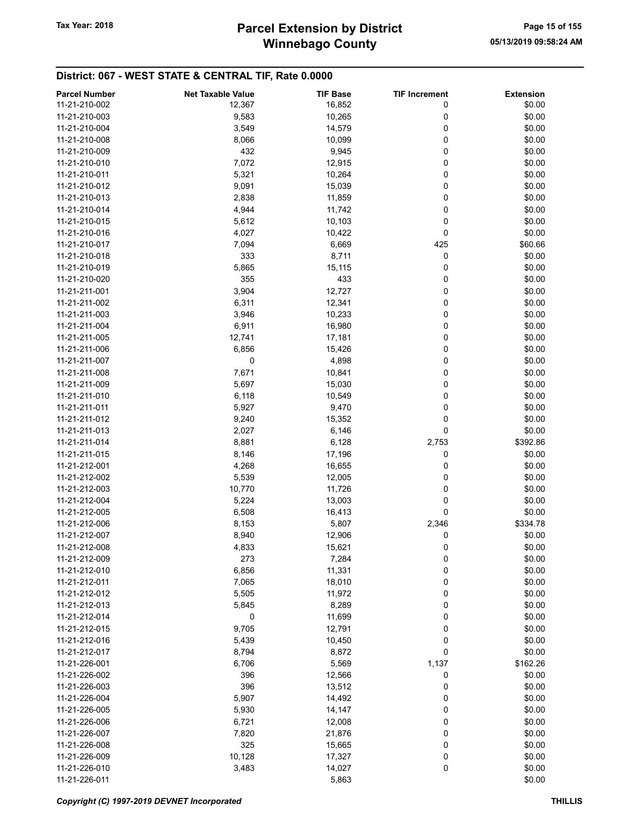# Winnebago County Tax Year: 2018 **Parcel Extension by District** Page 15 of 155

| <b>Parcel Number</b> | <b>Net Taxable Value</b> | <b>TIF Base</b> | <b>TIF Increment</b> | <b>Extension</b> |
|----------------------|--------------------------|-----------------|----------------------|------------------|
| 11-21-210-002        | 12,367                   | 16,852          | 0                    | \$0.00           |
| 11-21-210-003        | 9,583                    | 10,265          | 0                    | \$0.00           |
| 11-21-210-004        | 3,549                    | 14,579          | 0                    | \$0.00           |
| 11-21-210-008        | 8,066                    | 10,099          | 0                    | \$0.00           |
| 11-21-210-009        | 432                      | 9,945           | 0                    | \$0.00           |
| 11-21-210-010        |                          |                 |                      |                  |
|                      | 7,072                    | 12,915          | 0                    | \$0.00           |
| 11-21-210-011        | 5,321                    | 10,264          | 0                    | \$0.00           |
| 11-21-210-012        | 9,091                    | 15,039          | 0                    | \$0.00           |
| 11-21-210-013        | 2,838                    | 11,859          | 0                    | \$0.00           |
| 11-21-210-014        | 4,944                    | 11,742          | 0                    | \$0.00           |
| 11-21-210-015        | 5,612                    | 10,103          | 0                    | \$0.00           |
| 11-21-210-016        | 4,027                    | 10,422          | 0                    | \$0.00           |
| 11-21-210-017        | 7,094                    | 6,669           | 425                  | \$60.66          |
| 11-21-210-018        | 333                      | 8,711           | 0                    | \$0.00           |
| 11-21-210-019        | 5,865                    | 15,115          | 0                    | \$0.00           |
| 11-21-210-020        | 355                      | 433             | 0                    | \$0.00           |
| 11-21-211-001        | 3,904                    | 12,727          | 0                    | \$0.00           |
| 11-21-211-002        | 6,311                    | 12,341          | 0                    | \$0.00           |
| 11-21-211-003        | 3,946                    | 10,233          | 0                    | \$0.00           |
| 11-21-211-004        | 6,911                    | 16,980          | 0                    | \$0.00           |
|                      |                          |                 |                      |                  |
| 11-21-211-005        | 12,741                   | 17,181          | 0                    | \$0.00           |
| 11-21-211-006        | 6,856                    | 15,426          | 0                    | \$0.00           |
| 11-21-211-007        | 0                        | 4,898           | 0                    | \$0.00           |
| 11-21-211-008        | 7,671                    | 10,841          | 0                    | \$0.00           |
| 11-21-211-009        | 5,697                    | 15,030          | 0                    | \$0.00           |
| 11-21-211-010        | 6,118                    | 10,549          | 0                    | \$0.00           |
| 11-21-211-011        | 5,927                    | 9,470           | 0                    | \$0.00           |
| 11-21-211-012        | 9,240                    | 15,352          | 0                    | \$0.00           |
| 11-21-211-013        | 2,027                    | 6,146           | 0                    | \$0.00           |
| 11-21-211-014        | 8,881                    | 6,128           | 2,753                | \$392.86         |
| 11-21-211-015        | 8,146                    | 17,196          | 0                    | \$0.00           |
| 11-21-212-001        | 4,268                    | 16,655          | 0                    | \$0.00           |
| 11-21-212-002        | 5,539                    | 12,005          | 0                    | \$0.00           |
| 11-21-212-003        | 10,770                   | 11,726          | 0                    | \$0.00           |
| 11-21-212-004        | 5,224                    | 13,003          | 0                    | \$0.00           |
| 11-21-212-005        | 6,508                    | 16,413          | 0                    | \$0.00           |
|                      |                          |                 |                      |                  |
| 11-21-212-006        | 8,153                    | 5,807           | 2,346                | \$334.78         |
| 11-21-212-007        | 8,940                    | 12,906          | 0                    | \$0.00           |
| 11-21-212-008        | 4,833                    | 15,621          | 0                    | \$0.00           |
| 11-21-212-009        | 273                      | 7,284           | 0                    | \$0.00           |
| 11-21-212-010        | 6,856                    | 11,331          | 0                    | \$0.00           |
| 11-21-212-011        | 7,065                    | 18,010          | 0                    | \$0.00           |
| 11-21-212-012        | 5,505                    | 11,972          | 0                    | \$0.00           |
| 11-21-212-013        | 5,845                    | 8,289           | 0                    | \$0.00           |
| 11-21-212-014        | 0                        | 11,699          | 0                    | \$0.00           |
| 11-21-212-015        | 9,705                    | 12,791          | 0                    | \$0.00           |
| 11-21-212-016        | 5,439                    | 10,450          | 0                    | \$0.00           |
| 11-21-212-017        | 8,794                    | 8,872           | 0                    | \$0.00           |
| 11-21-226-001        | 6,706                    | 5,569           | 1,137                | \$162.26         |
| 11-21-226-002        | 396                      | 12,566          | 0                    | \$0.00           |
| 11-21-226-003        | 396                      | 13,512          | 0                    | \$0.00           |
| 11-21-226-004        |                          |                 |                      | \$0.00           |
|                      | 5,907                    | 14,492          | 0                    |                  |
| 11-21-226-005        | 5,930                    | 14,147          | 0                    | \$0.00           |
| 11-21-226-006        | 6,721                    | 12,008          | 0                    | \$0.00           |
| 11-21-226-007        | 7,820                    | 21,876          | 0                    | \$0.00           |
| 11-21-226-008        | 325                      | 15,665          | 0                    | \$0.00           |
| 11-21-226-009        | 10,128                   | 17,327          | 0                    | \$0.00           |
| 11-21-226-010        | 3,483                    | 14,027          | 0                    | \$0.00           |
| 11-21-226-011        |                          | 5,863           |                      | \$0.00           |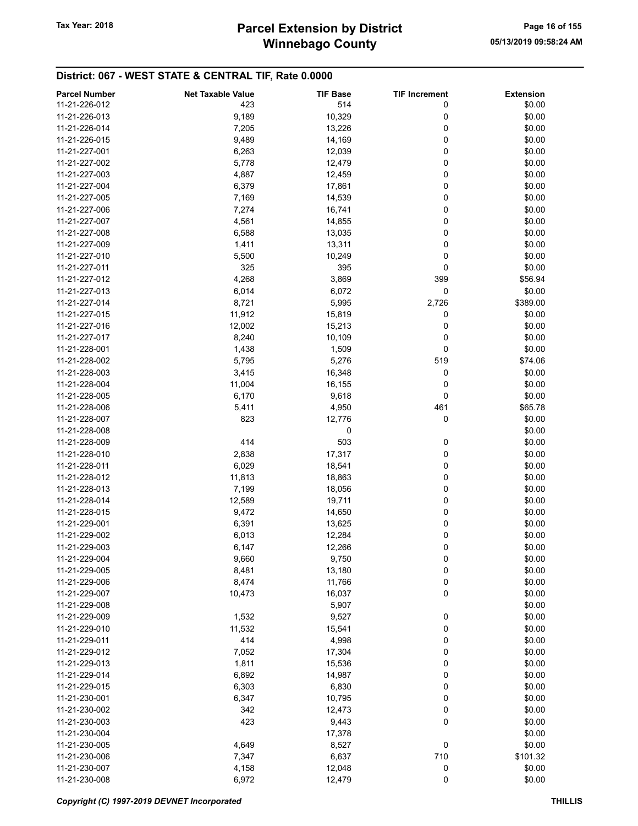# Winnebago County Tax Year: 2018 **Parcel Extension by District** Page 16 of 155

| <b>Parcel Number</b> | <b>Net Taxable Value</b> | <b>TIF Base</b> | <b>TIF Increment</b> | <b>Extension</b> |
|----------------------|--------------------------|-----------------|----------------------|------------------|
| 11-21-226-012        | 423                      | 514             | 0                    | \$0.00           |
| 11-21-226-013        | 9,189                    | 10,329          | 0                    | \$0.00           |
| 11-21-226-014        | 7,205                    | 13,226          | 0                    | \$0.00           |
| 11-21-226-015        | 9,489                    | 14,169          | 0                    | \$0.00           |
| 11-21-227-001        |                          |                 | 0                    | \$0.00           |
|                      | 6,263                    | 12,039          |                      |                  |
| 11-21-227-002        | 5,778                    | 12,479          | 0                    | \$0.00           |
| 11-21-227-003        | 4,887                    | 12,459          | 0                    | \$0.00           |
| 11-21-227-004        | 6,379                    | 17,861          | 0                    | \$0.00           |
| 11-21-227-005        | 7,169                    | 14,539          | 0                    | \$0.00           |
| 11-21-227-006        | 7,274                    | 16,741          | 0                    | \$0.00           |
| 11-21-227-007        | 4,561                    | 14,855          | 0                    | \$0.00           |
| 11-21-227-008        | 6,588                    | 13,035          | 0                    | \$0.00           |
| 11-21-227-009        | 1,411                    | 13,311          | 0                    | \$0.00           |
| 11-21-227-010        | 5,500                    | 10,249          | 0                    | \$0.00           |
| 11-21-227-011        | 325                      | 395             | 0                    | \$0.00           |
| 11-21-227-012        | 4,268                    | 3,869           | 399                  | \$56.94          |
| 11-21-227-013        | 6,014                    | 6,072           | 0                    | \$0.00           |
| 11-21-227-014        | 8,721                    | 5,995           | 2,726                | \$389.00         |
| 11-21-227-015        | 11,912                   | 15,819          | 0                    | \$0.00           |
| 11-21-227-016        | 12,002                   | 15,213          | 0                    | \$0.00           |
| 11-21-227-017        | 8,240                    | 10,109          | 0                    | \$0.00           |
| 11-21-228-001        | 1,438                    | 1,509           | 0                    | \$0.00           |
| 11-21-228-002        | 5,795                    | 5,276           | 519                  | \$74.06          |
| 11-21-228-003        | 3,415                    | 16,348          | 0                    | \$0.00           |
| 11-21-228-004        | 11,004                   | 16,155          | 0                    | \$0.00           |
| 11-21-228-005        | 6,170                    | 9,618           | 0                    | \$0.00           |
| 11-21-228-006        | 5,411                    | 4,950           | 461                  | \$65.78          |
| 11-21-228-007        | 823                      | 12,776          | 0                    | \$0.00           |
| 11-21-228-008        |                          | 0               |                      | \$0.00           |
| 11-21-228-009        | 414                      | 503             |                      | \$0.00           |
|                      |                          |                 | 0                    |                  |
| 11-21-228-010        | 2,838                    | 17,317          | 0                    | \$0.00           |
| 11-21-228-011        | 6,029                    | 18,541          | 0                    | \$0.00           |
| 11-21-228-012        | 11,813                   | 18,863          | 0                    | \$0.00           |
| 11-21-228-013        | 7,199                    | 18,056          | 0                    | \$0.00           |
| 11-21-228-014        | 12,589                   | 19,711          | 0                    | \$0.00           |
| 11-21-228-015        | 9,472                    | 14,650          | 0                    | \$0.00           |
| 11-21-229-001        | 6,391                    | 13,625          | 0                    | \$0.00           |
| 11-21-229-002        | 6,013                    | 12,284          | 0                    | \$0.00           |
| 11-21-229-003        | 6,147                    | 12,266          | 0                    | \$0.00           |
| 11-21-229-004        | 9,660                    | 9,750           | 0                    | \$0.00           |
| 11-21-229-005        | 8,481                    | 13,180          | 0                    | \$0.00           |
| 11-21-229-006        | 8,474                    | 11,766          | 0                    | \$0.00           |
| 11-21-229-007        | 10,473                   | 16,037          | 0                    | \$0.00           |
| 11-21-229-008        |                          | 5,907           |                      | \$0.00           |
| 11-21-229-009        | 1,532                    | 9,527           | 0                    | \$0.00           |
| 11-21-229-010        | 11,532                   | 15,541          | 0                    | \$0.00           |
| 11-21-229-011        | 414                      | 4,998           | 0                    | \$0.00           |
| 11-21-229-012        | 7,052                    | 17,304          | 0                    | \$0.00           |
| 11-21-229-013        | 1,811                    | 15,536          | 0                    | \$0.00           |
| 11-21-229-014        | 6,892                    | 14,987          | 0                    | \$0.00           |
| 11-21-229-015        | 6,303                    | 6,830           | 0                    | \$0.00           |
| 11-21-230-001        | 6,347                    | 10,795          | 0                    | \$0.00           |
| 11-21-230-002        | 342                      | 12,473          | 0                    | \$0.00           |
| 11-21-230-003        | 423                      | 9,443           | 0                    | \$0.00           |
| 11-21-230-004        |                          | 17,378          |                      | \$0.00           |
| 11-21-230-005        | 4,649                    | 8,527           | 0                    | \$0.00           |
| 11-21-230-006        | 7,347                    | 6,637           | 710                  | \$101.32         |
| 11-21-230-007        | 4,158                    | 12,048          | 0                    | \$0.00           |
| 11-21-230-008        | 6,972                    | 12,479          | 0                    | \$0.00           |
|                      |                          |                 |                      |                  |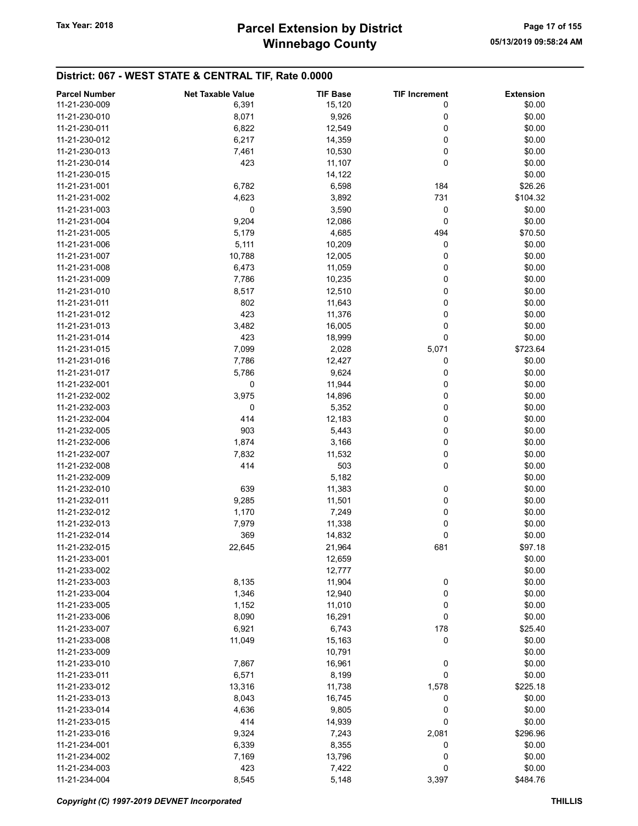| <b>Parcel Number</b> | <b>Net Taxable Value</b> | <b>TIF Base</b> | <b>TIF Increment</b> | <b>Extension</b> |
|----------------------|--------------------------|-----------------|----------------------|------------------|
| 11-21-230-009        | 6,391                    | 15,120          | 0                    | \$0.00           |
| 11-21-230-010        | 8,071                    | 9,926           | 0                    | \$0.00           |
| 11-21-230-011        | 6,822                    | 12,549          | 0                    | \$0.00           |
| 11-21-230-012        | 6,217                    | 14,359          | 0                    | \$0.00           |
| 11-21-230-013        | 7,461                    | 10,530          | 0                    | \$0.00           |
|                      |                          |                 |                      |                  |
| 11-21-230-014        | 423                      | 11,107          | 0                    | \$0.00           |
| 11-21-230-015        |                          | 14,122          |                      | \$0.00           |
| 11-21-231-001        | 6,782                    | 6,598           | 184                  | \$26.26          |
| 11-21-231-002        | 4,623                    | 3,892           | 731                  | \$104.32         |
| 11-21-231-003        | 0                        | 3,590           | 0                    | \$0.00           |
| 11-21-231-004        | 9,204                    | 12,086          | 0                    | \$0.00           |
| 11-21-231-005        | 5,179                    | 4,685           | 494                  | \$70.50          |
| 11-21-231-006        | 5,111                    | 10,209          | 0                    | \$0.00           |
| 11-21-231-007        | 10,788                   | 12,005          | 0                    | \$0.00           |
| 11-21-231-008        | 6,473                    | 11,059          | 0                    | \$0.00           |
| 11-21-231-009        | 7,786                    | 10,235          | 0                    | \$0.00           |
| 11-21-231-010        | 8,517                    | 12,510          | 0                    | \$0.00           |
| 11-21-231-011        | 802                      | 11,643          | 0                    | \$0.00           |
| 11-21-231-012        | 423                      | 11,376          | 0                    | \$0.00           |
| 11-21-231-013        | 3,482                    | 16,005          | 0                    | \$0.00           |
| 11-21-231-014        | 423                      | 18,999          | 0                    | \$0.00           |
| 11-21-231-015        | 7,099                    | 2,028           | 5,071                | \$723.64         |
| 11-21-231-016        | 7,786                    | 12,427          | 0                    | \$0.00           |
| 11-21-231-017        | 5,786                    | 9,624           | 0                    | \$0.00           |
| 11-21-232-001        | 0                        | 11,944          | 0                    | \$0.00           |
| 11-21-232-002        | 3,975                    | 14,896          | 0                    | \$0.00           |
| 11-21-232-003        | 0                        | 5,352           | 0                    | \$0.00           |
| 11-21-232-004        | 414                      | 12,183          | 0                    | \$0.00           |
| 11-21-232-005        | 903                      | 5,443           | 0                    | \$0.00           |
| 11-21-232-006        | 1,874                    | 3,166           | 0                    | \$0.00           |
|                      |                          |                 |                      |                  |
| 11-21-232-007        | 7,832                    | 11,532          | 0                    | \$0.00           |
| 11-21-232-008        | 414                      | 503             | 0                    | \$0.00           |
| 11-21-232-009        |                          | 5,182           |                      | \$0.00           |
| 11-21-232-010        | 639                      | 11,383          | 0                    | \$0.00           |
| 11-21-232-011        | 9,285                    | 11,501          | 0                    | \$0.00           |
| 11-21-232-012        | 1,170                    | 7,249           | 0                    | \$0.00           |
| 11-21-232-013        | 7,979                    | 11,338          | 0                    | \$0.00           |
| 11-21-232-014        | 369                      | 14,832          | 0                    | \$0.00           |
| 11-21-232-015        | 22,645                   | 21,964          | 681                  | \$97.18          |
| 11-21-233-001        |                          | 12,659          |                      | \$0.00           |
| 11-21-233-002        |                          | 12,777          |                      | \$0.00           |
| 11-21-233-003        | 8,135                    | 11,904          | 0                    | \$0.00           |
| 11-21-233-004        | 1,346                    | 12,940          | 0                    | \$0.00           |
| 11-21-233-005        | 1,152                    | 11,010          | 0                    | \$0.00           |
| 11-21-233-006        | 8,090                    | 16,291          | 0                    | \$0.00           |
| 11-21-233-007        | 6,921                    | 6,743           | 178                  | \$25.40          |
| 11-21-233-008        | 11,049                   | 15,163          | 0                    | \$0.00           |
| 11-21-233-009        |                          | 10,791          |                      | \$0.00           |
| 11-21-233-010        | 7,867                    | 16,961          | 0                    | \$0.00           |
| 11-21-233-011        | 6,571                    | 8,199           | 0                    | \$0.00           |
| 11-21-233-012        | 13,316                   | 11,738          | 1,578                | \$225.18         |
| 11-21-233-013        | 8,043                    | 16,745          | 0                    | \$0.00           |
| 11-21-233-014        | 4,636                    | 9,805           | 0                    | \$0.00           |
| 11-21-233-015        | 414                      | 14,939          | 0                    | \$0.00           |
| 11-21-233-016        | 9,324                    | 7,243           | 2,081                | \$296.96         |
| 11-21-234-001        | 6,339                    | 8,355           | 0                    | \$0.00           |
| 11-21-234-002        | 7,169                    | 13,796          | 0                    | \$0.00           |
| 11-21-234-003        | 423                      |                 | 0                    | \$0.00           |
|                      |                          | 7,422           |                      |                  |
| 11-21-234-004        | 8,545                    | 5,148           | 3,397                | \$484.76         |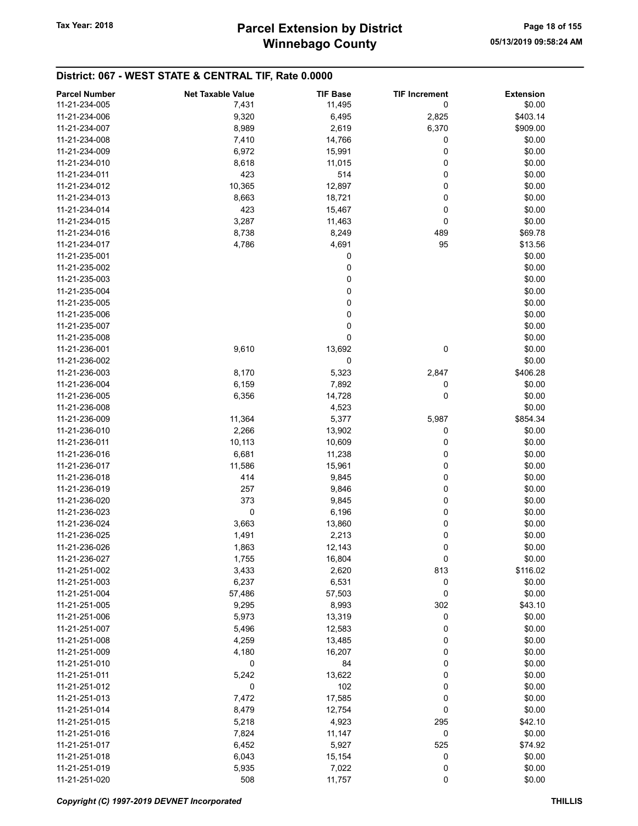# Winnebago County Tax Year: 2018 **Parcel Extension by District** Page 18 of 155

| <b>Parcel Number</b> | <b>Net Taxable Value</b> | <b>TIF Base</b> | <b>TIF Increment</b> | <b>Extension</b> |
|----------------------|--------------------------|-----------------|----------------------|------------------|
| 11-21-234-005        | 7,431                    | 11,495          | 0                    | \$0.00           |
| 11-21-234-006        |                          |                 |                      |                  |
| 11-21-234-007        | 9,320                    | 6,495           | 2,825                | \$403.14         |
|                      | 8,989                    | 2,619           | 6,370                | \$909.00         |
| 11-21-234-008        | 7,410                    | 14,766          | 0                    | \$0.00           |
| 11-21-234-009        | 6,972                    | 15,991          | 0                    | \$0.00           |
| 11-21-234-010        | 8,618                    | 11,015          | 0                    | \$0.00           |
| 11-21-234-011        | 423                      | 514             | 0                    | \$0.00           |
| 11-21-234-012        | 10,365                   | 12,897          | 0                    | \$0.00           |
| 11-21-234-013        | 8,663                    | 18,721          | 0                    | \$0.00           |
| 11-21-234-014        | 423                      | 15,467          | 0                    | \$0.00           |
| 11-21-234-015        | 3,287                    | 11,463          | 0                    | \$0.00           |
| 11-21-234-016        | 8,738                    | 8,249           | 489                  | \$69.78          |
| 11-21-234-017        | 4,786                    | 4,691           | 95                   | \$13.56          |
| 11-21-235-001        |                          | 0               |                      | \$0.00           |
| 11-21-235-002        |                          | 0               |                      | \$0.00           |
| 11-21-235-003        |                          | 0               |                      | \$0.00           |
| 11-21-235-004        |                          | 0               |                      | \$0.00           |
| 11-21-235-005        |                          | 0               |                      | \$0.00           |
|                      |                          |                 |                      |                  |
| 11-21-235-006        |                          | 0               |                      | \$0.00           |
| 11-21-235-007        |                          | 0               |                      | \$0.00           |
| 11-21-235-008        |                          | 0               |                      | \$0.00           |
| 11-21-236-001        | 9,610                    | 13,692          | 0                    | \$0.00           |
| 11-21-236-002        |                          | 0               |                      | \$0.00           |
| 11-21-236-003        | 8,170                    | 5,323           | 2,847                | \$406.28         |
| 11-21-236-004        | 6,159                    | 7,892           | 0                    | \$0.00           |
| 11-21-236-005        | 6,356                    | 14,728          | 0                    | \$0.00           |
| 11-21-236-008        |                          | 4,523           |                      | \$0.00           |
| 11-21-236-009        | 11,364                   | 5,377           | 5,987                | \$854.34         |
| 11-21-236-010        | 2,266                    | 13,902          | 0                    | \$0.00           |
| 11-21-236-011        | 10,113                   | 10,609          | 0                    | \$0.00           |
| 11-21-236-016        | 6,681                    | 11,238          | 0                    | \$0.00           |
| 11-21-236-017        | 11,586                   | 15,961          | 0                    | \$0.00           |
| 11-21-236-018        | 414                      | 9,845           | 0                    | \$0.00           |
| 11-21-236-019        | 257                      | 9,846           | 0                    | \$0.00           |
|                      |                          |                 |                      |                  |
| 11-21-236-020        | 373                      | 9,845           | 0                    | \$0.00           |
| 11-21-236-023        | 0                        | 6,196           | 0                    | \$0.00           |
| 11-21-236-024        | 3,663                    | 13,860          | 0                    | \$0.00           |
| 11-21-236-025        | 1,491                    | 2,213           | 0                    | \$0.00           |
| 11-21-236-026        | 1,863                    | 12,143          | 0                    | \$0.00           |
| 11-21-236-027        | 1,755                    | 16,804          | 0                    | \$0.00           |
| 11-21-251-002        | 3,433                    | 2,620           | 813                  | \$116.02         |
| 11-21-251-003        | 6,237                    | 6,531           | 0                    | \$0.00           |
| 11-21-251-004        | 57,486                   | 57,503          | 0                    | \$0.00           |
| 11-21-251-005        | 9,295                    | 8,993           | 302                  | \$43.10          |
| 11-21-251-006        | 5,973                    | 13,319          | 0                    | \$0.00           |
| 11-21-251-007        | 5,496                    | 12,583          | 0                    | \$0.00           |
| 11-21-251-008        | 4,259                    | 13,485          | 0                    | \$0.00           |
| 11-21-251-009        | 4,180                    | 16,207          | 0                    | \$0.00           |
| 11-21-251-010        | 0                        | 84              | 0                    | \$0.00           |
| 11-21-251-011        | 5,242                    | 13,622          | 0                    | \$0.00           |
| 11-21-251-012        |                          |                 |                      |                  |
|                      | 0                        | 102             | 0                    | \$0.00           |
| 11-21-251-013        | 7,472                    | 17,585          | 0                    | \$0.00           |
| 11-21-251-014        | 8,479                    | 12,754          | 0                    | \$0.00           |
| 11-21-251-015        | 5,218                    | 4,923           | 295                  | \$42.10          |
| 11-21-251-016        | 7,824                    | 11,147          | 0                    | \$0.00           |
| 11-21-251-017        | 6,452                    | 5,927           | 525                  | \$74.92          |
| 11-21-251-018        | 6,043                    | 15,154          | 0                    | \$0.00           |
| 11-21-251-019        | 5,935                    | 7,022           | 0                    | \$0.00           |
| 11-21-251-020        | 508                      | 11,757          | 0                    | \$0.00           |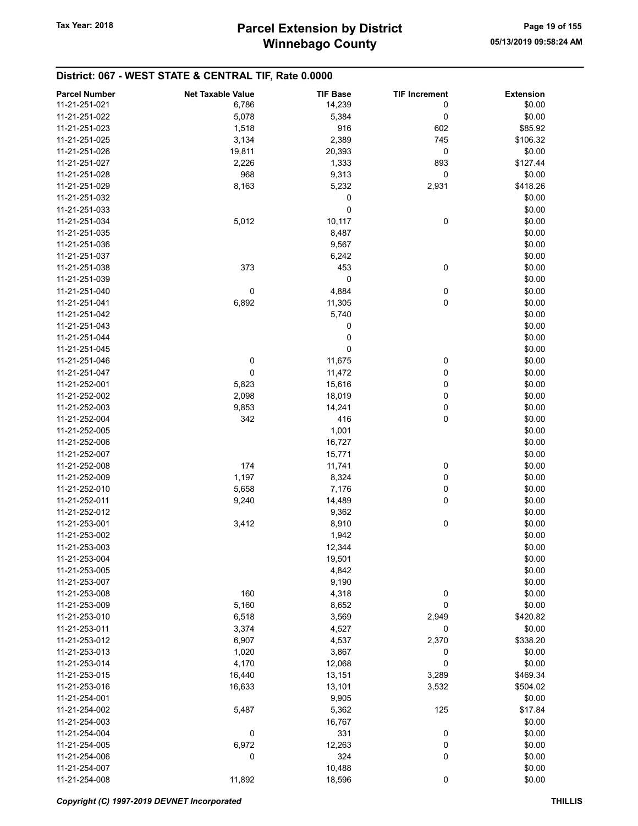| <b>Parcel Number</b> | <b>Net Taxable Value</b> | <b>TIF Base</b> | <b>TIF Increment</b> | <b>Extension</b> |
|----------------------|--------------------------|-----------------|----------------------|------------------|
| 11-21-251-021        | 6,786                    | 14,239          | 0                    | \$0.00           |
| 11-21-251-022        | 5,078                    | 5,384           | 0                    | \$0.00           |
| 11-21-251-023        | 1,518                    | 916             | 602                  | \$85.92          |
| 11-21-251-025        | 3,134                    | 2,389           | 745                  | \$106.32         |
| 11-21-251-026        | 19,811                   | 20,393          | 0                    | \$0.00           |
| 11-21-251-027        | 2,226                    | 1,333           | 893                  | \$127.44         |
| 11-21-251-028        | 968                      | 9,313           | 0                    | \$0.00           |
|                      |                          |                 |                      |                  |
| 11-21-251-029        | 8,163                    | 5,232           | 2,931                | \$418.26         |
| 11-21-251-032        |                          | 0               |                      | \$0.00           |
| 11-21-251-033        |                          | $\pmb{0}$       |                      | \$0.00           |
| 11-21-251-034        | 5,012                    | 10,117          | 0                    | \$0.00           |
| 11-21-251-035        |                          | 8,487           |                      | \$0.00           |
| 11-21-251-036        |                          | 9,567           |                      | \$0.00           |
| 11-21-251-037        |                          | 6,242           |                      | \$0.00           |
| 11-21-251-038        | 373                      | 453             | 0                    | \$0.00           |
| 11-21-251-039        |                          | 0               |                      | \$0.00           |
| 11-21-251-040        | $\pmb{0}$                | 4,884           | $\mathbf 0$          | \$0.00           |
| 11-21-251-041        | 6,892                    | 11,305          | 0                    | \$0.00           |
| 11-21-251-042        |                          | 5,740           |                      | \$0.00           |
| 11-21-251-043        |                          | 0               |                      | \$0.00           |
| 11-21-251-044        |                          | 0               |                      | \$0.00           |
| 11-21-251-045        |                          | 0               |                      | \$0.00           |
| 11-21-251-046        | 0                        | 11,675          | 0                    | \$0.00           |
| 11-21-251-047        | $\pmb{0}$                | 11,472          | 0                    | \$0.00           |
| 11-21-252-001        | 5,823                    | 15,616          | 0                    | \$0.00           |
| 11-21-252-002        | 2,098                    | 18,019          | 0                    | \$0.00           |
| 11-21-252-003        | 9,853                    | 14,241          | 0                    | \$0.00           |
| 11-21-252-004        | 342                      | 416             | $\mathbf 0$          | \$0.00           |
| 11-21-252-005        |                          | 1,001           |                      | \$0.00           |
| 11-21-252-006        |                          | 16,727          |                      | \$0.00           |
| 11-21-252-007        |                          | 15,771          |                      | \$0.00           |
| 11-21-252-008        | 174                      | 11,741          | 0                    | \$0.00           |
| 11-21-252-009        | 1,197                    | 8,324           | 0                    | \$0.00           |
| 11-21-252-010        | 5,658                    | 7,176           | 0                    | \$0.00           |
| 11-21-252-011        | 9,240                    | 14,489          | 0                    | \$0.00           |
| 11-21-252-012        |                          | 9,362           |                      | \$0.00           |
| 11-21-253-001        | 3,412                    | 8,910           | 0                    | \$0.00           |
| 11-21-253-002        |                          | 1,942           |                      | \$0.00           |
| 11-21-253-003        |                          | 12,344          |                      | \$0.00           |
| 11-21-253-004        |                          | 19,501          |                      | \$0.00           |
| 11-21-253-005        |                          | 4,842           |                      | \$0.00           |
| 11-21-253-007        |                          | 9,190           |                      | \$0.00           |
| 11-21-253-008        | 160                      | 4,318           | 0                    | \$0.00           |
| 11-21-253-009        | 5,160                    | 8,652           | 0                    | \$0.00           |
| 11-21-253-010        | 6,518                    | 3,569           | 2,949                | \$420.82         |
| 11-21-253-011        | 3,374                    | 4,527           | 0                    | \$0.00           |
| 11-21-253-012        | 6,907                    | 4,537           | 2,370                | \$338.20         |
| 11-21-253-013        | 1,020                    | 3,867           | 0                    | \$0.00           |
| 11-21-253-014        | 4,170                    | 12,068          | 0                    | \$0.00           |
| 11-21-253-015        | 16,440                   | 13,151          | 3,289                | \$469.34         |
| 11-21-253-016        | 16,633                   | 13,101          | 3,532                | \$504.02         |
| 11-21-254-001        |                          | 9,905           |                      | \$0.00           |
| 11-21-254-002        | 5,487                    | 5,362           | 125                  | \$17.84          |
| 11-21-254-003        |                          | 16,767          |                      | \$0.00           |
| 11-21-254-004        | 0                        | 331             | 0                    | \$0.00           |
| 11-21-254-005        | 6,972                    | 12,263          | 0                    | \$0.00           |
| 11-21-254-006        | 0                        | 324             | 0                    | \$0.00           |
| 11-21-254-007        |                          | 10,488          |                      | \$0.00           |
| 11-21-254-008        | 11,892                   | 18,596          | 0                    | \$0.00           |
|                      |                          |                 |                      |                  |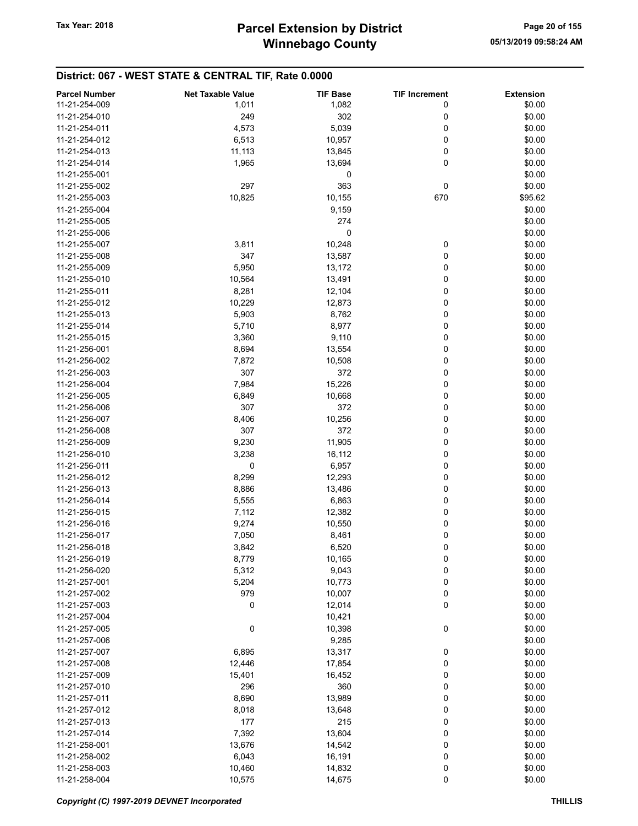| \$0.00<br>11-21-254-009<br>1,011<br>1,082<br>0<br>302<br>\$0.00<br>11-21-254-010<br>249<br>0<br>5,039<br>11-21-254-011<br>4,573<br>0<br>\$0.00<br>6,513<br>0<br>\$0.00<br>11-21-254-012<br>10,957<br>0<br>\$0.00<br>11-21-254-013<br>11,113<br>13,845<br>0<br>\$0.00<br>11-21-254-014<br>1,965<br>13,694<br>0<br>\$0.00<br>11-21-255-001<br>297<br>363<br>0<br>\$0.00<br>11-21-255-002<br>10,825<br>11-21-255-003<br>10,155<br>670<br>\$95.62<br>11-21-255-004<br>9,159<br>\$0.00<br>274<br>\$0.00<br>11-21-255-005<br>0<br>\$0.00<br>11-21-255-006<br>\$0.00<br>11-21-255-007<br>3,811<br>10,248<br>0<br>11-21-255-008<br>347<br>13,587<br>0<br>\$0.00<br>5,950<br>0<br>\$0.00<br>11-21-255-009<br>13,172<br>0<br>\$0.00<br>10,564<br>13,491<br>11-21-255-010<br>8,281<br>0<br>\$0.00<br>11-21-255-011<br>12,104<br>0<br>\$0.00<br>11-21-255-012<br>10,229<br>12,873<br>5,903<br>0<br>\$0.00<br>11-21-255-013<br>8,762<br>0<br>\$0.00<br>5,710<br>8,977<br>11-21-255-014<br>11-21-255-015<br>3,360<br>9,110<br>0<br>\$0.00<br>0<br>\$0.00<br>11-21-256-001<br>8,694<br>13,554<br>0<br>11-21-256-002<br>7,872<br>10,508<br>\$0.00<br>307<br>372<br>0<br>11-21-256-003<br>\$0.00<br>0<br>7,984<br>15,226<br>\$0.00<br>11-21-256-004<br>0<br>\$0.00<br>11-21-256-005<br>6,849<br>10,668<br>0<br>\$0.00<br>11-21-256-006<br>307<br>372<br>11-21-256-007<br>8,406<br>10,256<br>0<br>\$0.00<br>0<br>\$0.00<br>11-21-256-008<br>307<br>372<br>11,905<br>0<br>\$0.00<br>11-21-256-009<br>9,230<br>3,238<br>16,112<br>0<br>\$0.00<br>11-21-256-010<br>0<br>0<br>6,957<br>\$0.00<br>11-21-256-011<br>8,299<br>0<br>\$0.00<br>12,293<br>11-21-256-012<br>\$0.00<br>11-21-256-013<br>8,886<br>13,486<br>0<br>\$0.00<br>11-21-256-014<br>5,555<br>6,863<br>0<br>0<br>12,382<br>\$0.00<br>11-21-256-015<br>7,112<br>9,274<br>10,550<br>0<br>\$0.00<br>11-21-256-016<br>0<br>\$0.00<br>11-21-256-017<br>7,050<br>8,461<br>0<br>3,842<br>6,520<br>\$0.00<br>11-21-256-018<br>\$0.00<br>11-21-256-019<br>8,779<br>10,165<br>0<br>5,312<br>0<br>\$0.00<br>11-21-256-020<br>9,043<br>5,204<br>\$0.00<br>11-21-257-001<br>10,773<br>0<br>979<br>11-21-257-002<br>10,007<br>0<br>\$0.00<br>0<br>\$0.00<br>11-21-257-003<br>0<br>12,014<br>11-21-257-004<br>10,421<br>\$0.00<br>0<br>0<br>11-21-257-005<br>10,398<br>\$0.00<br>\$0.00<br>11-21-257-006<br>9,285<br>\$0.00<br>11-21-257-007<br>6,895<br>13,317<br>0<br>\$0.00<br>11-21-257-008<br>12,446<br>17,854<br>0<br>15,401<br>0<br>\$0.00<br>11-21-257-009<br>16,452<br>360<br>0<br>\$0.00<br>11-21-257-010<br>296<br>8,690<br>13,989<br>0<br>\$0.00<br>11-21-257-011<br>0<br>11-21-257-012<br>8,018<br>13,648<br>\$0.00<br>215<br>0<br>\$0.00<br>177<br>11-21-257-013<br>0<br>\$0.00<br>11-21-257-014<br>7,392<br>13,604<br>13,676<br>\$0.00<br>11-21-258-001<br>14,542<br>0<br>0<br>\$0.00<br>11-21-258-002<br>6,043<br>16,191<br>0<br>\$0.00<br>11-21-258-003<br>10,460<br>14,832<br>11-21-258-004 | <b>Parcel Number</b> | <b>Net Taxable Value</b> | <b>TIF Base</b> | <b>TIF Increment</b> | <b>Extension</b> |
|----------------------------------------------------------------------------------------------------------------------------------------------------------------------------------------------------------------------------------------------------------------------------------------------------------------------------------------------------------------------------------------------------------------------------------------------------------------------------------------------------------------------------------------------------------------------------------------------------------------------------------------------------------------------------------------------------------------------------------------------------------------------------------------------------------------------------------------------------------------------------------------------------------------------------------------------------------------------------------------------------------------------------------------------------------------------------------------------------------------------------------------------------------------------------------------------------------------------------------------------------------------------------------------------------------------------------------------------------------------------------------------------------------------------------------------------------------------------------------------------------------------------------------------------------------------------------------------------------------------------------------------------------------------------------------------------------------------------------------------------------------------------------------------------------------------------------------------------------------------------------------------------------------------------------------------------------------------------------------------------------------------------------------------------------------------------------------------------------------------------------------------------------------------------------------------------------------------------------------------------------------------------------------------------------------------------------------------------------------------------------------------------------------------------------------------------------------------------------------------------------------------------------------------------------------------------------------------------------------------------------------------------------------------------------------------------------------------------------------------------------------------------------------------------------------------------------------------------------------------------------------------------------------------------------------------|----------------------|--------------------------|-----------------|----------------------|------------------|
|                                                                                                                                                                                                                                                                                                                                                                                                                                                                                                                                                                                                                                                                                                                                                                                                                                                                                                                                                                                                                                                                                                                                                                                                                                                                                                                                                                                                                                                                                                                                                                                                                                                                                                                                                                                                                                                                                                                                                                                                                                                                                                                                                                                                                                                                                                                                                                                                                                                                                                                                                                                                                                                                                                                                                                                                                                                                                                                                        |                      |                          |                 |                      |                  |
|                                                                                                                                                                                                                                                                                                                                                                                                                                                                                                                                                                                                                                                                                                                                                                                                                                                                                                                                                                                                                                                                                                                                                                                                                                                                                                                                                                                                                                                                                                                                                                                                                                                                                                                                                                                                                                                                                                                                                                                                                                                                                                                                                                                                                                                                                                                                                                                                                                                                                                                                                                                                                                                                                                                                                                                                                                                                                                                                        |                      |                          |                 |                      |                  |
|                                                                                                                                                                                                                                                                                                                                                                                                                                                                                                                                                                                                                                                                                                                                                                                                                                                                                                                                                                                                                                                                                                                                                                                                                                                                                                                                                                                                                                                                                                                                                                                                                                                                                                                                                                                                                                                                                                                                                                                                                                                                                                                                                                                                                                                                                                                                                                                                                                                                                                                                                                                                                                                                                                                                                                                                                                                                                                                                        |                      |                          |                 |                      |                  |
|                                                                                                                                                                                                                                                                                                                                                                                                                                                                                                                                                                                                                                                                                                                                                                                                                                                                                                                                                                                                                                                                                                                                                                                                                                                                                                                                                                                                                                                                                                                                                                                                                                                                                                                                                                                                                                                                                                                                                                                                                                                                                                                                                                                                                                                                                                                                                                                                                                                                                                                                                                                                                                                                                                                                                                                                                                                                                                                                        |                      |                          |                 |                      |                  |
|                                                                                                                                                                                                                                                                                                                                                                                                                                                                                                                                                                                                                                                                                                                                                                                                                                                                                                                                                                                                                                                                                                                                                                                                                                                                                                                                                                                                                                                                                                                                                                                                                                                                                                                                                                                                                                                                                                                                                                                                                                                                                                                                                                                                                                                                                                                                                                                                                                                                                                                                                                                                                                                                                                                                                                                                                                                                                                                                        |                      |                          |                 |                      |                  |
|                                                                                                                                                                                                                                                                                                                                                                                                                                                                                                                                                                                                                                                                                                                                                                                                                                                                                                                                                                                                                                                                                                                                                                                                                                                                                                                                                                                                                                                                                                                                                                                                                                                                                                                                                                                                                                                                                                                                                                                                                                                                                                                                                                                                                                                                                                                                                                                                                                                                                                                                                                                                                                                                                                                                                                                                                                                                                                                                        |                      |                          |                 |                      |                  |
|                                                                                                                                                                                                                                                                                                                                                                                                                                                                                                                                                                                                                                                                                                                                                                                                                                                                                                                                                                                                                                                                                                                                                                                                                                                                                                                                                                                                                                                                                                                                                                                                                                                                                                                                                                                                                                                                                                                                                                                                                                                                                                                                                                                                                                                                                                                                                                                                                                                                                                                                                                                                                                                                                                                                                                                                                                                                                                                                        |                      |                          |                 |                      |                  |
|                                                                                                                                                                                                                                                                                                                                                                                                                                                                                                                                                                                                                                                                                                                                                                                                                                                                                                                                                                                                                                                                                                                                                                                                                                                                                                                                                                                                                                                                                                                                                                                                                                                                                                                                                                                                                                                                                                                                                                                                                                                                                                                                                                                                                                                                                                                                                                                                                                                                                                                                                                                                                                                                                                                                                                                                                                                                                                                                        |                      |                          |                 |                      |                  |
|                                                                                                                                                                                                                                                                                                                                                                                                                                                                                                                                                                                                                                                                                                                                                                                                                                                                                                                                                                                                                                                                                                                                                                                                                                                                                                                                                                                                                                                                                                                                                                                                                                                                                                                                                                                                                                                                                                                                                                                                                                                                                                                                                                                                                                                                                                                                                                                                                                                                                                                                                                                                                                                                                                                                                                                                                                                                                                                                        |                      |                          |                 |                      |                  |
|                                                                                                                                                                                                                                                                                                                                                                                                                                                                                                                                                                                                                                                                                                                                                                                                                                                                                                                                                                                                                                                                                                                                                                                                                                                                                                                                                                                                                                                                                                                                                                                                                                                                                                                                                                                                                                                                                                                                                                                                                                                                                                                                                                                                                                                                                                                                                                                                                                                                                                                                                                                                                                                                                                                                                                                                                                                                                                                                        |                      |                          |                 |                      |                  |
|                                                                                                                                                                                                                                                                                                                                                                                                                                                                                                                                                                                                                                                                                                                                                                                                                                                                                                                                                                                                                                                                                                                                                                                                                                                                                                                                                                                                                                                                                                                                                                                                                                                                                                                                                                                                                                                                                                                                                                                                                                                                                                                                                                                                                                                                                                                                                                                                                                                                                                                                                                                                                                                                                                                                                                                                                                                                                                                                        |                      |                          |                 |                      |                  |
|                                                                                                                                                                                                                                                                                                                                                                                                                                                                                                                                                                                                                                                                                                                                                                                                                                                                                                                                                                                                                                                                                                                                                                                                                                                                                                                                                                                                                                                                                                                                                                                                                                                                                                                                                                                                                                                                                                                                                                                                                                                                                                                                                                                                                                                                                                                                                                                                                                                                                                                                                                                                                                                                                                                                                                                                                                                                                                                                        |                      |                          |                 |                      |                  |
|                                                                                                                                                                                                                                                                                                                                                                                                                                                                                                                                                                                                                                                                                                                                                                                                                                                                                                                                                                                                                                                                                                                                                                                                                                                                                                                                                                                                                                                                                                                                                                                                                                                                                                                                                                                                                                                                                                                                                                                                                                                                                                                                                                                                                                                                                                                                                                                                                                                                                                                                                                                                                                                                                                                                                                                                                                                                                                                                        |                      |                          |                 |                      |                  |
|                                                                                                                                                                                                                                                                                                                                                                                                                                                                                                                                                                                                                                                                                                                                                                                                                                                                                                                                                                                                                                                                                                                                                                                                                                                                                                                                                                                                                                                                                                                                                                                                                                                                                                                                                                                                                                                                                                                                                                                                                                                                                                                                                                                                                                                                                                                                                                                                                                                                                                                                                                                                                                                                                                                                                                                                                                                                                                                                        |                      |                          |                 |                      |                  |
|                                                                                                                                                                                                                                                                                                                                                                                                                                                                                                                                                                                                                                                                                                                                                                                                                                                                                                                                                                                                                                                                                                                                                                                                                                                                                                                                                                                                                                                                                                                                                                                                                                                                                                                                                                                                                                                                                                                                                                                                                                                                                                                                                                                                                                                                                                                                                                                                                                                                                                                                                                                                                                                                                                                                                                                                                                                                                                                                        |                      |                          |                 |                      |                  |
|                                                                                                                                                                                                                                                                                                                                                                                                                                                                                                                                                                                                                                                                                                                                                                                                                                                                                                                                                                                                                                                                                                                                                                                                                                                                                                                                                                                                                                                                                                                                                                                                                                                                                                                                                                                                                                                                                                                                                                                                                                                                                                                                                                                                                                                                                                                                                                                                                                                                                                                                                                                                                                                                                                                                                                                                                                                                                                                                        |                      |                          |                 |                      |                  |
|                                                                                                                                                                                                                                                                                                                                                                                                                                                                                                                                                                                                                                                                                                                                                                                                                                                                                                                                                                                                                                                                                                                                                                                                                                                                                                                                                                                                                                                                                                                                                                                                                                                                                                                                                                                                                                                                                                                                                                                                                                                                                                                                                                                                                                                                                                                                                                                                                                                                                                                                                                                                                                                                                                                                                                                                                                                                                                                                        |                      |                          |                 |                      |                  |
|                                                                                                                                                                                                                                                                                                                                                                                                                                                                                                                                                                                                                                                                                                                                                                                                                                                                                                                                                                                                                                                                                                                                                                                                                                                                                                                                                                                                                                                                                                                                                                                                                                                                                                                                                                                                                                                                                                                                                                                                                                                                                                                                                                                                                                                                                                                                                                                                                                                                                                                                                                                                                                                                                                                                                                                                                                                                                                                                        |                      |                          |                 |                      |                  |
|                                                                                                                                                                                                                                                                                                                                                                                                                                                                                                                                                                                                                                                                                                                                                                                                                                                                                                                                                                                                                                                                                                                                                                                                                                                                                                                                                                                                                                                                                                                                                                                                                                                                                                                                                                                                                                                                                                                                                                                                                                                                                                                                                                                                                                                                                                                                                                                                                                                                                                                                                                                                                                                                                                                                                                                                                                                                                                                                        |                      |                          |                 |                      |                  |
|                                                                                                                                                                                                                                                                                                                                                                                                                                                                                                                                                                                                                                                                                                                                                                                                                                                                                                                                                                                                                                                                                                                                                                                                                                                                                                                                                                                                                                                                                                                                                                                                                                                                                                                                                                                                                                                                                                                                                                                                                                                                                                                                                                                                                                                                                                                                                                                                                                                                                                                                                                                                                                                                                                                                                                                                                                                                                                                                        |                      |                          |                 |                      |                  |
|                                                                                                                                                                                                                                                                                                                                                                                                                                                                                                                                                                                                                                                                                                                                                                                                                                                                                                                                                                                                                                                                                                                                                                                                                                                                                                                                                                                                                                                                                                                                                                                                                                                                                                                                                                                                                                                                                                                                                                                                                                                                                                                                                                                                                                                                                                                                                                                                                                                                                                                                                                                                                                                                                                                                                                                                                                                                                                                                        |                      |                          |                 |                      |                  |
|                                                                                                                                                                                                                                                                                                                                                                                                                                                                                                                                                                                                                                                                                                                                                                                                                                                                                                                                                                                                                                                                                                                                                                                                                                                                                                                                                                                                                                                                                                                                                                                                                                                                                                                                                                                                                                                                                                                                                                                                                                                                                                                                                                                                                                                                                                                                                                                                                                                                                                                                                                                                                                                                                                                                                                                                                                                                                                                                        |                      |                          |                 |                      |                  |
|                                                                                                                                                                                                                                                                                                                                                                                                                                                                                                                                                                                                                                                                                                                                                                                                                                                                                                                                                                                                                                                                                                                                                                                                                                                                                                                                                                                                                                                                                                                                                                                                                                                                                                                                                                                                                                                                                                                                                                                                                                                                                                                                                                                                                                                                                                                                                                                                                                                                                                                                                                                                                                                                                                                                                                                                                                                                                                                                        |                      |                          |                 |                      |                  |
|                                                                                                                                                                                                                                                                                                                                                                                                                                                                                                                                                                                                                                                                                                                                                                                                                                                                                                                                                                                                                                                                                                                                                                                                                                                                                                                                                                                                                                                                                                                                                                                                                                                                                                                                                                                                                                                                                                                                                                                                                                                                                                                                                                                                                                                                                                                                                                                                                                                                                                                                                                                                                                                                                                                                                                                                                                                                                                                                        |                      |                          |                 |                      |                  |
|                                                                                                                                                                                                                                                                                                                                                                                                                                                                                                                                                                                                                                                                                                                                                                                                                                                                                                                                                                                                                                                                                                                                                                                                                                                                                                                                                                                                                                                                                                                                                                                                                                                                                                                                                                                                                                                                                                                                                                                                                                                                                                                                                                                                                                                                                                                                                                                                                                                                                                                                                                                                                                                                                                                                                                                                                                                                                                                                        |                      |                          |                 |                      |                  |
|                                                                                                                                                                                                                                                                                                                                                                                                                                                                                                                                                                                                                                                                                                                                                                                                                                                                                                                                                                                                                                                                                                                                                                                                                                                                                                                                                                                                                                                                                                                                                                                                                                                                                                                                                                                                                                                                                                                                                                                                                                                                                                                                                                                                                                                                                                                                                                                                                                                                                                                                                                                                                                                                                                                                                                                                                                                                                                                                        |                      |                          |                 |                      |                  |
|                                                                                                                                                                                                                                                                                                                                                                                                                                                                                                                                                                                                                                                                                                                                                                                                                                                                                                                                                                                                                                                                                                                                                                                                                                                                                                                                                                                                                                                                                                                                                                                                                                                                                                                                                                                                                                                                                                                                                                                                                                                                                                                                                                                                                                                                                                                                                                                                                                                                                                                                                                                                                                                                                                                                                                                                                                                                                                                                        |                      |                          |                 |                      |                  |
|                                                                                                                                                                                                                                                                                                                                                                                                                                                                                                                                                                                                                                                                                                                                                                                                                                                                                                                                                                                                                                                                                                                                                                                                                                                                                                                                                                                                                                                                                                                                                                                                                                                                                                                                                                                                                                                                                                                                                                                                                                                                                                                                                                                                                                                                                                                                                                                                                                                                                                                                                                                                                                                                                                                                                                                                                                                                                                                                        |                      |                          |                 |                      |                  |
|                                                                                                                                                                                                                                                                                                                                                                                                                                                                                                                                                                                                                                                                                                                                                                                                                                                                                                                                                                                                                                                                                                                                                                                                                                                                                                                                                                                                                                                                                                                                                                                                                                                                                                                                                                                                                                                                                                                                                                                                                                                                                                                                                                                                                                                                                                                                                                                                                                                                                                                                                                                                                                                                                                                                                                                                                                                                                                                                        |                      |                          |                 |                      |                  |
|                                                                                                                                                                                                                                                                                                                                                                                                                                                                                                                                                                                                                                                                                                                                                                                                                                                                                                                                                                                                                                                                                                                                                                                                                                                                                                                                                                                                                                                                                                                                                                                                                                                                                                                                                                                                                                                                                                                                                                                                                                                                                                                                                                                                                                                                                                                                                                                                                                                                                                                                                                                                                                                                                                                                                                                                                                                                                                                                        |                      |                          |                 |                      |                  |
|                                                                                                                                                                                                                                                                                                                                                                                                                                                                                                                                                                                                                                                                                                                                                                                                                                                                                                                                                                                                                                                                                                                                                                                                                                                                                                                                                                                                                                                                                                                                                                                                                                                                                                                                                                                                                                                                                                                                                                                                                                                                                                                                                                                                                                                                                                                                                                                                                                                                                                                                                                                                                                                                                                                                                                                                                                                                                                                                        |                      |                          |                 |                      |                  |
|                                                                                                                                                                                                                                                                                                                                                                                                                                                                                                                                                                                                                                                                                                                                                                                                                                                                                                                                                                                                                                                                                                                                                                                                                                                                                                                                                                                                                                                                                                                                                                                                                                                                                                                                                                                                                                                                                                                                                                                                                                                                                                                                                                                                                                                                                                                                                                                                                                                                                                                                                                                                                                                                                                                                                                                                                                                                                                                                        |                      |                          |                 |                      |                  |
|                                                                                                                                                                                                                                                                                                                                                                                                                                                                                                                                                                                                                                                                                                                                                                                                                                                                                                                                                                                                                                                                                                                                                                                                                                                                                                                                                                                                                                                                                                                                                                                                                                                                                                                                                                                                                                                                                                                                                                                                                                                                                                                                                                                                                                                                                                                                                                                                                                                                                                                                                                                                                                                                                                                                                                                                                                                                                                                                        |                      |                          |                 |                      |                  |
|                                                                                                                                                                                                                                                                                                                                                                                                                                                                                                                                                                                                                                                                                                                                                                                                                                                                                                                                                                                                                                                                                                                                                                                                                                                                                                                                                                                                                                                                                                                                                                                                                                                                                                                                                                                                                                                                                                                                                                                                                                                                                                                                                                                                                                                                                                                                                                                                                                                                                                                                                                                                                                                                                                                                                                                                                                                                                                                                        |                      |                          |                 |                      |                  |
|                                                                                                                                                                                                                                                                                                                                                                                                                                                                                                                                                                                                                                                                                                                                                                                                                                                                                                                                                                                                                                                                                                                                                                                                                                                                                                                                                                                                                                                                                                                                                                                                                                                                                                                                                                                                                                                                                                                                                                                                                                                                                                                                                                                                                                                                                                                                                                                                                                                                                                                                                                                                                                                                                                                                                                                                                                                                                                                                        |                      |                          |                 |                      |                  |
|                                                                                                                                                                                                                                                                                                                                                                                                                                                                                                                                                                                                                                                                                                                                                                                                                                                                                                                                                                                                                                                                                                                                                                                                                                                                                                                                                                                                                                                                                                                                                                                                                                                                                                                                                                                                                                                                                                                                                                                                                                                                                                                                                                                                                                                                                                                                                                                                                                                                                                                                                                                                                                                                                                                                                                                                                                                                                                                                        |                      |                          |                 |                      |                  |
|                                                                                                                                                                                                                                                                                                                                                                                                                                                                                                                                                                                                                                                                                                                                                                                                                                                                                                                                                                                                                                                                                                                                                                                                                                                                                                                                                                                                                                                                                                                                                                                                                                                                                                                                                                                                                                                                                                                                                                                                                                                                                                                                                                                                                                                                                                                                                                                                                                                                                                                                                                                                                                                                                                                                                                                                                                                                                                                                        |                      |                          |                 |                      |                  |
|                                                                                                                                                                                                                                                                                                                                                                                                                                                                                                                                                                                                                                                                                                                                                                                                                                                                                                                                                                                                                                                                                                                                                                                                                                                                                                                                                                                                                                                                                                                                                                                                                                                                                                                                                                                                                                                                                                                                                                                                                                                                                                                                                                                                                                                                                                                                                                                                                                                                                                                                                                                                                                                                                                                                                                                                                                                                                                                                        |                      |                          |                 |                      |                  |
|                                                                                                                                                                                                                                                                                                                                                                                                                                                                                                                                                                                                                                                                                                                                                                                                                                                                                                                                                                                                                                                                                                                                                                                                                                                                                                                                                                                                                                                                                                                                                                                                                                                                                                                                                                                                                                                                                                                                                                                                                                                                                                                                                                                                                                                                                                                                                                                                                                                                                                                                                                                                                                                                                                                                                                                                                                                                                                                                        |                      |                          |                 |                      |                  |
|                                                                                                                                                                                                                                                                                                                                                                                                                                                                                                                                                                                                                                                                                                                                                                                                                                                                                                                                                                                                                                                                                                                                                                                                                                                                                                                                                                                                                                                                                                                                                                                                                                                                                                                                                                                                                                                                                                                                                                                                                                                                                                                                                                                                                                                                                                                                                                                                                                                                                                                                                                                                                                                                                                                                                                                                                                                                                                                                        |                      |                          |                 |                      |                  |
|                                                                                                                                                                                                                                                                                                                                                                                                                                                                                                                                                                                                                                                                                                                                                                                                                                                                                                                                                                                                                                                                                                                                                                                                                                                                                                                                                                                                                                                                                                                                                                                                                                                                                                                                                                                                                                                                                                                                                                                                                                                                                                                                                                                                                                                                                                                                                                                                                                                                                                                                                                                                                                                                                                                                                                                                                                                                                                                                        |                      |                          |                 |                      |                  |
|                                                                                                                                                                                                                                                                                                                                                                                                                                                                                                                                                                                                                                                                                                                                                                                                                                                                                                                                                                                                                                                                                                                                                                                                                                                                                                                                                                                                                                                                                                                                                                                                                                                                                                                                                                                                                                                                                                                                                                                                                                                                                                                                                                                                                                                                                                                                                                                                                                                                                                                                                                                                                                                                                                                                                                                                                                                                                                                                        |                      |                          |                 |                      |                  |
|                                                                                                                                                                                                                                                                                                                                                                                                                                                                                                                                                                                                                                                                                                                                                                                                                                                                                                                                                                                                                                                                                                                                                                                                                                                                                                                                                                                                                                                                                                                                                                                                                                                                                                                                                                                                                                                                                                                                                                                                                                                                                                                                                                                                                                                                                                                                                                                                                                                                                                                                                                                                                                                                                                                                                                                                                                                                                                                                        |                      |                          |                 |                      |                  |
|                                                                                                                                                                                                                                                                                                                                                                                                                                                                                                                                                                                                                                                                                                                                                                                                                                                                                                                                                                                                                                                                                                                                                                                                                                                                                                                                                                                                                                                                                                                                                                                                                                                                                                                                                                                                                                                                                                                                                                                                                                                                                                                                                                                                                                                                                                                                                                                                                                                                                                                                                                                                                                                                                                                                                                                                                                                                                                                                        |                      |                          |                 |                      |                  |
|                                                                                                                                                                                                                                                                                                                                                                                                                                                                                                                                                                                                                                                                                                                                                                                                                                                                                                                                                                                                                                                                                                                                                                                                                                                                                                                                                                                                                                                                                                                                                                                                                                                                                                                                                                                                                                                                                                                                                                                                                                                                                                                                                                                                                                                                                                                                                                                                                                                                                                                                                                                                                                                                                                                                                                                                                                                                                                                                        |                      |                          |                 |                      |                  |
|                                                                                                                                                                                                                                                                                                                                                                                                                                                                                                                                                                                                                                                                                                                                                                                                                                                                                                                                                                                                                                                                                                                                                                                                                                                                                                                                                                                                                                                                                                                                                                                                                                                                                                                                                                                                                                                                                                                                                                                                                                                                                                                                                                                                                                                                                                                                                                                                                                                                                                                                                                                                                                                                                                                                                                                                                                                                                                                                        |                      |                          |                 |                      |                  |
|                                                                                                                                                                                                                                                                                                                                                                                                                                                                                                                                                                                                                                                                                                                                                                                                                                                                                                                                                                                                                                                                                                                                                                                                                                                                                                                                                                                                                                                                                                                                                                                                                                                                                                                                                                                                                                                                                                                                                                                                                                                                                                                                                                                                                                                                                                                                                                                                                                                                                                                                                                                                                                                                                                                                                                                                                                                                                                                                        |                      |                          |                 |                      |                  |
|                                                                                                                                                                                                                                                                                                                                                                                                                                                                                                                                                                                                                                                                                                                                                                                                                                                                                                                                                                                                                                                                                                                                                                                                                                                                                                                                                                                                                                                                                                                                                                                                                                                                                                                                                                                                                                                                                                                                                                                                                                                                                                                                                                                                                                                                                                                                                                                                                                                                                                                                                                                                                                                                                                                                                                                                                                                                                                                                        |                      |                          |                 |                      |                  |
|                                                                                                                                                                                                                                                                                                                                                                                                                                                                                                                                                                                                                                                                                                                                                                                                                                                                                                                                                                                                                                                                                                                                                                                                                                                                                                                                                                                                                                                                                                                                                                                                                                                                                                                                                                                                                                                                                                                                                                                                                                                                                                                                                                                                                                                                                                                                                                                                                                                                                                                                                                                                                                                                                                                                                                                                                                                                                                                                        |                      |                          |                 |                      |                  |
|                                                                                                                                                                                                                                                                                                                                                                                                                                                                                                                                                                                                                                                                                                                                                                                                                                                                                                                                                                                                                                                                                                                                                                                                                                                                                                                                                                                                                                                                                                                                                                                                                                                                                                                                                                                                                                                                                                                                                                                                                                                                                                                                                                                                                                                                                                                                                                                                                                                                                                                                                                                                                                                                                                                                                                                                                                                                                                                                        |                      |                          |                 |                      |                  |
|                                                                                                                                                                                                                                                                                                                                                                                                                                                                                                                                                                                                                                                                                                                                                                                                                                                                                                                                                                                                                                                                                                                                                                                                                                                                                                                                                                                                                                                                                                                                                                                                                                                                                                                                                                                                                                                                                                                                                                                                                                                                                                                                                                                                                                                                                                                                                                                                                                                                                                                                                                                                                                                                                                                                                                                                                                                                                                                                        |                      |                          |                 |                      |                  |
|                                                                                                                                                                                                                                                                                                                                                                                                                                                                                                                                                                                                                                                                                                                                                                                                                                                                                                                                                                                                                                                                                                                                                                                                                                                                                                                                                                                                                                                                                                                                                                                                                                                                                                                                                                                                                                                                                                                                                                                                                                                                                                                                                                                                                                                                                                                                                                                                                                                                                                                                                                                                                                                                                                                                                                                                                                                                                                                                        |                      |                          |                 |                      |                  |
|                                                                                                                                                                                                                                                                                                                                                                                                                                                                                                                                                                                                                                                                                                                                                                                                                                                                                                                                                                                                                                                                                                                                                                                                                                                                                                                                                                                                                                                                                                                                                                                                                                                                                                                                                                                                                                                                                                                                                                                                                                                                                                                                                                                                                                                                                                                                                                                                                                                                                                                                                                                                                                                                                                                                                                                                                                                                                                                                        |                      |                          |                 |                      |                  |
|                                                                                                                                                                                                                                                                                                                                                                                                                                                                                                                                                                                                                                                                                                                                                                                                                                                                                                                                                                                                                                                                                                                                                                                                                                                                                                                                                                                                                                                                                                                                                                                                                                                                                                                                                                                                                                                                                                                                                                                                                                                                                                                                                                                                                                                                                                                                                                                                                                                                                                                                                                                                                                                                                                                                                                                                                                                                                                                                        |                      |                          |                 |                      |                  |
|                                                                                                                                                                                                                                                                                                                                                                                                                                                                                                                                                                                                                                                                                                                                                                                                                                                                                                                                                                                                                                                                                                                                                                                                                                                                                                                                                                                                                                                                                                                                                                                                                                                                                                                                                                                                                                                                                                                                                                                                                                                                                                                                                                                                                                                                                                                                                                                                                                                                                                                                                                                                                                                                                                                                                                                                                                                                                                                                        |                      |                          |                 |                      |                  |
|                                                                                                                                                                                                                                                                                                                                                                                                                                                                                                                                                                                                                                                                                                                                                                                                                                                                                                                                                                                                                                                                                                                                                                                                                                                                                                                                                                                                                                                                                                                                                                                                                                                                                                                                                                                                                                                                                                                                                                                                                                                                                                                                                                                                                                                                                                                                                                                                                                                                                                                                                                                                                                                                                                                                                                                                                                                                                                                                        |                      |                          |                 |                      |                  |
|                                                                                                                                                                                                                                                                                                                                                                                                                                                                                                                                                                                                                                                                                                                                                                                                                                                                                                                                                                                                                                                                                                                                                                                                                                                                                                                                                                                                                                                                                                                                                                                                                                                                                                                                                                                                                                                                                                                                                                                                                                                                                                                                                                                                                                                                                                                                                                                                                                                                                                                                                                                                                                                                                                                                                                                                                                                                                                                                        |                      |                          |                 |                      |                  |
|                                                                                                                                                                                                                                                                                                                                                                                                                                                                                                                                                                                                                                                                                                                                                                                                                                                                                                                                                                                                                                                                                                                                                                                                                                                                                                                                                                                                                                                                                                                                                                                                                                                                                                                                                                                                                                                                                                                                                                                                                                                                                                                                                                                                                                                                                                                                                                                                                                                                                                                                                                                                                                                                                                                                                                                                                                                                                                                                        |                      |                          |                 |                      |                  |
|                                                                                                                                                                                                                                                                                                                                                                                                                                                                                                                                                                                                                                                                                                                                                                                                                                                                                                                                                                                                                                                                                                                                                                                                                                                                                                                                                                                                                                                                                                                                                                                                                                                                                                                                                                                                                                                                                                                                                                                                                                                                                                                                                                                                                                                                                                                                                                                                                                                                                                                                                                                                                                                                                                                                                                                                                                                                                                                                        |                      |                          |                 |                      |                  |
|                                                                                                                                                                                                                                                                                                                                                                                                                                                                                                                                                                                                                                                                                                                                                                                                                                                                                                                                                                                                                                                                                                                                                                                                                                                                                                                                                                                                                                                                                                                                                                                                                                                                                                                                                                                                                                                                                                                                                                                                                                                                                                                                                                                                                                                                                                                                                                                                                                                                                                                                                                                                                                                                                                                                                                                                                                                                                                                                        |                      |                          |                 |                      |                  |
|                                                                                                                                                                                                                                                                                                                                                                                                                                                                                                                                                                                                                                                                                                                                                                                                                                                                                                                                                                                                                                                                                                                                                                                                                                                                                                                                                                                                                                                                                                                                                                                                                                                                                                                                                                                                                                                                                                                                                                                                                                                                                                                                                                                                                                                                                                                                                                                                                                                                                                                                                                                                                                                                                                                                                                                                                                                                                                                                        |                      |                          |                 |                      |                  |
|                                                                                                                                                                                                                                                                                                                                                                                                                                                                                                                                                                                                                                                                                                                                                                                                                                                                                                                                                                                                                                                                                                                                                                                                                                                                                                                                                                                                                                                                                                                                                                                                                                                                                                                                                                                                                                                                                                                                                                                                                                                                                                                                                                                                                                                                                                                                                                                                                                                                                                                                                                                                                                                                                                                                                                                                                                                                                                                                        |                      |                          |                 |                      |                  |
|                                                                                                                                                                                                                                                                                                                                                                                                                                                                                                                                                                                                                                                                                                                                                                                                                                                                                                                                                                                                                                                                                                                                                                                                                                                                                                                                                                                                                                                                                                                                                                                                                                                                                                                                                                                                                                                                                                                                                                                                                                                                                                                                                                                                                                                                                                                                                                                                                                                                                                                                                                                                                                                                                                                                                                                                                                                                                                                                        |                      |                          |                 |                      |                  |
|                                                                                                                                                                                                                                                                                                                                                                                                                                                                                                                                                                                                                                                                                                                                                                                                                                                                                                                                                                                                                                                                                                                                                                                                                                                                                                                                                                                                                                                                                                                                                                                                                                                                                                                                                                                                                                                                                                                                                                                                                                                                                                                                                                                                                                                                                                                                                                                                                                                                                                                                                                                                                                                                                                                                                                                                                                                                                                                                        |                      | 10,575                   | 14,675          | $\pmb{0}$            | \$0.00           |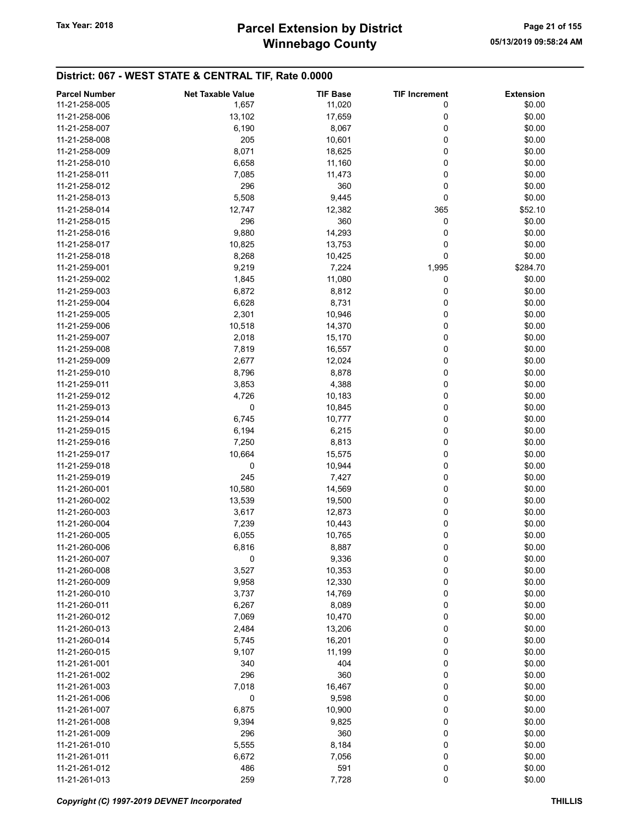# Winnebago County Tax Year: 2018 **Parcel Extension by District** Page 21 of 155

| <b>Parcel Number</b> | <b>Net Taxable Value</b> | <b>TIF Base</b> | <b>TIF Increment</b> | <b>Extension</b> |
|----------------------|--------------------------|-----------------|----------------------|------------------|
| 11-21-258-005        | 1,657                    | 11,020          | 0                    | \$0.00           |
| 11-21-258-006        | 13,102                   | 17,659          | 0                    | \$0.00           |
|                      |                          |                 |                      |                  |
| 11-21-258-007        | 6,190                    | 8,067           | 0                    | \$0.00           |
| 11-21-258-008        | 205                      | 10,601          | 0                    | \$0.00           |
| 11-21-258-009        | 8,071                    | 18,625          | 0                    | \$0.00           |
| 11-21-258-010        | 6,658                    | 11,160          | 0                    | \$0.00           |
| 11-21-258-011        | 7,085                    | 11,473          | 0                    | \$0.00           |
| 11-21-258-012        | 296                      | 360             | 0                    | \$0.00           |
| 11-21-258-013        | 5,508                    | 9,445           | 0                    | \$0.00           |
| 11-21-258-014        | 12,747                   | 12,382          | 365                  | \$52.10          |
| 11-21-258-015        | 296                      | 360             | 0                    | \$0.00           |
|                      |                          |                 |                      |                  |
| 11-21-258-016        | 9,880                    | 14,293          | 0                    | \$0.00           |
| 11-21-258-017        | 10,825                   | 13,753          | 0                    | \$0.00           |
| 11-21-258-018        | 8,268                    | 10,425          | 0                    | \$0.00           |
| 11-21-259-001        | 9,219                    | 7,224           | 1,995                | \$284.70         |
| 11-21-259-002        | 1,845                    | 11,080          | 0                    | \$0.00           |
| 11-21-259-003        | 6,872                    | 8,812           | 0                    | \$0.00           |
| 11-21-259-004        | 6,628                    | 8,731           | 0                    | \$0.00           |
| 11-21-259-005        | 2,301                    | 10,946          | 0                    | \$0.00           |
| 11-21-259-006        | 10,518                   | 14,370          | 0                    | \$0.00           |
|                      |                          |                 |                      |                  |
| 11-21-259-007        | 2,018                    | 15,170          | 0                    | \$0.00           |
| 11-21-259-008        | 7,819                    | 16,557          | 0                    | \$0.00           |
| 11-21-259-009        | 2,677                    | 12,024          | 0                    | \$0.00           |
| 11-21-259-010        | 8,796                    | 8,878           | 0                    | \$0.00           |
| 11-21-259-011        | 3,853                    | 4,388           | 0                    | \$0.00           |
| 11-21-259-012        | 4,726                    | 10,183          | 0                    | \$0.00           |
| 11-21-259-013        | 0                        | 10,845          | 0                    | \$0.00           |
| 11-21-259-014        | 6,745                    | 10,777          | 0                    | \$0.00           |
| 11-21-259-015        | 6,194                    | 6,215           | 0                    | \$0.00           |
|                      |                          |                 |                      |                  |
| 11-21-259-016        | 7,250                    | 8,813           | 0                    | \$0.00           |
| 11-21-259-017        | 10,664                   | 15,575          | 0                    | \$0.00           |
| 11-21-259-018        | 0                        | 10,944          | 0                    | \$0.00           |
| 11-21-259-019        | 245                      | 7,427           | 0                    | \$0.00           |
| 11-21-260-001        | 10,580                   | 14,569          | 0                    | \$0.00           |
| 11-21-260-002        | 13,539                   | 19,500          | 0                    | \$0.00           |
| 11-21-260-003        | 3,617                    | 12,873          | 0                    | \$0.00           |
| 11-21-260-004        | 7,239                    | 10,443          | 0                    | \$0.00           |
| 11-21-260-005        | 6,055                    | 10,765          | 0                    | \$0.00           |
|                      |                          |                 |                      |                  |
| 11-21-260-006        | 6,816                    | 8,887           | 0                    | \$0.00           |
| 11-21-260-007        | 0                        | 9,336           | 0                    | \$0.00           |
| 11-21-260-008        | 3,527                    | 10,353          | 0                    | \$0.00           |
| 11-21-260-009        | 9,958                    | 12,330          | 0                    | \$0.00           |
| 11-21-260-010        | 3,737                    | 14,769          | 0                    | \$0.00           |
| 11-21-260-011        | 6,267                    | 8,089           | 0                    | \$0.00           |
| 11-21-260-012        | 7,069                    | 10,470          | 0                    | \$0.00           |
| 11-21-260-013        | 2,484                    | 13,206          | 0                    | \$0.00           |
| 11-21-260-014        | 5,745                    | 16,201          | 0                    | \$0.00           |
|                      |                          |                 |                      |                  |
| 11-21-260-015        | 9,107                    | 11,199          | 0                    | \$0.00           |
| 11-21-261-001        | 340                      | 404             | 0                    | \$0.00           |
| 11-21-261-002        | 296                      | 360             | 0                    | \$0.00           |
| 11-21-261-003        | 7,018                    | 16,467          | 0                    | \$0.00           |
| 11-21-261-006        | 0                        | 9,598           | 0                    | \$0.00           |
| 11-21-261-007        | 6,875                    | 10,900          | 0                    | \$0.00           |
| 11-21-261-008        | 9,394                    | 9,825           | 0                    | \$0.00           |
| 11-21-261-009        | 296                      | 360             | 0                    | \$0.00           |
| 11-21-261-010        | 5,555                    | 8,184           | 0                    | \$0.00           |
| 11-21-261-011        | 6,672                    | 7,056           | 0                    | \$0.00           |
|                      |                          |                 |                      |                  |
| 11-21-261-012        | 486                      | 591             | 0                    | \$0.00           |
| 11-21-261-013        | 259                      | 7,728           | 0                    | \$0.00           |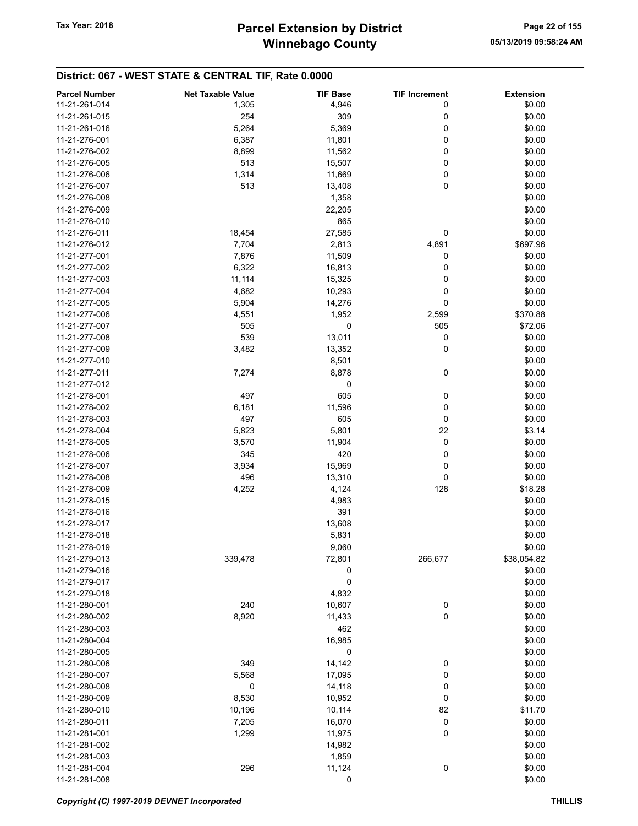| <b>Parcel Number</b> | <b>Net Taxable Value</b> | <b>TIF Base</b> | <b>TIF Increment</b> | <b>Extension</b> |
|----------------------|--------------------------|-----------------|----------------------|------------------|
| 11-21-261-014        | 1,305                    | 4,946           | 0                    | \$0.00           |
| 11-21-261-015        | 254                      | 309             | 0                    | \$0.00           |
| 11-21-261-016        | 5,264                    | 5,369           | 0                    | \$0.00           |
| 11-21-276-001        | 6,387                    | 11,801          | 0                    | \$0.00           |
| 11-21-276-002        | 8,899                    | 11,562          | 0                    | \$0.00           |
| 11-21-276-005        | 513                      |                 | 0                    | \$0.00           |
|                      |                          | 15,507          | 0                    |                  |
| 11-21-276-006        | 1,314                    | 11,669          | 0                    | \$0.00           |
| 11-21-276-007        | 513                      | 13,408          |                      | \$0.00           |
| 11-21-276-008        |                          | 1,358           |                      | \$0.00           |
| 11-21-276-009        |                          | 22,205          |                      | \$0.00           |
| 11-21-276-010        |                          | 865             |                      | \$0.00           |
| 11-21-276-011        | 18,454                   | 27,585          | 0                    | \$0.00           |
| 11-21-276-012        | 7,704                    | 2,813           | 4,891                | \$697.96         |
| 11-21-277-001        | 7,876                    | 11,509          | 0                    | \$0.00           |
| 11-21-277-002        | 6,322                    | 16,813          | 0                    | \$0.00           |
| 11-21-277-003        | 11,114                   | 15,325          | 0                    | \$0.00           |
| 11-21-277-004        | 4,682                    | 10,293          | 0                    | \$0.00           |
| 11-21-277-005        | 5,904                    | 14,276          | 0                    | \$0.00           |
| 11-21-277-006        | 4,551                    | 1,952           | 2,599                | \$370.88         |
| 11-21-277-007        | 505                      | 0               | 505                  | \$72.06          |
| 11-21-277-008        | 539                      | 13,011          | 0                    | \$0.00           |
| 11-21-277-009        | 3,482                    | 13,352          | 0                    | \$0.00           |
| 11-21-277-010        |                          | 8,501           |                      | \$0.00           |
| 11-21-277-011        | 7,274                    | 8,878           | 0                    | \$0.00           |
| 11-21-277-012        |                          | 0               |                      | \$0.00           |
| 11-21-278-001        | 497                      | 605             | 0                    | \$0.00           |
| 11-21-278-002        | 6,181                    | 11,596          | 0                    | \$0.00           |
| 11-21-278-003        | 497                      | 605             | 0                    | \$0.00           |
| 11-21-278-004        | 5,823                    | 5,801           | 22                   | \$3.14           |
| 11-21-278-005        | 3,570                    | 11,904          | 0                    | \$0.00           |
| 11-21-278-006        | 345                      | 420             | 0                    | \$0.00           |
| 11-21-278-007        | 3,934                    | 15,969          | 0                    | \$0.00           |
| 11-21-278-008        | 496                      | 13,310          | 0                    | \$0.00           |
| 11-21-278-009        | 4,252                    | 4,124           | 128                  | \$18.28          |
| 11-21-278-015        |                          | 4,983           |                      | \$0.00           |
| 11-21-278-016        |                          | 391             |                      | \$0.00           |
| 11-21-278-017        |                          | 13,608          |                      | \$0.00           |
| 11-21-278-018        |                          | 5,831           |                      | \$0.00           |
| 11-21-278-019        |                          | 9,060           |                      | \$0.00           |
| 11-21-279-013        | 339,478                  | 72,801          | 266,677              | \$38,054.82      |
| 11-21-279-016        |                          | 0               |                      | \$0.00           |
| 11-21-279-017        |                          | 0               |                      | \$0.00           |
| 11-21-279-018        |                          | 4,832           |                      | \$0.00           |
| 11-21-280-001        | 240                      | 10,607          | 0                    | \$0.00           |
| 11-21-280-002        | 8,920                    | 11,433          | 0                    | \$0.00           |
| 11-21-280-003        |                          | 462             |                      | \$0.00           |
| 11-21-280-004        |                          | 16,985          |                      | \$0.00           |
| 11-21-280-005        |                          |                 |                      |                  |
|                      |                          | 0               |                      | \$0.00           |
| 11-21-280-006        | 349                      | 14,142          | 0                    | \$0.00           |
| 11-21-280-007        | 5,568                    | 17,095          | 0                    | \$0.00           |
| 11-21-280-008        | 0                        | 14,118          | 0                    | \$0.00           |
| 11-21-280-009        | 8,530                    | 10,952          | 0                    | \$0.00           |
| 11-21-280-010        | 10,196                   | 10,114          | 82                   | \$11.70          |
| 11-21-280-011        | 7,205                    | 16,070          | $\boldsymbol{0}$     | \$0.00           |
| 11-21-281-001        | 1,299                    | 11,975          | 0                    | \$0.00           |
| 11-21-281-002        |                          | 14,982          |                      | \$0.00           |
| 11-21-281-003        |                          | 1,859           |                      | \$0.00           |
| 11-21-281-004        | 296                      | 11,124          | 0                    | \$0.00           |
| 11-21-281-008        |                          | 0               |                      | \$0.00           |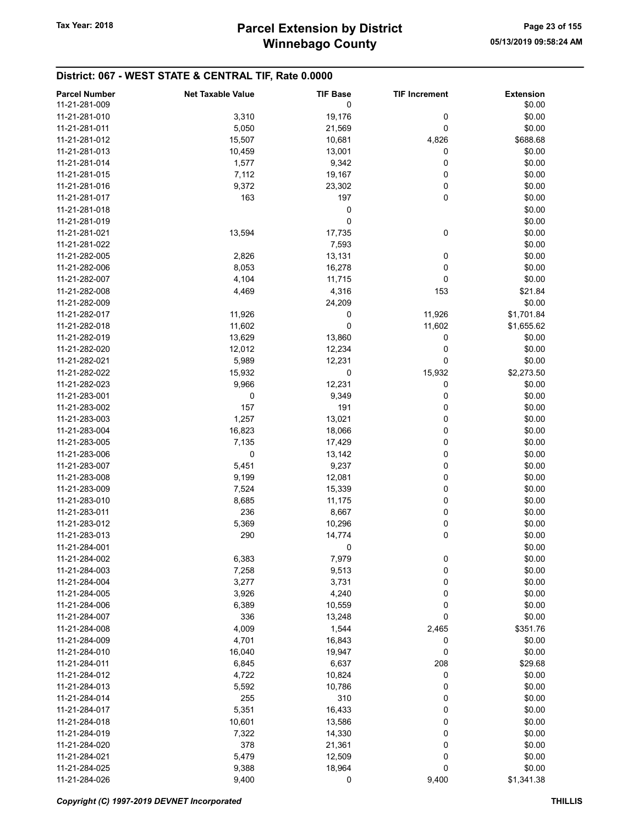| 11-21-281-009<br>0<br>\$0.00<br>\$0.00<br>11-21-281-010<br>3,310<br>19,176<br>0<br>0<br>\$0.00<br>11-21-281-011<br>5,050<br>21,569<br>15,507<br>\$688.68<br>11-21-281-012<br>10,681<br>4,826<br>\$0.00<br>10,459<br>13,001<br>0<br>11-21-281-013<br>0<br>\$0.00<br>11-21-281-014<br>1,577<br>9,342<br>7,112<br>19,167<br>0<br>\$0.00<br>11-21-281-015<br>9,372<br>0<br>\$0.00<br>11-21-281-016<br>23,302<br>0<br>\$0.00<br>163<br>197<br>11-21-281-017<br>\$0.00<br>11-21-281-018<br>0<br>0<br>\$0.00<br>11-21-281-019<br>0<br>13,594<br>17,735<br>\$0.00<br>11-21-281-021<br>\$0.00<br>11-21-281-022<br>7,593<br>\$0.00<br>2,826<br>13,131<br>0<br>11-21-282-005<br>8,053<br>16,278<br>0<br>\$0.00<br>11-21-282-006<br>0<br>\$0.00<br>11-21-282-007<br>4,104<br>11,715<br>11-21-282-008<br>4,469<br>4,316<br>153<br>\$21.84<br>\$0.00<br>11-21-282-009<br>24,209<br>\$1,701.84<br>11-21-282-017<br>11,926<br>0<br>11,926<br>0<br>11,602<br>11,602<br>\$1,655.62<br>11-21-282-018<br>13,629<br>13,860<br>0<br>\$0.00<br>11-21-282-019<br>\$0.00<br>11-21-282-020<br>12,012<br>12,234<br>0<br>11-21-282-021<br>12,231<br>0<br>\$0.00<br>5,989<br>15,932<br>0<br>15,932<br>\$2,273.50<br>11-21-282-022<br>12,231<br>0<br>11-21-282-023<br>9,966<br>\$0.00<br>0<br>11-21-283-001<br>0<br>9,349<br>\$0.00<br>157<br>191<br>0<br>\$0.00<br>11-21-283-002<br>\$0.00<br>1,257<br>13,021<br>0<br>11-21-283-003<br>\$0.00<br>11-21-283-004<br>16,823<br>18,066<br>0<br>\$0.00<br>11-21-283-005<br>0<br>7,135<br>17,429<br>0<br>\$0.00<br>11-21-283-006<br>0<br>13,142<br>0<br>11-21-283-007<br>5,451<br>9,237<br>\$0.00<br>0<br>11-21-283-008<br>9,199<br>12,081<br>\$0.00<br>0<br>\$0.00<br>7,524<br>15,339<br>11-21-283-009<br>0<br>\$0.00<br>11-21-283-010<br>8,685<br>11,175<br>236<br>8,667<br>0<br>\$0.00<br>11-21-283-011<br>5,369<br>0<br>\$0.00<br>11-21-283-012<br>10,296<br>0<br>\$0.00<br>11-21-283-013<br>290<br>14,774<br>11-21-284-001<br>0<br>\$0.00<br>0<br>11-21-284-002<br>6,383<br>7,979<br>\$0.00<br>9,513<br>0<br>\$0.00<br>11-21-284-003<br>7,258<br>0<br>\$0.00<br>11-21-284-004<br>3,277<br>3,731<br>\$0.00<br>11-21-284-005<br>3,926<br>4,240<br>0<br>11-21-284-006<br>6,389<br>10,559<br>0<br>\$0.00<br>0<br>\$0.00<br>11-21-284-007<br>336<br>13,248<br>\$351.76<br>11-21-284-008<br>4,009<br>1,544<br>2,465<br>11-21-284-009<br>4,701<br>16,843<br>0<br>\$0.00<br>0<br>16,040<br>19,947<br>\$0.00<br>11-21-284-010<br>6,845<br>6,637<br>208<br>\$29.68<br>11-21-284-011<br>4,722<br>10,824<br>0<br>\$0.00<br>11-21-284-012<br>\$0.00<br>11-21-284-013<br>5,592<br>10,786<br>0<br>\$0.00<br>11-21-284-014<br>255<br>310<br>0<br>16,433<br>0<br>\$0.00<br>5,351<br>11-21-284-017<br>10,601<br>\$0.00<br>11-21-284-018<br>13,586<br>0<br>0<br>\$0.00<br>11-21-284-019<br>7,322<br>14,330<br>0<br>\$0.00<br>11-21-284-020<br>378<br>21,361<br>5,479<br>12,509<br>0<br>\$0.00<br>11-21-284-021<br>11-21-284-025<br>9,388<br>18,964<br>0<br>\$0.00 | <b>Parcel Number</b> | <b>Net Taxable Value</b> | <b>TIF Base</b> | <b>TIF Increment</b> | <b>Extension</b> |
|------------------------------------------------------------------------------------------------------------------------------------------------------------------------------------------------------------------------------------------------------------------------------------------------------------------------------------------------------------------------------------------------------------------------------------------------------------------------------------------------------------------------------------------------------------------------------------------------------------------------------------------------------------------------------------------------------------------------------------------------------------------------------------------------------------------------------------------------------------------------------------------------------------------------------------------------------------------------------------------------------------------------------------------------------------------------------------------------------------------------------------------------------------------------------------------------------------------------------------------------------------------------------------------------------------------------------------------------------------------------------------------------------------------------------------------------------------------------------------------------------------------------------------------------------------------------------------------------------------------------------------------------------------------------------------------------------------------------------------------------------------------------------------------------------------------------------------------------------------------------------------------------------------------------------------------------------------------------------------------------------------------------------------------------------------------------------------------------------------------------------------------------------------------------------------------------------------------------------------------------------------------------------------------------------------------------------------------------------------------------------------------------------------------------------------------------------------------------------------------------------------------------------------------------------------------------------------------------------------------------------------------------------------------------------------------------------------------------------------------------------------------------------------------------------------------------------------------------------------------------------------------------------------------------------------------------------------------|----------------------|--------------------------|-----------------|----------------------|------------------|
|                                                                                                                                                                                                                                                                                                                                                                                                                                                                                                                                                                                                                                                                                                                                                                                                                                                                                                                                                                                                                                                                                                                                                                                                                                                                                                                                                                                                                                                                                                                                                                                                                                                                                                                                                                                                                                                                                                                                                                                                                                                                                                                                                                                                                                                                                                                                                                                                                                                                                                                                                                                                                                                                                                                                                                                                                                                                                                                                                                  |                      |                          |                 |                      |                  |
|                                                                                                                                                                                                                                                                                                                                                                                                                                                                                                                                                                                                                                                                                                                                                                                                                                                                                                                                                                                                                                                                                                                                                                                                                                                                                                                                                                                                                                                                                                                                                                                                                                                                                                                                                                                                                                                                                                                                                                                                                                                                                                                                                                                                                                                                                                                                                                                                                                                                                                                                                                                                                                                                                                                                                                                                                                                                                                                                                                  |                      |                          |                 |                      |                  |
|                                                                                                                                                                                                                                                                                                                                                                                                                                                                                                                                                                                                                                                                                                                                                                                                                                                                                                                                                                                                                                                                                                                                                                                                                                                                                                                                                                                                                                                                                                                                                                                                                                                                                                                                                                                                                                                                                                                                                                                                                                                                                                                                                                                                                                                                                                                                                                                                                                                                                                                                                                                                                                                                                                                                                                                                                                                                                                                                                                  |                      |                          |                 |                      |                  |
|                                                                                                                                                                                                                                                                                                                                                                                                                                                                                                                                                                                                                                                                                                                                                                                                                                                                                                                                                                                                                                                                                                                                                                                                                                                                                                                                                                                                                                                                                                                                                                                                                                                                                                                                                                                                                                                                                                                                                                                                                                                                                                                                                                                                                                                                                                                                                                                                                                                                                                                                                                                                                                                                                                                                                                                                                                                                                                                                                                  |                      |                          |                 |                      |                  |
|                                                                                                                                                                                                                                                                                                                                                                                                                                                                                                                                                                                                                                                                                                                                                                                                                                                                                                                                                                                                                                                                                                                                                                                                                                                                                                                                                                                                                                                                                                                                                                                                                                                                                                                                                                                                                                                                                                                                                                                                                                                                                                                                                                                                                                                                                                                                                                                                                                                                                                                                                                                                                                                                                                                                                                                                                                                                                                                                                                  |                      |                          |                 |                      |                  |
|                                                                                                                                                                                                                                                                                                                                                                                                                                                                                                                                                                                                                                                                                                                                                                                                                                                                                                                                                                                                                                                                                                                                                                                                                                                                                                                                                                                                                                                                                                                                                                                                                                                                                                                                                                                                                                                                                                                                                                                                                                                                                                                                                                                                                                                                                                                                                                                                                                                                                                                                                                                                                                                                                                                                                                                                                                                                                                                                                                  |                      |                          |                 |                      |                  |
|                                                                                                                                                                                                                                                                                                                                                                                                                                                                                                                                                                                                                                                                                                                                                                                                                                                                                                                                                                                                                                                                                                                                                                                                                                                                                                                                                                                                                                                                                                                                                                                                                                                                                                                                                                                                                                                                                                                                                                                                                                                                                                                                                                                                                                                                                                                                                                                                                                                                                                                                                                                                                                                                                                                                                                                                                                                                                                                                                                  |                      |                          |                 |                      |                  |
|                                                                                                                                                                                                                                                                                                                                                                                                                                                                                                                                                                                                                                                                                                                                                                                                                                                                                                                                                                                                                                                                                                                                                                                                                                                                                                                                                                                                                                                                                                                                                                                                                                                                                                                                                                                                                                                                                                                                                                                                                                                                                                                                                                                                                                                                                                                                                                                                                                                                                                                                                                                                                                                                                                                                                                                                                                                                                                                                                                  |                      |                          |                 |                      |                  |
|                                                                                                                                                                                                                                                                                                                                                                                                                                                                                                                                                                                                                                                                                                                                                                                                                                                                                                                                                                                                                                                                                                                                                                                                                                                                                                                                                                                                                                                                                                                                                                                                                                                                                                                                                                                                                                                                                                                                                                                                                                                                                                                                                                                                                                                                                                                                                                                                                                                                                                                                                                                                                                                                                                                                                                                                                                                                                                                                                                  |                      |                          |                 |                      |                  |
|                                                                                                                                                                                                                                                                                                                                                                                                                                                                                                                                                                                                                                                                                                                                                                                                                                                                                                                                                                                                                                                                                                                                                                                                                                                                                                                                                                                                                                                                                                                                                                                                                                                                                                                                                                                                                                                                                                                                                                                                                                                                                                                                                                                                                                                                                                                                                                                                                                                                                                                                                                                                                                                                                                                                                                                                                                                                                                                                                                  |                      |                          |                 |                      |                  |
|                                                                                                                                                                                                                                                                                                                                                                                                                                                                                                                                                                                                                                                                                                                                                                                                                                                                                                                                                                                                                                                                                                                                                                                                                                                                                                                                                                                                                                                                                                                                                                                                                                                                                                                                                                                                                                                                                                                                                                                                                                                                                                                                                                                                                                                                                                                                                                                                                                                                                                                                                                                                                                                                                                                                                                                                                                                                                                                                                                  |                      |                          |                 |                      |                  |
|                                                                                                                                                                                                                                                                                                                                                                                                                                                                                                                                                                                                                                                                                                                                                                                                                                                                                                                                                                                                                                                                                                                                                                                                                                                                                                                                                                                                                                                                                                                                                                                                                                                                                                                                                                                                                                                                                                                                                                                                                                                                                                                                                                                                                                                                                                                                                                                                                                                                                                                                                                                                                                                                                                                                                                                                                                                                                                                                                                  |                      |                          |                 |                      |                  |
|                                                                                                                                                                                                                                                                                                                                                                                                                                                                                                                                                                                                                                                                                                                                                                                                                                                                                                                                                                                                                                                                                                                                                                                                                                                                                                                                                                                                                                                                                                                                                                                                                                                                                                                                                                                                                                                                                                                                                                                                                                                                                                                                                                                                                                                                                                                                                                                                                                                                                                                                                                                                                                                                                                                                                                                                                                                                                                                                                                  |                      |                          |                 |                      |                  |
|                                                                                                                                                                                                                                                                                                                                                                                                                                                                                                                                                                                                                                                                                                                                                                                                                                                                                                                                                                                                                                                                                                                                                                                                                                                                                                                                                                                                                                                                                                                                                                                                                                                                                                                                                                                                                                                                                                                                                                                                                                                                                                                                                                                                                                                                                                                                                                                                                                                                                                                                                                                                                                                                                                                                                                                                                                                                                                                                                                  |                      |                          |                 |                      |                  |
|                                                                                                                                                                                                                                                                                                                                                                                                                                                                                                                                                                                                                                                                                                                                                                                                                                                                                                                                                                                                                                                                                                                                                                                                                                                                                                                                                                                                                                                                                                                                                                                                                                                                                                                                                                                                                                                                                                                                                                                                                                                                                                                                                                                                                                                                                                                                                                                                                                                                                                                                                                                                                                                                                                                                                                                                                                                                                                                                                                  |                      |                          |                 |                      |                  |
|                                                                                                                                                                                                                                                                                                                                                                                                                                                                                                                                                                                                                                                                                                                                                                                                                                                                                                                                                                                                                                                                                                                                                                                                                                                                                                                                                                                                                                                                                                                                                                                                                                                                                                                                                                                                                                                                                                                                                                                                                                                                                                                                                                                                                                                                                                                                                                                                                                                                                                                                                                                                                                                                                                                                                                                                                                                                                                                                                                  |                      |                          |                 |                      |                  |
|                                                                                                                                                                                                                                                                                                                                                                                                                                                                                                                                                                                                                                                                                                                                                                                                                                                                                                                                                                                                                                                                                                                                                                                                                                                                                                                                                                                                                                                                                                                                                                                                                                                                                                                                                                                                                                                                                                                                                                                                                                                                                                                                                                                                                                                                                                                                                                                                                                                                                                                                                                                                                                                                                                                                                                                                                                                                                                                                                                  |                      |                          |                 |                      |                  |
|                                                                                                                                                                                                                                                                                                                                                                                                                                                                                                                                                                                                                                                                                                                                                                                                                                                                                                                                                                                                                                                                                                                                                                                                                                                                                                                                                                                                                                                                                                                                                                                                                                                                                                                                                                                                                                                                                                                                                                                                                                                                                                                                                                                                                                                                                                                                                                                                                                                                                                                                                                                                                                                                                                                                                                                                                                                                                                                                                                  |                      |                          |                 |                      |                  |
|                                                                                                                                                                                                                                                                                                                                                                                                                                                                                                                                                                                                                                                                                                                                                                                                                                                                                                                                                                                                                                                                                                                                                                                                                                                                                                                                                                                                                                                                                                                                                                                                                                                                                                                                                                                                                                                                                                                                                                                                                                                                                                                                                                                                                                                                                                                                                                                                                                                                                                                                                                                                                                                                                                                                                                                                                                                                                                                                                                  |                      |                          |                 |                      |                  |
|                                                                                                                                                                                                                                                                                                                                                                                                                                                                                                                                                                                                                                                                                                                                                                                                                                                                                                                                                                                                                                                                                                                                                                                                                                                                                                                                                                                                                                                                                                                                                                                                                                                                                                                                                                                                                                                                                                                                                                                                                                                                                                                                                                                                                                                                                                                                                                                                                                                                                                                                                                                                                                                                                                                                                                                                                                                                                                                                                                  |                      |                          |                 |                      |                  |
|                                                                                                                                                                                                                                                                                                                                                                                                                                                                                                                                                                                                                                                                                                                                                                                                                                                                                                                                                                                                                                                                                                                                                                                                                                                                                                                                                                                                                                                                                                                                                                                                                                                                                                                                                                                                                                                                                                                                                                                                                                                                                                                                                                                                                                                                                                                                                                                                                                                                                                                                                                                                                                                                                                                                                                                                                                                                                                                                                                  |                      |                          |                 |                      |                  |
|                                                                                                                                                                                                                                                                                                                                                                                                                                                                                                                                                                                                                                                                                                                                                                                                                                                                                                                                                                                                                                                                                                                                                                                                                                                                                                                                                                                                                                                                                                                                                                                                                                                                                                                                                                                                                                                                                                                                                                                                                                                                                                                                                                                                                                                                                                                                                                                                                                                                                                                                                                                                                                                                                                                                                                                                                                                                                                                                                                  |                      |                          |                 |                      |                  |
|                                                                                                                                                                                                                                                                                                                                                                                                                                                                                                                                                                                                                                                                                                                                                                                                                                                                                                                                                                                                                                                                                                                                                                                                                                                                                                                                                                                                                                                                                                                                                                                                                                                                                                                                                                                                                                                                                                                                                                                                                                                                                                                                                                                                                                                                                                                                                                                                                                                                                                                                                                                                                                                                                                                                                                                                                                                                                                                                                                  |                      |                          |                 |                      |                  |
|                                                                                                                                                                                                                                                                                                                                                                                                                                                                                                                                                                                                                                                                                                                                                                                                                                                                                                                                                                                                                                                                                                                                                                                                                                                                                                                                                                                                                                                                                                                                                                                                                                                                                                                                                                                                                                                                                                                                                                                                                                                                                                                                                                                                                                                                                                                                                                                                                                                                                                                                                                                                                                                                                                                                                                                                                                                                                                                                                                  |                      |                          |                 |                      |                  |
|                                                                                                                                                                                                                                                                                                                                                                                                                                                                                                                                                                                                                                                                                                                                                                                                                                                                                                                                                                                                                                                                                                                                                                                                                                                                                                                                                                                                                                                                                                                                                                                                                                                                                                                                                                                                                                                                                                                                                                                                                                                                                                                                                                                                                                                                                                                                                                                                                                                                                                                                                                                                                                                                                                                                                                                                                                                                                                                                                                  |                      |                          |                 |                      |                  |
|                                                                                                                                                                                                                                                                                                                                                                                                                                                                                                                                                                                                                                                                                                                                                                                                                                                                                                                                                                                                                                                                                                                                                                                                                                                                                                                                                                                                                                                                                                                                                                                                                                                                                                                                                                                                                                                                                                                                                                                                                                                                                                                                                                                                                                                                                                                                                                                                                                                                                                                                                                                                                                                                                                                                                                                                                                                                                                                                                                  |                      |                          |                 |                      |                  |
|                                                                                                                                                                                                                                                                                                                                                                                                                                                                                                                                                                                                                                                                                                                                                                                                                                                                                                                                                                                                                                                                                                                                                                                                                                                                                                                                                                                                                                                                                                                                                                                                                                                                                                                                                                                                                                                                                                                                                                                                                                                                                                                                                                                                                                                                                                                                                                                                                                                                                                                                                                                                                                                                                                                                                                                                                                                                                                                                                                  |                      |                          |                 |                      |                  |
|                                                                                                                                                                                                                                                                                                                                                                                                                                                                                                                                                                                                                                                                                                                                                                                                                                                                                                                                                                                                                                                                                                                                                                                                                                                                                                                                                                                                                                                                                                                                                                                                                                                                                                                                                                                                                                                                                                                                                                                                                                                                                                                                                                                                                                                                                                                                                                                                                                                                                                                                                                                                                                                                                                                                                                                                                                                                                                                                                                  |                      |                          |                 |                      |                  |
|                                                                                                                                                                                                                                                                                                                                                                                                                                                                                                                                                                                                                                                                                                                                                                                                                                                                                                                                                                                                                                                                                                                                                                                                                                                                                                                                                                                                                                                                                                                                                                                                                                                                                                                                                                                                                                                                                                                                                                                                                                                                                                                                                                                                                                                                                                                                                                                                                                                                                                                                                                                                                                                                                                                                                                                                                                                                                                                                                                  |                      |                          |                 |                      |                  |
|                                                                                                                                                                                                                                                                                                                                                                                                                                                                                                                                                                                                                                                                                                                                                                                                                                                                                                                                                                                                                                                                                                                                                                                                                                                                                                                                                                                                                                                                                                                                                                                                                                                                                                                                                                                                                                                                                                                                                                                                                                                                                                                                                                                                                                                                                                                                                                                                                                                                                                                                                                                                                                                                                                                                                                                                                                                                                                                                                                  |                      |                          |                 |                      |                  |
|                                                                                                                                                                                                                                                                                                                                                                                                                                                                                                                                                                                                                                                                                                                                                                                                                                                                                                                                                                                                                                                                                                                                                                                                                                                                                                                                                                                                                                                                                                                                                                                                                                                                                                                                                                                                                                                                                                                                                                                                                                                                                                                                                                                                                                                                                                                                                                                                                                                                                                                                                                                                                                                                                                                                                                                                                                                                                                                                                                  |                      |                          |                 |                      |                  |
|                                                                                                                                                                                                                                                                                                                                                                                                                                                                                                                                                                                                                                                                                                                                                                                                                                                                                                                                                                                                                                                                                                                                                                                                                                                                                                                                                                                                                                                                                                                                                                                                                                                                                                                                                                                                                                                                                                                                                                                                                                                                                                                                                                                                                                                                                                                                                                                                                                                                                                                                                                                                                                                                                                                                                                                                                                                                                                                                                                  |                      |                          |                 |                      |                  |
|                                                                                                                                                                                                                                                                                                                                                                                                                                                                                                                                                                                                                                                                                                                                                                                                                                                                                                                                                                                                                                                                                                                                                                                                                                                                                                                                                                                                                                                                                                                                                                                                                                                                                                                                                                                                                                                                                                                                                                                                                                                                                                                                                                                                                                                                                                                                                                                                                                                                                                                                                                                                                                                                                                                                                                                                                                                                                                                                                                  |                      |                          |                 |                      |                  |
|                                                                                                                                                                                                                                                                                                                                                                                                                                                                                                                                                                                                                                                                                                                                                                                                                                                                                                                                                                                                                                                                                                                                                                                                                                                                                                                                                                                                                                                                                                                                                                                                                                                                                                                                                                                                                                                                                                                                                                                                                                                                                                                                                                                                                                                                                                                                                                                                                                                                                                                                                                                                                                                                                                                                                                                                                                                                                                                                                                  |                      |                          |                 |                      |                  |
|                                                                                                                                                                                                                                                                                                                                                                                                                                                                                                                                                                                                                                                                                                                                                                                                                                                                                                                                                                                                                                                                                                                                                                                                                                                                                                                                                                                                                                                                                                                                                                                                                                                                                                                                                                                                                                                                                                                                                                                                                                                                                                                                                                                                                                                                                                                                                                                                                                                                                                                                                                                                                                                                                                                                                                                                                                                                                                                                                                  |                      |                          |                 |                      |                  |
|                                                                                                                                                                                                                                                                                                                                                                                                                                                                                                                                                                                                                                                                                                                                                                                                                                                                                                                                                                                                                                                                                                                                                                                                                                                                                                                                                                                                                                                                                                                                                                                                                                                                                                                                                                                                                                                                                                                                                                                                                                                                                                                                                                                                                                                                                                                                                                                                                                                                                                                                                                                                                                                                                                                                                                                                                                                                                                                                                                  |                      |                          |                 |                      |                  |
|                                                                                                                                                                                                                                                                                                                                                                                                                                                                                                                                                                                                                                                                                                                                                                                                                                                                                                                                                                                                                                                                                                                                                                                                                                                                                                                                                                                                                                                                                                                                                                                                                                                                                                                                                                                                                                                                                                                                                                                                                                                                                                                                                                                                                                                                                                                                                                                                                                                                                                                                                                                                                                                                                                                                                                                                                                                                                                                                                                  |                      |                          |                 |                      |                  |
|                                                                                                                                                                                                                                                                                                                                                                                                                                                                                                                                                                                                                                                                                                                                                                                                                                                                                                                                                                                                                                                                                                                                                                                                                                                                                                                                                                                                                                                                                                                                                                                                                                                                                                                                                                                                                                                                                                                                                                                                                                                                                                                                                                                                                                                                                                                                                                                                                                                                                                                                                                                                                                                                                                                                                                                                                                                                                                                                                                  |                      |                          |                 |                      |                  |
|                                                                                                                                                                                                                                                                                                                                                                                                                                                                                                                                                                                                                                                                                                                                                                                                                                                                                                                                                                                                                                                                                                                                                                                                                                                                                                                                                                                                                                                                                                                                                                                                                                                                                                                                                                                                                                                                                                                                                                                                                                                                                                                                                                                                                                                                                                                                                                                                                                                                                                                                                                                                                                                                                                                                                                                                                                                                                                                                                                  |                      |                          |                 |                      |                  |
|                                                                                                                                                                                                                                                                                                                                                                                                                                                                                                                                                                                                                                                                                                                                                                                                                                                                                                                                                                                                                                                                                                                                                                                                                                                                                                                                                                                                                                                                                                                                                                                                                                                                                                                                                                                                                                                                                                                                                                                                                                                                                                                                                                                                                                                                                                                                                                                                                                                                                                                                                                                                                                                                                                                                                                                                                                                                                                                                                                  |                      |                          |                 |                      |                  |
|                                                                                                                                                                                                                                                                                                                                                                                                                                                                                                                                                                                                                                                                                                                                                                                                                                                                                                                                                                                                                                                                                                                                                                                                                                                                                                                                                                                                                                                                                                                                                                                                                                                                                                                                                                                                                                                                                                                                                                                                                                                                                                                                                                                                                                                                                                                                                                                                                                                                                                                                                                                                                                                                                                                                                                                                                                                                                                                                                                  |                      |                          |                 |                      |                  |
|                                                                                                                                                                                                                                                                                                                                                                                                                                                                                                                                                                                                                                                                                                                                                                                                                                                                                                                                                                                                                                                                                                                                                                                                                                                                                                                                                                                                                                                                                                                                                                                                                                                                                                                                                                                                                                                                                                                                                                                                                                                                                                                                                                                                                                                                                                                                                                                                                                                                                                                                                                                                                                                                                                                                                                                                                                                                                                                                                                  |                      |                          |                 |                      |                  |
|                                                                                                                                                                                                                                                                                                                                                                                                                                                                                                                                                                                                                                                                                                                                                                                                                                                                                                                                                                                                                                                                                                                                                                                                                                                                                                                                                                                                                                                                                                                                                                                                                                                                                                                                                                                                                                                                                                                                                                                                                                                                                                                                                                                                                                                                                                                                                                                                                                                                                                                                                                                                                                                                                                                                                                                                                                                                                                                                                                  |                      |                          |                 |                      |                  |
|                                                                                                                                                                                                                                                                                                                                                                                                                                                                                                                                                                                                                                                                                                                                                                                                                                                                                                                                                                                                                                                                                                                                                                                                                                                                                                                                                                                                                                                                                                                                                                                                                                                                                                                                                                                                                                                                                                                                                                                                                                                                                                                                                                                                                                                                                                                                                                                                                                                                                                                                                                                                                                                                                                                                                                                                                                                                                                                                                                  |                      |                          |                 |                      |                  |
|                                                                                                                                                                                                                                                                                                                                                                                                                                                                                                                                                                                                                                                                                                                                                                                                                                                                                                                                                                                                                                                                                                                                                                                                                                                                                                                                                                                                                                                                                                                                                                                                                                                                                                                                                                                                                                                                                                                                                                                                                                                                                                                                                                                                                                                                                                                                                                                                                                                                                                                                                                                                                                                                                                                                                                                                                                                                                                                                                                  |                      |                          |                 |                      |                  |
|                                                                                                                                                                                                                                                                                                                                                                                                                                                                                                                                                                                                                                                                                                                                                                                                                                                                                                                                                                                                                                                                                                                                                                                                                                                                                                                                                                                                                                                                                                                                                                                                                                                                                                                                                                                                                                                                                                                                                                                                                                                                                                                                                                                                                                                                                                                                                                                                                                                                                                                                                                                                                                                                                                                                                                                                                                                                                                                                                                  |                      |                          |                 |                      |                  |
|                                                                                                                                                                                                                                                                                                                                                                                                                                                                                                                                                                                                                                                                                                                                                                                                                                                                                                                                                                                                                                                                                                                                                                                                                                                                                                                                                                                                                                                                                                                                                                                                                                                                                                                                                                                                                                                                                                                                                                                                                                                                                                                                                                                                                                                                                                                                                                                                                                                                                                                                                                                                                                                                                                                                                                                                                                                                                                                                                                  |                      |                          |                 |                      |                  |
|                                                                                                                                                                                                                                                                                                                                                                                                                                                                                                                                                                                                                                                                                                                                                                                                                                                                                                                                                                                                                                                                                                                                                                                                                                                                                                                                                                                                                                                                                                                                                                                                                                                                                                                                                                                                                                                                                                                                                                                                                                                                                                                                                                                                                                                                                                                                                                                                                                                                                                                                                                                                                                                                                                                                                                                                                                                                                                                                                                  |                      |                          |                 |                      |                  |
|                                                                                                                                                                                                                                                                                                                                                                                                                                                                                                                                                                                                                                                                                                                                                                                                                                                                                                                                                                                                                                                                                                                                                                                                                                                                                                                                                                                                                                                                                                                                                                                                                                                                                                                                                                                                                                                                                                                                                                                                                                                                                                                                                                                                                                                                                                                                                                                                                                                                                                                                                                                                                                                                                                                                                                                                                                                                                                                                                                  |                      |                          |                 |                      |                  |
|                                                                                                                                                                                                                                                                                                                                                                                                                                                                                                                                                                                                                                                                                                                                                                                                                                                                                                                                                                                                                                                                                                                                                                                                                                                                                                                                                                                                                                                                                                                                                                                                                                                                                                                                                                                                                                                                                                                                                                                                                                                                                                                                                                                                                                                                                                                                                                                                                                                                                                                                                                                                                                                                                                                                                                                                                                                                                                                                                                  |                      |                          |                 |                      |                  |
|                                                                                                                                                                                                                                                                                                                                                                                                                                                                                                                                                                                                                                                                                                                                                                                                                                                                                                                                                                                                                                                                                                                                                                                                                                                                                                                                                                                                                                                                                                                                                                                                                                                                                                                                                                                                                                                                                                                                                                                                                                                                                                                                                                                                                                                                                                                                                                                                                                                                                                                                                                                                                                                                                                                                                                                                                                                                                                                                                                  |                      |                          |                 |                      |                  |
|                                                                                                                                                                                                                                                                                                                                                                                                                                                                                                                                                                                                                                                                                                                                                                                                                                                                                                                                                                                                                                                                                                                                                                                                                                                                                                                                                                                                                                                                                                                                                                                                                                                                                                                                                                                                                                                                                                                                                                                                                                                                                                                                                                                                                                                                                                                                                                                                                                                                                                                                                                                                                                                                                                                                                                                                                                                                                                                                                                  |                      |                          |                 |                      |                  |
|                                                                                                                                                                                                                                                                                                                                                                                                                                                                                                                                                                                                                                                                                                                                                                                                                                                                                                                                                                                                                                                                                                                                                                                                                                                                                                                                                                                                                                                                                                                                                                                                                                                                                                                                                                                                                                                                                                                                                                                                                                                                                                                                                                                                                                                                                                                                                                                                                                                                                                                                                                                                                                                                                                                                                                                                                                                                                                                                                                  |                      |                          |                 |                      |                  |
|                                                                                                                                                                                                                                                                                                                                                                                                                                                                                                                                                                                                                                                                                                                                                                                                                                                                                                                                                                                                                                                                                                                                                                                                                                                                                                                                                                                                                                                                                                                                                                                                                                                                                                                                                                                                                                                                                                                                                                                                                                                                                                                                                                                                                                                                                                                                                                                                                                                                                                                                                                                                                                                                                                                                                                                                                                                                                                                                                                  |                      |                          |                 |                      |                  |
|                                                                                                                                                                                                                                                                                                                                                                                                                                                                                                                                                                                                                                                                                                                                                                                                                                                                                                                                                                                                                                                                                                                                                                                                                                                                                                                                                                                                                                                                                                                                                                                                                                                                                                                                                                                                                                                                                                                                                                                                                                                                                                                                                                                                                                                                                                                                                                                                                                                                                                                                                                                                                                                                                                                                                                                                                                                                                                                                                                  |                      |                          |                 |                      |                  |
|                                                                                                                                                                                                                                                                                                                                                                                                                                                                                                                                                                                                                                                                                                                                                                                                                                                                                                                                                                                                                                                                                                                                                                                                                                                                                                                                                                                                                                                                                                                                                                                                                                                                                                                                                                                                                                                                                                                                                                                                                                                                                                                                                                                                                                                                                                                                                                                                                                                                                                                                                                                                                                                                                                                                                                                                                                                                                                                                                                  |                      |                          |                 |                      |                  |
|                                                                                                                                                                                                                                                                                                                                                                                                                                                                                                                                                                                                                                                                                                                                                                                                                                                                                                                                                                                                                                                                                                                                                                                                                                                                                                                                                                                                                                                                                                                                                                                                                                                                                                                                                                                                                                                                                                                                                                                                                                                                                                                                                                                                                                                                                                                                                                                                                                                                                                                                                                                                                                                                                                                                                                                                                                                                                                                                                                  |                      |                          |                 |                      |                  |
|                                                                                                                                                                                                                                                                                                                                                                                                                                                                                                                                                                                                                                                                                                                                                                                                                                                                                                                                                                                                                                                                                                                                                                                                                                                                                                                                                                                                                                                                                                                                                                                                                                                                                                                                                                                                                                                                                                                                                                                                                                                                                                                                                                                                                                                                                                                                                                                                                                                                                                                                                                                                                                                                                                                                                                                                                                                                                                                                                                  |                      |                          |                 |                      |                  |
|                                                                                                                                                                                                                                                                                                                                                                                                                                                                                                                                                                                                                                                                                                                                                                                                                                                                                                                                                                                                                                                                                                                                                                                                                                                                                                                                                                                                                                                                                                                                                                                                                                                                                                                                                                                                                                                                                                                                                                                                                                                                                                                                                                                                                                                                                                                                                                                                                                                                                                                                                                                                                                                                                                                                                                                                                                                                                                                                                                  | 11-21-284-026        | 9,400                    | 0               | 9,400                | \$1,341.38       |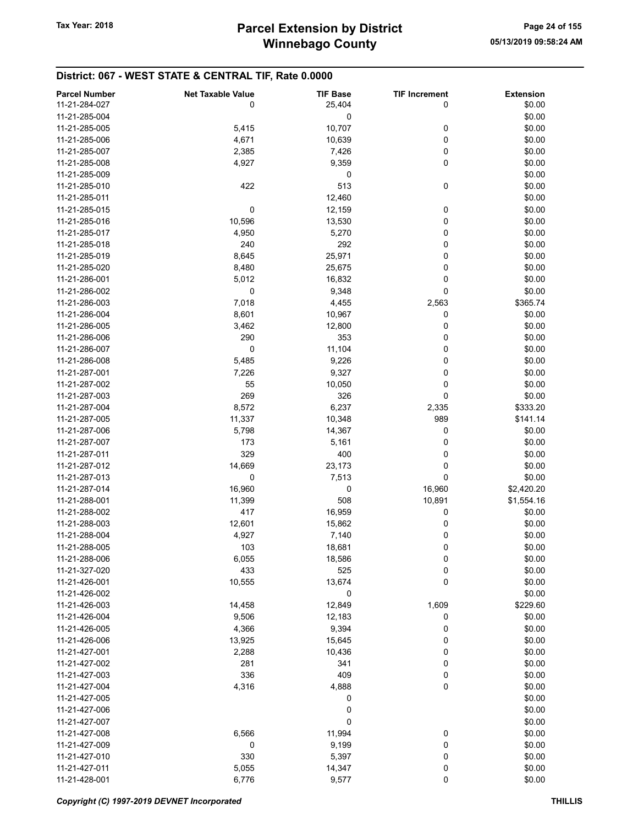| <b>Parcel Number</b> | <b>Net Taxable Value</b> | <b>TIF Base</b> | <b>TIF Increment</b> | <b>Extension</b> |
|----------------------|--------------------------|-----------------|----------------------|------------------|
| 11-21-284-027        | 0                        | 25,404          | 0                    | \$0.00           |
|                      |                          |                 |                      |                  |
| 11-21-285-004        |                          | 0               |                      | \$0.00           |
| 11-21-285-005        | 5,415                    | 10,707          | 0                    | \$0.00           |
| 11-21-285-006        | 4,671                    | 10,639          | 0                    | \$0.00           |
| 11-21-285-007        | 2,385                    | 7,426           | 0                    | \$0.00           |
| 11-21-285-008        | 4,927                    | 9,359           | 0                    | \$0.00           |
| 11-21-285-009        |                          | 0               |                      | \$0.00           |
| 11-21-285-010        | 422                      | 513             | 0                    | \$0.00           |
| 11-21-285-011        |                          | 12,460          |                      | \$0.00           |
| 11-21-285-015        | 0                        | 12,159          | 0                    | \$0.00           |
| 11-21-285-016        | 10,596                   | 13,530          | 0                    | \$0.00           |
| 11-21-285-017        | 4,950                    | 5,270           | 0                    | \$0.00           |
| 11-21-285-018        | 240                      | 292             | 0                    | \$0.00           |
|                      |                          |                 |                      |                  |
| 11-21-285-019        | 8,645                    | 25,971          | 0                    | \$0.00           |
| 11-21-285-020        | 8,480                    | 25,675          | 0                    | \$0.00           |
| 11-21-286-001        | 5,012                    | 16,832          | 0                    | \$0.00           |
| 11-21-286-002        | 0                        | 9,348           | 0                    | \$0.00           |
| 11-21-286-003        | 7,018                    | 4,455           | 2,563                | \$365.74         |
| 11-21-286-004        | 8,601                    | 10,967          | 0                    | \$0.00           |
| 11-21-286-005        | 3,462                    | 12,800          | 0                    | \$0.00           |
| 11-21-286-006        | 290                      | 353             | 0                    | \$0.00           |
| 11-21-286-007        | 0                        | 11,104          | 0                    | \$0.00           |
| 11-21-286-008        | 5,485                    | 9,226           | 0                    | \$0.00           |
| 11-21-287-001        |                          |                 |                      |                  |
|                      | 7,226                    | 9,327           | 0                    | \$0.00           |
| 11-21-287-002        | 55                       | 10,050          | 0                    | \$0.00           |
| 11-21-287-003        | 269                      | 326             | 0                    | \$0.00           |
| 11-21-287-004        | 8,572                    | 6,237           | 2,335                | \$333.20         |
| 11-21-287-005        | 11,337                   | 10,348          | 989                  | \$141.14         |
| 11-21-287-006        | 5,798                    | 14,367          | 0                    | \$0.00           |
| 11-21-287-007        | 173                      | 5,161           | 0                    | \$0.00           |
| 11-21-287-011        | 329                      | 400             | 0                    | \$0.00           |
| 11-21-287-012        | 14,669                   | 23,173          | 0                    | \$0.00           |
| 11-21-287-013        | 0                        | 7,513           | 0                    | \$0.00           |
| 11-21-287-014        | 16,960                   | 0               | 16,960               | \$2,420.20       |
| 11-21-288-001        | 11,399                   | 508             | 10,891               | \$1,554.16       |
| 11-21-288-002        | 417                      | 16,959          | 0                    | \$0.00           |
|                      |                          |                 |                      |                  |
| 11-21-288-003        | 12,601                   | 15,862          | 0                    | \$0.00           |
| 11-21-288-004        | 4,927                    | 7,140           | 0                    | \$0.00           |
| 11-21-288-005        | 103                      | 18,681          | 0                    | \$0.00           |
| 11-21-288-006        | 6,055                    | 18,586          | 0                    | \$0.00           |
| 11-21-327-020        | 433                      | 525             | 0                    | \$0.00           |
| 11-21-426-001        | 10,555                   | 13,674          | 0                    | \$0.00           |
| 11-21-426-002        |                          | 0               |                      | \$0.00           |
| 11-21-426-003        | 14,458                   | 12,849          | 1,609                | \$229.60         |
| 11-21-426-004        | 9,506                    | 12,183          | 0                    | \$0.00           |
| 11-21-426-005        | 4,366                    | 9,394           | 0                    | \$0.00           |
| 11-21-426-006        | 13,925                   | 15,645          | 0                    | \$0.00           |
| 11-21-427-001        |                          |                 |                      | \$0.00           |
|                      | 2,288                    | 10,436          | 0                    |                  |
| 11-21-427-002        | 281                      | 341             | 0                    | \$0.00           |
| 11-21-427-003        | 336                      | 409             | 0                    | \$0.00           |
| 11-21-427-004        | 4,316                    | 4,888           | 0                    | \$0.00           |
| 11-21-427-005        |                          | 0               |                      | \$0.00           |
| 11-21-427-006        |                          | 0               |                      | \$0.00           |
| 11-21-427-007        |                          | 0               |                      | \$0.00           |
| 11-21-427-008        | 6,566                    | 11,994          | 0                    | \$0.00           |
| 11-21-427-009        | 0                        | 9,199           | 0                    | \$0.00           |
| 11-21-427-010        | 330                      | 5,397           | 0                    | \$0.00           |
| 11-21-427-011        | 5,055                    | 14,347          | 0                    | \$0.00           |
| 11-21-428-001        | 6,776                    | 9,577           | 0                    | \$0.00           |
|                      |                          |                 |                      |                  |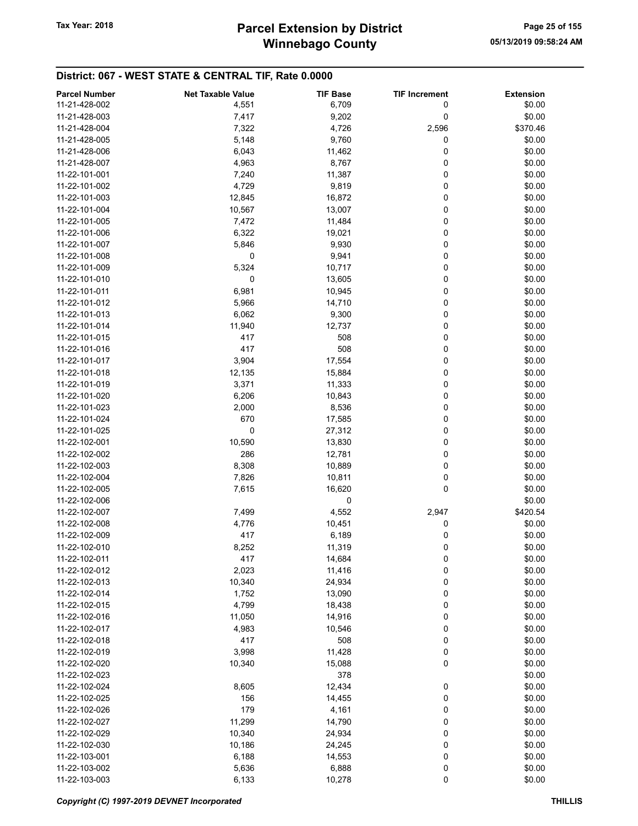# Winnebago County Tax Year: 2018 **Parcel Extension by District** Page 25 of 155

| <b>Parcel Number</b> | <b>Net Taxable Value</b> | <b>TIF Base</b> | <b>TIF Increment</b> | <b>Extension</b> |
|----------------------|--------------------------|-----------------|----------------------|------------------|
| 11-21-428-002        | 4,551                    | 6,709           | 0                    | \$0.00           |
| 11-21-428-003        | 7,417                    | 9,202           | 0                    | \$0.00           |
| 11-21-428-004        | 7,322                    | 4,726           | 2,596                | \$370.46         |
| 11-21-428-005        | 5,148                    | 9,760           | 0                    | \$0.00           |
| 11-21-428-006        | 6,043                    | 11,462          | 0                    | \$0.00           |
| 11-21-428-007        | 4,963                    | 8,767           | 0                    | \$0.00           |
|                      |                          | 11,387          | 0                    | \$0.00           |
| 11-22-101-001        | 7,240                    |                 |                      |                  |
| 11-22-101-002        | 4,729                    | 9,819           | 0                    | \$0.00           |
| 11-22-101-003        | 12,845                   | 16,872          | 0                    | \$0.00           |
| 11-22-101-004        | 10,567                   | 13,007          | 0                    | \$0.00           |
| 11-22-101-005        | 7,472                    | 11,484          | 0                    | \$0.00           |
| 11-22-101-006        | 6,322                    | 19,021          | 0                    | \$0.00           |
| 11-22-101-007        | 5,846                    | 9,930           | 0                    | \$0.00           |
| 11-22-101-008        | 0                        | 9,941           | 0                    | \$0.00           |
| 11-22-101-009        | 5,324                    | 10,717          | 0                    | \$0.00           |
| 11-22-101-010        | 0                        | 13,605          | 0                    | \$0.00           |
| 11-22-101-011        | 6,981                    | 10,945          | 0                    | \$0.00           |
| 11-22-101-012        | 5,966                    | 14,710          | 0                    | \$0.00           |
| 11-22-101-013        | 6,062                    | 9,300           | 0                    | \$0.00           |
| 11-22-101-014        | 11,940                   | 12,737          | 0                    | \$0.00           |
| 11-22-101-015        | 417                      | 508             | 0                    | \$0.00           |
| 11-22-101-016        | 417                      | 508             | 0                    | \$0.00           |
| 11-22-101-017        | 3,904                    | 17,554          | 0                    | \$0.00           |
| 11-22-101-018        | 12,135                   | 15,884          | 0                    | \$0.00           |
| 11-22-101-019        | 3,371                    | 11,333          | 0                    | \$0.00           |
| 11-22-101-020        | 6,206                    | 10,843          | 0                    | \$0.00           |
| 11-22-101-023        | 2,000                    | 8,536           | 0                    | \$0.00           |
| 11-22-101-024        | 670                      | 17,585          | 0                    | \$0.00           |
| 11-22-101-025        | 0                        | 27,312          | 0                    | \$0.00           |
| 11-22-102-001        | 10,590                   | 13,830          | 0                    | \$0.00           |
| 11-22-102-002        | 286                      | 12,781          | 0                    | \$0.00           |
| 11-22-102-003        | 8,308                    | 10,889          | 0                    | \$0.00           |
| 11-22-102-004        | 7,826                    | 10,811          | 0                    | \$0.00           |
| 11-22-102-005        | 7,615                    | 16,620          | 0                    | \$0.00           |
| 11-22-102-006        |                          | 0               |                      | \$0.00           |
| 11-22-102-007        | 7,499                    | 4,552           | 2,947                | \$420.54         |
| 11-22-102-008        | 4,776                    | 10,451          | 0                    | \$0.00           |
| 11-22-102-009        | 417                      | 6,189           | 0                    | \$0.00           |
| 11-22-102-010        | 8,252                    | 11,319          | 0                    | \$0.00           |
| 11-22-102-011        | 417                      | 14,684          | 0                    | \$0.00           |
| 11-22-102-012        | 2,023                    | 11,416          | 0                    | \$0.00           |
| 11-22-102-013        | 10,340                   | 24,934          | 0                    | \$0.00           |
| 11-22-102-014        | 1,752                    | 13,090          | 0                    | \$0.00           |
| 11-22-102-015        | 4,799                    | 18,438          | 0                    | \$0.00           |
| 11-22-102-016        | 11,050                   | 14,916          | 0                    | \$0.00           |
| 11-22-102-017        |                          |                 |                      |                  |
|                      | 4,983                    | 10,546          | 0                    | \$0.00           |
| 11-22-102-018        | 417                      | 508             | 0                    | \$0.00           |
| 11-22-102-019        | 3,998                    | 11,428          | 0                    | \$0.00           |
| 11-22-102-020        | 10,340                   | 15,088          | 0                    | \$0.00           |
| 11-22-102-023        |                          | 378             |                      | \$0.00           |
| 11-22-102-024        | 8,605                    | 12,434          | 0                    | \$0.00           |
| 11-22-102-025        | 156                      | 14,455          | 0                    | \$0.00           |
| 11-22-102-026        | 179                      | 4,161           | 0                    | \$0.00           |
| 11-22-102-027        | 11,299                   | 14,790          | 0                    | \$0.00           |
| 11-22-102-029        | 10,340                   | 24,934          | 0                    | \$0.00           |
| 11-22-102-030        | 10,186                   | 24,245          | 0                    | \$0.00           |
| 11-22-103-001        | 6,188                    | 14,553          | 0                    | \$0.00           |
| 11-22-103-002        | 5,636                    | 6,888           | 0                    | \$0.00           |
| 11-22-103-003        | 6,133                    | 10,278          | 0                    | \$0.00           |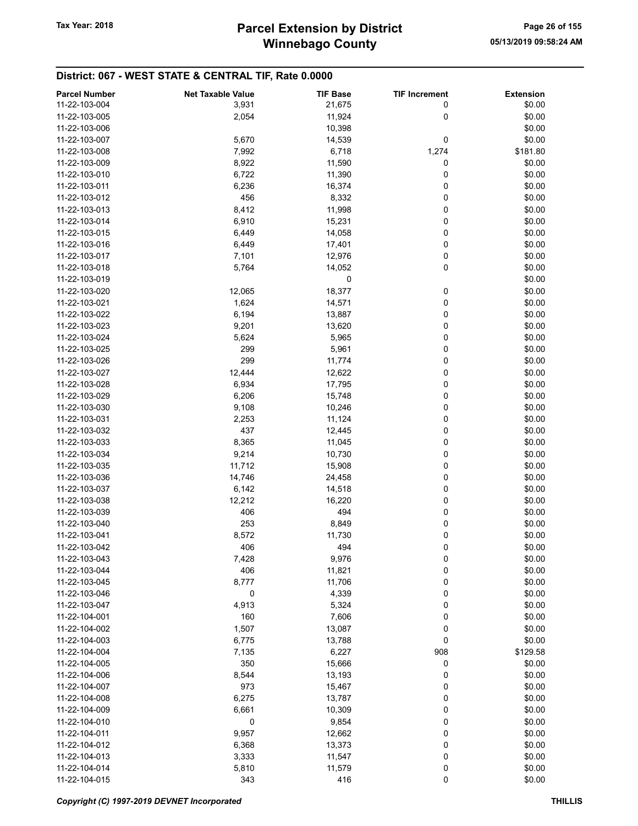| <b>Parcel Number</b> | <b>Net Taxable Value</b> | <b>TIF Base</b> | <b>TIF Increment</b> | <b>Extension</b> |
|----------------------|--------------------------|-----------------|----------------------|------------------|
| 11-22-103-004        |                          | 21,675          | 0                    | \$0.00           |
|                      | 3,931                    |                 |                      |                  |
| 11-22-103-005        | 2,054                    | 11,924          | 0                    | \$0.00           |
| 11-22-103-006        |                          | 10,398          |                      | \$0.00           |
| 11-22-103-007        | 5,670                    | 14,539          | 0                    | \$0.00           |
| 11-22-103-008        | 7,992                    | 6,718           | 1,274                | \$181.80         |
| 11-22-103-009        | 8,922                    | 11,590          | 0                    | \$0.00           |
| 11-22-103-010        | 6,722                    | 11,390          | 0                    | \$0.00           |
| 11-22-103-011        | 6,236                    | 16,374          | 0                    | \$0.00           |
| 11-22-103-012        | 456                      | 8,332           | 0                    | \$0.00           |
| 11-22-103-013        | 8,412                    | 11,998          | 0                    | \$0.00           |
| 11-22-103-014        | 6,910                    | 15,231          | 0                    | \$0.00           |
| 11-22-103-015        | 6,449                    | 14,058          | 0                    | \$0.00           |
|                      |                          |                 | 0                    | \$0.00           |
| 11-22-103-016        | 6,449                    | 17,401          |                      |                  |
| 11-22-103-017        | 7,101                    | 12,976          | 0                    | \$0.00           |
| 11-22-103-018        | 5,764                    | 14,052          | 0                    | \$0.00           |
| 11-22-103-019        |                          | 0               |                      | \$0.00           |
| 11-22-103-020        | 12,065                   | 18,377          | 0                    | \$0.00           |
| 11-22-103-021        | 1,624                    | 14,571          | 0                    | \$0.00           |
| 11-22-103-022        | 6,194                    | 13,887          | 0                    | \$0.00           |
| 11-22-103-023        | 9,201                    | 13,620          | 0                    | \$0.00           |
| 11-22-103-024        | 5,624                    | 5,965           | 0                    | \$0.00           |
| 11-22-103-025        | 299                      | 5,961           | 0                    | \$0.00           |
| 11-22-103-026        | 299                      | 11,774          | 0                    | \$0.00           |
| 11-22-103-027        | 12,444                   | 12,622          | 0                    | \$0.00           |
|                      |                          |                 |                      |                  |
| 11-22-103-028        | 6,934                    | 17,795          | 0                    | \$0.00           |
| 11-22-103-029        | 6,206                    | 15,748          | 0                    | \$0.00           |
| 11-22-103-030        | 9,108                    | 10,246          | 0                    | \$0.00           |
| 11-22-103-031        | 2,253                    | 11,124          | 0                    | \$0.00           |
| 11-22-103-032        | 437                      | 12,445          | 0                    | \$0.00           |
| 11-22-103-033        | 8,365                    | 11,045          | 0                    | \$0.00           |
| 11-22-103-034        | 9,214                    | 10,730          | 0                    | \$0.00           |
| 11-22-103-035        | 11,712                   | 15,908          | 0                    | \$0.00           |
| 11-22-103-036        | 14,746                   | 24,458          | 0                    | \$0.00           |
| 11-22-103-037        | 6,142                    | 14,518          | 0                    | \$0.00           |
| 11-22-103-038        | 12,212                   | 16,220          | 0                    | \$0.00           |
| 11-22-103-039        | 406                      | 494             | 0                    | \$0.00           |
| 11-22-103-040        | 253                      | 8,849           | 0                    | \$0.00           |
| 11-22-103-041        | 8,572                    | 11,730          | 0                    | \$0.00           |
|                      |                          |                 |                      |                  |
| 11-22-103-042        | 406                      | 494             | 0                    | \$0.00           |
| 11-22-103-043        | 7,428                    | 9,976           | 0                    | \$0.00           |
| 11-22-103-044        | 406                      | 11,821          | 0                    | \$0.00           |
| 11-22-103-045        | 8,777                    | 11,706          | 0                    | \$0.00           |
| 11-22-103-046        | 0                        | 4,339           | 0                    | \$0.00           |
| 11-22-103-047        | 4,913                    | 5,324           | 0                    | \$0.00           |
| 11-22-104-001        | 160                      | 7,606           | 0                    | \$0.00           |
| 11-22-104-002        | 1,507                    | 13,087          | 0                    | \$0.00           |
| 11-22-104-003        | 6,775                    | 13,788          | 0                    | \$0.00           |
| 11-22-104-004        | 7,135                    | 6,227           | 908                  | \$129.58         |
| 11-22-104-005        | 350                      | 15,666          | 0                    | \$0.00           |
| 11-22-104-006        | 8,544                    | 13,193          | 0                    | \$0.00           |
| 11-22-104-007        | 973                      | 15,467          | 0                    | \$0.00           |
| 11-22-104-008        | 6,275                    | 13,787          | 0                    | \$0.00           |
| 11-22-104-009        |                          |                 |                      |                  |
|                      | 6,661                    | 10,309          | 0                    | \$0.00           |
| 11-22-104-010        | 0                        | 9,854           | 0                    | \$0.00           |
| 11-22-104-011        | 9,957                    | 12,662          | 0                    | \$0.00           |
| 11-22-104-012        | 6,368                    | 13,373          | 0                    | \$0.00           |
| 11-22-104-013        | 3,333                    | 11,547          | 0                    | \$0.00           |
| 11-22-104-014        | 5,810                    | 11,579          | 0                    | \$0.00           |
| 11-22-104-015        | 343                      | 416             | 0                    | \$0.00           |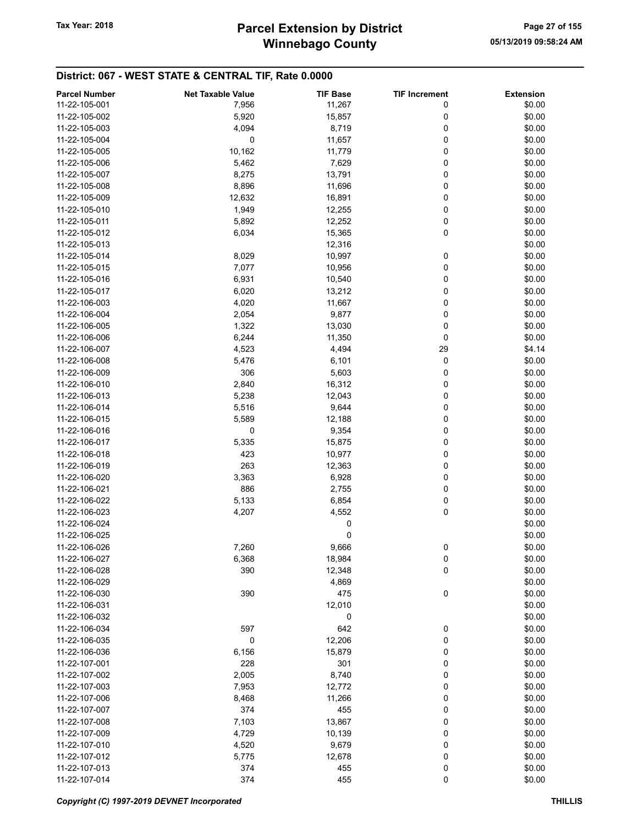# Winnebago County Tax Year: 2018 **Parcel Extension by District** Page 27 of 155

| <b>Parcel Number</b> | <b>Net Taxable Value</b> | <b>TIF Base</b> | <b>TIF Increment</b> | <b>Extension</b> |
|----------------------|--------------------------|-----------------|----------------------|------------------|
| 11-22-105-001        | 7,956                    | 11,267          | 0                    | \$0.00           |
| 11-22-105-002        | 5,920                    | 15,857          | 0                    | \$0.00           |
|                      |                          |                 |                      |                  |
| 11-22-105-003        | 4,094                    | 8,719           | 0                    | \$0.00           |
| 11-22-105-004        | 0                        | 11,657          | 0                    | \$0.00           |
| 11-22-105-005        | 10,162                   | 11,779          | 0                    | \$0.00           |
| 11-22-105-006        | 5,462                    | 7,629           | 0                    | \$0.00           |
| 11-22-105-007        | 8,275                    | 13,791          | 0                    | \$0.00           |
| 11-22-105-008        | 8,896                    | 11,696          | 0                    | \$0.00           |
| 11-22-105-009        | 12,632                   | 16,891          | 0                    | \$0.00           |
| 11-22-105-010        | 1,949                    | 12,255          | 0                    | \$0.00           |
| 11-22-105-011        | 5,892                    | 12,252          | 0                    | \$0.00           |
|                      |                          |                 |                      |                  |
| 11-22-105-012        | 6,034                    | 15,365          | 0                    | \$0.00           |
| 11-22-105-013        |                          | 12,316          |                      | \$0.00           |
| 11-22-105-014        | 8,029                    | 10,997          | 0                    | \$0.00           |
| 11-22-105-015        | 7,077                    | 10,956          | 0                    | \$0.00           |
| 11-22-105-016        | 6,931                    | 10,540          | 0                    | \$0.00           |
| 11-22-105-017        | 6,020                    | 13,212          | 0                    | \$0.00           |
| 11-22-106-003        | 4,020                    | 11,667          | 0                    | \$0.00           |
| 11-22-106-004        | 2,054                    | 9,877           | 0                    | \$0.00           |
|                      |                          |                 | 0                    |                  |
| 11-22-106-005        | 1,322                    | 13,030          |                      | \$0.00           |
| 11-22-106-006        | 6,244                    | 11,350          | 0                    | \$0.00           |
| 11-22-106-007        | 4,523                    | 4,494           | 29                   | \$4.14           |
| 11-22-106-008        | 5,476                    | 6,101           | 0                    | \$0.00           |
| 11-22-106-009        | 306                      | 5,603           | 0                    | \$0.00           |
| 11-22-106-010        | 2,840                    | 16,312          | 0                    | \$0.00           |
| 11-22-106-013        | 5,238                    | 12,043          | 0                    | \$0.00           |
| 11-22-106-014        | 5,516                    | 9,644           | 0                    | \$0.00           |
| 11-22-106-015        | 5,589                    | 12,188          | 0                    | \$0.00           |
|                      |                          |                 |                      |                  |
| 11-22-106-016        | 0                        | 9,354           | 0                    | \$0.00           |
| 11-22-106-017        | 5,335                    | 15,875          | 0                    | \$0.00           |
| 11-22-106-018        | 423                      | 10,977          | 0                    | \$0.00           |
| 11-22-106-019        | 263                      | 12,363          | 0                    | \$0.00           |
| 11-22-106-020        | 3,363                    | 6,928           | 0                    | \$0.00           |
| 11-22-106-021        | 886                      | 2,755           | 0                    | \$0.00           |
| 11-22-106-022        | 5,133                    | 6,854           | 0                    | \$0.00           |
| 11-22-106-023        | 4,207                    | 4,552           | 0                    | \$0.00           |
| 11-22-106-024        |                          | 0               |                      | \$0.00           |
|                      |                          |                 |                      |                  |
| 11-22-106-025        |                          | 0               |                      | \$0.00           |
| 11-22-106-026        | 7,260                    | 9,666           | 0                    | \$0.00           |
| 11-22-106-027        | 6,368                    | 18,984          | 0                    | \$0.00           |
| 11-22-106-028        | 390                      | 12,348          | 0                    | \$0.00           |
| 11-22-106-029        |                          | 4,869           |                      | \$0.00           |
| 11-22-106-030        | 390                      | 475             | 0                    | \$0.00           |
| 11-22-106-031        |                          | 12,010          |                      | \$0.00           |
| 11-22-106-032        |                          | 0               |                      | \$0.00           |
| 11-22-106-034        | 597                      | 642             | 0                    | \$0.00           |
|                      |                          |                 |                      |                  |
| 11-22-106-035        | 0                        | 12,206          | 0                    | \$0.00           |
| 11-22-106-036        | 6,156                    | 15,879          | 0                    | \$0.00           |
| 11-22-107-001        | 228                      | 301             | 0                    | \$0.00           |
| 11-22-107-002        | 2,005                    | 8,740           | 0                    | \$0.00           |
| 11-22-107-003        | 7,953                    | 12,772          | 0                    | \$0.00           |
| 11-22-107-006        | 8,468                    | 11,266          | 0                    | \$0.00           |
| 11-22-107-007        | 374                      | 455             | 0                    | \$0.00           |
| 11-22-107-008        | 7,103                    | 13,867          | 0                    | \$0.00           |
| 11-22-107-009        | 4,729                    | 10,139          | 0                    | \$0.00           |
|                      |                          |                 |                      |                  |
| 11-22-107-010        | 4,520                    | 9,679           | 0                    | \$0.00           |
| 11-22-107-012        | 5,775                    | 12,678          | 0                    | \$0.00           |
| 11-22-107-013        | 374                      | 455             | 0                    | \$0.00           |
| 11-22-107-014        | 374                      | 455             | 0                    | \$0.00           |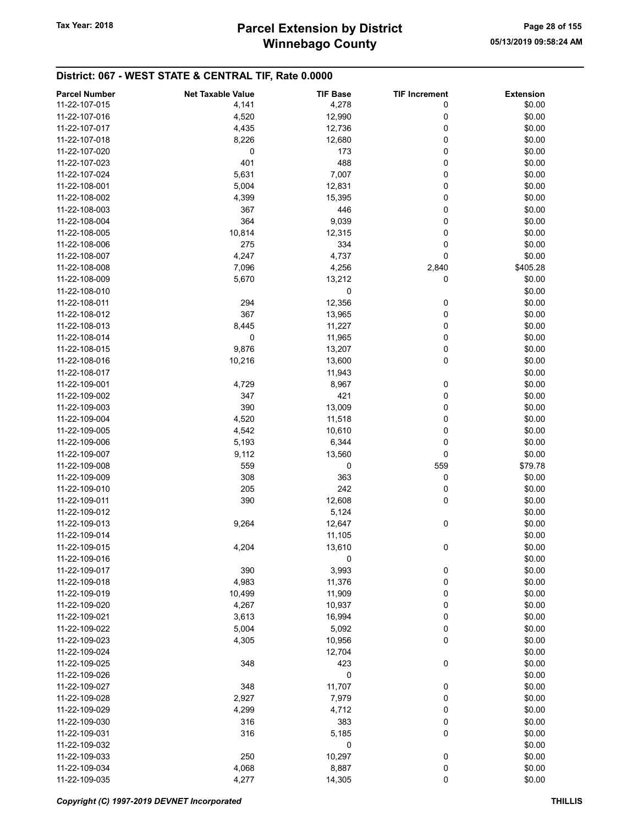# Winnebago County Tax Year: 2018 **Parcel Extension by District** Page 28 of 155

| <b>Parcel Number</b> | <b>Net Taxable Value</b> | <b>TIF Base</b> | <b>TIF Increment</b> | <b>Extension</b> |
|----------------------|--------------------------|-----------------|----------------------|------------------|
| 11-22-107-015        | 4,141                    | 4,278           | 0                    | \$0.00           |
| 11-22-107-016        | 4,520                    | 12,990          | 0                    | \$0.00           |
| 11-22-107-017        | 4,435                    | 12,736          | 0                    | \$0.00           |
| 11-22-107-018        | 8,226                    | 12,680          | 0                    | \$0.00           |
|                      |                          |                 |                      |                  |
| 11-22-107-020        | 0                        | 173             | 0                    | \$0.00           |
| 11-22-107-023        | 401                      | 488             | 0                    | \$0.00           |
| 11-22-107-024        | 5,631                    | 7,007           | 0                    | \$0.00           |
| 11-22-108-001        | 5,004                    | 12,831          | 0                    | \$0.00           |
| 11-22-108-002        | 4,399                    | 15,395          | 0                    | \$0.00           |
| 11-22-108-003        | 367                      | 446             | 0                    | \$0.00           |
| 11-22-108-004        | 364                      | 9,039           | 0                    | \$0.00           |
| 11-22-108-005        | 10,814                   | 12,315          | 0                    | \$0.00           |
| 11-22-108-006        | 275                      | 334             | 0                    | \$0.00           |
| 11-22-108-007        | 4,247                    | 4,737           | 0                    | \$0.00           |
| 11-22-108-008        | 7,096                    | 4,256           | 2,840                | \$405.28         |
| 11-22-108-009        | 5,670                    | 13,212          | 0                    | \$0.00           |
| 11-22-108-010        |                          | 0               |                      | \$0.00           |
|                      |                          |                 |                      |                  |
| 11-22-108-011        | 294                      | 12,356          | 0                    | \$0.00           |
| 11-22-108-012        | 367                      | 13,965          | 0                    | \$0.00           |
| 11-22-108-013        | 8,445                    | 11,227          | 0                    | \$0.00           |
| 11-22-108-014        | 0                        | 11,965          | 0                    | \$0.00           |
| 11-22-108-015        | 9,876                    | 13,207          | 0                    | \$0.00           |
| 11-22-108-016        | 10,216                   | 13,600          | 0                    | \$0.00           |
| 11-22-108-017        |                          | 11,943          |                      | \$0.00           |
| 11-22-109-001        | 4,729                    | 8,967           | 0                    | \$0.00           |
| 11-22-109-002        | 347                      | 421             | 0                    | \$0.00           |
| 11-22-109-003        | 390                      | 13,009          | 0                    | \$0.00           |
| 11-22-109-004        | 4,520                    | 11,518          | 0                    | \$0.00           |
| 11-22-109-005        | 4,542                    | 10,610          | 0                    | \$0.00           |
| 11-22-109-006        | 5,193                    | 6,344           | 0                    | \$0.00           |
|                      |                          |                 |                      |                  |
| 11-22-109-007        | 9,112                    | 13,560          | 0                    | \$0.00           |
| 11-22-109-008        | 559                      | 0               | 559                  | \$79.78          |
| 11-22-109-009        | 308                      | 363             | 0                    | \$0.00           |
| 11-22-109-010        | 205                      | 242             | 0                    | \$0.00           |
| 11-22-109-011        | 390                      | 12,608          | 0                    | \$0.00           |
| 11-22-109-012        |                          | 5,124           |                      | \$0.00           |
| 11-22-109-013        | 9,264                    | 12,647          | 0                    | \$0.00           |
| 11-22-109-014        |                          | 11,105          |                      | \$0.00           |
| 11-22-109-015        | 4,204                    | 13,610          | 0                    | \$0.00           |
| 11-22-109-016        |                          | 0               |                      | \$0.00           |
| 11-22-109-017        | 390                      | 3,993           | 0                    | \$0.00           |
| 11-22-109-018        | 4,983                    | 11,376          | 0                    | \$0.00           |
| 11-22-109-019        | 10,499                   | 11,909          | 0                    | \$0.00           |
| 11-22-109-020        | 4,267                    | 10,937          | 0                    | \$0.00           |
| 11-22-109-021        | 3,613                    | 16,994          | 0                    | \$0.00           |
|                      |                          |                 |                      |                  |
| 11-22-109-022        | 5,004                    | 5,092           | 0                    | \$0.00           |
| 11-22-109-023        | 4,305                    | 10,956          | 0                    | \$0.00           |
| 11-22-109-024        |                          | 12,704          |                      | \$0.00           |
| 11-22-109-025        | 348                      | 423             | 0                    | \$0.00           |
| 11-22-109-026        |                          | 0               |                      | \$0.00           |
| 11-22-109-027        | 348                      | 11,707          | 0                    | \$0.00           |
| 11-22-109-028        | 2,927                    | 7,979           | 0                    | \$0.00           |
| 11-22-109-029        | 4,299                    | 4,712           | 0                    | \$0.00           |
| 11-22-109-030        | 316                      | 383             | 0                    | \$0.00           |
| 11-22-109-031        | 316                      | 5,185           | 0                    | \$0.00           |
| 11-22-109-032        |                          | 0               |                      | \$0.00           |
| 11-22-109-033        | 250                      | 10,297          | $\mathbf 0$          | \$0.00           |
| 11-22-109-034        | 4,068                    | 8,887           | 0                    | \$0.00           |
| 11-22-109-035        | 4,277                    | 14,305          | $\pmb{0}$            | \$0.00           |
|                      |                          |                 |                      |                  |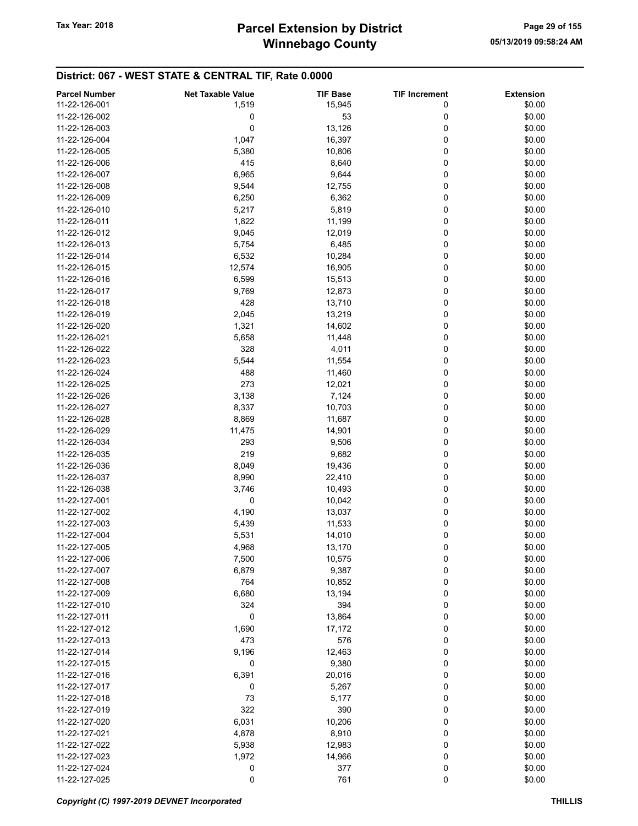| <b>Parcel Number</b>           | <b>Net Taxable Value</b> | <b>TIF Base</b>  | <b>TIF Increment</b> | <b>Extension</b> |
|--------------------------------|--------------------------|------------------|----------------------|------------------|
| 11-22-126-001                  | 1,519                    | 15,945           | 0                    | \$0.00           |
| 11-22-126-002                  | 0                        | 53               | 0                    | \$0.00           |
| 11-22-126-003                  | 0                        | 13,126           | 0                    | \$0.00           |
| 11-22-126-004                  | 1,047                    | 16,397           | 0                    | \$0.00           |
| 11-22-126-005                  | 5,380                    | 10,806           | 0                    | \$0.00           |
| 11-22-126-006                  | 415                      | 8,640            | 0                    | \$0.00           |
| 11-22-126-007                  | 6,965                    | 9,644            | 0                    | \$0.00           |
| 11-22-126-008                  | 9,544                    | 12,755           | 0                    | \$0.00           |
| 11-22-126-009                  | 6,250                    | 6,362            | 0                    | \$0.00           |
| 11-22-126-010                  | 5,217                    | 5,819            | 0                    | \$0.00           |
| 11-22-126-011                  | 1,822                    | 11,199           | 0                    | \$0.00           |
| 11-22-126-012                  | 9,045                    | 12,019           | 0                    | \$0.00           |
| 11-22-126-013                  | 5,754                    | 6,485            | 0                    | \$0.00           |
| 11-22-126-014                  | 6,532                    | 10,284           | 0                    | \$0.00           |
| 11-22-126-015                  | 12,574                   | 16,905           | 0                    | \$0.00           |
| 11-22-126-016                  | 6,599                    | 15,513           | 0                    | \$0.00           |
| 11-22-126-017                  | 9,769                    | 12,873           | 0                    | \$0.00           |
| 11-22-126-018                  | 428                      | 13,710           | 0                    | \$0.00           |
| 11-22-126-019                  | 2,045                    | 13,219           | 0                    | \$0.00           |
| 11-22-126-020                  | 1,321                    | 14,602           | 0                    | \$0.00           |
| 11-22-126-021                  | 5,658                    | 11,448           | 0                    | \$0.00           |
| 11-22-126-022                  | 328                      | 4,011            | 0                    | \$0.00           |
| 11-22-126-023                  | 5,544                    | 11,554           | 0                    | \$0.00           |
| 11-22-126-024                  | 488                      | 11,460           | 0                    | \$0.00           |
| 11-22-126-025                  | 273                      | 12,021           | 0                    | \$0.00           |
| 11-22-126-026                  | 3,138                    | 7,124            | 0                    | \$0.00           |
| 11-22-126-027                  |                          |                  | 0                    | \$0.00           |
| 11-22-126-028                  | 8,337<br>8,869           | 10,703<br>11,687 | 0                    | \$0.00           |
| 11-22-126-029                  | 11,475                   | 14,901           | 0                    | \$0.00           |
| 11-22-126-034                  | 293                      | 9,506            | 0                    | \$0.00           |
| 11-22-126-035                  | 219                      | 9,682            | 0                    | \$0.00           |
| 11-22-126-036                  | 8,049                    | 19,436           | 0                    | \$0.00           |
| 11-22-126-037                  | 8,990                    | 22,410           | 0                    | \$0.00           |
| 11-22-126-038                  |                          |                  | 0                    | \$0.00           |
| 11-22-127-001                  | 3,746<br>0               | 10,493           | 0                    | \$0.00           |
| 11-22-127-002                  | 4,190                    | 10,042           | 0                    | \$0.00           |
| 11-22-127-003                  | 5,439                    | 13,037<br>11,533 | 0                    | \$0.00           |
| 11-22-127-004                  |                          |                  |                      |                  |
| 11-22-127-005                  | 5,531                    | 14,010           | 0<br>0               | \$0.00           |
| 11-22-127-006                  | 4,968<br>7,500           | 13,170<br>10,575 | 0                    | \$0.00<br>\$0.00 |
| 11-22-127-007                  | 6,879                    |                  |                      | \$0.00           |
| 11-22-127-008                  | 764                      | 9,387            | 0<br>0               | \$0.00           |
| 11-22-127-009                  |                          | 10,852           |                      | \$0.00           |
| 11-22-127-010                  | 6,680<br>324             | 13,194<br>394    | 0                    | \$0.00           |
| 11-22-127-011                  | 0                        |                  | 0<br>0               |                  |
| 11-22-127-012                  |                          | 13,864           | 0                    | \$0.00           |
| 11-22-127-013                  | 1,690<br>473             | 17,172<br>576    |                      | \$0.00           |
| 11-22-127-014                  |                          |                  | 0                    | \$0.00<br>\$0.00 |
| 11-22-127-015                  | 9,196                    | 12,463           | 0<br>0               |                  |
|                                | 0                        | 9,380            |                      | \$0.00           |
| 11-22-127-016<br>11-22-127-017 | 6,391                    | 20,016           | 0                    | \$0.00<br>\$0.00 |
|                                | 0                        | 5,267            | 0                    |                  |
| 11-22-127-018<br>11-22-127-019 | 73<br>322                | 5,177<br>390     | 0<br>0               | \$0.00           |
|                                |                          |                  |                      | \$0.00           |
| 11-22-127-020                  | 6,031                    | 10,206           | 0                    | \$0.00           |
| 11-22-127-021                  | 4,878                    | 8,910            | 0                    | \$0.00           |
| 11-22-127-022                  | 5,938                    | 12,983           | 0                    | \$0.00           |
| 11-22-127-023                  | 1,972                    | 14,966           | 0                    | \$0.00           |
| 11-22-127-024                  | 0                        | 377              | 0                    | \$0.00           |
| 11-22-127-025                  | 0                        | 761              | 0                    | \$0.00           |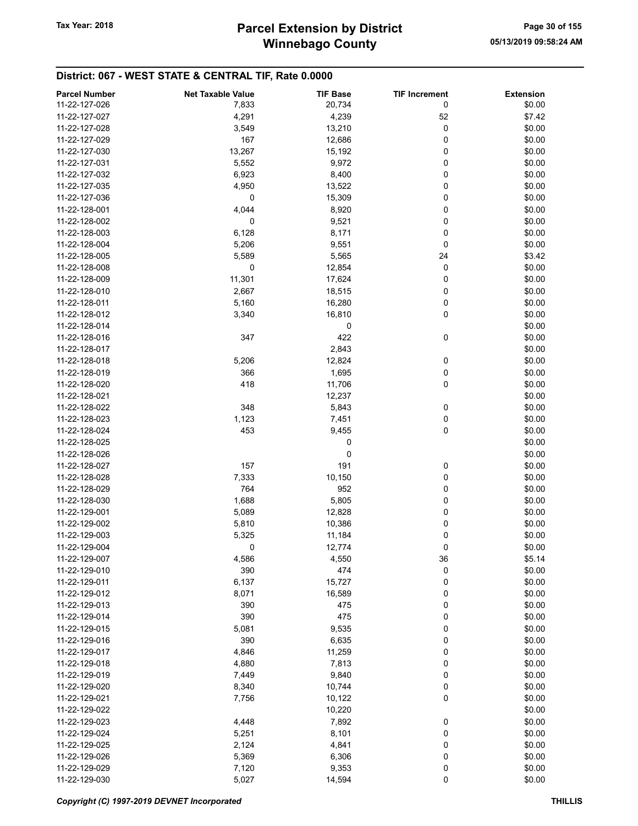# Winnebago County Tax Year: 2018 **Parcel Extension by District** Page 30 of 155

| <b>Parcel Number</b> | <b>Net Taxable Value</b> | <b>TIF Base</b> | <b>TIF Increment</b> | <b>Extension</b> |
|----------------------|--------------------------|-----------------|----------------------|------------------|
| 11-22-127-026        | 7,833                    | 20,734          | 0                    | \$0.00           |
| 11-22-127-027        | 4,291                    | 4,239           | 52                   | \$7.42           |
|                      |                          |                 |                      |                  |
| 11-22-127-028        | 3,549                    | 13,210          | 0                    | \$0.00           |
| 11-22-127-029        | 167                      | 12,686          | 0                    | \$0.00           |
| 11-22-127-030        | 13,267                   | 15,192          | 0                    | \$0.00           |
| 11-22-127-031        | 5,552                    | 9,972           | 0                    | \$0.00           |
| 11-22-127-032        | 6,923                    | 8,400           | 0                    | \$0.00           |
| 11-22-127-035        | 4,950                    | 13,522          | 0                    | \$0.00           |
| 11-22-127-036        | 0                        | 15,309          | 0                    | \$0.00           |
| 11-22-128-001        | 4,044                    | 8,920           | 0                    | \$0.00           |
| 11-22-128-002        | 0                        | 9,521           | 0                    | \$0.00           |
|                      |                          |                 |                      |                  |
| 11-22-128-003        | 6,128                    | 8,171           | 0                    | \$0.00           |
| 11-22-128-004        | 5,206                    | 9,551           | 0                    | \$0.00           |
| 11-22-128-005        | 5,589                    | 5,565           | 24                   | \$3.42           |
| 11-22-128-008        | 0                        | 12,854          | 0                    | \$0.00           |
| 11-22-128-009        | 11,301                   | 17,624          | 0                    | \$0.00           |
| 11-22-128-010        | 2,667                    | 18,515          | 0                    | \$0.00           |
| 11-22-128-011        | 5,160                    | 16,280          | 0                    | \$0.00           |
| 11-22-128-012        | 3,340                    | 16,810          | 0                    | \$0.00           |
| 11-22-128-014        |                          | 0               |                      | \$0.00           |
|                      |                          |                 |                      |                  |
| 11-22-128-016        | 347                      | 422             | 0                    | \$0.00           |
| 11-22-128-017        |                          | 2,843           |                      | \$0.00           |
| 11-22-128-018        | 5,206                    | 12,824          | 0                    | \$0.00           |
| 11-22-128-019        | 366                      | 1,695           | 0                    | \$0.00           |
| 11-22-128-020        | 418                      | 11,706          | 0                    | \$0.00           |
| 11-22-128-021        |                          | 12,237          |                      | \$0.00           |
| 11-22-128-022        | 348                      | 5,843           | 0                    | \$0.00           |
| 11-22-128-023        | 1,123                    | 7,451           | 0                    | \$0.00           |
| 11-22-128-024        | 453                      | 9,455           | 0                    | \$0.00           |
| 11-22-128-025        |                          |                 |                      | \$0.00           |
|                      |                          | 0               |                      |                  |
| 11-22-128-026        |                          | 0               |                      | \$0.00           |
| 11-22-128-027        | 157                      | 191             | 0                    | \$0.00           |
| 11-22-128-028        | 7,333                    | 10,150          | 0                    | \$0.00           |
| 11-22-128-029        | 764                      | 952             | 0                    | \$0.00           |
| 11-22-128-030        | 1,688                    | 5,805           | 0                    | \$0.00           |
| 11-22-129-001        | 5,089                    | 12,828          | 0                    | \$0.00           |
| 11-22-129-002        | 5,810                    | 10,386          | 0                    | \$0.00           |
| 11-22-129-003        | 5,325                    | 11,184          | 0                    | \$0.00           |
| 11-22-129-004        | 0                        | 12,774          | 0                    | \$0.00           |
| 11-22-129-007        |                          | 4,550           |                      | \$5.14           |
|                      | 4,586                    |                 | 36                   |                  |
| 11-22-129-010        | 390                      | 474             | 0                    | \$0.00           |
| 11-22-129-011        | 6,137                    | 15,727          | 0                    | \$0.00           |
| 11-22-129-012        | 8,071                    | 16,589          | 0                    | \$0.00           |
| 11-22-129-013        | 390                      | 475             | 0                    | \$0.00           |
| 11-22-129-014        | 390                      | 475             | 0                    | \$0.00           |
| 11-22-129-015        | 5,081                    | 9,535           | 0                    | \$0.00           |
| 11-22-129-016        | 390                      | 6,635           | 0                    | \$0.00           |
| 11-22-129-017        | 4,846                    | 11,259          | 0                    | \$0.00           |
| 11-22-129-018        | 4,880                    | 7,813           | 0                    | \$0.00           |
|                      |                          |                 |                      |                  |
| 11-22-129-019        | 7,449                    | 9,840           | 0                    | \$0.00           |
| 11-22-129-020        | 8,340                    | 10,744          | 0                    | \$0.00           |
| 11-22-129-021        | 7,756                    | 10,122          | 0                    | \$0.00           |
| 11-22-129-022        |                          | 10,220          |                      | \$0.00           |
| 11-22-129-023        | 4,448                    | 7,892           | 0                    | \$0.00           |
| 11-22-129-024        | 5,251                    | 8,101           | 0                    | \$0.00           |
| 11-22-129-025        | 2,124                    | 4,841           | 0                    | \$0.00           |
| 11-22-129-026        | 5,369                    | 6,306           | 0                    | \$0.00           |
| 11-22-129-029        | 7,120                    | 9,353           | 0                    | \$0.00           |
| 11-22-129-030        | 5,027                    | 14,594          | 0                    | \$0.00           |
|                      |                          |                 |                      |                  |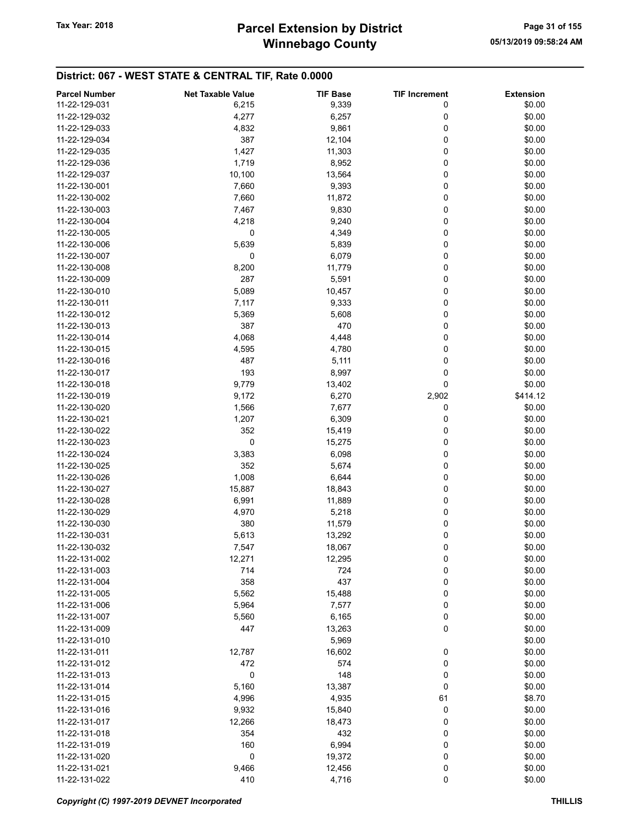# Winnebago County Tax Year: 2018 **Parcel Extension by District** Page 31 of 155

| 11-22-129-031<br>\$0.00<br>6,215<br>9,339<br>0<br>11-22-129-032<br>4,277<br>6,257<br>0<br>\$0.00<br>0<br>\$0.00<br>11-22-129-033<br>4,832<br>9,861<br>0<br>\$0.00<br>11-22-129-034<br>387<br>12,104<br>\$0.00<br>11-22-129-035<br>1,427<br>11,303<br>0<br>\$0.00<br>11-22-129-036<br>1,719<br>8,952<br>0<br>0<br>\$0.00<br>11-22-129-037<br>10,100<br>13,564<br>0<br>\$0.00<br>11-22-130-001<br>7,660<br>9,393<br>0<br>\$0.00<br>11-22-130-002<br>7,660<br>11,872<br>0<br>\$0.00<br>11-22-130-003<br>9,830<br>7,467<br>0<br>\$0.00<br>11-22-130-004<br>4,218<br>9,240<br>\$0.00<br>11-22-130-005<br>0<br>4,349<br>0<br>\$0.00<br>11-22-130-006<br>5,639<br>5,839<br>0<br>6,079<br>0<br>\$0.00<br>11-22-130-007<br>0<br>0<br>\$0.00<br>11-22-130-008<br>8,200<br>11,779<br>287<br>0<br>\$0.00<br>11-22-130-009<br>5,591<br>0<br>\$0.00<br>11-22-130-010<br>5,089<br>10,457<br>0<br>\$0.00<br>11-22-130-011<br>7,117<br>9,333<br>0<br>\$0.00<br>11-22-130-012<br>5,369<br>5,608<br>0<br>387<br>470<br>\$0.00<br>11-22-130-013<br>0<br>\$0.00<br>4,068<br>4,448<br>11-22-130-014<br>0<br>11-22-130-015<br>4,595<br>4,780<br>\$0.00<br>487<br>11-22-130-016<br>5,111<br>0<br>\$0.00<br>0<br>193<br>8,997<br>\$0.00<br>11-22-130-017<br>0<br>\$0.00<br>11-22-130-018<br>9,779<br>13,402<br>6,270<br>\$414.12<br>11-22-130-019<br>9,172<br>2,902<br>11-22-130-020<br>1,566<br>7,677<br>0<br>\$0.00<br>0<br>\$0.00<br>11-22-130-021<br>1,207<br>6,309<br>\$0.00<br>11-22-130-022<br>352<br>15,419<br>0<br>$\pmb{0}$<br>0<br>\$0.00<br>11-22-130-023<br>15,275<br>0<br>\$0.00<br>11-22-130-024<br>3,383<br>6,098<br>352<br>0<br>\$0.00<br>11-22-130-025<br>5,674<br>\$0.00<br>11-22-130-026<br>1,008<br>6,644<br>0<br>\$0.00<br>11-22-130-027<br>15,887<br>18,843<br>0<br>\$0.00<br>11-22-130-028<br>0<br>6,991<br>11,889<br>0<br>11-22-130-029<br>4,970<br>5,218<br>\$0.00<br>380<br>11-22-130-030<br>11,579<br>0<br>\$0.00<br>0<br>11-22-130-031<br>5,613<br>13,292<br>\$0.00<br>0<br>\$0.00<br>11-22-130-032<br>7,547<br>18,067<br>11-22-131-002<br>12,271<br>12,295<br>0<br>\$0.00<br>724<br>0<br>\$0.00<br>11-22-131-003<br>714<br>437<br>0<br>\$0.00<br>11-22-131-004<br>358<br>0<br>\$0.00<br>11-22-131-005<br>5,562<br>15,488<br>0<br>\$0.00<br>11-22-131-006<br>5,964<br>7,577<br>0<br>11-22-131-007<br>5,560<br>6,165<br>\$0.00<br>0<br>\$0.00<br>447<br>13,263<br>11-22-131-009<br>\$0.00<br>11-22-131-010<br>5,969<br>\$0.00<br>11-22-131-011<br>12,787<br>16,602<br>0<br>0<br>\$0.00<br>472<br>574<br>11-22-131-012<br>$\mathbf 0$<br>148<br>0<br>\$0.00<br>11-22-131-013<br>0<br>\$0.00<br>11-22-131-014<br>5,160<br>13,387<br>4,935<br>\$8.70<br>11-22-131-015<br>4,996<br>61<br>0<br>\$0.00<br>11-22-131-016<br>9,932<br>15,840<br>\$0.00<br>11-22-131-017<br>12,266<br>18,473<br>0<br>\$0.00<br>11-22-131-018<br>354<br>432<br>0<br>\$0.00<br>11-22-131-019<br>160<br>6,994<br>0<br>$\mathbf 0$<br>0<br>\$0.00<br>11-22-131-020<br>19,372<br>0<br>\$0.00<br>11-22-131-021<br>9,466<br>12,456 | <b>Parcel Number</b> | <b>Net Taxable Value</b> | <b>TIF Base</b> | <b>TIF Increment</b> | <b>Extension</b> |
|-------------------------------------------------------------------------------------------------------------------------------------------------------------------------------------------------------------------------------------------------------------------------------------------------------------------------------------------------------------------------------------------------------------------------------------------------------------------------------------------------------------------------------------------------------------------------------------------------------------------------------------------------------------------------------------------------------------------------------------------------------------------------------------------------------------------------------------------------------------------------------------------------------------------------------------------------------------------------------------------------------------------------------------------------------------------------------------------------------------------------------------------------------------------------------------------------------------------------------------------------------------------------------------------------------------------------------------------------------------------------------------------------------------------------------------------------------------------------------------------------------------------------------------------------------------------------------------------------------------------------------------------------------------------------------------------------------------------------------------------------------------------------------------------------------------------------------------------------------------------------------------------------------------------------------------------------------------------------------------------------------------------------------------------------------------------------------------------------------------------------------------------------------------------------------------------------------------------------------------------------------------------------------------------------------------------------------------------------------------------------------------------------------------------------------------------------------------------------------------------------------------------------------------------------------------------------------------------------------------------------------------------------------------------------------------------------------------------------------------------------------------------------------------------------------------------------------------------------------------------------------------------------------------------------------------------------------------------------------------------------------|----------------------|--------------------------|-----------------|----------------------|------------------|
|                                                                                                                                                                                                                                                                                                                                                                                                                                                                                                                                                                                                                                                                                                                                                                                                                                                                                                                                                                                                                                                                                                                                                                                                                                                                                                                                                                                                                                                                                                                                                                                                                                                                                                                                                                                                                                                                                                                                                                                                                                                                                                                                                                                                                                                                                                                                                                                                                                                                                                                                                                                                                                                                                                                                                                                                                                                                                                                                                                                                       |                      |                          |                 |                      |                  |
|                                                                                                                                                                                                                                                                                                                                                                                                                                                                                                                                                                                                                                                                                                                                                                                                                                                                                                                                                                                                                                                                                                                                                                                                                                                                                                                                                                                                                                                                                                                                                                                                                                                                                                                                                                                                                                                                                                                                                                                                                                                                                                                                                                                                                                                                                                                                                                                                                                                                                                                                                                                                                                                                                                                                                                                                                                                                                                                                                                                                       |                      |                          |                 |                      |                  |
|                                                                                                                                                                                                                                                                                                                                                                                                                                                                                                                                                                                                                                                                                                                                                                                                                                                                                                                                                                                                                                                                                                                                                                                                                                                                                                                                                                                                                                                                                                                                                                                                                                                                                                                                                                                                                                                                                                                                                                                                                                                                                                                                                                                                                                                                                                                                                                                                                                                                                                                                                                                                                                                                                                                                                                                                                                                                                                                                                                                                       |                      |                          |                 |                      |                  |
|                                                                                                                                                                                                                                                                                                                                                                                                                                                                                                                                                                                                                                                                                                                                                                                                                                                                                                                                                                                                                                                                                                                                                                                                                                                                                                                                                                                                                                                                                                                                                                                                                                                                                                                                                                                                                                                                                                                                                                                                                                                                                                                                                                                                                                                                                                                                                                                                                                                                                                                                                                                                                                                                                                                                                                                                                                                                                                                                                                                                       |                      |                          |                 |                      |                  |
|                                                                                                                                                                                                                                                                                                                                                                                                                                                                                                                                                                                                                                                                                                                                                                                                                                                                                                                                                                                                                                                                                                                                                                                                                                                                                                                                                                                                                                                                                                                                                                                                                                                                                                                                                                                                                                                                                                                                                                                                                                                                                                                                                                                                                                                                                                                                                                                                                                                                                                                                                                                                                                                                                                                                                                                                                                                                                                                                                                                                       |                      |                          |                 |                      |                  |
|                                                                                                                                                                                                                                                                                                                                                                                                                                                                                                                                                                                                                                                                                                                                                                                                                                                                                                                                                                                                                                                                                                                                                                                                                                                                                                                                                                                                                                                                                                                                                                                                                                                                                                                                                                                                                                                                                                                                                                                                                                                                                                                                                                                                                                                                                                                                                                                                                                                                                                                                                                                                                                                                                                                                                                                                                                                                                                                                                                                                       |                      |                          |                 |                      |                  |
|                                                                                                                                                                                                                                                                                                                                                                                                                                                                                                                                                                                                                                                                                                                                                                                                                                                                                                                                                                                                                                                                                                                                                                                                                                                                                                                                                                                                                                                                                                                                                                                                                                                                                                                                                                                                                                                                                                                                                                                                                                                                                                                                                                                                                                                                                                                                                                                                                                                                                                                                                                                                                                                                                                                                                                                                                                                                                                                                                                                                       |                      |                          |                 |                      |                  |
|                                                                                                                                                                                                                                                                                                                                                                                                                                                                                                                                                                                                                                                                                                                                                                                                                                                                                                                                                                                                                                                                                                                                                                                                                                                                                                                                                                                                                                                                                                                                                                                                                                                                                                                                                                                                                                                                                                                                                                                                                                                                                                                                                                                                                                                                                                                                                                                                                                                                                                                                                                                                                                                                                                                                                                                                                                                                                                                                                                                                       |                      |                          |                 |                      |                  |
|                                                                                                                                                                                                                                                                                                                                                                                                                                                                                                                                                                                                                                                                                                                                                                                                                                                                                                                                                                                                                                                                                                                                                                                                                                                                                                                                                                                                                                                                                                                                                                                                                                                                                                                                                                                                                                                                                                                                                                                                                                                                                                                                                                                                                                                                                                                                                                                                                                                                                                                                                                                                                                                                                                                                                                                                                                                                                                                                                                                                       |                      |                          |                 |                      |                  |
|                                                                                                                                                                                                                                                                                                                                                                                                                                                                                                                                                                                                                                                                                                                                                                                                                                                                                                                                                                                                                                                                                                                                                                                                                                                                                                                                                                                                                                                                                                                                                                                                                                                                                                                                                                                                                                                                                                                                                                                                                                                                                                                                                                                                                                                                                                                                                                                                                                                                                                                                                                                                                                                                                                                                                                                                                                                                                                                                                                                                       |                      |                          |                 |                      |                  |
|                                                                                                                                                                                                                                                                                                                                                                                                                                                                                                                                                                                                                                                                                                                                                                                                                                                                                                                                                                                                                                                                                                                                                                                                                                                                                                                                                                                                                                                                                                                                                                                                                                                                                                                                                                                                                                                                                                                                                                                                                                                                                                                                                                                                                                                                                                                                                                                                                                                                                                                                                                                                                                                                                                                                                                                                                                                                                                                                                                                                       |                      |                          |                 |                      |                  |
|                                                                                                                                                                                                                                                                                                                                                                                                                                                                                                                                                                                                                                                                                                                                                                                                                                                                                                                                                                                                                                                                                                                                                                                                                                                                                                                                                                                                                                                                                                                                                                                                                                                                                                                                                                                                                                                                                                                                                                                                                                                                                                                                                                                                                                                                                                                                                                                                                                                                                                                                                                                                                                                                                                                                                                                                                                                                                                                                                                                                       |                      |                          |                 |                      |                  |
|                                                                                                                                                                                                                                                                                                                                                                                                                                                                                                                                                                                                                                                                                                                                                                                                                                                                                                                                                                                                                                                                                                                                                                                                                                                                                                                                                                                                                                                                                                                                                                                                                                                                                                                                                                                                                                                                                                                                                                                                                                                                                                                                                                                                                                                                                                                                                                                                                                                                                                                                                                                                                                                                                                                                                                                                                                                                                                                                                                                                       |                      |                          |                 |                      |                  |
|                                                                                                                                                                                                                                                                                                                                                                                                                                                                                                                                                                                                                                                                                                                                                                                                                                                                                                                                                                                                                                                                                                                                                                                                                                                                                                                                                                                                                                                                                                                                                                                                                                                                                                                                                                                                                                                                                                                                                                                                                                                                                                                                                                                                                                                                                                                                                                                                                                                                                                                                                                                                                                                                                                                                                                                                                                                                                                                                                                                                       |                      |                          |                 |                      |                  |
|                                                                                                                                                                                                                                                                                                                                                                                                                                                                                                                                                                                                                                                                                                                                                                                                                                                                                                                                                                                                                                                                                                                                                                                                                                                                                                                                                                                                                                                                                                                                                                                                                                                                                                                                                                                                                                                                                                                                                                                                                                                                                                                                                                                                                                                                                                                                                                                                                                                                                                                                                                                                                                                                                                                                                                                                                                                                                                                                                                                                       |                      |                          |                 |                      |                  |
|                                                                                                                                                                                                                                                                                                                                                                                                                                                                                                                                                                                                                                                                                                                                                                                                                                                                                                                                                                                                                                                                                                                                                                                                                                                                                                                                                                                                                                                                                                                                                                                                                                                                                                                                                                                                                                                                                                                                                                                                                                                                                                                                                                                                                                                                                                                                                                                                                                                                                                                                                                                                                                                                                                                                                                                                                                                                                                                                                                                                       |                      |                          |                 |                      |                  |
|                                                                                                                                                                                                                                                                                                                                                                                                                                                                                                                                                                                                                                                                                                                                                                                                                                                                                                                                                                                                                                                                                                                                                                                                                                                                                                                                                                                                                                                                                                                                                                                                                                                                                                                                                                                                                                                                                                                                                                                                                                                                                                                                                                                                                                                                                                                                                                                                                                                                                                                                                                                                                                                                                                                                                                                                                                                                                                                                                                                                       |                      |                          |                 |                      |                  |
|                                                                                                                                                                                                                                                                                                                                                                                                                                                                                                                                                                                                                                                                                                                                                                                                                                                                                                                                                                                                                                                                                                                                                                                                                                                                                                                                                                                                                                                                                                                                                                                                                                                                                                                                                                                                                                                                                                                                                                                                                                                                                                                                                                                                                                                                                                                                                                                                                                                                                                                                                                                                                                                                                                                                                                                                                                                                                                                                                                                                       |                      |                          |                 |                      |                  |
|                                                                                                                                                                                                                                                                                                                                                                                                                                                                                                                                                                                                                                                                                                                                                                                                                                                                                                                                                                                                                                                                                                                                                                                                                                                                                                                                                                                                                                                                                                                                                                                                                                                                                                                                                                                                                                                                                                                                                                                                                                                                                                                                                                                                                                                                                                                                                                                                                                                                                                                                                                                                                                                                                                                                                                                                                                                                                                                                                                                                       |                      |                          |                 |                      |                  |
|                                                                                                                                                                                                                                                                                                                                                                                                                                                                                                                                                                                                                                                                                                                                                                                                                                                                                                                                                                                                                                                                                                                                                                                                                                                                                                                                                                                                                                                                                                                                                                                                                                                                                                                                                                                                                                                                                                                                                                                                                                                                                                                                                                                                                                                                                                                                                                                                                                                                                                                                                                                                                                                                                                                                                                                                                                                                                                                                                                                                       |                      |                          |                 |                      |                  |
|                                                                                                                                                                                                                                                                                                                                                                                                                                                                                                                                                                                                                                                                                                                                                                                                                                                                                                                                                                                                                                                                                                                                                                                                                                                                                                                                                                                                                                                                                                                                                                                                                                                                                                                                                                                                                                                                                                                                                                                                                                                                                                                                                                                                                                                                                                                                                                                                                                                                                                                                                                                                                                                                                                                                                                                                                                                                                                                                                                                                       |                      |                          |                 |                      |                  |
|                                                                                                                                                                                                                                                                                                                                                                                                                                                                                                                                                                                                                                                                                                                                                                                                                                                                                                                                                                                                                                                                                                                                                                                                                                                                                                                                                                                                                                                                                                                                                                                                                                                                                                                                                                                                                                                                                                                                                                                                                                                                                                                                                                                                                                                                                                                                                                                                                                                                                                                                                                                                                                                                                                                                                                                                                                                                                                                                                                                                       |                      |                          |                 |                      |                  |
|                                                                                                                                                                                                                                                                                                                                                                                                                                                                                                                                                                                                                                                                                                                                                                                                                                                                                                                                                                                                                                                                                                                                                                                                                                                                                                                                                                                                                                                                                                                                                                                                                                                                                                                                                                                                                                                                                                                                                                                                                                                                                                                                                                                                                                                                                                                                                                                                                                                                                                                                                                                                                                                                                                                                                                                                                                                                                                                                                                                                       |                      |                          |                 |                      |                  |
|                                                                                                                                                                                                                                                                                                                                                                                                                                                                                                                                                                                                                                                                                                                                                                                                                                                                                                                                                                                                                                                                                                                                                                                                                                                                                                                                                                                                                                                                                                                                                                                                                                                                                                                                                                                                                                                                                                                                                                                                                                                                                                                                                                                                                                                                                                                                                                                                                                                                                                                                                                                                                                                                                                                                                                                                                                                                                                                                                                                                       |                      |                          |                 |                      |                  |
|                                                                                                                                                                                                                                                                                                                                                                                                                                                                                                                                                                                                                                                                                                                                                                                                                                                                                                                                                                                                                                                                                                                                                                                                                                                                                                                                                                                                                                                                                                                                                                                                                                                                                                                                                                                                                                                                                                                                                                                                                                                                                                                                                                                                                                                                                                                                                                                                                                                                                                                                                                                                                                                                                                                                                                                                                                                                                                                                                                                                       |                      |                          |                 |                      |                  |
|                                                                                                                                                                                                                                                                                                                                                                                                                                                                                                                                                                                                                                                                                                                                                                                                                                                                                                                                                                                                                                                                                                                                                                                                                                                                                                                                                                                                                                                                                                                                                                                                                                                                                                                                                                                                                                                                                                                                                                                                                                                                                                                                                                                                                                                                                                                                                                                                                                                                                                                                                                                                                                                                                                                                                                                                                                                                                                                                                                                                       |                      |                          |                 |                      |                  |
|                                                                                                                                                                                                                                                                                                                                                                                                                                                                                                                                                                                                                                                                                                                                                                                                                                                                                                                                                                                                                                                                                                                                                                                                                                                                                                                                                                                                                                                                                                                                                                                                                                                                                                                                                                                                                                                                                                                                                                                                                                                                                                                                                                                                                                                                                                                                                                                                                                                                                                                                                                                                                                                                                                                                                                                                                                                                                                                                                                                                       |                      |                          |                 |                      |                  |
|                                                                                                                                                                                                                                                                                                                                                                                                                                                                                                                                                                                                                                                                                                                                                                                                                                                                                                                                                                                                                                                                                                                                                                                                                                                                                                                                                                                                                                                                                                                                                                                                                                                                                                                                                                                                                                                                                                                                                                                                                                                                                                                                                                                                                                                                                                                                                                                                                                                                                                                                                                                                                                                                                                                                                                                                                                                                                                                                                                                                       |                      |                          |                 |                      |                  |
|                                                                                                                                                                                                                                                                                                                                                                                                                                                                                                                                                                                                                                                                                                                                                                                                                                                                                                                                                                                                                                                                                                                                                                                                                                                                                                                                                                                                                                                                                                                                                                                                                                                                                                                                                                                                                                                                                                                                                                                                                                                                                                                                                                                                                                                                                                                                                                                                                                                                                                                                                                                                                                                                                                                                                                                                                                                                                                                                                                                                       |                      |                          |                 |                      |                  |
|                                                                                                                                                                                                                                                                                                                                                                                                                                                                                                                                                                                                                                                                                                                                                                                                                                                                                                                                                                                                                                                                                                                                                                                                                                                                                                                                                                                                                                                                                                                                                                                                                                                                                                                                                                                                                                                                                                                                                                                                                                                                                                                                                                                                                                                                                                                                                                                                                                                                                                                                                                                                                                                                                                                                                                                                                                                                                                                                                                                                       |                      |                          |                 |                      |                  |
|                                                                                                                                                                                                                                                                                                                                                                                                                                                                                                                                                                                                                                                                                                                                                                                                                                                                                                                                                                                                                                                                                                                                                                                                                                                                                                                                                                                                                                                                                                                                                                                                                                                                                                                                                                                                                                                                                                                                                                                                                                                                                                                                                                                                                                                                                                                                                                                                                                                                                                                                                                                                                                                                                                                                                                                                                                                                                                                                                                                                       |                      |                          |                 |                      |                  |
|                                                                                                                                                                                                                                                                                                                                                                                                                                                                                                                                                                                                                                                                                                                                                                                                                                                                                                                                                                                                                                                                                                                                                                                                                                                                                                                                                                                                                                                                                                                                                                                                                                                                                                                                                                                                                                                                                                                                                                                                                                                                                                                                                                                                                                                                                                                                                                                                                                                                                                                                                                                                                                                                                                                                                                                                                                                                                                                                                                                                       |                      |                          |                 |                      |                  |
|                                                                                                                                                                                                                                                                                                                                                                                                                                                                                                                                                                                                                                                                                                                                                                                                                                                                                                                                                                                                                                                                                                                                                                                                                                                                                                                                                                                                                                                                                                                                                                                                                                                                                                                                                                                                                                                                                                                                                                                                                                                                                                                                                                                                                                                                                                                                                                                                                                                                                                                                                                                                                                                                                                                                                                                                                                                                                                                                                                                                       |                      |                          |                 |                      |                  |
|                                                                                                                                                                                                                                                                                                                                                                                                                                                                                                                                                                                                                                                                                                                                                                                                                                                                                                                                                                                                                                                                                                                                                                                                                                                                                                                                                                                                                                                                                                                                                                                                                                                                                                                                                                                                                                                                                                                                                                                                                                                                                                                                                                                                                                                                                                                                                                                                                                                                                                                                                                                                                                                                                                                                                                                                                                                                                                                                                                                                       |                      |                          |                 |                      |                  |
|                                                                                                                                                                                                                                                                                                                                                                                                                                                                                                                                                                                                                                                                                                                                                                                                                                                                                                                                                                                                                                                                                                                                                                                                                                                                                                                                                                                                                                                                                                                                                                                                                                                                                                                                                                                                                                                                                                                                                                                                                                                                                                                                                                                                                                                                                                                                                                                                                                                                                                                                                                                                                                                                                                                                                                                                                                                                                                                                                                                                       |                      |                          |                 |                      |                  |
|                                                                                                                                                                                                                                                                                                                                                                                                                                                                                                                                                                                                                                                                                                                                                                                                                                                                                                                                                                                                                                                                                                                                                                                                                                                                                                                                                                                                                                                                                                                                                                                                                                                                                                                                                                                                                                                                                                                                                                                                                                                                                                                                                                                                                                                                                                                                                                                                                                                                                                                                                                                                                                                                                                                                                                                                                                                                                                                                                                                                       |                      |                          |                 |                      |                  |
|                                                                                                                                                                                                                                                                                                                                                                                                                                                                                                                                                                                                                                                                                                                                                                                                                                                                                                                                                                                                                                                                                                                                                                                                                                                                                                                                                                                                                                                                                                                                                                                                                                                                                                                                                                                                                                                                                                                                                                                                                                                                                                                                                                                                                                                                                                                                                                                                                                                                                                                                                                                                                                                                                                                                                                                                                                                                                                                                                                                                       |                      |                          |                 |                      |                  |
|                                                                                                                                                                                                                                                                                                                                                                                                                                                                                                                                                                                                                                                                                                                                                                                                                                                                                                                                                                                                                                                                                                                                                                                                                                                                                                                                                                                                                                                                                                                                                                                                                                                                                                                                                                                                                                                                                                                                                                                                                                                                                                                                                                                                                                                                                                                                                                                                                                                                                                                                                                                                                                                                                                                                                                                                                                                                                                                                                                                                       |                      |                          |                 |                      |                  |
|                                                                                                                                                                                                                                                                                                                                                                                                                                                                                                                                                                                                                                                                                                                                                                                                                                                                                                                                                                                                                                                                                                                                                                                                                                                                                                                                                                                                                                                                                                                                                                                                                                                                                                                                                                                                                                                                                                                                                                                                                                                                                                                                                                                                                                                                                                                                                                                                                                                                                                                                                                                                                                                                                                                                                                                                                                                                                                                                                                                                       |                      |                          |                 |                      |                  |
|                                                                                                                                                                                                                                                                                                                                                                                                                                                                                                                                                                                                                                                                                                                                                                                                                                                                                                                                                                                                                                                                                                                                                                                                                                                                                                                                                                                                                                                                                                                                                                                                                                                                                                                                                                                                                                                                                                                                                                                                                                                                                                                                                                                                                                                                                                                                                                                                                                                                                                                                                                                                                                                                                                                                                                                                                                                                                                                                                                                                       |                      |                          |                 |                      |                  |
|                                                                                                                                                                                                                                                                                                                                                                                                                                                                                                                                                                                                                                                                                                                                                                                                                                                                                                                                                                                                                                                                                                                                                                                                                                                                                                                                                                                                                                                                                                                                                                                                                                                                                                                                                                                                                                                                                                                                                                                                                                                                                                                                                                                                                                                                                                                                                                                                                                                                                                                                                                                                                                                                                                                                                                                                                                                                                                                                                                                                       |                      |                          |                 |                      |                  |
|                                                                                                                                                                                                                                                                                                                                                                                                                                                                                                                                                                                                                                                                                                                                                                                                                                                                                                                                                                                                                                                                                                                                                                                                                                                                                                                                                                                                                                                                                                                                                                                                                                                                                                                                                                                                                                                                                                                                                                                                                                                                                                                                                                                                                                                                                                                                                                                                                                                                                                                                                                                                                                                                                                                                                                                                                                                                                                                                                                                                       |                      |                          |                 |                      |                  |
|                                                                                                                                                                                                                                                                                                                                                                                                                                                                                                                                                                                                                                                                                                                                                                                                                                                                                                                                                                                                                                                                                                                                                                                                                                                                                                                                                                                                                                                                                                                                                                                                                                                                                                                                                                                                                                                                                                                                                                                                                                                                                                                                                                                                                                                                                                                                                                                                                                                                                                                                                                                                                                                                                                                                                                                                                                                                                                                                                                                                       |                      |                          |                 |                      |                  |
|                                                                                                                                                                                                                                                                                                                                                                                                                                                                                                                                                                                                                                                                                                                                                                                                                                                                                                                                                                                                                                                                                                                                                                                                                                                                                                                                                                                                                                                                                                                                                                                                                                                                                                                                                                                                                                                                                                                                                                                                                                                                                                                                                                                                                                                                                                                                                                                                                                                                                                                                                                                                                                                                                                                                                                                                                                                                                                                                                                                                       |                      |                          |                 |                      |                  |
|                                                                                                                                                                                                                                                                                                                                                                                                                                                                                                                                                                                                                                                                                                                                                                                                                                                                                                                                                                                                                                                                                                                                                                                                                                                                                                                                                                                                                                                                                                                                                                                                                                                                                                                                                                                                                                                                                                                                                                                                                                                                                                                                                                                                                                                                                                                                                                                                                                                                                                                                                                                                                                                                                                                                                                                                                                                                                                                                                                                                       |                      |                          |                 |                      |                  |
|                                                                                                                                                                                                                                                                                                                                                                                                                                                                                                                                                                                                                                                                                                                                                                                                                                                                                                                                                                                                                                                                                                                                                                                                                                                                                                                                                                                                                                                                                                                                                                                                                                                                                                                                                                                                                                                                                                                                                                                                                                                                                                                                                                                                                                                                                                                                                                                                                                                                                                                                                                                                                                                                                                                                                                                                                                                                                                                                                                                                       |                      |                          |                 |                      |                  |
|                                                                                                                                                                                                                                                                                                                                                                                                                                                                                                                                                                                                                                                                                                                                                                                                                                                                                                                                                                                                                                                                                                                                                                                                                                                                                                                                                                                                                                                                                                                                                                                                                                                                                                                                                                                                                                                                                                                                                                                                                                                                                                                                                                                                                                                                                                                                                                                                                                                                                                                                                                                                                                                                                                                                                                                                                                                                                                                                                                                                       |                      |                          |                 |                      |                  |
|                                                                                                                                                                                                                                                                                                                                                                                                                                                                                                                                                                                                                                                                                                                                                                                                                                                                                                                                                                                                                                                                                                                                                                                                                                                                                                                                                                                                                                                                                                                                                                                                                                                                                                                                                                                                                                                                                                                                                                                                                                                                                                                                                                                                                                                                                                                                                                                                                                                                                                                                                                                                                                                                                                                                                                                                                                                                                                                                                                                                       |                      |                          |                 |                      |                  |
|                                                                                                                                                                                                                                                                                                                                                                                                                                                                                                                                                                                                                                                                                                                                                                                                                                                                                                                                                                                                                                                                                                                                                                                                                                                                                                                                                                                                                                                                                                                                                                                                                                                                                                                                                                                                                                                                                                                                                                                                                                                                                                                                                                                                                                                                                                                                                                                                                                                                                                                                                                                                                                                                                                                                                                                                                                                                                                                                                                                                       |                      |                          |                 |                      |                  |
|                                                                                                                                                                                                                                                                                                                                                                                                                                                                                                                                                                                                                                                                                                                                                                                                                                                                                                                                                                                                                                                                                                                                                                                                                                                                                                                                                                                                                                                                                                                                                                                                                                                                                                                                                                                                                                                                                                                                                                                                                                                                                                                                                                                                                                                                                                                                                                                                                                                                                                                                                                                                                                                                                                                                                                                                                                                                                                                                                                                                       |                      |                          |                 |                      |                  |
|                                                                                                                                                                                                                                                                                                                                                                                                                                                                                                                                                                                                                                                                                                                                                                                                                                                                                                                                                                                                                                                                                                                                                                                                                                                                                                                                                                                                                                                                                                                                                                                                                                                                                                                                                                                                                                                                                                                                                                                                                                                                                                                                                                                                                                                                                                                                                                                                                                                                                                                                                                                                                                                                                                                                                                                                                                                                                                                                                                                                       |                      |                          |                 |                      |                  |
|                                                                                                                                                                                                                                                                                                                                                                                                                                                                                                                                                                                                                                                                                                                                                                                                                                                                                                                                                                                                                                                                                                                                                                                                                                                                                                                                                                                                                                                                                                                                                                                                                                                                                                                                                                                                                                                                                                                                                                                                                                                                                                                                                                                                                                                                                                                                                                                                                                                                                                                                                                                                                                                                                                                                                                                                                                                                                                                                                                                                       |                      |                          |                 |                      |                  |
|                                                                                                                                                                                                                                                                                                                                                                                                                                                                                                                                                                                                                                                                                                                                                                                                                                                                                                                                                                                                                                                                                                                                                                                                                                                                                                                                                                                                                                                                                                                                                                                                                                                                                                                                                                                                                                                                                                                                                                                                                                                                                                                                                                                                                                                                                                                                                                                                                                                                                                                                                                                                                                                                                                                                                                                                                                                                                                                                                                                                       |                      |                          |                 |                      |                  |
|                                                                                                                                                                                                                                                                                                                                                                                                                                                                                                                                                                                                                                                                                                                                                                                                                                                                                                                                                                                                                                                                                                                                                                                                                                                                                                                                                                                                                                                                                                                                                                                                                                                                                                                                                                                                                                                                                                                                                                                                                                                                                                                                                                                                                                                                                                                                                                                                                                                                                                                                                                                                                                                                                                                                                                                                                                                                                                                                                                                                       |                      |                          |                 |                      |                  |
|                                                                                                                                                                                                                                                                                                                                                                                                                                                                                                                                                                                                                                                                                                                                                                                                                                                                                                                                                                                                                                                                                                                                                                                                                                                                                                                                                                                                                                                                                                                                                                                                                                                                                                                                                                                                                                                                                                                                                                                                                                                                                                                                                                                                                                                                                                                                                                                                                                                                                                                                                                                                                                                                                                                                                                                                                                                                                                                                                                                                       |                      |                          |                 |                      |                  |
|                                                                                                                                                                                                                                                                                                                                                                                                                                                                                                                                                                                                                                                                                                                                                                                                                                                                                                                                                                                                                                                                                                                                                                                                                                                                                                                                                                                                                                                                                                                                                                                                                                                                                                                                                                                                                                                                                                                                                                                                                                                                                                                                                                                                                                                                                                                                                                                                                                                                                                                                                                                                                                                                                                                                                                                                                                                                                                                                                                                                       |                      |                          |                 |                      |                  |
|                                                                                                                                                                                                                                                                                                                                                                                                                                                                                                                                                                                                                                                                                                                                                                                                                                                                                                                                                                                                                                                                                                                                                                                                                                                                                                                                                                                                                                                                                                                                                                                                                                                                                                                                                                                                                                                                                                                                                                                                                                                                                                                                                                                                                                                                                                                                                                                                                                                                                                                                                                                                                                                                                                                                                                                                                                                                                                                                                                                                       |                      |                          |                 |                      |                  |
|                                                                                                                                                                                                                                                                                                                                                                                                                                                                                                                                                                                                                                                                                                                                                                                                                                                                                                                                                                                                                                                                                                                                                                                                                                                                                                                                                                                                                                                                                                                                                                                                                                                                                                                                                                                                                                                                                                                                                                                                                                                                                                                                                                                                                                                                                                                                                                                                                                                                                                                                                                                                                                                                                                                                                                                                                                                                                                                                                                                                       |                      |                          |                 |                      |                  |
|                                                                                                                                                                                                                                                                                                                                                                                                                                                                                                                                                                                                                                                                                                                                                                                                                                                                                                                                                                                                                                                                                                                                                                                                                                                                                                                                                                                                                                                                                                                                                                                                                                                                                                                                                                                                                                                                                                                                                                                                                                                                                                                                                                                                                                                                                                                                                                                                                                                                                                                                                                                                                                                                                                                                                                                                                                                                                                                                                                                                       |                      |                          |                 |                      |                  |
|                                                                                                                                                                                                                                                                                                                                                                                                                                                                                                                                                                                                                                                                                                                                                                                                                                                                                                                                                                                                                                                                                                                                                                                                                                                                                                                                                                                                                                                                                                                                                                                                                                                                                                                                                                                                                                                                                                                                                                                                                                                                                                                                                                                                                                                                                                                                                                                                                                                                                                                                                                                                                                                                                                                                                                                                                                                                                                                                                                                                       |                      |                          |                 |                      |                  |
|                                                                                                                                                                                                                                                                                                                                                                                                                                                                                                                                                                                                                                                                                                                                                                                                                                                                                                                                                                                                                                                                                                                                                                                                                                                                                                                                                                                                                                                                                                                                                                                                                                                                                                                                                                                                                                                                                                                                                                                                                                                                                                                                                                                                                                                                                                                                                                                                                                                                                                                                                                                                                                                                                                                                                                                                                                                                                                                                                                                                       |                      |                          |                 |                      |                  |
|                                                                                                                                                                                                                                                                                                                                                                                                                                                                                                                                                                                                                                                                                                                                                                                                                                                                                                                                                                                                                                                                                                                                                                                                                                                                                                                                                                                                                                                                                                                                                                                                                                                                                                                                                                                                                                                                                                                                                                                                                                                                                                                                                                                                                                                                                                                                                                                                                                                                                                                                                                                                                                                                                                                                                                                                                                                                                                                                                                                                       |                      |                          |                 |                      |                  |
|                                                                                                                                                                                                                                                                                                                                                                                                                                                                                                                                                                                                                                                                                                                                                                                                                                                                                                                                                                                                                                                                                                                                                                                                                                                                                                                                                                                                                                                                                                                                                                                                                                                                                                                                                                                                                                                                                                                                                                                                                                                                                                                                                                                                                                                                                                                                                                                                                                                                                                                                                                                                                                                                                                                                                                                                                                                                                                                                                                                                       |                      |                          |                 |                      |                  |
|                                                                                                                                                                                                                                                                                                                                                                                                                                                                                                                                                                                                                                                                                                                                                                                                                                                                                                                                                                                                                                                                                                                                                                                                                                                                                                                                                                                                                                                                                                                                                                                                                                                                                                                                                                                                                                                                                                                                                                                                                                                                                                                                                                                                                                                                                                                                                                                                                                                                                                                                                                                                                                                                                                                                                                                                                                                                                                                                                                                                       | 11-22-131-022        | 410                      | 4,716           | 0                    | \$0.00           |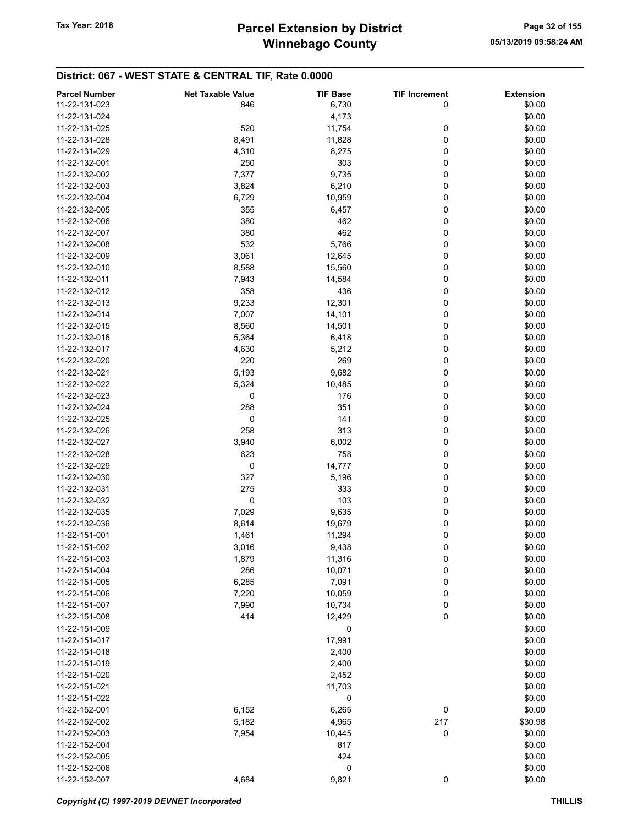| <b>Parcel Number</b> | <b>Net Taxable Value</b> | <b>TIF Base</b> | <b>TIF Increment</b> | <b>Extension</b> |
|----------------------|--------------------------|-----------------|----------------------|------------------|
| 11-22-131-023        | 846                      | 6,730           | 0                    | \$0.00           |
| 11-22-131-024        |                          | 4,173           |                      | \$0.00           |
| 11-22-131-025        | 520                      | 11,754          | 0                    | \$0.00           |
| 11-22-131-028        | 8,491                    | 11,828          | 0                    | \$0.00           |
| 11-22-131-029        |                          |                 | 0                    | \$0.00           |
|                      | 4,310                    | 8,275           |                      |                  |
| 11-22-132-001        | 250                      | 303             | 0                    | \$0.00           |
| 11-22-132-002        | 7,377                    | 9,735           | 0                    | \$0.00           |
| 11-22-132-003        | 3,824                    | 6,210           | 0                    | \$0.00           |
| 11-22-132-004        | 6,729                    | 10,959          | 0                    | \$0.00           |
| 11-22-132-005        | 355                      | 6,457           | 0                    | \$0.00           |
| 11-22-132-006        | 380                      | 462             | 0                    | \$0.00           |
| 11-22-132-007        | 380                      | 462             | 0                    | \$0.00           |
| 11-22-132-008        | 532                      | 5,766           | 0                    | \$0.00           |
| 11-22-132-009        | 3,061                    | 12,645          | 0                    | \$0.00           |
| 11-22-132-010        | 8,588                    | 15,560          | 0                    | \$0.00           |
| 11-22-132-011        | 7,943                    | 14,584          | 0                    | \$0.00           |
| 11-22-132-012        | 358                      | 436             | 0                    | \$0.00           |
| 11-22-132-013        | 9,233                    | 12,301          | 0                    | \$0.00           |
| 11-22-132-014        | 7,007                    | 14,101          | 0                    | \$0.00           |
|                      |                          |                 |                      |                  |
| 11-22-132-015        | 8,560                    | 14,501          | 0                    | \$0.00           |
| 11-22-132-016        | 5,364                    | 6,418           | 0                    | \$0.00           |
| 11-22-132-017        | 4,630                    | 5,212           | 0                    | \$0.00           |
| 11-22-132-020        | 220                      | 269             | 0                    | \$0.00           |
| 11-22-132-021        | 5,193                    | 9,682           | 0                    | \$0.00           |
| 11-22-132-022        | 5,324                    | 10,485          | 0                    | \$0.00           |
| 11-22-132-023        | 0                        | 176             | 0                    | \$0.00           |
| 11-22-132-024        | 288                      | 351             | 0                    | \$0.00           |
| 11-22-132-025        | 0                        | 141             | 0                    | \$0.00           |
| 11-22-132-026        | 258                      | 313             | 0                    | \$0.00           |
| 11-22-132-027        | 3,940                    | 6,002           | 0                    | \$0.00           |
| 11-22-132-028        | 623                      | 758             | 0                    | \$0.00           |
| 11-22-132-029        | 0                        | 14,777          | 0                    | \$0.00           |
| 11-22-132-030        | 327                      | 5,196           | 0                    | \$0.00           |
| 11-22-132-031        | 275                      | 333             | 0                    | \$0.00           |
| 11-22-132-032        | 0                        | 103             | 0                    | \$0.00           |
|                      |                          |                 | 0                    | \$0.00           |
| 11-22-132-035        | 7,029                    | 9,635           |                      |                  |
| 11-22-132-036        | 8,614                    | 19,679          | 0                    | \$0.00           |
| 11-22-151-001        | 1,461                    | 11,294          | 0                    | \$0.00           |
| 11-22-151-002        | 3,016                    | 9,438           | 0                    | \$0.00           |
| 11-22-151-003        | 1,879                    | 11,316          | 0                    | \$0.00           |
| 11-22-151-004        | 286                      | 10,071          | 0                    | \$0.00           |
| 11-22-151-005        | 6,285                    | 7,091           | 0                    | \$0.00           |
| 11-22-151-006        | 7,220                    | 10,059          | 0                    | \$0.00           |
| 11-22-151-007        | 7,990                    | 10,734          | 0                    | \$0.00           |
| 11-22-151-008        | 414                      | 12,429          | 0                    | \$0.00           |
| 11-22-151-009        |                          | 0               |                      | \$0.00           |
| 11-22-151-017        |                          | 17,991          |                      | \$0.00           |
| 11-22-151-018        |                          | 2,400           |                      | \$0.00           |
| 11-22-151-019        |                          | 2,400           |                      | \$0.00           |
| 11-22-151-020        |                          | 2,452           |                      | \$0.00           |
| 11-22-151-021        |                          | 11,703          |                      | \$0.00           |
| 11-22-151-022        |                          |                 |                      | \$0.00           |
|                      |                          | 0               |                      |                  |
| 11-22-152-001        | 6,152                    | 6,265           | 0                    | \$0.00           |
| 11-22-152-002        | 5,182                    | 4,965           | 217                  | \$30.98          |
| 11-22-152-003        | 7,954                    | 10,445          | 0                    | \$0.00           |
| 11-22-152-004        |                          | 817             |                      | \$0.00           |
| 11-22-152-005        |                          | 424             |                      | \$0.00           |
| 11-22-152-006        |                          | 0               |                      | \$0.00           |
| 11-22-152-007        | 4,684                    | 9,821           | $\pmb{0}$            | \$0.00           |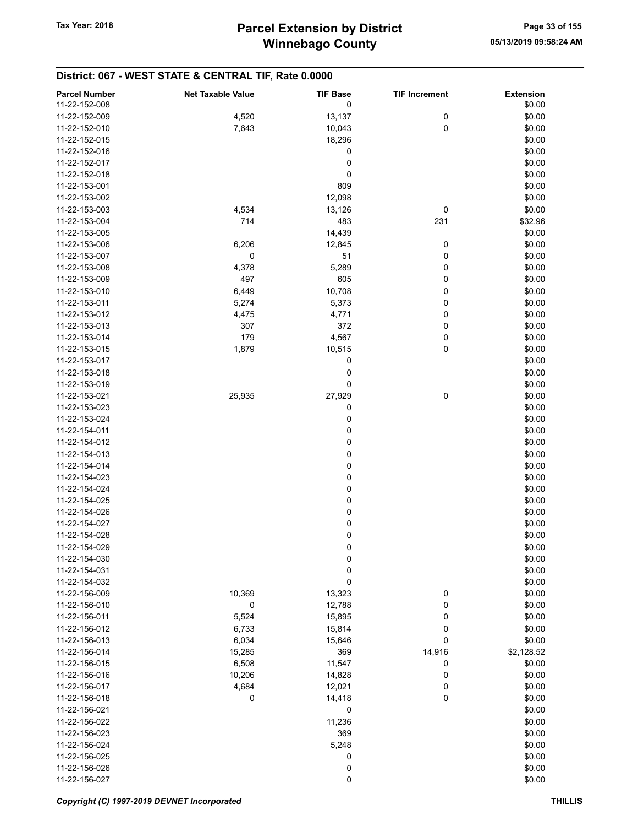| <b>Parcel Number</b> | <b>Net Taxable Value</b> | <b>TIF Base</b>  | <b>TIF Increment</b> | <b>Extension</b> |
|----------------------|--------------------------|------------------|----------------------|------------------|
| 11-22-152-008        |                          | 0                |                      | \$0.00           |
| 11-22-152-009        | 4,520                    | 13,137           | 0                    | \$0.00           |
| 11-22-152-010        | 7,643                    | 10,043           | 0                    | \$0.00           |
| 11-22-152-015        |                          | 18,296           |                      | \$0.00           |
| 11-22-152-016        |                          | 0                |                      | \$0.00           |
| 11-22-152-017        |                          | 0                |                      | \$0.00           |
| 11-22-152-018        |                          | 0                |                      | \$0.00           |
| 11-22-153-001        |                          | 809              |                      | \$0.00           |
| 11-22-153-002        |                          | 12,098           |                      | \$0.00           |
| 11-22-153-003        | 4,534                    | 13,126           | 0                    | \$0.00           |
| 11-22-153-004        | 714                      | 483              | 231                  | \$32.96          |
| 11-22-153-005        |                          | 14,439           |                      | \$0.00           |
| 11-22-153-006        | 6,206                    | 12,845           | 0                    | \$0.00           |
| 11-22-153-007        | 0                        | 51               | 0                    | \$0.00           |
| 11-22-153-008        | 4,378                    | 5,289            | 0                    | \$0.00           |
| 11-22-153-009        | 497                      | 605              | 0                    | \$0.00           |
| 11-22-153-010        | 6,449                    | 10,708           | 0                    | \$0.00           |
| 11-22-153-011        | 5,274                    | 5,373            | 0                    | \$0.00           |
| 11-22-153-012        | 4,475                    | 4,771            | 0                    | \$0.00           |
| 11-22-153-013        | 307                      | 372              | 0                    | \$0.00           |
| 11-22-153-014        | 179                      | 4,567            | 0                    | \$0.00           |
| 11-22-153-015        | 1,879                    | 10,515           | 0                    | \$0.00           |
| 11-22-153-017        |                          | 0                |                      | \$0.00           |
| 11-22-153-018        |                          | 0                |                      | \$0.00           |
| 11-22-153-019        |                          | 0                |                      | \$0.00           |
| 11-22-153-021        | 25,935                   | 27,929           | $\pmb{0}$            | \$0.00           |
| 11-22-153-023        |                          | 0                |                      | \$0.00           |
| 11-22-153-024        |                          | 0                |                      | \$0.00           |
| 11-22-154-011        |                          | 0                |                      | \$0.00           |
| 11-22-154-012        |                          | $\pmb{0}$        |                      | \$0.00           |
| 11-22-154-013        |                          | $\pmb{0}$        |                      | \$0.00           |
| 11-22-154-014        |                          | 0                |                      | \$0.00           |
| 11-22-154-023        |                          | 0                |                      | \$0.00           |
| 11-22-154-024        |                          | 0                |                      | \$0.00           |
| 11-22-154-025        |                          | 0                |                      | \$0.00           |
| 11-22-154-026        |                          | $\mathbf 0$      |                      | \$0.00           |
| 11-22-154-027        |                          | $\mathbf 0$      |                      | \$0.00           |
| 11-22-154-028        |                          | $\mathbf 0$      |                      | \$0.00           |
| 11-22-154-029        |                          | 0                |                      | \$0.00           |
| 11-22-154-030        |                          | $\boldsymbol{0}$ |                      | \$0.00           |
| 11-22-154-031        |                          | $\mathbf 0$      |                      | \$0.00           |
| 11-22-154-032        |                          | 0                |                      | \$0.00           |
| 11-22-156-009        | 10,369                   | 13,323           | 0                    | \$0.00           |
| 11-22-156-010        | 0                        | 12,788           | 0                    | \$0.00           |
| 11-22-156-011        | 5,524                    | 15,895           | 0                    | \$0.00           |
| 11-22-156-012        | 6,733                    | 15,814           | 0                    | \$0.00           |
| 11-22-156-013        | 6,034                    | 15,646           | 0                    | \$0.00           |
| 11-22-156-014        | 15,285                   | 369              | 14,916               | \$2,128.52       |
| 11-22-156-015        | 6,508                    | 11,547           | 0                    | \$0.00           |
| 11-22-156-016        | 10,206                   | 14,828           | 0                    | \$0.00           |
| 11-22-156-017        | 4,684                    | 12,021           | 0                    | \$0.00           |
| 11-22-156-018        | 0                        | 14,418           | 0                    | \$0.00           |
| 11-22-156-021        |                          | 0                |                      | \$0.00           |
| 11-22-156-022        |                          | 11,236           |                      | \$0.00           |
| 11-22-156-023        |                          | 369              |                      | \$0.00           |
| 11-22-156-024        |                          | 5,248            |                      | \$0.00           |
| 11-22-156-025        |                          | 0                |                      | \$0.00           |
| 11-22-156-026        |                          | 0                |                      | \$0.00           |
| 11-22-156-027        |                          | $\pmb{0}$        |                      | \$0.00           |
|                      |                          |                  |                      |                  |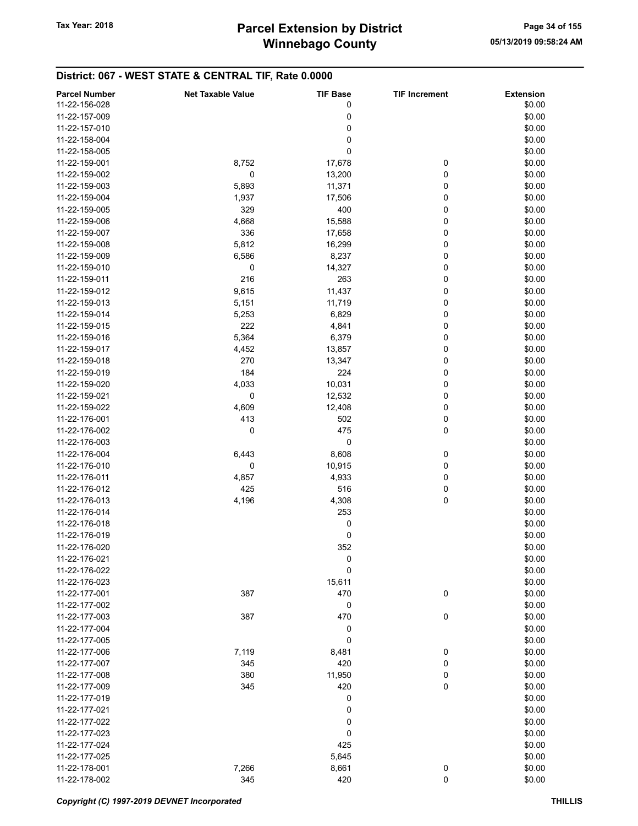# Winnebago County Tax Year: 2018 **Parcel Extension by District** Page 34 of 155

| <b>Parcel Number</b> | <b>Net Taxable Value</b> | <b>TIF Base</b> | <b>TIF Increment</b> | <b>Extension</b> |
|----------------------|--------------------------|-----------------|----------------------|------------------|
| 11-22-156-028        |                          | 0               |                      | \$0.00           |
| 11-22-157-009        |                          | 0               |                      | \$0.00           |
| 11-22-157-010        |                          | 0               |                      | \$0.00           |
|                      |                          |                 |                      |                  |
| 11-22-158-004        |                          | 0               |                      | \$0.00           |
| 11-22-158-005        |                          | 0               |                      | \$0.00           |
| 11-22-159-001        | 8,752                    | 17,678          | 0                    | \$0.00           |
| 11-22-159-002        | 0                        | 13,200          | 0                    | \$0.00           |
| 11-22-159-003        | 5,893                    | 11,371          | 0                    | \$0.00           |
| 11-22-159-004        | 1,937                    | 17,506          | 0                    | \$0.00           |
| 11-22-159-005        | 329                      | 400             | 0                    | \$0.00           |
| 11-22-159-006        | 4,668                    | 15,588          | 0                    | \$0.00           |
| 11-22-159-007        | 336                      | 17,658          | 0                    | \$0.00           |
| 11-22-159-008        | 5,812                    | 16,299          | 0                    | \$0.00           |
| 11-22-159-009        | 6,586                    | 8,237           | 0                    | \$0.00           |
| 11-22-159-010        | 0                        | 14,327          | 0                    | \$0.00           |
| 11-22-159-011        | 216                      | 263             | 0                    | \$0.00           |
| 11-22-159-012        | 9,615                    | 11,437          | 0                    | \$0.00           |
| 11-22-159-013        | 5,151                    | 11,719          | 0                    | \$0.00           |
| 11-22-159-014        | 5,253                    | 6,829           | 0                    | \$0.00           |
| 11-22-159-015        | 222                      | 4,841           | 0                    | \$0.00           |
|                      |                          |                 |                      |                  |
| 11-22-159-016        | 5,364                    | 6,379           | 0                    | \$0.00           |
| 11-22-159-017        | 4,452                    | 13,857          | 0                    | \$0.00           |
| 11-22-159-018        | 270                      | 13,347          | 0                    | \$0.00           |
| 11-22-159-019        | 184                      | 224             | 0                    | \$0.00           |
| 11-22-159-020        | 4,033                    | 10,031          | 0                    | \$0.00           |
| 11-22-159-021        | 0                        | 12,532          | 0                    | \$0.00           |
| 11-22-159-022        | 4,609                    | 12,408          | 0                    | \$0.00           |
| 11-22-176-001        | 413                      | 502             | 0                    | \$0.00           |
| 11-22-176-002        | 0                        | 475             | 0                    | \$0.00           |
| 11-22-176-003        |                          | 0               |                      | \$0.00           |
| 11-22-176-004        | 6,443                    | 8,608           | 0                    | \$0.00           |
| 11-22-176-010        | 0                        | 10,915          | 0                    | \$0.00           |
| 11-22-176-011        | 4,857                    | 4,933           | 0                    | \$0.00           |
| 11-22-176-012        | 425                      | 516             | 0                    | \$0.00           |
| 11-22-176-013        | 4,196                    | 4,308           | 0                    | \$0.00           |
| 11-22-176-014        |                          | 253             |                      | \$0.00           |
| 11-22-176-018        |                          | 0               |                      | \$0.00           |
| 11-22-176-019        |                          | 0               |                      | \$0.00           |
| 11-22-176-020        |                          | 352             |                      | \$0.00           |
| 11-22-176-021        |                          | 0               |                      | \$0.00           |
| 11-22-176-022        |                          | 0               |                      | \$0.00           |
|                      |                          |                 |                      |                  |
| 11-22-176-023        |                          | 15,611          |                      | \$0.00           |
| 11-22-177-001        | 387                      | 470             | 0                    | \$0.00           |
| 11-22-177-002        |                          | 0               |                      | \$0.00           |
| 11-22-177-003        | 387                      | 470             | 0                    | \$0.00           |
| 11-22-177-004        |                          | 0               |                      | \$0.00           |
| 11-22-177-005        |                          | 0               |                      | \$0.00           |
| 11-22-177-006        | 7,119                    | 8,481           | 0                    | \$0.00           |
| 11-22-177-007        | 345                      | 420             | 0                    | \$0.00           |
| 11-22-177-008        | 380                      | 11,950          | 0                    | \$0.00           |
| 11-22-177-009        | 345                      | 420             | $\mathbf 0$          | \$0.00           |
| 11-22-177-019        |                          | 0               |                      | \$0.00           |
| 11-22-177-021        |                          | 0               |                      | \$0.00           |
| 11-22-177-022        |                          | 0               |                      | \$0.00           |
| 11-22-177-023        |                          | 0               |                      | \$0.00           |
| 11-22-177-024        |                          | 425             |                      | \$0.00           |
| 11-22-177-025        |                          | 5,645           |                      | \$0.00           |
| 11-22-178-001        | 7,266                    | 8,661           | 0                    | \$0.00           |
| 11-22-178-002        | 345                      | 420             | $\mathbf 0$          | \$0.00           |
|                      |                          |                 |                      |                  |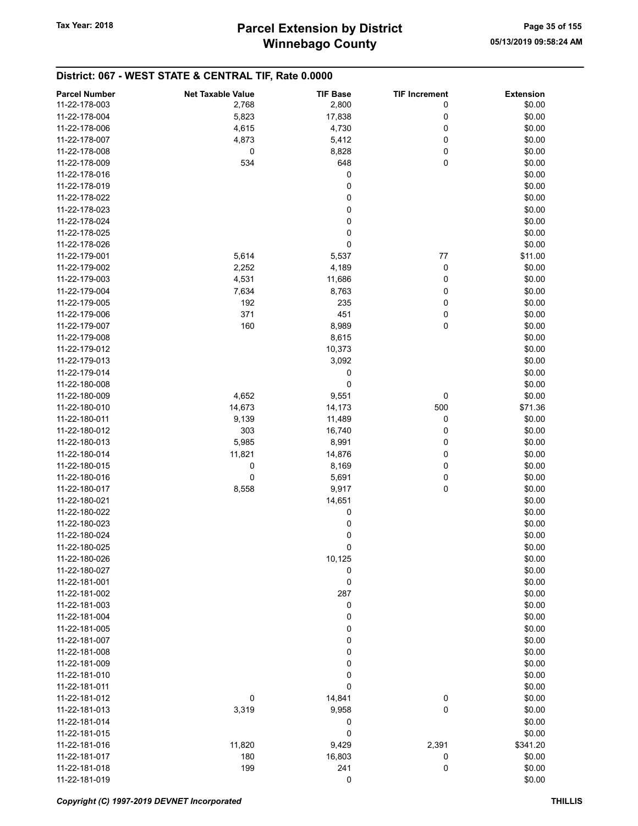| <b>Parcel Number</b>           | <b>Net Taxable Value</b> | <b>TIF Base</b> | <b>TIF Increment</b> | <b>Extension</b> |
|--------------------------------|--------------------------|-----------------|----------------------|------------------|
| 11-22-178-003                  | 2,768                    | 2,800           | 0                    | \$0.00           |
| 11-22-178-004                  | 5,823                    | 17,838          | 0                    | \$0.00           |
| 11-22-178-006                  | 4,615                    | 4,730           | 0                    | \$0.00           |
| 11-22-178-007                  |                          | 5,412           | 0                    |                  |
|                                | 4,873                    |                 |                      | \$0.00           |
| 11-22-178-008                  | 0                        | 8,828           | 0                    | \$0.00           |
| 11-22-178-009                  | 534                      | 648             | 0                    | \$0.00           |
| 11-22-178-016                  |                          | 0               |                      | \$0.00           |
| 11-22-178-019                  |                          | 0               |                      | \$0.00           |
| 11-22-178-022                  |                          | 0               |                      | \$0.00           |
| 11-22-178-023                  |                          | 0               |                      | \$0.00           |
| 11-22-178-024                  |                          | 0               |                      | \$0.00           |
| 11-22-178-025                  |                          | 0               |                      | \$0.00           |
| 11-22-178-026                  |                          | 0               |                      | \$0.00           |
| 11-22-179-001                  | 5,614                    | 5,537           | 77                   | \$11.00          |
| 11-22-179-002                  | 2,252                    | 4,189           | 0                    | \$0.00           |
| 11-22-179-003                  | 4,531                    | 11,686          | 0                    | \$0.00           |
| 11-22-179-004                  | 7,634                    | 8,763           | 0                    | \$0.00           |
| 11-22-179-005                  | 192                      | 235             | 0                    | \$0.00           |
| 11-22-179-006                  | 371                      | 451             | 0                    | \$0.00           |
| 11-22-179-007                  | 160                      | 8,989           | $\pmb{0}$            | \$0.00           |
| 11-22-179-008                  |                          | 8,615           |                      | \$0.00           |
| 11-22-179-012                  |                          | 10,373          |                      | \$0.00           |
| 11-22-179-013                  |                          | 3,092           |                      | \$0.00           |
| 11-22-179-014                  |                          | 0               |                      | \$0.00           |
| 11-22-180-008                  |                          | 0               |                      | \$0.00           |
| 11-22-180-009                  | 4,652                    | 9,551           | 0                    | \$0.00           |
| 11-22-180-010                  | 14,673                   | 14,173          | 500                  | \$71.36          |
| 11-22-180-011                  | 9,139                    | 11,489          | 0                    | \$0.00           |
| 11-22-180-012                  | 303                      | 16,740          | 0                    | \$0.00           |
| 11-22-180-013                  | 5,985                    | 8,991           | 0                    | \$0.00           |
| 11-22-180-014                  | 11,821                   | 14,876          | 0                    | \$0.00           |
| 11-22-180-015                  | 0                        | 8,169           | 0                    | \$0.00           |
|                                | $\mathbf 0$              |                 |                      | \$0.00           |
| 11-22-180-016<br>11-22-180-017 | 8,558                    | 5,691<br>9,917  | 0<br>0               | \$0.00           |
|                                |                          |                 |                      |                  |
| 11-22-180-021                  |                          | 14,651          |                      | \$0.00           |
| 11-22-180-022                  |                          | 0               |                      | \$0.00           |
| 11-22-180-023                  |                          | 0               |                      | \$0.00           |
| 11-22-180-024                  |                          | 0               |                      | \$0.00           |
| 11-22-180-025                  |                          | 0               |                      | \$0.00           |
| 11-22-180-026                  |                          | 10,125          |                      | \$0.00           |
| 11-22-180-027                  |                          | 0               |                      | \$0.00           |
| 11-22-181-001                  |                          | 0               |                      | \$0.00           |
| 11-22-181-002                  |                          | 287             |                      | \$0.00           |
| 11-22-181-003                  |                          | 0               |                      | \$0.00           |
| 11-22-181-004                  |                          | 0               |                      | \$0.00           |
| 11-22-181-005                  |                          | 0               |                      | \$0.00           |
| 11-22-181-007                  |                          | 0               |                      | \$0.00           |
| 11-22-181-008                  |                          | 0               |                      | \$0.00           |
| 11-22-181-009                  |                          | 0               |                      | \$0.00           |
| 11-22-181-010                  |                          | 0               |                      | \$0.00           |
| 11-22-181-011                  |                          | 0               |                      | \$0.00           |
| 11-22-181-012                  | 0                        | 14,841          | $\boldsymbol{0}$     | \$0.00           |
| 11-22-181-013                  | 3,319                    | 9,958           | 0                    | \$0.00           |
| 11-22-181-014                  |                          | 0               |                      | \$0.00           |
| 11-22-181-015                  |                          | 0               |                      | \$0.00           |
| 11-22-181-016                  | 11,820                   | 9,429           | 2,391                | \$341.20         |
| 11-22-181-017                  | 180                      | 16,803          | 0                    | \$0.00           |
| 11-22-181-018                  | 199                      | 241             | 0                    | \$0.00           |
| 11-22-181-019                  |                          | 0               |                      | \$0.00           |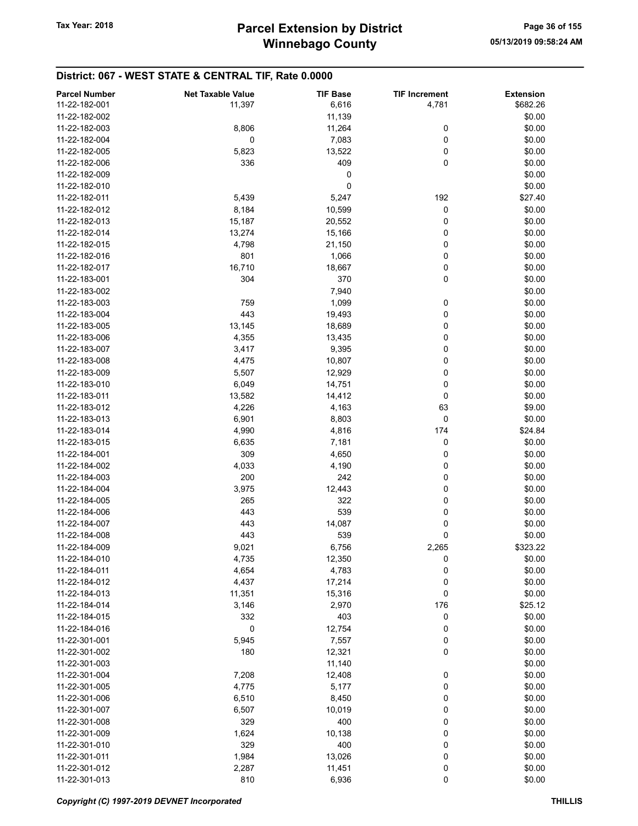| <b>Parcel Number</b> | <b>Net Taxable Value</b> | <b>TIF Base</b> | <b>TIF Increment</b> | <b>Extension</b> |
|----------------------|--------------------------|-----------------|----------------------|------------------|
| 11-22-182-001        | 11,397                   | 6,616           | 4,781                | \$682.26         |
| 11-22-182-002        |                          | 11,139          |                      | \$0.00           |
| 11-22-182-003        | 8,806                    | 11,264          | 0                    | \$0.00           |
| 11-22-182-004        | 0                        | 7,083           | 0                    | \$0.00           |
| 11-22-182-005        | 5,823                    | 13,522          | 0                    | \$0.00           |
| 11-22-182-006        | 336                      | 409             | 0                    | \$0.00           |
|                      |                          |                 |                      |                  |
| 11-22-182-009        |                          | 0               |                      | \$0.00           |
| 11-22-182-010        |                          | 0               |                      | \$0.00           |
| 11-22-182-011        | 5,439                    | 5,247           | 192                  | \$27.40          |
| 11-22-182-012        | 8,184                    | 10,599          | 0                    | \$0.00           |
| 11-22-182-013        | 15,187                   | 20,552          | 0                    | \$0.00           |
| 11-22-182-014        | 13,274                   | 15,166          | 0                    | \$0.00           |
| 11-22-182-015        | 4,798                    | 21,150          | 0                    | \$0.00           |
| 11-22-182-016        | 801                      | 1,066           | 0                    | \$0.00           |
| 11-22-182-017        | 16,710                   | 18,667          | 0                    | \$0.00           |
| 11-22-183-001        | 304                      | 370             | 0                    | \$0.00           |
| 11-22-183-002        |                          | 7,940           |                      | \$0.00           |
| 11-22-183-003        | 759                      | 1,099           | 0                    | \$0.00           |
| 11-22-183-004        | 443                      | 19,493          | 0                    | \$0.00           |
| 11-22-183-005        | 13,145                   | 18,689          | 0                    | \$0.00           |
| 11-22-183-006        | 4,355                    | 13,435          | 0                    | \$0.00           |
| 11-22-183-007        | 3,417                    | 9,395           | 0                    | \$0.00           |
| 11-22-183-008        | 4,475                    | 10,807          | 0                    | \$0.00           |
| 11-22-183-009        | 5,507                    | 12,929          | 0                    | \$0.00           |
| 11-22-183-010        | 6,049                    | 14,751          | 0                    | \$0.00           |
| 11-22-183-011        | 13,582                   | 14,412          | 0                    | \$0.00           |
| 11-22-183-012        | 4,226                    | 4,163           | 63                   | \$9.00           |
| 11-22-183-013        | 6,901                    | 8,803           | 0                    | \$0.00           |
| 11-22-183-014        | 4,990                    | 4,816           | 174                  | \$24.84          |
| 11-22-183-015        | 6,635                    | 7,181           | 0                    | \$0.00           |
| 11-22-184-001        | 309                      | 4,650           | 0                    | \$0.00           |
| 11-22-184-002        | 4,033                    | 4,190           | 0                    | \$0.00           |
| 11-22-184-003        | 200                      | 242             | 0                    | \$0.00           |
| 11-22-184-004        |                          |                 | 0                    | \$0.00           |
|                      | 3,975                    | 12,443          |                      |                  |
| 11-22-184-005        | 265<br>443               | 322<br>539      | 0<br>0               | \$0.00           |
| 11-22-184-006        |                          |                 |                      | \$0.00           |
| 11-22-184-007        | 443                      | 14,087          | 0                    | \$0.00           |
| 11-22-184-008        | 443                      | 539             | 0                    | \$0.00           |
| 11-22-184-009        | 9,021                    | 6,756           | 2,265                | \$323.22         |
| 11-22-184-010        | 4,735                    | 12,350          | 0                    | \$0.00           |
| 11-22-184-011        | 4,654                    | 4,783           | 0                    | \$0.00           |
| 11-22-184-012        | 4,437                    | 17,214          | 0                    | \$0.00           |
| 11-22-184-013        | 11,351                   | 15,316          | 0                    | \$0.00           |
| 11-22-184-014        | 3,146                    | 2,970           | 176                  | \$25.12          |
| 11-22-184-015        | 332                      | 403             | 0                    | \$0.00           |
| 11-22-184-016        | 0                        | 12,754          | 0                    | \$0.00           |
| 11-22-301-001        | 5,945                    | 7,557           | 0                    | \$0.00           |
| 11-22-301-002        | 180                      | 12,321          | 0                    | \$0.00           |
| 11-22-301-003        |                          | 11,140          |                      | \$0.00           |
| 11-22-301-004        | 7,208                    | 12,408          | 0                    | \$0.00           |
| 11-22-301-005        | 4,775                    | 5,177           | 0                    | \$0.00           |
| 11-22-301-006        | 6,510                    | 8,450           | 0                    | \$0.00           |
| 11-22-301-007        | 6,507                    | 10,019          | 0                    | \$0.00           |
| 11-22-301-008        | 329                      | 400             | 0                    | \$0.00           |
| 11-22-301-009        | 1,624                    | 10,138          | 0                    | \$0.00           |
| 11-22-301-010        | 329                      | 400             | 0                    | \$0.00           |
| 11-22-301-011        | 1,984                    | 13,026          | 0                    | \$0.00           |
| 11-22-301-012        | 2,287                    | 11,451          | 0                    | \$0.00           |
| 11-22-301-013        | 810                      | 6,936           | 0                    | \$0.00           |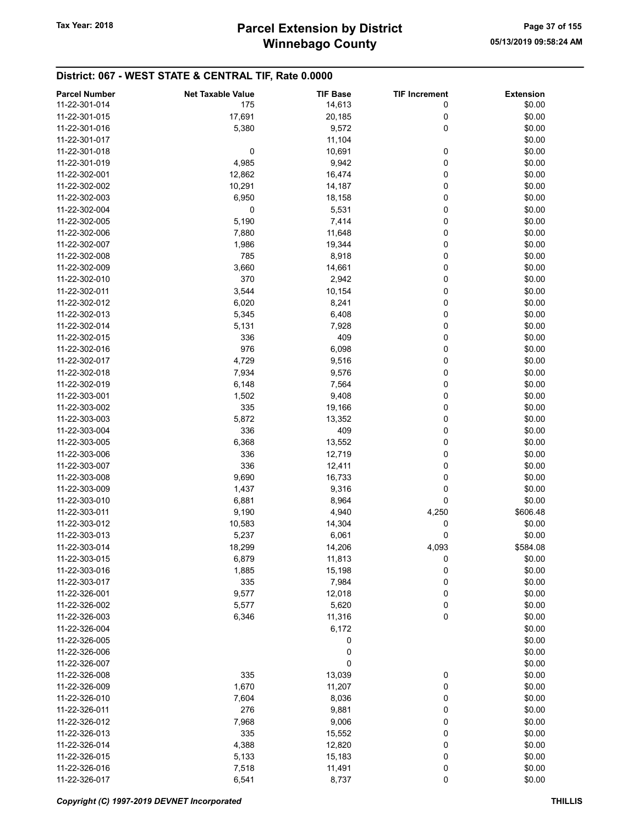## District: 067 - WEST STATE & CENTRAL TIF, Rate 0.0000

| <b>Parcel Number</b> | <b>Net Taxable Value</b> | <b>TIF Base</b> | <b>TIF Increment</b> | <b>Extension</b> |
|----------------------|--------------------------|-----------------|----------------------|------------------|
| 11-22-301-014        | 175                      | 14,613          | 0                    | \$0.00           |
| 11-22-301-015        | 17,691                   | 20,185          | 0                    | \$0.00           |
| 11-22-301-016        | 5,380                    | 9,572           | 0                    | \$0.00           |
| 11-22-301-017        |                          | 11,104          |                      | \$0.00           |
| 11-22-301-018        |                          |                 |                      | \$0.00           |
|                      | $\boldsymbol{0}$         | 10,691          | 0                    |                  |
| 11-22-301-019        | 4,985                    | 9,942           | 0                    | \$0.00           |
| 11-22-302-001        | 12,862                   | 16,474          | 0                    | \$0.00           |
| 11-22-302-002        | 10,291                   | 14,187          | 0                    | \$0.00           |
| 11-22-302-003        | 6,950                    | 18,158          | 0                    | \$0.00           |
| 11-22-302-004        | 0                        | 5,531           | 0                    | \$0.00           |
| 11-22-302-005        | 5,190                    | 7,414           | 0                    | \$0.00           |
| 11-22-302-006        | 7,880                    | 11,648          | 0                    | \$0.00           |
| 11-22-302-007        | 1,986                    | 19,344          | 0                    | \$0.00           |
| 11-22-302-008        | 785                      | 8,918           | 0                    | \$0.00           |
| 11-22-302-009        | 3,660                    | 14,661          | 0                    | \$0.00           |
| 11-22-302-010        | 370                      | 2,942           | 0                    | \$0.00           |
| 11-22-302-011        | 3,544                    | 10,154          | 0                    | \$0.00           |
| 11-22-302-012        | 6,020                    | 8,241           | 0                    | \$0.00           |
| 11-22-302-013        | 5,345                    | 6,408           | 0                    | \$0.00           |
| 11-22-302-014        |                          |                 | 0                    | \$0.00           |
|                      | 5,131                    | 7,928           |                      |                  |
| 11-22-302-015        | 336                      | 409             | 0                    | \$0.00           |
| 11-22-302-016        | 976                      | 6,098           | 0                    | \$0.00           |
| 11-22-302-017        | 4,729                    | 9,516           | 0                    | \$0.00           |
| 11-22-302-018        | 7,934                    | 9,576           | 0                    | \$0.00           |
| 11-22-302-019        | 6,148                    | 7,564           | 0                    | \$0.00           |
| 11-22-303-001        | 1,502                    | 9,408           | 0                    | \$0.00           |
| 11-22-303-002        | 335                      | 19,166          | 0                    | \$0.00           |
| 11-22-303-003        | 5,872                    | 13,352          | 0                    | \$0.00           |
| 11-22-303-004        | 336                      | 409             | 0                    | \$0.00           |
| 11-22-303-005        | 6,368                    | 13,552          | 0                    | \$0.00           |
| 11-22-303-006        | 336                      | 12,719          | 0                    | \$0.00           |
| 11-22-303-007        | 336                      | 12,411          | 0                    | \$0.00           |
| 11-22-303-008        | 9,690                    | 16,733          | 0                    | \$0.00           |
| 11-22-303-009        | 1,437                    | 9,316           | 0                    | \$0.00           |
| 11-22-303-010        | 6,881                    | 8,964           | 0                    | \$0.00           |
| 11-22-303-011        | 9,190                    | 4,940           | 4,250                | \$606.48         |
|                      |                          |                 |                      |                  |
| 11-22-303-012        | 10,583                   | 14,304          | 0                    | \$0.00           |
| 11-22-303-013        | 5,237                    | 6,061           | 0                    | \$0.00           |
| 11-22-303-014        | 18,299                   | 14,206          | 4,093                | \$584.08         |
| 11-22-303-015        | 6,879                    | 11,813          | 0                    | \$0.00           |
| 11-22-303-016        | 1,885                    | 15,198          | 0                    | \$0.00           |
| 11-22-303-017        | 335                      | 7,984           | 0                    | \$0.00           |
| 11-22-326-001        | 9,577                    | 12,018          | 0                    | \$0.00           |
| 11-22-326-002        | 5,577                    | 5,620           | 0                    | \$0.00           |
| 11-22-326-003        | 6,346                    | 11,316          | 0                    | \$0.00           |
| 11-22-326-004        |                          | 6,172           |                      | \$0.00           |
| 11-22-326-005        |                          | 0               |                      | \$0.00           |
| 11-22-326-006        |                          | 0               |                      | \$0.00           |
| 11-22-326-007        |                          | 0               |                      | \$0.00           |
| 11-22-326-008        | 335                      | 13,039          | $\boldsymbol{0}$     | \$0.00           |
| 11-22-326-009        | 1,670                    | 11,207          | 0                    | \$0.00           |
| 11-22-326-010        |                          | 8,036           |                      | \$0.00           |
|                      | 7,604                    |                 | 0                    |                  |
| 11-22-326-011        | 276                      | 9,881           | 0                    | \$0.00           |
| 11-22-326-012        | 7,968                    | 9,006           | 0                    | \$0.00           |
| 11-22-326-013        | 335                      | 15,552          | 0                    | \$0.00           |
| 11-22-326-014        | 4,388                    | 12,820          | 0                    | \$0.00           |
| 11-22-326-015        | 5,133                    | 15,183          | 0                    | \$0.00           |
| 11-22-326-016        | 7,518                    | 11,491          | 0                    | \$0.00           |
| 11-22-326-017        | 6,541                    | 8,737           | 0                    | \$0.00           |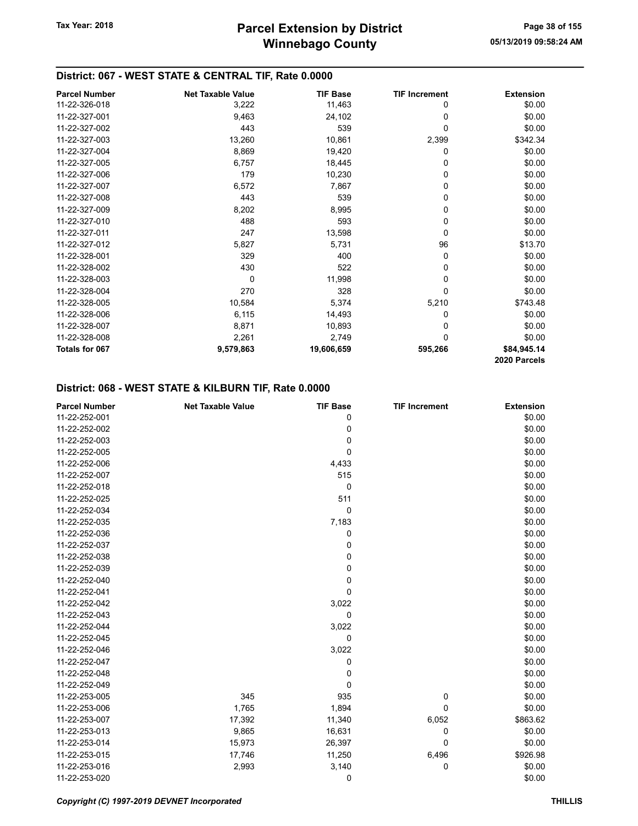## District: 067 - WEST STATE & CENTRAL TIF, Rate 0.0000

| <b>Parcel Number</b> | <b>Net Taxable Value</b> | <b>TIF Base</b> | <b>TIF Increment</b> | <b>Extension</b> |
|----------------------|--------------------------|-----------------|----------------------|------------------|
| 11-22-326-018        | 3,222                    | 11,463          | 0                    | \$0.00           |
| 11-22-327-001        | 9,463                    | 24,102          | 0                    | \$0.00           |
| 11-22-327-002        | 443                      | 539             | 0                    | \$0.00           |
| 11-22-327-003        | 13,260                   | 10,861          | 2,399                | \$342.34         |
| 11-22-327-004        | 8,869                    | 19,420          | 0                    | \$0.00           |
| 11-22-327-005        | 6,757                    | 18,445          | 0                    | \$0.00           |
| 11-22-327-006        | 179                      | 10,230          | 0                    | \$0.00           |
| 11-22-327-007        | 6,572                    | 7,867           | 0                    | \$0.00           |
| 11-22-327-008        | 443                      | 539             | 0                    | \$0.00           |
| 11-22-327-009        | 8,202                    | 8,995           | 0                    | \$0.00           |
| 11-22-327-010        | 488                      | 593             | 0                    | \$0.00           |
| 11-22-327-011        | 247                      | 13,598          | 0                    | \$0.00           |
| 11-22-327-012        | 5,827                    | 5,731           | 96                   | \$13.70          |
| 11-22-328-001        | 329                      | 400             | 0                    | \$0.00           |
| 11-22-328-002        | 430                      | 522             | 0                    | \$0.00           |
| 11-22-328-003        | 0                        | 11,998          | 0                    | \$0.00           |
| 11-22-328-004        | 270                      | 328             | 0                    | \$0.00           |
| 11-22-328-005        | 10,584                   | 5,374           | 5,210                | \$743.48         |
| 11-22-328-006        | 6,115                    | 14,493          | 0                    | \$0.00           |
| 11-22-328-007        | 8,871                    | 10,893          | 0                    | \$0.00           |
| 11-22-328-008        | 2,261                    | 2,749           | 0                    | \$0.00           |
| Totals for 067       | 9,579,863                | 19,606,659      | 595,266              | \$84,945.14      |
|                      |                          |                 |                      | 2020 Parcels     |

## District: 068 - WEST STATE & KILBURN TIF, Rate 0.0000

| <b>Parcel Number</b> | <b>Net Taxable Value</b> | <b>TIF Base</b> | <b>TIF Increment</b> | <b>Extension</b> |
|----------------------|--------------------------|-----------------|----------------------|------------------|
| 11-22-252-001        |                          | 0               |                      | \$0.00           |
| 11-22-252-002        |                          | 0               |                      | \$0.00           |
| 11-22-252-003        |                          | 0               |                      | \$0.00           |
| 11-22-252-005        |                          | 0               |                      | \$0.00           |
| 11-22-252-006        |                          | 4,433           |                      | \$0.00           |
| 11-22-252-007        |                          | 515             |                      | \$0.00           |
| 11-22-252-018        |                          | $\mathbf 0$     |                      | \$0.00           |
| 11-22-252-025        |                          | 511             |                      | \$0.00           |
| 11-22-252-034        |                          | 0               |                      | \$0.00           |
| 11-22-252-035        |                          | 7,183           |                      | \$0.00           |
| 11-22-252-036        |                          | 0               |                      | \$0.00           |
| 11-22-252-037        |                          | 0               |                      | \$0.00           |
| 11-22-252-038        |                          | 0               |                      | \$0.00           |
| 11-22-252-039        |                          | 0               |                      | \$0.00           |
| 11-22-252-040        |                          | 0               |                      | \$0.00           |
| 11-22-252-041        |                          | 0               |                      | \$0.00           |
| 11-22-252-042        |                          | 3,022           |                      | \$0.00           |
| 11-22-252-043        |                          | 0               |                      | \$0.00           |
| 11-22-252-044        |                          | 3,022           |                      | \$0.00           |
| 11-22-252-045        |                          | 0               |                      | \$0.00           |
| 11-22-252-046        |                          | 3,022           |                      | \$0.00           |
| 11-22-252-047        |                          | 0               |                      | \$0.00           |
| 11-22-252-048        |                          | 0               |                      | \$0.00           |
| 11-22-252-049        |                          | 0               |                      | \$0.00           |
| 11-22-253-005        | 345                      | 935             | 0                    | \$0.00           |
| 11-22-253-006        | 1,765                    | 1,894           | 0                    | \$0.00           |
| 11-22-253-007        | 17,392                   | 11,340          | 6,052                | \$863.62         |
| 11-22-253-013        | 9,865                    | 16,631          | 0                    | \$0.00           |
| 11-22-253-014        | 15,973                   | 26,397          | 0                    | \$0.00           |
| 11-22-253-015        | 17,746                   | 11,250          | 6,496                | \$926.98         |
| 11-22-253-016        | 2,993                    | 3,140           | 0                    | \$0.00           |
| 11-22-253-020        |                          | 0               |                      | \$0.00           |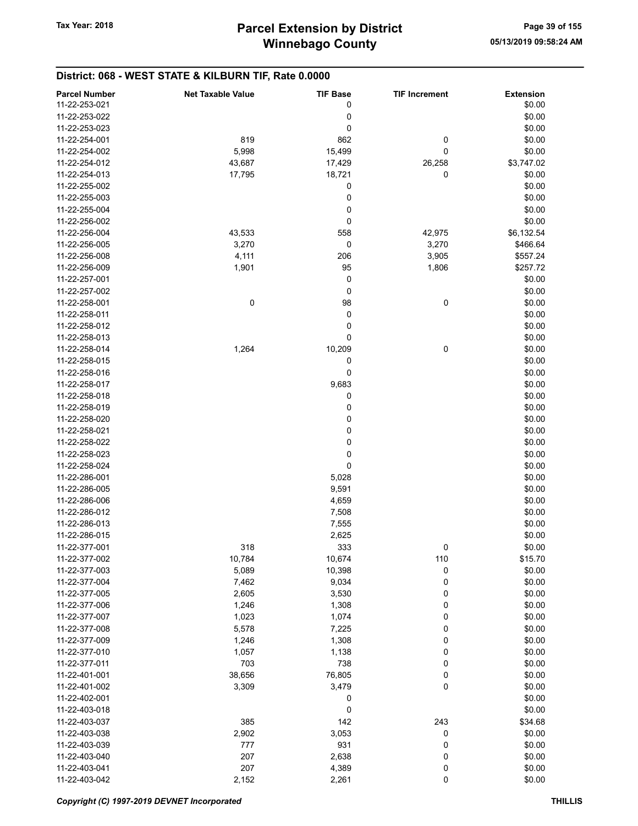# District: 068 - WEST STATE & KILBURN TIF, Rate 0.0000

| <b>Parcel Number</b> | <b>Net Taxable Value</b> | <b>TIF Base</b> | <b>TIF Increment</b> | <b>Extension</b> |
|----------------------|--------------------------|-----------------|----------------------|------------------|
| 11-22-253-021        |                          | 0               |                      | \$0.00           |
| 11-22-253-022        |                          | 0               |                      | \$0.00           |
| 11-22-253-023        |                          | 0               |                      | \$0.00           |
|                      |                          |                 |                      |                  |
| 11-22-254-001        | 819                      | 862             | 0                    | \$0.00           |
| 11-22-254-002        | 5,998                    | 15,499          | 0                    | \$0.00           |
| 11-22-254-012        | 43,687                   | 17,429          | 26,258               | \$3,747.02       |
| 11-22-254-013        | 17,795                   | 18,721          | 0                    | \$0.00           |
| 11-22-255-002        |                          | 0               |                      | \$0.00           |
| 11-22-255-003        |                          | 0               |                      | \$0.00           |
| 11-22-255-004        |                          | 0               |                      | \$0.00           |
| 11-22-256-002        |                          | 0               |                      | \$0.00           |
|                      |                          |                 |                      |                  |
| 11-22-256-004        | 43,533                   | 558             | 42,975               | \$6,132.54       |
| 11-22-256-005        | 3,270                    | 0               | 3,270                | \$466.64         |
| 11-22-256-008        | 4,111                    | 206             | 3,905                | \$557.24         |
| 11-22-256-009        | 1,901                    | 95              | 1,806                | \$257.72         |
| 11-22-257-001        |                          | 0               |                      | \$0.00           |
| 11-22-257-002        |                          | 0               |                      | \$0.00           |
| 11-22-258-001        | $\pmb{0}$                | 98              | 0                    | \$0.00           |
| 11-22-258-011        |                          | 0               |                      | \$0.00           |
| 11-22-258-012        |                          | 0               |                      | \$0.00           |
| 11-22-258-013        |                          |                 |                      |                  |
|                      |                          | 0               |                      | \$0.00           |
| 11-22-258-014        | 1,264                    | 10,209          | 0                    | \$0.00           |
| 11-22-258-015        |                          | 0               |                      | \$0.00           |
| 11-22-258-016        |                          | 0               |                      | \$0.00           |
| 11-22-258-017        |                          | 9,683           |                      | \$0.00           |
| 11-22-258-018        |                          | 0               |                      | \$0.00           |
| 11-22-258-019        |                          | 0               |                      | \$0.00           |
| 11-22-258-020        |                          | 0               |                      | \$0.00           |
| 11-22-258-021        |                          | 0               |                      | \$0.00           |
| 11-22-258-022        |                          | 0               |                      | \$0.00           |
|                      |                          |                 |                      |                  |
| 11-22-258-023        |                          | 0               |                      | \$0.00           |
| 11-22-258-024        |                          | 0               |                      | \$0.00           |
| 11-22-286-001        |                          | 5,028           |                      | \$0.00           |
| 11-22-286-005        |                          | 9,591           |                      | \$0.00           |
| 11-22-286-006        |                          | 4,659           |                      | \$0.00           |
| 11-22-286-012        |                          | 7,508           |                      | \$0.00           |
| 11-22-286-013        |                          | 7,555           |                      | \$0.00           |
| 11-22-286-015        |                          | 2,625           |                      | \$0.00           |
| 11-22-377-001        | 318                      | 333             | 0                    | \$0.00           |
| 11-22-377-002        | 10,784                   | 10,674          | 110                  | \$15.70          |
|                      |                          |                 |                      |                  |
| 11-22-377-003        | 5,089                    | 10,398          | 0                    | \$0.00           |
| 11-22-377-004        | 7,462                    | 9,034           | 0                    | \$0.00           |
| 11-22-377-005        | 2,605                    | 3,530           | 0                    | \$0.00           |
| 11-22-377-006        | 1,246                    | 1,308           | 0                    | \$0.00           |
| 11-22-377-007        | 1,023                    | 1,074           | 0                    | \$0.00           |
| 11-22-377-008        | 5,578                    | 7,225           | 0                    | \$0.00           |
| 11-22-377-009        | 1,246                    | 1,308           | 0                    | \$0.00           |
| 11-22-377-010        | 1,057                    | 1,138           | 0                    | \$0.00           |
| 11-22-377-011        | 703                      | 738             | 0                    | \$0.00           |
| 11-22-401-001        | 38,656                   | 76,805          | 0                    | \$0.00           |
|                      |                          |                 |                      |                  |
| 11-22-401-002        | 3,309                    | 3,479           | 0                    | \$0.00           |
| 11-22-402-001        |                          | 0               |                      | \$0.00           |
| 11-22-403-018        |                          | 0               |                      | \$0.00           |
| 11-22-403-037        | 385                      | 142             | 243                  | \$34.68          |
| 11-22-403-038        | 2,902                    | 3,053           | 0                    | \$0.00           |
| 11-22-403-039        | 777                      | 931             | 0                    | \$0.00           |
| 11-22-403-040        | 207                      | 2,638           | 0                    | \$0.00           |
| 11-22-403-041        | 207                      | 4,389           | 0                    | \$0.00           |
| 11-22-403-042        | 2,152                    | 2,261           | 0                    | \$0.00           |
|                      |                          |                 |                      |                  |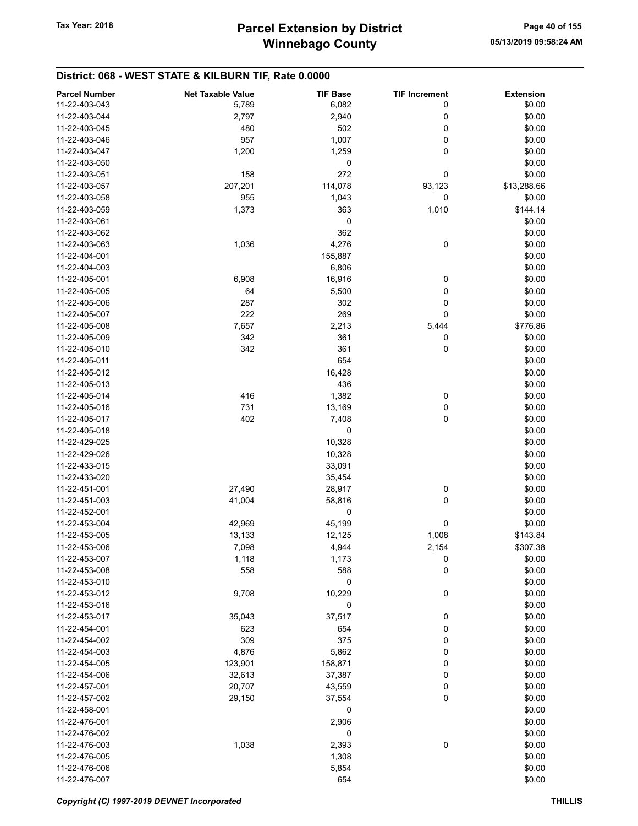# District: 068 - WEST STATE & KILBURN TIF, Rate 0.0000

| <b>Parcel Number</b> | <b>Net Taxable Value</b> | <b>TIF Base</b> | <b>TIF Increment</b> | <b>Extension</b> |
|----------------------|--------------------------|-----------------|----------------------|------------------|
| 11-22-403-043        | 5,789                    | 6,082           | 0                    | \$0.00           |
| 11-22-403-044        | 2,797                    | 2,940           | 0                    | \$0.00           |
| 11-22-403-045        | 480                      | 502             | 0                    | \$0.00           |
| 11-22-403-046        | 957                      | 1,007           | 0                    | \$0.00           |
|                      |                          |                 |                      |                  |
| 11-22-403-047        | 1,200                    | 1,259           | 0                    | \$0.00           |
| 11-22-403-050        |                          | 0               |                      | \$0.00           |
| 11-22-403-051        | 158                      | 272             | 0                    | \$0.00           |
| 11-22-403-057        | 207,201                  | 114,078         | 93,123               | \$13,288.66      |
| 11-22-403-058        | 955                      | 1,043           | 0                    | \$0.00           |
| 11-22-403-059        | 1,373                    | 363             | 1,010                | \$144.14         |
| 11-22-403-061        |                          | 0               |                      | \$0.00           |
| 11-22-403-062        |                          | 362             |                      | \$0.00           |
| 11-22-403-063        | 1,036                    | 4,276           | 0                    | \$0.00           |
| 11-22-404-001        |                          | 155,887         |                      | \$0.00           |
| 11-22-404-003        |                          | 6,806           |                      | \$0.00           |
| 11-22-405-001        | 6,908                    | 16,916          | 0                    | \$0.00           |
| 11-22-405-005        | 64                       | 5,500           | 0                    | \$0.00           |
| 11-22-405-006        | 287                      | 302             | 0                    | \$0.00           |
|                      |                          |                 |                      |                  |
| 11-22-405-007        | 222                      | 269             | 0                    | \$0.00           |
| 11-22-405-008        | 7,657                    | 2,213           | 5,444                | \$776.86         |
| 11-22-405-009        | 342                      | 361             | 0                    | \$0.00           |
| 11-22-405-010        | 342                      | 361             | 0                    | \$0.00           |
| 11-22-405-011        |                          | 654             |                      | \$0.00           |
| 11-22-405-012        |                          | 16,428          |                      | \$0.00           |
| 11-22-405-013        |                          | 436             |                      | \$0.00           |
| 11-22-405-014        | 416                      | 1,382           | 0                    | \$0.00           |
| 11-22-405-016        | 731                      | 13,169          | 0                    | \$0.00           |
| 11-22-405-017        | 402                      | 7,408           | 0                    | \$0.00           |
| 11-22-405-018        |                          | 0               |                      | \$0.00           |
| 11-22-429-025        |                          | 10,328          |                      | \$0.00           |
| 11-22-429-026        |                          | 10,328          |                      | \$0.00           |
| 11-22-433-015        |                          | 33,091          |                      | \$0.00           |
| 11-22-433-020        |                          |                 |                      | \$0.00           |
|                      |                          | 35,454          |                      |                  |
| 11-22-451-001        | 27,490                   | 28,917          | 0                    | \$0.00           |
| 11-22-451-003        | 41,004                   | 58,816          | 0                    | \$0.00           |
| 11-22-452-001        |                          | 0               |                      | \$0.00           |
| 11-22-453-004        | 42,969                   | 45,199          | 0                    | \$0.00           |
| 11-22-453-005        | 13,133                   | 12,125          | 1,008                | \$143.84         |
| 11-22-453-006        | 7,098                    | 4,944           | 2,154                | \$307.38         |
| 11-22-453-007        | 1,118                    | 1,173           | 0                    | \$0.00           |
| 11-22-453-008        | 558                      | 588             | 0                    | \$0.00           |
| 11-22-453-010        |                          | 0               |                      | \$0.00           |
| 11-22-453-012        | 9,708                    | 10,229          | 0                    | \$0.00           |
| 11-22-453-016        |                          | 0               |                      | \$0.00           |
| 11-22-453-017        | 35,043                   | 37,517          | 0                    | \$0.00           |
| 11-22-454-001        | 623                      | 654             | 0                    | \$0.00           |
| 11-22-454-002        | 309                      | 375             | 0                    | \$0.00           |
| 11-22-454-003        |                          | 5,862           | 0                    | \$0.00           |
|                      | 4,876                    |                 |                      |                  |
| 11-22-454-005        | 123,901                  | 158,871         | 0                    | \$0.00           |
| 11-22-454-006        | 32,613                   | 37,387          | 0                    | \$0.00           |
| 11-22-457-001        | 20,707                   | 43,559          | 0                    | \$0.00           |
| 11-22-457-002        | 29,150                   | 37,554          | 0                    | \$0.00           |
| 11-22-458-001        |                          | 0               |                      | \$0.00           |
| 11-22-476-001        |                          | 2,906           |                      | \$0.00           |
| 11-22-476-002        |                          | 0               |                      | \$0.00           |
| 11-22-476-003        | 1,038                    | 2,393           | 0                    | \$0.00           |
| 11-22-476-005        |                          | 1,308           |                      | \$0.00           |
| 11-22-476-006        |                          | 5,854           |                      | \$0.00           |
| 11-22-476-007        |                          | 654             |                      | \$0.00           |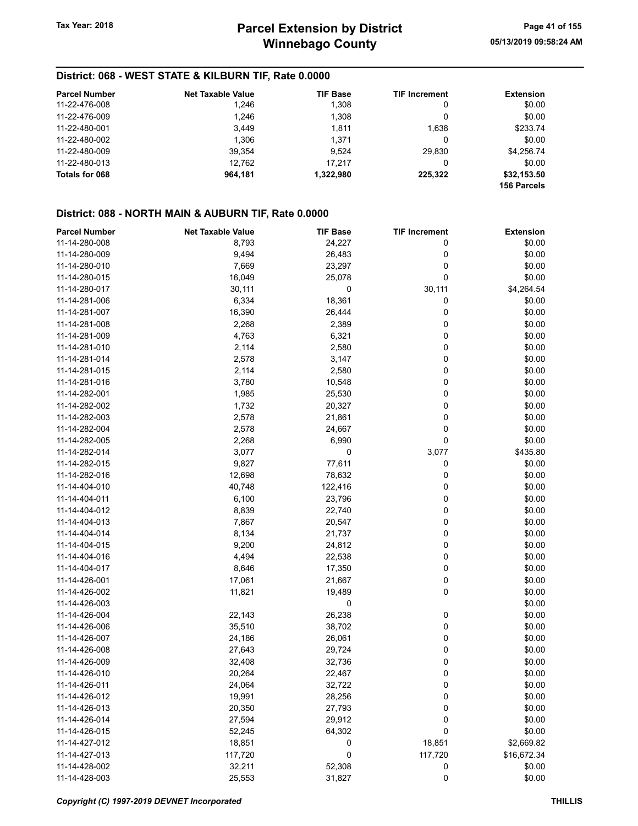## District: 068 - WEST STATE & KILBURN TIF, Rate 0.0000

| <b>Parcel Number</b> | <b>Net Taxable Value</b> | <b>TIF Base</b> | <b>TIF Increment</b> | <b>Extension</b> |
|----------------------|--------------------------|-----------------|----------------------|------------------|
| 11-22-476-008        | 1.246                    | 1.308           | 0                    | \$0.00           |
| 11-22-476-009        | 1.246                    | 1,308           | 0                    | \$0.00           |
| 11-22-480-001        | 3,449                    | 1.811           | 1.638                | \$233.74         |
| 11-22-480-002        | 1.306                    | 1.371           | 0                    | \$0.00           |
| 11-22-480-009        | 39.354                   | 9.524           | 29.830               | \$4,256.74       |
| 11-22-480-013        | 12.762                   | 17.217          | 0                    | \$0.00           |
| Totals for 068       | 964.181                  | 1,322,980       | 225.322              | \$32,153.50      |
|                      |                          |                 |                      | 156 Parcels      |

#### District: 088 - NORTH MAIN & AUBURN TIF, Rate 0.0000

| <b>Parcel Number</b> | <b>Net Taxable Value</b> | <b>TIF Base</b> | <b>TIF Increment</b> | <b>Extension</b> |
|----------------------|--------------------------|-----------------|----------------------|------------------|
| 11-14-280-008        | 8,793                    | 24,227          | 0                    | \$0.00           |
| 11-14-280-009        | 9,494                    | 26,483          | 0                    | \$0.00           |
| 11-14-280-010        | 7,669                    | 23,297          | 0                    | \$0.00           |
| 11-14-280-015        | 16,049                   | 25,078          | 0                    | \$0.00           |
| 11-14-280-017        | 30,111                   | 0               | 30,111               | \$4,264.54       |
| 11-14-281-006        | 6,334                    | 18,361          | 0                    | \$0.00           |
| 11-14-281-007        | 16,390                   | 26,444          | 0                    | \$0.00           |
| 11-14-281-008        | 2,268                    | 2,389           | 0                    | \$0.00           |
| 11-14-281-009        | 4,763                    | 6,321           | 0                    | \$0.00           |
| 11-14-281-010        | 2,114                    | 2,580           | 0                    | \$0.00           |
| 11-14-281-014        | 2,578                    | 3,147           | 0                    | \$0.00           |
| 11-14-281-015        | 2,114                    | 2,580           | 0                    | \$0.00           |
| 11-14-281-016        | 3,780                    | 10,548          | 0                    | \$0.00           |
| 11-14-282-001        | 1,985                    | 25,530          | 0                    | \$0.00           |
| 11-14-282-002        | 1,732                    | 20,327          | 0                    | \$0.00           |
| 11-14-282-003        | 2,578                    | 21,861          | 0                    | \$0.00           |
| 11-14-282-004        | 2,578                    | 24,667          | 0                    | \$0.00           |
| 11-14-282-005        | 2,268                    | 6,990           | 0                    | \$0.00           |
| 11-14-282-014        | 3,077                    | 0               | 3,077                | \$435.80         |
| 11-14-282-015        | 9,827                    | 77,611          | 0                    | \$0.00           |
| 11-14-282-016        | 12,698                   | 78,632          | 0                    | \$0.00           |
| 11-14-404-010        | 40,748                   | 122,416         | 0                    | \$0.00           |
| 11-14-404-011        | 6,100                    | 23,796          | 0                    | \$0.00           |
| 11-14-404-012        | 8,839                    | 22,740          | 0                    | \$0.00           |
| 11-14-404-013        | 7,867                    | 20,547          | 0                    | \$0.00           |
| 11-14-404-014        | 8,134                    | 21,737          | 0                    | \$0.00           |
| 11-14-404-015        | 9,200                    | 24,812          | 0                    | \$0.00           |
| 11-14-404-016        | 4,494                    | 22,538          | 0                    | \$0.00           |
| 11-14-404-017        | 8,646                    | 17,350          | 0                    | \$0.00           |
| 11-14-426-001        | 17,061                   | 21,667          | 0                    | \$0.00           |
| 11-14-426-002        | 11,821                   | 19,489          | 0                    | \$0.00           |
| 11-14-426-003        |                          | 0               |                      | \$0.00           |
| 11-14-426-004        | 22,143                   | 26,238          | 0                    | \$0.00           |
| 11-14-426-006        | 35,510                   | 38,702          | 0                    | \$0.00           |
| 11-14-426-007        | 24,186                   | 26,061          | 0                    | \$0.00           |
| 11-14-426-008        | 27,643                   | 29,724          | 0                    | \$0.00           |
| 11-14-426-009        | 32,408                   | 32,736          | 0                    | \$0.00           |
| 11-14-426-010        | 20,264                   | 22,467          | 0                    | \$0.00           |
| 11-14-426-011        | 24,064                   | 32,722          | 0                    | \$0.00           |
| 11-14-426-012        | 19,991                   | 28,256          | 0                    | \$0.00           |
| 11-14-426-013        | 20,350                   | 27,793          | 0                    | \$0.00           |
| 11-14-426-014        | 27,594                   | 29,912          | 0                    | \$0.00           |
| 11-14-426-015        | 52,245                   | 64,302          | 0                    | \$0.00           |
| 11-14-427-012        | 18,851                   | 0               | 18,851               | \$2,669.82       |
| 11-14-427-013        | 117,720                  | $\pmb{0}$       | 117,720              | \$16,672.34      |
| 11-14-428-002        | 32,211                   | 52,308          | 0                    | \$0.00           |
| 11-14-428-003        | 25,553                   | 31,827          | 0                    | \$0.00           |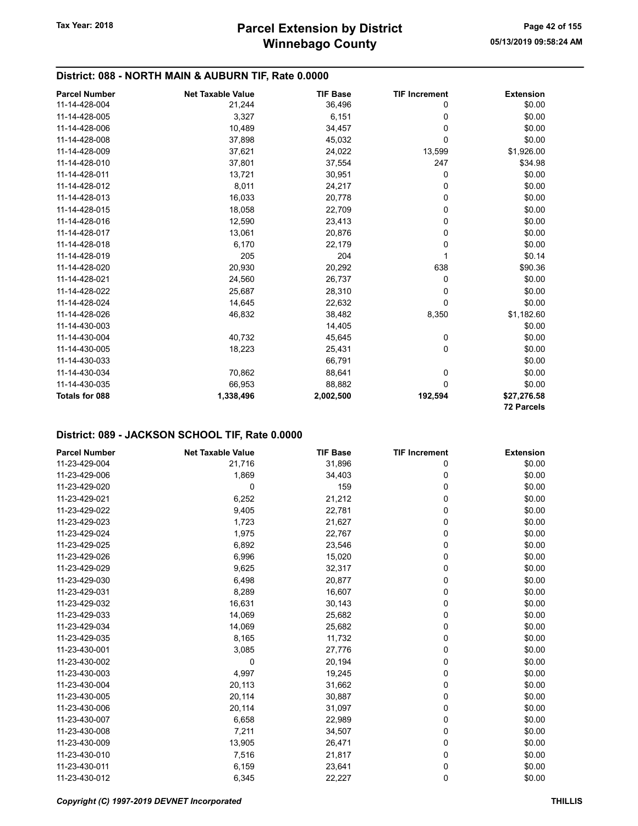## District: 088 - NORTH MAIN & AUBURN TIF, Rate 0.0000

| <b>Parcel Number</b>  | <b>Net Taxable Value</b> | <b>TIF Base</b> | <b>TIF Increment</b> | <b>Extension</b>  |
|-----------------------|--------------------------|-----------------|----------------------|-------------------|
| 11-14-428-004         | 21,244                   | 36,496          | 0                    | \$0.00            |
| 11-14-428-005         | 3,327                    | 6,151           | 0                    | \$0.00            |
| 11-14-428-006         | 10,489                   | 34,457          | 0                    | \$0.00            |
| 11-14-428-008         | 37,898                   | 45,032          | 0                    | \$0.00            |
| 11-14-428-009         | 37,621                   | 24,022          | 13,599               | \$1,926.00        |
| 11-14-428-010         | 37,801                   | 37,554          | 247                  | \$34.98           |
| 11-14-428-011         | 13,721                   | 30,951          | 0                    | \$0.00            |
| 11-14-428-012         | 8,011                    | 24,217          | 0                    | \$0.00            |
| 11-14-428-013         | 16,033                   | 20,778          | 0                    | \$0.00            |
| 11-14-428-015         | 18,058                   | 22,709          | 0                    | \$0.00            |
| 11-14-428-016         | 12,590                   | 23,413          | 0                    | \$0.00            |
| 11-14-428-017         | 13,061                   | 20,876          | 0                    | \$0.00            |
| 11-14-428-018         | 6,170                    | 22,179          | 0                    | \$0.00            |
| 11-14-428-019         | 205                      | 204             |                      | \$0.14            |
| 11-14-428-020         | 20,930                   | 20,292          | 638                  | \$90.36           |
| 11-14-428-021         | 24,560                   | 26,737          | 0                    | \$0.00            |
| 11-14-428-022         | 25,687                   | 28,310          | 0                    | \$0.00            |
| 11-14-428-024         | 14,645                   | 22,632          | $\Omega$             | \$0.00            |
| 11-14-428-026         | 46,832                   | 38,482          | 8,350                | \$1,182.60        |
| 11-14-430-003         |                          | 14,405          |                      | \$0.00            |
| 11-14-430-004         | 40,732                   | 45,645          | 0                    | \$0.00            |
| 11-14-430-005         | 18,223                   | 25,431          | 0                    | \$0.00            |
| 11-14-430-033         |                          | 66,791          |                      | \$0.00            |
| 11-14-430-034         | 70,862                   | 88,641          | 0                    | \$0.00            |
| 11-14-430-035         | 66,953                   | 88,882          | 0                    | \$0.00            |
| <b>Totals for 088</b> | 1,338,496                | 2,002,500       | 192,594              | \$27,276.58       |
|                       |                          |                 |                      | <b>72 Parcels</b> |

| <b>Parcel Number</b> | <b>Net Taxable Value</b> | <b>TIF Base</b> | <b>TIF Increment</b> | <b>Extension</b> |
|----------------------|--------------------------|-----------------|----------------------|------------------|
| 11-23-429-004        | 21,716                   | 31,896          | 0                    | \$0.00           |
| 11-23-429-006        | 1,869                    | 34,403          | 0                    | \$0.00           |
| 11-23-429-020        | 0                        | 159             | 0                    | \$0.00           |
| 11-23-429-021        | 6,252                    | 21,212          | 0                    | \$0.00           |
| 11-23-429-022        | 9,405                    | 22,781          | 0                    | \$0.00           |
| 11-23-429-023        | 1,723                    | 21,627          | 0                    | \$0.00           |
| 11-23-429-024        | 1,975                    | 22,767          | 0                    | \$0.00           |
| 11-23-429-025        | 6,892                    | 23,546          | 0                    | \$0.00           |
| 11-23-429-026        | 6,996                    | 15,020          | 0                    | \$0.00           |
| 11-23-429-029        | 9,625                    | 32,317          | 0                    | \$0.00           |
| 11-23-429-030        | 6,498                    | 20,877          | 0                    | \$0.00           |
| 11-23-429-031        | 8,289                    | 16,607          | 0                    | \$0.00           |
| 11-23-429-032        | 16,631                   | 30,143          | 0                    | \$0.00           |
| 11-23-429-033        | 14,069                   | 25,682          | 0                    | \$0.00           |
| 11-23-429-034        | 14,069                   | 25,682          | 0                    | \$0.00           |
| 11-23-429-035        | 8,165                    | 11,732          | 0                    | \$0.00           |
| 11-23-430-001        | 3,085                    | 27,776          | 0                    | \$0.00           |
| 11-23-430-002        | 0                        | 20,194          | 0                    | \$0.00           |
| 11-23-430-003        | 4,997                    | 19,245          | 0                    | \$0.00           |
| 11-23-430-004        | 20,113                   | 31,662          | 0                    | \$0.00           |
| 11-23-430-005        | 20,114                   | 30,887          | 0                    | \$0.00           |
| 11-23-430-006        | 20,114                   | 31,097          | 0                    | \$0.00           |
| 11-23-430-007        | 6,658                    | 22,989          | 0                    | \$0.00           |
| 11-23-430-008        | 7,211                    | 34,507          | 0                    | \$0.00           |
| 11-23-430-009        | 13,905                   | 26,471          | 0                    | \$0.00           |
| 11-23-430-010        | 7,516                    | 21,817          | 0                    | \$0.00           |
| 11-23-430-011        | 6,159                    | 23,641          | 0                    | \$0.00           |
| 11-23-430-012        | 6,345                    | 22,227          | 0                    | \$0.00           |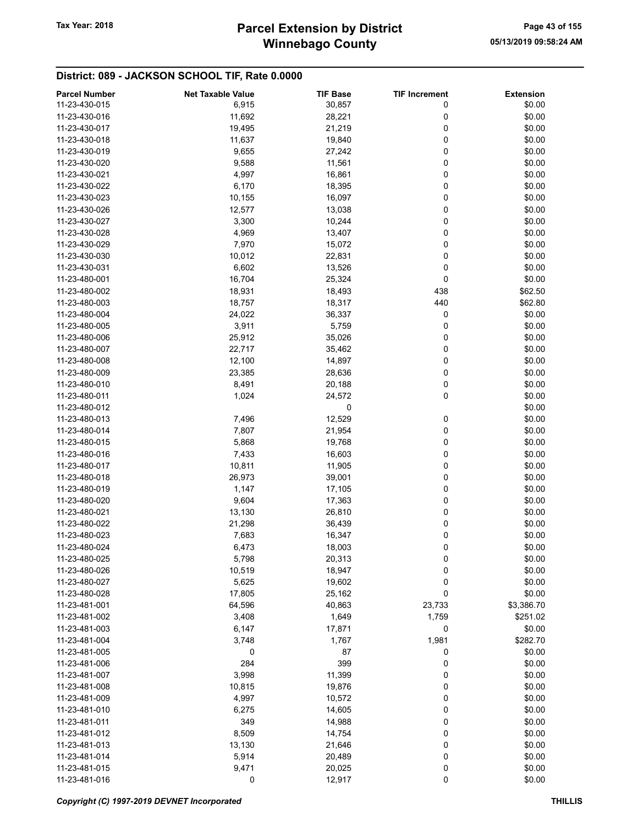# Winnebago County Tax Year: 2018 **Parcel Extension by District** Page 43 of 155

| 11-23-430-015<br>30,857<br>\$0.00<br>6,915<br>0<br>11,692<br>0<br>\$0.00<br>11-23-430-016<br>28,221<br>0<br>\$0.00<br>11-23-430-017<br>19,495<br>21,219<br>0<br>\$0.00<br>11-23-430-018<br>11,637<br>19,840<br>0<br>\$0.00<br>11-23-430-019<br>9,655<br>27,242<br>0<br>\$0.00<br>11-23-430-020<br>9,588<br>11,561<br>0<br>\$0.00<br>11-23-430-021<br>4,997<br>16,861<br>0<br>\$0.00<br>11-23-430-022<br>6,170<br>18,395<br>0<br>\$0.00<br>11-23-430-023<br>10,155<br>16,097<br>0<br>\$0.00<br>11-23-430-026<br>12,577<br>13,038<br>0<br>\$0.00<br>3,300<br>10,244<br>11-23-430-027<br>\$0.00<br>11-23-430-028<br>4,969<br>0<br>13,407<br>0<br>\$0.00<br>11-23-430-029<br>7,970<br>15,072<br>0<br>\$0.00<br>11-23-430-030<br>10,012<br>22,831<br>6,602<br>0<br>\$0.00<br>11-23-430-031<br>13,526<br>16,704<br>0<br>\$0.00<br>11-23-480-001<br>25,324<br>438<br>\$62.50<br>11-23-480-002<br>18,931<br>18,493<br>440<br>\$62.80<br>11-23-480-003<br>18,757<br>18,317<br>0<br>\$0.00<br>11-23-480-004<br>24,022<br>36,337<br>0<br>\$0.00<br>3,911<br>11-23-480-005<br>5,759<br>0<br>\$0.00<br>11-23-480-006<br>25,912<br>35,026<br>0<br>\$0.00<br>11-23-480-007<br>22,717<br>35,462<br>0<br>\$0.00<br>11-23-480-008<br>12,100<br>14,897<br>0<br>\$0.00<br>11-23-480-009<br>23,385<br>28,636<br>0<br>\$0.00<br>11-23-480-010<br>8,491<br>20,188<br>0<br>\$0.00<br>11-23-480-011<br>1,024<br>24,572<br>\$0.00<br>11-23-480-012<br>0<br>0<br>\$0.00<br>11-23-480-013<br>7,496<br>12,529<br>0<br>\$0.00<br>11-23-480-014<br>7,807<br>21,954<br>5,868<br>0<br>\$0.00<br>11-23-480-015<br>19,768<br>0<br>\$0.00<br>11-23-480-016<br>7,433<br>16,603<br>0<br>\$0.00<br>10,811<br>11,905<br>11-23-480-017<br>0<br>\$0.00<br>11-23-480-018<br>26,973<br>39,001<br>0<br>\$0.00<br>11-23-480-019<br>1,147<br>17,105<br>0<br>\$0.00<br>11-23-480-020<br>9,604<br>17,363<br>0<br>\$0.00<br>13,130<br>26,810<br>11-23-480-021<br>0<br>11-23-480-022<br>21,298<br>36,439<br>\$0.00<br>0<br>\$0.00<br>11-23-480-023<br>7,683<br>16,347<br>0<br>\$0.00<br>11-23-480-024<br>6,473<br>18,003<br>11-23-480-025<br>5,798<br>20,313<br>0<br>\$0.00<br>0<br>\$0.00<br>11-23-480-026<br>10,519<br>18,947<br>0<br>\$0.00<br>11-23-480-027<br>5,625<br>19,602<br>0<br>\$0.00<br>11-23-480-028<br>17,805<br>25,162<br>\$3,386.70<br>11-23-481-001<br>64,596<br>40,863<br>23,733<br>3,408<br>1,649<br>1,759<br>\$251.02<br>11-23-481-002<br>0<br>\$0.00<br>11-23-481-003<br>6,147<br>17,871<br>\$282.70<br>11-23-481-004<br>3,748<br>1,767<br>1,981<br>\$0.00<br>11-23-481-005<br>87<br>0<br>0<br>284<br>399<br>0<br>\$0.00<br>11-23-481-006<br>0<br>\$0.00<br>11-23-481-007<br>3,998<br>11,399<br>10,815<br>\$0.00<br>11-23-481-008<br>19,876<br>0<br>0<br>\$0.00<br>11-23-481-009<br>4,997<br>10,572<br>0<br>\$0.00<br>11-23-481-010<br>6,275<br>14,605<br>\$0.00<br>11-23-481-011<br>349<br>14,988<br>0<br>\$0.00<br>11-23-481-012<br>8,509<br>14,754<br>0<br>\$0.00<br>11-23-481-013<br>13,130<br>0<br>21,646<br>0<br>5,914<br>\$0.00<br>11-23-481-014<br>20,489<br>0<br>11-23-481-015<br>9,471<br>20,025<br>\$0.00<br>0<br>0<br>\$0.00<br>11-23-481-016<br>12,917 | <b>Parcel Number</b> | <b>Net Taxable Value</b> | <b>TIF Base</b> | <b>TIF Increment</b> | <b>Extension</b> |
|----------------------------------------------------------------------------------------------------------------------------------------------------------------------------------------------------------------------------------------------------------------------------------------------------------------------------------------------------------------------------------------------------------------------------------------------------------------------------------------------------------------------------------------------------------------------------------------------------------------------------------------------------------------------------------------------------------------------------------------------------------------------------------------------------------------------------------------------------------------------------------------------------------------------------------------------------------------------------------------------------------------------------------------------------------------------------------------------------------------------------------------------------------------------------------------------------------------------------------------------------------------------------------------------------------------------------------------------------------------------------------------------------------------------------------------------------------------------------------------------------------------------------------------------------------------------------------------------------------------------------------------------------------------------------------------------------------------------------------------------------------------------------------------------------------------------------------------------------------------------------------------------------------------------------------------------------------------------------------------------------------------------------------------------------------------------------------------------------------------------------------------------------------------------------------------------------------------------------------------------------------------------------------------------------------------------------------------------------------------------------------------------------------------------------------------------------------------------------------------------------------------------------------------------------------------------------------------------------------------------------------------------------------------------------------------------------------------------------------------------------------------------------------------------------------------------------------------------------------------------------------------------------------------------------------------------------------------------------------------------------------------------------------------------------------------------------------------------------------------------------------------|----------------------|--------------------------|-----------------|----------------------|------------------|
|                                                                                                                                                                                                                                                                                                                                                                                                                                                                                                                                                                                                                                                                                                                                                                                                                                                                                                                                                                                                                                                                                                                                                                                                                                                                                                                                                                                                                                                                                                                                                                                                                                                                                                                                                                                                                                                                                                                                                                                                                                                                                                                                                                                                                                                                                                                                                                                                                                                                                                                                                                                                                                                                                                                                                                                                                                                                                                                                                                                                                                                                                                                                        |                      |                          |                 |                      |                  |
|                                                                                                                                                                                                                                                                                                                                                                                                                                                                                                                                                                                                                                                                                                                                                                                                                                                                                                                                                                                                                                                                                                                                                                                                                                                                                                                                                                                                                                                                                                                                                                                                                                                                                                                                                                                                                                                                                                                                                                                                                                                                                                                                                                                                                                                                                                                                                                                                                                                                                                                                                                                                                                                                                                                                                                                                                                                                                                                                                                                                                                                                                                                                        |                      |                          |                 |                      |                  |
|                                                                                                                                                                                                                                                                                                                                                                                                                                                                                                                                                                                                                                                                                                                                                                                                                                                                                                                                                                                                                                                                                                                                                                                                                                                                                                                                                                                                                                                                                                                                                                                                                                                                                                                                                                                                                                                                                                                                                                                                                                                                                                                                                                                                                                                                                                                                                                                                                                                                                                                                                                                                                                                                                                                                                                                                                                                                                                                                                                                                                                                                                                                                        |                      |                          |                 |                      |                  |
|                                                                                                                                                                                                                                                                                                                                                                                                                                                                                                                                                                                                                                                                                                                                                                                                                                                                                                                                                                                                                                                                                                                                                                                                                                                                                                                                                                                                                                                                                                                                                                                                                                                                                                                                                                                                                                                                                                                                                                                                                                                                                                                                                                                                                                                                                                                                                                                                                                                                                                                                                                                                                                                                                                                                                                                                                                                                                                                                                                                                                                                                                                                                        |                      |                          |                 |                      |                  |
|                                                                                                                                                                                                                                                                                                                                                                                                                                                                                                                                                                                                                                                                                                                                                                                                                                                                                                                                                                                                                                                                                                                                                                                                                                                                                                                                                                                                                                                                                                                                                                                                                                                                                                                                                                                                                                                                                                                                                                                                                                                                                                                                                                                                                                                                                                                                                                                                                                                                                                                                                                                                                                                                                                                                                                                                                                                                                                                                                                                                                                                                                                                                        |                      |                          |                 |                      |                  |
|                                                                                                                                                                                                                                                                                                                                                                                                                                                                                                                                                                                                                                                                                                                                                                                                                                                                                                                                                                                                                                                                                                                                                                                                                                                                                                                                                                                                                                                                                                                                                                                                                                                                                                                                                                                                                                                                                                                                                                                                                                                                                                                                                                                                                                                                                                                                                                                                                                                                                                                                                                                                                                                                                                                                                                                                                                                                                                                                                                                                                                                                                                                                        |                      |                          |                 |                      |                  |
|                                                                                                                                                                                                                                                                                                                                                                                                                                                                                                                                                                                                                                                                                                                                                                                                                                                                                                                                                                                                                                                                                                                                                                                                                                                                                                                                                                                                                                                                                                                                                                                                                                                                                                                                                                                                                                                                                                                                                                                                                                                                                                                                                                                                                                                                                                                                                                                                                                                                                                                                                                                                                                                                                                                                                                                                                                                                                                                                                                                                                                                                                                                                        |                      |                          |                 |                      |                  |
|                                                                                                                                                                                                                                                                                                                                                                                                                                                                                                                                                                                                                                                                                                                                                                                                                                                                                                                                                                                                                                                                                                                                                                                                                                                                                                                                                                                                                                                                                                                                                                                                                                                                                                                                                                                                                                                                                                                                                                                                                                                                                                                                                                                                                                                                                                                                                                                                                                                                                                                                                                                                                                                                                                                                                                                                                                                                                                                                                                                                                                                                                                                                        |                      |                          |                 |                      |                  |
|                                                                                                                                                                                                                                                                                                                                                                                                                                                                                                                                                                                                                                                                                                                                                                                                                                                                                                                                                                                                                                                                                                                                                                                                                                                                                                                                                                                                                                                                                                                                                                                                                                                                                                                                                                                                                                                                                                                                                                                                                                                                                                                                                                                                                                                                                                                                                                                                                                                                                                                                                                                                                                                                                                                                                                                                                                                                                                                                                                                                                                                                                                                                        |                      |                          |                 |                      |                  |
|                                                                                                                                                                                                                                                                                                                                                                                                                                                                                                                                                                                                                                                                                                                                                                                                                                                                                                                                                                                                                                                                                                                                                                                                                                                                                                                                                                                                                                                                                                                                                                                                                                                                                                                                                                                                                                                                                                                                                                                                                                                                                                                                                                                                                                                                                                                                                                                                                                                                                                                                                                                                                                                                                                                                                                                                                                                                                                                                                                                                                                                                                                                                        |                      |                          |                 |                      |                  |
|                                                                                                                                                                                                                                                                                                                                                                                                                                                                                                                                                                                                                                                                                                                                                                                                                                                                                                                                                                                                                                                                                                                                                                                                                                                                                                                                                                                                                                                                                                                                                                                                                                                                                                                                                                                                                                                                                                                                                                                                                                                                                                                                                                                                                                                                                                                                                                                                                                                                                                                                                                                                                                                                                                                                                                                                                                                                                                                                                                                                                                                                                                                                        |                      |                          |                 |                      |                  |
|                                                                                                                                                                                                                                                                                                                                                                                                                                                                                                                                                                                                                                                                                                                                                                                                                                                                                                                                                                                                                                                                                                                                                                                                                                                                                                                                                                                                                                                                                                                                                                                                                                                                                                                                                                                                                                                                                                                                                                                                                                                                                                                                                                                                                                                                                                                                                                                                                                                                                                                                                                                                                                                                                                                                                                                                                                                                                                                                                                                                                                                                                                                                        |                      |                          |                 |                      |                  |
|                                                                                                                                                                                                                                                                                                                                                                                                                                                                                                                                                                                                                                                                                                                                                                                                                                                                                                                                                                                                                                                                                                                                                                                                                                                                                                                                                                                                                                                                                                                                                                                                                                                                                                                                                                                                                                                                                                                                                                                                                                                                                                                                                                                                                                                                                                                                                                                                                                                                                                                                                                                                                                                                                                                                                                                                                                                                                                                                                                                                                                                                                                                                        |                      |                          |                 |                      |                  |
|                                                                                                                                                                                                                                                                                                                                                                                                                                                                                                                                                                                                                                                                                                                                                                                                                                                                                                                                                                                                                                                                                                                                                                                                                                                                                                                                                                                                                                                                                                                                                                                                                                                                                                                                                                                                                                                                                                                                                                                                                                                                                                                                                                                                                                                                                                                                                                                                                                                                                                                                                                                                                                                                                                                                                                                                                                                                                                                                                                                                                                                                                                                                        |                      |                          |                 |                      |                  |
|                                                                                                                                                                                                                                                                                                                                                                                                                                                                                                                                                                                                                                                                                                                                                                                                                                                                                                                                                                                                                                                                                                                                                                                                                                                                                                                                                                                                                                                                                                                                                                                                                                                                                                                                                                                                                                                                                                                                                                                                                                                                                                                                                                                                                                                                                                                                                                                                                                                                                                                                                                                                                                                                                                                                                                                                                                                                                                                                                                                                                                                                                                                                        |                      |                          |                 |                      |                  |
|                                                                                                                                                                                                                                                                                                                                                                                                                                                                                                                                                                                                                                                                                                                                                                                                                                                                                                                                                                                                                                                                                                                                                                                                                                                                                                                                                                                                                                                                                                                                                                                                                                                                                                                                                                                                                                                                                                                                                                                                                                                                                                                                                                                                                                                                                                                                                                                                                                                                                                                                                                                                                                                                                                                                                                                                                                                                                                                                                                                                                                                                                                                                        |                      |                          |                 |                      |                  |
|                                                                                                                                                                                                                                                                                                                                                                                                                                                                                                                                                                                                                                                                                                                                                                                                                                                                                                                                                                                                                                                                                                                                                                                                                                                                                                                                                                                                                                                                                                                                                                                                                                                                                                                                                                                                                                                                                                                                                                                                                                                                                                                                                                                                                                                                                                                                                                                                                                                                                                                                                                                                                                                                                                                                                                                                                                                                                                                                                                                                                                                                                                                                        |                      |                          |                 |                      |                  |
|                                                                                                                                                                                                                                                                                                                                                                                                                                                                                                                                                                                                                                                                                                                                                                                                                                                                                                                                                                                                                                                                                                                                                                                                                                                                                                                                                                                                                                                                                                                                                                                                                                                                                                                                                                                                                                                                                                                                                                                                                                                                                                                                                                                                                                                                                                                                                                                                                                                                                                                                                                                                                                                                                                                                                                                                                                                                                                                                                                                                                                                                                                                                        |                      |                          |                 |                      |                  |
|                                                                                                                                                                                                                                                                                                                                                                                                                                                                                                                                                                                                                                                                                                                                                                                                                                                                                                                                                                                                                                                                                                                                                                                                                                                                                                                                                                                                                                                                                                                                                                                                                                                                                                                                                                                                                                                                                                                                                                                                                                                                                                                                                                                                                                                                                                                                                                                                                                                                                                                                                                                                                                                                                                                                                                                                                                                                                                                                                                                                                                                                                                                                        |                      |                          |                 |                      |                  |
|                                                                                                                                                                                                                                                                                                                                                                                                                                                                                                                                                                                                                                                                                                                                                                                                                                                                                                                                                                                                                                                                                                                                                                                                                                                                                                                                                                                                                                                                                                                                                                                                                                                                                                                                                                                                                                                                                                                                                                                                                                                                                                                                                                                                                                                                                                                                                                                                                                                                                                                                                                                                                                                                                                                                                                                                                                                                                                                                                                                                                                                                                                                                        |                      |                          |                 |                      |                  |
|                                                                                                                                                                                                                                                                                                                                                                                                                                                                                                                                                                                                                                                                                                                                                                                                                                                                                                                                                                                                                                                                                                                                                                                                                                                                                                                                                                                                                                                                                                                                                                                                                                                                                                                                                                                                                                                                                                                                                                                                                                                                                                                                                                                                                                                                                                                                                                                                                                                                                                                                                                                                                                                                                                                                                                                                                                                                                                                                                                                                                                                                                                                                        |                      |                          |                 |                      |                  |
|                                                                                                                                                                                                                                                                                                                                                                                                                                                                                                                                                                                                                                                                                                                                                                                                                                                                                                                                                                                                                                                                                                                                                                                                                                                                                                                                                                                                                                                                                                                                                                                                                                                                                                                                                                                                                                                                                                                                                                                                                                                                                                                                                                                                                                                                                                                                                                                                                                                                                                                                                                                                                                                                                                                                                                                                                                                                                                                                                                                                                                                                                                                                        |                      |                          |                 |                      |                  |
|                                                                                                                                                                                                                                                                                                                                                                                                                                                                                                                                                                                                                                                                                                                                                                                                                                                                                                                                                                                                                                                                                                                                                                                                                                                                                                                                                                                                                                                                                                                                                                                                                                                                                                                                                                                                                                                                                                                                                                                                                                                                                                                                                                                                                                                                                                                                                                                                                                                                                                                                                                                                                                                                                                                                                                                                                                                                                                                                                                                                                                                                                                                                        |                      |                          |                 |                      |                  |
|                                                                                                                                                                                                                                                                                                                                                                                                                                                                                                                                                                                                                                                                                                                                                                                                                                                                                                                                                                                                                                                                                                                                                                                                                                                                                                                                                                                                                                                                                                                                                                                                                                                                                                                                                                                                                                                                                                                                                                                                                                                                                                                                                                                                                                                                                                                                                                                                                                                                                                                                                                                                                                                                                                                                                                                                                                                                                                                                                                                                                                                                                                                                        |                      |                          |                 |                      |                  |
|                                                                                                                                                                                                                                                                                                                                                                                                                                                                                                                                                                                                                                                                                                                                                                                                                                                                                                                                                                                                                                                                                                                                                                                                                                                                                                                                                                                                                                                                                                                                                                                                                                                                                                                                                                                                                                                                                                                                                                                                                                                                                                                                                                                                                                                                                                                                                                                                                                                                                                                                                                                                                                                                                                                                                                                                                                                                                                                                                                                                                                                                                                                                        |                      |                          |                 |                      |                  |
|                                                                                                                                                                                                                                                                                                                                                                                                                                                                                                                                                                                                                                                                                                                                                                                                                                                                                                                                                                                                                                                                                                                                                                                                                                                                                                                                                                                                                                                                                                                                                                                                                                                                                                                                                                                                                                                                                                                                                                                                                                                                                                                                                                                                                                                                                                                                                                                                                                                                                                                                                                                                                                                                                                                                                                                                                                                                                                                                                                                                                                                                                                                                        |                      |                          |                 |                      |                  |
|                                                                                                                                                                                                                                                                                                                                                                                                                                                                                                                                                                                                                                                                                                                                                                                                                                                                                                                                                                                                                                                                                                                                                                                                                                                                                                                                                                                                                                                                                                                                                                                                                                                                                                                                                                                                                                                                                                                                                                                                                                                                                                                                                                                                                                                                                                                                                                                                                                                                                                                                                                                                                                                                                                                                                                                                                                                                                                                                                                                                                                                                                                                                        |                      |                          |                 |                      |                  |
|                                                                                                                                                                                                                                                                                                                                                                                                                                                                                                                                                                                                                                                                                                                                                                                                                                                                                                                                                                                                                                                                                                                                                                                                                                                                                                                                                                                                                                                                                                                                                                                                                                                                                                                                                                                                                                                                                                                                                                                                                                                                                                                                                                                                                                                                                                                                                                                                                                                                                                                                                                                                                                                                                                                                                                                                                                                                                                                                                                                                                                                                                                                                        |                      |                          |                 |                      |                  |
|                                                                                                                                                                                                                                                                                                                                                                                                                                                                                                                                                                                                                                                                                                                                                                                                                                                                                                                                                                                                                                                                                                                                                                                                                                                                                                                                                                                                                                                                                                                                                                                                                                                                                                                                                                                                                                                                                                                                                                                                                                                                                                                                                                                                                                                                                                                                                                                                                                                                                                                                                                                                                                                                                                                                                                                                                                                                                                                                                                                                                                                                                                                                        |                      |                          |                 |                      |                  |
|                                                                                                                                                                                                                                                                                                                                                                                                                                                                                                                                                                                                                                                                                                                                                                                                                                                                                                                                                                                                                                                                                                                                                                                                                                                                                                                                                                                                                                                                                                                                                                                                                                                                                                                                                                                                                                                                                                                                                                                                                                                                                                                                                                                                                                                                                                                                                                                                                                                                                                                                                                                                                                                                                                                                                                                                                                                                                                                                                                                                                                                                                                                                        |                      |                          |                 |                      |                  |
|                                                                                                                                                                                                                                                                                                                                                                                                                                                                                                                                                                                                                                                                                                                                                                                                                                                                                                                                                                                                                                                                                                                                                                                                                                                                                                                                                                                                                                                                                                                                                                                                                                                                                                                                                                                                                                                                                                                                                                                                                                                                                                                                                                                                                                                                                                                                                                                                                                                                                                                                                                                                                                                                                                                                                                                                                                                                                                                                                                                                                                                                                                                                        |                      |                          |                 |                      |                  |
|                                                                                                                                                                                                                                                                                                                                                                                                                                                                                                                                                                                                                                                                                                                                                                                                                                                                                                                                                                                                                                                                                                                                                                                                                                                                                                                                                                                                                                                                                                                                                                                                                                                                                                                                                                                                                                                                                                                                                                                                                                                                                                                                                                                                                                                                                                                                                                                                                                                                                                                                                                                                                                                                                                                                                                                                                                                                                                                                                                                                                                                                                                                                        |                      |                          |                 |                      |                  |
|                                                                                                                                                                                                                                                                                                                                                                                                                                                                                                                                                                                                                                                                                                                                                                                                                                                                                                                                                                                                                                                                                                                                                                                                                                                                                                                                                                                                                                                                                                                                                                                                                                                                                                                                                                                                                                                                                                                                                                                                                                                                                                                                                                                                                                                                                                                                                                                                                                                                                                                                                                                                                                                                                                                                                                                                                                                                                                                                                                                                                                                                                                                                        |                      |                          |                 |                      |                  |
|                                                                                                                                                                                                                                                                                                                                                                                                                                                                                                                                                                                                                                                                                                                                                                                                                                                                                                                                                                                                                                                                                                                                                                                                                                                                                                                                                                                                                                                                                                                                                                                                                                                                                                                                                                                                                                                                                                                                                                                                                                                                                                                                                                                                                                                                                                                                                                                                                                                                                                                                                                                                                                                                                                                                                                                                                                                                                                                                                                                                                                                                                                                                        |                      |                          |                 |                      |                  |
|                                                                                                                                                                                                                                                                                                                                                                                                                                                                                                                                                                                                                                                                                                                                                                                                                                                                                                                                                                                                                                                                                                                                                                                                                                                                                                                                                                                                                                                                                                                                                                                                                                                                                                                                                                                                                                                                                                                                                                                                                                                                                                                                                                                                                                                                                                                                                                                                                                                                                                                                                                                                                                                                                                                                                                                                                                                                                                                                                                                                                                                                                                                                        |                      |                          |                 |                      |                  |
|                                                                                                                                                                                                                                                                                                                                                                                                                                                                                                                                                                                                                                                                                                                                                                                                                                                                                                                                                                                                                                                                                                                                                                                                                                                                                                                                                                                                                                                                                                                                                                                                                                                                                                                                                                                                                                                                                                                                                                                                                                                                                                                                                                                                                                                                                                                                                                                                                                                                                                                                                                                                                                                                                                                                                                                                                                                                                                                                                                                                                                                                                                                                        |                      |                          |                 |                      |                  |
|                                                                                                                                                                                                                                                                                                                                                                                                                                                                                                                                                                                                                                                                                                                                                                                                                                                                                                                                                                                                                                                                                                                                                                                                                                                                                                                                                                                                                                                                                                                                                                                                                                                                                                                                                                                                                                                                                                                                                                                                                                                                                                                                                                                                                                                                                                                                                                                                                                                                                                                                                                                                                                                                                                                                                                                                                                                                                                                                                                                                                                                                                                                                        |                      |                          |                 |                      |                  |
|                                                                                                                                                                                                                                                                                                                                                                                                                                                                                                                                                                                                                                                                                                                                                                                                                                                                                                                                                                                                                                                                                                                                                                                                                                                                                                                                                                                                                                                                                                                                                                                                                                                                                                                                                                                                                                                                                                                                                                                                                                                                                                                                                                                                                                                                                                                                                                                                                                                                                                                                                                                                                                                                                                                                                                                                                                                                                                                                                                                                                                                                                                                                        |                      |                          |                 |                      |                  |
|                                                                                                                                                                                                                                                                                                                                                                                                                                                                                                                                                                                                                                                                                                                                                                                                                                                                                                                                                                                                                                                                                                                                                                                                                                                                                                                                                                                                                                                                                                                                                                                                                                                                                                                                                                                                                                                                                                                                                                                                                                                                                                                                                                                                                                                                                                                                                                                                                                                                                                                                                                                                                                                                                                                                                                                                                                                                                                                                                                                                                                                                                                                                        |                      |                          |                 |                      |                  |
|                                                                                                                                                                                                                                                                                                                                                                                                                                                                                                                                                                                                                                                                                                                                                                                                                                                                                                                                                                                                                                                                                                                                                                                                                                                                                                                                                                                                                                                                                                                                                                                                                                                                                                                                                                                                                                                                                                                                                                                                                                                                                                                                                                                                                                                                                                                                                                                                                                                                                                                                                                                                                                                                                                                                                                                                                                                                                                                                                                                                                                                                                                                                        |                      |                          |                 |                      |                  |
|                                                                                                                                                                                                                                                                                                                                                                                                                                                                                                                                                                                                                                                                                                                                                                                                                                                                                                                                                                                                                                                                                                                                                                                                                                                                                                                                                                                                                                                                                                                                                                                                                                                                                                                                                                                                                                                                                                                                                                                                                                                                                                                                                                                                                                                                                                                                                                                                                                                                                                                                                                                                                                                                                                                                                                                                                                                                                                                                                                                                                                                                                                                                        |                      |                          |                 |                      |                  |
|                                                                                                                                                                                                                                                                                                                                                                                                                                                                                                                                                                                                                                                                                                                                                                                                                                                                                                                                                                                                                                                                                                                                                                                                                                                                                                                                                                                                                                                                                                                                                                                                                                                                                                                                                                                                                                                                                                                                                                                                                                                                                                                                                                                                                                                                                                                                                                                                                                                                                                                                                                                                                                                                                                                                                                                                                                                                                                                                                                                                                                                                                                                                        |                      |                          |                 |                      |                  |
|                                                                                                                                                                                                                                                                                                                                                                                                                                                                                                                                                                                                                                                                                                                                                                                                                                                                                                                                                                                                                                                                                                                                                                                                                                                                                                                                                                                                                                                                                                                                                                                                                                                                                                                                                                                                                                                                                                                                                                                                                                                                                                                                                                                                                                                                                                                                                                                                                                                                                                                                                                                                                                                                                                                                                                                                                                                                                                                                                                                                                                                                                                                                        |                      |                          |                 |                      |                  |
|                                                                                                                                                                                                                                                                                                                                                                                                                                                                                                                                                                                                                                                                                                                                                                                                                                                                                                                                                                                                                                                                                                                                                                                                                                                                                                                                                                                                                                                                                                                                                                                                                                                                                                                                                                                                                                                                                                                                                                                                                                                                                                                                                                                                                                                                                                                                                                                                                                                                                                                                                                                                                                                                                                                                                                                                                                                                                                                                                                                                                                                                                                                                        |                      |                          |                 |                      |                  |
|                                                                                                                                                                                                                                                                                                                                                                                                                                                                                                                                                                                                                                                                                                                                                                                                                                                                                                                                                                                                                                                                                                                                                                                                                                                                                                                                                                                                                                                                                                                                                                                                                                                                                                                                                                                                                                                                                                                                                                                                                                                                                                                                                                                                                                                                                                                                                                                                                                                                                                                                                                                                                                                                                                                                                                                                                                                                                                                                                                                                                                                                                                                                        |                      |                          |                 |                      |                  |
|                                                                                                                                                                                                                                                                                                                                                                                                                                                                                                                                                                                                                                                                                                                                                                                                                                                                                                                                                                                                                                                                                                                                                                                                                                                                                                                                                                                                                                                                                                                                                                                                                                                                                                                                                                                                                                                                                                                                                                                                                                                                                                                                                                                                                                                                                                                                                                                                                                                                                                                                                                                                                                                                                                                                                                                                                                                                                                                                                                                                                                                                                                                                        |                      |                          |                 |                      |                  |
|                                                                                                                                                                                                                                                                                                                                                                                                                                                                                                                                                                                                                                                                                                                                                                                                                                                                                                                                                                                                                                                                                                                                                                                                                                                                                                                                                                                                                                                                                                                                                                                                                                                                                                                                                                                                                                                                                                                                                                                                                                                                                                                                                                                                                                                                                                                                                                                                                                                                                                                                                                                                                                                                                                                                                                                                                                                                                                                                                                                                                                                                                                                                        |                      |                          |                 |                      |                  |
|                                                                                                                                                                                                                                                                                                                                                                                                                                                                                                                                                                                                                                                                                                                                                                                                                                                                                                                                                                                                                                                                                                                                                                                                                                                                                                                                                                                                                                                                                                                                                                                                                                                                                                                                                                                                                                                                                                                                                                                                                                                                                                                                                                                                                                                                                                                                                                                                                                                                                                                                                                                                                                                                                                                                                                                                                                                                                                                                                                                                                                                                                                                                        |                      |                          |                 |                      |                  |
|                                                                                                                                                                                                                                                                                                                                                                                                                                                                                                                                                                                                                                                                                                                                                                                                                                                                                                                                                                                                                                                                                                                                                                                                                                                                                                                                                                                                                                                                                                                                                                                                                                                                                                                                                                                                                                                                                                                                                                                                                                                                                                                                                                                                                                                                                                                                                                                                                                                                                                                                                                                                                                                                                                                                                                                                                                                                                                                                                                                                                                                                                                                                        |                      |                          |                 |                      |                  |
|                                                                                                                                                                                                                                                                                                                                                                                                                                                                                                                                                                                                                                                                                                                                                                                                                                                                                                                                                                                                                                                                                                                                                                                                                                                                                                                                                                                                                                                                                                                                                                                                                                                                                                                                                                                                                                                                                                                                                                                                                                                                                                                                                                                                                                                                                                                                                                                                                                                                                                                                                                                                                                                                                                                                                                                                                                                                                                                                                                                                                                                                                                                                        |                      |                          |                 |                      |                  |
|                                                                                                                                                                                                                                                                                                                                                                                                                                                                                                                                                                                                                                                                                                                                                                                                                                                                                                                                                                                                                                                                                                                                                                                                                                                                                                                                                                                                                                                                                                                                                                                                                                                                                                                                                                                                                                                                                                                                                                                                                                                                                                                                                                                                                                                                                                                                                                                                                                                                                                                                                                                                                                                                                                                                                                                                                                                                                                                                                                                                                                                                                                                                        |                      |                          |                 |                      |                  |
|                                                                                                                                                                                                                                                                                                                                                                                                                                                                                                                                                                                                                                                                                                                                                                                                                                                                                                                                                                                                                                                                                                                                                                                                                                                                                                                                                                                                                                                                                                                                                                                                                                                                                                                                                                                                                                                                                                                                                                                                                                                                                                                                                                                                                                                                                                                                                                                                                                                                                                                                                                                                                                                                                                                                                                                                                                                                                                                                                                                                                                                                                                                                        |                      |                          |                 |                      |                  |
|                                                                                                                                                                                                                                                                                                                                                                                                                                                                                                                                                                                                                                                                                                                                                                                                                                                                                                                                                                                                                                                                                                                                                                                                                                                                                                                                                                                                                                                                                                                                                                                                                                                                                                                                                                                                                                                                                                                                                                                                                                                                                                                                                                                                                                                                                                                                                                                                                                                                                                                                                                                                                                                                                                                                                                                                                                                                                                                                                                                                                                                                                                                                        |                      |                          |                 |                      |                  |
|                                                                                                                                                                                                                                                                                                                                                                                                                                                                                                                                                                                                                                                                                                                                                                                                                                                                                                                                                                                                                                                                                                                                                                                                                                                                                                                                                                                                                                                                                                                                                                                                                                                                                                                                                                                                                                                                                                                                                                                                                                                                                                                                                                                                                                                                                                                                                                                                                                                                                                                                                                                                                                                                                                                                                                                                                                                                                                                                                                                                                                                                                                                                        |                      |                          |                 |                      |                  |
|                                                                                                                                                                                                                                                                                                                                                                                                                                                                                                                                                                                                                                                                                                                                                                                                                                                                                                                                                                                                                                                                                                                                                                                                                                                                                                                                                                                                                                                                                                                                                                                                                                                                                                                                                                                                                                                                                                                                                                                                                                                                                                                                                                                                                                                                                                                                                                                                                                                                                                                                                                                                                                                                                                                                                                                                                                                                                                                                                                                                                                                                                                                                        |                      |                          |                 |                      |                  |
|                                                                                                                                                                                                                                                                                                                                                                                                                                                                                                                                                                                                                                                                                                                                                                                                                                                                                                                                                                                                                                                                                                                                                                                                                                                                                                                                                                                                                                                                                                                                                                                                                                                                                                                                                                                                                                                                                                                                                                                                                                                                                                                                                                                                                                                                                                                                                                                                                                                                                                                                                                                                                                                                                                                                                                                                                                                                                                                                                                                                                                                                                                                                        |                      |                          |                 |                      |                  |
|                                                                                                                                                                                                                                                                                                                                                                                                                                                                                                                                                                                                                                                                                                                                                                                                                                                                                                                                                                                                                                                                                                                                                                                                                                                                                                                                                                                                                                                                                                                                                                                                                                                                                                                                                                                                                                                                                                                                                                                                                                                                                                                                                                                                                                                                                                                                                                                                                                                                                                                                                                                                                                                                                                                                                                                                                                                                                                                                                                                                                                                                                                                                        |                      |                          |                 |                      |                  |
|                                                                                                                                                                                                                                                                                                                                                                                                                                                                                                                                                                                                                                                                                                                                                                                                                                                                                                                                                                                                                                                                                                                                                                                                                                                                                                                                                                                                                                                                                                                                                                                                                                                                                                                                                                                                                                                                                                                                                                                                                                                                                                                                                                                                                                                                                                                                                                                                                                                                                                                                                                                                                                                                                                                                                                                                                                                                                                                                                                                                                                                                                                                                        |                      |                          |                 |                      |                  |
|                                                                                                                                                                                                                                                                                                                                                                                                                                                                                                                                                                                                                                                                                                                                                                                                                                                                                                                                                                                                                                                                                                                                                                                                                                                                                                                                                                                                                                                                                                                                                                                                                                                                                                                                                                                                                                                                                                                                                                                                                                                                                                                                                                                                                                                                                                                                                                                                                                                                                                                                                                                                                                                                                                                                                                                                                                                                                                                                                                                                                                                                                                                                        |                      |                          |                 |                      |                  |
|                                                                                                                                                                                                                                                                                                                                                                                                                                                                                                                                                                                                                                                                                                                                                                                                                                                                                                                                                                                                                                                                                                                                                                                                                                                                                                                                                                                                                                                                                                                                                                                                                                                                                                                                                                                                                                                                                                                                                                                                                                                                                                                                                                                                                                                                                                                                                                                                                                                                                                                                                                                                                                                                                                                                                                                                                                                                                                                                                                                                                                                                                                                                        |                      |                          |                 |                      |                  |
|                                                                                                                                                                                                                                                                                                                                                                                                                                                                                                                                                                                                                                                                                                                                                                                                                                                                                                                                                                                                                                                                                                                                                                                                                                                                                                                                                                                                                                                                                                                                                                                                                                                                                                                                                                                                                                                                                                                                                                                                                                                                                                                                                                                                                                                                                                                                                                                                                                                                                                                                                                                                                                                                                                                                                                                                                                                                                                                                                                                                                                                                                                                                        |                      |                          |                 |                      |                  |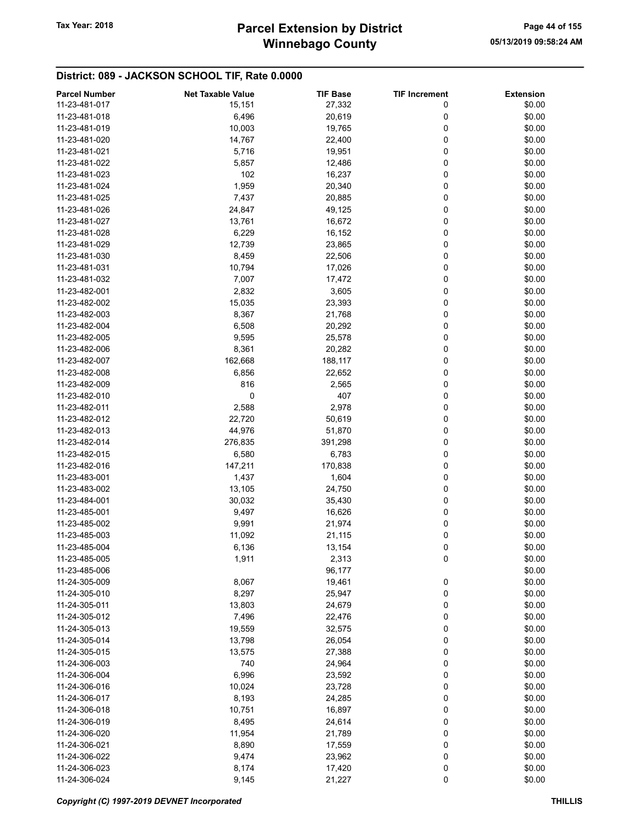| <b>Parcel Number</b> | <b>Net Taxable Value</b> | <b>TIF Base</b> | <b>TIF Increment</b> | <b>Extension</b> |
|----------------------|--------------------------|-----------------|----------------------|------------------|
| 11-23-481-017        | 15,151                   | 27,332          | 0                    | \$0.00           |
| 11-23-481-018        | 6,496                    | 20,619          | 0                    | \$0.00           |
| 11-23-481-019        | 10,003                   | 19,765          | 0                    | \$0.00           |
| 11-23-481-020        | 14,767                   | 22,400          | 0                    | \$0.00           |
| 11-23-481-021        | 5,716                    | 19,951          | 0                    | \$0.00           |
|                      |                          |                 | 0                    |                  |
| 11-23-481-022        | 5,857                    | 12,486          |                      | \$0.00           |
| 11-23-481-023        | 102                      | 16,237          | 0                    | \$0.00           |
| 11-23-481-024        | 1,959                    | 20,340          | 0                    | \$0.00           |
| 11-23-481-025        | 7,437                    | 20,885          | 0                    | \$0.00           |
| 11-23-481-026        | 24,847                   | 49,125          | 0                    | \$0.00           |
| 11-23-481-027        | 13,761                   | 16,672          | 0                    | \$0.00           |
| 11-23-481-028        | 6,229                    | 16,152          | 0                    | \$0.00           |
| 11-23-481-029        | 12,739                   | 23,865          | 0                    | \$0.00           |
| 11-23-481-030        | 8,459                    | 22,506          | 0                    | \$0.00           |
| 11-23-481-031        | 10,794                   | 17,026          | 0                    | \$0.00           |
| 11-23-481-032        | 7,007                    | 17,472          | 0                    | \$0.00           |
| 11-23-482-001        | 2,832                    | 3,605           | 0                    | \$0.00           |
| 11-23-482-002        | 15,035                   | 23,393          | 0                    | \$0.00           |
| 11-23-482-003        | 8,367                    | 21,768          | 0                    | \$0.00           |
| 11-23-482-004        | 6,508                    | 20,292          | 0                    | \$0.00           |
| 11-23-482-005        | 9,595                    | 25,578          | 0                    | \$0.00           |
| 11-23-482-006        | 8,361                    | 20,282          | 0                    | \$0.00           |
| 11-23-482-007        | 162,668                  | 188,117         | 0                    | \$0.00           |
| 11-23-482-008        | 6,856                    | 22,652          | 0                    | \$0.00           |
| 11-23-482-009        | 816                      | 2,565           | 0                    | \$0.00           |
| 11-23-482-010        | 0                        | 407             | 0                    | \$0.00           |
|                      |                          |                 |                      |                  |
| 11-23-482-011        | 2,588                    | 2,978           | 0                    | \$0.00           |
| 11-23-482-012        | 22,720                   | 50,619          | 0                    | \$0.00           |
| 11-23-482-013        | 44,976                   | 51,870          | 0                    | \$0.00           |
| 11-23-482-014        | 276,835                  | 391,298         | 0                    | \$0.00           |
| 11-23-482-015        | 6,580                    | 6,783           | 0                    | \$0.00           |
| 11-23-482-016        | 147,211                  | 170,838         | 0                    | \$0.00           |
| 11-23-483-001        | 1,437                    | 1,604           | 0                    | \$0.00           |
| 11-23-483-002        | 13,105                   | 24,750          | 0                    | \$0.00           |
| 11-23-484-001        | 30,032                   | 35,430          | 0                    | \$0.00           |
| 11-23-485-001        | 9,497                    | 16,626          | 0                    | \$0.00           |
| 11-23-485-002        | 9,991                    | 21,974          | 0                    | \$0.00           |
| 11-23-485-003        | 11,092                   | 21,115          | 0                    | \$0.00           |
| 11-23-485-004        | 6,136                    | 13,154          | 0                    | \$0.00           |
| 11-23-485-005        | 1,911                    | 2,313           | 0                    | \$0.00           |
| 11-23-485-006        |                          | 96,177          |                      | \$0.00           |
| 11-24-305-009        | 8,067                    | 19,461          | 0                    | \$0.00           |
| 11-24-305-010        | 8,297                    | 25,947          | 0                    | \$0.00           |
| 11-24-305-011        | 13,803                   | 24,679          | 0                    | \$0.00           |
| 11-24-305-012        | 7,496                    | 22,476          | 0                    | \$0.00           |
| 11-24-305-013        | 19,559                   | 32,575          | 0                    | \$0.00           |
| 11-24-305-014        | 13,798                   | 26,054          | 0                    | \$0.00           |
| 11-24-305-015        |                          |                 | 0                    | \$0.00           |
|                      | 13,575                   | 27,388          |                      |                  |
| 11-24-306-003        | 740                      | 24,964          | 0                    | \$0.00           |
| 11-24-306-004        | 6,996                    | 23,592          | 0                    | \$0.00           |
| 11-24-306-016        | 10,024                   | 23,728          | 0                    | \$0.00           |
| 11-24-306-017        | 8,193                    | 24,285          | 0                    | \$0.00           |
| 11-24-306-018        | 10,751                   | 16,897          | 0                    | \$0.00           |
| 11-24-306-019        | 8,495                    | 24,614          | 0                    | \$0.00           |
| 11-24-306-020        | 11,954                   | 21,789          | 0                    | \$0.00           |
| 11-24-306-021        | 8,890                    | 17,559          | 0                    | \$0.00           |
| 11-24-306-022        | 9,474                    | 23,962          | 0                    | \$0.00           |
| 11-24-306-023        | 8,174                    | 17,420          | 0                    | \$0.00           |
| 11-24-306-024        | 9,145                    | 21,227          | $\pmb{0}$            | \$0.00           |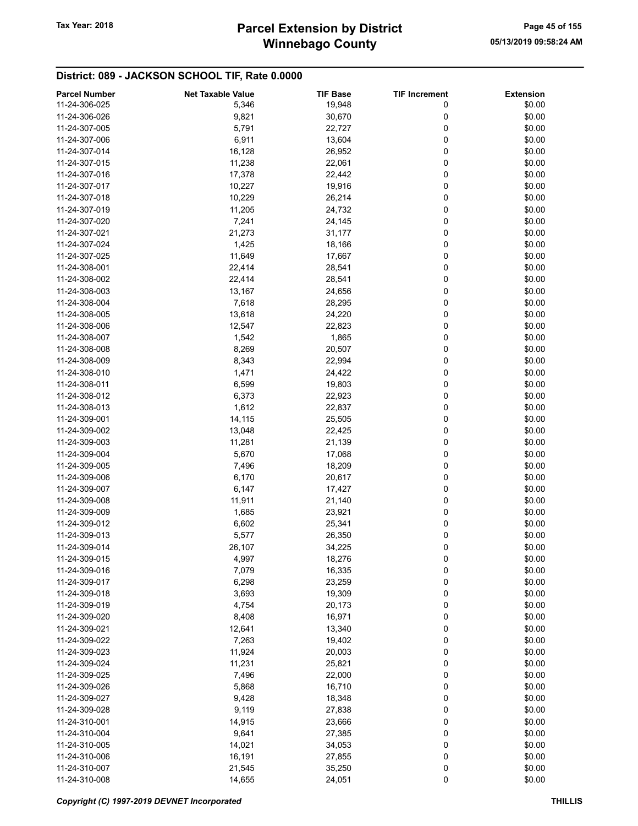# Winnebago County Tax Year: 2018 **Parcel Extension by District** Page 45 of 155

| <b>Parcel Number</b> | <b>Net Taxable Value</b> | <b>TIF Base</b> | <b>TIF Increment</b> | <b>Extension</b> |
|----------------------|--------------------------|-----------------|----------------------|------------------|
| 11-24-306-025        | 5,346                    | 19,948          | 0                    | \$0.00           |
| 11-24-306-026        | 9,821                    | 30,670          | 0                    | \$0.00           |
| 11-24-307-005        | 5,791                    | 22,727          | 0                    | \$0.00           |
| 11-24-307-006        | 6,911                    | 13,604          | 0                    | \$0.00           |
| 11-24-307-014        | 16,128                   |                 | 0                    | \$0.00           |
|                      |                          | 26,952          |                      |                  |
| 11-24-307-015        | 11,238                   | 22,061          | 0                    | \$0.00           |
| 11-24-307-016        | 17,378                   | 22,442          | 0                    | \$0.00           |
| 11-24-307-017        | 10,227                   | 19,916          | 0                    | \$0.00           |
| 11-24-307-018        | 10,229                   | 26,214          | 0                    | \$0.00           |
| 11-24-307-019        | 11,205                   | 24,732          | 0                    | \$0.00           |
| 11-24-307-020        | 7,241                    | 24,145          | 0                    | \$0.00           |
| 11-24-307-021        | 21,273                   | 31,177          | 0                    | \$0.00           |
| 11-24-307-024        | 1,425                    | 18,166          | 0                    | \$0.00           |
| 11-24-307-025        | 11,649                   | 17,667          | 0                    | \$0.00           |
| 11-24-308-001        | 22,414                   | 28,541          | 0                    | \$0.00           |
| 11-24-308-002        | 22,414                   | 28,541          | 0                    | \$0.00           |
| 11-24-308-003        | 13,167                   | 24,656          | 0                    | \$0.00           |
| 11-24-308-004        | 7,618                    | 28,295          | 0                    | \$0.00           |
| 11-24-308-005        | 13,618                   | 24,220          | 0                    | \$0.00           |
| 11-24-308-006        |                          |                 | 0                    |                  |
|                      | 12,547                   | 22,823          |                      | \$0.00           |
| 11-24-308-007        | 1,542                    | 1,865           | 0                    | \$0.00           |
| 11-24-308-008        | 8,269                    | 20,507          | 0                    | \$0.00           |
| 11-24-308-009        | 8,343                    | 22,994          | 0                    | \$0.00           |
| 11-24-308-010        | 1,471                    | 24,422          | 0                    | \$0.00           |
| 11-24-308-011        | 6,599                    | 19,803          | 0                    | \$0.00           |
| 11-24-308-012        | 6,373                    | 22,923          | 0                    | \$0.00           |
| 11-24-308-013        | 1,612                    | 22,837          | 0                    | \$0.00           |
| 11-24-309-001        | 14,115                   | 25,505          | 0                    | \$0.00           |
| 11-24-309-002        | 13,048                   | 22,425          | 0                    | \$0.00           |
| 11-24-309-003        | 11,281                   | 21,139          | 0                    | \$0.00           |
| 11-24-309-004        | 5,670                    | 17,068          | 0                    | \$0.00           |
| 11-24-309-005        | 7,496                    | 18,209          | 0                    | \$0.00           |
| 11-24-309-006        | 6,170                    | 20,617          | 0                    | \$0.00           |
| 11-24-309-007        | 6,147                    | 17,427          | 0                    | \$0.00           |
| 11-24-309-008        | 11,911                   | 21,140          | 0                    | \$0.00           |
| 11-24-309-009        | 1,685                    | 23,921          | 0                    | \$0.00           |
| 11-24-309-012        |                          |                 |                      |                  |
|                      | 6,602                    | 25,341          | 0                    | \$0.00           |
| 11-24-309-013        | 5,577                    | 26,350          | 0                    | \$0.00           |
| 11-24-309-014        | 26,107                   | 34,225          | 0                    | \$0.00           |
| 11-24-309-015        | 4,997                    | 18,276          | 0                    | \$0.00           |
| 11-24-309-016        | 7,079                    | 16,335          | 0                    | \$0.00           |
| 11-24-309-017        | 6,298                    | 23,259          | 0                    | \$0.00           |
| 11-24-309-018        | 3,693                    | 19,309          | 0                    | \$0.00           |
| 11-24-309-019        | 4,754                    | 20,173          | 0                    | \$0.00           |
| 11-24-309-020        | 8,408                    | 16,971          | 0                    | \$0.00           |
| 11-24-309-021        | 12,641                   | 13,340          | 0                    | \$0.00           |
| 11-24-309-022        | 7,263                    | 19,402          | 0                    | \$0.00           |
| 11-24-309-023        | 11,924                   | 20,003          | 0                    | \$0.00           |
| 11-24-309-024        | 11,231                   | 25,821          | 0                    | \$0.00           |
| 11-24-309-025        | 7,496                    | 22,000          | 0                    | \$0.00           |
| 11-24-309-026        | 5,868                    | 16,710          | 0                    | \$0.00           |
|                      |                          |                 |                      |                  |
| 11-24-309-027        | 9,428                    | 18,348          | 0                    | \$0.00           |
| 11-24-309-028        | 9,119                    | 27,838          | 0                    | \$0.00           |
| 11-24-310-001        | 14,915                   | 23,666          | 0                    | \$0.00           |
| 11-24-310-004        | 9,641                    | 27,385          | 0                    | \$0.00           |
| 11-24-310-005        | 14,021                   | 34,053          | 0                    | \$0.00           |
| 11-24-310-006        | 16,191                   | 27,855          | 0                    | \$0.00           |
| 11-24-310-007        | 21,545                   | 35,250          | 0                    | \$0.00           |
| 11-24-310-008        | 14,655                   | 24,051          | 0                    | \$0.00           |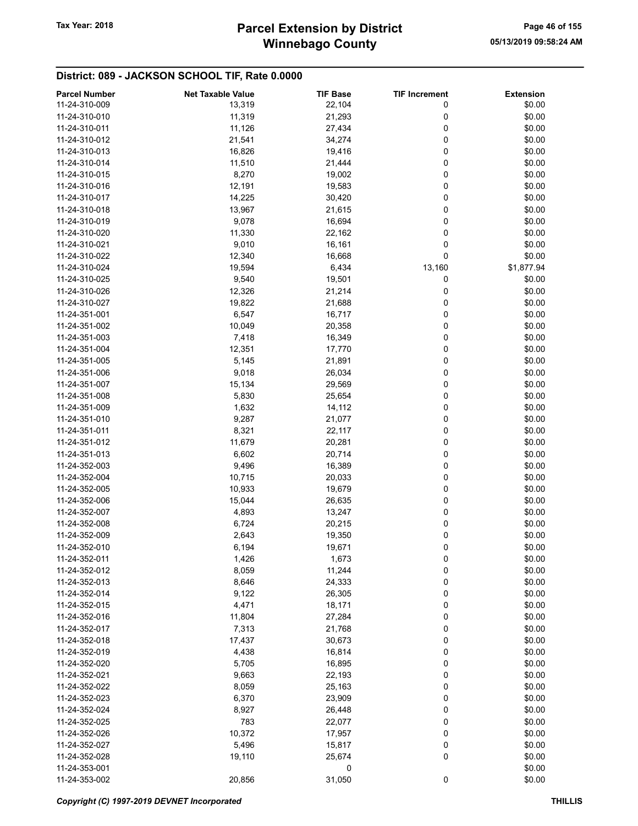# Winnebago County Tax Year: 2018 **Parcel Extension by District** Page 46 of 155

| <b>Parcel Number</b> | <b>Net Taxable Value</b> | <b>TIF Base</b> | <b>TIF Increment</b> | <b>Extension</b> |
|----------------------|--------------------------|-----------------|----------------------|------------------|
| 11-24-310-009        | 13,319                   | 22,104          | 0                    | \$0.00           |
| 11-24-310-010        | 11,319                   | 21,293          | 0                    | \$0.00           |
| 11-24-310-011        | 11,126                   | 27,434          | 0                    | \$0.00           |
| 11-24-310-012        | 21,541                   | 34,274          | 0                    | \$0.00           |
| 11-24-310-013        | 16,826                   | 19,416          | 0                    | \$0.00           |
| 11-24-310-014        | 11,510                   | 21,444          | 0                    | \$0.00           |
| 11-24-310-015        | 8,270                    | 19,002          | 0                    | \$0.00           |
| 11-24-310-016        | 12,191                   | 19,583          | 0                    | \$0.00           |
| 11-24-310-017        | 14,225                   | 30,420          | 0                    | \$0.00           |
|                      |                          |                 |                      |                  |
| 11-24-310-018        | 13,967                   | 21,615          | 0<br>0               | \$0.00           |
| 11-24-310-019        | 9,078                    | 16,694          |                      | \$0.00           |
| 11-24-310-020        | 11,330                   | 22,162          | 0                    | \$0.00           |
| 11-24-310-021        | 9,010                    | 16,161          | 0                    | \$0.00           |
| 11-24-310-022        | 12,340                   | 16,668          | 0                    | \$0.00           |
| 11-24-310-024        | 19,594                   | 6,434           | 13,160               | \$1,877.94       |
| 11-24-310-025        | 9,540                    | 19,501          | 0                    | \$0.00           |
| 11-24-310-026        | 12,326                   | 21,214          | 0                    | \$0.00           |
| 11-24-310-027        | 19,822                   | 21,688          | 0                    | \$0.00           |
| 11-24-351-001        | 6,547                    | 16,717          | 0                    | \$0.00           |
| 11-24-351-002        | 10,049                   | 20,358          | 0                    | \$0.00           |
| 11-24-351-003        | 7,418                    | 16,349          | 0                    | \$0.00           |
| 11-24-351-004        | 12,351                   | 17,770          | 0                    | \$0.00           |
| 11-24-351-005        | 5,145                    | 21,891          | 0                    | \$0.00           |
| 11-24-351-006        | 9,018                    | 26,034          | 0                    | \$0.00           |
| 11-24-351-007        | 15,134                   | 29,569          | 0                    | \$0.00           |
| 11-24-351-008        | 5,830                    | 25,654          | 0                    | \$0.00           |
| 11-24-351-009        | 1,632                    | 14,112          | 0                    | \$0.00           |
| 11-24-351-010        | 9,287                    | 21,077          | 0                    | \$0.00           |
| 11-24-351-011        | 8,321                    | 22,117          | 0                    | \$0.00           |
| 11-24-351-012        | 11,679                   | 20,281          | 0                    | \$0.00           |
| 11-24-351-013        | 6,602                    | 20,714          | 0                    | \$0.00           |
| 11-24-352-003        | 9,496                    | 16,389          | 0                    | \$0.00           |
| 11-24-352-004        | 10,715                   | 20,033          | 0                    | \$0.00           |
| 11-24-352-005        | 10,933                   | 19,679          | 0                    | \$0.00           |
| 11-24-352-006        | 15,044                   | 26,635          | 0                    | \$0.00           |
| 11-24-352-007        | 4,893                    | 13,247          | 0                    | \$0.00           |
| 11-24-352-008        | 6,724                    | 20,215          | 0                    | \$0.00           |
| 11-24-352-009        | 2,643                    | 19,350          | 0                    | \$0.00           |
| 11-24-352-010        | 6,194                    | 19,671          | 0                    | \$0.00           |
| 11-24-352-011        | 1,426                    | 1,673           | 0                    | \$0.00           |
| 11-24-352-012        |                          | 11,244          |                      | \$0.00           |
|                      | 8,059                    |                 | 0                    |                  |
| 11-24-352-013        | 8,646                    | 24,333          | 0                    | \$0.00           |
| 11-24-352-014        | 9,122                    | 26,305          | 0                    | \$0.00           |
| 11-24-352-015        | 4,471                    | 18,171          | 0                    | \$0.00           |
| 11-24-352-016        | 11,804                   | 27,284          | 0                    | \$0.00           |
| 11-24-352-017        | 7,313                    | 21,768          | 0                    | \$0.00           |
| 11-24-352-018        | 17,437                   | 30,673          | 0                    | \$0.00           |
| 11-24-352-019        | 4,438                    | 16,814          | 0                    | \$0.00           |
| 11-24-352-020        | 5,705                    | 16,895          | 0                    | \$0.00           |
| 11-24-352-021        | 9,663                    | 22,193          | 0                    | \$0.00           |
| 11-24-352-022        | 8,059                    | 25,163          | 0                    | \$0.00           |
| 11-24-352-023        | 6,370                    | 23,909          | 0                    | \$0.00           |
| 11-24-352-024        | 8,927                    | 26,448          | 0                    | \$0.00           |
| 11-24-352-025        | 783                      | 22,077          | 0                    | \$0.00           |
| 11-24-352-026        | 10,372                   | 17,957          | 0                    | \$0.00           |
| 11-24-352-027        | 5,496                    | 15,817          | 0                    | \$0.00           |
| 11-24-352-028        | 19,110                   | 25,674          | 0                    | \$0.00           |
| 11-24-353-001        |                          | 0               |                      | \$0.00           |
| 11-24-353-002        | 20,856                   | 31,050          | 0                    | \$0.00           |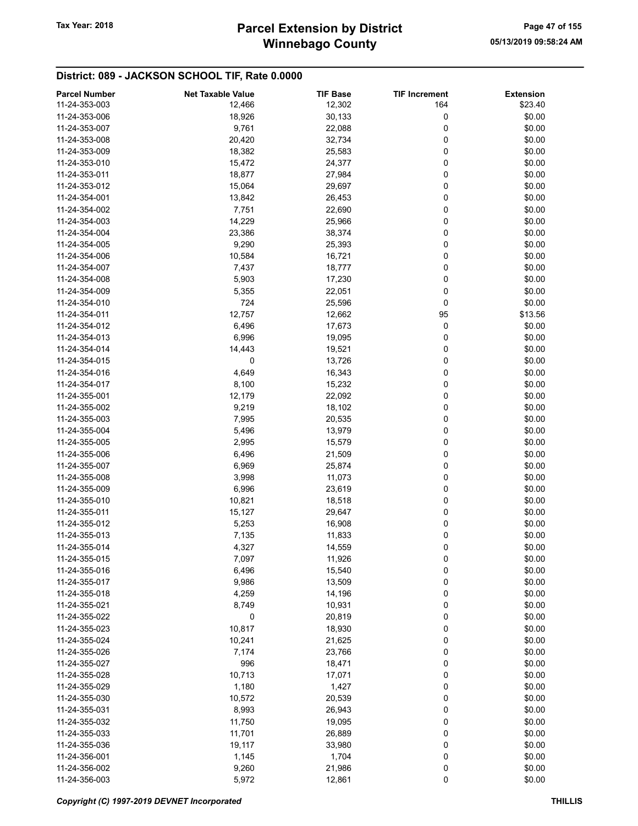| <b>Parcel Number</b> | <b>Net Taxable Value</b> | <b>TIF Base</b> | <b>TIF Increment</b> | <b>Extension</b> |
|----------------------|--------------------------|-----------------|----------------------|------------------|
| 11-24-353-003        | 12,466                   | 12,302          | 164                  | \$23.40          |
| 11-24-353-006        | 18,926                   | 30,133          | 0                    | \$0.00           |
|                      |                          |                 |                      |                  |
| 11-24-353-007        | 9,761                    | 22,088          | 0                    | \$0.00           |
| 11-24-353-008        | 20,420                   | 32,734          | 0                    | \$0.00           |
| 11-24-353-009        | 18,382                   | 25,583          | 0                    | \$0.00           |
| 11-24-353-010        | 15,472                   | 24,377          | 0                    | \$0.00           |
| 11-24-353-011        | 18,877                   | 27,984          | 0                    | \$0.00           |
| 11-24-353-012        | 15,064                   | 29,697          | 0                    | \$0.00           |
| 11-24-354-001        | 13,842                   | 26,453          | 0                    | \$0.00           |
| 11-24-354-002        | 7,751                    | 22,690          | 0                    | \$0.00           |
| 11-24-354-003        | 14,229                   | 25,966          | 0                    | \$0.00           |
|                      |                          |                 |                      |                  |
| 11-24-354-004        | 23,386                   | 38,374          | 0                    | \$0.00           |
| 11-24-354-005        | 9,290                    | 25,393          | 0                    | \$0.00           |
| 11-24-354-006        | 10,584                   | 16,721          | 0                    | \$0.00           |
| 11-24-354-007        | 7,437                    | 18,777          | 0                    | \$0.00           |
| 11-24-354-008        | 5,903                    | 17,230          | 0                    | \$0.00           |
| 11-24-354-009        | 5,355                    | 22,051          | 0                    | \$0.00           |
| 11-24-354-010        | 724                      | 25,596          | 0                    | \$0.00           |
| 11-24-354-011        | 12,757                   | 12,662          | 95                   | \$13.56          |
| 11-24-354-012        |                          |                 | 0                    |                  |
|                      | 6,496                    | 17,673          |                      | \$0.00           |
| 11-24-354-013        | 6,996                    | 19,095          | 0                    | \$0.00           |
| 11-24-354-014        | 14,443                   | 19,521          | 0                    | \$0.00           |
| 11-24-354-015        | 0                        | 13,726          | 0                    | \$0.00           |
| 11-24-354-016        | 4,649                    | 16,343          | 0                    | \$0.00           |
| 11-24-354-017        | 8,100                    | 15,232          | 0                    | \$0.00           |
| 11-24-355-001        | 12,179                   | 22,092          | 0                    | \$0.00           |
| 11-24-355-002        | 9,219                    | 18,102          | 0                    | \$0.00           |
| 11-24-355-003        | 7,995                    | 20,535          | 0                    | \$0.00           |
|                      |                          |                 |                      |                  |
| 11-24-355-004        | 5,496                    | 13,979          | 0                    | \$0.00           |
| 11-24-355-005        | 2,995                    | 15,579          | 0                    | \$0.00           |
| 11-24-355-006        | 6,496                    | 21,509          | 0                    | \$0.00           |
| 11-24-355-007        | 6,969                    | 25,874          | 0                    | \$0.00           |
| 11-24-355-008        | 3,998                    | 11,073          | 0                    | \$0.00           |
| 11-24-355-009        | 6,996                    | 23,619          | 0                    | \$0.00           |
| 11-24-355-010        | 10,821                   | 18,518          | 0                    | \$0.00           |
| 11-24-355-011        | 15,127                   | 29,647          | 0                    | \$0.00           |
| 11-24-355-012        | 5,253                    | 16,908          | 0                    | \$0.00           |
| 11-24-355-013        | 7,135                    | 11,833          | 0                    | \$0.00           |
|                      |                          |                 |                      |                  |
| 11-24-355-014        | 4,327                    | 14,559          | 0                    | \$0.00           |
| 11-24-355-015        | 7,097                    | 11,926          | 0                    | \$0.00           |
| 11-24-355-016        | 6,496                    | 15,540          | 0                    | \$0.00           |
| 11-24-355-017        | 9,986                    | 13,509          | 0                    | \$0.00           |
| 11-24-355-018        | 4,259                    | 14,196          | 0                    | \$0.00           |
| 11-24-355-021        | 8,749                    | 10,931          | 0                    | \$0.00           |
| 11-24-355-022        | 0                        | 20,819          | 0                    | \$0.00           |
| 11-24-355-023        | 10,817                   | 18,930          | 0                    | \$0.00           |
| 11-24-355-024        | 10,241                   | 21,625          | 0                    | \$0.00           |
|                      |                          |                 |                      |                  |
| 11-24-355-026        | 7,174                    | 23,766          | 0                    | \$0.00           |
| 11-24-355-027        | 996                      | 18,471          | 0                    | \$0.00           |
| 11-24-355-028        | 10,713                   | 17,071          | 0                    | \$0.00           |
| 11-24-355-029        | 1,180                    | 1,427           | 0                    | \$0.00           |
| 11-24-355-030        | 10,572                   | 20,539          | 0                    | \$0.00           |
| 11-24-355-031        | 8,993                    | 26,943          | 0                    | \$0.00           |
| 11-24-355-032        | 11,750                   | 19,095          | 0                    | \$0.00           |
| 11-24-355-033        | 11,701                   | 26,889          | 0                    | \$0.00           |
| 11-24-355-036        | 19,117                   | 33,980          | 0                    | \$0.00           |
| 11-24-356-001        |                          |                 | 0                    | \$0.00           |
|                      | 1,145                    | 1,704           |                      |                  |
| 11-24-356-002        | 9,260                    | 21,986          | 0                    | \$0.00           |
| 11-24-356-003        | 5,972                    | 12,861          | $\mathbf 0$          | \$0.00           |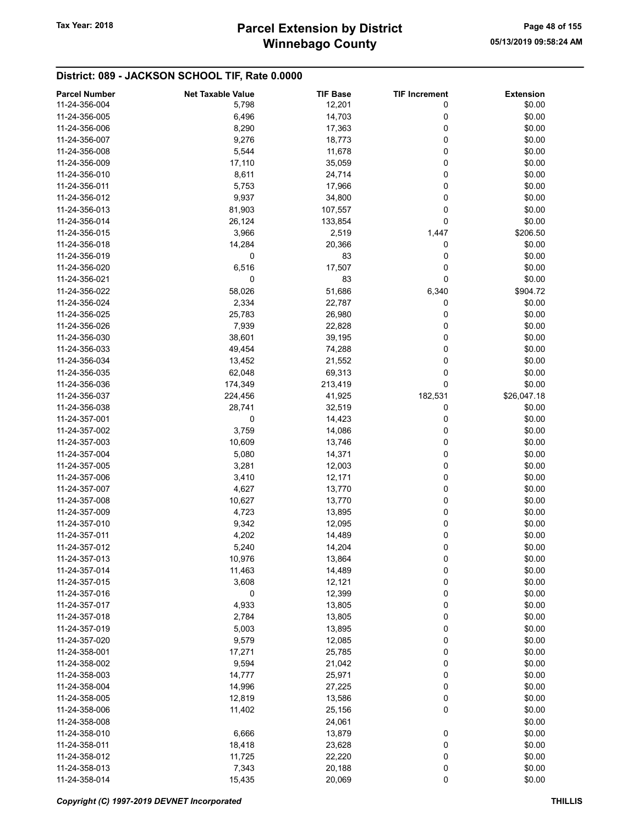# Winnebago County Tax Year: 2018 **Parcel Extension by District** Page 48 of 155

| <b>Parcel Number</b> | <b>Net Taxable Value</b> | <b>TIF Base</b>  | <b>TIF Increment</b> | <b>Extension</b> |
|----------------------|--------------------------|------------------|----------------------|------------------|
| 11-24-356-004        | 5,798                    | 12,201           | 0                    | \$0.00           |
| 11-24-356-005        | 6,496                    | 14,703           | 0                    | \$0.00           |
| 11-24-356-006        | 8,290                    | 17,363           | 0                    | \$0.00           |
| 11-24-356-007        | 9,276                    | 18,773           | 0                    | \$0.00           |
| 11-24-356-008        | 5,544                    | 11,678           | 0                    | \$0.00           |
| 11-24-356-009        | 17,110                   | 35,059           | 0                    | \$0.00           |
| 11-24-356-010        | 8,611                    | 24,714           | 0                    | \$0.00           |
| 11-24-356-011        | 5,753                    | 17,966           | 0                    | \$0.00           |
| 11-24-356-012        | 9,937                    | 34,800           | 0                    | \$0.00           |
| 11-24-356-013        |                          | 107,557          | 0                    | \$0.00           |
|                      | 81,903                   |                  |                      |                  |
| 11-24-356-014        | 26,124                   | 133,854          | 0                    | \$0.00           |
| 11-24-356-015        | 3,966                    | 2,519            | 1,447                | \$206.50         |
| 11-24-356-018        | 14,284                   | 20,366           | 0                    | \$0.00           |
| 11-24-356-019        | 0                        | 83               | 0                    | \$0.00           |
| 11-24-356-020        | 6,516                    | 17,507           | 0                    | \$0.00           |
| 11-24-356-021        | 0                        | 83               | 0                    | \$0.00           |
| 11-24-356-022        | 58,026                   | 51,686           | 6,340                | \$904.72         |
| 11-24-356-024        | 2,334                    | 22,787           | 0                    | \$0.00           |
| 11-24-356-025        | 25,783                   | 26,980           | 0                    | \$0.00           |
| 11-24-356-026        | 7,939                    | 22,828           | 0                    | \$0.00           |
| 11-24-356-030        | 38,601                   | 39,195           | 0                    | \$0.00           |
| 11-24-356-033        | 49,454                   | 74,288           | 0                    | \$0.00           |
| 11-24-356-034        | 13,452                   | 21,552           | 0                    | \$0.00           |
| 11-24-356-035        | 62,048                   | 69,313           | 0                    | \$0.00           |
| 11-24-356-036        | 174,349                  | 213,419          | 0                    | \$0.00           |
| 11-24-356-037        | 224,456                  | 41,925           | 182,531              | \$26,047.18      |
| 11-24-356-038        | 28,741                   | 32,519           | 0                    | \$0.00           |
| 11-24-357-001        | 0                        | 14,423           | 0                    | \$0.00           |
| 11-24-357-002        | 3,759                    |                  | 0                    | \$0.00           |
|                      |                          | 14,086           |                      |                  |
| 11-24-357-003        | 10,609                   | 13,746           | 0                    | \$0.00           |
| 11-24-357-004        | 5,080                    | 14,371           | 0                    | \$0.00           |
| 11-24-357-005        | 3,281                    | 12,003           | 0                    | \$0.00           |
| 11-24-357-006        | 3,410                    | 12,171           | 0                    | \$0.00           |
| 11-24-357-007        | 4,627                    | 13,770           | 0                    | \$0.00           |
| 11-24-357-008        | 10,627                   | 13,770           | 0                    | \$0.00           |
| 11-24-357-009        | 4,723                    | 13,895           | 0                    | \$0.00           |
| 11-24-357-010        | 9,342                    | 12,095           | 0                    | \$0.00           |
| 11-24-357-011        | 4,202                    | 14,489           | 0                    | \$0.00           |
| 11-24-357-012        | 5,240                    | 14,204           | 0                    | \$0.00           |
| 11-24-357-013        | 10,976                   | 13,864           | 0                    | \$0.00           |
| 11-24-357-014        | 11,463                   | 14,489           | 0                    | \$0.00           |
| 11-24-357-015        | 3,608                    | 12,121           | 0                    | \$0.00           |
| 11-24-357-016        | 0                        | 12,399           | 0                    | \$0.00           |
| 11-24-357-017        | 4,933                    | 13,805           | 0                    | \$0.00           |
| 11-24-357-018        | 2,784                    | 13,805           | 0                    | \$0.00           |
| 11-24-357-019        | 5,003                    | 13,895           | 0                    | \$0.00           |
| 11-24-357-020        | 9,579                    | 12,085           | 0                    | \$0.00           |
| 11-24-358-001        | 17,271                   | 25,785           | 0                    | \$0.00           |
| 11-24-358-002        | 9,594                    | 21,042           | 0                    | \$0.00           |
| 11-24-358-003        |                          |                  | 0                    | \$0.00           |
| 11-24-358-004        | 14,777                   | 25,971<br>27,225 | 0                    | \$0.00           |
|                      | 14,996                   |                  |                      |                  |
| 11-24-358-005        | 12,819                   | 13,586           | 0                    | \$0.00           |
| 11-24-358-006        | 11,402                   | 25,156           | 0                    | \$0.00           |
| 11-24-358-008        |                          | 24,061           |                      | \$0.00           |
| 11-24-358-010        | 6,666                    | 13,879           | 0                    | \$0.00           |
| 11-24-358-011        | 18,418                   | 23,628           | 0                    | \$0.00           |
| 11-24-358-012        | 11,725                   | 22,220           | 0                    | \$0.00           |
| 11-24-358-013        | 7,343                    | 20,188           | 0                    | \$0.00           |
| 11-24-358-014        | 15,435                   | 20,069           | 0                    | \$0.00           |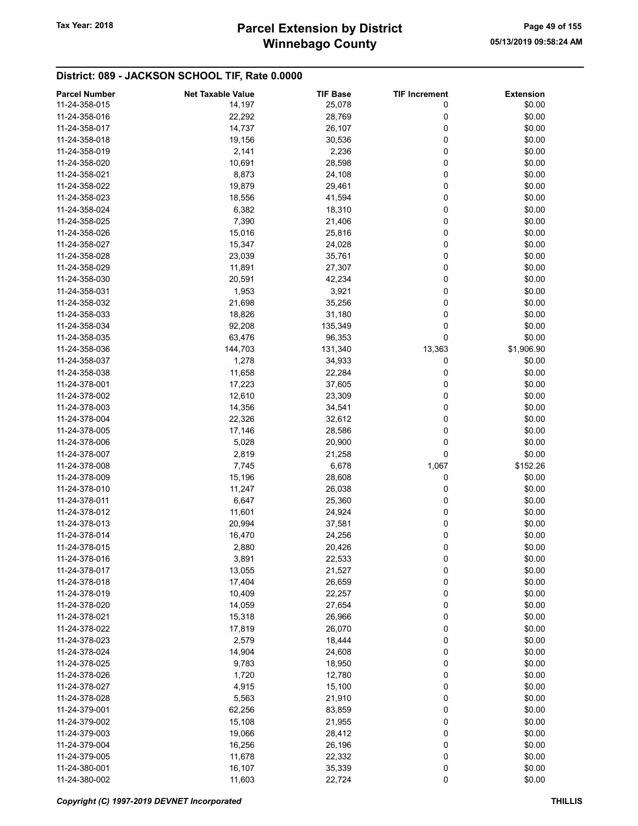# Winnebago County Tax Year: 2018 **Parcel Extension by District** Page 49 of 155

| <b>Parcel Number</b> | <b>Net Taxable Value</b> | <b>TIF Base</b> | <b>TIF Increment</b> | <b>Extension</b> |
|----------------------|--------------------------|-----------------|----------------------|------------------|
| 11-24-358-015        | 14,197                   | 25,078          | 0                    | \$0.00           |
| 11-24-358-016        | 22,292                   | 28,769          | 0                    | \$0.00           |
| 11-24-358-017        | 14,737                   | 26,107          | 0                    | \$0.00           |
| 11-24-358-018        | 19,156                   | 30,536          | 0                    | \$0.00           |
| 11-24-358-019        | 2,141                    |                 | 0                    | \$0.00           |
|                      |                          | 2,236           |                      |                  |
| 11-24-358-020        | 10,691                   | 28,598          | 0                    | \$0.00           |
| 11-24-358-021        | 8,873                    | 24,108          | 0                    | \$0.00           |
| 11-24-358-022        | 19,879                   | 29,461          | 0                    | \$0.00           |
| 11-24-358-023        | 18,556                   | 41,594          | 0                    | \$0.00           |
| 11-24-358-024        | 6,382                    | 18,310          | 0                    | \$0.00           |
| 11-24-358-025        | 7,390                    | 21,406          | 0                    | \$0.00           |
| 11-24-358-026        | 15,016                   | 25,816          | 0                    | \$0.00           |
| 11-24-358-027        | 15,347                   | 24,028          | 0                    | \$0.00           |
| 11-24-358-028        | 23,039                   | 35,761          | 0                    | \$0.00           |
| 11-24-358-029        | 11,891                   | 27,307          | 0                    | \$0.00           |
| 11-24-358-030        | 20,591                   | 42,234          | 0                    | \$0.00           |
| 11-24-358-031        | 1,953                    | 3,921           | 0                    | \$0.00           |
| 11-24-358-032        | 21,698                   | 35,256          | 0                    | \$0.00           |
| 11-24-358-033        | 18,826                   | 31,180          | 0                    | \$0.00           |
| 11-24-358-034        |                          |                 | 0                    |                  |
|                      | 92,208                   | 135,349         |                      | \$0.00           |
| 11-24-358-035        | 63,476                   | 96,353          | 0                    | \$0.00           |
| 11-24-358-036        | 144,703                  | 131,340         | 13,363               | \$1,906.90       |
| 11-24-358-037        | 1,278                    | 34,933          | 0                    | \$0.00           |
| 11-24-358-038        | 11,658                   | 22,284          | 0                    | \$0.00           |
| 11-24-378-001        | 17,223                   | 37,605          | 0                    | \$0.00           |
| 11-24-378-002        | 12,610                   | 23,309          | 0                    | \$0.00           |
| 11-24-378-003        | 14,356                   | 34,541          | 0                    | \$0.00           |
| 11-24-378-004        | 22,326                   | 32,612          | 0                    | \$0.00           |
| 11-24-378-005        | 17,146                   | 28,586          | 0                    | \$0.00           |
| 11-24-378-006        | 5,028                    | 20,900          | 0                    | \$0.00           |
| 11-24-378-007        | 2,819                    | 21,258          | 0                    | \$0.00           |
| 11-24-378-008        | 7,745                    | 6,678           | 1,067                | \$152.26         |
| 11-24-378-009        | 15,196                   | 28,608          | 0                    | \$0.00           |
| 11-24-378-010        | 11,247                   | 26,038          | 0                    | \$0.00           |
| 11-24-378-011        | 6,647                    | 25,360          | 0                    | \$0.00           |
| 11-24-378-012        |                          |                 | 0                    |                  |
|                      | 11,601                   | 24,924          |                      | \$0.00           |
| 11-24-378-013        | 20,994                   | 37,581          | 0                    | \$0.00           |
| 11-24-378-014        | 16,470                   | 24,256          | 0                    | \$0.00           |
| 11-24-378-015        | 2,880                    | 20,426          | 0                    | \$0.00           |
| 11-24-378-016        | 3,891                    | 22,533          | 0                    | \$0.00           |
| 11-24-378-017        | 13,055                   | 21,527          | 0                    | \$0.00           |
| 11-24-378-018        | 17,404                   | 26,659          | 0                    | \$0.00           |
| 11-24-378-019        | 10,409                   | 22,257          | 0                    | \$0.00           |
| 11-24-378-020        | 14,059                   | 27,654          | 0                    | \$0.00           |
| 11-24-378-021        | 15,318                   | 26,966          | 0                    | \$0.00           |
| 11-24-378-022        | 17,819                   | 26,070          | 0                    | \$0.00           |
| 11-24-378-023        | 2,579                    | 18,444          | 0                    | \$0.00           |
| 11-24-378-024        | 14,904                   | 24,608          | 0                    | \$0.00           |
| 11-24-378-025        | 9,783                    | 18,950          | 0                    | \$0.00           |
| 11-24-378-026        | 1,720                    | 12,780          | 0                    | \$0.00           |
| 11-24-378-027        | 4,915                    | 15,100          | 0                    | \$0.00           |
| 11-24-378-028        | 5,563                    | 21,910          | 0                    | \$0.00           |
|                      |                          |                 | 0                    | \$0.00           |
| 11-24-379-001        | 62,256                   | 83,859          |                      |                  |
| 11-24-379-002        | 15,108                   | 21,955          | 0                    | \$0.00           |
| 11-24-379-003        | 19,066                   | 28,412          | 0                    | \$0.00           |
| 11-24-379-004        | 16,256                   | 26,196          | 0                    | \$0.00           |
| 11-24-379-005        | 11,678                   | 22,332          | 0                    | \$0.00           |
| 11-24-380-001        | 16,107                   | 35,339          | 0                    | \$0.00           |
| 11-24-380-002        | 11,603                   | 22,724          | 0                    | \$0.00           |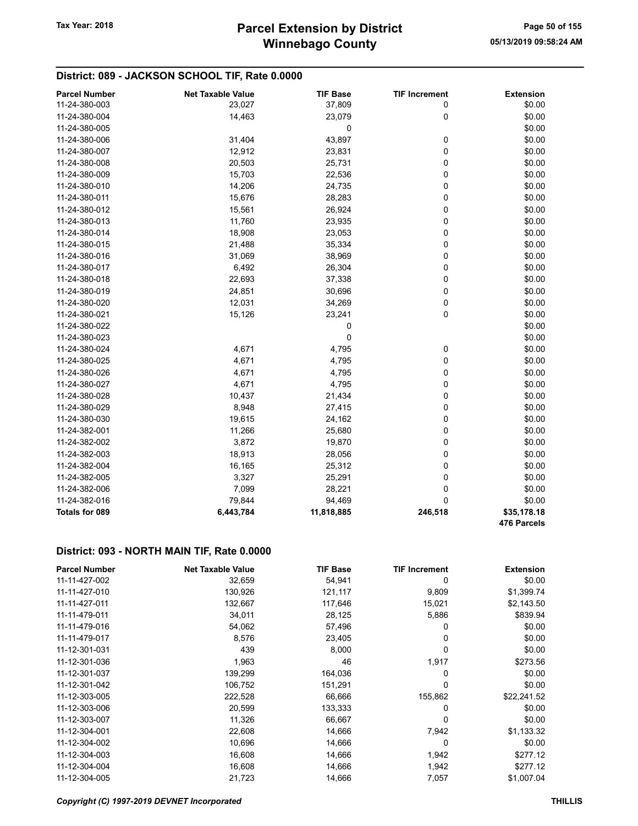## District: 089 - JACKSON SCHOOL TIF, Rate 0.0000

| <b>Parcel Number</b>  | <b>Net Taxable Value</b> | <b>TIF Base</b> | <b>TIF Increment</b> | <b>Extension</b>           |
|-----------------------|--------------------------|-----------------|----------------------|----------------------------|
| 11-24-380-003         | 23,027                   | 37,809          | 0                    | \$0.00                     |
| 11-24-380-004         | 14,463                   | 23,079          | 0                    | \$0.00                     |
| 11-24-380-005         |                          | 0               |                      | \$0.00                     |
| 11-24-380-006         | 31,404                   | 43,897          | 0                    | \$0.00                     |
| 11-24-380-007         | 12,912                   | 23,831          | 0                    | \$0.00                     |
| 11-24-380-008         | 20,503                   | 25,731          | 0                    | \$0.00                     |
| 11-24-380-009         | 15,703                   | 22,536          | 0                    | \$0.00                     |
| 11-24-380-010         | 14,206                   | 24,735          | 0                    | \$0.00                     |
| 11-24-380-011         | 15,676                   | 28,283          | 0                    | \$0.00                     |
| 11-24-380-012         | 15,561                   | 26,924          | 0                    | \$0.00                     |
| 11-24-380-013         | 11,760                   | 23,935          | 0                    | \$0.00                     |
| 11-24-380-014         | 18,908                   | 23,053          | 0                    | \$0.00                     |
| 11-24-380-015         | 21,488                   | 35,334          | 0                    | \$0.00                     |
| 11-24-380-016         | 31,069                   | 38,969          | 0                    | \$0.00                     |
| 11-24-380-017         | 6,492                    | 26,304          | 0                    | \$0.00                     |
| 11-24-380-018         | 22,693                   | 37,338          | 0                    | \$0.00                     |
| 11-24-380-019         | 24,851                   | 30,696          | 0                    | \$0.00                     |
| 11-24-380-020         | 12,031                   | 34,269          | 0                    | \$0.00                     |
| 11-24-380-021         | 15,126                   | 23,241          | 0                    | \$0.00                     |
| 11-24-380-022         |                          | 0               |                      | \$0.00                     |
| 11-24-380-023         |                          | 0               |                      | \$0.00                     |
| 11-24-380-024         | 4,671                    | 4,795           | 0                    | \$0.00                     |
| 11-24-380-025         | 4,671                    | 4,795           | 0                    | \$0.00                     |
| 11-24-380-026         | 4,671                    | 4,795           | 0                    | \$0.00                     |
| 11-24-380-027         | 4,671                    | 4,795           | 0                    | \$0.00                     |
| 11-24-380-028         | 10,437                   | 21,434          | 0                    | \$0.00                     |
| 11-24-380-029         | 8,948                    | 27,415          | 0                    | \$0.00                     |
| 11-24-380-030         | 19,615                   | 24,162          | 0                    | \$0.00                     |
| 11-24-382-001         | 11,266                   | 25,680          | 0                    | \$0.00                     |
| 11-24-382-002         | 3,872                    | 19,870          | 0                    | \$0.00                     |
| 11-24-382-003         | 18,913                   | 28,056          | 0                    | \$0.00                     |
| 11-24-382-004         | 16,165                   | 25,312          | 0                    | \$0.00                     |
| 11-24-382-005         | 3,327                    | 25,291          | 0                    | \$0.00                     |
| 11-24-382-006         | 7,099                    | 28,221          | 0                    | \$0.00                     |
| 11-24-382-016         | 79,844                   | 94,469          | 0                    | \$0.00                     |
| <b>Totals for 089</b> | 6,443,784                | 11,818,885      | 246,518              | \$35,178.18<br>476 Parcels |

#### District: 093 - NORTH MAIN TIF, Rate 0.0000

| <b>Parcel Number</b> | <b>Net Taxable Value</b> | <b>TIF Base</b> | <b>TIF Increment</b> | <b>Extension</b> |
|----------------------|--------------------------|-----------------|----------------------|------------------|
| 11-11-427-002        | 32,659                   | 54,941          | 0                    | \$0.00           |
| 11-11-427-010        | 130,926                  | 121,117         | 9,809                | \$1,399.74       |
| 11-11-427-011        | 132,667                  | 117,646         | 15,021               | \$2,143.50       |
| 11-11-479-011        | 34,011                   | 28,125          | 5,886                | \$839.94         |
| 11-11-479-016        | 54,062                   | 57,496          | 0                    | \$0.00           |
| 11-11-479-017        | 8,576                    | 23,405          | 0                    | \$0.00           |
| 11-12-301-031        | 439                      | 8,000           | 0                    | \$0.00           |
| 11-12-301-036        | 1,963                    | 46              | 1,917                | \$273.56         |
| 11-12-301-037        | 139,299                  | 164,036         | 0                    | \$0.00           |
| 11-12-301-042        | 106,752                  | 151,291         | 0                    | \$0.00           |
| 11-12-303-005        | 222,528                  | 66,666          | 155,862              | \$22,241.52      |
| 11-12-303-006        | 20,599                   | 133,333         | 0                    | \$0.00           |
| 11-12-303-007        | 11,326                   | 66,667          | 0                    | \$0.00           |
| 11-12-304-001        | 22,608                   | 14,666          | 7,942                | \$1,133.32       |
| 11-12-304-002        | 10,696                   | 14,666          | 0                    | \$0.00           |
| 11-12-304-003        | 16,608                   | 14,666          | 1,942                | \$277.12         |
| 11-12-304-004        | 16,608                   | 14,666          | 1,942                | \$277.12         |
| 11-12-304-005        | 21,723                   | 14,666          | 7,057                | \$1,007.04       |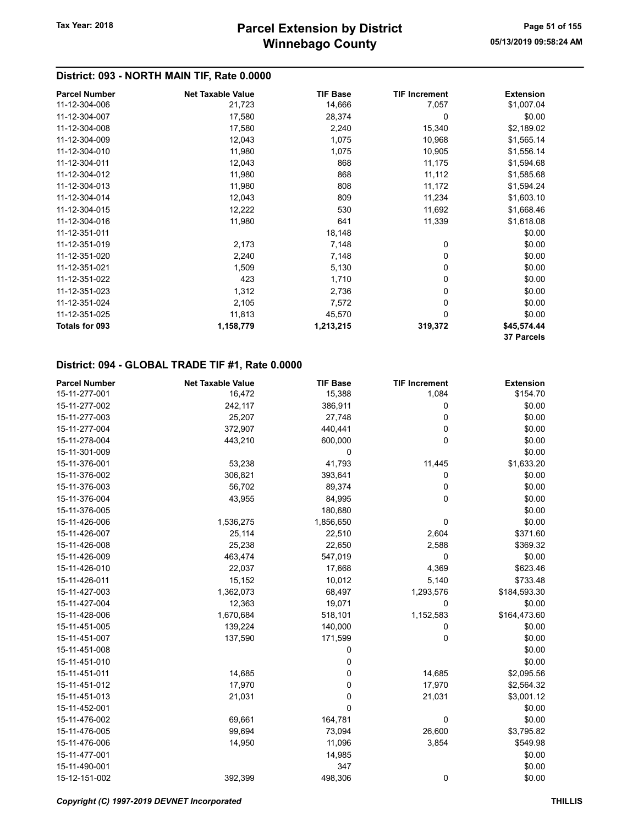#### District: 093 - NORTH MAIN TIF, Rate 0.0000

| <b>Parcel Number</b> | <b>Net Taxable Value</b> | <b>TIF Base</b> | <b>TIF Increment</b> | <b>Extension</b> |
|----------------------|--------------------------|-----------------|----------------------|------------------|
| 11-12-304-006        | 21,723                   | 14,666          | 7,057                | \$1,007.04       |
| 11-12-304-007        | 17,580                   | 28,374          | 0                    | \$0.00           |
| 11-12-304-008        | 17,580                   | 2,240           | 15,340               | \$2,189.02       |
| 11-12-304-009        | 12,043                   | 1,075           | 10,968               | \$1,565.14       |
| 11-12-304-010        | 11,980                   | 1,075           | 10,905               | \$1,556.14       |
| 11-12-304-011        | 12,043                   | 868             | 11,175               | \$1,594.68       |
| 11-12-304-012        | 11,980                   | 868             | 11,112               | \$1,585.68       |
| 11-12-304-013        | 11,980                   | 808             | 11,172               | \$1,594.24       |
| 11-12-304-014        | 12,043                   | 809             | 11,234               | \$1,603.10       |
| 11-12-304-015        | 12,222                   | 530             | 11,692               | \$1,668.46       |
| 11-12-304-016        | 11,980                   | 641             | 11,339               | \$1,618.08       |
| 11-12-351-011        |                          | 18,148          |                      | \$0.00           |
| 11-12-351-019        | 2,173                    | 7,148           | 0                    | \$0.00           |
| 11-12-351-020        | 2,240                    | 7,148           | 0                    | \$0.00           |
| 11-12-351-021        | 1,509                    | 5,130           | 0                    | \$0.00           |
| 11-12-351-022        | 423                      | 1,710           | 0                    | \$0.00           |
| 11-12-351-023        | 1,312                    | 2,736           | 0                    | \$0.00           |
| 11-12-351-024        | 2,105                    | 7,572           | 0                    | \$0.00           |
| 11-12-351-025        | 11,813                   | 45,570          | $\Omega$             | \$0.00           |
| Totals for 093       | 1,158,779                | 1,213,215       | 319,372              | \$45,574.44      |
|                      |                          |                 |                      | 37 Parcels       |

| <b>Parcel Number</b> | <b>Net Taxable Value</b> | <b>TIF Base</b> | <b>TIF Increment</b> | <b>Extension</b> |
|----------------------|--------------------------|-----------------|----------------------|------------------|
| 15-11-277-001        | 16,472                   | 15,388          | 1,084                | \$154.70         |
| 15-11-277-002        | 242,117                  | 386,911         | 0                    | \$0.00           |
| 15-11-277-003        | 25,207                   | 27,748          | 0                    | \$0.00           |
| 15-11-277-004        | 372,907                  | 440,441         | 0                    | \$0.00           |
| 15-11-278-004        | 443,210                  | 600,000         | 0                    | \$0.00           |
| 15-11-301-009        |                          | 0               |                      | \$0.00           |
| 15-11-376-001        | 53,238                   | 41,793          | 11,445               | \$1,633.20       |
| 15-11-376-002        | 306,821                  | 393,641         | 0                    | \$0.00           |
| 15-11-376-003        | 56,702                   | 89,374          | 0                    | \$0.00           |
| 15-11-376-004        | 43,955                   | 84,995          | 0                    | \$0.00           |
| 15-11-376-005        |                          | 180,680         |                      | \$0.00           |
| 15-11-426-006        | 1,536,275                | 1,856,650       | 0                    | \$0.00           |
| 15-11-426-007        | 25,114                   | 22,510          | 2,604                | \$371.60         |
| 15-11-426-008        | 25,238                   | 22,650          | 2,588                | \$369.32         |
| 15-11-426-009        | 463,474                  | 547,019         | 0                    | \$0.00           |
| 15-11-426-010        | 22,037                   | 17,668          | 4,369                | \$623.46         |
| 15-11-426-011        | 15,152                   | 10,012          | 5,140                | \$733.48         |
| 15-11-427-003        | 1,362,073                | 68,497          | 1,293,576            | \$184,593.30     |
| 15-11-427-004        | 12,363                   | 19,071          | 0                    | \$0.00           |
| 15-11-428-006        | 1,670,684                | 518,101         | 1,152,583            | \$164,473.60     |
| 15-11-451-005        | 139,224                  | 140,000         | 0                    | \$0.00           |
| 15-11-451-007        | 137,590                  | 171,599         | 0                    | \$0.00           |
| 15-11-451-008        |                          | 0               |                      | \$0.00           |
| 15-11-451-010        |                          | 0               |                      | \$0.00           |
| 15-11-451-011        | 14,685                   | 0               | 14,685               | \$2,095.56       |
| 15-11-451-012        | 17,970                   | 0               | 17,970               | \$2,564.32       |
| 15-11-451-013        | 21,031                   | 0               | 21,031               | \$3,001.12       |
| 15-11-452-001        |                          | 0               |                      | \$0.00           |
| 15-11-476-002        | 69,661                   | 164,781         | 0                    | \$0.00           |
| 15-11-476-005        | 99,694                   | 73,094          | 26,600               | \$3,795.82       |
| 15-11-476-006        | 14,950                   | 11,096          | 3,854                | \$549.98         |
| 15-11-477-001        |                          | 14,985          |                      | \$0.00           |
| 15-11-490-001        |                          | 347             |                      | \$0.00           |
| 15-12-151-002        | 392,399                  | 498,306         | 0                    | \$0.00           |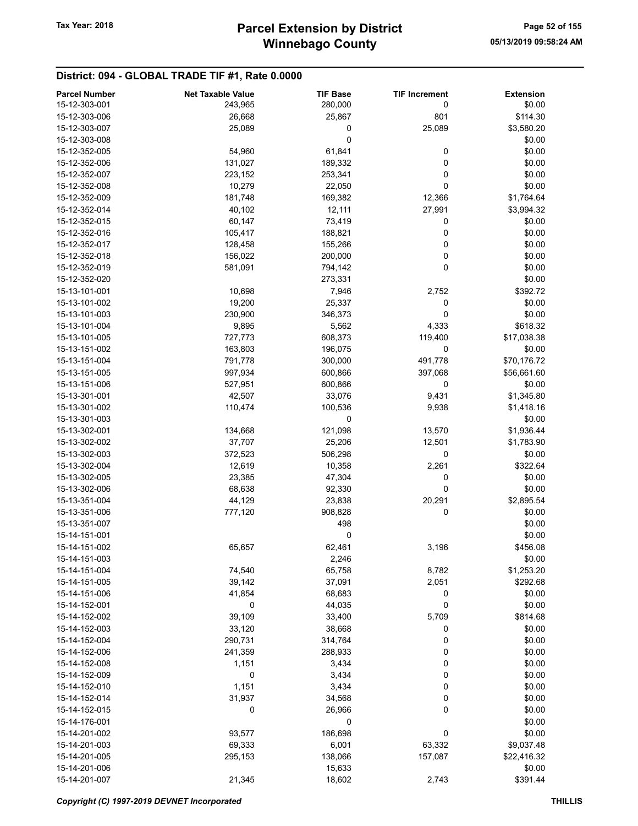| <b>Parcel Number</b> | <b>Net Taxable Value</b> | <b>TIF Base</b> | <b>TIF Increment</b> | <b>Extension</b> |
|----------------------|--------------------------|-----------------|----------------------|------------------|
| 15-12-303-001        | 243,965                  | 280,000         | 0                    | \$0.00           |
| 15-12-303-006        | 26,668                   | 25,867          | 801                  | \$114.30         |
| 15-12-303-007        | 25,089                   | 0               | 25,089               | \$3,580.20       |
| 15-12-303-008        |                          | 0               |                      | \$0.00           |
| 15-12-352-005        | 54,960                   | 61,841          | 0                    | \$0.00           |
|                      |                          |                 | 0                    |                  |
| 15-12-352-006        | 131,027                  | 189,332         |                      | \$0.00           |
| 15-12-352-007        | 223,152                  | 253,341         | 0                    | \$0.00           |
| 15-12-352-008        | 10,279                   | 22,050          | 0                    | \$0.00           |
| 15-12-352-009        | 181,748                  | 169,382         | 12,366               | \$1,764.64       |
| 15-12-352-014        | 40,102                   | 12,111          | 27,991               | \$3,994.32       |
| 15-12-352-015        | 60,147                   | 73,419          | 0                    | \$0.00           |
| 15-12-352-016        | 105,417                  | 188,821         | 0                    | \$0.00           |
| 15-12-352-017        | 128,458                  | 155,266         | 0                    | \$0.00           |
| 15-12-352-018        | 156,022                  | 200,000         | 0                    | \$0.00           |
| 15-12-352-019        | 581,091                  | 794,142         | 0                    | \$0.00           |
| 15-12-352-020        |                          | 273,331         |                      | \$0.00           |
| 15-13-101-001        | 10,698                   | 7,946           | 2,752                | \$392.72         |
| 15-13-101-002        | 19,200                   | 25,337          | 0                    | \$0.00           |
| 15-13-101-003        | 230,900                  | 346,373         | 0                    | \$0.00           |
| 15-13-101-004        | 9,895                    | 5,562           | 4,333                | \$618.32         |
| 15-13-101-005        | 727,773                  | 608,373         | 119,400              | \$17,038.38      |
| 15-13-151-002        | 163,803                  | 196,075         | 0                    | \$0.00           |
| 15-13-151-004        | 791,778                  | 300,000         | 491,778              | \$70,176.72      |
| 15-13-151-005        | 997,934                  | 600,866         | 397,068              | \$56,661.60      |
| 15-13-151-006        | 527,951                  | 600,866         | 0                    | \$0.00           |
| 15-13-301-001        | 42,507                   | 33,076          | 9,431                | \$1,345.80       |
| 15-13-301-002        | 110,474                  | 100,536         | 9,938                | \$1,418.16       |
| 15-13-301-003        |                          | 0               |                      | \$0.00           |
| 15-13-302-001        |                          | 121,098         |                      |                  |
|                      | 134,668                  |                 | 13,570               | \$1,936.44       |
| 15-13-302-002        | 37,707                   | 25,206          | 12,501               | \$1,783.90       |
| 15-13-302-003        | 372,523                  | 506,298         | 0                    | \$0.00           |
| 15-13-302-004        | 12,619                   | 10,358          | 2,261                | \$322.64         |
| 15-13-302-005        | 23,385                   | 47,304          | 0                    | \$0.00           |
| 15-13-302-006        | 68,638                   | 92,330          | 0                    | \$0.00           |
| 15-13-351-004        | 44,129                   | 23,838          | 20,291               | \$2,895.54       |
| 15-13-351-006        | 777,120                  | 908,828         | 0                    | \$0.00           |
| 15-13-351-007        |                          | 498             |                      | \$0.00           |
| 15-14-151-001        |                          | 0               |                      | \$0.00           |
| 15-14-151-002        | 65,657                   | 62,461          | 3,196                | \$456.08         |
| 15-14-151-003        |                          | 2,246           |                      | \$0.00           |
| 15-14-151-004        | 74,540                   | 65,758          | 8,782                | \$1,253.20       |
| 15-14-151-005        | 39,142                   | 37,091          | 2,051                | \$292.68         |
| 15-14-151-006        | 41,854                   | 68,683          | 0                    | \$0.00           |
| 15-14-152-001        | 0                        | 44,035          | 0                    | \$0.00           |
| 15-14-152-002        | 39,109                   | 33,400          | 5,709                | \$814.68         |
| 15-14-152-003        | 33,120                   | 38,668          | 0                    | \$0.00           |
| 15-14-152-004        | 290,731                  | 314,764         | 0                    | \$0.00           |
| 15-14-152-006        | 241,359                  | 288,933         | 0                    | \$0.00           |
| 15-14-152-008        | 1,151                    | 3,434           | 0                    | \$0.00           |
| 15-14-152-009        | 0                        | 3,434           | 0                    | \$0.00           |
| 15-14-152-010        | 1,151                    | 3,434           | 0                    | \$0.00           |
| 15-14-152-014        | 31,937                   | 34,568          | 0                    | \$0.00           |
|                      | 0                        |                 | 0                    | \$0.00           |
| 15-14-152-015        |                          | 26,966          |                      |                  |
| 15-14-176-001        |                          | 0               |                      | \$0.00           |
| 15-14-201-002        | 93,577                   | 186,698         | 0                    | \$0.00           |
| 15-14-201-003        | 69,333                   | 6,001           | 63,332               | \$9,037.48       |
| 15-14-201-005        | 295,153                  | 138,066         | 157,087              | \$22,416.32      |
| 15-14-201-006        |                          | 15,633          |                      | \$0.00           |
| 15-14-201-007        | 21,345                   | 18,602          | 2,743                | \$391.44         |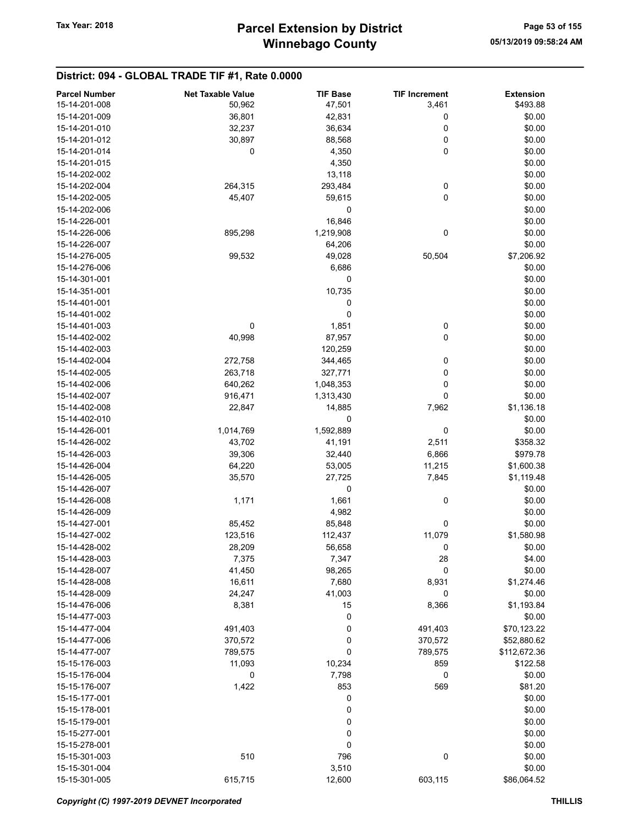| <b>Parcel Number</b> | <b>Net Taxable Value</b> | <b>TIF Base</b> | <b>TIF Increment</b> | <b>Extension</b> |
|----------------------|--------------------------|-----------------|----------------------|------------------|
| 15-14-201-008        | 50,962                   | 47,501          | 3,461                | \$493.88         |
| 15-14-201-009        | 36,801                   | 42,831          | $\bf{0}$             | \$0.00           |
|                      |                          |                 | 0                    | \$0.00           |
| 15-14-201-010        | 32,237                   | 36,634          |                      |                  |
| 15-14-201-012        | 30,897                   | 88,568          | 0                    | \$0.00           |
| 15-14-201-014        | 0                        | 4,350           | 0                    | \$0.00           |
| 15-14-201-015        |                          | 4,350           |                      | \$0.00           |
| 15-14-202-002        |                          | 13,118          |                      | \$0.00           |
| 15-14-202-004        | 264,315                  | 293,484         | 0                    | \$0.00           |
| 15-14-202-005        | 45,407                   | 59,615          | 0                    | \$0.00           |
| 15-14-202-006        |                          | 0               |                      | \$0.00           |
| 15-14-226-001        |                          | 16,846          |                      | \$0.00           |
| 15-14-226-006        | 895,298                  | 1,219,908       | 0                    | \$0.00           |
| 15-14-226-007        |                          | 64,206          |                      | \$0.00           |
| 15-14-276-005        | 99,532                   | 49,028          | 50,504               | \$7,206.92       |
| 15-14-276-006        |                          |                 |                      |                  |
|                      |                          | 6,686           |                      | \$0.00           |
| 15-14-301-001        |                          | 0               |                      | \$0.00           |
| 15-14-351-001        |                          | 10,735          |                      | \$0.00           |
| 15-14-401-001        |                          | 0               |                      | \$0.00           |
| 15-14-401-002        |                          | 0               |                      | \$0.00           |
| 15-14-401-003        | 0                        | 1,851           | 0                    | \$0.00           |
| 15-14-402-002        | 40,998                   | 87,957          | 0                    | \$0.00           |
| 15-14-402-003        |                          | 120,259         |                      | \$0.00           |
| 15-14-402-004        | 272,758                  | 344,465         | 0                    | \$0.00           |
| 15-14-402-005        | 263,718                  | 327,771         | 0                    | \$0.00           |
| 15-14-402-006        | 640,262                  | 1,048,353       | 0                    | \$0.00           |
| 15-14-402-007        |                          |                 | 0                    | \$0.00           |
|                      | 916,471                  | 1,313,430       |                      |                  |
| 15-14-402-008        | 22,847                   | 14,885          | 7,962                | \$1,136.18       |
| 15-14-402-010        |                          | 0               |                      | \$0.00           |
| 15-14-426-001        | 1,014,769                | 1,592,889       | 0                    | \$0.00           |
| 15-14-426-002        | 43,702                   | 41,191          | 2,511                | \$358.32         |
| 15-14-426-003        | 39,306                   | 32,440          | 6,866                | \$979.78         |
| 15-14-426-004        | 64,220                   | 53,005          | 11,215               | \$1,600.38       |
| 15-14-426-005        | 35,570                   | 27,725          | 7,845                | \$1,119.48       |
| 15-14-426-007        |                          | 0               |                      | \$0.00           |
| 15-14-426-008        | 1,171                    | 1,661           | 0                    | \$0.00           |
| 15-14-426-009        |                          | 4,982           |                      | \$0.00           |
| 15-14-427-001        | 85,452                   | 85,848          | 0                    | \$0.00           |
| 15-14-427-002        | 123,516                  | 112,437         | 11,079               | \$1,580.98       |
|                      |                          |                 |                      |                  |
| 15-14-428-002        | 28,209                   | 56,658          | 0                    | \$0.00           |
| 15-14-428-003        | 7,375                    | 7,347           | 28                   | \$4.00           |
| 15-14-428-007        | 41,450                   | 98,265          | 0                    | \$0.00           |
| 15-14-428-008        | 16,611                   | 7,680           | 8,931                | \$1,274.46       |
| 15-14-428-009        | 24,247                   | 41,003          | 0                    | \$0.00           |
| 15-14-476-006        | 8,381                    | 15              | 8,366                | \$1,193.84       |
| 15-14-477-003        |                          | 0               |                      | \$0.00           |
| 15-14-477-004        | 491,403                  | 0               | 491,403              | \$70,123.22      |
| 15-14-477-006        | 370,572                  | 0               | 370,572              | \$52,880.62      |
| 15-14-477-007        | 789,575                  | 0               | 789,575              | \$112,672.36     |
| 15-15-176-003        | 11,093                   | 10,234          | 859                  | \$122.58         |
| 15-15-176-004        | 0                        | 7,798           | 0                    | \$0.00           |
| 15-15-176-007        | 1,422                    | 853             | 569                  | \$81.20          |
|                      |                          |                 |                      |                  |
| 15-15-177-001        |                          | 0               |                      | \$0.00           |
| 15-15-178-001        |                          | 0               |                      | \$0.00           |
| 15-15-179-001        |                          | 0               |                      | \$0.00           |
| 15-15-277-001        |                          | 0               |                      | \$0.00           |
| 15-15-278-001        |                          | 0               |                      | \$0.00           |
| 15-15-301-003        | 510                      | 796             | 0                    | \$0.00           |
| 15-15-301-004        |                          | 3,510           |                      | \$0.00           |
| 15-15-301-005        | 615,715                  | 12,600          | 603,115              | \$86,064.52      |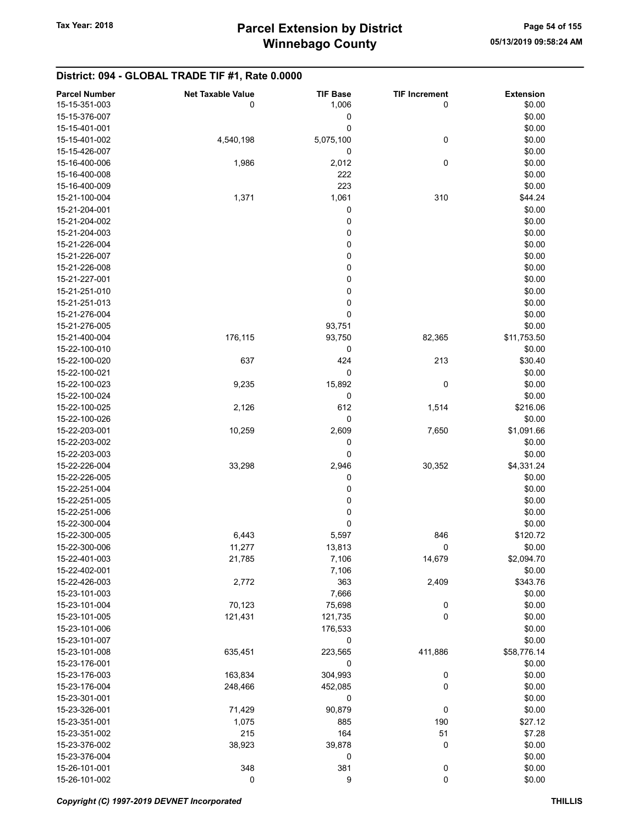| <b>Parcel Number</b> | <b>Net Taxable Value</b> | <b>TIF Base</b> | <b>TIF Increment</b> | <b>Extension</b> |
|----------------------|--------------------------|-----------------|----------------------|------------------|
| 15-15-351-003        | 0                        | 1,006           | 0                    | \$0.00           |
| 15-15-376-007        |                          | 0               |                      | \$0.00           |
| 15-15-401-001        |                          | 0               |                      | \$0.00           |
| 15-15-401-002        | 4,540,198                | 5,075,100       | 0                    | \$0.00           |
| 15-15-426-007        |                          | 0               |                      | \$0.00           |
| 15-16-400-006        | 1,986                    | 2,012           | $\pmb{0}$            | \$0.00           |
| 15-16-400-008        |                          | 222             |                      | \$0.00           |
|                      |                          |                 |                      |                  |
| 15-16-400-009        |                          | 223             |                      | \$0.00           |
| 15-21-100-004        | 1,371                    | 1,061           | 310                  | \$44.24          |
| 15-21-204-001        |                          | 0               |                      | \$0.00           |
| 15-21-204-002        |                          | 0               |                      | \$0.00           |
| 15-21-204-003        |                          | 0               |                      | \$0.00           |
| 15-21-226-004        |                          | 0               |                      | \$0.00           |
| 15-21-226-007        |                          | 0               |                      | \$0.00           |
| 15-21-226-008        |                          | 0               |                      | \$0.00           |
| 15-21-227-001        |                          | $\pmb{0}$       |                      | \$0.00           |
| 15-21-251-010        |                          | 0               |                      | \$0.00           |
| 15-21-251-013        |                          | 0               |                      | \$0.00           |
| 15-21-276-004        |                          | 0               |                      | \$0.00           |
| 15-21-276-005        |                          | 93,751          |                      | \$0.00           |
| 15-21-400-004        | 176,115                  | 93,750          | 82,365               | \$11,753.50      |
| 15-22-100-010        |                          | 0               |                      | \$0.00           |
| 15-22-100-020        | 637                      | 424             | 213                  | \$30.40          |
| 15-22-100-021        |                          | 0               |                      | \$0.00           |
| 15-22-100-023        | 9,235                    | 15,892          | 0                    | \$0.00           |
| 15-22-100-024        |                          | 0               |                      | \$0.00           |
| 15-22-100-025        | 2,126                    | 612             | 1,514                | \$216.06         |
| 15-22-100-026        |                          | $\pmb{0}$       |                      | \$0.00           |
| 15-22-203-001        | 10,259                   | 2,609           | 7,650                | \$1,091.66       |
|                      |                          |                 |                      |                  |
| 15-22-203-002        |                          | 0               |                      | \$0.00           |
| 15-22-203-003        |                          | 0               |                      | \$0.00           |
| 15-22-226-004        | 33,298                   | 2,946           | 30,352               | \$4,331.24       |
| 15-22-226-005        |                          | 0               |                      | \$0.00           |
| 15-22-251-004        |                          | 0               |                      | \$0.00           |
| 15-22-251-005        |                          | 0               |                      | \$0.00           |
| 15-22-251-006        |                          | 0               |                      | \$0.00           |
| 15-22-300-004        |                          | 0               |                      | \$0.00           |
| 15-22-300-005        | 6,443                    | 5,597           | 846                  | \$120.72         |
| 15-22-300-006        | 11,277                   | 13,813          | 0                    | \$0.00           |
| 15-22-401-003        | 21,785                   | 7,106           | 14,679               | \$2,094.70       |
| 15-22-402-001        |                          | 7,106           |                      | \$0.00           |
| 15-22-426-003        | 2,772                    | 363             | 2,409                | \$343.76         |
| 15-23-101-003        |                          | 7,666           |                      | \$0.00           |
| 15-23-101-004        | 70,123                   | 75,698          | $\boldsymbol{0}$     | \$0.00           |
| 15-23-101-005        | 121,431                  | 121,735         | 0                    | \$0.00           |
| 15-23-101-006        |                          | 176,533         |                      | \$0.00           |
| 15-23-101-007        |                          | 0               |                      | \$0.00           |
| 15-23-101-008        | 635,451                  | 223,565         | 411,886              | \$58,776.14      |
| 15-23-176-001        |                          | 0               |                      | \$0.00           |
| 15-23-176-003        | 163,834                  | 304,993         | $\boldsymbol{0}$     | \$0.00           |
| 15-23-176-004        | 248,466                  | 452,085         | 0                    | \$0.00           |
| 15-23-301-001        |                          | 0               |                      | \$0.00           |
| 15-23-326-001        | 71,429                   | 90,879          | 0                    | \$0.00           |
| 15-23-351-001        |                          | 885             | 190                  | \$27.12          |
|                      | 1,075                    |                 |                      |                  |
| 15-23-351-002        | 215                      | 164             | 51                   | \$7.28           |
| 15-23-376-002        | 38,923                   | 39,878          | 0                    | \$0.00           |
| 15-23-376-004        |                          | 0               |                      | \$0.00           |
| 15-26-101-001        | 348                      | 381             | $\mathbf 0$          | \$0.00           |
| 15-26-101-002        | 0                        | 9               | $\mathbf 0$          | \$0.00           |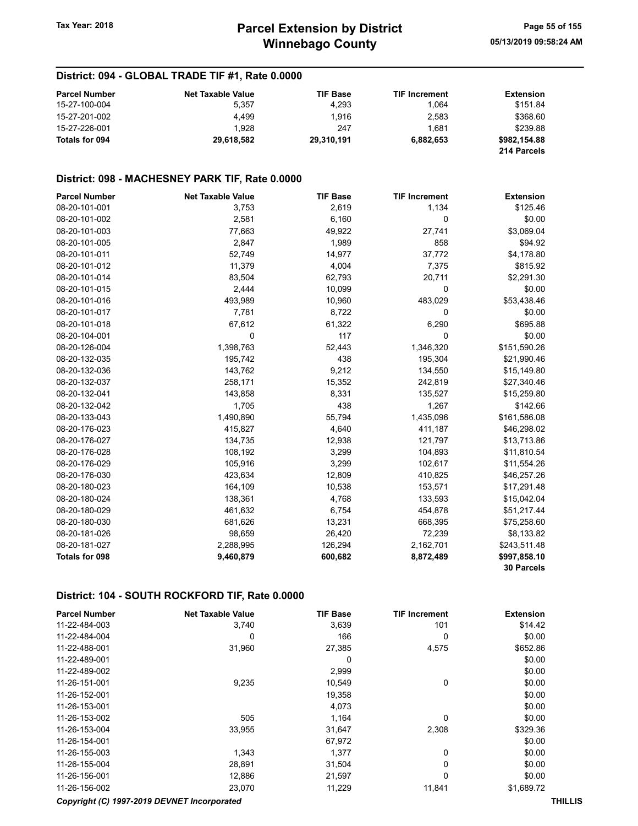| <b>Parcel Number</b> | <b>Net Taxable Value</b> | <b>TIF Base</b> | <b>TIF Increment</b> | <b>Extension</b> |
|----------------------|--------------------------|-----------------|----------------------|------------------|
| 15-27-100-004        | 5.357                    | 4.293           | 1.064                | \$151.84         |
| 15-27-201-002        | 4.499                    | 1.916           | 2,583                | \$368.60         |
| 15-27-226-001        | 1.928                    | 247             | 1.681                | \$239.88         |
| Totals for 094       | 29.618.582               | 29.310.191      | 6.882.653            | \$982.154.88     |
|                      |                          |                 |                      | 214 Parcels      |

#### District: 098 - MACHESNEY PARK TIF, Rate 0.0000

| <b>Parcel Number</b>  | <b>Net Taxable Value</b> | <b>TIF Base</b> | <b>TIF Increment</b> | <b>Extension</b>  |
|-----------------------|--------------------------|-----------------|----------------------|-------------------|
| 08-20-101-001         | 3,753                    | 2,619           | 1,134                | \$125.46          |
| 08-20-101-002         | 2,581                    | 6,160           | 0                    | \$0.00            |
| 08-20-101-003         | 77,663                   | 49,922          | 27,741               | \$3,069.04        |
| 08-20-101-005         | 2,847                    | 1,989           | 858                  | \$94.92           |
| 08-20-101-011         | 52,749                   | 14,977          | 37,772               | \$4,178.80        |
| 08-20-101-012         | 11,379                   | 4,004           | 7,375                | \$815.92          |
| 08-20-101-014         | 83,504                   | 62,793          | 20,711               | \$2,291.30        |
| 08-20-101-015         | 2,444                    | 10,099          | 0                    | \$0.00            |
| 08-20-101-016         | 493,989                  | 10,960          | 483,029              | \$53,438.46       |
| 08-20-101-017         | 7,781                    | 8,722           | 0                    | \$0.00            |
| 08-20-101-018         | 67,612                   | 61,322          | 6,290                | \$695.88          |
| 08-20-104-001         | 0                        | 117             | 0                    | \$0.00            |
| 08-20-126-004         | 1,398,763                | 52,443          | 1,346,320            | \$151,590.26      |
| 08-20-132-035         | 195,742                  | 438             | 195,304              | \$21,990.46       |
| 08-20-132-036         | 143,762                  | 9,212           | 134,550              | \$15,149.80       |
| 08-20-132-037         | 258,171                  | 15,352          | 242,819              | \$27,340.46       |
| 08-20-132-041         | 143,858                  | 8,331           | 135,527              | \$15,259.80       |
| 08-20-132-042         | 1,705                    | 438             | 1,267                | \$142.66          |
| 08-20-133-043         | 1,490,890                | 55,794          | 1,435,096            | \$161,586.08      |
| 08-20-176-023         | 415,827                  | 4,640           | 411,187              | \$46,298.02       |
| 08-20-176-027         | 134,735                  | 12,938          | 121,797              | \$13,713.86       |
| 08-20-176-028         | 108,192                  | 3,299           | 104,893              | \$11,810.54       |
| 08-20-176-029         | 105,916                  | 3,299           | 102,617              | \$11,554.26       |
| 08-20-176-030         | 423,634                  | 12,809          | 410,825              | \$46,257.26       |
| 08-20-180-023         | 164,109                  | 10,538          | 153,571              | \$17,291.48       |
| 08-20-180-024         | 138,361                  | 4,768           | 133,593              | \$15,042.04       |
| 08-20-180-029         | 461,632                  | 6,754           | 454,878              | \$51,217.44       |
| 08-20-180-030         | 681,626                  | 13,231          | 668,395              | \$75,258.60       |
| 08-20-181-026         | 98,659                   | 26,420          | 72,239               | \$8,133.82        |
| 08-20-181-027         | 2,288,995                | 126,294         | 2,162,701            | \$243,511.48      |
| <b>Totals for 098</b> | 9,460,879                | 600,682         | 8,872,489            | \$997,858.10      |
|                       |                          |                 |                      | <b>30 Parcels</b> |

| <b>Parcel Number</b>                        | <b>Net Taxable Value</b> | <b>TIF Base</b> | <b>TIF Increment</b> | <b>Extension</b> |  |
|---------------------------------------------|--------------------------|-----------------|----------------------|------------------|--|
| 11-22-484-003                               | 3,740                    | 3,639           | 101                  | \$14.42          |  |
| 11-22-484-004                               | 0                        | 166             | 0                    | \$0.00           |  |
| 11-22-488-001                               | 31,960                   | 27,385          | 4,575                | \$652.86         |  |
| 11-22-489-001                               |                          | 0               |                      | \$0.00           |  |
| 11-22-489-002                               |                          | 2,999           |                      | \$0.00           |  |
| 11-26-151-001                               | 9,235                    | 10,549          | 0                    | \$0.00           |  |
| 11-26-152-001                               |                          | 19,358          |                      | \$0.00           |  |
| 11-26-153-001                               |                          | 4,073           |                      | \$0.00           |  |
| 11-26-153-002                               | 505                      | 1,164           | $\Omega$             | \$0.00           |  |
| 11-26-153-004                               | 33,955                   | 31,647          | 2,308                | \$329.36         |  |
| 11-26-154-001                               |                          | 67,972          |                      | \$0.00           |  |
| 11-26-155-003                               | 1,343                    | 1,377           | 0                    | \$0.00           |  |
| 11-26-155-004                               | 28,891                   | 31,504          | 0                    | \$0.00           |  |
| 11-26-156-001                               | 12,886                   | 21,597          | 0                    | \$0.00           |  |
| 11-26-156-002                               | 23,070                   | 11,229          | 11,841               | \$1,689.72       |  |
| Copyright (C) 1997-2019 DEVNET Incorporated |                          |                 |                      | <b>THILLIS</b>   |  |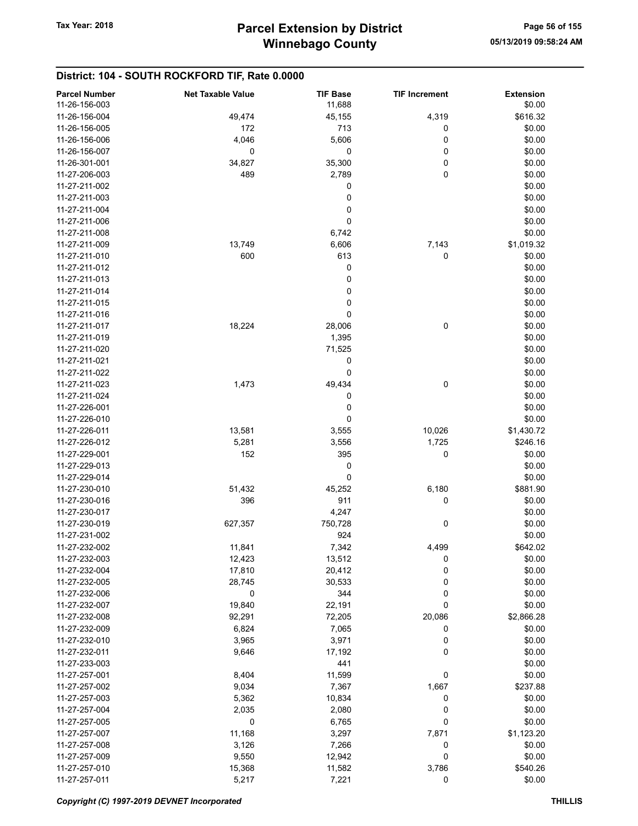| <b>Parcel Number</b><br>11-26-156-003 | <b>Net Taxable Value</b> | <b>TIF Base</b><br>11,688 | <b>TIF Increment</b> | <b>Extension</b><br>\$0.00 |
|---------------------------------------|--------------------------|---------------------------|----------------------|----------------------------|
| 11-26-156-004                         | 49,474                   |                           |                      |                            |
|                                       |                          | 45,155                    | 4,319                | \$616.32                   |
| 11-26-156-005                         | 172                      | 713                       | 0                    | \$0.00                     |
| 11-26-156-006                         | 4,046                    | 5,606                     | 0                    | \$0.00                     |
| 11-26-156-007                         | 0                        | 0                         | 0                    | \$0.00                     |
| 11-26-301-001                         | 34,827                   | 35,300                    | 0                    | \$0.00                     |
| 11-27-206-003                         | 489                      | 2,789                     | 0                    | \$0.00                     |
| 11-27-211-002                         |                          | 0                         |                      | \$0.00                     |
| 11-27-211-003                         |                          | 0                         |                      | \$0.00                     |
| 11-27-211-004                         |                          | 0                         |                      | \$0.00                     |
| 11-27-211-006                         |                          | 0                         |                      | \$0.00                     |
| 11-27-211-008                         |                          | 6,742                     |                      | \$0.00                     |
| 11-27-211-009                         | 13,749                   | 6,606                     | 7,143                | \$1,019.32                 |
| 11-27-211-010                         | 600                      | 613                       | 0                    | \$0.00                     |
| 11-27-211-012                         |                          | 0                         |                      | \$0.00                     |
| 11-27-211-013                         |                          | 0                         |                      | \$0.00                     |
| 11-27-211-014                         |                          | 0                         |                      | \$0.00                     |
| 11-27-211-015                         |                          | 0                         |                      | \$0.00                     |
| 11-27-211-016                         |                          | 0                         |                      | \$0.00                     |
| 11-27-211-017                         | 18,224                   | 28,006                    | 0                    | \$0.00                     |
| 11-27-211-019                         |                          | 1,395                     |                      | \$0.00                     |
| 11-27-211-020                         |                          | 71,525                    |                      | \$0.00                     |
| 11-27-211-021                         |                          |                           |                      |                            |
|                                       |                          | 0                         |                      | \$0.00                     |
| 11-27-211-022                         |                          | 0                         |                      | \$0.00                     |
| 11-27-211-023                         | 1,473                    | 49,434                    | $\pmb{0}$            | \$0.00                     |
| 11-27-211-024                         |                          | 0                         |                      | \$0.00                     |
| 11-27-226-001                         |                          | 0                         |                      | \$0.00                     |
| 11-27-226-010                         |                          | 0                         |                      | \$0.00                     |
| 11-27-226-011                         | 13,581                   | 3,555                     | 10,026               | \$1,430.72                 |
| 11-27-226-012                         | 5,281                    | 3,556                     | 1,725                | \$246.16                   |
| 11-27-229-001                         | 152                      | 395                       | 0                    | \$0.00                     |
| 11-27-229-013                         |                          | 0                         |                      | \$0.00                     |
| 11-27-229-014                         |                          | 0                         |                      | \$0.00                     |
| 11-27-230-010                         | 51,432                   | 45,252                    | 6,180                | \$881.90                   |
| 11-27-230-016                         | 396                      | 911                       | 0                    | \$0.00                     |
| 11-27-230-017                         |                          | 4,247                     |                      | \$0.00                     |
| 11-27-230-019                         | 627,357                  | 750,728                   | 0                    | \$0.00                     |
| 11-27-231-002                         |                          | 924                       |                      | \$0.00                     |
| 11-27-232-002                         | 11,841                   | 7,342                     | 4,499                | \$642.02                   |
| 11-27-232-003                         | 12,423                   | 13,512                    | 0                    | \$0.00                     |
| 11-27-232-004                         | 17,810                   | 20,412                    | 0                    | \$0.00                     |
| 11-27-232-005                         | 28,745                   | 30,533                    | 0                    | \$0.00                     |
| 11-27-232-006                         | 0                        | 344                       | 0                    | \$0.00                     |
| 11-27-232-007                         | 19,840                   | 22,191                    | 0                    | \$0.00                     |
| 11-27-232-008                         | 92,291                   | 72,205                    | 20,086               | \$2,866.28                 |
| 11-27-232-009                         | 6,824                    | 7,065                     | 0                    | \$0.00                     |
| 11-27-232-010                         |                          |                           | 0                    | \$0.00                     |
|                                       | 3,965                    | 3,971                     | 0                    |                            |
| 11-27-232-011                         | 9,646                    | 17,192                    |                      | \$0.00                     |
| 11-27-233-003                         |                          | 441                       |                      | \$0.00                     |
| 11-27-257-001                         | 8,404                    | 11,599                    | 0                    | \$0.00                     |
| 11-27-257-002                         | 9,034                    | 7,367                     | 1,667                | \$237.88                   |
| 11-27-257-003                         | 5,362                    | 10,834                    | 0                    | \$0.00                     |
| 11-27-257-004                         | 2,035                    | 2,080                     | 0                    | \$0.00                     |
| 11-27-257-005                         | 0                        | 6,765                     | 0                    | \$0.00                     |
| 11-27-257-007                         | 11,168                   | 3,297                     | 7,871                | \$1,123.20                 |
| 11-27-257-008                         | 3,126                    | 7,266                     | 0                    | \$0.00                     |
| 11-27-257-009                         | 9,550                    | 12,942                    | 0                    | \$0.00                     |
| 11-27-257-010                         | 15,368                   | 11,582                    | 3,786                | \$540.26                   |
| 11-27-257-011                         | 5,217                    | 7,221                     | 0                    | \$0.00                     |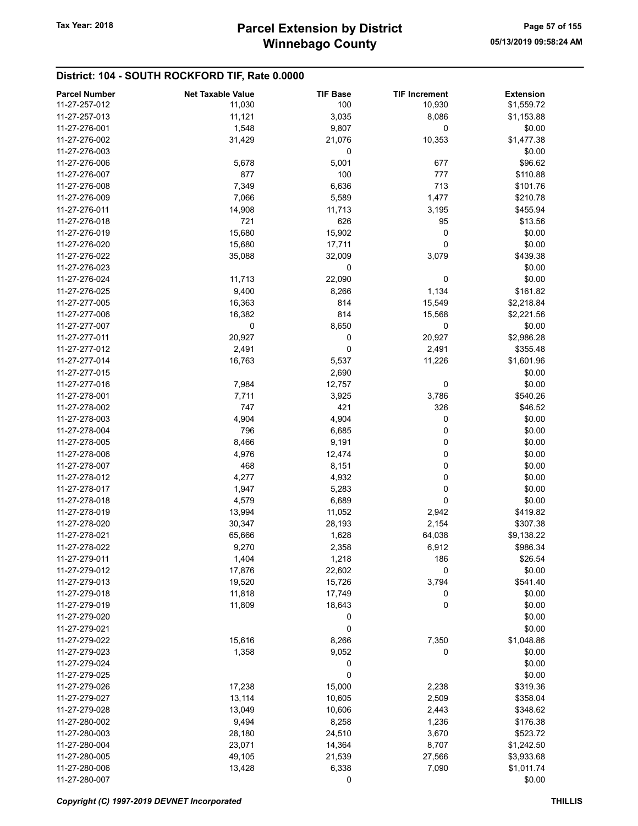| <b>Parcel Number</b> | <b>Net Taxable Value</b> | <b>TIF Base</b> | <b>TIF Increment</b> | <b>Extension</b> |
|----------------------|--------------------------|-----------------|----------------------|------------------|
| 11-27-257-012        | 11,030                   | 100             | 10,930               | \$1,559.72       |
| 11-27-257-013        | 11,121                   | 3,035           | 8,086                | \$1,153.88       |
| 11-27-276-001        | 1,548                    | 9,807           | 0                    | \$0.00           |
| 11-27-276-002        | 31,429                   | 21,076          | 10,353               | \$1,477.38       |
| 11-27-276-003        |                          | 0               |                      | \$0.00           |
| 11-27-276-006        | 5,678                    | 5,001           | 677                  | \$96.62          |
| 11-27-276-007        | 877                      | 100             | 777                  | \$110.88         |
| 11-27-276-008        | 7,349                    | 6,636           | 713                  | \$101.76         |
| 11-27-276-009        | 7,066                    | 5,589           | 1,477                | \$210.78         |
| 11-27-276-011        | 14,908                   | 11,713          | 3,195                | \$455.94         |
| 11-27-276-018        | 721                      | 626             | 95                   | \$13.56          |
| 11-27-276-019        | 15,680                   | 15,902          | 0                    | \$0.00           |
| 11-27-276-020        | 15,680                   | 17,711          | 0                    | \$0.00           |
| 11-27-276-022        | 35,088                   | 32,009          | 3,079                | \$439.38         |
| 11-27-276-023        |                          | 0               |                      | \$0.00           |
| 11-27-276-024        | 11,713                   | 22,090          | 0                    | \$0.00           |
| 11-27-276-025        | 9,400                    | 8,266           | 1,134                | \$161.82         |
| 11-27-277-005        | 16,363                   | 814             | 15,549               | \$2,218.84       |
| 11-27-277-006        | 16,382                   | 814             | 15,568               | \$2,221.56       |
| 11-27-277-007        | 0                        | 8,650           | 0                    | \$0.00           |
| 11-27-277-011        | 20,927                   | 0               | 20,927               | \$2,986.28       |
| 11-27-277-012        | 2,491                    | 0               | 2,491                | \$355.48         |
| 11-27-277-014        | 16,763                   | 5,537           | 11,226               | \$1,601.96       |
| 11-27-277-015        |                          | 2,690           |                      | \$0.00           |
| 11-27-277-016        | 7,984                    | 12,757          | 0                    | \$0.00           |
| 11-27-278-001        | 7,711                    | 3,925           | 3,786                | \$540.26         |
| 11-27-278-002        | 747                      | 421             | 326                  | \$46.52          |
| 11-27-278-003        | 4,904                    | 4,904           | 0                    | \$0.00           |
| 11-27-278-004        | 796                      | 6,685           | 0                    | \$0.00           |
| 11-27-278-005        | 8,466                    | 9,191           | 0                    | \$0.00           |
| 11-27-278-006        | 4,976                    | 12,474          | 0                    | \$0.00           |
| 11-27-278-007        | 468                      | 8,151           | 0                    | \$0.00           |
| 11-27-278-012        | 4,277                    | 4,932           | 0                    | \$0.00           |
| 11-27-278-017        | 1,947                    | 5,283           | 0                    | \$0.00           |
| 11-27-278-018        | 4,579                    | 6,689           | $\mathbf 0$          | \$0.00           |
| 11-27-278-019        | 13,994                   | 11,052          | 2,942                | \$419.82         |
| 11-27-278-020        | 30,347                   | 28,193          | 2,154                | \$307.38         |
| 11-27-278-021        | 65,666                   | 1,628           | 64,038               | \$9,138.22       |
| 11-27-278-022        | 9,270                    | 2,358           | 6,912                | \$986.34         |
| 11-27-279-011        | 1,404                    | 1,218           | 186                  | \$26.54          |
| 11-27-279-012        | 17,876                   | 22,602          | 0                    | \$0.00           |
| 11-27-279-013        | 19,520                   | 15,726          | 3,794                | \$541.40         |
| 11-27-279-018        | 11,818                   | 17,749          | 0                    | \$0.00           |
| 11-27-279-019        | 11,809                   | 18,643          | 0                    | \$0.00           |
| 11-27-279-020        |                          | 0               |                      | \$0.00           |
| 11-27-279-021        |                          | 0               |                      | \$0.00           |
| 11-27-279-022        | 15,616                   | 8,266           | 7,350                | \$1,048.86       |
| 11-27-279-023        | 1,358                    | 9,052           | 0                    | \$0.00           |
| 11-27-279-024        |                          | 0               |                      | \$0.00           |
| 11-27-279-025        |                          | 0               |                      | \$0.00           |
| 11-27-279-026        | 17,238                   | 15,000          | 2,238                | \$319.36         |
| 11-27-279-027        | 13,114                   | 10,605          | 2,509                | \$358.04         |
| 11-27-279-028        | 13,049                   | 10,606          | 2,443                | \$348.62         |
| 11-27-280-002        | 9,494                    | 8,258           | 1,236                | \$176.38         |
| 11-27-280-003        | 28,180                   | 24,510          | 3,670                | \$523.72         |
| 11-27-280-004        | 23,071                   | 14,364          | 8,707                | \$1,242.50       |
| 11-27-280-005        | 49,105                   | 21,539          | 27,566               | \$3,933.68       |
| 11-27-280-006        | 13,428                   | 6,338           | 7,090                | \$1,011.74       |
| 11-27-280-007        |                          | 0               |                      | \$0.00           |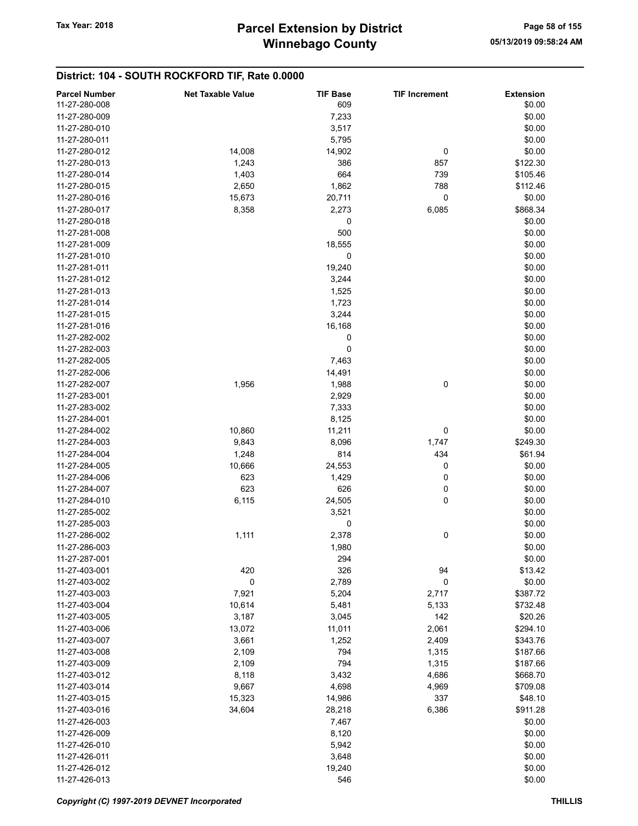| <b>Parcel Number</b> | <b>Net Taxable Value</b> | <b>TIF Base</b> | <b>TIF Increment</b> | <b>Extension</b> |
|----------------------|--------------------------|-----------------|----------------------|------------------|
| 11-27-280-008        |                          | 609             |                      | \$0.00           |
| 11-27-280-009        |                          | 7,233           |                      | \$0.00           |
| 11-27-280-010        |                          | 3,517           |                      | \$0.00           |
| 11-27-280-011        |                          | 5,795           |                      | \$0.00           |
|                      |                          |                 |                      |                  |
| 11-27-280-012        | 14,008                   | 14,902          | 0                    | \$0.00           |
| 11-27-280-013        | 1,243                    | 386             | 857                  | \$122.30         |
| 11-27-280-014        | 1,403                    | 664             | 739                  | \$105.46         |
| 11-27-280-015        | 2,650                    | 1,862           | 788                  | \$112.46         |
| 11-27-280-016        | 15,673                   | 20,711          | 0                    | \$0.00           |
| 11-27-280-017        | 8,358                    | 2,273           | 6,085                | \$868.34         |
| 11-27-280-018        |                          | 0               |                      | \$0.00           |
| 11-27-281-008        |                          | 500             |                      | \$0.00           |
| 11-27-281-009        |                          | 18,555          |                      | \$0.00           |
|                      |                          |                 |                      |                  |
| 11-27-281-010        |                          | 0               |                      | \$0.00           |
| 11-27-281-011        |                          | 19,240          |                      | \$0.00           |
| 11-27-281-012        |                          | 3,244           |                      | \$0.00           |
| 11-27-281-013        |                          | 1,525           |                      | \$0.00           |
| 11-27-281-014        |                          | 1,723           |                      | \$0.00           |
| 11-27-281-015        |                          | 3,244           |                      | \$0.00           |
| 11-27-281-016        |                          | 16,168          |                      | \$0.00           |
| 11-27-282-002        |                          | 0               |                      | \$0.00           |
| 11-27-282-003        |                          | 0               |                      | \$0.00           |
|                      |                          |                 |                      |                  |
| 11-27-282-005        |                          | 7,463           |                      | \$0.00           |
| 11-27-282-006        |                          | 14,491          |                      | \$0.00           |
| 11-27-282-007        | 1,956                    | 1,988           | 0                    | \$0.00           |
| 11-27-283-001        |                          | 2,929           |                      | \$0.00           |
| 11-27-283-002        |                          | 7,333           |                      | \$0.00           |
| 11-27-284-001        |                          | 8,125           |                      | \$0.00           |
| 11-27-284-002        | 10,860                   | 11,211          | 0                    | \$0.00           |
| 11-27-284-003        | 9,843                    | 8,096           | 1,747                | \$249.30         |
| 11-27-284-004        | 1,248                    | 814             | 434                  | \$61.94          |
| 11-27-284-005        | 10,666                   |                 | 0                    | \$0.00           |
|                      |                          | 24,553          |                      |                  |
| 11-27-284-006        | 623                      | 1,429           | 0                    | \$0.00           |
| 11-27-284-007        | 623                      | 626             | 0                    | \$0.00           |
| 11-27-284-010        | 6,115                    | 24,505          | 0                    | \$0.00           |
| 11-27-285-002        |                          | 3,521           |                      | \$0.00           |
| 11-27-285-003        |                          | 0               |                      | \$0.00           |
| 11-27-286-002        | 1,111                    | 2,378           | 0                    | \$0.00           |
| 11-27-286-003        |                          | 1,980           |                      | \$0.00           |
| 11-27-287-001        |                          | 294             |                      | \$0.00           |
| 11-27-403-001        | 420                      | 326             | 94                   | \$13.42          |
|                      |                          |                 |                      |                  |
| 11-27-403-002        | 0                        | 2,789           | $\mathbf 0$          | \$0.00           |
| 11-27-403-003        | 7,921                    | 5,204           | 2,717                | \$387.72         |
| 11-27-403-004        | 10,614                   | 5,481           | 5,133                | \$732.48         |
| 11-27-403-005        | 3,187                    | 3,045           | 142                  | \$20.26          |
| 11-27-403-006        | 13,072                   | 11,011          | 2,061                | \$294.10         |
| 11-27-403-007        | 3,661                    | 1,252           | 2,409                | \$343.76         |
| 11-27-403-008        | 2,109                    | 794             | 1,315                | \$187.66         |
| 11-27-403-009        | 2,109                    | 794             | 1,315                | \$187.66         |
| 11-27-403-012        | 8,118                    | 3,432           | 4,686                | \$668.70         |
| 11-27-403-014        | 9,667                    | 4,698           | 4,969                | \$709.08         |
|                      |                          |                 |                      |                  |
| 11-27-403-015        | 15,323                   | 14,986          | 337                  | \$48.10          |
| 11-27-403-016        | 34,604                   | 28,218          | 6,386                | \$911.28         |
| 11-27-426-003        |                          | 7,467           |                      | \$0.00           |
| 11-27-426-009        |                          | 8,120           |                      | \$0.00           |
| 11-27-426-010        |                          | 5,942           |                      | \$0.00           |
| 11-27-426-011        |                          | 3,648           |                      | \$0.00           |
| 11-27-426-012        |                          | 19,240          |                      | \$0.00           |
| 11-27-426-013        |                          | 546             |                      | \$0.00           |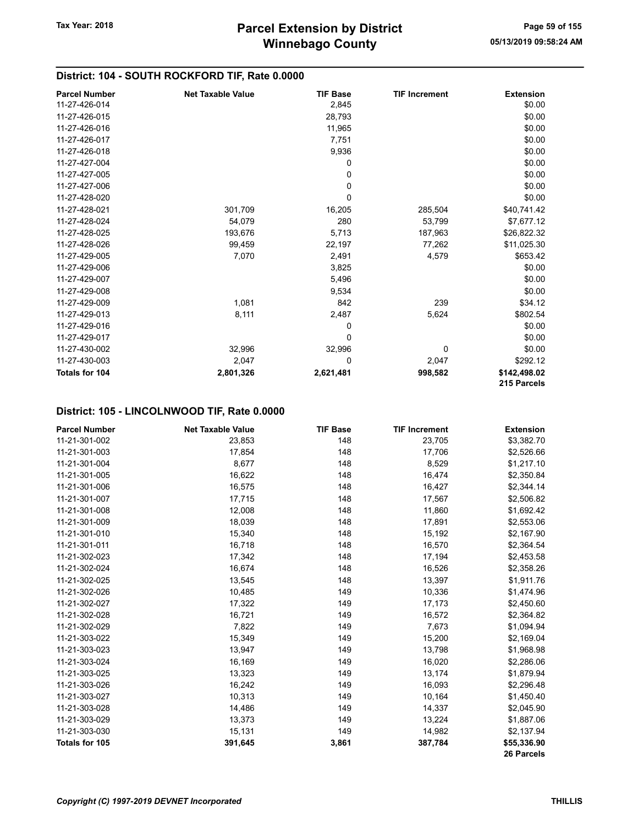| <b>Parcel Number</b> | <b>Net Taxable Value</b> | <b>TIF Base</b> | <b>TIF Increment</b> | <b>Extension</b> |
|----------------------|--------------------------|-----------------|----------------------|------------------|
| 11-27-426-014        |                          | 2,845           |                      | \$0.00           |
| 11-27-426-015        |                          | 28,793          |                      | \$0.00           |
| 11-27-426-016        |                          | 11,965          |                      | \$0.00           |
| 11-27-426-017        |                          | 7,751           |                      | \$0.00           |
| 11-27-426-018        |                          | 9,936           |                      | \$0.00           |
| 11-27-427-004        |                          | 0               |                      | \$0.00           |
| 11-27-427-005        |                          | 0               |                      | \$0.00           |
| 11-27-427-006        |                          | 0               |                      | \$0.00           |
| 11-27-428-020        |                          | 0               |                      | \$0.00           |
| 11-27-428-021        | 301,709                  | 16,205          | 285,504              | \$40,741.42      |
| 11-27-428-024        | 54,079                   | 280             | 53,799               | \$7,677.12       |
| 11-27-428-025        | 193,676                  | 5,713           | 187,963              | \$26,822.32      |
| 11-27-428-026        | 99,459                   | 22,197          | 77,262               | \$11,025.30      |
| 11-27-429-005        | 7,070                    | 2,491           | 4,579                | \$653.42         |
| 11-27-429-006        |                          | 3,825           |                      | \$0.00           |
| 11-27-429-007        |                          | 5,496           |                      | \$0.00           |
| 11-27-429-008        |                          | 9,534           |                      | \$0.00           |
| 11-27-429-009        | 1,081                    | 842             | 239                  | \$34.12          |
| 11-27-429-013        | 8,111                    | 2,487           | 5,624                | \$802.54         |
| 11-27-429-016        |                          | 0               |                      | \$0.00           |
| 11-27-429-017        |                          | 0               |                      | \$0.00           |
| 11-27-430-002        | 32,996                   | 32,996          | 0                    | \$0.00           |
| 11-27-430-003        | 2,047                    | 0               | 2,047                | \$292.12         |
| Totals for 104       | 2,801,326                | 2,621,481       | 998,582              | \$142,498.02     |
|                      |                          |                 |                      | 215 Parcels      |

#### District: 105 - LINCOLNWOOD TIF, Rate 0.0000

| <b>Parcel Number</b> | <b>Net Taxable Value</b> | <b>TIF Base</b> | <b>TIF Increment</b> | <b>Extension</b> |
|----------------------|--------------------------|-----------------|----------------------|------------------|
| 11-21-301-002        | 23,853                   | 148             | 23,705               | \$3,382.70       |
| 11-21-301-003        | 17,854                   | 148             | 17,706               | \$2,526.66       |
| 11-21-301-004        | 8,677                    | 148             | 8,529                | \$1,217.10       |
| 11-21-301-005        | 16,622                   | 148             | 16,474               | \$2,350.84       |
| 11-21-301-006        | 16,575                   | 148             | 16,427               | \$2,344.14       |
| 11-21-301-007        | 17,715                   | 148             | 17,567               | \$2,506.82       |
| 11-21-301-008        | 12,008                   | 148             | 11,860               | \$1,692.42       |
| 11-21-301-009        | 18,039                   | 148             | 17,891               | \$2,553.06       |
| 11-21-301-010        | 15,340                   | 148             | 15,192               | \$2,167.90       |
| 11-21-301-011        | 16,718                   | 148             | 16,570               | \$2,364.54       |
| 11-21-302-023        | 17,342                   | 148             | 17,194               | \$2,453.58       |
| 11-21-302-024        | 16,674                   | 148             | 16,526               | \$2,358.26       |
| 11-21-302-025        | 13,545                   | 148             | 13,397               | \$1,911.76       |
| 11-21-302-026        | 10,485                   | 149             | 10,336               | \$1,474.96       |
| 11-21-302-027        | 17,322                   | 149             | 17,173               | \$2,450.60       |
| 11-21-302-028        | 16,721                   | 149             | 16,572               | \$2,364.82       |
| 11-21-302-029        | 7,822                    | 149             | 7,673                | \$1,094.94       |
| 11-21-303-022        | 15,349                   | 149             | 15,200               | \$2,169.04       |
| 11-21-303-023        | 13,947                   | 149             | 13,798               | \$1,968.98       |
| 11-21-303-024        | 16,169                   | 149             | 16,020               | \$2,286.06       |
| 11-21-303-025        | 13,323                   | 149             | 13,174               | \$1,879.94       |
| 11-21-303-026        | 16,242                   | 149             | 16,093               | \$2,296.48       |
| 11-21-303-027        | 10,313                   | 149             | 10,164               | \$1,450.40       |
| 11-21-303-028        | 14,486                   | 149             | 14,337               | \$2,045.90       |
| 11-21-303-029        | 13,373                   | 149             | 13,224               | \$1,887.06       |
| 11-21-303-030        | 15,131                   | 149             | 14,982               | \$2,137.94       |
| Totals for 105       | 391,645                  | 3,861           | 387,784              | \$55,336.90      |
|                      |                          |                 |                      | 26 Parcels       |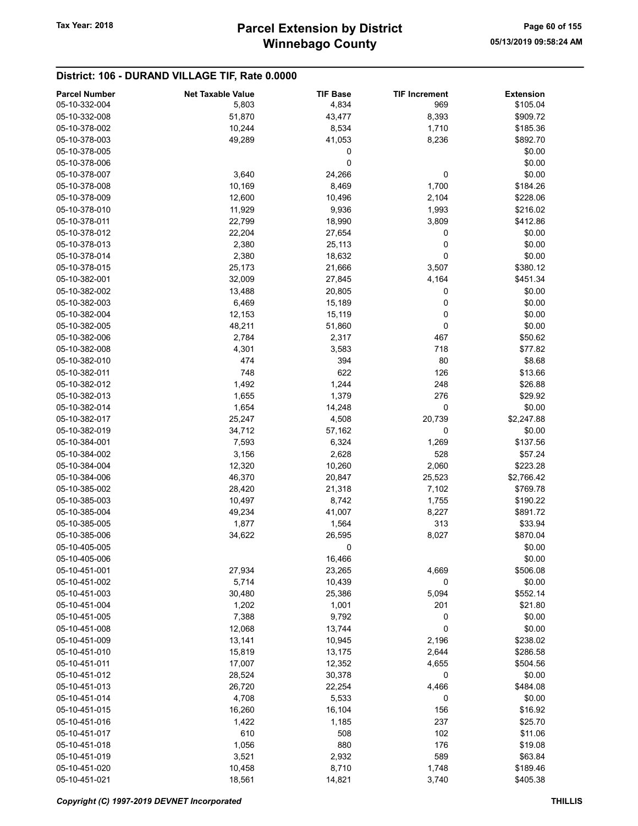## District: 106 - DURAND VILLAGE TIF, Rate 0.0000

| <b>Parcel Number</b> | <b>Net Taxable Value</b> | <b>TIF Base</b> | <b>TIF Increment</b> | <b>Extension</b> |
|----------------------|--------------------------|-----------------|----------------------|------------------|
| 05-10-332-004        | 5,803                    | 4,834           | 969                  | \$105.04         |
| 05-10-332-008        | 51,870                   | 43,477          | 8,393                | \$909.72         |
| 05-10-378-002        | 10,244                   | 8,534           | 1,710                | \$185.36         |
| 05-10-378-003        | 49,289                   | 41,053          | 8,236                | \$892.70         |
| 05-10-378-005        |                          | 0               |                      | \$0.00           |
| 05-10-378-006        |                          | 0               |                      | \$0.00           |
|                      | 3,640                    |                 | 0                    | \$0.00           |
| 05-10-378-007        |                          | 24,266          |                      |                  |
| 05-10-378-008        | 10,169                   | 8,469           | 1,700                | \$184.26         |
| 05-10-378-009        | 12,600                   | 10,496          | 2,104                | \$228.06         |
| 05-10-378-010        | 11,929                   | 9,936           | 1,993                | \$216.02         |
| 05-10-378-011        | 22,799                   | 18,990          | 3,809                | \$412.86         |
| 05-10-378-012        | 22,204                   | 27,654          | 0                    | \$0.00           |
| 05-10-378-013        | 2,380                    | 25,113          | 0                    | \$0.00           |
| 05-10-378-014        | 2,380                    | 18,632          | 0                    | \$0.00           |
| 05-10-378-015        | 25,173                   | 21,666          | 3,507                | \$380.12         |
| 05-10-382-001        | 32,009                   | 27,845          | 4,164                | \$451.34         |
| 05-10-382-002        | 13,488                   | 20,805          | 0                    | \$0.00           |
| 05-10-382-003        | 6,469                    | 15,189          | 0                    | \$0.00           |
| 05-10-382-004        | 12,153                   | 15,119          | 0                    | \$0.00           |
| 05-10-382-005        | 48,211                   | 51,860          | 0                    | \$0.00           |
| 05-10-382-006        | 2,784                    | 2,317           | 467                  | \$50.62          |
| 05-10-382-008        | 4,301                    | 3,583           | 718                  | \$77.82          |
| 05-10-382-010        | 474                      | 394             | 80                   | \$8.68           |
| 05-10-382-011        | 748                      | 622             | 126                  | \$13.66          |
| 05-10-382-012        | 1,492                    | 1,244           | 248                  | \$26.88          |
| 05-10-382-013        | 1,655                    | 1,379           | 276                  | \$29.92          |
| 05-10-382-014        | 1,654                    | 14,248          | 0                    | \$0.00           |
| 05-10-382-017        | 25,247                   | 4,508           | 20,739               | \$2,247.88       |
| 05-10-382-019        | 34,712                   | 57,162          | 0                    | \$0.00           |
| 05-10-384-001        | 7,593                    | 6,324           | 1,269                | \$137.56         |
| 05-10-384-002        | 3,156                    | 2,628           | 528                  | \$57.24          |
| 05-10-384-004        | 12,320                   | 10,260          | 2,060                | \$223.28         |
| 05-10-384-006        | 46,370                   | 20,847          | 25,523               | \$2,766.42       |
| 05-10-385-002        | 28,420                   | 21,318          | 7,102                | \$769.78         |
| 05-10-385-003        | 10,497                   | 8,742           | 1,755                | \$190.22         |
| 05-10-385-004        | 49,234                   | 41,007          | 8,227                | \$891.72         |
| 05-10-385-005        | 1,877                    | 1,564           | 313                  | \$33.94          |
| 05-10-385-006        | 34,622                   | 26,595          | 8,027                | \$870.04         |
| 05-10-405-005        |                          | $\pmb{0}$       |                      | \$0.00           |
| 05-10-405-006        |                          | 16,466          |                      | \$0.00           |
| 05-10-451-001        |                          | 23,265          |                      | \$506.08         |
| 05-10-451-002        | 27,934<br>5,714          |                 | 4,669                |                  |
|                      |                          | 10,439          | 0                    | \$0.00           |
| 05-10-451-003        | 30,480                   | 25,386          | 5,094                | \$552.14         |
| 05-10-451-004        | 1,202                    | 1,001           | 201                  | \$21.80          |
| 05-10-451-005        | 7,388                    | 9,792           | 0                    | \$0.00           |
| 05-10-451-008        | 12,068                   | 13,744          | 0                    | \$0.00           |
| 05-10-451-009        | 13,141                   | 10,945          | 2,196                | \$238.02         |
| 05-10-451-010        | 15,819                   | 13,175          | 2,644                | \$286.58         |
| 05-10-451-011        | 17,007                   | 12,352          | 4,655                | \$504.56         |
| 05-10-451-012        | 28,524                   | 30,378          | 0                    | \$0.00           |
| 05-10-451-013        | 26,720                   | 22,254          | 4,466                | \$484.08         |
| 05-10-451-014        | 4,708                    | 5,533           | 0                    | \$0.00           |
| 05-10-451-015        | 16,260                   | 16,104          | 156                  | \$16.92          |
| 05-10-451-016        | 1,422                    | 1,185           | 237                  | \$25.70          |
| 05-10-451-017        | 610                      | 508             | 102                  | \$11.06          |
| 05-10-451-018        | 1,056                    | 880             | 176                  | \$19.08          |
| 05-10-451-019        | 3,521                    | 2,932           | 589                  | \$63.84          |
| 05-10-451-020        | 10,458                   | 8,710           | 1,748                | \$189.46         |
| 05-10-451-021        | 18,561                   | 14,821          | 3,740                | \$405.38         |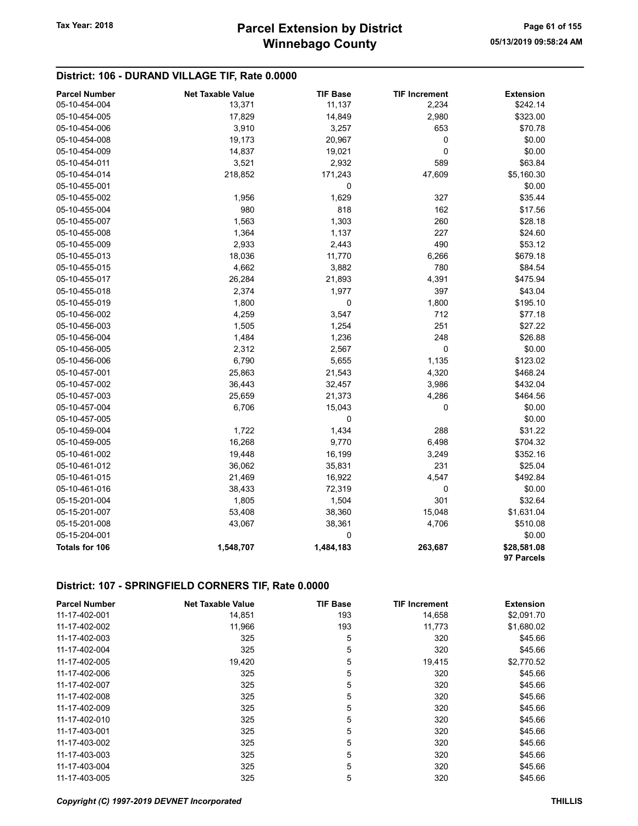## District: 106 - DURAND VILLAGE TIF, Rate 0.0000

| <b>Parcel Number</b> | <b>Net Taxable Value</b> | <b>TIF Base</b> | <b>TIF Increment</b> | <b>Extension</b>          |
|----------------------|--------------------------|-----------------|----------------------|---------------------------|
| 05-10-454-004        | 13,371                   | 11,137          | 2,234                | \$242.14                  |
| 05-10-454-005        | 17,829                   | 14,849          | 2,980                | \$323.00                  |
| 05-10-454-006        | 3,910                    | 3,257           | 653                  | \$70.78                   |
| 05-10-454-008        | 19,173                   | 20,967          | 0                    | \$0.00                    |
| 05-10-454-009        | 14,837                   | 19,021          | 0                    | \$0.00                    |
| 05-10-454-011        | 3,521                    | 2,932           | 589                  | \$63.84                   |
| 05-10-454-014        | 218,852                  | 171,243         | 47,609               | \$5,160.30                |
| 05-10-455-001        |                          | $\pmb{0}$       |                      | \$0.00                    |
| 05-10-455-002        | 1,956                    | 1,629           | 327                  | \$35.44                   |
| 05-10-455-004        | 980                      | 818             | 162                  | \$17.56                   |
| 05-10-455-007        | 1,563                    | 1,303           | 260                  | \$28.18                   |
| 05-10-455-008        | 1,364                    | 1,137           | 227                  | \$24.60                   |
| 05-10-455-009        | 2,933                    | 2,443           | 490                  | \$53.12                   |
| 05-10-455-013        | 18,036                   | 11,770          | 6,266                | \$679.18                  |
| 05-10-455-015        | 4,662                    | 3,882           | 780                  | \$84.54                   |
| 05-10-455-017        | 26,284                   | 21,893          | 4,391                | \$475.94                  |
| 05-10-455-018        | 2,374                    | 1,977           | 397                  | \$43.04                   |
| 05-10-455-019        | 1,800                    | 0               | 1,800                | \$195.10                  |
| 05-10-456-002        | 4,259                    | 3,547           | 712                  | \$77.18                   |
| 05-10-456-003        | 1,505                    | 1,254           | 251                  | \$27.22                   |
| 05-10-456-004        | 1,484                    | 1,236           | 248                  | \$26.88                   |
| 05-10-456-005        | 2,312                    | 2,567           | 0                    | \$0.00                    |
| 05-10-456-006        | 6,790                    | 5,655           | 1,135                | \$123.02                  |
| 05-10-457-001        | 25,863                   | 21,543          | 4,320                | \$468.24                  |
| 05-10-457-002        | 36,443                   | 32,457          | 3,986                | \$432.04                  |
| 05-10-457-003        | 25,659                   | 21,373          | 4,286                | \$464.56                  |
| 05-10-457-004        | 6,706                    | 15,043          | 0                    | \$0.00                    |
| 05-10-457-005        |                          | 0               |                      | \$0.00                    |
| 05-10-459-004        | 1,722                    | 1,434           | 288                  | \$31.22                   |
| 05-10-459-005        | 16,268                   | 9,770           | 6,498                | \$704.32                  |
| 05-10-461-002        | 19,448                   | 16,199          | 3,249                | \$352.16                  |
| 05-10-461-012        | 36,062                   | 35,831          | 231                  | \$25.04                   |
| 05-10-461-015        | 21,469                   | 16,922          | 4,547                | \$492.84                  |
| 05-10-461-016        | 38,433                   | 72,319          | 0                    | \$0.00                    |
| 05-15-201-004        | 1,805                    | 1,504           | 301                  | \$32.64                   |
| 05-15-201-007        | 53,408                   | 38,360          | 15,048               | \$1,631.04                |
| 05-15-201-008        | 43,067                   | 38,361          | 4,706                | \$510.08                  |
| 05-15-204-001        |                          | $\mathbf 0$     |                      | \$0.00                    |
| Totals for 106       | 1,548,707                | 1,484,183       | 263,687              | \$28,581.08<br>97 Parcels |

## District: 107 - SPRINGFIELD CORNERS TIF, Rate 0.0000

| <b>Parcel Number</b> | <b>Net Taxable Value</b> | <b>TIF Base</b> | <b>TIF Increment</b> | <b>Extension</b> |
|----------------------|--------------------------|-----------------|----------------------|------------------|
| 11-17-402-001        | 14,851                   | 193             | 14,658               | \$2,091.70       |
| 11-17-402-002        | 11,966                   | 193             | 11,773               | \$1,680.02       |
| 11-17-402-003        | 325                      | 5               | 320                  | \$45.66          |
| 11-17-402-004        | 325                      | 5               | 320                  | \$45.66          |
| 11-17-402-005        | 19,420                   | 5               | 19,415               | \$2,770.52       |
| 11-17-402-006        | 325                      | 5               | 320                  | \$45.66          |
| 11-17-402-007        | 325                      | 5               | 320                  | \$45.66          |
| 11-17-402-008        | 325                      | 5               | 320                  | \$45.66          |
| 11-17-402-009        | 325                      | 5               | 320                  | \$45.66          |
| 11-17-402-010        | 325                      | 5               | 320                  | \$45.66          |
| 11-17-403-001        | 325                      | 5               | 320                  | \$45.66          |
| 11-17-403-002        | 325                      | 5               | 320                  | \$45.66          |
| 11-17-403-003        | 325                      | 5               | 320                  | \$45.66          |
| 11-17-403-004        | 325                      | 5               | 320                  | \$45.66          |
| 11-17-403-005        | 325                      | 5               | 320                  | \$45.66          |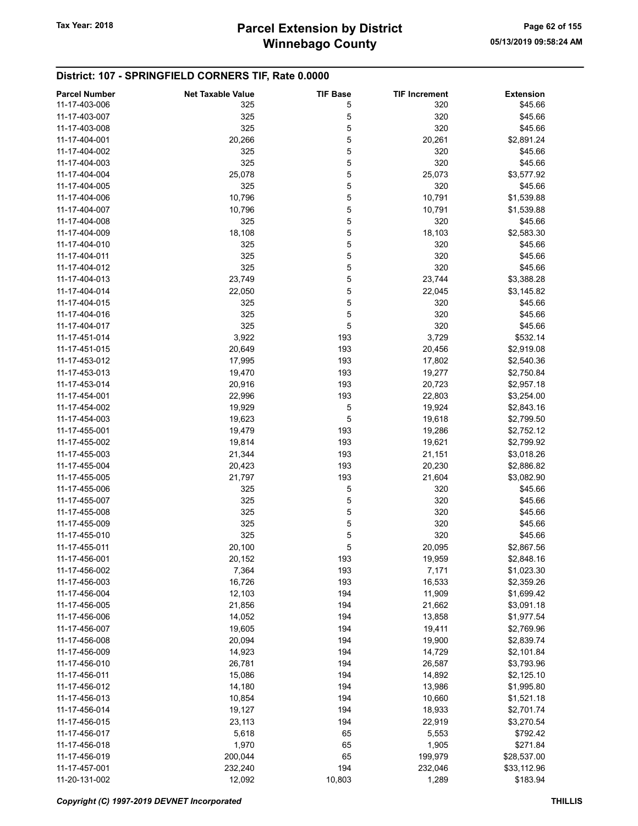#### District: 107 - SPRINGFIELD CORNERS TIF, Rate 0.0000

| 11-17-403-006<br>\$45.66<br>325<br>5<br>320<br>11-17-403-007<br>5<br>320<br>\$45.66<br>325<br>5<br>320<br>\$45.66<br>11-17-403-008<br>325<br>5<br>11-17-404-001<br>20,266<br>20,261<br>\$2,891.24<br>5<br>11-17-404-002<br>325<br>320<br>\$45.66<br>5<br>325<br>320<br>\$45.66<br>11-17-404-003<br>5<br>11-17-404-004<br>25,078<br>25,073<br>\$3,577.92<br>325<br>5<br>320<br>11-17-404-005<br>\$45.66<br>10,796<br>5<br>10,791<br>11-17-404-006<br>\$1,539.88<br>10,796<br>5<br>11-17-404-007<br>10,791<br>\$1,539.88<br>5<br>11-17-404-008<br>325<br>320<br>\$45.66<br>5<br>11-17-404-009<br>18,108<br>18,103<br>\$2,583.30<br>5<br>320<br>11-17-404-010<br>325<br>\$45.66<br>5<br>325<br>320<br>\$45.66<br>11-17-404-011<br>325<br>5<br>320<br>\$45.66<br>11-17-404-012<br>23,749<br>5<br>11-17-404-013<br>23,744<br>\$3,388.28<br>5<br>11-17-404-014<br>22,050<br>22,045<br>\$3,145.82<br>5<br>320<br>11-17-404-015<br>325<br>\$45.66<br>5<br>325<br>320<br>11-17-404-016<br>\$45.66<br>5<br>325<br>320<br>11-17-404-017<br>\$45.66<br>3,922<br>\$532.14<br>11-17-451-014<br>193<br>3,729<br>11-17-451-015<br>20,649<br>193<br>20,456<br>\$2,919.08<br>17,995<br>193<br>17,802<br>\$2,540.36<br>11-17-453-012<br>19,470<br>193<br>19,277<br>\$2,750.84<br>11-17-453-013<br>11-17-453-014<br>20,916<br>193<br>20,723<br>\$2,957.18<br>11-17-454-001<br>22,996<br>193<br>22,803<br>\$3,254.00<br>5<br>11-17-454-002<br>19,929<br>19,924<br>\$2,843.16<br>5<br>11-17-454-003<br>19,623<br>19,618<br>\$2,799.50<br>193<br>11-17-455-001<br>19,479<br>19,286<br>\$2,752.12<br>11-17-455-002<br>19,814<br>193<br>19,621<br>\$2,799.92<br>193<br>11-17-455-003<br>21,344<br>21,151<br>\$3,018.26<br>11-17-455-004<br>20,423<br>193<br>20,230<br>\$2,886.82<br>11-17-455-005<br>21,797<br>193<br>21,604<br>\$3,082.90<br>5<br>11-17-455-006<br>325<br>320<br>\$45.66<br>5<br>11-17-455-007<br>325<br>320<br>\$45.66<br>325<br>5<br>320<br>\$45.66<br>11-17-455-008<br>5<br>325<br>320<br>\$45.66<br>11-17-455-009<br>325<br>5<br>320<br>\$45.66<br>11-17-455-010<br>5<br>11-17-455-011<br>20,100<br>20,095<br>\$2,867.56<br>11-17-456-001<br>20,152<br>193<br>19,959<br>\$2,848.16<br>11-17-456-002<br>7,364<br>193<br>7,171<br>\$1,023.30<br>11-17-456-003<br>16,726<br>193<br>16,533<br>\$2,359.26<br>11-17-456-004<br>12,103<br>194<br>11,909<br>\$1,699.42<br>11-17-456-005<br>21,856<br>194<br>21,662<br>\$3,091.18<br>14,052<br>194<br>13,858<br>11-17-456-006<br>\$1,977.54<br>19,605<br>194<br>19,411<br>11-17-456-007<br>\$2,769.96<br>20,094<br>194<br>19,900<br>\$2,839.74<br>11-17-456-008<br>14,923<br>194<br>11-17-456-009<br>14,729<br>\$2,101.84<br>26,781<br>194<br>11-17-456-010<br>26,587<br>\$3,793.96<br>194<br>15,086<br>14,892<br>\$2,125.10<br>11-17-456-011<br>11-17-456-012<br>14,180<br>194<br>13,986<br>\$1,995.80<br>10,854<br>194<br>10,660<br>\$1,521.18<br>11-17-456-013<br>19,127<br>194<br>\$2,701.74<br>11-17-456-014<br>18,933<br>23,113<br>194<br>22,919<br>11-17-456-015<br>\$3,270.54<br>5,618<br>65<br>11-17-456-017<br>5,553<br>\$792.42<br>1,970<br>65<br>1,905<br>\$271.84<br>11-17-456-018<br>200,044<br>65<br>11-17-456-019<br>199,979<br>\$28,537.00<br>194<br>11-17-457-001<br>232,240<br>232,046<br>\$33,112.96 | <b>Parcel Number</b> | <b>Net Taxable Value</b> | <b>TIF Base</b> | <b>TIF Increment</b> | <b>Extension</b> |
|-------------------------------------------------------------------------------------------------------------------------------------------------------------------------------------------------------------------------------------------------------------------------------------------------------------------------------------------------------------------------------------------------------------------------------------------------------------------------------------------------------------------------------------------------------------------------------------------------------------------------------------------------------------------------------------------------------------------------------------------------------------------------------------------------------------------------------------------------------------------------------------------------------------------------------------------------------------------------------------------------------------------------------------------------------------------------------------------------------------------------------------------------------------------------------------------------------------------------------------------------------------------------------------------------------------------------------------------------------------------------------------------------------------------------------------------------------------------------------------------------------------------------------------------------------------------------------------------------------------------------------------------------------------------------------------------------------------------------------------------------------------------------------------------------------------------------------------------------------------------------------------------------------------------------------------------------------------------------------------------------------------------------------------------------------------------------------------------------------------------------------------------------------------------------------------------------------------------------------------------------------------------------------------------------------------------------------------------------------------------------------------------------------------------------------------------------------------------------------------------------------------------------------------------------------------------------------------------------------------------------------------------------------------------------------------------------------------------------------------------------------------------------------------------------------------------------------------------------------------------------------------------------------------------------------------------------------------------------------------------------------------------------------------------------------------------------------------------------------------------------------------------------------------------------------------------------------------------------------------------------------------|----------------------|--------------------------|-----------------|----------------------|------------------|
|                                                                                                                                                                                                                                                                                                                                                                                                                                                                                                                                                                                                                                                                                                                                                                                                                                                                                                                                                                                                                                                                                                                                                                                                                                                                                                                                                                                                                                                                                                                                                                                                                                                                                                                                                                                                                                                                                                                                                                                                                                                                                                                                                                                                                                                                                                                                                                                                                                                                                                                                                                                                                                                                                                                                                                                                                                                                                                                                                                                                                                                                                                                                                                                                                                                             |                      |                          |                 |                      |                  |
|                                                                                                                                                                                                                                                                                                                                                                                                                                                                                                                                                                                                                                                                                                                                                                                                                                                                                                                                                                                                                                                                                                                                                                                                                                                                                                                                                                                                                                                                                                                                                                                                                                                                                                                                                                                                                                                                                                                                                                                                                                                                                                                                                                                                                                                                                                                                                                                                                                                                                                                                                                                                                                                                                                                                                                                                                                                                                                                                                                                                                                                                                                                                                                                                                                                             |                      |                          |                 |                      |                  |
|                                                                                                                                                                                                                                                                                                                                                                                                                                                                                                                                                                                                                                                                                                                                                                                                                                                                                                                                                                                                                                                                                                                                                                                                                                                                                                                                                                                                                                                                                                                                                                                                                                                                                                                                                                                                                                                                                                                                                                                                                                                                                                                                                                                                                                                                                                                                                                                                                                                                                                                                                                                                                                                                                                                                                                                                                                                                                                                                                                                                                                                                                                                                                                                                                                                             |                      |                          |                 |                      |                  |
|                                                                                                                                                                                                                                                                                                                                                                                                                                                                                                                                                                                                                                                                                                                                                                                                                                                                                                                                                                                                                                                                                                                                                                                                                                                                                                                                                                                                                                                                                                                                                                                                                                                                                                                                                                                                                                                                                                                                                                                                                                                                                                                                                                                                                                                                                                                                                                                                                                                                                                                                                                                                                                                                                                                                                                                                                                                                                                                                                                                                                                                                                                                                                                                                                                                             |                      |                          |                 |                      |                  |
|                                                                                                                                                                                                                                                                                                                                                                                                                                                                                                                                                                                                                                                                                                                                                                                                                                                                                                                                                                                                                                                                                                                                                                                                                                                                                                                                                                                                                                                                                                                                                                                                                                                                                                                                                                                                                                                                                                                                                                                                                                                                                                                                                                                                                                                                                                                                                                                                                                                                                                                                                                                                                                                                                                                                                                                                                                                                                                                                                                                                                                                                                                                                                                                                                                                             |                      |                          |                 |                      |                  |
|                                                                                                                                                                                                                                                                                                                                                                                                                                                                                                                                                                                                                                                                                                                                                                                                                                                                                                                                                                                                                                                                                                                                                                                                                                                                                                                                                                                                                                                                                                                                                                                                                                                                                                                                                                                                                                                                                                                                                                                                                                                                                                                                                                                                                                                                                                                                                                                                                                                                                                                                                                                                                                                                                                                                                                                                                                                                                                                                                                                                                                                                                                                                                                                                                                                             |                      |                          |                 |                      |                  |
|                                                                                                                                                                                                                                                                                                                                                                                                                                                                                                                                                                                                                                                                                                                                                                                                                                                                                                                                                                                                                                                                                                                                                                                                                                                                                                                                                                                                                                                                                                                                                                                                                                                                                                                                                                                                                                                                                                                                                                                                                                                                                                                                                                                                                                                                                                                                                                                                                                                                                                                                                                                                                                                                                                                                                                                                                                                                                                                                                                                                                                                                                                                                                                                                                                                             |                      |                          |                 |                      |                  |
|                                                                                                                                                                                                                                                                                                                                                                                                                                                                                                                                                                                                                                                                                                                                                                                                                                                                                                                                                                                                                                                                                                                                                                                                                                                                                                                                                                                                                                                                                                                                                                                                                                                                                                                                                                                                                                                                                                                                                                                                                                                                                                                                                                                                                                                                                                                                                                                                                                                                                                                                                                                                                                                                                                                                                                                                                                                                                                                                                                                                                                                                                                                                                                                                                                                             |                      |                          |                 |                      |                  |
|                                                                                                                                                                                                                                                                                                                                                                                                                                                                                                                                                                                                                                                                                                                                                                                                                                                                                                                                                                                                                                                                                                                                                                                                                                                                                                                                                                                                                                                                                                                                                                                                                                                                                                                                                                                                                                                                                                                                                                                                                                                                                                                                                                                                                                                                                                                                                                                                                                                                                                                                                                                                                                                                                                                                                                                                                                                                                                                                                                                                                                                                                                                                                                                                                                                             |                      |                          |                 |                      |                  |
|                                                                                                                                                                                                                                                                                                                                                                                                                                                                                                                                                                                                                                                                                                                                                                                                                                                                                                                                                                                                                                                                                                                                                                                                                                                                                                                                                                                                                                                                                                                                                                                                                                                                                                                                                                                                                                                                                                                                                                                                                                                                                                                                                                                                                                                                                                                                                                                                                                                                                                                                                                                                                                                                                                                                                                                                                                                                                                                                                                                                                                                                                                                                                                                                                                                             |                      |                          |                 |                      |                  |
|                                                                                                                                                                                                                                                                                                                                                                                                                                                                                                                                                                                                                                                                                                                                                                                                                                                                                                                                                                                                                                                                                                                                                                                                                                                                                                                                                                                                                                                                                                                                                                                                                                                                                                                                                                                                                                                                                                                                                                                                                                                                                                                                                                                                                                                                                                                                                                                                                                                                                                                                                                                                                                                                                                                                                                                                                                                                                                                                                                                                                                                                                                                                                                                                                                                             |                      |                          |                 |                      |                  |
|                                                                                                                                                                                                                                                                                                                                                                                                                                                                                                                                                                                                                                                                                                                                                                                                                                                                                                                                                                                                                                                                                                                                                                                                                                                                                                                                                                                                                                                                                                                                                                                                                                                                                                                                                                                                                                                                                                                                                                                                                                                                                                                                                                                                                                                                                                                                                                                                                                                                                                                                                                                                                                                                                                                                                                                                                                                                                                                                                                                                                                                                                                                                                                                                                                                             |                      |                          |                 |                      |                  |
|                                                                                                                                                                                                                                                                                                                                                                                                                                                                                                                                                                                                                                                                                                                                                                                                                                                                                                                                                                                                                                                                                                                                                                                                                                                                                                                                                                                                                                                                                                                                                                                                                                                                                                                                                                                                                                                                                                                                                                                                                                                                                                                                                                                                                                                                                                                                                                                                                                                                                                                                                                                                                                                                                                                                                                                                                                                                                                                                                                                                                                                                                                                                                                                                                                                             |                      |                          |                 |                      |                  |
|                                                                                                                                                                                                                                                                                                                                                                                                                                                                                                                                                                                                                                                                                                                                                                                                                                                                                                                                                                                                                                                                                                                                                                                                                                                                                                                                                                                                                                                                                                                                                                                                                                                                                                                                                                                                                                                                                                                                                                                                                                                                                                                                                                                                                                                                                                                                                                                                                                                                                                                                                                                                                                                                                                                                                                                                                                                                                                                                                                                                                                                                                                                                                                                                                                                             |                      |                          |                 |                      |                  |
|                                                                                                                                                                                                                                                                                                                                                                                                                                                                                                                                                                                                                                                                                                                                                                                                                                                                                                                                                                                                                                                                                                                                                                                                                                                                                                                                                                                                                                                                                                                                                                                                                                                                                                                                                                                                                                                                                                                                                                                                                                                                                                                                                                                                                                                                                                                                                                                                                                                                                                                                                                                                                                                                                                                                                                                                                                                                                                                                                                                                                                                                                                                                                                                                                                                             |                      |                          |                 |                      |                  |
|                                                                                                                                                                                                                                                                                                                                                                                                                                                                                                                                                                                                                                                                                                                                                                                                                                                                                                                                                                                                                                                                                                                                                                                                                                                                                                                                                                                                                                                                                                                                                                                                                                                                                                                                                                                                                                                                                                                                                                                                                                                                                                                                                                                                                                                                                                                                                                                                                                                                                                                                                                                                                                                                                                                                                                                                                                                                                                                                                                                                                                                                                                                                                                                                                                                             |                      |                          |                 |                      |                  |
|                                                                                                                                                                                                                                                                                                                                                                                                                                                                                                                                                                                                                                                                                                                                                                                                                                                                                                                                                                                                                                                                                                                                                                                                                                                                                                                                                                                                                                                                                                                                                                                                                                                                                                                                                                                                                                                                                                                                                                                                                                                                                                                                                                                                                                                                                                                                                                                                                                                                                                                                                                                                                                                                                                                                                                                                                                                                                                                                                                                                                                                                                                                                                                                                                                                             |                      |                          |                 |                      |                  |
|                                                                                                                                                                                                                                                                                                                                                                                                                                                                                                                                                                                                                                                                                                                                                                                                                                                                                                                                                                                                                                                                                                                                                                                                                                                                                                                                                                                                                                                                                                                                                                                                                                                                                                                                                                                                                                                                                                                                                                                                                                                                                                                                                                                                                                                                                                                                                                                                                                                                                                                                                                                                                                                                                                                                                                                                                                                                                                                                                                                                                                                                                                                                                                                                                                                             |                      |                          |                 |                      |                  |
|                                                                                                                                                                                                                                                                                                                                                                                                                                                                                                                                                                                                                                                                                                                                                                                                                                                                                                                                                                                                                                                                                                                                                                                                                                                                                                                                                                                                                                                                                                                                                                                                                                                                                                                                                                                                                                                                                                                                                                                                                                                                                                                                                                                                                                                                                                                                                                                                                                                                                                                                                                                                                                                                                                                                                                                                                                                                                                                                                                                                                                                                                                                                                                                                                                                             |                      |                          |                 |                      |                  |
|                                                                                                                                                                                                                                                                                                                                                                                                                                                                                                                                                                                                                                                                                                                                                                                                                                                                                                                                                                                                                                                                                                                                                                                                                                                                                                                                                                                                                                                                                                                                                                                                                                                                                                                                                                                                                                                                                                                                                                                                                                                                                                                                                                                                                                                                                                                                                                                                                                                                                                                                                                                                                                                                                                                                                                                                                                                                                                                                                                                                                                                                                                                                                                                                                                                             |                      |                          |                 |                      |                  |
|                                                                                                                                                                                                                                                                                                                                                                                                                                                                                                                                                                                                                                                                                                                                                                                                                                                                                                                                                                                                                                                                                                                                                                                                                                                                                                                                                                                                                                                                                                                                                                                                                                                                                                                                                                                                                                                                                                                                                                                                                                                                                                                                                                                                                                                                                                                                                                                                                                                                                                                                                                                                                                                                                                                                                                                                                                                                                                                                                                                                                                                                                                                                                                                                                                                             |                      |                          |                 |                      |                  |
|                                                                                                                                                                                                                                                                                                                                                                                                                                                                                                                                                                                                                                                                                                                                                                                                                                                                                                                                                                                                                                                                                                                                                                                                                                                                                                                                                                                                                                                                                                                                                                                                                                                                                                                                                                                                                                                                                                                                                                                                                                                                                                                                                                                                                                                                                                                                                                                                                                                                                                                                                                                                                                                                                                                                                                                                                                                                                                                                                                                                                                                                                                                                                                                                                                                             |                      |                          |                 |                      |                  |
|                                                                                                                                                                                                                                                                                                                                                                                                                                                                                                                                                                                                                                                                                                                                                                                                                                                                                                                                                                                                                                                                                                                                                                                                                                                                                                                                                                                                                                                                                                                                                                                                                                                                                                                                                                                                                                                                                                                                                                                                                                                                                                                                                                                                                                                                                                                                                                                                                                                                                                                                                                                                                                                                                                                                                                                                                                                                                                                                                                                                                                                                                                                                                                                                                                                             |                      |                          |                 |                      |                  |
|                                                                                                                                                                                                                                                                                                                                                                                                                                                                                                                                                                                                                                                                                                                                                                                                                                                                                                                                                                                                                                                                                                                                                                                                                                                                                                                                                                                                                                                                                                                                                                                                                                                                                                                                                                                                                                                                                                                                                                                                                                                                                                                                                                                                                                                                                                                                                                                                                                                                                                                                                                                                                                                                                                                                                                                                                                                                                                                                                                                                                                                                                                                                                                                                                                                             |                      |                          |                 |                      |                  |
|                                                                                                                                                                                                                                                                                                                                                                                                                                                                                                                                                                                                                                                                                                                                                                                                                                                                                                                                                                                                                                                                                                                                                                                                                                                                                                                                                                                                                                                                                                                                                                                                                                                                                                                                                                                                                                                                                                                                                                                                                                                                                                                                                                                                                                                                                                                                                                                                                                                                                                                                                                                                                                                                                                                                                                                                                                                                                                                                                                                                                                                                                                                                                                                                                                                             |                      |                          |                 |                      |                  |
|                                                                                                                                                                                                                                                                                                                                                                                                                                                                                                                                                                                                                                                                                                                                                                                                                                                                                                                                                                                                                                                                                                                                                                                                                                                                                                                                                                                                                                                                                                                                                                                                                                                                                                                                                                                                                                                                                                                                                                                                                                                                                                                                                                                                                                                                                                                                                                                                                                                                                                                                                                                                                                                                                                                                                                                                                                                                                                                                                                                                                                                                                                                                                                                                                                                             |                      |                          |                 |                      |                  |
|                                                                                                                                                                                                                                                                                                                                                                                                                                                                                                                                                                                                                                                                                                                                                                                                                                                                                                                                                                                                                                                                                                                                                                                                                                                                                                                                                                                                                                                                                                                                                                                                                                                                                                                                                                                                                                                                                                                                                                                                                                                                                                                                                                                                                                                                                                                                                                                                                                                                                                                                                                                                                                                                                                                                                                                                                                                                                                                                                                                                                                                                                                                                                                                                                                                             |                      |                          |                 |                      |                  |
|                                                                                                                                                                                                                                                                                                                                                                                                                                                                                                                                                                                                                                                                                                                                                                                                                                                                                                                                                                                                                                                                                                                                                                                                                                                                                                                                                                                                                                                                                                                                                                                                                                                                                                                                                                                                                                                                                                                                                                                                                                                                                                                                                                                                                                                                                                                                                                                                                                                                                                                                                                                                                                                                                                                                                                                                                                                                                                                                                                                                                                                                                                                                                                                                                                                             |                      |                          |                 |                      |                  |
|                                                                                                                                                                                                                                                                                                                                                                                                                                                                                                                                                                                                                                                                                                                                                                                                                                                                                                                                                                                                                                                                                                                                                                                                                                                                                                                                                                                                                                                                                                                                                                                                                                                                                                                                                                                                                                                                                                                                                                                                                                                                                                                                                                                                                                                                                                                                                                                                                                                                                                                                                                                                                                                                                                                                                                                                                                                                                                                                                                                                                                                                                                                                                                                                                                                             |                      |                          |                 |                      |                  |
|                                                                                                                                                                                                                                                                                                                                                                                                                                                                                                                                                                                                                                                                                                                                                                                                                                                                                                                                                                                                                                                                                                                                                                                                                                                                                                                                                                                                                                                                                                                                                                                                                                                                                                                                                                                                                                                                                                                                                                                                                                                                                                                                                                                                                                                                                                                                                                                                                                                                                                                                                                                                                                                                                                                                                                                                                                                                                                                                                                                                                                                                                                                                                                                                                                                             |                      |                          |                 |                      |                  |
|                                                                                                                                                                                                                                                                                                                                                                                                                                                                                                                                                                                                                                                                                                                                                                                                                                                                                                                                                                                                                                                                                                                                                                                                                                                                                                                                                                                                                                                                                                                                                                                                                                                                                                                                                                                                                                                                                                                                                                                                                                                                                                                                                                                                                                                                                                                                                                                                                                                                                                                                                                                                                                                                                                                                                                                                                                                                                                                                                                                                                                                                                                                                                                                                                                                             |                      |                          |                 |                      |                  |
|                                                                                                                                                                                                                                                                                                                                                                                                                                                                                                                                                                                                                                                                                                                                                                                                                                                                                                                                                                                                                                                                                                                                                                                                                                                                                                                                                                                                                                                                                                                                                                                                                                                                                                                                                                                                                                                                                                                                                                                                                                                                                                                                                                                                                                                                                                                                                                                                                                                                                                                                                                                                                                                                                                                                                                                                                                                                                                                                                                                                                                                                                                                                                                                                                                                             |                      |                          |                 |                      |                  |
|                                                                                                                                                                                                                                                                                                                                                                                                                                                                                                                                                                                                                                                                                                                                                                                                                                                                                                                                                                                                                                                                                                                                                                                                                                                                                                                                                                                                                                                                                                                                                                                                                                                                                                                                                                                                                                                                                                                                                                                                                                                                                                                                                                                                                                                                                                                                                                                                                                                                                                                                                                                                                                                                                                                                                                                                                                                                                                                                                                                                                                                                                                                                                                                                                                                             |                      |                          |                 |                      |                  |
|                                                                                                                                                                                                                                                                                                                                                                                                                                                                                                                                                                                                                                                                                                                                                                                                                                                                                                                                                                                                                                                                                                                                                                                                                                                                                                                                                                                                                                                                                                                                                                                                                                                                                                                                                                                                                                                                                                                                                                                                                                                                                                                                                                                                                                                                                                                                                                                                                                                                                                                                                                                                                                                                                                                                                                                                                                                                                                                                                                                                                                                                                                                                                                                                                                                             |                      |                          |                 |                      |                  |
|                                                                                                                                                                                                                                                                                                                                                                                                                                                                                                                                                                                                                                                                                                                                                                                                                                                                                                                                                                                                                                                                                                                                                                                                                                                                                                                                                                                                                                                                                                                                                                                                                                                                                                                                                                                                                                                                                                                                                                                                                                                                                                                                                                                                                                                                                                                                                                                                                                                                                                                                                                                                                                                                                                                                                                                                                                                                                                                                                                                                                                                                                                                                                                                                                                                             |                      |                          |                 |                      |                  |
|                                                                                                                                                                                                                                                                                                                                                                                                                                                                                                                                                                                                                                                                                                                                                                                                                                                                                                                                                                                                                                                                                                                                                                                                                                                                                                                                                                                                                                                                                                                                                                                                                                                                                                                                                                                                                                                                                                                                                                                                                                                                                                                                                                                                                                                                                                                                                                                                                                                                                                                                                                                                                                                                                                                                                                                                                                                                                                                                                                                                                                                                                                                                                                                                                                                             |                      |                          |                 |                      |                  |
|                                                                                                                                                                                                                                                                                                                                                                                                                                                                                                                                                                                                                                                                                                                                                                                                                                                                                                                                                                                                                                                                                                                                                                                                                                                                                                                                                                                                                                                                                                                                                                                                                                                                                                                                                                                                                                                                                                                                                                                                                                                                                                                                                                                                                                                                                                                                                                                                                                                                                                                                                                                                                                                                                                                                                                                                                                                                                                                                                                                                                                                                                                                                                                                                                                                             |                      |                          |                 |                      |                  |
|                                                                                                                                                                                                                                                                                                                                                                                                                                                                                                                                                                                                                                                                                                                                                                                                                                                                                                                                                                                                                                                                                                                                                                                                                                                                                                                                                                                                                                                                                                                                                                                                                                                                                                                                                                                                                                                                                                                                                                                                                                                                                                                                                                                                                                                                                                                                                                                                                                                                                                                                                                                                                                                                                                                                                                                                                                                                                                                                                                                                                                                                                                                                                                                                                                                             |                      |                          |                 |                      |                  |
|                                                                                                                                                                                                                                                                                                                                                                                                                                                                                                                                                                                                                                                                                                                                                                                                                                                                                                                                                                                                                                                                                                                                                                                                                                                                                                                                                                                                                                                                                                                                                                                                                                                                                                                                                                                                                                                                                                                                                                                                                                                                                                                                                                                                                                                                                                                                                                                                                                                                                                                                                                                                                                                                                                                                                                                                                                                                                                                                                                                                                                                                                                                                                                                                                                                             |                      |                          |                 |                      |                  |
|                                                                                                                                                                                                                                                                                                                                                                                                                                                                                                                                                                                                                                                                                                                                                                                                                                                                                                                                                                                                                                                                                                                                                                                                                                                                                                                                                                                                                                                                                                                                                                                                                                                                                                                                                                                                                                                                                                                                                                                                                                                                                                                                                                                                                                                                                                                                                                                                                                                                                                                                                                                                                                                                                                                                                                                                                                                                                                                                                                                                                                                                                                                                                                                                                                                             |                      |                          |                 |                      |                  |
|                                                                                                                                                                                                                                                                                                                                                                                                                                                                                                                                                                                                                                                                                                                                                                                                                                                                                                                                                                                                                                                                                                                                                                                                                                                                                                                                                                                                                                                                                                                                                                                                                                                                                                                                                                                                                                                                                                                                                                                                                                                                                                                                                                                                                                                                                                                                                                                                                                                                                                                                                                                                                                                                                                                                                                                                                                                                                                                                                                                                                                                                                                                                                                                                                                                             |                      |                          |                 |                      |                  |
|                                                                                                                                                                                                                                                                                                                                                                                                                                                                                                                                                                                                                                                                                                                                                                                                                                                                                                                                                                                                                                                                                                                                                                                                                                                                                                                                                                                                                                                                                                                                                                                                                                                                                                                                                                                                                                                                                                                                                                                                                                                                                                                                                                                                                                                                                                                                                                                                                                                                                                                                                                                                                                                                                                                                                                                                                                                                                                                                                                                                                                                                                                                                                                                                                                                             |                      |                          |                 |                      |                  |
|                                                                                                                                                                                                                                                                                                                                                                                                                                                                                                                                                                                                                                                                                                                                                                                                                                                                                                                                                                                                                                                                                                                                                                                                                                                                                                                                                                                                                                                                                                                                                                                                                                                                                                                                                                                                                                                                                                                                                                                                                                                                                                                                                                                                                                                                                                                                                                                                                                                                                                                                                                                                                                                                                                                                                                                                                                                                                                                                                                                                                                                                                                                                                                                                                                                             |                      |                          |                 |                      |                  |
|                                                                                                                                                                                                                                                                                                                                                                                                                                                                                                                                                                                                                                                                                                                                                                                                                                                                                                                                                                                                                                                                                                                                                                                                                                                                                                                                                                                                                                                                                                                                                                                                                                                                                                                                                                                                                                                                                                                                                                                                                                                                                                                                                                                                                                                                                                                                                                                                                                                                                                                                                                                                                                                                                                                                                                                                                                                                                                                                                                                                                                                                                                                                                                                                                                                             |                      |                          |                 |                      |                  |
|                                                                                                                                                                                                                                                                                                                                                                                                                                                                                                                                                                                                                                                                                                                                                                                                                                                                                                                                                                                                                                                                                                                                                                                                                                                                                                                                                                                                                                                                                                                                                                                                                                                                                                                                                                                                                                                                                                                                                                                                                                                                                                                                                                                                                                                                                                                                                                                                                                                                                                                                                                                                                                                                                                                                                                                                                                                                                                                                                                                                                                                                                                                                                                                                                                                             |                      |                          |                 |                      |                  |
|                                                                                                                                                                                                                                                                                                                                                                                                                                                                                                                                                                                                                                                                                                                                                                                                                                                                                                                                                                                                                                                                                                                                                                                                                                                                                                                                                                                                                                                                                                                                                                                                                                                                                                                                                                                                                                                                                                                                                                                                                                                                                                                                                                                                                                                                                                                                                                                                                                                                                                                                                                                                                                                                                                                                                                                                                                                                                                                                                                                                                                                                                                                                                                                                                                                             |                      |                          |                 |                      |                  |
|                                                                                                                                                                                                                                                                                                                                                                                                                                                                                                                                                                                                                                                                                                                                                                                                                                                                                                                                                                                                                                                                                                                                                                                                                                                                                                                                                                                                                                                                                                                                                                                                                                                                                                                                                                                                                                                                                                                                                                                                                                                                                                                                                                                                                                                                                                                                                                                                                                                                                                                                                                                                                                                                                                                                                                                                                                                                                                                                                                                                                                                                                                                                                                                                                                                             |                      |                          |                 |                      |                  |
|                                                                                                                                                                                                                                                                                                                                                                                                                                                                                                                                                                                                                                                                                                                                                                                                                                                                                                                                                                                                                                                                                                                                                                                                                                                                                                                                                                                                                                                                                                                                                                                                                                                                                                                                                                                                                                                                                                                                                                                                                                                                                                                                                                                                                                                                                                                                                                                                                                                                                                                                                                                                                                                                                                                                                                                                                                                                                                                                                                                                                                                                                                                                                                                                                                                             |                      |                          |                 |                      |                  |
|                                                                                                                                                                                                                                                                                                                                                                                                                                                                                                                                                                                                                                                                                                                                                                                                                                                                                                                                                                                                                                                                                                                                                                                                                                                                                                                                                                                                                                                                                                                                                                                                                                                                                                                                                                                                                                                                                                                                                                                                                                                                                                                                                                                                                                                                                                                                                                                                                                                                                                                                                                                                                                                                                                                                                                                                                                                                                                                                                                                                                                                                                                                                                                                                                                                             |                      |                          |                 |                      |                  |
|                                                                                                                                                                                                                                                                                                                                                                                                                                                                                                                                                                                                                                                                                                                                                                                                                                                                                                                                                                                                                                                                                                                                                                                                                                                                                                                                                                                                                                                                                                                                                                                                                                                                                                                                                                                                                                                                                                                                                                                                                                                                                                                                                                                                                                                                                                                                                                                                                                                                                                                                                                                                                                                                                                                                                                                                                                                                                                                                                                                                                                                                                                                                                                                                                                                             |                      |                          |                 |                      |                  |
|                                                                                                                                                                                                                                                                                                                                                                                                                                                                                                                                                                                                                                                                                                                                                                                                                                                                                                                                                                                                                                                                                                                                                                                                                                                                                                                                                                                                                                                                                                                                                                                                                                                                                                                                                                                                                                                                                                                                                                                                                                                                                                                                                                                                                                                                                                                                                                                                                                                                                                                                                                                                                                                                                                                                                                                                                                                                                                                                                                                                                                                                                                                                                                                                                                                             |                      |                          |                 |                      |                  |
|                                                                                                                                                                                                                                                                                                                                                                                                                                                                                                                                                                                                                                                                                                                                                                                                                                                                                                                                                                                                                                                                                                                                                                                                                                                                                                                                                                                                                                                                                                                                                                                                                                                                                                                                                                                                                                                                                                                                                                                                                                                                                                                                                                                                                                                                                                                                                                                                                                                                                                                                                                                                                                                                                                                                                                                                                                                                                                                                                                                                                                                                                                                                                                                                                                                             |                      |                          |                 |                      |                  |
|                                                                                                                                                                                                                                                                                                                                                                                                                                                                                                                                                                                                                                                                                                                                                                                                                                                                                                                                                                                                                                                                                                                                                                                                                                                                                                                                                                                                                                                                                                                                                                                                                                                                                                                                                                                                                                                                                                                                                                                                                                                                                                                                                                                                                                                                                                                                                                                                                                                                                                                                                                                                                                                                                                                                                                                                                                                                                                                                                                                                                                                                                                                                                                                                                                                             |                      |                          |                 |                      |                  |
|                                                                                                                                                                                                                                                                                                                                                                                                                                                                                                                                                                                                                                                                                                                                                                                                                                                                                                                                                                                                                                                                                                                                                                                                                                                                                                                                                                                                                                                                                                                                                                                                                                                                                                                                                                                                                                                                                                                                                                                                                                                                                                                                                                                                                                                                                                                                                                                                                                                                                                                                                                                                                                                                                                                                                                                                                                                                                                                                                                                                                                                                                                                                                                                                                                                             |                      |                          |                 |                      |                  |
|                                                                                                                                                                                                                                                                                                                                                                                                                                                                                                                                                                                                                                                                                                                                                                                                                                                                                                                                                                                                                                                                                                                                                                                                                                                                                                                                                                                                                                                                                                                                                                                                                                                                                                                                                                                                                                                                                                                                                                                                                                                                                                                                                                                                                                                                                                                                                                                                                                                                                                                                                                                                                                                                                                                                                                                                                                                                                                                                                                                                                                                                                                                                                                                                                                                             |                      |                          |                 |                      |                  |
|                                                                                                                                                                                                                                                                                                                                                                                                                                                                                                                                                                                                                                                                                                                                                                                                                                                                                                                                                                                                                                                                                                                                                                                                                                                                                                                                                                                                                                                                                                                                                                                                                                                                                                                                                                                                                                                                                                                                                                                                                                                                                                                                                                                                                                                                                                                                                                                                                                                                                                                                                                                                                                                                                                                                                                                                                                                                                                                                                                                                                                                                                                                                                                                                                                                             |                      |                          |                 |                      |                  |
|                                                                                                                                                                                                                                                                                                                                                                                                                                                                                                                                                                                                                                                                                                                                                                                                                                                                                                                                                                                                                                                                                                                                                                                                                                                                                                                                                                                                                                                                                                                                                                                                                                                                                                                                                                                                                                                                                                                                                                                                                                                                                                                                                                                                                                                                                                                                                                                                                                                                                                                                                                                                                                                                                                                                                                                                                                                                                                                                                                                                                                                                                                                                                                                                                                                             |                      |                          |                 |                      |                  |
|                                                                                                                                                                                                                                                                                                                                                                                                                                                                                                                                                                                                                                                                                                                                                                                                                                                                                                                                                                                                                                                                                                                                                                                                                                                                                                                                                                                                                                                                                                                                                                                                                                                                                                                                                                                                                                                                                                                                                                                                                                                                                                                                                                                                                                                                                                                                                                                                                                                                                                                                                                                                                                                                                                                                                                                                                                                                                                                                                                                                                                                                                                                                                                                                                                                             |                      |                          |                 |                      |                  |
|                                                                                                                                                                                                                                                                                                                                                                                                                                                                                                                                                                                                                                                                                                                                                                                                                                                                                                                                                                                                                                                                                                                                                                                                                                                                                                                                                                                                                                                                                                                                                                                                                                                                                                                                                                                                                                                                                                                                                                                                                                                                                                                                                                                                                                                                                                                                                                                                                                                                                                                                                                                                                                                                                                                                                                                                                                                                                                                                                                                                                                                                                                                                                                                                                                                             |                      |                          |                 |                      |                  |
|                                                                                                                                                                                                                                                                                                                                                                                                                                                                                                                                                                                                                                                                                                                                                                                                                                                                                                                                                                                                                                                                                                                                                                                                                                                                                                                                                                                                                                                                                                                                                                                                                                                                                                                                                                                                                                                                                                                                                                                                                                                                                                                                                                                                                                                                                                                                                                                                                                                                                                                                                                                                                                                                                                                                                                                                                                                                                                                                                                                                                                                                                                                                                                                                                                                             |                      |                          |                 |                      |                  |
|                                                                                                                                                                                                                                                                                                                                                                                                                                                                                                                                                                                                                                                                                                                                                                                                                                                                                                                                                                                                                                                                                                                                                                                                                                                                                                                                                                                                                                                                                                                                                                                                                                                                                                                                                                                                                                                                                                                                                                                                                                                                                                                                                                                                                                                                                                                                                                                                                                                                                                                                                                                                                                                                                                                                                                                                                                                                                                                                                                                                                                                                                                                                                                                                                                                             |                      |                          |                 |                      |                  |
|                                                                                                                                                                                                                                                                                                                                                                                                                                                                                                                                                                                                                                                                                                                                                                                                                                                                                                                                                                                                                                                                                                                                                                                                                                                                                                                                                                                                                                                                                                                                                                                                                                                                                                                                                                                                                                                                                                                                                                                                                                                                                                                                                                                                                                                                                                                                                                                                                                                                                                                                                                                                                                                                                                                                                                                                                                                                                                                                                                                                                                                                                                                                                                                                                                                             | 11-20-131-002        | 12,092                   | 10,803          | 1,289                | \$183.94         |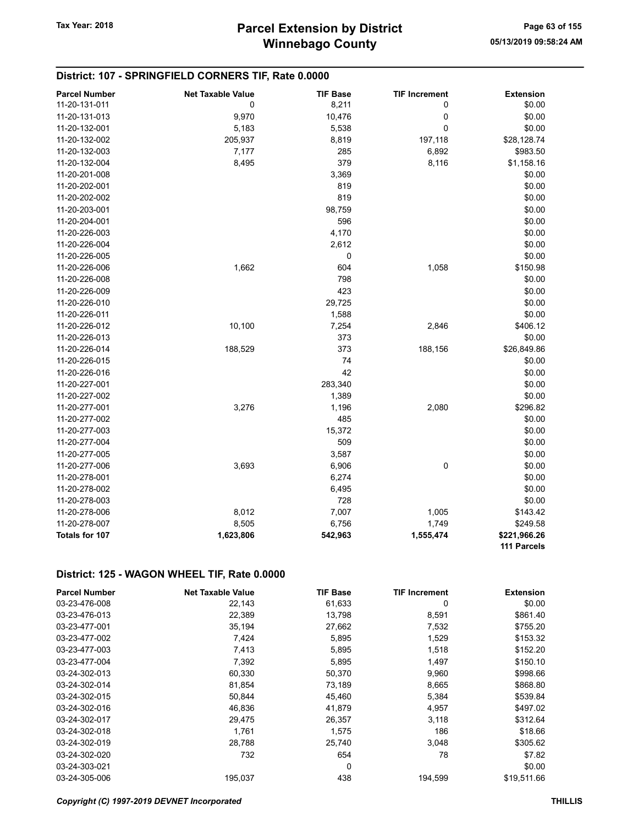#### District: 107 - SPRINGFIELD CORNERS TIF, Rate 0.0000

| <b>Parcel Number</b> | <b>Net Taxable Value</b> | <b>TIF Base</b> | <b>TIF Increment</b> | <b>Extension</b> |
|----------------------|--------------------------|-----------------|----------------------|------------------|
| 11-20-131-011        | 0                        | 8,211           | 0                    | \$0.00           |
| 11-20-131-013        | 9,970                    | 10,476          | 0                    | \$0.00           |
| 11-20-132-001        | 5,183                    | 5,538           | $\overline{0}$       | \$0.00           |
| 11-20-132-002        | 205,937                  | 8,819           | 197,118              | \$28,128.74      |
| 11-20-132-003        | 7,177                    | 285             | 6,892                | \$983.50         |
| 11-20-132-004        | 8,495                    | 379             | 8,116                | \$1,158.16       |
| 11-20-201-008        |                          | 3,369           |                      | \$0.00           |
| 11-20-202-001        |                          | 819             |                      | \$0.00           |
| 11-20-202-002        |                          | 819             |                      | \$0.00           |
| 11-20-203-001        |                          | 98,759          |                      | \$0.00           |
| 11-20-204-001        |                          | 596             |                      | \$0.00           |
| 11-20-226-003        |                          | 4,170           |                      | \$0.00           |
| 11-20-226-004        |                          | 2,612           |                      | \$0.00           |
| 11-20-226-005        |                          | 0               |                      | \$0.00           |
| 11-20-226-006        | 1,662                    | 604             | 1,058                | \$150.98         |
| 11-20-226-008        |                          | 798             |                      | \$0.00           |
| 11-20-226-009        |                          | 423             |                      | \$0.00           |
| 11-20-226-010        |                          | 29,725          |                      | \$0.00           |
| 11-20-226-011        |                          | 1,588           |                      | \$0.00           |
| 11-20-226-012        | 10,100                   | 7,254           | 2,846                | \$406.12         |
| 11-20-226-013        |                          | 373             |                      | \$0.00           |
| 11-20-226-014        | 188,529                  | 373             | 188,156              | \$26,849.86      |
| 11-20-226-015        |                          | 74              |                      | \$0.00           |
| 11-20-226-016        |                          | 42              |                      | \$0.00           |
| 11-20-227-001        |                          | 283,340         |                      | \$0.00           |
| 11-20-227-002        |                          | 1,389           |                      | \$0.00           |
| 11-20-277-001        | 3,276                    | 1,196           | 2,080                | \$296.82         |
| 11-20-277-002        |                          | 485             |                      | \$0.00           |
| 11-20-277-003        |                          | 15,372          |                      | \$0.00           |
| 11-20-277-004        |                          | 509             |                      | \$0.00           |
| 11-20-277-005        |                          | 3,587           |                      | \$0.00           |
| 11-20-277-006        | 3,693                    | 6,906           | 0                    | \$0.00           |
| 11-20-278-001        |                          | 6,274           |                      | \$0.00           |
| 11-20-278-002        |                          | 6,495           |                      | \$0.00           |
| 11-20-278-003        |                          | 728             |                      | \$0.00           |
| 11-20-278-006        | 8,012                    | 7,007           | 1,005                | \$143.42         |
| 11-20-278-007        | 8,505                    | 6,756           | 1,749                | \$249.58         |
| Totals for 107       | 1,623,806                | 542,963         | 1,555,474            | \$221,966.26     |
|                      |                          |                 |                      | 111 Parcels      |

#### District: 125 - WAGON WHEEL TIF, Rate 0.0000

| <b>Parcel Number</b> | <b>Net Taxable Value</b> | <b>TIF Base</b> | <b>TIF Increment</b> | <b>Extension</b> |
|----------------------|--------------------------|-----------------|----------------------|------------------|
| 03-23-476-008        | 22,143                   | 61,633          | 0                    | \$0.00           |
| 03-23-476-013        | 22,389                   | 13,798          | 8,591                | \$861.40         |
| 03-23-477-001        | 35,194                   | 27,662          | 7,532                | \$755.20         |
| 03-23-477-002        | 7,424                    | 5,895           | 1,529                | \$153.32         |
| 03-23-477-003        | 7,413                    | 5,895           | 1,518                | \$152.20         |
| 03-23-477-004        | 7,392                    | 5,895           | 1,497                | \$150.10         |
| 03-24-302-013        | 60,330                   | 50,370          | 9,960                | \$998.66         |
| 03-24-302-014        | 81,854                   | 73,189          | 8,665                | \$868.80         |
| 03-24-302-015        | 50,844                   | 45,460          | 5,384                | \$539.84         |
| 03-24-302-016        | 46,836                   | 41.879          | 4,957                | \$497.02         |
| 03-24-302-017        | 29,475                   | 26,357          | 3,118                | \$312.64         |
| 03-24-302-018        | 1,761                    | 1,575           | 186                  | \$18.66          |
| 03-24-302-019        | 28,788                   | 25,740          | 3,048                | \$305.62         |
| 03-24-302-020        | 732                      | 654             | 78                   | \$7.82           |
| 03-24-303-021        |                          | 0               |                      | \$0.00           |
| 03-24-305-006        | 195.037                  | 438             | 194.599              | \$19,511.66      |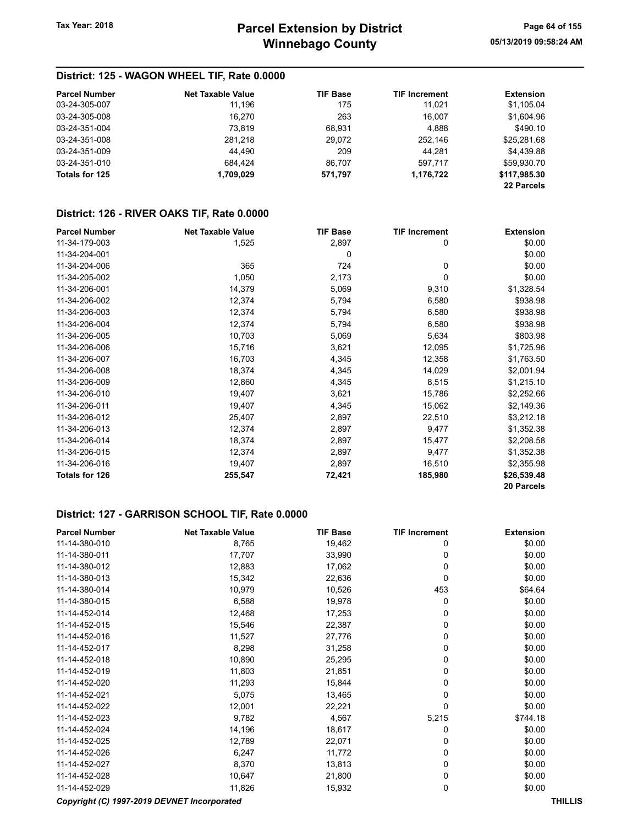## District: 125 - WAGON WHEEL TIF, Rate 0.0000

| <b>Parcel Number</b> | Net Taxable Value | <b>TIF Base</b> | <b>TIF Increment</b> | <b>Extension</b> |
|----------------------|-------------------|-----------------|----------------------|------------------|
| 03-24-305-007        | 11.196            | 175             | 11,021               | \$1,105.04       |
| 03-24-305-008        | 16.270            | 263             | 16.007               | \$1.604.96       |
| 03-24-351-004        | 73.819            | 68,931          | 4,888                | \$490.10         |
| 03-24-351-008        | 281.218           | 29.072          | 252.146              | \$25,281.68      |
| 03-24-351-009        | 44,490            | 209             | 44.281               | \$4,439.88       |
| 03-24-351-010        | 684.424           | 86.707          | 597.717              | \$59,930.70      |
| Totals for 125       | 1,709,029         | 571,797         | 1,176,722            | \$117,985.30     |
|                      |                   |                 |                      | 22 Parcels       |

#### District: 126 - RIVER OAKS TIF, Rate 0.0000

| <b>Parcel Number</b> | <b>Net Taxable Value</b> | <b>TIF Base</b> | <b>TIF Increment</b> | <b>Extension</b> |
|----------------------|--------------------------|-----------------|----------------------|------------------|
| 11-34-179-003        | 1,525                    | 2,897           | 0                    | \$0.00           |
| 11-34-204-001        |                          | 0               |                      | \$0.00           |
| 11-34-204-006        | 365                      | 724             | 0                    | \$0.00           |
| 11-34-205-002        | 1,050                    | 2,173           | 0                    | \$0.00           |
| 11-34-206-001        | 14,379                   | 5,069           | 9,310                | \$1,328.54       |
| 11-34-206-002        | 12,374                   | 5,794           | 6,580                | \$938.98         |
| 11-34-206-003        | 12,374                   | 5,794           | 6,580                | \$938.98         |
| 11-34-206-004        | 12,374                   | 5,794           | 6,580                | \$938.98         |
| 11-34-206-005        | 10,703                   | 5,069           | 5,634                | \$803.98         |
| 11-34-206-006        | 15,716                   | 3,621           | 12,095               | \$1,725.96       |
| 11-34-206-007        | 16,703                   | 4,345           | 12,358               | \$1,763.50       |
| 11-34-206-008        | 18,374                   | 4,345           | 14,029               | \$2,001.94       |
| 11-34-206-009        | 12,860                   | 4,345           | 8,515                | \$1,215.10       |
| 11-34-206-010        | 19,407                   | 3,621           | 15,786               | \$2,252.66       |
| 11-34-206-011        | 19,407                   | 4,345           | 15,062               | \$2,149.36       |
| 11-34-206-012        | 25,407                   | 2,897           | 22,510               | \$3,212.18       |
| 11-34-206-013        | 12,374                   | 2,897           | 9,477                | \$1,352.38       |
| 11-34-206-014        | 18,374                   | 2,897           | 15,477               | \$2,208.58       |
| 11-34-206-015        | 12,374                   | 2,897           | 9,477                | \$1,352.38       |
| 11-34-206-016        | 19,407                   | 2,897           | 16,510               | \$2,355.98       |
| Totals for 126       | 255,547                  | 72,421          | 185,980              | \$26,539.48      |
|                      |                          |                 |                      | 20 Parcels       |

## District: 127 - GARRISON SCHOOL TIF, Rate 0.0000

| <b>Parcel Number</b>                        | <b>Net Taxable Value</b> | <b>TIF Base</b> | <b>TIF Increment</b> | <b>Extension</b> |
|---------------------------------------------|--------------------------|-----------------|----------------------|------------------|
| 11-14-380-010                               | 8,765                    | 19,462          | 0                    | \$0.00           |
| 11-14-380-011                               | 17,707                   | 33,990          | 0                    | \$0.00           |
| 11-14-380-012                               | 12,883                   | 17,062          | 0                    | \$0.00           |
| 11-14-380-013                               | 15,342                   | 22,636          | 0                    | \$0.00           |
| 11-14-380-014                               | 10,979                   | 10,526          | 453                  | \$64.64          |
| 11-14-380-015                               | 6,588                    | 19,978          | 0                    | \$0.00           |
| 11-14-452-014                               | 12,468                   | 17,253          | 0                    | \$0.00           |
| 11-14-452-015                               | 15,546                   | 22,387          | 0                    | \$0.00           |
| 11-14-452-016                               | 11,527                   | 27,776          | 0                    | \$0.00           |
| 11-14-452-017                               | 8,298                    | 31,258          | 0                    | \$0.00           |
| 11-14-452-018                               | 10,890                   | 25,295          | 0                    | \$0.00           |
| 11-14-452-019                               | 11,803                   | 21,851          | 0                    | \$0.00           |
| 11-14-452-020                               | 11,293                   | 15,844          | 0                    | \$0.00           |
| 11-14-452-021                               | 5,075                    | 13,465          | 0                    | \$0.00           |
| 11-14-452-022                               | 12,001                   | 22,221          | 0                    | \$0.00           |
| 11-14-452-023                               | 9,782                    | 4,567           | 5,215                | \$744.18         |
| 11-14-452-024                               | 14,196                   | 18,617          | 0                    | \$0.00           |
| 11-14-452-025                               | 12,789                   | 22,071          | 0                    | \$0.00           |
| 11-14-452-026                               | 6,247                    | 11,772          | 0                    | \$0.00           |
| 11-14-452-027                               | 8,370                    | 13,813          | 0                    | \$0.00           |
| 11-14-452-028                               | 10,647                   | 21,800          | 0                    | \$0.00           |
| 11-14-452-029                               | 11,826                   | 15,932          | 0                    | \$0.00           |
| Copyright (C) 1997-2019 DEVNET Incorporated |                          |                 |                      | <b>THILLIS</b>   |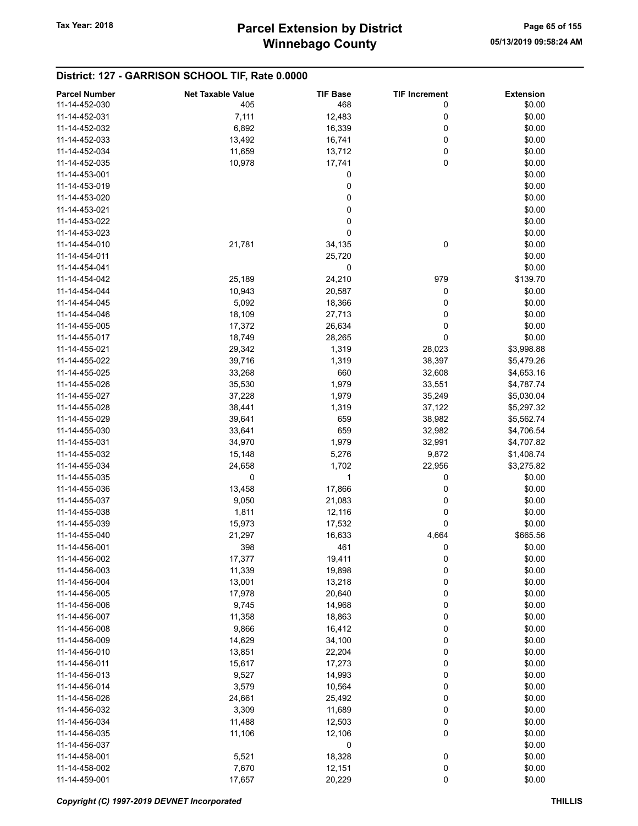## District: 127 - GARRISON SCHOOL TIF, Rate 0.0000

| <b>Parcel Number</b> | <b>Net Taxable Value</b> | <b>TIF Base</b> | <b>TIF Increment</b> | <b>Extension</b> |
|----------------------|--------------------------|-----------------|----------------------|------------------|
| 11-14-452-030        | 405                      | 468             | 0                    | \$0.00           |
| 11-14-452-031        | 7,111                    | 12,483          | 0                    | \$0.00           |
|                      |                          |                 |                      |                  |
| 11-14-452-032        | 6,892                    | 16,339          | 0                    | \$0.00           |
| 11-14-452-033        | 13,492                   | 16,741          | 0                    | \$0.00           |
| 11-14-452-034        | 11,659                   | 13,712          | 0                    | \$0.00           |
| 11-14-452-035        | 10,978                   | 17,741          | 0                    | \$0.00           |
| 11-14-453-001        |                          | 0               |                      | \$0.00           |
| 11-14-453-019        |                          | 0               |                      | \$0.00           |
| 11-14-453-020        |                          | 0               |                      | \$0.00           |
| 11-14-453-021        |                          | 0               |                      | \$0.00           |
| 11-14-453-022        |                          | 0               |                      | \$0.00           |
| 11-14-453-023        |                          | 0               |                      | \$0.00           |
|                      |                          |                 |                      |                  |
| 11-14-454-010        | 21,781                   | 34,135          | 0                    | \$0.00           |
| 11-14-454-011        |                          | 25,720          |                      | \$0.00           |
| 11-14-454-041        |                          | 0               |                      | \$0.00           |
| 11-14-454-042        | 25,189                   | 24,210          | 979                  | \$139.70         |
| 11-14-454-044        | 10,943                   | 20,587          | 0                    | \$0.00           |
| 11-14-454-045        | 5,092                    | 18,366          | 0                    | \$0.00           |
| 11-14-454-046        | 18,109                   | 27,713          | 0                    | \$0.00           |
| 11-14-455-005        | 17,372                   | 26,634          | 0                    | \$0.00           |
| 11-14-455-017        | 18,749                   | 28,265          | 0                    | \$0.00           |
| 11-14-455-021        |                          |                 |                      | \$3,998.88       |
|                      | 29,342                   | 1,319           | 28,023               |                  |
| 11-14-455-022        | 39,716                   | 1,319           | 38,397               | \$5,479.26       |
| 11-14-455-025        | 33,268                   | 660             | 32,608               | \$4,653.16       |
| 11-14-455-026        | 35,530                   | 1,979           | 33,551               | \$4,787.74       |
| 11-14-455-027        | 37,228                   | 1,979           | 35,249               | \$5,030.04       |
| 11-14-455-028        | 38,441                   | 1,319           | 37,122               | \$5,297.32       |
| 11-14-455-029        | 39,641                   | 659             | 38,982               | \$5,562.74       |
| 11-14-455-030        | 33,641                   | 659             | 32,982               | \$4,706.54       |
| 11-14-455-031        | 34,970                   | 1,979           | 32,991               | \$4,707.82       |
| 11-14-455-032        | 15,148                   | 5,276           | 9,872                | \$1,408.74       |
| 11-14-455-034        | 24,658                   | 1,702           | 22,956               | \$3,275.82       |
| 11-14-455-035        | 0                        | 1               | 0                    |                  |
|                      |                          |                 |                      | \$0.00           |
| 11-14-455-036        | 13,458                   | 17,866          | 0                    | \$0.00           |
| 11-14-455-037        | 9,050                    | 21,083          | 0                    | \$0.00           |
| 11-14-455-038        | 1,811                    | 12,116          | 0                    | \$0.00           |
| 11-14-455-039        | 15,973                   | 17,532          | 0                    | \$0.00           |
| 11-14-455-040        | 21,297                   | 16,633          | 4,664                | \$665.56         |
| 11-14-456-001        | 398                      | 461             | 0                    | \$0.00           |
| 11-14-456-002        | 17,377                   | 19,411          | 0                    | \$0.00           |
| 11-14-456-003        | 11,339                   | 19,898          | 0                    | \$0.00           |
| 11-14-456-004        | 13,001                   | 13,218          | 0                    | \$0.00           |
| 11-14-456-005        | 17,978                   | 20,640          | 0                    | \$0.00           |
| 11-14-456-006        | 9,745                    | 14,968          | 0                    | \$0.00           |
|                      |                          |                 |                      |                  |
| 11-14-456-007        | 11,358                   | 18,863          | 0                    | \$0.00           |
| 11-14-456-008        | 9,866                    | 16,412          | 0                    | \$0.00           |
| 11-14-456-009        | 14,629                   | 34,100          | 0                    | \$0.00           |
| 11-14-456-010        | 13,851                   | 22,204          | 0                    | \$0.00           |
| 11-14-456-011        | 15,617                   | 17,273          | 0                    | \$0.00           |
| 11-14-456-013        | 9,527                    | 14,993          | 0                    | \$0.00           |
| 11-14-456-014        | 3,579                    | 10,564          | 0                    | \$0.00           |
| 11-14-456-026        | 24,661                   | 25,492          | 0                    | \$0.00           |
| 11-14-456-032        | 3,309                    | 11,689          | 0                    | \$0.00           |
| 11-14-456-034        | 11,488                   | 12,503          | 0                    | \$0.00           |
| 11-14-456-035        |                          |                 | 0                    |                  |
|                      | 11,106                   | 12,106          |                      | \$0.00           |
| 11-14-456-037        |                          | 0               |                      | \$0.00           |
| 11-14-458-001        | 5,521                    | 18,328          | 0                    | \$0.00           |
| 11-14-458-002        | 7,670                    | 12,151          | 0                    | \$0.00           |
| 11-14-459-001        | 17,657                   | 20,229          | $\pmb{0}$            | \$0.00           |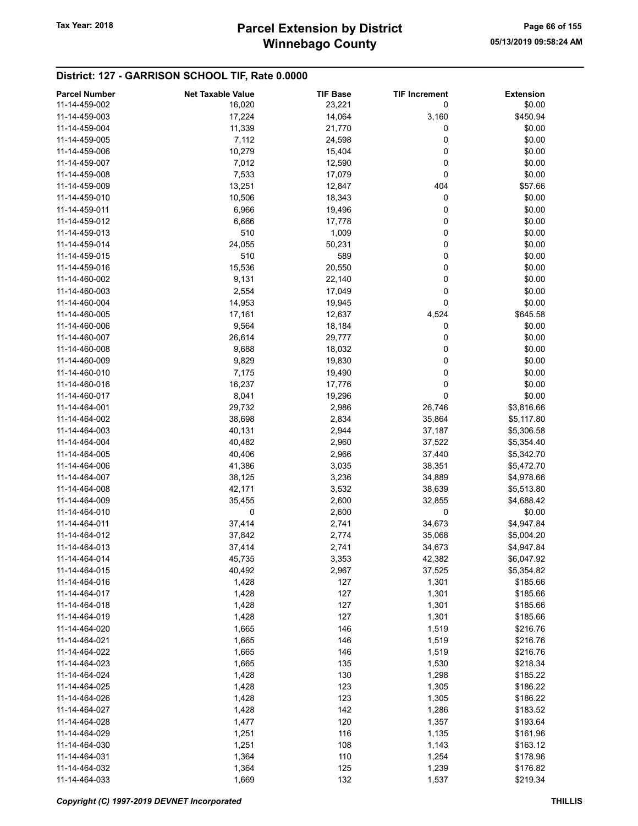## District: 127 - GARRISON SCHOOL TIF, Rate 0.0000

| <b>Parcel Number</b> | <b>Net Taxable Value</b> | <b>TIF Base</b> | <b>TIF Increment</b> | <b>Extension</b>  |
|----------------------|--------------------------|-----------------|----------------------|-------------------|
| 11-14-459-002        | 16,020                   | 23,221          | 0                    | \$0.00            |
| 11-14-459-003        | 17,224                   | 14,064          | 3,160                | \$450.94          |
| 11-14-459-004        | 11,339                   | 21,770          | 0                    | \$0.00            |
| 11-14-459-005        | 7,112                    | 24,598          | 0                    | \$0.00            |
| 11-14-459-006        | 10,279                   | 15,404          | 0                    | \$0.00            |
| 11-14-459-007        | 7,012                    | 12,590          | 0                    | \$0.00            |
| 11-14-459-008        | 7,533                    | 17,079          | 0                    | \$0.00            |
| 11-14-459-009        |                          |                 | 404                  |                   |
|                      | 13,251                   | 12,847          |                      | \$57.66<br>\$0.00 |
| 11-14-459-010        | 10,506                   | 18,343          | 0                    |                   |
| 11-14-459-011        | 6,966                    | 19,496          | 0                    | \$0.00            |
| 11-14-459-012        | 6,666                    | 17,778          | 0                    | \$0.00            |
| 11-14-459-013        | 510                      | 1,009           | 0                    | \$0.00            |
| 11-14-459-014        | 24,055                   | 50,231          | 0                    | \$0.00            |
| 11-14-459-015        | 510                      | 589             | 0                    | \$0.00            |
| 11-14-459-016        | 15,536                   | 20,550          | 0                    | \$0.00            |
| 11-14-460-002        | 9,131                    | 22,140          | 0                    | \$0.00            |
| 11-14-460-003        | 2,554                    | 17,049          | 0                    | \$0.00            |
| 11-14-460-004        | 14,953                   | 19,945          | 0                    | \$0.00            |
| 11-14-460-005        | 17,161                   | 12,637          | 4,524                | \$645.58          |
| 11-14-460-006        | 9,564                    | 18,184          | 0                    | \$0.00            |
| 11-14-460-007        | 26,614                   | 29,777          | 0                    | \$0.00            |
| 11-14-460-008        | 9,688                    | 18,032          | 0                    | \$0.00            |
| 11-14-460-009        | 9,829                    | 19,830          | 0                    | \$0.00            |
| 11-14-460-010        | 7,175                    | 19,490          | 0                    | \$0.00            |
| 11-14-460-016        | 16,237                   | 17,776          | 0                    | \$0.00            |
| 11-14-460-017        | 8,041                    | 19,296          | 0                    | \$0.00            |
| 11-14-464-001        | 29,732                   | 2,986           | 26,746               | \$3,816.66        |
| 11-14-464-002        | 38,698                   | 2,834           | 35,864               | \$5,117.80        |
| 11-14-464-003        | 40,131                   | 2,944           | 37,187               | \$5,306.58        |
| 11-14-464-004        | 40,482                   | 2,960           | 37,522               | \$5,354.40        |
| 11-14-464-005        | 40,406                   | 2,966           | 37,440               | \$5,342.70        |
| 11-14-464-006        | 41,386                   | 3,035           | 38,351               | \$5,472.70        |
| 11-14-464-007        | 38,125                   | 3,236           | 34,889               | \$4,978.66        |
| 11-14-464-008        | 42,171                   | 3,532           | 38,639               | \$5,513.80        |
| 11-14-464-009        | 35,455                   | 2,600           | 32,855               | \$4,688.42        |
| 11-14-464-010        | 0                        | 2,600           | 0                    | \$0.00            |
| 11-14-464-011        | 37,414                   | 2,741           | 34,673               | \$4,947.84        |
| 11-14-464-012        | 37,842                   | 2,774           | 35,068               | \$5,004.20        |
| 11-14-464-013        |                          |                 |                      |                   |
| 11-14-464-014        | 37,414                   | 2,741           | 34,673               | \$4,947.84        |
|                      | 45,735                   | 3,353           | 42,382               | \$6,047.92        |
| 11-14-464-015        | 40,492                   | 2,967           | 37,525               | \$5,354.82        |
| 11-14-464-016        | 1,428                    | 127             | 1,301                | \$185.66          |
| 11-14-464-017        | 1,428                    | 127             | 1,301                | \$185.66          |
| 11-14-464-018        | 1,428                    | 127             | 1,301                | \$185.66          |
| 11-14-464-019        | 1,428                    | 127             | 1,301                | \$185.66          |
| 11-14-464-020        | 1,665                    | 146             | 1,519                | \$216.76          |
| 11-14-464-021        | 1,665                    | 146             | 1,519                | \$216.76          |
| 11-14-464-022        | 1,665                    | 146             | 1,519                | \$216.76          |
| 11-14-464-023        | 1,665                    | 135             | 1,530                | \$218.34          |
| 11-14-464-024        | 1,428                    | 130             | 1,298                | \$185.22          |
| 11-14-464-025        | 1,428                    | 123             | 1,305                | \$186.22          |
| 11-14-464-026        | 1,428                    | 123             | 1,305                | \$186.22          |
| 11-14-464-027        | 1,428                    | 142             | 1,286                | \$183.52          |
| 11-14-464-028        | 1,477                    | 120             | 1,357                | \$193.64          |
| 11-14-464-029        | 1,251                    | 116             | 1,135                | \$161.96          |
| 11-14-464-030        | 1,251                    | 108             | 1,143                | \$163.12          |
| 11-14-464-031        | 1,364                    | 110             | 1,254                | \$178.96          |
| 11-14-464-032        | 1,364                    | 125             | 1,239                | \$176.82          |
| 11-14-464-033        | 1,669                    | 132             | 1,537                | \$219.34          |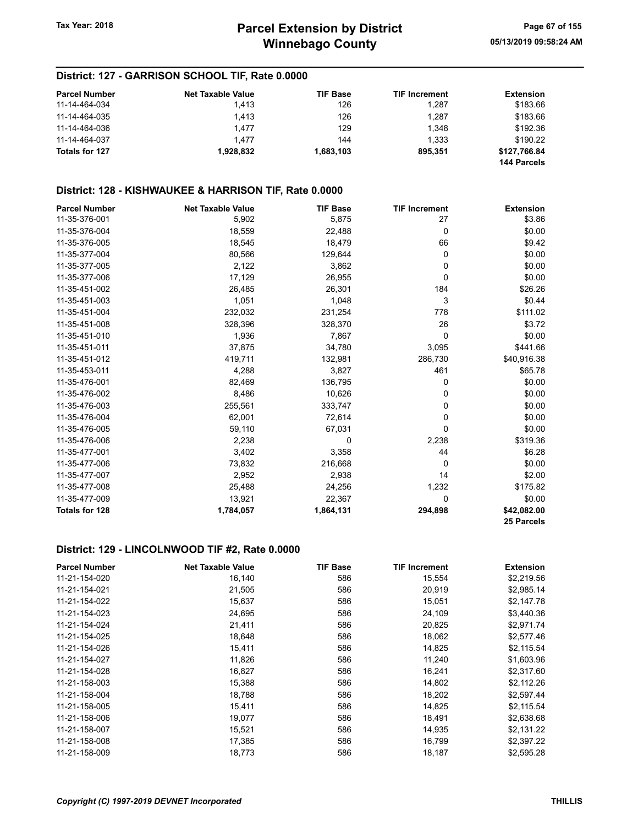#### District: 127 - GARRISON SCHOOL TIF, Rate 0.0000

| <b>Parcel Number</b> | <b>Net Taxable Value</b> | <b>TIF Base</b> | <b>TIF Increment</b> | <b>Extension</b> |
|----------------------|--------------------------|-----------------|----------------------|------------------|
| 11-14-464-034        | 1.413                    | 126             | 1.287                | \$183.66         |
| 11-14-464-035        | 1.413                    | 126             | 1.287                | \$183.66         |
| 11-14-464-036        | 1.477                    | 129             | 1.348                | \$192.36         |
| 11-14-464-037        | 1.477                    | 144             | 1.333                | \$190.22         |
| Totals for 127       | 1.928.832                | 1,683,103       | 895.351              | \$127,766.84     |
|                      |                          |                 |                      | 144 Parcels      |

#### District: 128 - KISHWAUKEE & HARRISON TIF, Rate 0.0000

| <b>Parcel Number</b>  | <b>Net Taxable Value</b> | <b>TIF Base</b> | <b>TIF Increment</b> | <b>Extension</b> |
|-----------------------|--------------------------|-----------------|----------------------|------------------|
| 11-35-376-001         | 5,902                    | 5,875           | 27                   | \$3.86           |
| 11-35-376-004         | 18,559                   | 22,488          | 0                    | \$0.00           |
| 11-35-376-005         | 18,545                   | 18,479          | 66                   | \$9.42           |
| 11-35-377-004         | 80,566                   | 129,644         | 0                    | \$0.00           |
| 11-35-377-005         | 2,122                    | 3,862           | 0                    | \$0.00           |
| 11-35-377-006         | 17,129                   | 26,955          | 0                    | \$0.00           |
| 11-35-451-002         | 26,485                   | 26,301          | 184                  | \$26.26          |
| 11-35-451-003         | 1,051                    | 1,048           | 3                    | \$0.44           |
| 11-35-451-004         | 232,032                  | 231,254         | 778                  | \$111.02         |
| 11-35-451-008         | 328,396                  | 328,370         | 26                   | \$3.72           |
| 11-35-451-010         | 1,936                    | 7,867           | $\mathbf 0$          | \$0.00           |
| 11-35-451-011         | 37,875                   | 34,780          | 3,095                | \$441.66         |
| 11-35-451-012         | 419,711                  | 132,981         | 286,730              | \$40,916.38      |
| 11-35-453-011         | 4,288                    | 3,827           | 461                  | \$65.78          |
| 11-35-476-001         | 82,469                   | 136,795         | 0                    | \$0.00           |
| 11-35-476-002         | 8,486                    | 10,626          | 0                    | \$0.00           |
| 11-35-476-003         | 255,561                  | 333,747         | 0                    | \$0.00           |
| 11-35-476-004         | 62,001                   | 72,614          | 0                    | \$0.00           |
| 11-35-476-005         | 59,110                   | 67,031          | 0                    | \$0.00           |
| 11-35-476-006         | 2,238                    | 0               | 2,238                | \$319.36         |
| 11-35-477-001         | 3,402                    | 3,358           | 44                   | \$6.28           |
| 11-35-477-006         | 73,832                   | 216,668         | 0                    | \$0.00           |
| 11-35-477-007         | 2,952                    | 2,938           | 14                   | \$2.00           |
| 11-35-477-008         | 25,488                   | 24,256          | 1,232                | \$175.82         |
| 11-35-477-009         | 13,921                   | 22,367          | 0                    | \$0.00           |
| <b>Totals for 128</b> | 1,784,057                | 1,864,131       | 294,898              | \$42,082.00      |
|                       |                          |                 |                      | 25 Parcels       |

#### District: 129 - LINCOLNWOOD TIF #2, Rate 0.0000

| <b>Parcel Number</b> | <b>Net Taxable Value</b> | <b>TIF Base</b> | <b>TIF Increment</b> | <b>Extension</b> |
|----------------------|--------------------------|-----------------|----------------------|------------------|
| 11-21-154-020        | 16,140                   | 586             | 15,554               | \$2,219.56       |
| 11-21-154-021        | 21,505                   | 586             | 20,919               | \$2,985.14       |
| 11-21-154-022        | 15,637                   | 586             | 15,051               | \$2,147.78       |
| 11-21-154-023        | 24,695                   | 586             | 24,109               | \$3,440.36       |
| 11-21-154-024        | 21,411                   | 586             | 20,825               | \$2,971.74       |
| 11-21-154-025        | 18,648                   | 586             | 18,062               | \$2,577.46       |
| 11-21-154-026        | 15,411                   | 586             | 14,825               | \$2,115.54       |
| 11-21-154-027        | 11,826                   | 586             | 11,240               | \$1,603.96       |
| 11-21-154-028        | 16,827                   | 586             | 16,241               | \$2,317.60       |
| 11-21-158-003        | 15,388                   | 586             | 14,802               | \$2,112.26       |
| 11-21-158-004        | 18,788                   | 586             | 18,202               | \$2,597.44       |
| 11-21-158-005        | 15,411                   | 586             | 14,825               | \$2,115.54       |
| 11-21-158-006        | 19,077                   | 586             | 18,491               | \$2,638.68       |
| 11-21-158-007        | 15,521                   | 586             | 14,935               | \$2,131.22       |
| 11-21-158-008        | 17,385                   | 586             | 16,799               | \$2,397.22       |
| 11-21-158-009        | 18,773                   | 586             | 18,187               | \$2,595.28       |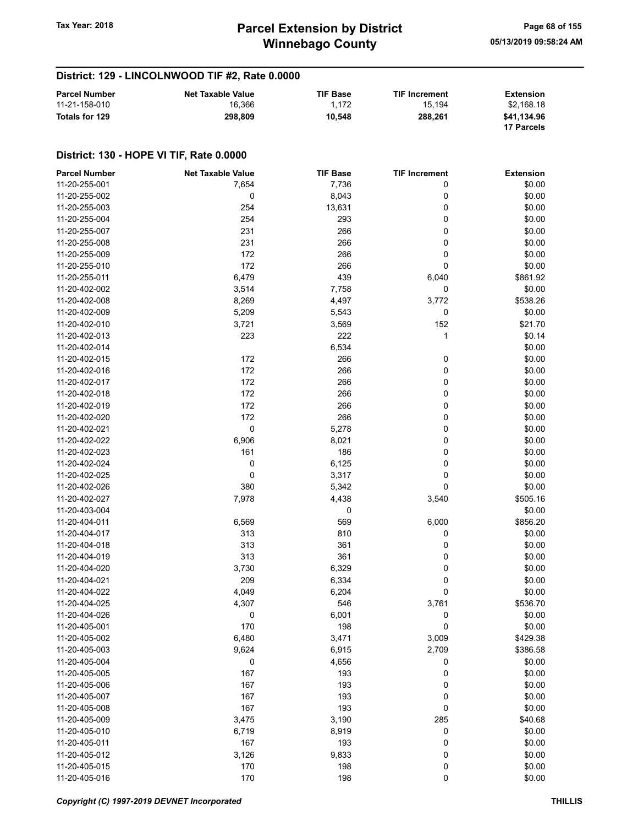## District: 129 - LINCOLNWOOD TIF #2, Rate 0.0000

| <b>Parcel Number</b> | <b>Net Taxable Value</b> | <b>TIF Base</b> | <b>TIF Increment</b> | Extension   |
|----------------------|--------------------------|-----------------|----------------------|-------------|
| 11-21-158-010        | 16.366                   | 1.172           | 15.194               | \$2.168.18  |
| Totals for 129       | 298.809                  | 10.548          | 288.261              | \$41.134.96 |
|                      |                          |                 |                      | 17 Parcels  |

| <b>Parcel Number</b> | <b>Net Taxable Value</b> | <b>TIF Base</b> | <b>TIF Increment</b> | <b>Extension</b> |
|----------------------|--------------------------|-----------------|----------------------|------------------|
| 11-20-255-001        | 7,654                    | 7,736           | 0                    | \$0.00           |
| 11-20-255-002        | 0                        | 8,043           | 0                    | \$0.00           |
| 11-20-255-003        | 254                      | 13,631          | 0                    | \$0.00           |
| 11-20-255-004        | 254                      | 293             | 0                    | \$0.00           |
| 11-20-255-007        | 231                      | 266             | 0                    | \$0.00           |
| 11-20-255-008        | 231                      | 266             | 0                    | \$0.00           |
| 11-20-255-009        | 172                      | 266             | 0                    | \$0.00           |
| 11-20-255-010        | 172                      | 266             | 0                    | \$0.00           |
| 11-20-255-011        | 6,479                    | 439             | 6,040                | \$861.92         |
|                      |                          |                 |                      |                  |
| 11-20-402-002        | 3,514                    | 7,758           | 0                    | \$0.00           |
| 11-20-402-008        | 8,269                    | 4,497           | 3,772                | \$538.26         |
| 11-20-402-009        | 5,209                    | 5,543           | 0                    | \$0.00           |
| 11-20-402-010        | 3,721                    | 3,569           | 152                  | \$21.70          |
| 11-20-402-013        | 223                      | 222             | 1                    | \$0.14           |
| 11-20-402-014        |                          | 6,534           |                      | \$0.00           |
| 11-20-402-015        | 172                      | 266             | 0                    | \$0.00           |
| 11-20-402-016        | 172                      | 266             | 0                    | \$0.00           |
| 11-20-402-017        | 172                      | 266             | 0                    | \$0.00           |
| 11-20-402-018        | 172                      | 266             | 0                    | \$0.00           |
| 11-20-402-019        | 172                      | 266             | 0                    | \$0.00           |
| 11-20-402-020        | 172                      | 266             | 0                    | \$0.00           |
| 11-20-402-021        | 0                        | 5,278           | 0                    | \$0.00           |
| 11-20-402-022        | 6,906                    | 8,021           | 0                    | \$0.00           |
| 11-20-402-023        | 161                      | 186             | 0                    | \$0.00           |
| 11-20-402-024        | 0                        | 6,125           | 0                    | \$0.00           |
| 11-20-402-025        | 0                        | 3,317           | 0                    | \$0.00           |
| 11-20-402-026        | 380                      | 5,342           | 0                    | \$0.00           |
| 11-20-402-027        | 7,978                    | 4,438           | 3,540                | \$505.16         |
| 11-20-403-004        |                          | 0               |                      | \$0.00           |
| 11-20-404-011        | 6,569                    | 569             | 6,000                | \$856.20         |
| 11-20-404-017        | 313                      | 810             | 0                    | \$0.00           |
| 11-20-404-018        | 313                      | 361             | 0                    | \$0.00           |
| 11-20-404-019        | 313                      | 361             | 0                    | \$0.00           |
|                      |                          |                 |                      |                  |
| 11-20-404-020        | 3,730                    | 6,329           | 0                    | \$0.00           |
| 11-20-404-021        | 209                      | 6,334           | 0                    | \$0.00           |
| 11-20-404-022        | 4,049                    | 6,204           | 0                    | \$0.00           |
| 11-20-404-025        | 4,307                    | 546             | 3,761                | \$536.70         |
| 11-20-404-026        | 0                        | 6,001           | 0                    | \$0.00           |
| 11-20-405-001        | 170                      | 198             | 0                    | \$0.00           |
| 11-20-405-002        | 6,480                    | 3,471           | 3,009                | \$429.38         |
| 11-20-405-003        | 9,624                    | 6,915           | 2,709                | \$386.58         |
| 11-20-405-004        | $\pmb{0}$                | 4,656           | 0                    | \$0.00           |
| 11-20-405-005        | 167                      | 193             | 0                    | \$0.00           |
| 11-20-405-006        | 167                      | 193             | 0                    | \$0.00           |
| 11-20-405-007        | 167                      | 193             | 0                    | \$0.00           |
| 11-20-405-008        | 167                      | 193             | 0                    | \$0.00           |
| 11-20-405-009        | 3,475                    | 3,190           | 285                  | \$40.68          |
| 11-20-405-010        | 6,719                    | 8,919           | 0                    | \$0.00           |
| 11-20-405-011        | 167                      | 193             | 0                    | \$0.00           |
| 11-20-405-012        | 3,126                    | 9,833           | 0                    | \$0.00           |
| 11-20-405-015        | 170                      | 198             | 0                    | \$0.00           |
| 11-20-405-016        | 170                      | 198             | $\pmb{0}$            | \$0.00           |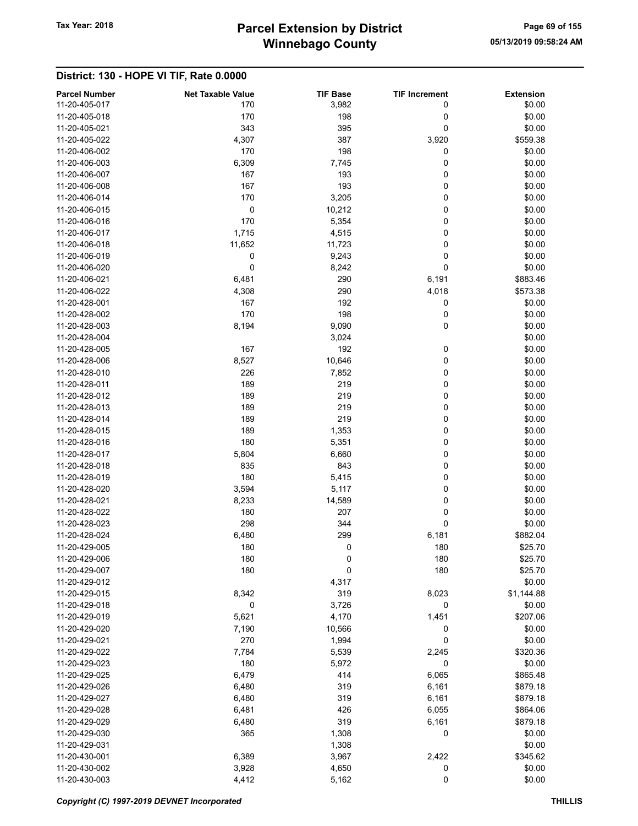# Winnebago County Tax Year: 2018 **Parcel Extension by District** Page 69 of 155

| <b>Parcel Number</b>           | <b>Net Taxable Value</b> | <b>TIF Base</b>    | <b>TIF Increment</b> | <b>Extension</b>   |
|--------------------------------|--------------------------|--------------------|----------------------|--------------------|
| 11-20-405-017                  | 170                      | 3,982              | 0                    | \$0.00             |
| 11-20-405-018                  | 170                      | 198                | 0                    | \$0.00             |
| 11-20-405-021                  | 343                      | 395                | 0                    | \$0.00             |
| 11-20-405-022                  | 4,307                    | 387                | 3,920                | \$559.38           |
| 11-20-406-002                  | 170                      | 198                | 0                    | \$0.00             |
| 11-20-406-003                  | 6,309                    | 7,745              | 0                    | \$0.00             |
| 11-20-406-007                  | 167                      | 193                | 0                    | \$0.00             |
| 11-20-406-008                  | 167                      | 193                | 0                    | \$0.00             |
| 11-20-406-014                  | 170                      | 3,205              | 0                    | \$0.00             |
| 11-20-406-015                  | 0                        | 10,212             | 0                    | \$0.00             |
| 11-20-406-016                  | 170                      | 5,354              | 0                    | \$0.00             |
| 11-20-406-017                  | 1,715                    | 4,515              | 0                    | \$0.00             |
| 11-20-406-018                  | 11,652                   | 11,723             | 0                    | \$0.00             |
| 11-20-406-019                  | 0                        | 9,243              | 0                    | \$0.00             |
| 11-20-406-020                  | $\mathbf 0$              | 8,242              | 0                    | \$0.00             |
| 11-20-406-021                  | 6,481                    | 290                | 6,191                | \$883.46           |
| 11-20-406-022                  | 4,308                    | 290                | 4,018                | \$573.38           |
| 11-20-428-001                  | 167                      | 192                | 0                    | \$0.00             |
| 11-20-428-002                  | 170                      | 198                | 0                    | \$0.00             |
| 11-20-428-003                  | 8,194                    | 9,090              | 0                    | \$0.00             |
| 11-20-428-004                  |                          | 3,024              |                      | \$0.00             |
| 11-20-428-005                  | 167                      | 192                | 0                    | \$0.00             |
| 11-20-428-006                  | 8,527                    | 10,646             | 0                    | \$0.00             |
| 11-20-428-010                  | 226                      | 7,852              | 0                    | \$0.00             |
| 11-20-428-011                  | 189                      | 219                | 0                    | \$0.00             |
| 11-20-428-012                  | 189                      | 219                | 0                    | \$0.00             |
| 11-20-428-013                  | 189                      | 219                | 0                    | \$0.00             |
| 11-20-428-014                  | 189                      | 219                | 0                    | \$0.00             |
| 11-20-428-015                  | 189                      | 1,353              | 0                    | \$0.00             |
| 11-20-428-016                  | 180                      | 5,351              | 0                    | \$0.00             |
| 11-20-428-017                  | 5,804                    | 6,660              | 0                    | \$0.00             |
| 11-20-428-018                  | 835                      | 843                | 0                    | \$0.00             |
| 11-20-428-019                  | 180                      | 5,415              | 0                    | \$0.00             |
| 11-20-428-020                  | 3,594                    | 5,117              | 0                    | \$0.00             |
| 11-20-428-021                  | 8,233                    | 14,589             | 0                    | \$0.00             |
| 11-20-428-022                  | 180                      | 207                | 0                    | \$0.00             |
| 11-20-428-023                  | 298                      | 344                | 0                    | \$0.00             |
|                                |                          |                    |                      |                    |
| 11-20-428-024<br>11-20-429-005 | 6,480                    | 299<br>$\mathbf 0$ | 6,181                | \$882.04           |
|                                | 180                      |                    | 180                  | \$25.70<br>\$25.70 |
| 11-20-429-006                  | 180                      | 0                  | 180                  |                    |
| 11-20-429-007                  | 180                      | 0                  | 180                  | \$25.70            |
| 11-20-429-012                  |                          | 4,317              |                      | \$0.00             |
| 11-20-429-015                  | 8,342                    | 319                | 8,023                | \$1,144.88         |
| 11-20-429-018                  | 0                        | 3,726              | 0                    | \$0.00             |
| 11-20-429-019                  | 5,621                    | 4,170              | 1,451                | \$207.06           |
| 11-20-429-020                  | 7,190                    | 10,566             | 0                    | \$0.00             |
| 11-20-429-021                  | 270                      | 1,994              | 0                    | \$0.00             |
| 11-20-429-022                  | 7,784                    | 5,539              | 2,245                | \$320.36           |
| 11-20-429-023                  | 180                      | 5,972              | 0                    | \$0.00             |
| 11-20-429-025                  | 6,479                    | 414                | 6,065                | \$865.48           |
| 11-20-429-026                  | 6,480                    | 319                | 6,161                | \$879.18           |
| 11-20-429-027                  | 6,480                    | 319                | 6,161                | \$879.18           |
| 11-20-429-028                  | 6,481                    | 426                | 6,055                | \$864.06           |
| 11-20-429-029                  | 6,480                    | 319                | 6,161                | \$879.18           |
| 11-20-429-030                  | 365                      | 1,308              | 0                    | \$0.00             |
| 11-20-429-031                  |                          | 1,308              |                      | \$0.00             |
| 11-20-430-001                  | 6,389                    | 3,967              | 2,422                | \$345.62           |
| 11-20-430-002                  | 3,928                    | 4,650              | 0                    | \$0.00             |
| 11-20-430-003                  | 4,412                    | 5,162              | 0                    | \$0.00             |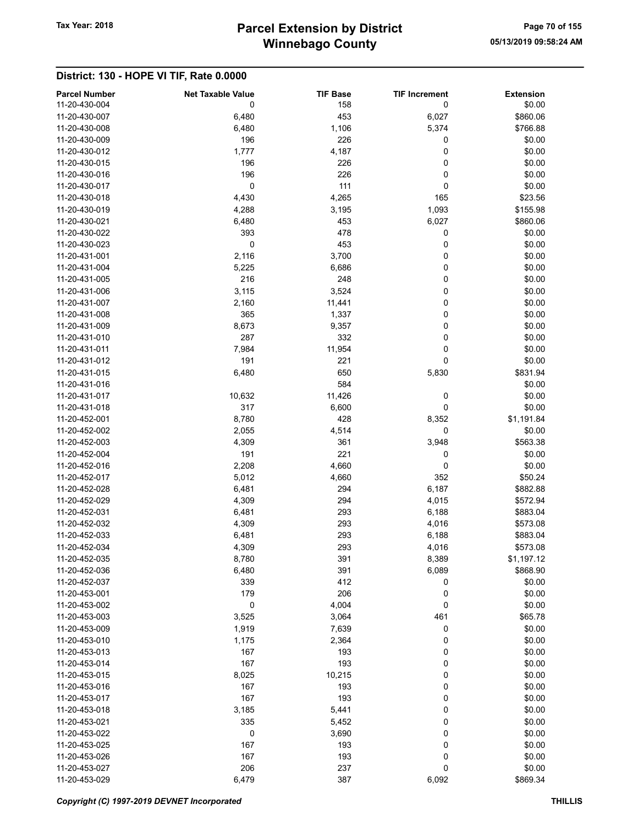# Winnebago County Tax Year: 2018 **Parcel Extension by District** Page 70 of 155

| <b>Parcel Number</b><br>11-20-430-004 | <b>Net Taxable Value</b><br>0 | <b>TIF Base</b><br>158 | <b>TIF Increment</b><br>0 | <b>Extension</b><br>\$0.00 |
|---------------------------------------|-------------------------------|------------------------|---------------------------|----------------------------|
| 11-20-430-007                         | 6,480                         | 453                    | 6,027                     | \$860.06                   |
| 11-20-430-008                         | 6,480                         | 1,106                  | 5,374                     | \$766.88                   |
| 11-20-430-009                         | 196                           | 226                    | 0                         | \$0.00                     |
| 11-20-430-012                         | 1,777                         | 4,187                  | 0                         | \$0.00                     |
| 11-20-430-015                         | 196                           | 226                    | 0                         | \$0.00                     |
| 11-20-430-016                         | 196                           | 226                    | 0                         | \$0.00                     |
| 11-20-430-017                         | $\mathbf 0$                   | 111                    | 0                         | \$0.00                     |
| 11-20-430-018                         | 4,430                         | 4,265                  | 165                       | \$23.56                    |
| 11-20-430-019                         | 4,288                         | 3,195                  | 1,093                     | \$155.98                   |
| 11-20-430-021                         | 6,480                         | 453                    | 6,027                     | \$860.06                   |
| 11-20-430-022                         | 393                           | 478                    | 0                         | \$0.00                     |
| 11-20-430-023                         | 0                             | 453                    | 0                         | \$0.00                     |
| 11-20-431-001                         | 2,116                         | 3,700                  | 0                         | \$0.00                     |
| 11-20-431-004                         | 5,225                         | 6,686                  | 0                         | \$0.00                     |
| 11-20-431-005                         | 216                           | 248                    | 0                         | \$0.00                     |
| 11-20-431-006                         | 3,115                         | 3,524                  | 0                         | \$0.00                     |
| 11-20-431-007                         | 2,160                         | 11,441                 | 0                         | \$0.00                     |
| 11-20-431-008                         | 365                           | 1,337                  | 0                         | \$0.00                     |
| 11-20-431-009                         | 8,673                         | 9,357                  | 0                         | \$0.00                     |
| 11-20-431-010                         | 287                           | 332                    | 0                         | \$0.00                     |
| 11-20-431-011                         | 7,984                         | 11,954                 | 0                         | \$0.00                     |
| 11-20-431-012                         | 191                           | 221                    | 0                         | \$0.00                     |
| 11-20-431-015                         | 6,480                         | 650                    | 5,830                     | \$831.94                   |
| 11-20-431-016                         |                               | 584                    |                           | \$0.00                     |
| 11-20-431-017                         | 10,632                        | 11,426                 | 0                         | \$0.00                     |
| 11-20-431-018                         | 317                           | 6,600                  | 0                         | \$0.00                     |
| 11-20-452-001                         | 8,780                         | 428                    | 8,352                     | \$1,191.84                 |
| 11-20-452-002                         | 2,055                         | 4,514                  | 0                         | \$0.00                     |
| 11-20-452-003                         | 4,309                         | 361                    | 3,948                     | \$563.38                   |
| 11-20-452-004                         | 191                           | 221                    |                           | \$0.00                     |
| 11-20-452-016                         | 2,208                         |                        | 0<br>0                    |                            |
| 11-20-452-017                         |                               | 4,660                  | 352                       | \$0.00                     |
| 11-20-452-028                         | 5,012<br>6,481                | 4,660<br>294           |                           | \$50.24<br>\$882.88        |
|                                       |                               |                        | 6,187                     |                            |
| 11-20-452-029<br>11-20-452-031        | 4,309                         | 294<br>293             | 4,015                     | \$572.94<br>\$883.04       |
| 11-20-452-032                         | 6,481                         |                        | 6,188                     |                            |
| 11-20-452-033                         | 4,309                         | 293                    | 4,016<br>6,188            | \$573.08                   |
|                                       | 6,481                         | 293                    |                           | \$883.04                   |
| 11-20-452-034                         | 4,309                         | 293                    | 4,016                     | \$573.08                   |
| 11-20-452-035                         | 8,780                         | 391                    | 8,389                     | \$1,197.12                 |
| 11-20-452-036                         | 6,480                         | 391                    | 6,089                     | \$868.90                   |
| 11-20-452-037                         | 339                           | 412                    | 0                         | \$0.00                     |
| 11-20-453-001<br>11-20-453-002        | 179<br>0                      | 206                    | 0                         | \$0.00                     |
| 11-20-453-003                         | 3,525                         | 4,004                  | 0<br>461                  | \$0.00<br>\$65.78          |
| 11-20-453-009                         |                               | 3,064                  |                           |                            |
|                                       | 1,919                         | 7,639                  | 0                         | \$0.00                     |
| 11-20-453-010                         | 1,175                         | 2,364                  | 0                         | \$0.00                     |
| 11-20-453-013                         | 167                           | 193                    | 0                         | \$0.00                     |
| 11-20-453-014                         | 167                           | 193                    | 0                         | \$0.00                     |
| 11-20-453-015                         | 8,025                         | 10,215                 | 0                         | \$0.00                     |
| 11-20-453-016                         | 167                           | 193                    | 0                         | \$0.00                     |
| 11-20-453-017                         | 167                           | 193                    | 0                         | \$0.00                     |
| 11-20-453-018                         | 3,185                         | 5,441                  | 0                         | \$0.00                     |
| 11-20-453-021                         | 335                           | 5,452                  | 0                         | \$0.00                     |
| 11-20-453-022                         | 0                             | 3,690                  | 0                         | \$0.00                     |
| 11-20-453-025                         | 167                           | 193                    | 0                         | \$0.00                     |
| 11-20-453-026                         | 167                           | 193                    | 0                         | \$0.00                     |
| 11-20-453-027                         | 206                           | 237                    | 0                         | \$0.00                     |
| 11-20-453-029                         | 6,479                         | 387                    | 6,092                     | \$869.34                   |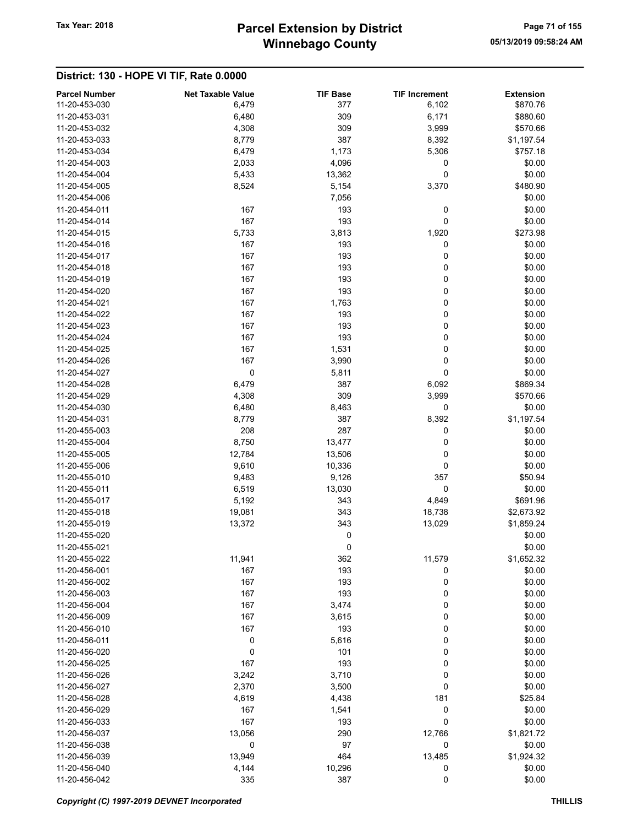# Winnebago County Tax Year: 2018 **Parcel Extension by District** Page 71 of 155

| <b>Parcel Number</b><br>11-20-453-030 | <b>Net Taxable Value</b><br>6,479 | <b>TIF Base</b><br>377 | <b>TIF Increment</b><br>6,102 | <b>Extension</b><br>\$870.76 |
|---------------------------------------|-----------------------------------|------------------------|-------------------------------|------------------------------|
| 11-20-453-031                         | 6,480                             | 309                    | 6,171                         | \$880.60                     |
| 11-20-453-032                         | 4,308                             | 309                    | 3,999                         | \$570.66                     |
| 11-20-453-033                         | 8,779                             | 387                    | 8,392                         | \$1,197.54                   |
| 11-20-453-034                         | 6,479                             | 1,173                  | 5,306                         | \$757.18                     |
| 11-20-454-003                         | 2,033                             | 4,096                  | 0                             | \$0.00                       |
| 11-20-454-004                         | 5,433                             | 13,362                 | 0                             | \$0.00                       |
| 11-20-454-005                         | 8,524                             | 5,154                  | 3,370                         | \$480.90                     |
| 11-20-454-006                         |                                   | 7,056                  |                               | \$0.00                       |
| 11-20-454-011                         | 167                               | 193                    | 0                             | \$0.00                       |
| 11-20-454-014                         | 167                               | 193                    | 0                             | \$0.00                       |
| 11-20-454-015                         | 5,733                             | 3,813                  | 1,920                         | \$273.98                     |
| 11-20-454-016                         | 167                               | 193                    | 0                             | \$0.00                       |
| 11-20-454-017                         | 167                               | 193                    | 0                             | \$0.00                       |
| 11-20-454-018                         | 167                               | 193                    | 0                             | \$0.00                       |
| 11-20-454-019                         | 167                               | 193                    | 0                             | \$0.00                       |
| 11-20-454-020                         | 167                               | 193                    | 0                             | \$0.00                       |
| 11-20-454-021                         | 167                               | 1,763                  | 0                             | \$0.00                       |
| 11-20-454-022                         | 167                               | 193                    | 0                             | \$0.00                       |
| 11-20-454-023                         | 167                               | 193                    | 0                             | \$0.00                       |
| 11-20-454-024                         | 167                               | 193                    | 0                             | \$0.00                       |
| 11-20-454-025                         | 167                               | 1,531                  | 0                             | \$0.00                       |
| 11-20-454-026                         | 167                               | 3,990                  | $\pmb{0}$                     | \$0.00                       |
| 11-20-454-027                         | $\mathbf 0$                       | 5,811                  | 0                             | \$0.00                       |
| 11-20-454-028                         | 6,479                             | 387                    | 6,092                         | \$869.34                     |
| 11-20-454-029                         | 4,308                             | 309                    | 3,999                         | \$570.66                     |
| 11-20-454-030                         | 6,480                             | 8,463                  | 0                             | \$0.00                       |
| 11-20-454-031                         | 8,779                             | 387                    | 8,392                         | \$1,197.54                   |
| 11-20-455-003                         | 208                               | 287                    | 0                             | \$0.00                       |
| 11-20-455-004                         | 8,750                             | 13,477                 | 0                             | \$0.00                       |
| 11-20-455-005                         | 12,784                            | 13,506                 | 0                             | \$0.00                       |
| 11-20-455-006                         | 9,610                             | 10,336                 | 0                             | \$0.00                       |
| 11-20-455-010                         | 9,483                             | 9,126                  | 357                           | \$50.94                      |
| 11-20-455-011                         | 6,519                             | 13,030                 | 0                             | \$0.00                       |
| 11-20-455-017                         | 5,192                             | 343                    | 4,849                         | \$691.96                     |
| 11-20-455-018                         | 19,081                            | 343                    | 18,738                        | \$2,673.92                   |
| 11-20-455-019                         | 13,372                            | 343                    | 13,029                        | \$1,859.24                   |
| 11-20-455-020                         |                                   | 0                      |                               | \$0.00                       |
| 11-20-455-021                         |                                   | 0                      |                               | \$0.00                       |
| 11-20-455-022                         | 11,941                            | 362                    | 11,579                        | \$1,652.32                   |
| 11-20-456-001<br>11-20-456-002        | 167<br>167                        | 193<br>193             | 0                             | \$0.00                       |
| 11-20-456-003                         | 167                               | 193                    | 0<br>0                        | \$0.00<br>\$0.00             |
| 11-20-456-004                         | 167                               | 3,474                  | 0                             | \$0.00                       |
| 11-20-456-009                         | 167                               | 3,615                  | 0                             | \$0.00                       |
| 11-20-456-010                         | 167                               | 193                    | 0                             | \$0.00                       |
| 11-20-456-011                         | 0                                 | 5,616                  | 0                             | \$0.00                       |
| 11-20-456-020                         | 0                                 | 101                    | 0                             | \$0.00                       |
| 11-20-456-025                         | 167                               | 193                    | 0                             | \$0.00                       |
| 11-20-456-026                         | 3,242                             | 3,710                  | 0                             | \$0.00                       |
| 11-20-456-027                         | 2,370                             | 3,500                  | 0                             | \$0.00                       |
| 11-20-456-028                         | 4,619                             | 4,438                  | 181                           | \$25.84                      |
| 11-20-456-029                         | 167                               | 1,541                  | 0                             | \$0.00                       |
| 11-20-456-033                         | 167                               | 193                    | 0                             | \$0.00                       |
| 11-20-456-037                         | 13,056                            | 290                    | 12,766                        | \$1,821.72                   |
| 11-20-456-038                         | 0                                 | 97                     | 0                             | \$0.00                       |
| 11-20-456-039                         | 13,949                            | 464                    | 13,485                        | \$1,924.32                   |
| 11-20-456-040                         | 4,144                             | 10,296                 | 0                             | \$0.00                       |
| 11-20-456-042                         | 335                               | 387                    | 0                             | \$0.00                       |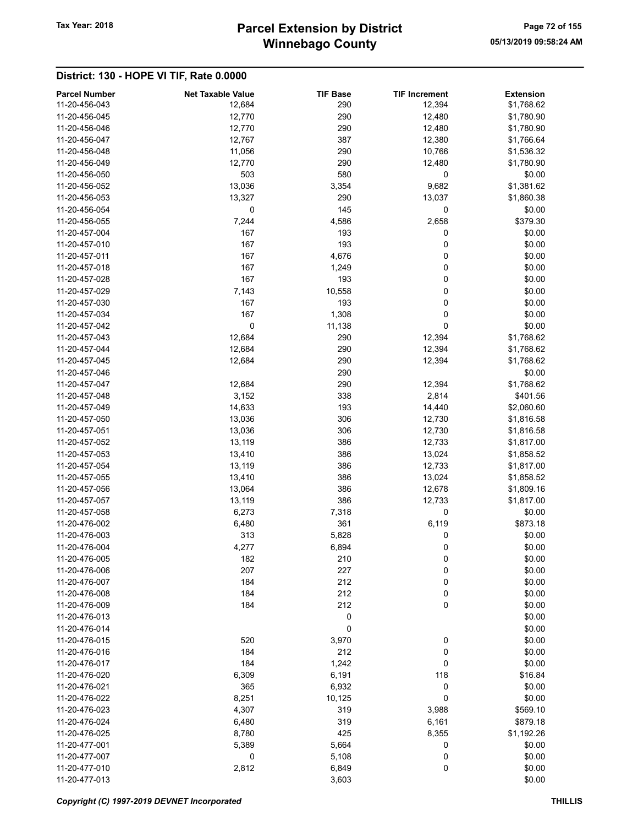# Winnebago County Tax Year: 2018 **Parcel Extension by District** Page 72 of 155

| <b>Parcel Number</b> | <b>Net Taxable Value</b> | <b>TIF Base</b> | <b>TIF Increment</b> | <b>Extension</b> |
|----------------------|--------------------------|-----------------|----------------------|------------------|
| 11-20-456-043        | 12,684                   | 290             | 12,394               | \$1,768.62       |
| 11-20-456-045        | 12,770                   | 290             | 12,480               | \$1,780.90       |
| 11-20-456-046        | 12,770                   | 290             | 12,480               | \$1,780.90       |
| 11-20-456-047        | 12,767                   | 387             | 12,380               | \$1,766.64       |
| 11-20-456-048        | 11,056                   | 290             | 10,766               | \$1,536.32       |
| 11-20-456-049        | 12,770                   | 290             | 12,480               | \$1,780.90       |
| 11-20-456-050        | 503                      | 580             | $\mathbf 0$          | \$0.00           |
| 11-20-456-052        | 13,036                   | 3,354           | 9,682                | \$1,381.62       |
| 11-20-456-053        | 13,327                   | 290             | 13,037               | \$1,860.38       |
| 11-20-456-054        | 0                        | 145             | $\mathbf 0$          | \$0.00           |
| 11-20-456-055        | 7,244                    | 4,586           | 2,658                | \$379.30         |
| 11-20-457-004        | 167                      | 193             | 0                    | \$0.00           |
| 11-20-457-010        | 167                      | 193             | 0                    | \$0.00           |
| 11-20-457-011        | 167                      | 4,676           | 0                    | \$0.00           |
| 11-20-457-018        | 167                      | 1,249           | 0                    | \$0.00           |
| 11-20-457-028        | 167                      | 193             | 0                    | \$0.00           |
| 11-20-457-029        | 7,143                    | 10,558          | 0                    | \$0.00           |
| 11-20-457-030        | 167                      | 193             | 0                    | \$0.00           |
| 11-20-457-034        | 167                      | 1,308           | 0                    | \$0.00           |
| 11-20-457-042        | 0                        | 11,138          | 0                    | \$0.00           |
| 11-20-457-043        | 12,684                   | 290             | 12,394               | \$1,768.62       |
| 11-20-457-044        | 12,684                   | 290             | 12,394               | \$1,768.62       |
| 11-20-457-045        | 12,684                   | 290             | 12,394               | \$1,768.62       |
| 11-20-457-046        |                          | 290             |                      | \$0.00           |
| 11-20-457-047        | 12,684                   | 290             | 12,394               | \$1,768.62       |
| 11-20-457-048        | 3,152                    | 338             | 2,814                | \$401.56         |
| 11-20-457-049        | 14,633                   | 193             | 14,440               | \$2,060.60       |
| 11-20-457-050        | 13,036                   | 306             | 12,730               | \$1,816.58       |
| 11-20-457-051        | 13,036                   | 306             | 12,730               | \$1,816.58       |
| 11-20-457-052        | 13,119                   | 386             | 12,733               | \$1,817.00       |
| 11-20-457-053        | 13,410                   | 386             | 13,024               | \$1,858.52       |
| 11-20-457-054        | 13,119                   | 386             | 12,733               | \$1,817.00       |
| 11-20-457-055        |                          | 386             |                      |                  |
|                      | 13,410                   |                 | 13,024               | \$1,858.52       |
| 11-20-457-056        | 13,064                   | 386             | 12,678               | \$1,809.16       |
| 11-20-457-057        | 13,119                   | 386             | 12,733               | \$1,817.00       |
| 11-20-457-058        | 6,273                    | 7,318           | 0                    | \$0.00           |
| 11-20-476-002        | 6,480                    | 361             | 6,119                | \$873.18         |
| 11-20-476-003        | 313                      | 5,828           | 0                    | \$0.00           |
| 11-20-476-004        | 4,277                    | 6,894           | 0                    | \$0.00           |
| 11-20-476-005        | 182                      | 210             | 0                    | \$0.00           |
| 11-20-476-006        | 207                      | 227             | 0                    | \$0.00           |
| 11-20-476-007        | 184                      | 212             | 0                    | \$0.00           |
| 11-20-476-008        | 184                      | 212             | 0                    | \$0.00           |
| 11-20-476-009        | 184                      | 212             | 0                    | \$0.00           |
| 11-20-476-013        |                          | 0               |                      | \$0.00           |
| 11-20-476-014        |                          | 0               |                      | \$0.00           |
| 11-20-476-015        | 520                      | 3,970           | 0                    | \$0.00           |
| 11-20-476-016        | 184                      | 212             | 0                    | \$0.00           |
| 11-20-476-017        | 184                      | 1,242           | 0                    | \$0.00           |
| 11-20-476-020        | 6,309                    | 6,191           | 118                  | \$16.84          |
| 11-20-476-021        | 365                      | 6,932           | 0                    | \$0.00           |
| 11-20-476-022        | 8,251                    | 10,125          | 0                    | \$0.00           |
| 11-20-476-023        | 4,307                    | 319             | 3,988                | \$569.10         |
| 11-20-476-024        | 6,480                    | 319             | 6,161                | \$879.18         |
| 11-20-476-025        | 8,780                    | 425             | 8,355                | \$1,192.26       |
| 11-20-477-001        | 5,389                    | 5,664           | 0                    | \$0.00           |
| 11-20-477-007        | 0                        | 5,108           | 0                    | \$0.00           |
| 11-20-477-010        | 2,812                    | 6,849           | 0                    | \$0.00           |
| 11-20-477-013        |                          | 3,603           |                      | \$0.00           |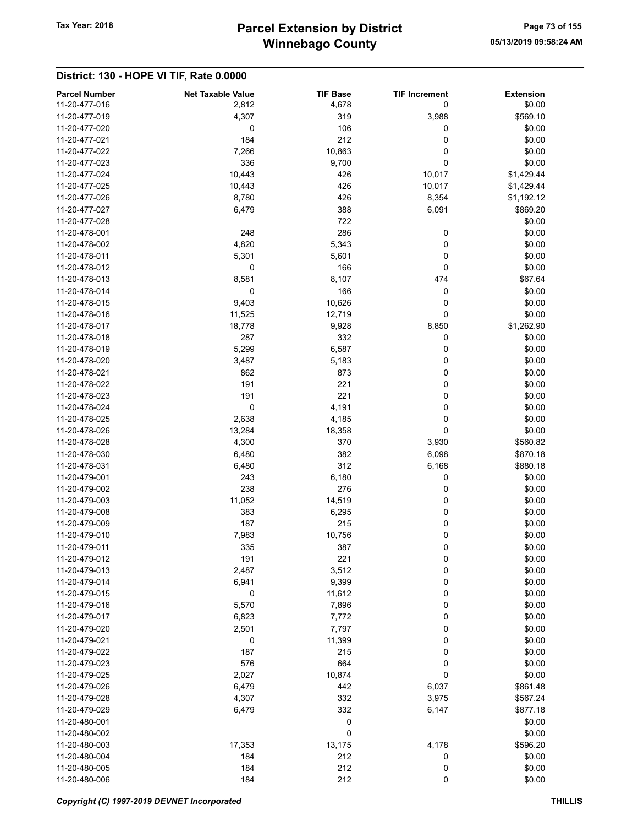## Winnebago County Tax Year: 2018 **Parcel Extension by District** Page 73 of 155

#### District: 130 - HOPE VI TIF, Rate 0.0000

| <b>Parcel Number</b><br>11-20-477-016 | <b>Net Taxable Value</b><br>2,812 | <b>TIF Base</b><br>4,678 | <b>TIF Increment</b><br>0 | <b>Extension</b><br>\$0.00 |
|---------------------------------------|-----------------------------------|--------------------------|---------------------------|----------------------------|
| 11-20-477-019                         | 4,307                             | 319                      | 3,988                     | \$569.10                   |
| 11-20-477-020                         | 0                                 | 106                      | 0                         | \$0.00                     |
| 11-20-477-021                         | 184                               | 212                      | 0                         | \$0.00                     |
| 11-20-477-022                         | 7,266                             | 10,863                   | 0                         | \$0.00                     |
| 11-20-477-023                         | 336                               | 9,700                    | 0                         | \$0.00                     |
| 11-20-477-024                         | 10,443                            | 426                      | 10,017                    | \$1,429.44                 |
| 11-20-477-025                         | 10,443                            | 426                      | 10,017                    | \$1,429.44                 |
| 11-20-477-026                         | 8,780                             | 426                      | 8,354                     | \$1,192.12                 |
| 11-20-477-027                         | 6,479                             | 388                      | 6,091                     | \$869.20                   |
| 11-20-477-028                         |                                   | 722                      |                           | \$0.00                     |
| 11-20-478-001                         | 248                               | 286                      | 0                         | \$0.00                     |
| 11-20-478-002                         | 4,820                             | 5,343                    | 0                         | \$0.00                     |
| 11-20-478-011                         | 5,301                             | 5,601                    | 0                         | \$0.00                     |
| 11-20-478-012                         | $\mathbf 0$                       | 166                      | 0                         | \$0.00                     |
| 11-20-478-013                         | 8,581                             | 8,107                    | 474                       | \$67.64                    |
| 11-20-478-014                         | 0                                 | 166                      | 0                         | \$0.00                     |
| 11-20-478-015                         | 9,403                             | 10,626                   | 0                         | \$0.00                     |
| 11-20-478-016                         | 11,525                            | 12,719                   | 0                         | \$0.00                     |
| 11-20-478-017                         | 18,778                            | 9,928                    | 8,850                     | \$1,262.90                 |
| 11-20-478-018                         | 287                               | 332                      | 0                         | \$0.00                     |
| 11-20-478-019                         | 5,299                             | 6,587                    | 0                         | \$0.00                     |
|                                       |                                   |                          |                           |                            |
| 11-20-478-020                         | 3,487                             | 5,183                    | 0                         | \$0.00                     |
| 11-20-478-021                         | 862                               | 873                      | 0                         | \$0.00                     |
| 11-20-478-022                         | 191                               | 221                      | 0                         | \$0.00                     |
| 11-20-478-023                         | 191                               | 221                      | 0                         | \$0.00                     |
| 11-20-478-024                         | $\mathbf 0$                       | 4,191                    | 0                         | \$0.00                     |
| 11-20-478-025                         | 2,638                             | 4,185                    | 0                         | \$0.00                     |
| 11-20-478-026                         | 13,284                            | 18,358                   | 0                         | \$0.00                     |
| 11-20-478-028                         | 4,300                             | 370                      | 3,930                     | \$560.82                   |
| 11-20-478-030                         | 6,480                             | 382                      | 6,098                     | \$870.18                   |
| 11-20-478-031                         | 6,480                             | 312                      | 6,168                     | \$880.18                   |
| 11-20-479-001                         | 243                               | 6,180                    | 0                         | \$0.00                     |
| 11-20-479-002                         | 238                               | 276                      | 0                         | \$0.00                     |
| 11-20-479-003                         | 11,052                            | 14,519                   | 0                         | \$0.00                     |
| 11-20-479-008                         | 383                               | 6,295                    | 0                         | \$0.00                     |
| 11-20-479-009                         | 187                               | 215                      | 0                         | \$0.00                     |
| 11-20-479-010                         | 7,983                             | 10,756                   | 0                         | \$0.00                     |
| 11-20-479-011                         | 335                               | 387                      | 0                         | \$0.00                     |
| 11-20-479-012                         | 191                               | 221                      | 0                         | \$0.00                     |
| 11-20-479-013                         | 2,487                             | 3,512                    | 0                         | \$0.00                     |
| 11-20-479-014                         | 6,941                             | 9,399                    | 0                         | \$0.00                     |
| 11-20-479-015                         | 0                                 | 11,612                   | 0                         | \$0.00                     |
| 11-20-479-016                         | 5,570                             | 7,896                    | 0                         | \$0.00                     |
| 11-20-479-017                         | 6,823                             | 7,772                    | 0                         | \$0.00                     |
| 11-20-479-020                         | 2,501                             | 7,797                    | 0                         | \$0.00                     |
| 11-20-479-021                         | 0                                 | 11,399                   | 0                         | \$0.00                     |
| 11-20-479-022                         | 187                               | 215                      | 0                         | \$0.00                     |
| 11-20-479-023                         | 576                               | 664                      | 0                         | \$0.00                     |
| 11-20-479-025                         | 2,027                             | 10,874                   | 0                         | \$0.00                     |
| 11-20-479-026                         | 6,479                             | 442                      | 6,037                     | \$861.48                   |
| 11-20-479-028                         | 4,307                             | 332                      | 3,975                     | \$567.24                   |
| 11-20-479-029                         | 6,479                             | 332                      | 6,147                     | \$877.18                   |
| 11-20-480-001                         |                                   | 0                        |                           | \$0.00                     |
| 11-20-480-002                         |                                   | 0                        |                           | \$0.00                     |
| 11-20-480-003                         | 17,353                            | 13,175                   | 4,178                     | \$596.20                   |
| 11-20-480-004                         | 184                               | 212                      | 0                         | \$0.00                     |
| 11-20-480-005                         | 184                               | 212                      | 0                         | \$0.00                     |
| 11-20-480-006                         | 184                               | 212                      | 0                         | \$0.00                     |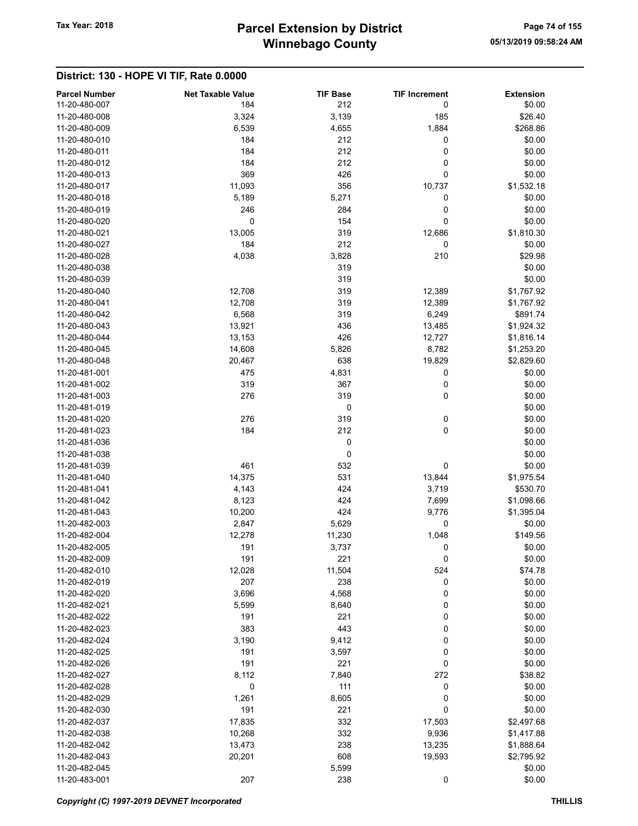#### District: 130 - HOPE VI TIF, Rate 0.0000

| <b>Parcel Number</b> | <b>Net Taxable Value</b> | <b>TIF Base</b> | <b>TIF Increment</b> | <b>Extension</b> |
|----------------------|--------------------------|-----------------|----------------------|------------------|
| 11-20-480-007        | 184                      | 212             | 0                    | \$0.00           |
| 11-20-480-008        | 3,324                    | 3,139           | 185                  | \$26.40          |
| 11-20-480-009        | 6,539                    | 4,655           | 1,884                | \$268.86         |
| 11-20-480-010        | 184                      | 212             | 0                    | \$0.00           |
| 11-20-480-011        | 184                      | 212             | 0                    | \$0.00           |
| 11-20-480-012        | 184                      | 212             | 0                    | \$0.00           |
| 11-20-480-013        | 369                      | 426             | 0                    | \$0.00           |
| 11-20-480-017        | 11,093                   | 356             | 10,737               | \$1,532.18       |
| 11-20-480-018        | 5,189                    | 5,271           | 0                    | \$0.00           |
| 11-20-480-019        | 246                      | 284             | 0                    | \$0.00           |
| 11-20-480-020        | $\mathbf 0$              | 154             | 0                    | \$0.00           |
| 11-20-480-021        | 13,005                   | 319             | 12,686               | \$1,810.30       |
| 11-20-480-027        | 184                      | 212             | $\pmb{0}$            | \$0.00           |
| 11-20-480-028        | 4,038                    | 3,828           | 210                  | \$29.98          |
| 11-20-480-038        |                          | 319             |                      | \$0.00           |
| 11-20-480-039        |                          | 319             |                      | \$0.00           |
| 11-20-480-040        | 12,708                   | 319             | 12,389               | \$1,767.92       |
| 11-20-480-041        | 12,708                   | 319             | 12,389               | \$1,767.92       |
| 11-20-480-042        | 6,568                    | 319             | 6,249                | \$891.74         |
| 11-20-480-043        | 13,921                   | 436             | 13,485               | \$1,924.32       |
| 11-20-480-044        | 13,153                   | 426             | 12,727               | \$1,816.14       |
| 11-20-480-045        | 14,608                   | 5,826           | 8,782                | \$1,253.20       |
| 11-20-480-048        | 20,467                   | 638             | 19,829               | \$2,829.60       |
| 11-20-481-001        | 475                      | 4,831           | 0                    | \$0.00           |
| 11-20-481-002        | 319                      | 367             | 0                    | \$0.00           |
| 11-20-481-003        | 276                      | 319             | 0                    | \$0.00           |
| 11-20-481-019        |                          | 0               |                      | \$0.00           |
| 11-20-481-020        | 276                      | 319             | 0                    | \$0.00           |
| 11-20-481-023        | 184                      | 212             | 0                    | \$0.00           |
| 11-20-481-036        |                          | 0               |                      | \$0.00           |
| 11-20-481-038        |                          | 0               |                      | \$0.00           |
| 11-20-481-039        | 461                      | 532             | 0                    | \$0.00           |
| 11-20-481-040        | 14,375                   | 531             | 13,844               | \$1,975.54       |
| 11-20-481-041        | 4,143                    | 424             | 3,719                | \$530.70         |
| 11-20-481-042        | 8,123                    | 424             | 7,699                | \$1,098.66       |
| 11-20-481-043        | 10,200                   | 424             | 9,776                | \$1,395.04       |
| 11-20-482-003        | 2,847                    | 5,629           | 0                    | \$0.00           |
| 11-20-482-004        | 12,278                   | 11,230          | 1,048                | \$149.56         |
| 11-20-482-005        | 191                      | 3,737           | 0                    | \$0.00           |
| 11-20-482-009        | 191                      | 221             | 0                    | \$0.00           |
| 11-20-482-010        | 12,028                   | 11,504          | 524                  | \$74.78          |
| 11-20-482-019        | 207                      | 238             | $\pmb{0}$            | \$0.00           |
| 11-20-482-020        | 3,696                    | 4,568           | 0                    | \$0.00           |
| 11-20-482-021        | 5,599                    | 8,640           | 0                    | \$0.00           |
| 11-20-482-022        | 191                      | 221             | 0                    | \$0.00           |
| 11-20-482-023        | 383                      | 443             | 0                    | \$0.00           |
| 11-20-482-024        | 3,190                    | 9,412           | 0                    | \$0.00           |
| 11-20-482-025        | 191                      | 3,597           | 0                    | \$0.00           |
| 11-20-482-026        | 191                      | 221             | 0                    | \$0.00           |
| 11-20-482-027        | 8,112                    | 7,840           | 272                  | \$38.82          |
| 11-20-482-028        | $\mathbf 0$              | 111             | 0                    | \$0.00           |
| 11-20-482-029        | 1,261                    | 8,605           | 0                    | \$0.00           |
| 11-20-482-030        | 191                      | 221             | 0                    | \$0.00           |
| 11-20-482-037        | 17,835                   | 332             | 17,503               | \$2,497.68       |
| 11-20-482-038        | 10,268                   | 332             | 9,936                | \$1,417.88       |
| 11-20-482-042        | 13,473                   | 238             | 13,235               | \$1,888.64       |
| 11-20-482-043        | 20,201                   | 608             | 19,593               | \$2,795.92       |
| 11-20-482-045        |                          | 5,599           |                      | \$0.00           |
| 11-20-483-001        | 207                      | 238             | 0                    | \$0.00           |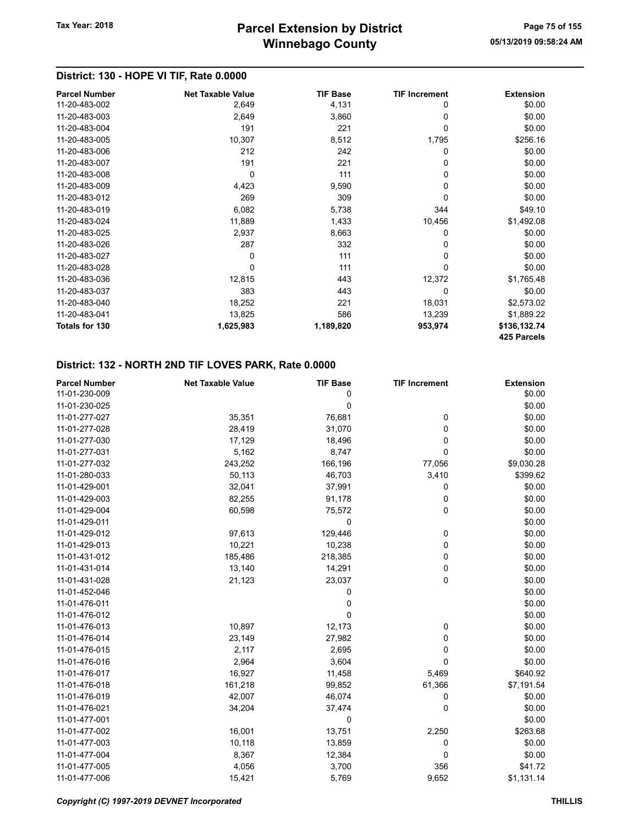### District: 130 - HOPE VI TIF, Rate 0.0000

| <b>Parcel Number</b>  | <b>Net Taxable Value</b> | <b>TIF Base</b> | <b>TIF Increment</b> | <b>Extension</b> |
|-----------------------|--------------------------|-----------------|----------------------|------------------|
| 11-20-483-002         | 2,649                    | 4,131           | 0                    | \$0.00           |
| 11-20-483-003         | 2,649                    | 3,860           | 0                    | \$0.00           |
| 11-20-483-004         | 191                      | 221             | 0                    | \$0.00           |
| 11-20-483-005         | 10,307                   | 8,512           | 1,795                | \$256.16         |
| 11-20-483-006         | 212                      | 242             | 0                    | \$0.00           |
| 11-20-483-007         | 191                      | 221             | $\Omega$             | \$0.00           |
| 11-20-483-008         | $\Omega$                 | 111             | 0                    | \$0.00           |
| 11-20-483-009         | 4,423                    | 9,590           | 0                    | \$0.00           |
| 11-20-483-012         | 269                      | 309             | $\Omega$             | \$0.00           |
| 11-20-483-019         | 6,082                    | 5,738           | 344                  | \$49.10          |
| 11-20-483-024         | 11,889                   | 1,433           | 10,456               | \$1,492.08       |
| 11-20-483-025         | 2,937                    | 8,663           | 0                    | \$0.00           |
| 11-20-483-026         | 287                      | 332             | 0                    | \$0.00           |
| 11-20-483-027         | 0                        | 111             | 0                    | \$0.00           |
| 11-20-483-028         | $\Omega$                 | 111             | $\Omega$             | \$0.00           |
| 11-20-483-036         | 12,815                   | 443             | 12,372               | \$1,765.48       |
| 11-20-483-037         | 383                      | 443             | $\Omega$             | \$0.00           |
| 11-20-483-040         | 18,252                   | 221             | 18,031               | \$2,573.02       |
| 11-20-483-041         | 13,825                   | 586             | 13,239               | \$1,889.22       |
| <b>Totals for 130</b> | 1,625,983                | 1,189,820       | 953,974              | \$136,132.74     |
|                       |                          |                 |                      | 425 Parcels      |

| <b>Parcel Number</b> | <b>Net Taxable Value</b> | <b>TIF Base</b> | <b>TIF Increment</b> | <b>Extension</b> |
|----------------------|--------------------------|-----------------|----------------------|------------------|
| 11-01-230-009        |                          | 0               |                      | \$0.00           |
| 11-01-230-025        |                          | 0               |                      | \$0.00           |
| 11-01-277-027        | 35,351                   | 76,681          | 0                    | \$0.00           |
| 11-01-277-028        | 28,419                   | 31,070          | 0                    | \$0.00           |
| 11-01-277-030        | 17,129                   | 18,496          | 0                    | \$0.00           |
| 11-01-277-031        | 5,162                    | 8,747           | 0                    | \$0.00           |
| 11-01-277-032        | 243,252                  | 166,196         | 77,056               | \$9,030.28       |
| 11-01-280-033        | 50,113                   | 46,703          | 3,410                | \$399.62         |
| 11-01-429-001        | 32,041                   | 37,991          | 0                    | \$0.00           |
| 11-01-429-003        | 82,255                   | 91,178          | 0                    | \$0.00           |
| 11-01-429-004        | 60,598                   | 75,572          | 0                    | \$0.00           |
| 11-01-429-011        |                          | 0               |                      | \$0.00           |
| 11-01-429-012        | 97,613                   | 129,446         | 0                    | \$0.00           |
| 11-01-429-013        | 10,221                   | 10,238          | 0                    | \$0.00           |
| 11-01-431-012        | 185,486                  | 218,385         | 0                    | \$0.00           |
| 11-01-431-014        | 13,140                   | 14,291          | 0                    | \$0.00           |
| 11-01-431-028        | 21,123                   | 23,037          | 0                    | \$0.00           |
| 11-01-452-046        |                          | 0               |                      | \$0.00           |
| 11-01-476-011        |                          | 0               |                      | \$0.00           |
| 11-01-476-012        |                          | 0               |                      | \$0.00           |
| 11-01-476-013        | 10,897                   | 12,173          | 0                    | \$0.00           |
| 11-01-476-014        | 23,149                   | 27,982          | 0                    | \$0.00           |
| 11-01-476-015        | 2,117                    | 2,695           | 0                    | \$0.00           |
| 11-01-476-016        | 2,964                    | 3,604           | 0                    | \$0.00           |
| 11-01-476-017        | 16,927                   | 11,458          | 5,469                | \$640.92         |
| 11-01-476-018        | 161,218                  | 99,852          | 61,366               | \$7,191.54       |
| 11-01-476-019        | 42,007                   | 46,074          | 0                    | \$0.00           |
| 11-01-476-021        | 34,204                   | 37,474          | 0                    | \$0.00           |
| 11-01-477-001        |                          | 0               |                      | \$0.00           |
| 11-01-477-002        | 16,001                   | 13,751          | 2,250                | \$263.68         |
| 11-01-477-003        | 10,118                   | 13,859          | 0                    | \$0.00           |
| 11-01-477-004        | 8,367                    | 12,384          | 0                    | \$0.00           |
| 11-01-477-005        | 4,056                    | 3,700           | 356                  | \$41.72          |
| 11-01-477-006        | 15,421                   | 5,769           | 9,652                | \$1,131.14       |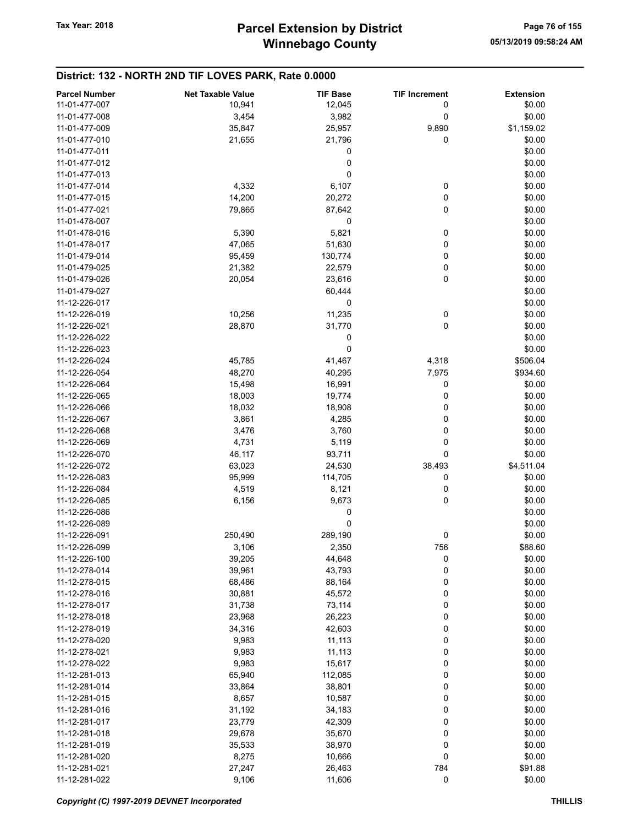| 11-01-477-007<br>10,941<br>12,045<br>\$0.00<br>0<br>\$0.00<br>11-01-477-008<br>3,454<br>3,982<br>0<br>\$1,159.02<br>11-01-477-009<br>35,847<br>25,957<br>9,890<br>21,796<br>\$0.00<br>11-01-477-010<br>21,655<br>0<br>0<br>\$0.00<br>11-01-477-011<br>0<br>\$0.00<br>11-01-477-012<br>0<br>\$0.00<br>11-01-477-013<br>4,332<br>6,107<br>0<br>\$0.00<br>11-01-477-014<br>0<br>\$0.00<br>14,200<br>20,272<br>11-01-477-015<br>0<br>\$0.00<br>11-01-477-021<br>79,865<br>87,642<br>0<br>11-01-478-007<br>\$0.00<br>5,821<br>5,390<br>0<br>\$0.00<br>11-01-478-016<br>0<br>\$0.00<br>47,065<br>51,630<br>11-01-478-017<br>\$0.00<br>11-01-479-014<br>95,459<br>130,774<br>0<br>21,382<br>22,579<br>0<br>\$0.00<br>11-01-479-025<br>0<br>\$0.00<br>11-01-479-026<br>20,054<br>23,616<br>\$0.00<br>11-01-479-027<br>60,444<br>0<br>\$0.00<br>11-12-226-017<br>11,235<br>\$0.00<br>11-12-226-019<br>10,256<br>0<br>0<br>\$0.00<br>11-12-226-021<br>28,870<br>31,770<br>\$0.00<br>11-12-226-022<br>0<br>\$0.00<br>11-12-226-023<br>0<br>11-12-226-024<br>45,785<br>41,467<br>4,318<br>\$506.04<br>11-12-226-054<br>48,270<br>40,295<br>7,975<br>\$934.60<br>11-12-226-064<br>15,498<br>16,991<br>0<br>\$0.00<br>0<br>11-12-226-065<br>18,003<br>19,774<br>\$0.00<br>\$0.00<br>18,032<br>18,908<br>0<br>11-12-226-066<br>\$0.00<br>3,861<br>0<br>11-12-226-067<br>4,285<br>\$0.00<br>11-12-226-068<br>3,760<br>0<br>3,476<br>\$0.00<br>11-12-226-069<br>5,119<br>0<br>4,731<br>0<br>\$0.00<br>11-12-226-070<br>46,117<br>93,711<br>\$4,511.04<br>11-12-226-072<br>63,023<br>24,530<br>38,493<br>\$0.00<br>11-12-226-083<br>95,999<br>114,705<br>0<br>\$0.00<br>11-12-226-084<br>4,519<br>8,121<br>0<br>0<br>\$0.00<br>11-12-226-085<br>6,156<br>9,673<br>\$0.00<br>11-12-226-086<br>0<br>0<br>\$0.00<br>11-12-226-089<br>250,490<br>289,190<br>\$0.00<br>11-12-226-091<br>0<br>756<br>\$88.60<br>11-12-226-099<br>3,106<br>2,350<br>11-12-226-100<br>44,648<br>0<br>\$0.00<br>39,205<br>0<br>\$0.00<br>11-12-278-014<br>39,961<br>43,793<br>0<br>\$0.00<br>68,486<br>88,164<br>11-12-278-015<br>\$0.00<br>30,881<br>45,572<br>0<br>11-12-278-016<br>11-12-278-017<br>31,738<br>73,114<br>0<br>\$0.00<br>23,968<br>26,223<br>0<br>\$0.00<br>11-12-278-018<br>11-12-278-019<br>34,316<br>42,603<br>0<br>\$0.00<br>11-12-278-020<br>9,983<br>11,113<br>0<br>\$0.00<br>0<br>9,983<br>\$0.00<br>11-12-278-021<br>11,113<br>9,983<br>15,617<br>0<br>\$0.00<br>11-12-278-022<br>65,940<br>\$0.00<br>11-12-281-013<br>112,085<br>0<br>11-12-281-014<br>33,864<br>0<br>\$0.00<br>38,801<br>\$0.00<br>8,657<br>10,587<br>0<br>11-12-281-015<br>0<br>31,192<br>34,183<br>\$0.00<br>11-12-281-016<br>11-12-281-017<br>23,779<br>42,309<br>0<br>\$0.00<br>0<br>29,678<br>35,670<br>\$0.00<br>11-12-281-018<br>11-12-281-019<br>38,970<br>0<br>\$0.00<br>35,533<br>8,275<br>0<br>\$0.00<br>11-12-281-020<br>10,666<br>11-12-281-021<br>27,247<br>784<br>\$91.88<br>26,463 |                      |                          |                 | <b>TIF Increment</b> |                  |
|----------------------------------------------------------------------------------------------------------------------------------------------------------------------------------------------------------------------------------------------------------------------------------------------------------------------------------------------------------------------------------------------------------------------------------------------------------------------------------------------------------------------------------------------------------------------------------------------------------------------------------------------------------------------------------------------------------------------------------------------------------------------------------------------------------------------------------------------------------------------------------------------------------------------------------------------------------------------------------------------------------------------------------------------------------------------------------------------------------------------------------------------------------------------------------------------------------------------------------------------------------------------------------------------------------------------------------------------------------------------------------------------------------------------------------------------------------------------------------------------------------------------------------------------------------------------------------------------------------------------------------------------------------------------------------------------------------------------------------------------------------------------------------------------------------------------------------------------------------------------------------------------------------------------------------------------------------------------------------------------------------------------------------------------------------------------------------------------------------------------------------------------------------------------------------------------------------------------------------------------------------------------------------------------------------------------------------------------------------------------------------------------------------------------------------------------------------------------------------------------------------------------------------------------------------------------------------------------------------------------------------------------------------------------------------------------------------------------------------------------------------------------------------------------------------------------------------------------------------------------------------------------------------------------------------------------------|----------------------|--------------------------|-----------------|----------------------|------------------|
|                                                                                                                                                                                                                                                                                                                                                                                                                                                                                                                                                                                                                                                                                                                                                                                                                                                                                                                                                                                                                                                                                                                                                                                                                                                                                                                                                                                                                                                                                                                                                                                                                                                                                                                                                                                                                                                                                                                                                                                                                                                                                                                                                                                                                                                                                                                                                                                                                                                                                                                                                                                                                                                                                                                                                                                                                                                                                                                                                    | <b>Parcel Number</b> | <b>Net Taxable Value</b> | <b>TIF Base</b> |                      | <b>Extension</b> |
|                                                                                                                                                                                                                                                                                                                                                                                                                                                                                                                                                                                                                                                                                                                                                                                                                                                                                                                                                                                                                                                                                                                                                                                                                                                                                                                                                                                                                                                                                                                                                                                                                                                                                                                                                                                                                                                                                                                                                                                                                                                                                                                                                                                                                                                                                                                                                                                                                                                                                                                                                                                                                                                                                                                                                                                                                                                                                                                                                    |                      |                          |                 |                      |                  |
|                                                                                                                                                                                                                                                                                                                                                                                                                                                                                                                                                                                                                                                                                                                                                                                                                                                                                                                                                                                                                                                                                                                                                                                                                                                                                                                                                                                                                                                                                                                                                                                                                                                                                                                                                                                                                                                                                                                                                                                                                                                                                                                                                                                                                                                                                                                                                                                                                                                                                                                                                                                                                                                                                                                                                                                                                                                                                                                                                    |                      |                          |                 |                      |                  |
|                                                                                                                                                                                                                                                                                                                                                                                                                                                                                                                                                                                                                                                                                                                                                                                                                                                                                                                                                                                                                                                                                                                                                                                                                                                                                                                                                                                                                                                                                                                                                                                                                                                                                                                                                                                                                                                                                                                                                                                                                                                                                                                                                                                                                                                                                                                                                                                                                                                                                                                                                                                                                                                                                                                                                                                                                                                                                                                                                    |                      |                          |                 |                      |                  |
|                                                                                                                                                                                                                                                                                                                                                                                                                                                                                                                                                                                                                                                                                                                                                                                                                                                                                                                                                                                                                                                                                                                                                                                                                                                                                                                                                                                                                                                                                                                                                                                                                                                                                                                                                                                                                                                                                                                                                                                                                                                                                                                                                                                                                                                                                                                                                                                                                                                                                                                                                                                                                                                                                                                                                                                                                                                                                                                                                    |                      |                          |                 |                      |                  |
|                                                                                                                                                                                                                                                                                                                                                                                                                                                                                                                                                                                                                                                                                                                                                                                                                                                                                                                                                                                                                                                                                                                                                                                                                                                                                                                                                                                                                                                                                                                                                                                                                                                                                                                                                                                                                                                                                                                                                                                                                                                                                                                                                                                                                                                                                                                                                                                                                                                                                                                                                                                                                                                                                                                                                                                                                                                                                                                                                    |                      |                          |                 |                      |                  |
|                                                                                                                                                                                                                                                                                                                                                                                                                                                                                                                                                                                                                                                                                                                                                                                                                                                                                                                                                                                                                                                                                                                                                                                                                                                                                                                                                                                                                                                                                                                                                                                                                                                                                                                                                                                                                                                                                                                                                                                                                                                                                                                                                                                                                                                                                                                                                                                                                                                                                                                                                                                                                                                                                                                                                                                                                                                                                                                                                    |                      |                          |                 |                      |                  |
|                                                                                                                                                                                                                                                                                                                                                                                                                                                                                                                                                                                                                                                                                                                                                                                                                                                                                                                                                                                                                                                                                                                                                                                                                                                                                                                                                                                                                                                                                                                                                                                                                                                                                                                                                                                                                                                                                                                                                                                                                                                                                                                                                                                                                                                                                                                                                                                                                                                                                                                                                                                                                                                                                                                                                                                                                                                                                                                                                    |                      |                          |                 |                      |                  |
|                                                                                                                                                                                                                                                                                                                                                                                                                                                                                                                                                                                                                                                                                                                                                                                                                                                                                                                                                                                                                                                                                                                                                                                                                                                                                                                                                                                                                                                                                                                                                                                                                                                                                                                                                                                                                                                                                                                                                                                                                                                                                                                                                                                                                                                                                                                                                                                                                                                                                                                                                                                                                                                                                                                                                                                                                                                                                                                                                    |                      |                          |                 |                      |                  |
|                                                                                                                                                                                                                                                                                                                                                                                                                                                                                                                                                                                                                                                                                                                                                                                                                                                                                                                                                                                                                                                                                                                                                                                                                                                                                                                                                                                                                                                                                                                                                                                                                                                                                                                                                                                                                                                                                                                                                                                                                                                                                                                                                                                                                                                                                                                                                                                                                                                                                                                                                                                                                                                                                                                                                                                                                                                                                                                                                    |                      |                          |                 |                      |                  |
|                                                                                                                                                                                                                                                                                                                                                                                                                                                                                                                                                                                                                                                                                                                                                                                                                                                                                                                                                                                                                                                                                                                                                                                                                                                                                                                                                                                                                                                                                                                                                                                                                                                                                                                                                                                                                                                                                                                                                                                                                                                                                                                                                                                                                                                                                                                                                                                                                                                                                                                                                                                                                                                                                                                                                                                                                                                                                                                                                    |                      |                          |                 |                      |                  |
|                                                                                                                                                                                                                                                                                                                                                                                                                                                                                                                                                                                                                                                                                                                                                                                                                                                                                                                                                                                                                                                                                                                                                                                                                                                                                                                                                                                                                                                                                                                                                                                                                                                                                                                                                                                                                                                                                                                                                                                                                                                                                                                                                                                                                                                                                                                                                                                                                                                                                                                                                                                                                                                                                                                                                                                                                                                                                                                                                    |                      |                          |                 |                      |                  |
|                                                                                                                                                                                                                                                                                                                                                                                                                                                                                                                                                                                                                                                                                                                                                                                                                                                                                                                                                                                                                                                                                                                                                                                                                                                                                                                                                                                                                                                                                                                                                                                                                                                                                                                                                                                                                                                                                                                                                                                                                                                                                                                                                                                                                                                                                                                                                                                                                                                                                                                                                                                                                                                                                                                                                                                                                                                                                                                                                    |                      |                          |                 |                      |                  |
|                                                                                                                                                                                                                                                                                                                                                                                                                                                                                                                                                                                                                                                                                                                                                                                                                                                                                                                                                                                                                                                                                                                                                                                                                                                                                                                                                                                                                                                                                                                                                                                                                                                                                                                                                                                                                                                                                                                                                                                                                                                                                                                                                                                                                                                                                                                                                                                                                                                                                                                                                                                                                                                                                                                                                                                                                                                                                                                                                    |                      |                          |                 |                      |                  |
|                                                                                                                                                                                                                                                                                                                                                                                                                                                                                                                                                                                                                                                                                                                                                                                                                                                                                                                                                                                                                                                                                                                                                                                                                                                                                                                                                                                                                                                                                                                                                                                                                                                                                                                                                                                                                                                                                                                                                                                                                                                                                                                                                                                                                                                                                                                                                                                                                                                                                                                                                                                                                                                                                                                                                                                                                                                                                                                                                    |                      |                          |                 |                      |                  |
|                                                                                                                                                                                                                                                                                                                                                                                                                                                                                                                                                                                                                                                                                                                                                                                                                                                                                                                                                                                                                                                                                                                                                                                                                                                                                                                                                                                                                                                                                                                                                                                                                                                                                                                                                                                                                                                                                                                                                                                                                                                                                                                                                                                                                                                                                                                                                                                                                                                                                                                                                                                                                                                                                                                                                                                                                                                                                                                                                    |                      |                          |                 |                      |                  |
|                                                                                                                                                                                                                                                                                                                                                                                                                                                                                                                                                                                                                                                                                                                                                                                                                                                                                                                                                                                                                                                                                                                                                                                                                                                                                                                                                                                                                                                                                                                                                                                                                                                                                                                                                                                                                                                                                                                                                                                                                                                                                                                                                                                                                                                                                                                                                                                                                                                                                                                                                                                                                                                                                                                                                                                                                                                                                                                                                    |                      |                          |                 |                      |                  |
|                                                                                                                                                                                                                                                                                                                                                                                                                                                                                                                                                                                                                                                                                                                                                                                                                                                                                                                                                                                                                                                                                                                                                                                                                                                                                                                                                                                                                                                                                                                                                                                                                                                                                                                                                                                                                                                                                                                                                                                                                                                                                                                                                                                                                                                                                                                                                                                                                                                                                                                                                                                                                                                                                                                                                                                                                                                                                                                                                    |                      |                          |                 |                      |                  |
|                                                                                                                                                                                                                                                                                                                                                                                                                                                                                                                                                                                                                                                                                                                                                                                                                                                                                                                                                                                                                                                                                                                                                                                                                                                                                                                                                                                                                                                                                                                                                                                                                                                                                                                                                                                                                                                                                                                                                                                                                                                                                                                                                                                                                                                                                                                                                                                                                                                                                                                                                                                                                                                                                                                                                                                                                                                                                                                                                    |                      |                          |                 |                      |                  |
|                                                                                                                                                                                                                                                                                                                                                                                                                                                                                                                                                                                                                                                                                                                                                                                                                                                                                                                                                                                                                                                                                                                                                                                                                                                                                                                                                                                                                                                                                                                                                                                                                                                                                                                                                                                                                                                                                                                                                                                                                                                                                                                                                                                                                                                                                                                                                                                                                                                                                                                                                                                                                                                                                                                                                                                                                                                                                                                                                    |                      |                          |                 |                      |                  |
|                                                                                                                                                                                                                                                                                                                                                                                                                                                                                                                                                                                                                                                                                                                                                                                                                                                                                                                                                                                                                                                                                                                                                                                                                                                                                                                                                                                                                                                                                                                                                                                                                                                                                                                                                                                                                                                                                                                                                                                                                                                                                                                                                                                                                                                                                                                                                                                                                                                                                                                                                                                                                                                                                                                                                                                                                                                                                                                                                    |                      |                          |                 |                      |                  |
|                                                                                                                                                                                                                                                                                                                                                                                                                                                                                                                                                                                                                                                                                                                                                                                                                                                                                                                                                                                                                                                                                                                                                                                                                                                                                                                                                                                                                                                                                                                                                                                                                                                                                                                                                                                                                                                                                                                                                                                                                                                                                                                                                                                                                                                                                                                                                                                                                                                                                                                                                                                                                                                                                                                                                                                                                                                                                                                                                    |                      |                          |                 |                      |                  |
|                                                                                                                                                                                                                                                                                                                                                                                                                                                                                                                                                                                                                                                                                                                                                                                                                                                                                                                                                                                                                                                                                                                                                                                                                                                                                                                                                                                                                                                                                                                                                                                                                                                                                                                                                                                                                                                                                                                                                                                                                                                                                                                                                                                                                                                                                                                                                                                                                                                                                                                                                                                                                                                                                                                                                                                                                                                                                                                                                    |                      |                          |                 |                      |                  |
|                                                                                                                                                                                                                                                                                                                                                                                                                                                                                                                                                                                                                                                                                                                                                                                                                                                                                                                                                                                                                                                                                                                                                                                                                                                                                                                                                                                                                                                                                                                                                                                                                                                                                                                                                                                                                                                                                                                                                                                                                                                                                                                                                                                                                                                                                                                                                                                                                                                                                                                                                                                                                                                                                                                                                                                                                                                                                                                                                    |                      |                          |                 |                      |                  |
|                                                                                                                                                                                                                                                                                                                                                                                                                                                                                                                                                                                                                                                                                                                                                                                                                                                                                                                                                                                                                                                                                                                                                                                                                                                                                                                                                                                                                                                                                                                                                                                                                                                                                                                                                                                                                                                                                                                                                                                                                                                                                                                                                                                                                                                                                                                                                                                                                                                                                                                                                                                                                                                                                                                                                                                                                                                                                                                                                    |                      |                          |                 |                      |                  |
|                                                                                                                                                                                                                                                                                                                                                                                                                                                                                                                                                                                                                                                                                                                                                                                                                                                                                                                                                                                                                                                                                                                                                                                                                                                                                                                                                                                                                                                                                                                                                                                                                                                                                                                                                                                                                                                                                                                                                                                                                                                                                                                                                                                                                                                                                                                                                                                                                                                                                                                                                                                                                                                                                                                                                                                                                                                                                                                                                    |                      |                          |                 |                      |                  |
|                                                                                                                                                                                                                                                                                                                                                                                                                                                                                                                                                                                                                                                                                                                                                                                                                                                                                                                                                                                                                                                                                                                                                                                                                                                                                                                                                                                                                                                                                                                                                                                                                                                                                                                                                                                                                                                                                                                                                                                                                                                                                                                                                                                                                                                                                                                                                                                                                                                                                                                                                                                                                                                                                                                                                                                                                                                                                                                                                    |                      |                          |                 |                      |                  |
|                                                                                                                                                                                                                                                                                                                                                                                                                                                                                                                                                                                                                                                                                                                                                                                                                                                                                                                                                                                                                                                                                                                                                                                                                                                                                                                                                                                                                                                                                                                                                                                                                                                                                                                                                                                                                                                                                                                                                                                                                                                                                                                                                                                                                                                                                                                                                                                                                                                                                                                                                                                                                                                                                                                                                                                                                                                                                                                                                    |                      |                          |                 |                      |                  |
|                                                                                                                                                                                                                                                                                                                                                                                                                                                                                                                                                                                                                                                                                                                                                                                                                                                                                                                                                                                                                                                                                                                                                                                                                                                                                                                                                                                                                                                                                                                                                                                                                                                                                                                                                                                                                                                                                                                                                                                                                                                                                                                                                                                                                                                                                                                                                                                                                                                                                                                                                                                                                                                                                                                                                                                                                                                                                                                                                    |                      |                          |                 |                      |                  |
|                                                                                                                                                                                                                                                                                                                                                                                                                                                                                                                                                                                                                                                                                                                                                                                                                                                                                                                                                                                                                                                                                                                                                                                                                                                                                                                                                                                                                                                                                                                                                                                                                                                                                                                                                                                                                                                                                                                                                                                                                                                                                                                                                                                                                                                                                                                                                                                                                                                                                                                                                                                                                                                                                                                                                                                                                                                                                                                                                    |                      |                          |                 |                      |                  |
|                                                                                                                                                                                                                                                                                                                                                                                                                                                                                                                                                                                                                                                                                                                                                                                                                                                                                                                                                                                                                                                                                                                                                                                                                                                                                                                                                                                                                                                                                                                                                                                                                                                                                                                                                                                                                                                                                                                                                                                                                                                                                                                                                                                                                                                                                                                                                                                                                                                                                                                                                                                                                                                                                                                                                                                                                                                                                                                                                    |                      |                          |                 |                      |                  |
|                                                                                                                                                                                                                                                                                                                                                                                                                                                                                                                                                                                                                                                                                                                                                                                                                                                                                                                                                                                                                                                                                                                                                                                                                                                                                                                                                                                                                                                                                                                                                                                                                                                                                                                                                                                                                                                                                                                                                                                                                                                                                                                                                                                                                                                                                                                                                                                                                                                                                                                                                                                                                                                                                                                                                                                                                                                                                                                                                    |                      |                          |                 |                      |                  |
|                                                                                                                                                                                                                                                                                                                                                                                                                                                                                                                                                                                                                                                                                                                                                                                                                                                                                                                                                                                                                                                                                                                                                                                                                                                                                                                                                                                                                                                                                                                                                                                                                                                                                                                                                                                                                                                                                                                                                                                                                                                                                                                                                                                                                                                                                                                                                                                                                                                                                                                                                                                                                                                                                                                                                                                                                                                                                                                                                    |                      |                          |                 |                      |                  |
|                                                                                                                                                                                                                                                                                                                                                                                                                                                                                                                                                                                                                                                                                                                                                                                                                                                                                                                                                                                                                                                                                                                                                                                                                                                                                                                                                                                                                                                                                                                                                                                                                                                                                                                                                                                                                                                                                                                                                                                                                                                                                                                                                                                                                                                                                                                                                                                                                                                                                                                                                                                                                                                                                                                                                                                                                                                                                                                                                    |                      |                          |                 |                      |                  |
|                                                                                                                                                                                                                                                                                                                                                                                                                                                                                                                                                                                                                                                                                                                                                                                                                                                                                                                                                                                                                                                                                                                                                                                                                                                                                                                                                                                                                                                                                                                                                                                                                                                                                                                                                                                                                                                                                                                                                                                                                                                                                                                                                                                                                                                                                                                                                                                                                                                                                                                                                                                                                                                                                                                                                                                                                                                                                                                                                    |                      |                          |                 |                      |                  |
|                                                                                                                                                                                                                                                                                                                                                                                                                                                                                                                                                                                                                                                                                                                                                                                                                                                                                                                                                                                                                                                                                                                                                                                                                                                                                                                                                                                                                                                                                                                                                                                                                                                                                                                                                                                                                                                                                                                                                                                                                                                                                                                                                                                                                                                                                                                                                                                                                                                                                                                                                                                                                                                                                                                                                                                                                                                                                                                                                    |                      |                          |                 |                      |                  |
|                                                                                                                                                                                                                                                                                                                                                                                                                                                                                                                                                                                                                                                                                                                                                                                                                                                                                                                                                                                                                                                                                                                                                                                                                                                                                                                                                                                                                                                                                                                                                                                                                                                                                                                                                                                                                                                                                                                                                                                                                                                                                                                                                                                                                                                                                                                                                                                                                                                                                                                                                                                                                                                                                                                                                                                                                                                                                                                                                    |                      |                          |                 |                      |                  |
|                                                                                                                                                                                                                                                                                                                                                                                                                                                                                                                                                                                                                                                                                                                                                                                                                                                                                                                                                                                                                                                                                                                                                                                                                                                                                                                                                                                                                                                                                                                                                                                                                                                                                                                                                                                                                                                                                                                                                                                                                                                                                                                                                                                                                                                                                                                                                                                                                                                                                                                                                                                                                                                                                                                                                                                                                                                                                                                                                    |                      |                          |                 |                      |                  |
|                                                                                                                                                                                                                                                                                                                                                                                                                                                                                                                                                                                                                                                                                                                                                                                                                                                                                                                                                                                                                                                                                                                                                                                                                                                                                                                                                                                                                                                                                                                                                                                                                                                                                                                                                                                                                                                                                                                                                                                                                                                                                                                                                                                                                                                                                                                                                                                                                                                                                                                                                                                                                                                                                                                                                                                                                                                                                                                                                    |                      |                          |                 |                      |                  |
|                                                                                                                                                                                                                                                                                                                                                                                                                                                                                                                                                                                                                                                                                                                                                                                                                                                                                                                                                                                                                                                                                                                                                                                                                                                                                                                                                                                                                                                                                                                                                                                                                                                                                                                                                                                                                                                                                                                                                                                                                                                                                                                                                                                                                                                                                                                                                                                                                                                                                                                                                                                                                                                                                                                                                                                                                                                                                                                                                    |                      |                          |                 |                      |                  |
|                                                                                                                                                                                                                                                                                                                                                                                                                                                                                                                                                                                                                                                                                                                                                                                                                                                                                                                                                                                                                                                                                                                                                                                                                                                                                                                                                                                                                                                                                                                                                                                                                                                                                                                                                                                                                                                                                                                                                                                                                                                                                                                                                                                                                                                                                                                                                                                                                                                                                                                                                                                                                                                                                                                                                                                                                                                                                                                                                    |                      |                          |                 |                      |                  |
|                                                                                                                                                                                                                                                                                                                                                                                                                                                                                                                                                                                                                                                                                                                                                                                                                                                                                                                                                                                                                                                                                                                                                                                                                                                                                                                                                                                                                                                                                                                                                                                                                                                                                                                                                                                                                                                                                                                                                                                                                                                                                                                                                                                                                                                                                                                                                                                                                                                                                                                                                                                                                                                                                                                                                                                                                                                                                                                                                    |                      |                          |                 |                      |                  |
|                                                                                                                                                                                                                                                                                                                                                                                                                                                                                                                                                                                                                                                                                                                                                                                                                                                                                                                                                                                                                                                                                                                                                                                                                                                                                                                                                                                                                                                                                                                                                                                                                                                                                                                                                                                                                                                                                                                                                                                                                                                                                                                                                                                                                                                                                                                                                                                                                                                                                                                                                                                                                                                                                                                                                                                                                                                                                                                                                    |                      |                          |                 |                      |                  |
|                                                                                                                                                                                                                                                                                                                                                                                                                                                                                                                                                                                                                                                                                                                                                                                                                                                                                                                                                                                                                                                                                                                                                                                                                                                                                                                                                                                                                                                                                                                                                                                                                                                                                                                                                                                                                                                                                                                                                                                                                                                                                                                                                                                                                                                                                                                                                                                                                                                                                                                                                                                                                                                                                                                                                                                                                                                                                                                                                    |                      |                          |                 |                      |                  |
|                                                                                                                                                                                                                                                                                                                                                                                                                                                                                                                                                                                                                                                                                                                                                                                                                                                                                                                                                                                                                                                                                                                                                                                                                                                                                                                                                                                                                                                                                                                                                                                                                                                                                                                                                                                                                                                                                                                                                                                                                                                                                                                                                                                                                                                                                                                                                                                                                                                                                                                                                                                                                                                                                                                                                                                                                                                                                                                                                    |                      |                          |                 |                      |                  |
|                                                                                                                                                                                                                                                                                                                                                                                                                                                                                                                                                                                                                                                                                                                                                                                                                                                                                                                                                                                                                                                                                                                                                                                                                                                                                                                                                                                                                                                                                                                                                                                                                                                                                                                                                                                                                                                                                                                                                                                                                                                                                                                                                                                                                                                                                                                                                                                                                                                                                                                                                                                                                                                                                                                                                                                                                                                                                                                                                    |                      |                          |                 |                      |                  |
|                                                                                                                                                                                                                                                                                                                                                                                                                                                                                                                                                                                                                                                                                                                                                                                                                                                                                                                                                                                                                                                                                                                                                                                                                                                                                                                                                                                                                                                                                                                                                                                                                                                                                                                                                                                                                                                                                                                                                                                                                                                                                                                                                                                                                                                                                                                                                                                                                                                                                                                                                                                                                                                                                                                                                                                                                                                                                                                                                    |                      |                          |                 |                      |                  |
|                                                                                                                                                                                                                                                                                                                                                                                                                                                                                                                                                                                                                                                                                                                                                                                                                                                                                                                                                                                                                                                                                                                                                                                                                                                                                                                                                                                                                                                                                                                                                                                                                                                                                                                                                                                                                                                                                                                                                                                                                                                                                                                                                                                                                                                                                                                                                                                                                                                                                                                                                                                                                                                                                                                                                                                                                                                                                                                                                    |                      |                          |                 |                      |                  |
|                                                                                                                                                                                                                                                                                                                                                                                                                                                                                                                                                                                                                                                                                                                                                                                                                                                                                                                                                                                                                                                                                                                                                                                                                                                                                                                                                                                                                                                                                                                                                                                                                                                                                                                                                                                                                                                                                                                                                                                                                                                                                                                                                                                                                                                                                                                                                                                                                                                                                                                                                                                                                                                                                                                                                                                                                                                                                                                                                    |                      |                          |                 |                      |                  |
|                                                                                                                                                                                                                                                                                                                                                                                                                                                                                                                                                                                                                                                                                                                                                                                                                                                                                                                                                                                                                                                                                                                                                                                                                                                                                                                                                                                                                                                                                                                                                                                                                                                                                                                                                                                                                                                                                                                                                                                                                                                                                                                                                                                                                                                                                                                                                                                                                                                                                                                                                                                                                                                                                                                                                                                                                                                                                                                                                    |                      |                          |                 |                      |                  |
|                                                                                                                                                                                                                                                                                                                                                                                                                                                                                                                                                                                                                                                                                                                                                                                                                                                                                                                                                                                                                                                                                                                                                                                                                                                                                                                                                                                                                                                                                                                                                                                                                                                                                                                                                                                                                                                                                                                                                                                                                                                                                                                                                                                                                                                                                                                                                                                                                                                                                                                                                                                                                                                                                                                                                                                                                                                                                                                                                    |                      |                          |                 |                      |                  |
|                                                                                                                                                                                                                                                                                                                                                                                                                                                                                                                                                                                                                                                                                                                                                                                                                                                                                                                                                                                                                                                                                                                                                                                                                                                                                                                                                                                                                                                                                                                                                                                                                                                                                                                                                                                                                                                                                                                                                                                                                                                                                                                                                                                                                                                                                                                                                                                                                                                                                                                                                                                                                                                                                                                                                                                                                                                                                                                                                    |                      |                          |                 |                      |                  |
|                                                                                                                                                                                                                                                                                                                                                                                                                                                                                                                                                                                                                                                                                                                                                                                                                                                                                                                                                                                                                                                                                                                                                                                                                                                                                                                                                                                                                                                                                                                                                                                                                                                                                                                                                                                                                                                                                                                                                                                                                                                                                                                                                                                                                                                                                                                                                                                                                                                                                                                                                                                                                                                                                                                                                                                                                                                                                                                                                    |                      |                          |                 |                      |                  |
|                                                                                                                                                                                                                                                                                                                                                                                                                                                                                                                                                                                                                                                                                                                                                                                                                                                                                                                                                                                                                                                                                                                                                                                                                                                                                                                                                                                                                                                                                                                                                                                                                                                                                                                                                                                                                                                                                                                                                                                                                                                                                                                                                                                                                                                                                                                                                                                                                                                                                                                                                                                                                                                                                                                                                                                                                                                                                                                                                    |                      |                          |                 |                      |                  |
|                                                                                                                                                                                                                                                                                                                                                                                                                                                                                                                                                                                                                                                                                                                                                                                                                                                                                                                                                                                                                                                                                                                                                                                                                                                                                                                                                                                                                                                                                                                                                                                                                                                                                                                                                                                                                                                                                                                                                                                                                                                                                                                                                                                                                                                                                                                                                                                                                                                                                                                                                                                                                                                                                                                                                                                                                                                                                                                                                    |                      |                          |                 |                      |                  |
|                                                                                                                                                                                                                                                                                                                                                                                                                                                                                                                                                                                                                                                                                                                                                                                                                                                                                                                                                                                                                                                                                                                                                                                                                                                                                                                                                                                                                                                                                                                                                                                                                                                                                                                                                                                                                                                                                                                                                                                                                                                                                                                                                                                                                                                                                                                                                                                                                                                                                                                                                                                                                                                                                                                                                                                                                                                                                                                                                    |                      |                          |                 |                      |                  |
|                                                                                                                                                                                                                                                                                                                                                                                                                                                                                                                                                                                                                                                                                                                                                                                                                                                                                                                                                                                                                                                                                                                                                                                                                                                                                                                                                                                                                                                                                                                                                                                                                                                                                                                                                                                                                                                                                                                                                                                                                                                                                                                                                                                                                                                                                                                                                                                                                                                                                                                                                                                                                                                                                                                                                                                                                                                                                                                                                    |                      |                          |                 |                      |                  |
|                                                                                                                                                                                                                                                                                                                                                                                                                                                                                                                                                                                                                                                                                                                                                                                                                                                                                                                                                                                                                                                                                                                                                                                                                                                                                                                                                                                                                                                                                                                                                                                                                                                                                                                                                                                                                                                                                                                                                                                                                                                                                                                                                                                                                                                                                                                                                                                                                                                                                                                                                                                                                                                                                                                                                                                                                                                                                                                                                    |                      |                          |                 |                      |                  |
|                                                                                                                                                                                                                                                                                                                                                                                                                                                                                                                                                                                                                                                                                                                                                                                                                                                                                                                                                                                                                                                                                                                                                                                                                                                                                                                                                                                                                                                                                                                                                                                                                                                                                                                                                                                                                                                                                                                                                                                                                                                                                                                                                                                                                                                                                                                                                                                                                                                                                                                                                                                                                                                                                                                                                                                                                                                                                                                                                    |                      |                          |                 |                      |                  |
|                                                                                                                                                                                                                                                                                                                                                                                                                                                                                                                                                                                                                                                                                                                                                                                                                                                                                                                                                                                                                                                                                                                                                                                                                                                                                                                                                                                                                                                                                                                                                                                                                                                                                                                                                                                                                                                                                                                                                                                                                                                                                                                                                                                                                                                                                                                                                                                                                                                                                                                                                                                                                                                                                                                                                                                                                                                                                                                                                    |                      |                          |                 |                      |                  |
|                                                                                                                                                                                                                                                                                                                                                                                                                                                                                                                                                                                                                                                                                                                                                                                                                                                                                                                                                                                                                                                                                                                                                                                                                                                                                                                                                                                                                                                                                                                                                                                                                                                                                                                                                                                                                                                                                                                                                                                                                                                                                                                                                                                                                                                                                                                                                                                                                                                                                                                                                                                                                                                                                                                                                                                                                                                                                                                                                    |                      |                          |                 |                      |                  |
|                                                                                                                                                                                                                                                                                                                                                                                                                                                                                                                                                                                                                                                                                                                                                                                                                                                                                                                                                                                                                                                                                                                                                                                                                                                                                                                                                                                                                                                                                                                                                                                                                                                                                                                                                                                                                                                                                                                                                                                                                                                                                                                                                                                                                                                                                                                                                                                                                                                                                                                                                                                                                                                                                                                                                                                                                                                                                                                                                    |                      |                          |                 |                      |                  |
|                                                                                                                                                                                                                                                                                                                                                                                                                                                                                                                                                                                                                                                                                                                                                                                                                                                                                                                                                                                                                                                                                                                                                                                                                                                                                                                                                                                                                                                                                                                                                                                                                                                                                                                                                                                                                                                                                                                                                                                                                                                                                                                                                                                                                                                                                                                                                                                                                                                                                                                                                                                                                                                                                                                                                                                                                                                                                                                                                    |                      |                          |                 |                      |                  |
|                                                                                                                                                                                                                                                                                                                                                                                                                                                                                                                                                                                                                                                                                                                                                                                                                                                                                                                                                                                                                                                                                                                                                                                                                                                                                                                                                                                                                                                                                                                                                                                                                                                                                                                                                                                                                                                                                                                                                                                                                                                                                                                                                                                                                                                                                                                                                                                                                                                                                                                                                                                                                                                                                                                                                                                                                                                                                                                                                    | 11-12-281-022        | 9,106                    | 11,606          | 0                    | \$0.00           |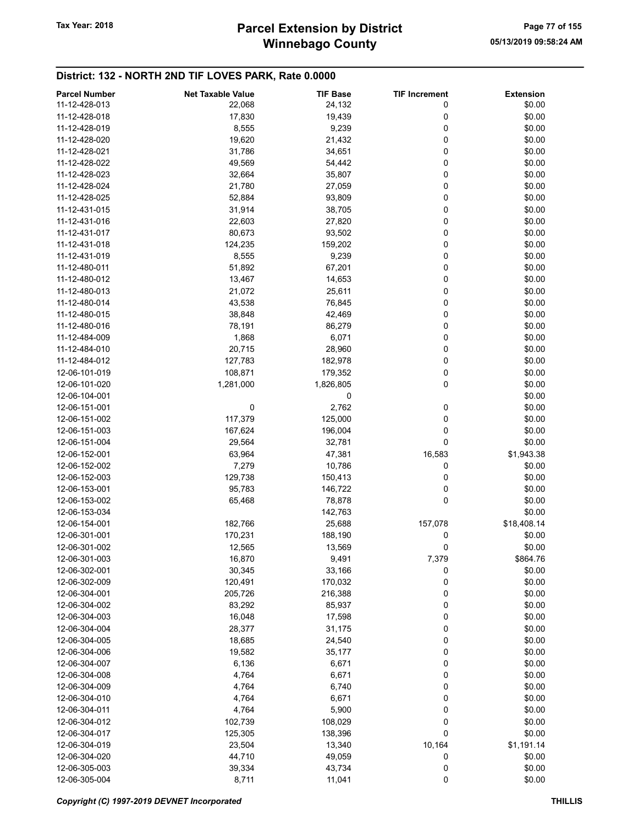## Winnebago County Tax Year: 2018 **Parcel Extension by District** Page 77 of 155

| <b>Parcel Number</b> | <b>Net Taxable Value</b> | <b>TIF Base</b> | <b>TIF Increment</b> | <b>Extension</b> |
|----------------------|--------------------------|-----------------|----------------------|------------------|
| 11-12-428-013        | 22,068                   | 24,132          | 0                    | \$0.00           |
| 11-12-428-018        | 17,830                   | 19,439          | 0                    | \$0.00           |
| 11-12-428-019        | 8,555                    | 9,239           | 0                    | \$0.00           |
| 11-12-428-020        | 19,620                   | 21,432          | 0                    | \$0.00           |
| 11-12-428-021        | 31,786                   | 34,651          | 0                    | \$0.00           |
| 11-12-428-022        | 49,569                   | 54,442          | 0                    | \$0.00           |
| 11-12-428-023        | 32,664                   | 35,807          | 0                    | \$0.00           |
|                      |                          |                 |                      |                  |
| 11-12-428-024        | 21,780                   | 27,059          | 0                    | \$0.00           |
| 11-12-428-025        | 52,884                   | 93,809          | 0                    | \$0.00           |
| 11-12-431-015        | 31,914                   | 38,705          | 0                    | \$0.00           |
| 11-12-431-016        | 22,603                   | 27,820          | 0                    | \$0.00           |
| 11-12-431-017        | 80,673                   | 93,502          | 0                    | \$0.00           |
| 11-12-431-018        | 124,235                  | 159,202         | 0                    | \$0.00           |
| 11-12-431-019        | 8,555                    | 9,239           | $\pmb{0}$            | \$0.00           |
| 11-12-480-011        | 51,892                   | 67,201          | 0                    | \$0.00           |
| 11-12-480-012        | 13,467                   | 14,653          | 0                    | \$0.00           |
| 11-12-480-013        | 21,072                   | 25,611          | 0                    | \$0.00           |
| 11-12-480-014        | 43,538                   | 76,845          | 0                    | \$0.00           |
| 11-12-480-015        | 38,848                   | 42,469          | 0                    | \$0.00           |
| 11-12-480-016        | 78,191                   | 86,279          | 0                    | \$0.00           |
| 11-12-484-009        | 1,868                    | 6,071           | 0                    | \$0.00           |
| 11-12-484-010        | 20,715                   | 28,960          | 0                    | \$0.00           |
| 11-12-484-012        | 127,783                  | 182,978         | 0                    | \$0.00           |
| 12-06-101-019        | 108,871                  | 179,352         | 0                    | \$0.00           |
| 12-06-101-020        | 1,281,000                |                 | 0                    | \$0.00           |
|                      |                          | 1,826,805       |                      |                  |
| 12-06-104-001        |                          | 0               |                      | \$0.00           |
| 12-06-151-001        | 0                        | 2,762           | 0                    | \$0.00           |
| 12-06-151-002        | 117,379                  | 125,000         | 0                    | \$0.00           |
| 12-06-151-003        | 167,624                  | 196,004         | 0                    | \$0.00           |
| 12-06-151-004        | 29,564                   | 32,781          | $\mathbf 0$          | \$0.00           |
| 12-06-152-001        | 63,964                   | 47,381          | 16,583               | \$1,943.38       |
| 12-06-152-002        | 7,279                    | 10,786          | 0                    | \$0.00           |
| 12-06-152-003        | 129,738                  | 150,413         | 0                    | \$0.00           |
| 12-06-153-001        | 95,783                   | 146,722         | 0                    | \$0.00           |
| 12-06-153-002        | 65,468                   | 78,878          | 0                    | \$0.00           |
| 12-06-153-034        |                          | 142,763         |                      | \$0.00           |
| 12-06-154-001        | 182,766                  | 25,688          | 157,078              | \$18,408.14      |
| 12-06-301-001        | 170,231                  | 188,190         | 0                    | \$0.00           |
| 12-06-301-002        | 12,565                   | 13,569          | 0                    | \$0.00           |
| 12-06-301-003        | 16,870                   | 9,491           | 7,379                | \$864.76         |
| 12-06-302-001        | 30,345                   | 33,166          | 0                    | \$0.00           |
| 12-06-302-009        | 120,491                  | 170,032         | 0                    | \$0.00           |
| 12-06-304-001        | 205,726                  | 216,388         | 0                    | \$0.00           |
| 12-06-304-002        | 83,292                   | 85,937          | 0                    | \$0.00           |
| 12-06-304-003        | 16,048                   | 17,598          | 0                    | \$0.00           |
| 12-06-304-004        |                          |                 | 0                    | \$0.00           |
|                      | 28,377                   | 31,175          |                      |                  |
| 12-06-304-005        | 18,685                   | 24,540          | 0                    | \$0.00           |
| 12-06-304-006        | 19,582                   | 35,177          | 0                    | \$0.00           |
| 12-06-304-007        | 6,136                    | 6,671           | 0                    | \$0.00           |
| 12-06-304-008        | 4,764                    | 6,671           | 0                    | \$0.00           |
| 12-06-304-009        | 4,764                    | 6,740           | 0                    | \$0.00           |
| 12-06-304-010        | 4,764                    | 6,671           | 0                    | \$0.00           |
| 12-06-304-011        | 4,764                    | 5,900           | 0                    | \$0.00           |
| 12-06-304-012        | 102,739                  | 108,029         | 0                    | \$0.00           |
| 12-06-304-017        | 125,305                  | 138,396         | 0                    | \$0.00           |
| 12-06-304-019        | 23,504                   | 13,340          | 10,164               | \$1,191.14       |
| 12-06-304-020        | 44,710                   | 49,059          | 0                    | \$0.00           |
| 12-06-305-003        | 39,334                   | 43,734          | 0                    | \$0.00           |
| 12-06-305-004        | 8,711                    | 11,041          | 0                    | \$0.00           |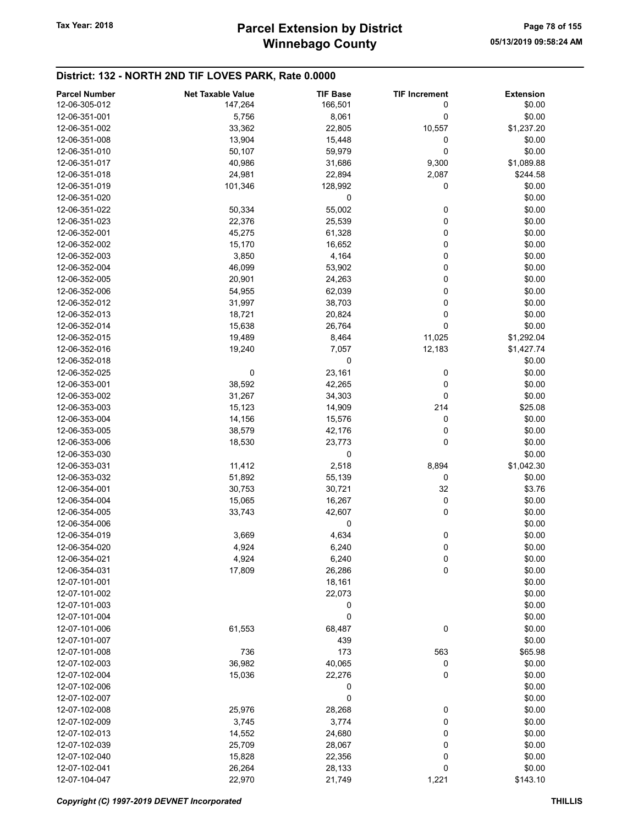| <b>Parcel Number</b> | <b>Net Taxable Value</b> | <b>TIF Base</b> | <b>TIF Increment</b> | <b>Extension</b> |
|----------------------|--------------------------|-----------------|----------------------|------------------|
| 12-06-305-012        | 147,264                  | 166,501         | 0                    | \$0.00           |
| 12-06-351-001        | 5,756                    | 8,061           | 0                    | \$0.00           |
| 12-06-351-002        | 33,362                   | 22,805          | 10,557               | \$1,237.20       |
| 12-06-351-008        | 13,904                   | 15,448          | 0                    | \$0.00           |
| 12-06-351-010        | 50,107                   | 59,979          | 0                    | \$0.00           |
| 12-06-351-017        | 40,986                   | 31,686          | 9,300                | \$1,089.88       |
| 12-06-351-018        | 24,981                   | 22,894          | 2,087                | \$244.58         |
| 12-06-351-019        | 101,346                  | 128,992         | 0                    | \$0.00           |
| 12-06-351-020        |                          | 0               |                      | \$0.00           |
| 12-06-351-022        |                          |                 |                      |                  |
|                      | 50,334                   | 55,002          | 0                    | \$0.00           |
| 12-06-351-023        | 22,376                   | 25,539          | 0                    | \$0.00           |
| 12-06-352-001        | 45,275                   | 61,328          | 0                    | \$0.00           |
| 12-06-352-002        | 15,170                   | 16,652          | 0                    | \$0.00           |
| 12-06-352-003        | 3,850                    | 4,164           | 0                    | \$0.00           |
| 12-06-352-004        | 46,099                   | 53,902          | 0                    | \$0.00           |
| 12-06-352-005        | 20,901                   | 24,263          | 0                    | \$0.00           |
| 12-06-352-006        | 54,955                   | 62,039          | 0                    | \$0.00           |
| 12-06-352-012        | 31,997                   | 38,703          | 0                    | \$0.00           |
| 12-06-352-013        | 18,721                   | 20,824          | 0                    | \$0.00           |
| 12-06-352-014        | 15,638                   | 26,764          | 0                    | \$0.00           |
| 12-06-352-015        | 19,489                   | 8,464           | 11,025               | \$1,292.04       |
| 12-06-352-016        | 19,240                   | 7,057           | 12,183               | \$1,427.74       |
| 12-06-352-018        |                          | 0               |                      | \$0.00           |
| 12-06-352-025        | 0                        | 23,161          | 0                    | \$0.00           |
| 12-06-353-001        | 38,592                   | 42,265          | 0                    | \$0.00           |
| 12-06-353-002        | 31,267                   | 34,303          | $\mathbf 0$          | \$0.00           |
| 12-06-353-003        | 15,123                   | 14,909          | 214                  | \$25.08          |
| 12-06-353-004        | 14,156                   | 15,576          | 0                    | \$0.00           |
| 12-06-353-005        | 38,579                   | 42,176          | 0                    | \$0.00           |
| 12-06-353-006        | 18,530                   | 23,773          | 0                    | \$0.00           |
| 12-06-353-030        |                          | 0               |                      | \$0.00           |
| 12-06-353-031        | 11,412                   | 2,518           | 8,894                | \$1,042.30       |
| 12-06-353-032        | 51,892                   | 55,139          | 0                    | \$0.00           |
| 12-06-354-001        | 30,753                   | 30,721          | 32                   | \$3.76           |
| 12-06-354-004        | 15,065                   | 16,267          | 0                    | \$0.00           |
| 12-06-354-005        | 33,743                   | 42,607          | 0                    | \$0.00           |
| 12-06-354-006        |                          | 0               |                      | \$0.00           |
| 12-06-354-019        | 3,669                    | 4,634           | $\boldsymbol{0}$     | \$0.00           |
| 12-06-354-020        |                          |                 | 0                    | \$0.00           |
| 12-06-354-021        | 4,924<br>4,924           | 6,240<br>6,240  |                      | \$0.00           |
|                      |                          |                 | 0                    |                  |
| 12-06-354-031        | 17,809                   | 26,286          | 0                    | \$0.00           |
| 12-07-101-001        |                          | 18,161          |                      | \$0.00           |
| 12-07-101-002        |                          | 22,073          |                      | \$0.00           |
| 12-07-101-003        |                          | 0               |                      | \$0.00           |
| 12-07-101-004        |                          | 0               |                      | \$0.00           |
| 12-07-101-006        | 61,553                   | 68,487          | 0                    | \$0.00           |
| 12-07-101-007        |                          | 439             |                      | \$0.00           |
| 12-07-101-008        | 736                      | 173             | 563                  | \$65.98          |
| 12-07-102-003        | 36,982                   | 40,065          | 0                    | \$0.00           |
| 12-07-102-004        | 15,036                   | 22,276          | 0                    | \$0.00           |
| 12-07-102-006        |                          | 0               |                      | \$0.00           |
| 12-07-102-007        |                          | 0               |                      | \$0.00           |
| 12-07-102-008        | 25,976                   | 28,268          | 0                    | \$0.00           |
| 12-07-102-009        | 3,745                    | 3,774           | 0                    | \$0.00           |
| 12-07-102-013        | 14,552                   | 24,680          | 0                    | \$0.00           |
| 12-07-102-039        | 25,709                   | 28,067          | 0                    | \$0.00           |
| 12-07-102-040        | 15,828                   | 22,356          | 0                    | \$0.00           |
| 12-07-102-041        | 26,264                   | 28,133          | 0                    | \$0.00           |
| 12-07-104-047        | 22,970                   | 21,749          | 1,221                | \$143.10         |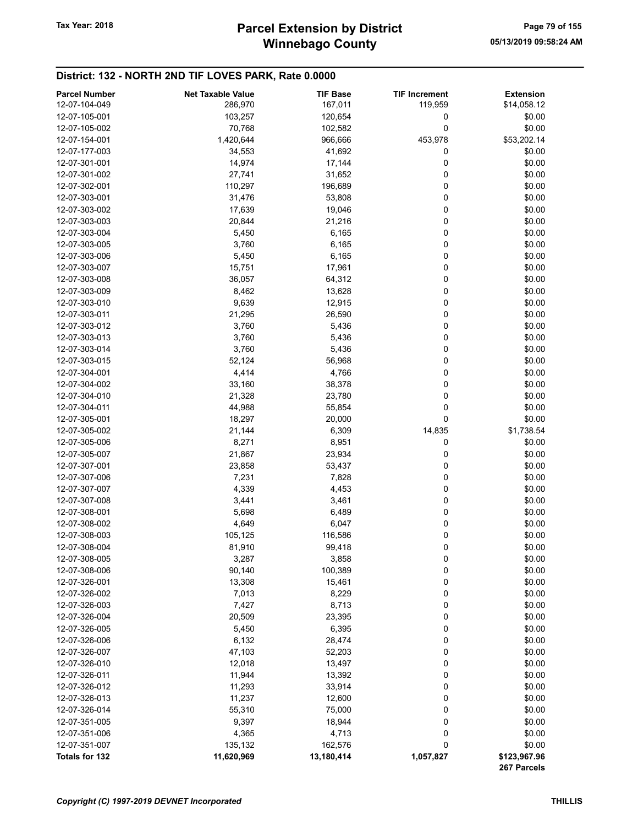## Winnebago County Tax Year: 2018 **Parcel Extension by District** Page 79 of 155

| <b>Parcel Number</b> | <b>Net Taxable Value</b> | <b>TIF Base</b> | <b>TIF Increment</b> | <b>Extension</b>            |
|----------------------|--------------------------|-----------------|----------------------|-----------------------------|
| 12-07-104-049        | 286,970                  | 167,011         | 119,959              | \$14,058.12                 |
| 12-07-105-001        | 103,257                  | 120,654         | 0                    | \$0.00                      |
| 12-07-105-002        | 70,768                   | 102,582         | 0                    | \$0.00                      |
| 12-07-154-001        | 1,420,644                | 966,666         | 453,978              | \$53,202.14                 |
| 12-07-177-003        | 34,553                   | 41,692          | 0                    | \$0.00                      |
| 12-07-301-001        | 14,974                   | 17,144          | 0                    | \$0.00                      |
| 12-07-301-002        | 27,741                   | 31,652          | 0                    | \$0.00                      |
| 12-07-302-001        | 110,297                  | 196,689         | 0                    | \$0.00                      |
| 12-07-303-001        | 31,476                   | 53,808          | 0                    | \$0.00                      |
| 12-07-303-002        | 17,639                   | 19,046          | 0                    | \$0.00                      |
| 12-07-303-003        | 20,844                   | 21,216          | 0                    | \$0.00                      |
| 12-07-303-004        | 5,450                    | 6,165           | 0                    | \$0.00                      |
| 12-07-303-005        | 3,760                    | 6,165           | 0                    | \$0.00                      |
| 12-07-303-006        | 5,450                    | 6,165           | 0                    | \$0.00                      |
| 12-07-303-007        | 15,751                   | 17,961          | 0                    | \$0.00                      |
| 12-07-303-008        | 36,057                   | 64,312          | 0                    | \$0.00                      |
| 12-07-303-009        | 8,462                    | 13,628          | 0                    | \$0.00                      |
| 12-07-303-010        | 9,639                    | 12,915          | 0                    | \$0.00                      |
| 12-07-303-011        | 21,295                   | 26,590          | 0                    | \$0.00                      |
| 12-07-303-012        | 3,760                    | 5,436           | 0                    | \$0.00                      |
| 12-07-303-013        | 3,760                    | 5,436           | 0                    | \$0.00                      |
| 12-07-303-014        | 3,760                    | 5,436           | 0                    | \$0.00                      |
| 12-07-303-015        | 52,124                   | 56,968          | 0                    | \$0.00                      |
| 12-07-304-001        | 4,414                    | 4,766           | 0                    | \$0.00                      |
| 12-07-304-002        | 33,160                   | 38,378          | 0                    | \$0.00                      |
| 12-07-304-010        | 21,328                   | 23,780          | 0                    | \$0.00                      |
| 12-07-304-011        | 44,988                   | 55,854          | 0                    | \$0.00                      |
| 12-07-305-001        | 18,297                   | 20,000          | 0                    | \$0.00                      |
| 12-07-305-002        | 21,144                   | 6,309           | 14,835               | \$1,738.54                  |
| 12-07-305-006        | 8,271                    | 8,951           | 0                    | \$0.00                      |
| 12-07-305-007        | 21,867                   | 23,934          | 0                    | \$0.00                      |
| 12-07-307-001        | 23,858                   | 53,437          | 0                    | \$0.00                      |
| 12-07-307-006        | 7,231                    | 7,828           | 0                    | \$0.00                      |
| 12-07-307-007        | 4,339                    | 4,453           | 0                    | \$0.00                      |
| 12-07-307-008        | 3,441                    | 3,461           | 0                    | \$0.00                      |
| 12-07-308-001        | 5,698                    | 6,489           | 0                    | \$0.00                      |
| 12-07-308-002        | 4,649                    | 6,047           | 0                    | \$0.00                      |
| 12-07-308-003        | 105,125                  | 116,586         | 0                    | \$0.00                      |
| 12-07-308-004        | 81,910                   | 99,418          | 0                    | \$0.00                      |
| 12-07-308-005        | 3,287                    | 3,858           | 0                    | \$0.00                      |
| 12-07-308-006        | 90,140                   | 100,389         | 0                    | \$0.00                      |
| 12-07-326-001        | 13,308                   | 15,461          | 0                    | \$0.00                      |
| 12-07-326-002        | 7,013                    | 8,229           | 0                    | \$0.00                      |
| 12-07-326-003        | 7,427                    | 8,713           | 0                    | \$0.00                      |
| 12-07-326-004        | 20,509                   | 23,395          | 0                    | \$0.00                      |
| 12-07-326-005        | 5,450                    | 6,395           | 0                    | \$0.00                      |
| 12-07-326-006        | 6,132                    | 28,474          | 0                    | \$0.00                      |
| 12-07-326-007        | 47,103                   | 52,203          | 0                    | \$0.00                      |
| 12-07-326-010        | 12,018                   | 13,497          | 0                    | \$0.00                      |
| 12-07-326-011        | 11,944                   | 13,392          | 0                    | \$0.00                      |
| 12-07-326-012        | 11,293                   | 33,914          | 0                    | \$0.00                      |
| 12-07-326-013        | 11,237                   | 12,600          | 0                    | \$0.00                      |
| 12-07-326-014        | 55,310                   | 75,000          | 0                    | \$0.00                      |
| 12-07-351-005        | 9,397                    | 18,944          | 0                    | \$0.00                      |
| 12-07-351-006        | 4,365                    | 4,713           | 0                    | \$0.00                      |
| 12-07-351-007        | 135,132                  | 162,576         | 0                    | \$0.00                      |
| Totals for 132       | 11,620,969               | 13,180,414      | 1,057,827            | \$123,967.96<br>267 Parcels |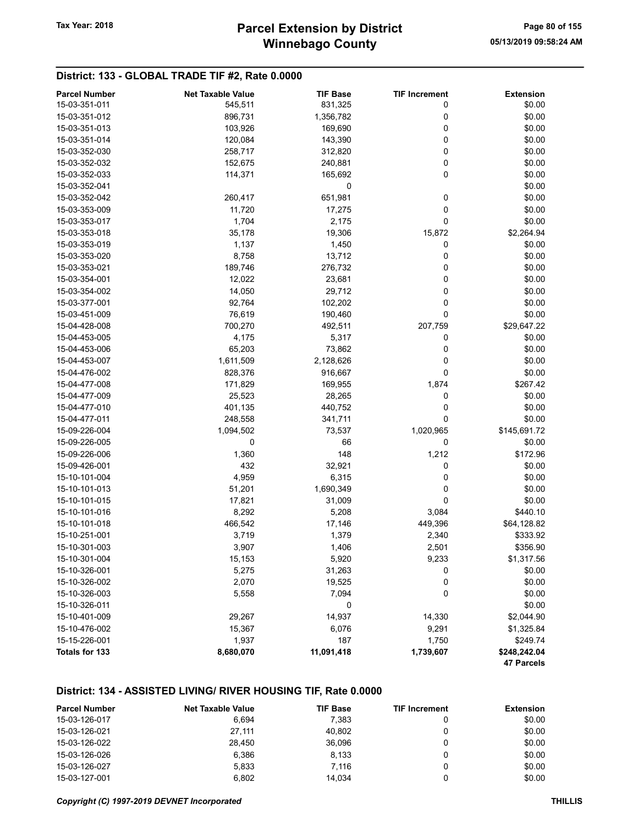### District: 133 - GLOBAL TRADE TIF #2, Rate 0.0000

| <b>Parcel Number</b> | <b>Net Taxable Value</b> | <b>TIF Base</b> | <b>TIF Increment</b> | <b>Extension</b> |
|----------------------|--------------------------|-----------------|----------------------|------------------|
| 15-03-351-011        | 545,511                  | 831,325         | 0                    | \$0.00           |
| 15-03-351-012        | 896,731                  | 1,356,782       | 0                    | \$0.00           |
| 15-03-351-013        | 103,926                  | 169,690         | 0                    | \$0.00           |
| 15-03-351-014        | 120,084                  | 143,390         | 0                    | \$0.00           |
| 15-03-352-030        | 258,717                  | 312,820         | 0                    | \$0.00           |
| 15-03-352-032        | 152,675                  | 240,881         | 0                    | \$0.00           |
| 15-03-352-033        | 114,371                  | 165,692         | 0                    | \$0.00           |
| 15-03-352-041        |                          | 0               |                      | \$0.00           |
| 15-03-352-042        | 260,417                  | 651,981         | 0                    | \$0.00           |
| 15-03-353-009        | 11,720                   | 17,275          | 0                    | \$0.00           |
| 15-03-353-017        | 1,704                    | 2,175           | 0                    | \$0.00           |
| 15-03-353-018        | 35,178                   | 19,306          | 15,872               | \$2,264.94       |
| 15-03-353-019        | 1,137                    | 1,450           | 0                    | \$0.00           |
| 15-03-353-020        | 8,758                    | 13,712          | 0                    | \$0.00           |
| 15-03-353-021        | 189,746                  | 276,732         | 0                    | \$0.00           |
| 15-03-354-001        | 12,022                   | 23,681          | 0                    | \$0.00           |
| 15-03-354-002        | 14,050                   | 29,712          | 0                    | \$0.00           |
| 15-03-377-001        | 92,764                   | 102,202         | 0                    | \$0.00           |
| 15-03-451-009        | 76,619                   | 190,460         | 0                    | \$0.00           |
| 15-04-428-008        | 700,270                  | 492,511         | 207,759              | \$29,647.22      |
| 15-04-453-005        | 4,175                    | 5,317           | 0                    | \$0.00           |
| 15-04-453-006        | 65,203                   | 73,862          | 0                    | \$0.00           |
| 15-04-453-007        | 1,611,509                | 2,128,626       | 0                    | \$0.00           |
| 15-04-476-002        | 828,376                  | 916,667         | 0                    | \$0.00           |
| 15-04-477-008        | 171,829                  | 169,955         | 1,874                | \$267.42         |
| 15-04-477-009        | 25,523                   | 28,265          | 0                    | \$0.00           |
| 15-04-477-010        | 401,135                  | 440,752         | 0                    | \$0.00           |
| 15-04-477-011        | 248,558                  | 341,711         | 0                    | \$0.00           |
| 15-09-226-004        | 1,094,502                | 73,537          | 1,020,965            | \$145,691.72     |
| 15-09-226-005        | 0                        | 66              | 0                    | \$0.00           |
| 15-09-226-006        | 1,360                    | 148             | 1,212                | \$172.96         |
| 15-09-426-001        | 432                      | 32,921          | 0                    | \$0.00           |
| 15-10-101-004        | 4,959                    | 6,315           | 0                    | \$0.00           |
| 15-10-101-013        | 51,201                   | 1,690,349       | 0                    | \$0.00           |
| 15-10-101-015        | 17,821                   | 31,009          | 0                    | \$0.00           |
| 15-10-101-016        | 8,292                    | 5,208           | 3,084                | \$440.10         |
| 15-10-101-018        | 466,542                  | 17,146          | 449,396              | \$64,128.82      |
| 15-10-251-001        | 3,719                    | 1,379           | 2,340                | \$333.92         |
| 15-10-301-003        | 3,907                    | 1,406           | 2,501                | \$356.90         |
| 15-10-301-004        | 15,153                   | 5,920           | 9,233                | \$1,317.56       |
| 15-10-326-001        | 5,275                    | 31,263          | 0                    | \$0.00           |
| 15-10-326-002        | 2,070                    | 19,525          | 0                    | \$0.00           |
| 15-10-326-003        | 5,558                    | 7,094           | 0                    | \$0.00           |
| 15-10-326-011        |                          | 0               |                      | \$0.00           |
| 15-10-401-009        | 29,267                   | 14,937          | 14,330               | \$2,044.90       |
| 15-10-476-002        | 15,367                   | 6,076           | 9,291                | \$1,325.84       |
| 15-15-226-001        | 1,937                    | 187             | 1,750                | \$249.74         |
| Totals for 133       | 8,680,070                | 11,091,418      | 1,739,607            | \$248,242.04     |
|                      |                          |                 |                      | 47 Parcels       |

### District: 134 - ASSISTED LIVING/ RIVER HOUSING TIF, Rate 0.0000

| <b>Parcel Number</b> | <b>Net Taxable Value</b> | <b>TIF Base</b> | <b>TIF Increment</b> | Extension |
|----------------------|--------------------------|-----------------|----------------------|-----------|
| 15-03-126-017        | 6.694                    | 7.383           |                      | \$0.00    |
| 15-03-126-021        | 27.111                   | 40.802          |                      | \$0.00    |
| 15-03-126-022        | 28.450                   | 36.096          |                      | \$0.00    |
| 15-03-126-026        | 6.386                    | 8.133           |                      | \$0.00    |
| 15-03-126-027        | 5.833                    | 7.116           |                      | \$0.00    |
| 15-03-127-001        | 6.802                    | 14.034          |                      | \$0.00    |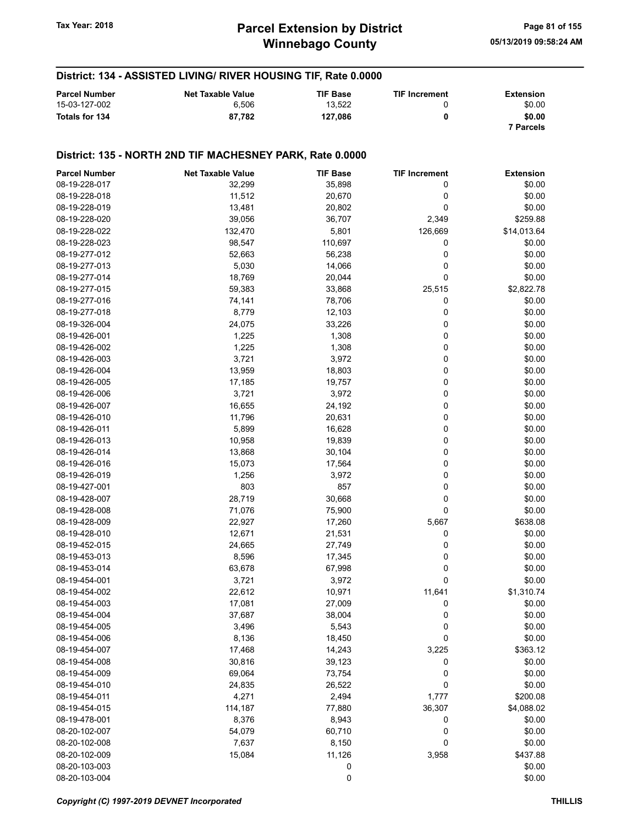District: 134 - ASSISTED LIVING/ RIVER HOUSING TIF, Rate 0.0000

#### Parcel Number **Net Taxable Value** TIF Base TIF Increment Extension 15-03-127-002 6,506 6,506 13,522 0 50.00 Totals for 134 87,782 127,086 0 \$0.00 7 Parcels District: 135 - NORTH 2ND TIF MACHESNEY PARK, Rate 0.0000 Parcel Number **Net Taxable Value** TIF Base TIF Increment Extension 08-19-228-017 32,299 35,898 0 \$0.00 08-19-228-018 11,512 20,670 0 \$0.00 08-19-228-019 13,481 20,802 0 \$0.00 08-19-228-020 39,056 36,707 2,349 \$259.88 08-19-228-022 132,470 5,801 126,669 \$14,013.64 08-19-228-023 98,547 110,697 0 \$0.00 08-19-277-012 **52,663** 56,238 0 \$0.00 08-19-277-013 5,030 14,066 0 5,030 5,030 08-19-277-014 18,769 20,044 0 \$0.00 08-19-277-015 59,383 33,868 25,515 \$2,822.78 08-19-277-016 74,141 78,706 0 \$0.00 08-19-277-018 **8,779** 12,103 0 \$0.00 08-19-326-004 24,075 33,226 0 \$0.00 08-19-426-001 1,225 1,308 0 \$0.00 08-19-426-002 **1,225** 1,308 0 \$0.00 08-19-426-003 3,721 3,721 3,972 0 \$0.00 08-19-426-004 13,959 18,803 0 \$0.00 08-19-426-005 17,185 19,757 0 \$0.00 08-19-426-006 3,721 3,972 0 \$0.00 08-19-426-007 **16,655** 24,192 0 \$0.00 08-19-426-010 11,796 20,631 0 \$0.00 08-19-426-011 5,899 16,628 0 \$0.00 08-19-426-013 10,958 19,839 0 \$0.00 08-19-426-014 **13,868** 30,104 0 \$0.00 08-19-426-016 15,073 17,564 0 \$0.00 08-19-426-019 1,256 3,972 0 \$0.00 08-19-427-001 **803** 803 857 0 \$0.00 08-19-428-007 28,719 30,668 0 \$0.00 08-19-428-008 71,076 75,900 0 08-19-428-009 22,927 17,260 5,667 \$638.08 08-19-428-010 12,671 21,531 0 \$0.00 08-19-452-015 24,665 27,749 0 \$0.00 08-19-453-013 8,596 17,345 \$0.00 08-19-453-014 63,678 67,998 0 \$0.00 08-19-454-001 3,721 3,972 0 \$0.00 08-19-454-002 **22,612** 22,612 10,971 11,641 \$1,310.74 08-19-454-003 **17,081** 27,009 0 \$0.00 08-19-454-004 37,687 38,004 0 \$0.00 08-19-454-005 3,496 5,543 0 \$0.00 08-19-454-006 8,136 8,136 18,450 0 \$0.00 08-19-454-007 **17,468** 17,468 14,243 3,225 \$363.12 08-19-454-008 30,816 39,123 0 \$0.00 08-19-454-009 69,064 73,754 0 \$0.00 08-19-454-010 **24,835** 26,522 0 \$0.00 08-19-454-011 **4,271** 2,494 1,777 \$200.08 08-19-454-015 114,187 77,880 36,307 \$4,088.02 08-19-478-001 8,376 8,943 0 \$0.00 08-20-102-007 54,079 60,710 0 \$0.00 08-20-102-008 7,637 8,150 0 \$0.00

08-20-102-009 15,084 11,126 3,958 \$437.88 08-20-103-003 0 \$0.00  $08-20-103-004$  \$0.00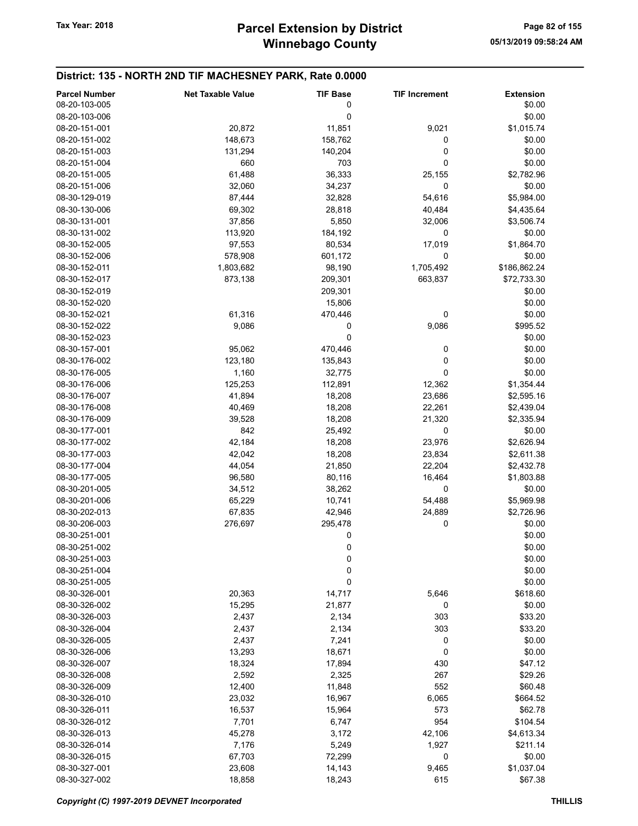| <b>Parcel Number</b> | <b>Net Taxable Value</b> | <b>TIF Base</b> | <b>TIF Increment</b> | <b>Extension</b> |
|----------------------|--------------------------|-----------------|----------------------|------------------|
| 08-20-103-005        |                          | 0               |                      | \$0.00           |
| 08-20-103-006        |                          | 0               |                      | \$0.00           |
| 08-20-151-001        | 20,872                   | 11,851          | 9,021                | \$1,015.74       |
| 08-20-151-002        | 148,673                  | 158,762         | 0                    | \$0.00           |
| 08-20-151-003        | 131,294                  | 140,204         | 0                    | \$0.00           |
| 08-20-151-004        | 660                      | 703             | 0                    | \$0.00           |
| 08-20-151-005        | 61,488                   | 36,333          | 25,155               | \$2,782.96       |
| 08-20-151-006        | 32,060                   | 34,237          | 0                    | \$0.00           |
| 08-30-129-019        | 87,444                   | 32,828          | 54,616               | \$5,984.00       |
| 08-30-130-006        | 69,302                   | 28,818          | 40,484               | \$4,435.64       |
| 08-30-131-001        | 37,856                   | 5,850           | 32,006               | \$3,506.74       |
| 08-30-131-002        | 113,920                  | 184,192         | 0                    | \$0.00           |
| 08-30-152-005        | 97,553                   | 80,534          | 17,019               | \$1,864.70       |
| 08-30-152-006        | 578,908                  | 601,172         | 0                    | \$0.00           |
| 08-30-152-011        | 1,803,682                | 98,190          | 1,705,492            | \$186,862.24     |
| 08-30-152-017        | 873,138                  | 209,301         | 663,837              | \$72,733.30      |
| 08-30-152-019        |                          | 209,301         |                      | \$0.00           |
| 08-30-152-020        |                          | 15,806          |                      | \$0.00           |
| 08-30-152-021        | 61,316                   | 470,446         | 0                    | \$0.00           |
| 08-30-152-022        | 9,086                    | 0               | 9,086                | \$995.52         |
| 08-30-152-023        |                          | 0               |                      | \$0.00           |
| 08-30-157-001        | 95,062                   | 470,446         | 0                    | \$0.00           |
| 08-30-176-002        | 123,180                  | 135,843         | 0                    | \$0.00           |
| 08-30-176-005        | 1,160                    | 32,775          | 0                    | \$0.00           |
| 08-30-176-006        | 125,253                  | 112,891         | 12,362               | \$1,354.44       |
| 08-30-176-007        | 41,894                   | 18,208          | 23,686               | \$2,595.16       |
| 08-30-176-008        | 40,469                   | 18,208          | 22,261               | \$2,439.04       |
| 08-30-176-009        | 39,528                   | 18,208          | 21,320               | \$2,335.94       |
| 08-30-177-001        | 842                      | 25,492          | 0                    | \$0.00           |
| 08-30-177-002        | 42,184                   | 18,208          | 23,976               | \$2,626.94       |
| 08-30-177-003        | 42,042                   | 18,208          | 23,834               | \$2,611.38       |
| 08-30-177-004        | 44,054                   | 21,850          | 22,204               | \$2,432.78       |
| 08-30-177-005        | 96,580                   | 80,116          | 16,464               | \$1,803.88       |
| 08-30-201-005        | 34,512                   | 38,262          | 0                    | \$0.00           |
| 08-30-201-006        | 65,229                   | 10,741          | 54,488               | \$5,969.98       |
| 08-30-202-013        | 67,835                   | 42,946          | 24,889               | \$2,726.96       |
| 08-30-206-003        | 276,697                  | 295,478         | 0                    | \$0.00           |
| 08-30-251-001        |                          | 0               |                      | \$0.00           |
| 08-30-251-002        |                          | 0               |                      | \$0.00           |
| 08-30-251-003        |                          | 0               |                      | \$0.00           |
| 08-30-251-004        |                          | $\mathbf 0$     |                      | \$0.00           |
| 08-30-251-005        |                          | 0               |                      | \$0.00           |
| 08-30-326-001        | 20,363                   | 14,717          | 5,646                | \$618.60         |
| 08-30-326-002        | 15,295                   | 21,877          | 0                    | \$0.00           |
| 08-30-326-003        | 2,437                    | 2,134           | 303                  | \$33.20          |
| 08-30-326-004        | 2,437                    | 2,134           | 303                  | \$33.20          |
| 08-30-326-005        | 2,437                    | 7,241           | 0                    | \$0.00           |
| 08-30-326-006        | 13,293                   | 18,671          | 0                    | \$0.00           |
| 08-30-326-007        | 18,324                   | 17,894          | 430                  | \$47.12          |
| 08-30-326-008        | 2,592                    | 2,325           | 267                  | \$29.26          |
| 08-30-326-009        | 12,400                   | 11,848          | 552                  | \$60.48          |
| 08-30-326-010        | 23,032                   | 16,967          | 6,065                | \$664.52         |
| 08-30-326-011        | 16,537                   | 15,964          | 573                  | \$62.78          |
| 08-30-326-012        | 7,701                    | 6,747           | 954                  | \$104.54         |
| 08-30-326-013        | 45,278                   | 3,172           | 42,106               | \$4,613.34       |
| 08-30-326-014        | 7,176                    | 5,249           | 1,927                | \$211.14         |
| 08-30-326-015        | 67,703                   | 72,299          | 0                    | \$0.00           |
| 08-30-327-001        | 23,608                   | 14,143          | 9,465                | \$1,037.04       |
| 08-30-327-002        | 18,858                   | 18,243          | 615                  | \$67.38          |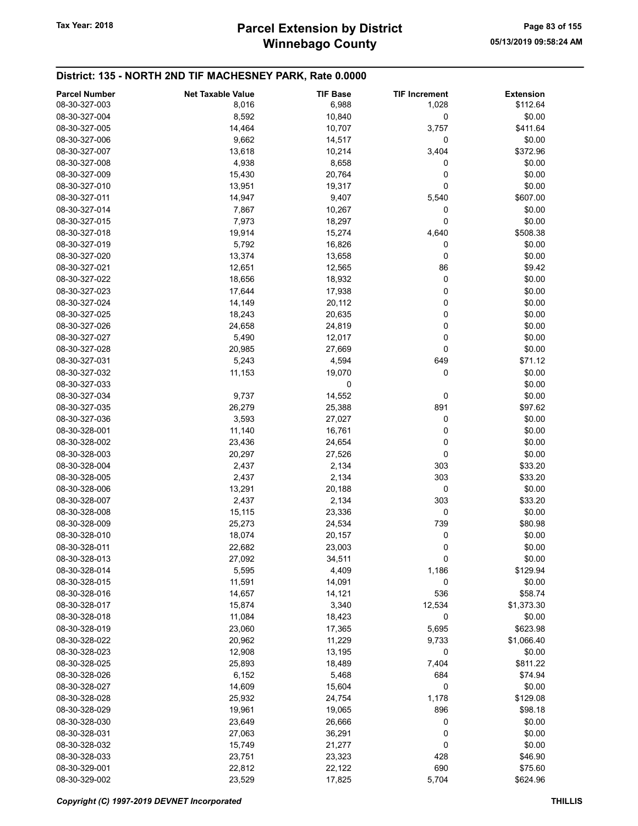| <b>Parcel Number</b> | <b>Net Taxable Value</b> | <b>TIF Base</b> | <b>TIF Increment</b> | <b>Extension</b> |
|----------------------|--------------------------|-----------------|----------------------|------------------|
| 08-30-327-003        | 8,016                    | 6,988           | 1,028                | \$112.64         |
| 08-30-327-004        | 8,592                    | 10,840          | 0                    | \$0.00           |
| 08-30-327-005        | 14,464                   | 10,707          | 3,757                | \$411.64         |
| 08-30-327-006        | 9,662                    | 14,517          | 0                    | \$0.00           |
| 08-30-327-007        | 13,618                   | 10,214          | 3,404                | \$372.96         |
| 08-30-327-008        | 4,938                    | 8,658           | 0                    | \$0.00           |
| 08-30-327-009        | 15,430                   | 20,764          | 0                    | \$0.00           |
| 08-30-327-010        | 13,951                   | 19,317          | 0                    | \$0.00           |
| 08-30-327-011        | 14,947                   | 9,407           | 5,540                | \$607.00         |
| 08-30-327-014        | 7,867                    | 10,267          | 0                    | \$0.00           |
| 08-30-327-015        | 7,973                    | 18,297          | 0                    | \$0.00           |
| 08-30-327-018        | 19,914                   | 15,274          | 4,640                | \$508.38         |
| 08-30-327-019        | 5,792                    | 16,826          | 0                    | \$0.00           |
| 08-30-327-020        | 13,374                   | 13,658          | 0                    | \$0.00           |
| 08-30-327-021        | 12,651                   | 12,565          | 86                   | \$9.42           |
| 08-30-327-022        | 18,656                   | 18,932          | 0                    | \$0.00           |
| 08-30-327-023        | 17,644                   | 17,938          | 0                    | \$0.00           |
| 08-30-327-024        | 14,149                   | 20,112          | 0                    | \$0.00           |
| 08-30-327-025        | 18,243                   | 20,635          | 0                    | \$0.00           |
| 08-30-327-026        | 24,658                   | 24,819          | 0                    | \$0.00           |
| 08-30-327-027        | 5,490                    | 12,017          | 0                    | \$0.00           |
| 08-30-327-028        | 20,985                   | 27,669          | 0                    | \$0.00           |
| 08-30-327-031        | 5,243                    | 4,594           | 649                  | \$71.12          |
| 08-30-327-032        | 11,153                   | 19,070          | 0                    | \$0.00           |
| 08-30-327-033        |                          | 0               |                      | \$0.00           |
| 08-30-327-034        | 9,737                    | 14,552          | 0                    | \$0.00           |
| 08-30-327-035        | 26,279                   | 25,388          | 891                  | \$97.62          |
| 08-30-327-036        | 3,593                    | 27,027          | 0                    | \$0.00           |
| 08-30-328-001        | 11,140                   | 16,761          | 0                    | \$0.00           |
| 08-30-328-002        | 23,436                   | 24,654          | 0                    | \$0.00           |
| 08-30-328-003        | 20,297                   | 27,526          | 0                    | \$0.00           |
| 08-30-328-004        | 2,437                    | 2,134           | 303                  | \$33.20          |
| 08-30-328-005        | 2,437                    | 2,134           | 303                  | \$33.20          |
| 08-30-328-006        | 13,291                   | 20,188          | 0                    | \$0.00           |
| 08-30-328-007        | 2,437                    | 2,134           | 303                  | \$33.20          |
| 08-30-328-008        | 15,115                   | 23,336          | 0                    | \$0.00           |
| 08-30-328-009        | 25,273                   | 24,534          | 739                  | \$80.98          |
| 08-30-328-010        | 18,074                   | 20,157          | 0                    | \$0.00           |
| 08-30-328-011        | 22,682                   | 23,003          | 0                    | \$0.00           |
| 08-30-328-013        | 27,092                   | 34,511          | 0                    | \$0.00           |
| 08-30-328-014        | 5,595                    | 4,409           | 1,186                | \$129.94         |
| 08-30-328-015        | 11,591                   | 14,091          | 0                    | \$0.00           |
| 08-30-328-016        | 14,657                   | 14,121          | 536                  | \$58.74          |
| 08-30-328-017        | 15,874                   | 3,340           | 12,534               | \$1,373.30       |
| 08-30-328-018        | 11,084                   | 18,423          | 0                    | \$0.00           |
| 08-30-328-019        | 23,060                   | 17,365          | 5,695                | \$623.98         |
| 08-30-328-022        | 20,962                   | 11,229          | 9,733                | \$1,066.40       |
| 08-30-328-023        | 12,908                   | 13,195          | 0                    | \$0.00           |
| 08-30-328-025        | 25,893                   | 18,489          | 7,404                | \$811.22         |
| 08-30-328-026        | 6,152                    | 5,468           | 684                  | \$74.94          |
| 08-30-328-027        | 14,609                   | 15,604          | 0                    | \$0.00           |
| 08-30-328-028        | 25,932                   | 24,754          | 1,178                | \$129.08         |
| 08-30-328-029        | 19,961                   | 19,065          | 896                  | \$98.18          |
| 08-30-328-030        | 23,649                   | 26,666          | 0                    | \$0.00           |
| 08-30-328-031        | 27,063                   | 36,291          | 0                    | \$0.00           |
| 08-30-328-032        | 15,749                   | 21,277          | 0                    | \$0.00           |
| 08-30-328-033        | 23,751                   | 23,323          | 428                  | \$46.90          |
| 08-30-329-001        | 22,812                   | 22,122          | 690                  | \$75.60          |
| 08-30-329-002        | 23,529                   | 17,825          | 5,704                | \$624.96         |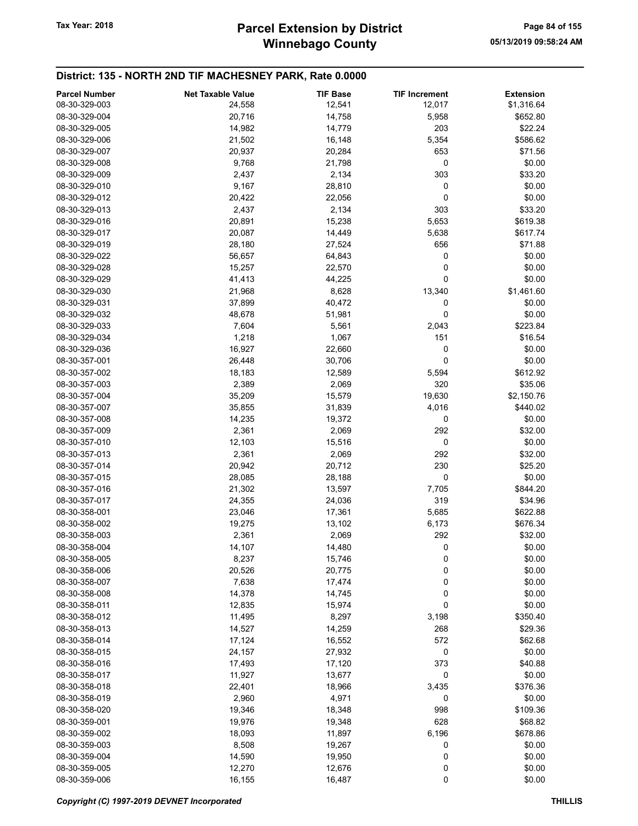| <b>Parcel Number</b> | <b>Net Taxable Value</b> | <b>TIF Base</b> | <b>TIF Increment</b> |                                |
|----------------------|--------------------------|-----------------|----------------------|--------------------------------|
| 08-30-329-003        | 24,558                   | 12,541          | 12,017               | <b>Extension</b><br>\$1,316.64 |
| 08-30-329-004        | 20,716                   | 14,758          | 5,958                | \$652.80                       |
| 08-30-329-005        | 14,982                   | 14,779          | 203                  | \$22.24                        |
| 08-30-329-006        | 21,502                   |                 |                      |                                |
|                      |                          | 16,148          | 5,354                | \$586.62                       |
| 08-30-329-007        | 20,937                   | 20,284          | 653                  | \$71.56                        |
| 08-30-329-008        | 9,768                    | 21,798          | 0                    | \$0.00                         |
| 08-30-329-009        | 2,437                    | 2,134           | 303                  | \$33.20                        |
| 08-30-329-010        | 9,167                    | 28,810          | 0                    | \$0.00                         |
| 08-30-329-012        | 20,422                   | 22,056          | 0                    | \$0.00                         |
| 08-30-329-013        | 2,437                    | 2,134           | 303                  | \$33.20                        |
| 08-30-329-016        | 20,891                   | 15,238          | 5,653                | \$619.38                       |
| 08-30-329-017        | 20,087                   | 14,449          | 5,638                | \$617.74                       |
| 08-30-329-019        | 28,180                   | 27,524          | 656                  | \$71.88                        |
| 08-30-329-022        | 56,657                   | 64,843          | 0                    | \$0.00                         |
| 08-30-329-028        | 15,257                   | 22,570          | 0                    | \$0.00                         |
| 08-30-329-029        | 41,413                   | 44,225          | 0                    | \$0.00                         |
| 08-30-329-030        | 21,968                   | 8,628           | 13,340               | \$1,461.60                     |
| 08-30-329-031        | 37,899                   | 40,472          | 0                    | \$0.00                         |
| 08-30-329-032        | 48,678                   | 51,981          | 0                    | \$0.00                         |
| 08-30-329-033        | 7,604                    | 5,561           | 2,043                | \$223.84                       |
| 08-30-329-034        | 1,218                    | 1,067           | 151                  | \$16.54                        |
| 08-30-329-036        | 16,927                   | 22,660          | 0                    | \$0.00                         |
| 08-30-357-001        | 26,448                   | 30,706          | 0                    | \$0.00                         |
| 08-30-357-002        | 18,183                   | 12,589          | 5,594                | \$612.92                       |
| 08-30-357-003        | 2,389                    | 2,069           | 320                  | \$35.06                        |
| 08-30-357-004        | 35,209                   | 15,579          | 19,630               | \$2,150.76                     |
| 08-30-357-007        | 35,855                   | 31,839          | 4,016                | \$440.02                       |
| 08-30-357-008        | 14,235                   | 19,372          | 0                    | \$0.00                         |
| 08-30-357-009        | 2,361                    | 2,069           | 292                  | \$32.00                        |
| 08-30-357-010        | 12,103                   | 15,516          | 0                    | \$0.00                         |
| 08-30-357-013        | 2,361                    | 2,069           | 292                  | \$32.00                        |
| 08-30-357-014        | 20,942                   | 20,712          | 230                  | \$25.20                        |
| 08-30-357-015        | 28,085                   | 28,188          | 0                    | \$0.00                         |
| 08-30-357-016        | 21,302                   | 13,597          | 7,705                | \$844.20                       |
| 08-30-357-017        | 24,355                   | 24,036          | 319                  | \$34.96                        |
| 08-30-358-001        | 23,046                   | 17,361          | 5,685                | \$622.88                       |
| 08-30-358-002        | 19,275                   | 13,102          | 6,173                | \$676.34                       |
| 08-30-358-003        | 2,361                    | 2,069           | 292                  | \$32.00                        |
| 08-30-358-004        | 14,107                   | 14,480          | 0                    | \$0.00                         |
| 08-30-358-005        | 8,237                    | 15,746          | $\bf{0}$             | \$0.00                         |
| 08-30-358-006        | 20,526                   | 20,775          | 0                    | \$0.00                         |
| 08-30-358-007        | 7,638                    | 17,474          | 0                    | \$0.00                         |
| 08-30-358-008        | 14,378                   | 14,745          | 0                    | \$0.00                         |
| 08-30-358-011        | 12,835                   | 15,974          | 0                    | \$0.00                         |
| 08-30-358-012        | 11,495                   | 8,297           | 3,198                | \$350.40                       |
| 08-30-358-013        | 14,527                   | 14,259          | 268                  | \$29.36                        |
| 08-30-358-014        | 17,124                   | 16,552          | 572                  | \$62.68                        |
| 08-30-358-015        | 24,157                   | 27,932          | 0                    | \$0.00                         |
| 08-30-358-016        | 17,493                   | 17,120          | 373                  | \$40.88                        |
| 08-30-358-017        | 11,927                   | 13,677          | 0                    | \$0.00                         |
|                      |                          |                 |                      |                                |
| 08-30-358-018        | 22,401                   | 18,966          | 3,435                | \$376.36                       |
| 08-30-358-019        | 2,960                    | 4,971           | 0                    | \$0.00                         |
| 08-30-358-020        | 19,346                   | 18,348          | 998                  | \$109.36                       |
| 08-30-359-001        | 19,976                   | 19,348          | 628                  | \$68.82                        |
| 08-30-359-002        | 18,093                   | 11,897          | 6,196                | \$678.86                       |
| 08-30-359-003        | 8,508                    | 19,267          | 0                    | \$0.00                         |
| 08-30-359-004        | 14,590                   | 19,950          | 0                    | \$0.00                         |
| 08-30-359-005        | 12,270                   | 12,676          | 0                    | \$0.00                         |
| 08-30-359-006        | 16,155                   | 16,487          | 0                    | \$0.00                         |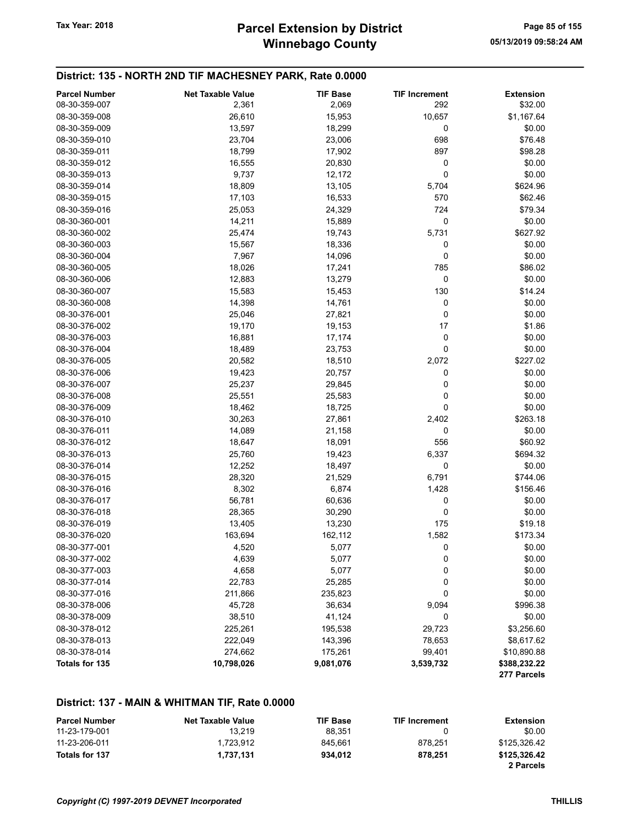| <b>Parcel Number</b>  | <b>Net Taxable Value</b> | <b>TIF Base</b> | <b>TIF Increment</b> | <b>Extension</b>            |
|-----------------------|--------------------------|-----------------|----------------------|-----------------------------|
| 08-30-359-007         | 2,361                    | 2,069           | 292                  | \$32.00                     |
| 08-30-359-008         | 26,610                   | 15,953          | 10,657               | \$1,167.64                  |
| 08-30-359-009         | 13,597                   | 18,299          | 0                    | \$0.00                      |
| 08-30-359-010         | 23,704                   | 23,006          | 698                  | \$76.48                     |
| 08-30-359-011         | 18,799                   | 17,902          | 897                  | \$98.28                     |
| 08-30-359-012         | 16,555                   | 20,830          | 0                    | \$0.00                      |
| 08-30-359-013         | 9,737                    | 12,172          | 0                    | \$0.00                      |
| 08-30-359-014         | 18,809                   | 13,105          | 5,704                | \$624.96                    |
| 08-30-359-015         | 17,103                   | 16,533          | 570                  | \$62.46                     |
| 08-30-359-016         | 25,053                   | 24,329          | 724                  | \$79.34                     |
| 08-30-360-001         | 14,211                   | 15,889          | 0                    | \$0.00                      |
| 08-30-360-002         | 25,474                   | 19,743          | 5,731                | \$627.92                    |
| 08-30-360-003         | 15,567                   | 18,336          | 0                    | \$0.00                      |
| 08-30-360-004         | 7,967                    | 14,096          | 0                    | \$0.00                      |
| 08-30-360-005         | 18,026                   | 17,241          | 785                  | \$86.02                     |
| 08-30-360-006         | 12,883                   | 13,279          | 0                    | \$0.00                      |
| 08-30-360-007         | 15,583                   | 15,453          | 130                  | \$14.24                     |
| 08-30-360-008         | 14,398                   | 14,761          | 0                    | \$0.00                      |
| 08-30-376-001         | 25,046                   | 27,821          | 0                    | \$0.00                      |
| 08-30-376-002         | 19,170                   | 19,153          | 17                   | \$1.86                      |
| 08-30-376-003         | 16,881                   | 17,174          | 0                    | \$0.00                      |
| 08-30-376-004         | 18,489                   | 23,753          | 0                    | \$0.00                      |
| 08-30-376-005         | 20,582                   | 18,510          | 2,072                | \$227.02                    |
| 08-30-376-006         | 19,423                   | 20,757          | 0                    | \$0.00                      |
| 08-30-376-007         | 25,237                   | 29,845          | 0                    | \$0.00                      |
| 08-30-376-008         | 25,551                   | 25,583          | 0                    | \$0.00                      |
| 08-30-376-009         | 18,462                   | 18,725          | 0                    | \$0.00                      |
| 08-30-376-010         | 30,263                   | 27,861          | 2,402                | \$263.18                    |
| 08-30-376-011         | 14,089                   | 21,158          | 0                    | \$0.00                      |
| 08-30-376-012         | 18,647                   | 18,091          | 556                  | \$60.92                     |
| 08-30-376-013         | 25,760                   | 19,423          | 6,337                | \$694.32                    |
| 08-30-376-014         | 12,252                   | 18,497          | 0                    | \$0.00                      |
| 08-30-376-015         | 28,320                   | 21,529          | 6,791                | \$744.06                    |
| 08-30-376-016         | 8,302                    | 6,874           | 1,428                | \$156.46                    |
| 08-30-376-017         | 56,781                   | 60,636          | 0                    | \$0.00                      |
| 08-30-376-018         | 28,365                   | 30,290          | 0                    | \$0.00                      |
| 08-30-376-019         | 13,405                   | 13,230          | 175                  | \$19.18                     |
| 08-30-376-020         | 163,694                  | 162,112         | 1,582                | \$173.34                    |
| 08-30-377-001         | 4,520                    | 5,077           | 0                    | \$0.00                      |
| 08-30-377-002         | 4,639                    | 5,077           | 0                    | \$0.00                      |
| 08-30-377-003         | 4,658                    | 5,077           | 0                    | \$0.00                      |
| 08-30-377-014         | 22,783                   | 25,285          | 0                    | \$0.00                      |
| 08-30-377-016         | 211,866                  | 235,823         | 0                    | \$0.00                      |
| 08-30-378-006         | 45,728                   | 36,634          | 9,094                | \$996.38                    |
| 08-30-378-009         | 38,510                   | 41,124          | 0                    | \$0.00                      |
| 08-30-378-012         | 225,261                  | 195,538         | 29,723               | \$3,256.60                  |
| 08-30-378-013         | 222,049                  | 143,396         | 78,653               | \$8,617.62                  |
| 08-30-378-014         | 274,662                  | 175,261         | 99,401               | \$10,890.88                 |
| <b>Totals for 135</b> | 10,798,026               | 9,081,076       | 3,539,732            | \$388,232.22<br>277 Parcels |

#### District: 137 - MAIN & WHITMAN TIF, Rate 0.0000

| <b>Parcel Number</b> | <b>Net Taxable Value</b> | <b>TIF Base</b> | <b>TIF Increment</b> | Extension    |
|----------------------|--------------------------|-----------------|----------------------|--------------|
| 11-23-179-001        | 13.219                   | 88.351          |                      | \$0.00       |
| 11-23-206-011        | 1.723.912                | 845.661         | 878.251              | \$125.326.42 |
| Totals for 137       | 1.737.131                | 934.012         | 878.251              | \$125,326.42 |
|                      |                          |                 |                      | 2 Parcels    |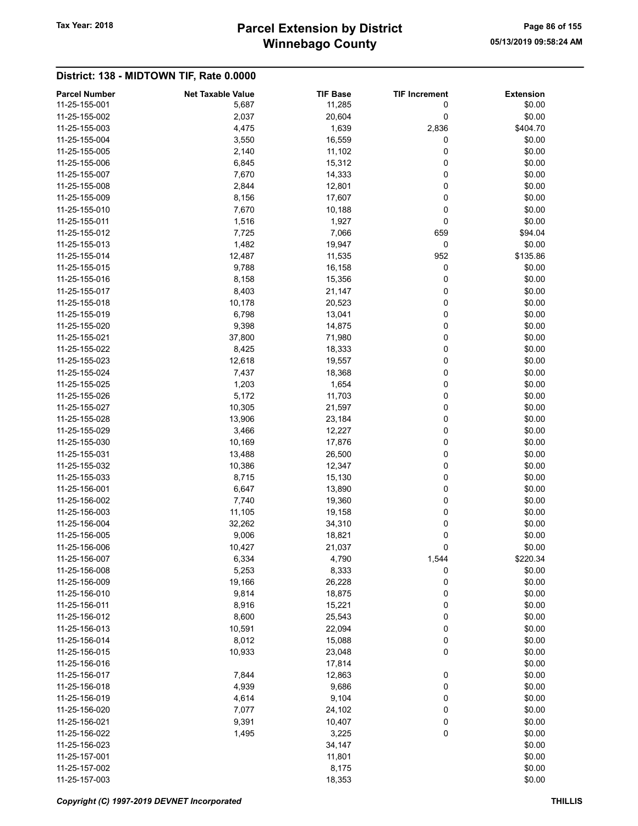## Winnebago County Tax Year: 2018 **Parcel Extension by District** Page 86 of 155

| <b>Parcel Number</b> | <b>Net Taxable Value</b> | <b>TIF Base</b> | <b>TIF Increment</b> | <b>Extension</b> |
|----------------------|--------------------------|-----------------|----------------------|------------------|
| 11-25-155-001        | 5,687                    | 11,285          | 0                    | \$0.00           |
| 11-25-155-002        | 2,037                    | 20,604          | 0                    | \$0.00           |
| 11-25-155-003        | 4,475                    | 1,639           | 2,836                | \$404.70         |
| 11-25-155-004        | 3,550                    | 16,559          | 0                    | \$0.00           |
| 11-25-155-005        | 2,140                    | 11,102          | 0                    | \$0.00           |
| 11-25-155-006        | 6,845                    | 15,312          | 0                    | \$0.00           |
| 11-25-155-007        | 7,670                    | 14,333          | 0                    | \$0.00           |
| 11-25-155-008        | 2,844                    | 12,801          | 0                    | \$0.00           |
| 11-25-155-009        | 8,156                    | 17,607          | 0                    | \$0.00           |
| 11-25-155-010        | 7,670                    | 10,188          | 0                    | \$0.00           |
| 11-25-155-011        | 1,516                    | 1,927           | 0                    | \$0.00           |
| 11-25-155-012        | 7,725                    | 7,066           | 659                  | \$94.04          |
| 11-25-155-013        | 1,482                    | 19,947          | 0                    | \$0.00           |
| 11-25-155-014        | 12,487                   | 11,535          | 952                  | \$135.86         |
| 11-25-155-015        | 9,788                    | 16,158          | 0                    | \$0.00           |
| 11-25-155-016        | 8,158                    | 15,356          | 0                    | \$0.00           |
| 11-25-155-017        | 8,403                    | 21,147          | 0                    | \$0.00           |
| 11-25-155-018        | 10,178                   | 20,523          | 0                    | \$0.00           |
| 11-25-155-019        | 6,798                    | 13,041          | 0                    | \$0.00           |
| 11-25-155-020        | 9,398                    | 14,875          | 0                    | \$0.00           |
| 11-25-155-021        | 37,800                   | 71,980          | 0                    | \$0.00           |
| 11-25-155-022        | 8,425                    | 18,333          | 0                    | \$0.00           |
| 11-25-155-023        | 12,618                   | 19,557          | 0                    | \$0.00           |
| 11-25-155-024        | 7,437                    | 18,368          | 0                    | \$0.00           |
| 11-25-155-025        | 1,203                    | 1,654           | 0                    | \$0.00           |
| 11-25-155-026        | 5,172                    | 11,703          | 0                    | \$0.00           |
| 11-25-155-027        | 10,305                   | 21,597          | 0                    | \$0.00           |
| 11-25-155-028        | 13,906                   | 23,184          | 0                    | \$0.00           |
| 11-25-155-029        | 3,466                    | 12,227          | 0                    | \$0.00           |
| 11-25-155-030        | 10,169                   | 17,876          | 0                    | \$0.00           |
| 11-25-155-031        | 13,488                   | 26,500          | 0                    | \$0.00           |
| 11-25-155-032        | 10,386                   | 12,347          | 0                    | \$0.00           |
| 11-25-155-033        | 8,715                    | 15,130          | 0                    | \$0.00           |
| 11-25-156-001        | 6,647                    | 13,890          | 0                    | \$0.00           |
| 11-25-156-002        | 7,740                    | 19,360          | 0                    | \$0.00           |
| 11-25-156-003        | 11,105                   | 19,158          | 0                    | \$0.00           |
| 11-25-156-004        | 32,262                   | 34,310          | 0                    | \$0.00           |
| 11-25-156-005        | 9,006                    | 18,821          | 0                    | \$0.00           |
| 11-25-156-006        | 10,427                   | 21,037          | 0                    | \$0.00           |
| 11-25-156-007        | 6,334                    | 4,790           | 1,544                | \$220.34         |
| 11-25-156-008        | 5,253                    | 8,333           | 0                    | \$0.00           |
| 11-25-156-009        | 19,166                   | 26,228          | 0                    | \$0.00           |
| 11-25-156-010        | 9,814                    | 18,875          | 0                    | \$0.00           |
| 11-25-156-011        | 8,916                    | 15,221          | 0                    | \$0.00           |
| 11-25-156-012        | 8,600                    | 25,543          | 0                    | \$0.00           |
| 11-25-156-013        | 10,591                   | 22,094          | 0                    | \$0.00           |
| 11-25-156-014        | 8,012                    | 15,088          | 0                    | \$0.00           |
| 11-25-156-015        | 10,933                   | 23,048          | 0                    | \$0.00           |
| 11-25-156-016        |                          | 17,814          |                      | \$0.00           |
| 11-25-156-017        | 7,844                    | 12,863          | 0                    | \$0.00           |
| 11-25-156-018        | 4,939                    | 9,686           | 0                    | \$0.00           |
| 11-25-156-019        | 4,614                    | 9,104           | 0                    | \$0.00           |
| 11-25-156-020        | 7,077                    | 24,102          | 0                    | \$0.00           |
| 11-25-156-021        | 9,391                    | 10,407          | 0                    | \$0.00           |
| 11-25-156-022        | 1,495                    | 3,225           | 0                    | \$0.00           |
| 11-25-156-023        |                          | 34,147          |                      | \$0.00           |
| 11-25-157-001        |                          | 11,801          |                      | \$0.00           |
| 11-25-157-002        |                          | 8,175           |                      | \$0.00           |
| 11-25-157-003        |                          | 18,353          |                      | \$0.00           |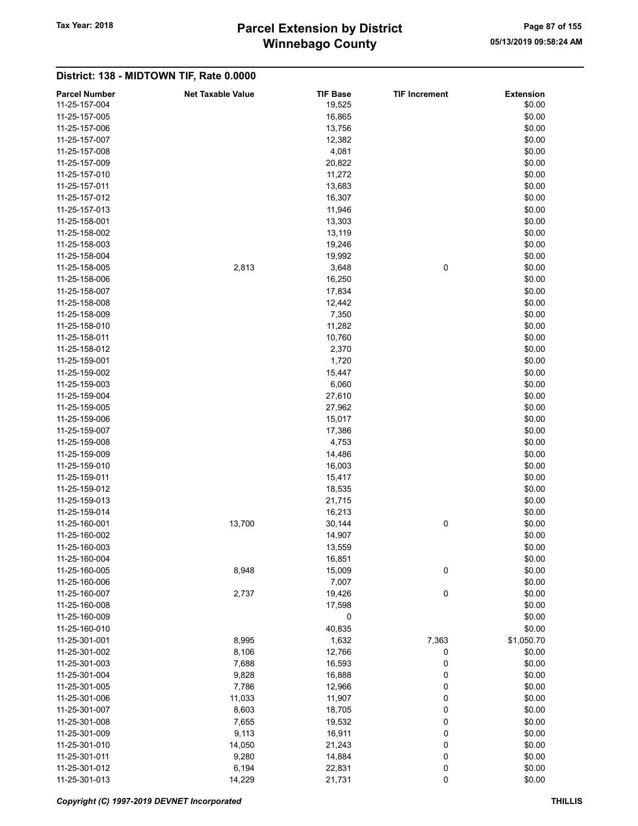## Winnebago County Tax Year: 2018 **Parcel Extension by District** Page 87 of 155

| <b>Parcel Number</b> | <b>Net Taxable Value</b> | <b>TIF Base</b> | <b>TIF Increment</b> | <b>Extension</b> |
|----------------------|--------------------------|-----------------|----------------------|------------------|
| 11-25-157-004        |                          | 19,525          |                      | \$0.00           |
| 11-25-157-005        |                          | 16,865          |                      | \$0.00           |
| 11-25-157-006        |                          | 13,756          |                      | \$0.00           |
| 11-25-157-007        |                          |                 |                      | \$0.00           |
|                      |                          | 12,382<br>4,081 |                      |                  |
| 11-25-157-008        |                          |                 |                      | \$0.00           |
| 11-25-157-009        |                          | 20,822          |                      | \$0.00           |
| 11-25-157-010        |                          | 11,272          |                      | \$0.00           |
| 11-25-157-011        |                          | 13,683          |                      | \$0.00           |
| 11-25-157-012        |                          | 16,307          |                      | \$0.00           |
| 11-25-157-013        |                          | 11,946          |                      | \$0.00           |
| 11-25-158-001        |                          | 13,303          |                      | \$0.00           |
| 11-25-158-002        |                          | 13,119          |                      | \$0.00           |
| 11-25-158-003        |                          | 19,246          |                      | \$0.00           |
| 11-25-158-004        |                          | 19,992          |                      | \$0.00           |
| 11-25-158-005        | 2,813                    | 3,648           | 0                    | \$0.00           |
| 11-25-158-006        |                          | 16,250          |                      | \$0.00           |
| 11-25-158-007        |                          | 17,834          |                      | \$0.00           |
| 11-25-158-008        |                          | 12,442          |                      | \$0.00           |
| 11-25-158-009        |                          | 7,350           |                      | \$0.00           |
| 11-25-158-010        |                          | 11,282          |                      | \$0.00           |
| 11-25-158-011        |                          | 10,760          |                      | \$0.00           |
| 11-25-158-012        |                          | 2,370           |                      | \$0.00           |
| 11-25-159-001        |                          | 1,720           |                      | \$0.00           |
| 11-25-159-002        |                          | 15,447          |                      | \$0.00           |
| 11-25-159-003        |                          | 6,060           |                      | \$0.00           |
| 11-25-159-004        |                          | 27,610          |                      | \$0.00           |
| 11-25-159-005        |                          | 27,962          |                      | \$0.00           |
| 11-25-159-006        |                          | 15,017          |                      | \$0.00           |
| 11-25-159-007        |                          | 17,386          |                      | \$0.00           |
| 11-25-159-008        |                          | 4,753           |                      | \$0.00           |
|                      |                          |                 |                      |                  |
| 11-25-159-009        |                          | 14,486          |                      | \$0.00           |
| 11-25-159-010        |                          | 16,003          |                      | \$0.00           |
| 11-25-159-011        |                          | 15,417          |                      | \$0.00           |
| 11-25-159-012        |                          | 18,535          |                      | \$0.00           |
| 11-25-159-013        |                          | 21,715          |                      | \$0.00           |
| 11-25-159-014        |                          | 16,213          |                      | \$0.00           |
| 11-25-160-001        | 13,700                   | 30,144          | 0                    | \$0.00           |
| 11-25-160-002        |                          | 14,907          |                      | \$0.00           |
| 11-25-160-003        |                          | 13,559          |                      | \$0.00           |
| 11-25-160-004        |                          | 16,851          |                      | \$0.00           |
| 11-25-160-005        | 8,948                    | 15,009          | 0                    | \$0.00           |
| 11-25-160-006        |                          | 7,007           |                      | \$0.00           |
| 11-25-160-007        | 2,737                    | 19,426          | 0                    | \$0.00           |
| 11-25-160-008        |                          | 17,598          |                      | \$0.00           |
| 11-25-160-009        |                          | 0               |                      | \$0.00           |
| 11-25-160-010        |                          | 40,835          |                      | \$0.00           |
| 11-25-301-001        | 8,995                    | 1,632           | 7,363                | \$1,050.70       |
| 11-25-301-002        | 8,106                    | 12,766          | 0                    | \$0.00           |
| 11-25-301-003        | 7,688                    | 16,593          | 0                    | \$0.00           |
| 11-25-301-004        | 9,828                    | 16,888          | 0                    | \$0.00           |
| 11-25-301-005        | 7,786                    | 12,966          | 0                    | \$0.00           |
| 11-25-301-006        | 11,033                   | 11,907          | $\bf{0}$             | \$0.00           |
| 11-25-301-007        | 8,603                    | 18,705          | 0                    | \$0.00           |
| 11-25-301-008        | 7,655                    | 19,532          | 0                    | \$0.00           |
| 11-25-301-009        | 9,113                    | 16,911          | 0                    | \$0.00           |
| 11-25-301-010        | 14,050                   | 21,243          | 0                    | \$0.00           |
| 11-25-301-011        | 9,280                    | 14,884          | $\bf{0}$             | \$0.00           |
| 11-25-301-012        | 6,194                    | 22,831          | $\bf{0}$             | \$0.00           |
| 11-25-301-013        | 14,229                   | 21,731          | 0                    | \$0.00           |
|                      |                          |                 |                      |                  |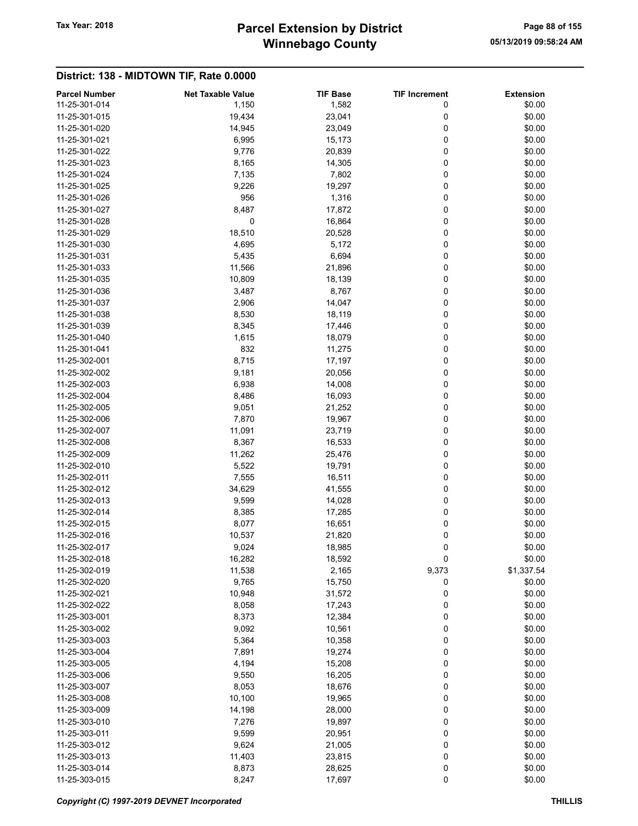## Winnebago County Tax Year: 2018 **Parcel Extension by District** Page 88 of 155

| <b>Parcel Number</b> |                                   |                          |                           |                            |
|----------------------|-----------------------------------|--------------------------|---------------------------|----------------------------|
| 11-25-301-014        | <b>Net Taxable Value</b><br>1,150 | <b>TIF Base</b><br>1,582 | <b>TIF Increment</b><br>0 | <b>Extension</b><br>\$0.00 |
| 11-25-301-015        | 19,434                            | 23,041                   | 0                         | \$0.00                     |
|                      | 14,945                            |                          | 0                         |                            |
| 11-25-301-020        |                                   | 23,049                   |                           | \$0.00                     |
| 11-25-301-021        | 6,995                             | 15,173                   | 0                         | \$0.00                     |
| 11-25-301-022        | 9,776                             | 20,839                   | 0                         | \$0.00                     |
| 11-25-301-023        | 8,165                             | 14,305                   | 0                         | \$0.00                     |
| 11-25-301-024        | 7,135                             | 7,802                    | 0                         | \$0.00                     |
| 11-25-301-025        | 9,226                             | 19,297                   | 0                         | \$0.00                     |
| 11-25-301-026        | 956                               | 1,316                    | 0                         | \$0.00                     |
| 11-25-301-027        | 8,487                             | 17,872                   | 0                         | \$0.00                     |
| 11-25-301-028        | 0                                 | 16,864                   | 0                         | \$0.00                     |
| 11-25-301-029        | 18,510                            | 20,528                   | 0                         | \$0.00                     |
| 11-25-301-030        | 4,695                             | 5,172                    | 0                         | \$0.00                     |
| 11-25-301-031        | 5,435                             | 6,694                    | 0                         | \$0.00                     |
| 11-25-301-033        | 11,566                            | 21,896                   | 0                         | \$0.00                     |
| 11-25-301-035        | 10,809                            | 18,139                   | 0                         | \$0.00                     |
| 11-25-301-036        | 3,487                             | 8,767                    | 0                         | \$0.00                     |
| 11-25-301-037        | 2,906                             | 14,047                   | 0                         | \$0.00                     |
| 11-25-301-038        | 8,530                             | 18,119                   | 0                         | \$0.00                     |
| 11-25-301-039        | 8,345                             | 17,446                   | 0                         | \$0.00                     |
| 11-25-301-040        | 1,615                             | 18,079                   | 0                         | \$0.00                     |
| 11-25-301-041        | 832                               | 11,275                   | 0                         | \$0.00                     |
| 11-25-302-001        | 8,715                             | 17,197                   | 0                         | \$0.00                     |
| 11-25-302-002        | 9,181                             | 20,056                   | 0                         | \$0.00                     |
| 11-25-302-003        | 6,938                             | 14,008                   | 0                         | \$0.00                     |
| 11-25-302-004        | 8,486                             | 16,093                   | 0                         | \$0.00                     |
| 11-25-302-005        | 9,051                             | 21,252                   | 0                         | \$0.00                     |
| 11-25-302-006        | 7,870                             | 19,967                   | 0                         | \$0.00                     |
| 11-25-302-007        | 11,091                            | 23,719                   | 0                         | \$0.00                     |
| 11-25-302-008        | 8,367                             | 16,533                   | 0                         | \$0.00                     |
| 11-25-302-009        | 11,262                            | 25,476                   | 0                         | \$0.00                     |
| 11-25-302-010        | 5,522                             | 19,791                   | 0                         | \$0.00                     |
| 11-25-302-011        | 7,555                             | 16,511                   | 0                         | \$0.00                     |
| 11-25-302-012        | 34,629                            | 41,555                   | 0                         | \$0.00                     |
| 11-25-302-013        | 9,599                             | 14,028                   | 0                         | \$0.00                     |
| 11-25-302-014        | 8,385                             | 17,285                   | 0                         | \$0.00                     |
| 11-25-302-015        | 8,077                             | 16,651                   | 0                         | \$0.00                     |
| 11-25-302-016        | 10,537                            | 21,820                   | 0                         | \$0.00                     |
| 11-25-302-017        | 9,024                             | 18,985                   | $\mathbf 0$               | \$0.00                     |
| 11-25-302-018        | 16,282                            | 18,592                   | 0                         | \$0.00                     |
| 11-25-302-019        | 11,538                            | 2,165                    | 9,373                     | \$1,337.54                 |
| 11-25-302-020        | 9,765                             | 15,750                   | 0                         | \$0.00                     |
| 11-25-302-021        |                                   |                          | 0                         | \$0.00                     |
| 11-25-302-022        | 10,948                            | 31,572                   |                           | \$0.00                     |
| 11-25-303-001        | 8,058                             | 17,243                   | 0<br>0                    |                            |
|                      | 8,373                             | 12,384                   |                           | \$0.00                     |
| 11-25-303-002        | 9,092                             | 10,561                   | 0                         | \$0.00                     |
| 11-25-303-003        | 5,364                             | 10,358                   | 0                         | \$0.00                     |
| 11-25-303-004        | 7,891                             | 19,274                   | 0                         | \$0.00                     |
| 11-25-303-005        | 4,194                             | 15,208                   | 0                         | \$0.00                     |
| 11-25-303-006        | 9,550                             | 16,205                   | 0                         | \$0.00                     |
| 11-25-303-007        | 8,053                             | 18,676                   | 0                         | \$0.00                     |
| 11-25-303-008        | 10,100                            | 19,965                   | 0                         | \$0.00                     |
| 11-25-303-009        | 14,198                            | 28,000                   | 0                         | \$0.00                     |
| 11-25-303-010        | 7,276                             | 19,897                   | 0                         | \$0.00                     |
| 11-25-303-011        | 9,599                             | 20,951                   | 0                         | \$0.00                     |
| 11-25-303-012        | 9,624                             | 21,005                   | 0                         | \$0.00                     |
| 11-25-303-013        | 11,403                            | 23,815                   | 0                         | \$0.00                     |
| 11-25-303-014        | 8,873                             | 28,625                   | 0                         | \$0.00                     |
| 11-25-303-015        | 8,247                             | 17,697                   | $\pmb{0}$                 | \$0.00                     |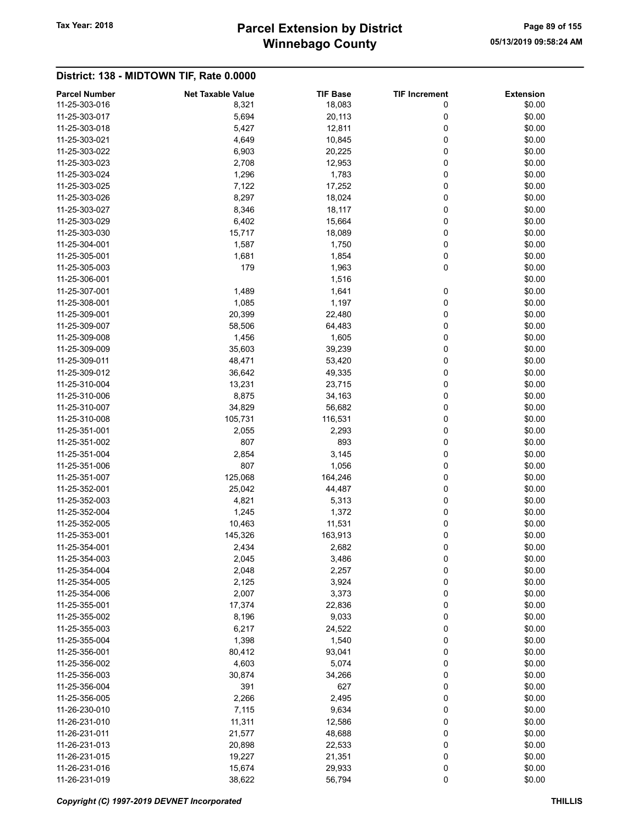## Winnebago County Tax Year: 2018 **Parcel Extension by District** Page 89 of 155

| <b>Parcel Number</b> | <b>Net Taxable Value</b> | <b>TIF Base</b> | <b>TIF Increment</b> | <b>Extension</b> |
|----------------------|--------------------------|-----------------|----------------------|------------------|
| 11-25-303-016        | 8,321                    | 18,083          | 0                    | \$0.00           |
| 11-25-303-017        | 5,694                    | 20,113          | 0                    | \$0.00           |
| 11-25-303-018        | 5,427                    | 12,811          | 0                    | \$0.00           |
| 11-25-303-021        | 4,649                    | 10,845          | 0                    | \$0.00           |
| 11-25-303-022        | 6,903                    | 20,225          | 0                    | \$0.00           |
| 11-25-303-023        | 2,708                    | 12,953          | 0                    | \$0.00           |
| 11-25-303-024        | 1,296                    | 1,783           | 0                    | \$0.00           |
| 11-25-303-025        | 7,122                    | 17,252          | 0                    | \$0.00           |
| 11-25-303-026        | 8,297                    | 18,024          | 0                    | \$0.00           |
| 11-25-303-027        | 8,346                    | 18,117          | 0                    | \$0.00           |
| 11-25-303-029        | 6,402                    | 15,664          | 0                    | \$0.00           |
| 11-25-303-030        | 15,717                   | 18,089          | 0                    | \$0.00           |
| 11-25-304-001        | 1,587                    | 1,750           | 0                    | \$0.00           |
| 11-25-305-001        | 1,681                    | 1,854           | 0                    | \$0.00           |
| 11-25-305-003        | 179                      | 1,963           | 0                    | \$0.00           |
| 11-25-306-001        |                          | 1,516           |                      | \$0.00           |
| 11-25-307-001        | 1,489                    | 1,641           | 0                    | \$0.00           |
| 11-25-308-001        | 1,085                    | 1,197           | 0                    | \$0.00           |
| 11-25-309-001        | 20,399                   | 22,480          | 0                    | \$0.00           |
| 11-25-309-007        | 58,506                   | 64,483          | 0                    | \$0.00           |
| 11-25-309-008        | 1,456                    | 1,605           | 0                    | \$0.00           |
| 11-25-309-009        | 35,603                   | 39,239          | 0                    | \$0.00           |
| 11-25-309-011        | 48,471                   | 53,420          | 0                    | \$0.00           |
| 11-25-309-012        | 36,642                   | 49,335          | 0                    | \$0.00           |
| 11-25-310-004        | 13,231                   | 23,715          | 0                    | \$0.00           |
| 11-25-310-006        |                          |                 | 0                    | \$0.00           |
|                      | 8,875                    | 34,163          |                      |                  |
| 11-25-310-007        | 34,829                   | 56,682          | 0                    | \$0.00           |
| 11-25-310-008        | 105,731                  | 116,531         | 0                    | \$0.00           |
| 11-25-351-001        | 2,055                    | 2,293           | 0                    | \$0.00           |
| 11-25-351-002        | 807                      | 893             | 0                    | \$0.00           |
| 11-25-351-004        | 2,854                    | 3,145           | 0                    | \$0.00           |
| 11-25-351-006        | 807                      | 1,056           | 0                    | \$0.00           |
| 11-25-351-007        | 125,068                  | 164,246         | 0                    | \$0.00           |
| 11-25-352-001        | 25,042                   | 44,487          | 0                    | \$0.00           |
| 11-25-352-003        | 4,821                    | 5,313           | 0                    | \$0.00           |
| 11-25-352-004        | 1,245                    | 1,372           | 0                    | \$0.00           |
| 11-25-352-005        | 10,463                   | 11,531          | 0                    | \$0.00           |
| 11-25-353-001        | 145,326                  | 163,913         | 0                    | \$0.00           |
| 11-25-354-001        | 2,434                    | 2,682           | 0                    | \$0.00           |
| 11-25-354-003        | 2,045                    | 3,486           | 0                    | \$0.00           |
| 11-25-354-004        | 2,048                    | 2,257           | 0                    | \$0.00           |
| 11-25-354-005        | 2,125                    | 3,924           | 0                    | \$0.00           |
| 11-25-354-006        | 2,007                    | 3,373           | 0                    | \$0.00           |
| 11-25-355-001        | 17,374                   | 22,836          | 0                    | \$0.00           |
| 11-25-355-002        | 8,196                    | 9,033           | 0                    | \$0.00           |
| 11-25-355-003        | 6,217                    | 24,522          | 0                    | \$0.00           |
| 11-25-355-004        | 1,398                    | 1,540           | 0                    | \$0.00           |
| 11-25-356-001        | 80,412                   | 93,041          | 0                    | \$0.00           |
| 11-25-356-002        | 4,603                    | 5,074           | 0                    | \$0.00           |
| 11-25-356-003        | 30,874                   | 34,266          | 0                    | \$0.00           |
| 11-25-356-004        | 391                      | 627             | 0                    | \$0.00           |
| 11-25-356-005        | 2,266                    | 2,495           | 0                    | \$0.00           |
| 11-26-230-010        | 7,115                    | 9,634           | 0                    | \$0.00           |
| 11-26-231-010        | 11,311                   | 12,586          | 0                    | \$0.00           |
| 11-26-231-011        | 21,577                   | 48,688          | 0                    | \$0.00           |
| 11-26-231-013        | 20,898                   | 22,533          | 0                    | \$0.00           |
| 11-26-231-015        | 19,227                   | 21,351          | 0                    | \$0.00           |
| 11-26-231-016        | 15,674                   | 29,933          | 0                    | \$0.00           |
| 11-26-231-019        | 38,622                   | 56,794          | 0                    | \$0.00           |
|                      |                          |                 |                      |                  |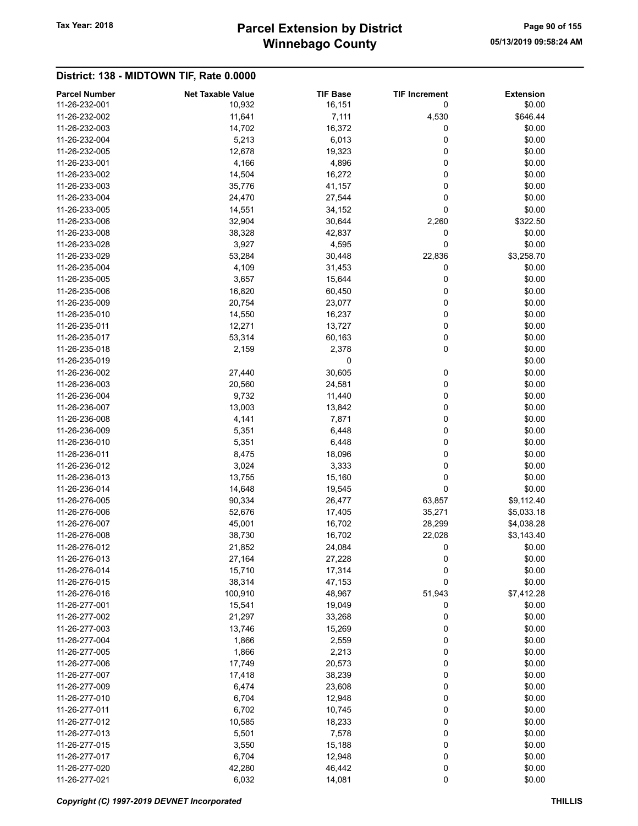## Winnebago County Tax Year: 2018 **Parcel Extension by District** Page 90 of 155

|                                       |                                    |                           |                           | <b>Extension</b> |
|---------------------------------------|------------------------------------|---------------------------|---------------------------|------------------|
| <b>Parcel Number</b><br>11-26-232-001 | <b>Net Taxable Value</b><br>10,932 | <b>TIF Base</b><br>16,151 | <b>TIF Increment</b><br>0 | \$0.00           |
| 11-26-232-002                         | 11,641                             | 7,111                     | 4,530                     | \$646.44         |
| 11-26-232-003                         | 14,702                             | 16,372                    | 0                         | \$0.00           |
| 11-26-232-004                         | 5,213                              | 6,013                     | 0                         | \$0.00           |
| 11-26-232-005                         | 12,678                             | 19,323                    | 0                         | \$0.00           |
| 11-26-233-001                         | 4,166                              | 4,896                     | 0                         | \$0.00           |
| 11-26-233-002                         | 14,504                             | 16,272                    | 0                         | \$0.00           |
| 11-26-233-003                         | 35,776                             | 41,157                    | 0                         | \$0.00           |
| 11-26-233-004                         | 24,470                             | 27,544                    | 0                         | \$0.00           |
| 11-26-233-005                         | 14,551                             | 34,152                    | 0                         | \$0.00           |
| 11-26-233-006                         | 32,904                             | 30,644                    | 2,260                     | \$322.50         |
| 11-26-233-008                         | 38,328                             | 42,837                    | 0                         | \$0.00           |
| 11-26-233-028                         | 3,927                              | 4,595                     | 0                         | \$0.00           |
| 11-26-233-029                         | 53,284                             | 30,448                    | 22,836                    | \$3,258.70       |
| 11-26-235-004                         | 4,109                              | 31,453                    | 0                         | \$0.00           |
| 11-26-235-005                         | 3,657                              | 15,644                    | 0                         | \$0.00           |
| 11-26-235-006                         | 16,820                             | 60,450                    | 0                         | \$0.00           |
| 11-26-235-009                         | 20,754                             | 23,077                    | 0                         | \$0.00           |
| 11-26-235-010                         |                                    |                           | 0                         | \$0.00           |
| 11-26-235-011                         | 14,550<br>12,271                   | 16,237<br>13,727          | 0                         |                  |
|                                       |                                    |                           |                           | \$0.00           |
| 11-26-235-017                         | 53,314                             | 60,163                    | 0                         | \$0.00           |
| 11-26-235-018                         | 2,159                              | 2,378                     | 0                         | \$0.00           |
| 11-26-235-019                         |                                    | 0                         |                           | \$0.00           |
| 11-26-236-002                         | 27,440                             | 30,605                    | 0                         | \$0.00           |
| 11-26-236-003                         | 20,560                             | 24,581                    | 0                         | \$0.00           |
| 11-26-236-004                         | 9,732                              | 11,440                    | 0                         | \$0.00           |
| 11-26-236-007                         | 13,003                             | 13,842                    | 0                         | \$0.00           |
| 11-26-236-008                         | 4,141                              | 7,871                     | 0                         | \$0.00           |
| 11-26-236-009                         | 5,351                              | 6,448                     | 0                         | \$0.00           |
| 11-26-236-010                         | 5,351                              | 6,448                     | 0                         | \$0.00           |
| 11-26-236-011                         | 8,475                              | 18,096                    | 0                         | \$0.00           |
| 11-26-236-012                         | 3,024                              | 3,333                     | 0                         | \$0.00           |
| 11-26-236-013                         | 13,755                             | 15,160                    | 0                         | \$0.00           |
| 11-26-236-014                         | 14,648                             | 19,545                    | 0                         | \$0.00           |
| 11-26-276-005                         | 90,334                             | 26,477                    | 63,857                    | \$9,112.40       |
| 11-26-276-006                         | 52,676                             | 17,405                    | 35,271                    | \$5,033.18       |
| 11-26-276-007                         | 45,001                             | 16,702                    | 28,299                    | \$4,038.28       |
| 11-26-276-008                         | 38,730                             | 16,702                    | 22,028                    | \$3,143.40       |
| 11-26-276-012                         | 21,852                             | 24,084                    | 0                         | \$0.00           |
| 11-26-276-013                         | 27,164                             | 27,228                    | 0                         | \$0.00           |
| 11-26-276-014                         | 15,710                             | 17,314                    | $\mathbf 0$               | \$0.00           |
| 11-26-276-015                         | 38,314                             | 47,153                    | 0                         | \$0.00           |
| 11-26-276-016                         | 100,910                            | 48,967                    | 51,943                    | \$7,412.28       |
| 11-26-277-001                         | 15,541                             | 19,049                    | 0                         | \$0.00           |
| 11-26-277-002                         | 21,297                             | 33,268                    | 0                         | \$0.00           |
| 11-26-277-003                         | 13,746                             | 15,269                    | 0                         | \$0.00           |
| 11-26-277-004                         | 1,866                              | 2,559                     | 0                         | \$0.00           |
| 11-26-277-005                         | 1,866                              | 2,213                     | 0                         | \$0.00           |
| 11-26-277-006                         | 17,749                             | 20,573                    | 0                         | \$0.00           |
| 11-26-277-007                         | 17,418                             | 38,239                    | 0                         | \$0.00           |
| 11-26-277-009                         | 6,474                              | 23,608                    | 0                         | \$0.00           |
| 11-26-277-010                         | 6,704                              | 12,948                    | 0                         | \$0.00           |
| 11-26-277-011                         | 6,702                              | 10,745                    | 0                         | \$0.00           |
| 11-26-277-012                         | 10,585                             | 18,233                    | 0                         | \$0.00           |
| 11-26-277-013                         | 5,501                              | 7,578                     | 0                         | \$0.00           |
| 11-26-277-015                         | 3,550                              | 15,188                    | 0                         | \$0.00           |
| 11-26-277-017                         | 6,704                              | 12,948                    | 0                         | \$0.00           |
| 11-26-277-020                         | 42,280                             | 46,442                    | 0                         | \$0.00           |
| 11-26-277-021                         | 6,032                              | 14,081                    | $\pmb{0}$                 | \$0.00           |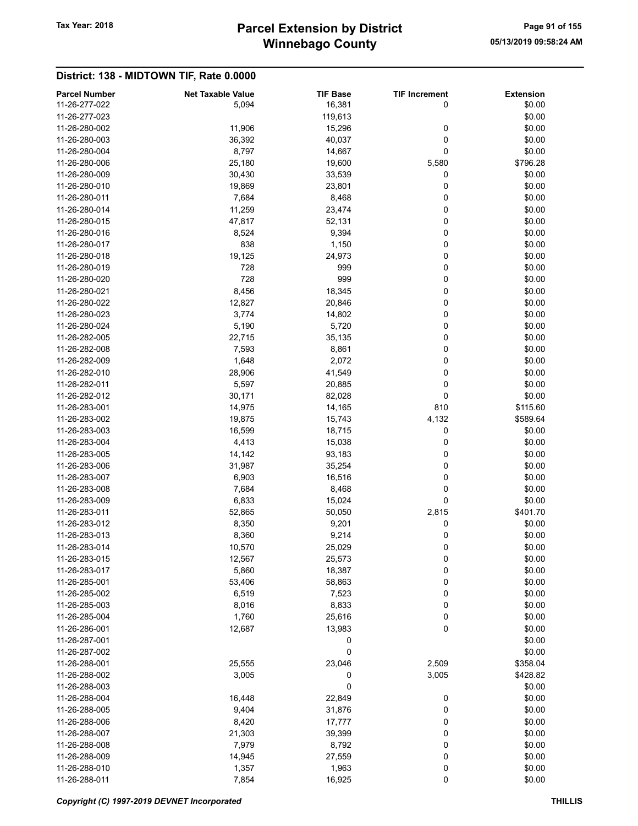## Winnebago County Tax Year: 2018 **Parcel Extension by District** Page 91 of 155

| <b>Parcel Number</b> | <b>Net Taxable Value</b> | <b>TIF Base</b> | <b>TIF Increment</b> | <b>Extension</b> |
|----------------------|--------------------------|-----------------|----------------------|------------------|
| 11-26-277-022        | 5,094                    | 16,381          | 0                    | \$0.00           |
| 11-26-277-023        |                          | 119,613         |                      | \$0.00           |
| 11-26-280-002        | 11,906                   | 15,296          | 0                    | \$0.00           |
|                      |                          |                 |                      |                  |
| 11-26-280-003        | 36,392                   | 40,037          | 0                    | \$0.00           |
| 11-26-280-004        | 8,797                    | 14,667          | 0                    | \$0.00           |
| 11-26-280-006        | 25,180                   | 19,600          | 5,580                | \$796.28         |
| 11-26-280-009        | 30,430                   | 33,539          | 0                    | \$0.00           |
| 11-26-280-010        | 19,869                   | 23,801          | 0                    | \$0.00           |
| 11-26-280-011        | 7,684                    | 8,468           | 0                    | \$0.00           |
| 11-26-280-014        | 11,259                   | 23,474          | 0                    | \$0.00           |
| 11-26-280-015        | 47,817                   | 52,131          | 0                    | \$0.00           |
| 11-26-280-016        | 8,524                    | 9,394           | 0                    | \$0.00           |
| 11-26-280-017        | 838                      | 1,150           | 0                    | \$0.00           |
| 11-26-280-018        | 19,125                   | 24,973          | 0                    | \$0.00           |
| 11-26-280-019        | 728                      | 999             | 0                    | \$0.00           |
| 11-26-280-020        | 728                      | 999             | 0                    | \$0.00           |
| 11-26-280-021        | 8,456                    | 18,345          | 0                    | \$0.00           |
| 11-26-280-022        | 12,827                   | 20,846          | 0                    | \$0.00           |
| 11-26-280-023        | 3,774                    | 14,802          | 0                    | \$0.00           |
| 11-26-280-024        | 5,190                    | 5,720           | 0                    | \$0.00           |
| 11-26-282-005        | 22,715                   | 35,135          | 0                    | \$0.00           |
| 11-26-282-008        | 7,593                    | 8,861           | 0                    | \$0.00           |
| 11-26-282-009        | 1,648                    | 2,072           | 0                    | \$0.00           |
| 11-26-282-010        | 28,906                   | 41,549          | 0                    | \$0.00           |
| 11-26-282-011        | 5,597                    | 20,885          | 0                    | \$0.00           |
| 11-26-282-012        | 30,171                   | 82,028          | 0                    | \$0.00           |
| 11-26-283-001        | 14,975                   | 14,165          | 810                  |                  |
|                      |                          |                 |                      | \$115.60         |
| 11-26-283-002        | 19,875                   | 15,743          | 4,132                | \$589.64         |
| 11-26-283-003        | 16,599                   | 18,715          | 0                    | \$0.00           |
| 11-26-283-004        | 4,413                    | 15,038          | 0                    | \$0.00           |
| 11-26-283-005        | 14,142                   | 93,183          | 0                    | \$0.00           |
| 11-26-283-006        | 31,987                   | 35,254          | 0                    | \$0.00           |
| 11-26-283-007        | 6,903                    | 16,516          | 0                    | \$0.00           |
| 11-26-283-008        | 7,684                    | 8,468           | 0                    | \$0.00           |
| 11-26-283-009        | 6,833                    | 15,024          | 0                    | \$0.00           |
| 11-26-283-011        | 52,865                   | 50,050          | 2,815                | \$401.70         |
| 11-26-283-012        | 8,350                    | 9,201           | 0                    | \$0.00           |
| 11-26-283-013        | 8,360                    | 9,214           | 0                    | \$0.00           |
| 11-26-283-014        | 10,570                   | 25,029          | 0                    | \$0.00           |
| 11-26-283-015        | 12,567                   | 25,573          | 0                    | \$0.00           |
| 11-26-283-017        | 5,860                    | 18,387          | $\mathbf 0$          | \$0.00           |
| 11-26-285-001        | 53,406                   | 58,863          | 0                    | \$0.00           |
| 11-26-285-002        | 6,519                    | 7,523           | 0                    | \$0.00           |
| 11-26-285-003        | 8,016                    | 8,833           | 0                    | \$0.00           |
| 11-26-285-004        | 1,760                    | 25,616          | 0                    | \$0.00           |
| 11-26-286-001        | 12,687                   | 13,983          | 0                    | \$0.00           |
| 11-26-287-001        |                          | 0               |                      | \$0.00           |
| 11-26-287-002        |                          | 0               |                      | \$0.00           |
| 11-26-288-001        | 25,555                   | 23,046          | 2,509                | \$358.04         |
| 11-26-288-002        | 3,005                    | 0               | 3,005                | \$428.82         |
| 11-26-288-003        |                          | 0               |                      | \$0.00           |
| 11-26-288-004        | 16,448                   | 22,849          | 0                    | \$0.00           |
| 11-26-288-005        | 9,404                    | 31,876          | 0                    | \$0.00           |
| 11-26-288-006        | 8,420                    | 17,777          | 0                    | \$0.00           |
| 11-26-288-007        | 21,303                   | 39,399          | 0                    | \$0.00           |
| 11-26-288-008        | 7,979                    | 8,792           | 0                    | \$0.00           |
|                      |                          |                 |                      | \$0.00           |
| 11-26-288-009        | 14,945                   | 27,559          | 0                    |                  |
| 11-26-288-010        | 1,357                    | 1,963           | 0                    | \$0.00           |
| 11-26-288-011        | 7,854                    | 16,925          | 0                    | \$0.00           |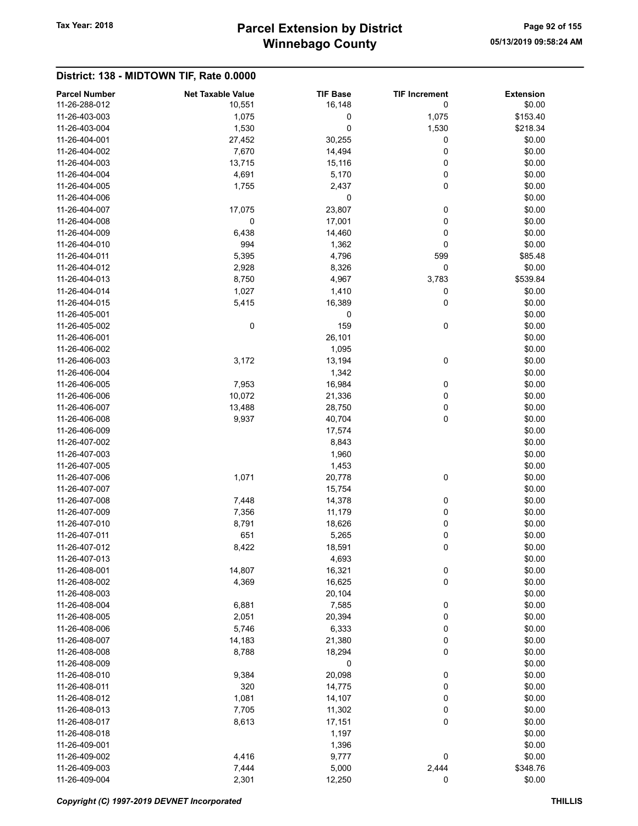## Winnebago County Tax Year: 2018 **Parcel Extension by District** Page 92 of 155

| <b>Parcel Number</b>           | <b>Net Taxable Value</b> | <b>TIF Base</b> | <b>TIF Increment</b> | <b>Extension</b> |
|--------------------------------|--------------------------|-----------------|----------------------|------------------|
| 11-26-288-012                  | 10,551                   | 16,148          | 0                    | \$0.00           |
| 11-26-403-003                  | 1,075                    | 0               | 1,075                | \$153.40         |
| 11-26-403-004                  | 1,530                    | 0               | 1,530                | \$218.34         |
| 11-26-404-001                  | 27,452                   | 30,255          | 0                    | \$0.00           |
| 11-26-404-002                  | 7,670                    | 14,494          | 0                    | \$0.00           |
| 11-26-404-003                  | 13,715                   | 15,116          | 0                    | \$0.00           |
| 11-26-404-004                  | 4,691                    | 5,170           | 0                    | \$0.00           |
| 11-26-404-005                  | 1,755                    | 2,437           | 0                    | \$0.00           |
| 11-26-404-006                  |                          | 0               |                      | \$0.00           |
| 11-26-404-007                  | 17,075                   | 23,807          | 0                    | \$0.00           |
| 11-26-404-008                  | 0                        | 17,001          | 0                    | \$0.00           |
| 11-26-404-009                  | 6,438                    | 14,460          | 0                    | \$0.00           |
| 11-26-404-010                  | 994                      | 1,362           | 0                    | \$0.00           |
| 11-26-404-011                  | 5,395                    | 4,796           | 599                  | \$85.48          |
| 11-26-404-012                  | 2,928                    | 8,326           | 0                    | \$0.00           |
| 11-26-404-013                  | 8,750                    | 4,967           | 3,783                | \$539.84         |
| 11-26-404-014                  | 1,027                    | 1,410           | 0                    | \$0.00           |
| 11-26-404-015                  | 5,415                    | 16,389          | 0                    | \$0.00           |
| 11-26-405-001                  |                          | 0               |                      | \$0.00           |
| 11-26-405-002                  | 0                        | 159             | 0                    | \$0.00           |
| 11-26-406-001                  |                          | 26,101          |                      | \$0.00           |
| 11-26-406-002                  |                          | 1,095           |                      | \$0.00           |
| 11-26-406-003                  | 3,172                    | 13,194          | 0                    | \$0.00           |
| 11-26-406-004                  |                          | 1,342           |                      | \$0.00           |
| 11-26-406-005                  | 7,953                    | 16,984          | 0                    | \$0.00           |
| 11-26-406-006                  | 10,072                   | 21,336          | 0                    | \$0.00           |
| 11-26-406-007                  | 13,488                   | 28,750          | 0                    | \$0.00           |
| 11-26-406-008                  | 9,937                    | 40,704          | 0                    | \$0.00           |
| 11-26-406-009                  |                          | 17,574          |                      | \$0.00           |
| 11-26-407-002                  |                          | 8,843           |                      | \$0.00           |
| 11-26-407-003                  |                          | 1,960           |                      | \$0.00           |
| 11-26-407-005                  |                          | 1,453           |                      | \$0.00           |
| 11-26-407-006                  | 1,071                    | 20,778          | 0                    | \$0.00           |
| 11-26-407-007                  |                          | 15,754          |                      | \$0.00           |
| 11-26-407-008                  | 7,448                    | 14,378          | 0                    | \$0.00           |
| 11-26-407-009                  | 7,356                    | 11,179          | 0                    | \$0.00           |
| 11-26-407-010                  | 8,791                    | 18,626          | 0                    | \$0.00           |
| 11-26-407-011                  | 651                      |                 | 0                    | \$0.00           |
| 11-26-407-012                  |                          | 5,265           | 0                    |                  |
|                                | 8,422                    | 18,591          |                      | \$0.00           |
| 11-26-407-013<br>11-26-408-001 | 14,807                   | 4,693<br>16,321 |                      | \$0.00           |
| 11-26-408-002                  | 4,369                    | 16,625          | $\pmb{0}$            | \$0.00           |
|                                |                          |                 | 0                    | \$0.00           |
| 11-26-408-003                  |                          | 20,104          |                      | \$0.00           |
| 11-26-408-004<br>11-26-408-005 | 6,881                    | 7,585           | 0                    | \$0.00           |
|                                | 2,051                    | 20,394          | 0                    | \$0.00           |
| 11-26-408-006                  | 5,746                    | 6,333           | 0                    | \$0.00           |
| 11-26-408-007                  | 14,183                   | 21,380          | 0                    | \$0.00           |
| 11-26-408-008                  | 8,788                    | 18,294          | 0                    | \$0.00           |
| 11-26-408-009                  |                          | $\mathbf 0$     |                      | \$0.00           |
| 11-26-408-010                  | 9,384                    | 20,098          | $\pmb{0}$            | \$0.00           |
| 11-26-408-011                  | 320                      | 14,775          | 0                    | \$0.00           |
| 11-26-408-012                  | 1,081                    | 14,107          | 0                    | \$0.00           |
| 11-26-408-013                  | 7,705                    | 11,302          | 0                    | \$0.00           |
| 11-26-408-017                  | 8,613                    | 17,151          | 0                    | \$0.00           |
| 11-26-408-018                  |                          | 1,197           |                      | \$0.00           |
| 11-26-409-001                  |                          | 1,396           |                      | \$0.00           |
| 11-26-409-002                  | 4,416                    | 9,777           | 0                    | \$0.00           |
| 11-26-409-003                  | 7,444                    | 5,000           | 2,444                | \$348.76         |
| 11-26-409-004                  | 2,301                    | 12,250          | 0                    | \$0.00           |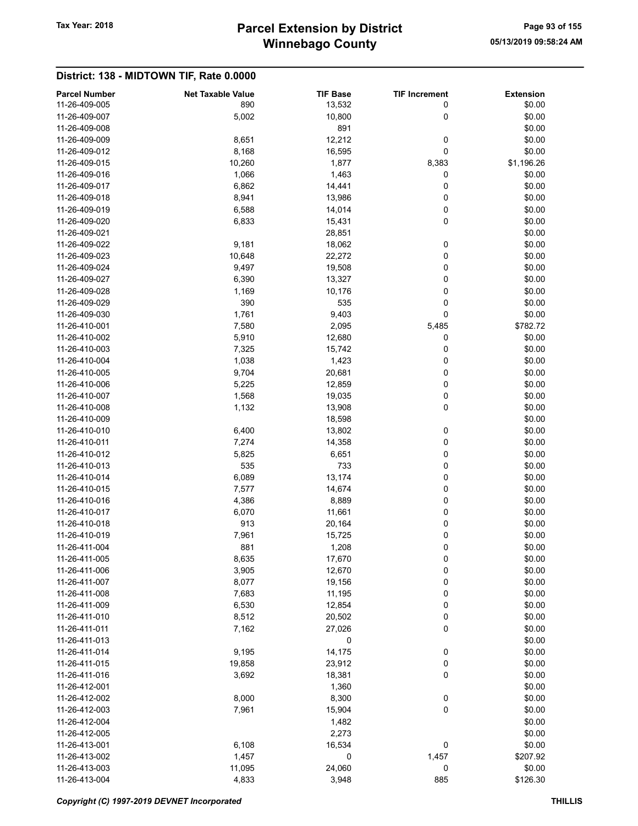## Winnebago County Tax Year: 2018 **Parcel Extension by District** Page 93 of 155

|                                       | <b>Net Taxable Value</b> |                           |                           |                            |
|---------------------------------------|--------------------------|---------------------------|---------------------------|----------------------------|
| <b>Parcel Number</b><br>11-26-409-005 | 890                      | <b>TIF Base</b><br>13,532 | <b>TIF Increment</b><br>0 | <b>Extension</b><br>\$0.00 |
| 11-26-409-007                         | 5,002                    | 10,800                    | 0                         | \$0.00                     |
| 11-26-409-008                         |                          | 891                       |                           | \$0.00                     |
| 11-26-409-009                         | 8,651                    | 12,212                    | 0                         | \$0.00                     |
| 11-26-409-012                         | 8,168                    | 16,595                    | 0                         | \$0.00                     |
| 11-26-409-015                         | 10,260                   | 1,877                     | 8,383                     | \$1,196.26                 |
| 11-26-409-016                         | 1,066                    | 1,463                     | 0                         | \$0.00                     |
| 11-26-409-017                         | 6,862                    | 14,441                    | 0                         | \$0.00                     |
| 11-26-409-018                         |                          |                           | 0                         |                            |
|                                       | 8,941                    | 13,986                    |                           | \$0.00                     |
| 11-26-409-019                         | 6,588                    | 14,014                    | 0<br>0                    | \$0.00                     |
| 11-26-409-020<br>11-26-409-021        | 6,833                    | 15,431                    |                           | \$0.00                     |
|                                       |                          | 28,851                    |                           | \$0.00                     |
| 11-26-409-022                         | 9,181                    | 18,062                    | 0                         | \$0.00                     |
| 11-26-409-023                         | 10,648                   | 22,272                    | 0                         | \$0.00                     |
| 11-26-409-024                         | 9,497                    | 19,508                    | 0                         | \$0.00                     |
| 11-26-409-027                         | 6,390                    | 13,327                    | 0                         | \$0.00                     |
| 11-26-409-028                         | 1,169                    | 10,176                    | 0                         | \$0.00                     |
| 11-26-409-029                         | 390                      | 535                       | 0                         | \$0.00                     |
| 11-26-409-030                         | 1,761                    | 9,403                     | 0                         | \$0.00                     |
| 11-26-410-001                         | 7,580                    | 2,095                     | 5,485                     | \$782.72                   |
| 11-26-410-002                         | 5,910                    | 12,680                    | 0                         | \$0.00                     |
| 11-26-410-003                         | 7,325                    | 15,742                    | 0                         | \$0.00                     |
| 11-26-410-004                         | 1,038                    | 1,423                     | 0                         | \$0.00                     |
| 11-26-410-005                         | 9,704                    | 20,681                    | 0                         | \$0.00                     |
| 11-26-410-006                         | 5,225                    | 12,859                    | 0                         | \$0.00                     |
| 11-26-410-007                         | 1,568                    | 19,035                    | 0                         | \$0.00                     |
| 11-26-410-008                         | 1,132                    | 13,908                    | 0                         | \$0.00                     |
| 11-26-410-009                         |                          | 18,598                    |                           | \$0.00                     |
| 11-26-410-010                         | 6,400                    | 13,802                    | 0                         | \$0.00                     |
| 11-26-410-011                         | 7,274                    | 14,358                    | 0                         | \$0.00                     |
| 11-26-410-012                         | 5,825                    | 6,651                     | 0                         | \$0.00                     |
| 11-26-410-013                         | 535                      | 733                       | 0                         | \$0.00                     |
| 11-26-410-014                         | 6,089                    | 13,174                    | 0                         | \$0.00                     |
| 11-26-410-015                         | 7,577                    | 14,674                    | 0                         | \$0.00                     |
| 11-26-410-016                         | 4,386                    | 8,889                     | 0                         | \$0.00                     |
| 11-26-410-017                         | 6,070                    | 11,661                    | 0                         | \$0.00                     |
| 11-26-410-018                         | 913                      | 20,164                    | 0                         | \$0.00                     |
| 11-26-410-019                         | 7,961                    | 15,725                    | 0                         | \$0.00                     |
| 11-26-411-004                         | 881                      | 1,208                     | 0                         | \$0.00                     |
| 11-26-411-005                         | 8,635                    | 17,670                    | 0                         | \$0.00                     |
| 11-26-411-006                         | 3,905                    | 12,670                    | 0                         | \$0.00                     |
| 11-26-411-007                         | 8,077                    | 19,156                    | 0                         | \$0.00                     |
| 11-26-411-008                         | 7,683                    | 11,195                    | 0                         | \$0.00                     |
| 11-26-411-009                         | 6,530                    | 12,854                    | 0                         | \$0.00                     |
| 11-26-411-010                         | 8,512                    | 20,502                    | 0                         | \$0.00                     |
| 11-26-411-011                         | 7,162                    | 27,026                    | 0                         | \$0.00                     |
| 11-26-411-013                         |                          | 0                         |                           | \$0.00                     |
| 11-26-411-014                         | 9,195                    | 14,175                    | 0                         | \$0.00                     |
| 11-26-411-015                         | 19,858                   | 23,912                    | 0                         | \$0.00                     |
| 11-26-411-016                         | 3,692                    | 18,381                    | 0                         | \$0.00                     |
| 11-26-412-001                         |                          | 1,360                     |                           | \$0.00                     |
| 11-26-412-002                         | 8,000                    | 8,300                     | 0                         | \$0.00                     |
| 11-26-412-003                         | 7,961                    | 15,904                    | 0                         | \$0.00                     |
| 11-26-412-004                         |                          | 1,482                     |                           | \$0.00                     |
| 11-26-412-005                         |                          | 2,273                     |                           | \$0.00                     |
| 11-26-413-001                         | 6,108                    | 16,534                    | 0                         | \$0.00                     |
| 11-26-413-002                         | 1,457                    | 0                         | 1,457                     | \$207.92                   |
| 11-26-413-003                         | 11,095                   | 24,060                    | 0                         | \$0.00                     |
| 11-26-413-004                         | 4,833                    | 3,948                     | 885                       | \$126.30                   |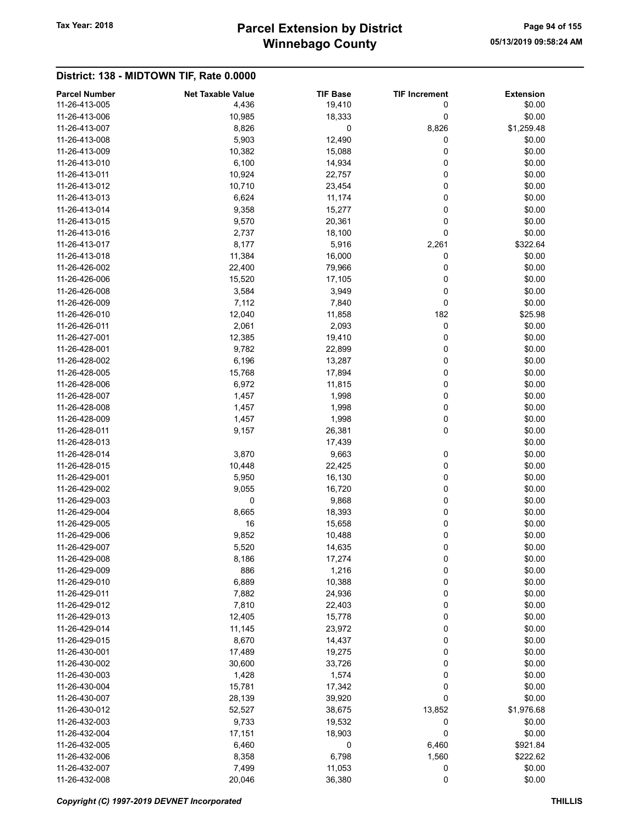## Winnebago County Tax Year: 2018 **Parcel Extension by District** Page 94 of 155

| <b>Parcel Number</b> | <b>Net Taxable Value</b> | <b>TIF Base</b> | <b>TIF Increment</b> | <b>Extension</b> |
|----------------------|--------------------------|-----------------|----------------------|------------------|
| 11-26-413-005        | 4,436                    | 19,410          | 0                    | \$0.00           |
| 11-26-413-006        | 10,985                   | 18,333          | 0                    | \$0.00           |
| 11-26-413-007        | 8,826                    | 0               | 8,826                | \$1,259.48       |
| 11-26-413-008        | 5,903                    | 12,490          | 0                    | \$0.00           |
| 11-26-413-009        | 10,382                   | 15,088          | 0                    | \$0.00           |
| 11-26-413-010        | 6,100                    | 14,934          | 0                    | \$0.00           |
| 11-26-413-011        | 10,924                   | 22,757          | 0                    | \$0.00           |
| 11-26-413-012        | 10,710                   | 23,454          | 0                    | \$0.00           |
| 11-26-413-013        | 6,624                    | 11,174          | 0                    | \$0.00           |
| 11-26-413-014        | 9,358                    | 15,277          | 0                    | \$0.00           |
| 11-26-413-015        | 9,570                    | 20,361          | 0                    | \$0.00           |
| 11-26-413-016        | 2,737                    | 18,100          | 0                    | \$0.00           |
| 11-26-413-017        | 8,177                    | 5,916           | 2,261                | \$322.64         |
| 11-26-413-018        | 11,384                   | 16,000          | 0                    | \$0.00           |
| 11-26-426-002        | 22,400                   | 79,966          | 0                    | \$0.00           |
| 11-26-426-006        | 15,520                   | 17,105          | 0                    | \$0.00           |
| 11-26-426-008        | 3,584                    | 3,949           | 0                    | \$0.00           |
| 11-26-426-009        | 7,112                    | 7,840           | 0                    | \$0.00           |
| 11-26-426-010        | 12,040                   | 11,858          | 182                  | \$25.98          |
| 11-26-426-011        | 2,061                    | 2,093           | 0                    | \$0.00           |
| 11-26-427-001        | 12,385                   | 19,410          | 0                    | \$0.00           |
| 11-26-428-001        | 9,782                    | 22,899          | 0                    | \$0.00           |
| 11-26-428-002        | 6,196                    | 13,287          | 0                    | \$0.00           |
| 11-26-428-005        | 15,768                   | 17,894          | 0                    | \$0.00           |
| 11-26-428-006        | 6,972                    | 11,815          | 0                    | \$0.00           |
| 11-26-428-007        | 1,457                    | 1,998           | 0                    | \$0.00           |
| 11-26-428-008        |                          |                 | 0                    | \$0.00           |
| 11-26-428-009        | 1,457<br>1,457           | 1,998<br>1,998  | 0                    | \$0.00           |
| 11-26-428-011        |                          |                 | 0                    |                  |
|                      | 9,157                    | 26,381          |                      | \$0.00           |
| 11-26-428-013        |                          | 17,439          |                      | \$0.00           |
| 11-26-428-014        | 3,870                    | 9,663           | 0                    | \$0.00           |
| 11-26-428-015        | 10,448                   | 22,425          | 0                    | \$0.00           |
| 11-26-429-001        | 5,950                    | 16,130          | 0                    | \$0.00           |
| 11-26-429-002        | 9,055                    | 16,720          | 0                    | \$0.00           |
| 11-26-429-003        | 0                        | 9,868           | 0                    | \$0.00           |
| 11-26-429-004        | 8,665                    | 18,393          | 0                    | \$0.00           |
| 11-26-429-005        | 16                       | 15,658          | 0                    | \$0.00           |
| 11-26-429-006        | 9,852                    | 10,488          | 0                    | \$0.00           |
| 11-26-429-007        | 5,520                    | 14,635          | 0                    | \$0.00           |
| 11-26-429-008        | 8,186                    | 17,274          | 0                    | \$0.00           |
| 11-26-429-009        | 886                      | 1,216           | 0                    | \$0.00           |
| 11-26-429-010        | 6,889                    | 10,388          | 0                    | \$0.00           |
| 11-26-429-011        | 7,882                    | 24,936          | 0                    | \$0.00           |
| 11-26-429-012        | 7,810                    | 22,403          | 0                    | \$0.00           |
| 11-26-429-013        | 12,405                   | 15,778          | 0                    | \$0.00           |
| 11-26-429-014        | 11,145                   | 23,972          | 0                    | \$0.00           |
| 11-26-429-015        | 8,670                    | 14,437          | 0                    | \$0.00           |
| 11-26-430-001        | 17,489                   | 19,275          | 0                    | \$0.00           |
| 11-26-430-002        | 30,600                   | 33,726          | 0                    | \$0.00           |
| 11-26-430-003        | 1,428                    | 1,574           | 0                    | \$0.00           |
| 11-26-430-004        | 15,781                   | 17,342          | 0                    | \$0.00           |
| 11-26-430-007        | 28,139                   | 39,920          | 0                    | \$0.00           |
| 11-26-430-012        | 52,527                   | 38,675          | 13,852               | \$1,976.68       |
| 11-26-432-003        | 9,733                    | 19,532          | 0                    | \$0.00           |
| 11-26-432-004        | 17,151                   | 18,903          | 0                    | \$0.00           |
| 11-26-432-005        | 6,460                    | 0               | 6,460                | \$921.84         |
| 11-26-432-006        | 8,358                    | 6,798           | 1,560                | \$222.62         |
| 11-26-432-007        | 7,499                    | 11,053          | 0                    | \$0.00           |
| 11-26-432-008        | 20,046                   | 36,380          | 0                    | \$0.00           |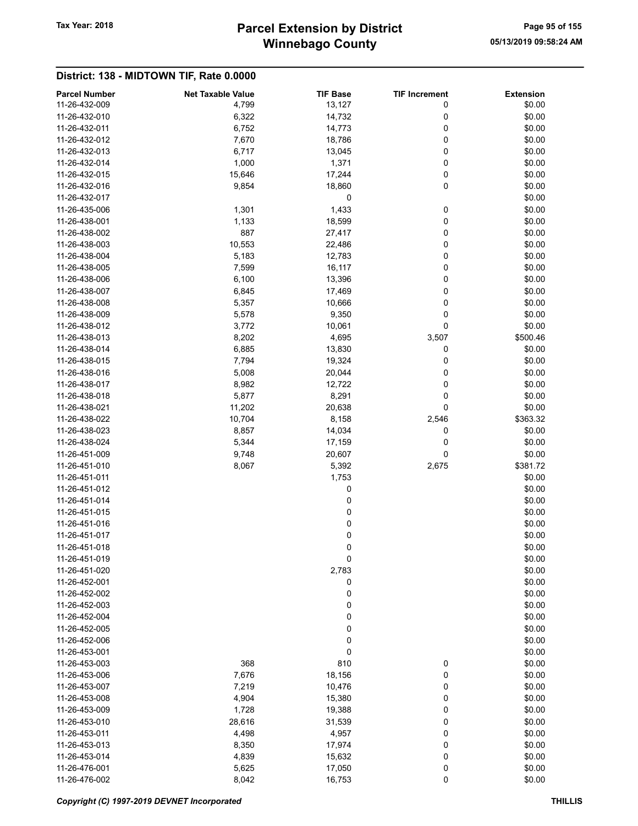## Winnebago County Tax Year: 2018 **Parcel Extension by District** Page 95 of 155

| <b>Parcel Number</b> | <b>Net Taxable Value</b> | <b>TIF Base</b> | <b>TIF Increment</b> | <b>Extension</b> |
|----------------------|--------------------------|-----------------|----------------------|------------------|
| 11-26-432-009        | 4,799                    | 13,127          | 0                    | \$0.00           |
| 11-26-432-010        | 6,322                    | 14,732          | 0                    | \$0.00           |
| 11-26-432-011        | 6,752                    | 14,773          | 0                    | \$0.00           |
| 11-26-432-012        | 7,670                    | 18,786          | 0                    | \$0.00           |
| 11-26-432-013        | 6,717                    | 13,045          | 0                    | \$0.00           |
| 11-26-432-014        | 1,000                    | 1,371           | 0                    | \$0.00           |
| 11-26-432-015        | 15,646                   | 17,244          | 0                    | \$0.00           |
| 11-26-432-016        | 9,854                    | 18,860          | 0                    | \$0.00           |
| 11-26-432-017        |                          | 0               |                      | \$0.00           |
| 11-26-435-006        | 1,301                    | 1,433           | 0                    | \$0.00           |
| 11-26-438-001        | 1,133                    | 18,599          | 0                    | \$0.00           |
| 11-26-438-002        | 887                      | 27,417          | 0                    | \$0.00           |
| 11-26-438-003        | 10,553                   | 22,486          | 0                    | \$0.00           |
| 11-26-438-004        | 5,183                    | 12,783          | 0                    | \$0.00           |
| 11-26-438-005        | 7,599                    | 16,117          | 0                    | \$0.00           |
| 11-26-438-006        | 6,100                    | 13,396          | 0                    | \$0.00           |
| 11-26-438-007        | 6,845                    | 17,469          | 0                    | \$0.00           |
| 11-26-438-008        | 5,357                    | 10,666          | 0                    | \$0.00           |
| 11-26-438-009        | 5,578                    | 9,350           | 0                    | \$0.00           |
| 11-26-438-012        | 3,772                    | 10,061          | 0                    | \$0.00           |
| 11-26-438-013        | 8,202                    | 4,695           | 3,507                | \$500.46         |
| 11-26-438-014        |                          |                 | 0                    | \$0.00           |
| 11-26-438-015        | 6,885                    | 13,830          |                      |                  |
|                      | 7,794                    | 19,324          | 0                    | \$0.00           |
| 11-26-438-016        | 5,008                    | 20,044          | 0                    | \$0.00           |
| 11-26-438-017        | 8,982                    | 12,722          | 0                    | \$0.00           |
| 11-26-438-018        | 5,877                    | 8,291           | 0                    | \$0.00           |
| 11-26-438-021        | 11,202                   | 20,638          | 0                    | \$0.00           |
| 11-26-438-022        | 10,704                   | 8,158           | 2,546                | \$363.32         |
| 11-26-438-023        | 8,857                    | 14,034          | 0                    | \$0.00           |
| 11-26-438-024        | 5,344                    | 17,159          | 0                    | \$0.00           |
| 11-26-451-009        | 9,748                    | 20,607          | 0                    | \$0.00           |
| 11-26-451-010        | 8,067                    | 5,392           | 2,675                | \$381.72         |
| 11-26-451-011        |                          | 1,753           |                      | \$0.00           |
| 11-26-451-012        |                          | 0               |                      | \$0.00           |
| 11-26-451-014        |                          | 0               |                      | \$0.00           |
| 11-26-451-015        |                          | 0               |                      | \$0.00           |
| 11-26-451-016        |                          | 0               |                      | \$0.00           |
| 11-26-451-017        |                          | 0               |                      | \$0.00           |
| 11-26-451-018        |                          | 0               |                      | \$0.00           |
| 11-26-451-019        |                          | 0               |                      | \$0.00           |
| 11-26-451-020        |                          | 2,783           |                      | \$0.00           |
| 11-26-452-001        |                          | 0               |                      | \$0.00           |
| 11-26-452-002        |                          | 0               |                      | \$0.00           |
| 11-26-452-003        |                          | 0               |                      | \$0.00           |
| 11-26-452-004        |                          | 0               |                      | \$0.00           |
| 11-26-452-005        |                          | 0               |                      | \$0.00           |
| 11-26-452-006        |                          | 0               |                      | \$0.00           |
| 11-26-453-001        |                          | 0               |                      | \$0.00           |
| 11-26-453-003        | 368                      | 810             | 0                    | \$0.00           |
| 11-26-453-006        | 7,676                    | 18,156          | 0                    | \$0.00           |
| 11-26-453-007        | 7,219                    | 10,476          | 0                    | \$0.00           |
| 11-26-453-008        | 4,904                    | 15,380          | 0                    | \$0.00           |
| 11-26-453-009        | 1,728                    | 19,388          | 0                    | \$0.00           |
| 11-26-453-010        | 28,616                   | 31,539          | 0                    | \$0.00           |
| 11-26-453-011        |                          |                 | 0                    |                  |
|                      | 4,498                    | 4,957           |                      | \$0.00           |
| 11-26-453-013        | 8,350                    | 17,974          | 0                    | \$0.00           |
| 11-26-453-014        | 4,839                    | 15,632          | 0                    | \$0.00           |
| 11-26-476-001        | 5,625                    | 17,050          | 0                    | \$0.00           |
| 11-26-476-002        | 8,042                    | 16,753          | $\pmb{0}$            | \$0.00           |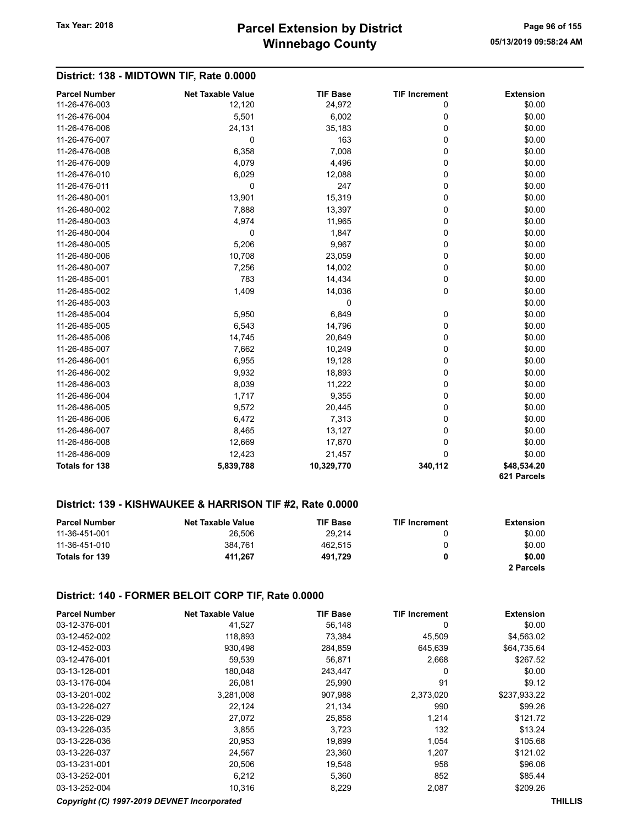### District: 138 - MIDTOWN TIF, Rate 0.0000

| <b>Parcel Number</b> | <b>Net Taxable Value</b> | <b>TIF Base</b> | <b>TIF Increment</b> | <b>Extension</b> |
|----------------------|--------------------------|-----------------|----------------------|------------------|
| 11-26-476-003        | 12,120                   | 24,972          | 0                    | \$0.00           |
| 11-26-476-004        | 5,501                    | 6,002           | 0                    | \$0.00           |
| 11-26-476-006        | 24,131                   | 35,183          | 0                    | \$0.00           |
| 11-26-476-007        | 0                        | 163             | 0                    | \$0.00           |
| 11-26-476-008        | 6,358                    | 7,008           | 0                    | \$0.00           |
| 11-26-476-009        | 4,079                    | 4,496           | 0                    | \$0.00           |
| 11-26-476-010        | 6,029                    | 12,088          | 0                    | \$0.00           |
| 11-26-476-011        | 0                        | 247             | 0                    | \$0.00           |
| 11-26-480-001        | 13,901                   | 15,319          | 0                    | \$0.00           |
| 11-26-480-002        | 7,888                    | 13,397          | 0                    | \$0.00           |
| 11-26-480-003        | 4,974                    | 11,965          | 0                    | \$0.00           |
| 11-26-480-004        | 0                        | 1,847           | 0                    | \$0.00           |
| 11-26-480-005        | 5,206                    | 9,967           | 0                    | \$0.00           |
| 11-26-480-006        | 10,708                   | 23,059          | 0                    | \$0.00           |
| 11-26-480-007        | 7,256                    | 14,002          | 0                    | \$0.00           |
| 11-26-485-001        | 783                      | 14,434          | 0                    | \$0.00           |
| 11-26-485-002        | 1,409                    | 14,036          | 0                    | \$0.00           |
| 11-26-485-003        |                          | 0               |                      | \$0.00           |
| 11-26-485-004        | 5,950                    | 6,849           | 0                    | \$0.00           |
| 11-26-485-005        | 6,543                    | 14,796          | 0                    | \$0.00           |
| 11-26-485-006        | 14,745                   | 20,649          | 0                    | \$0.00           |
| 11-26-485-007        | 7,662                    | 10,249          | 0                    | \$0.00           |
| 11-26-486-001        | 6,955                    | 19,128          | 0                    | \$0.00           |
| 11-26-486-002        | 9,932                    | 18,893          | 0                    | \$0.00           |
| 11-26-486-003        | 8,039                    | 11,222          | 0                    | \$0.00           |
| 11-26-486-004        | 1,717                    | 9,355           | 0                    | \$0.00           |
| 11-26-486-005        | 9,572                    | 20,445          | 0                    | \$0.00           |
| 11-26-486-006        | 6,472                    | 7,313           | 0                    | \$0.00           |
| 11-26-486-007        | 8,465                    | 13,127          | 0                    | \$0.00           |
| 11-26-486-008        | 12,669                   | 17,870          | 0                    | \$0.00           |
| 11-26-486-009        | 12,423                   | 21,457          | $\mathbf 0$          | \$0.00           |
| Totals for 138       | 5,839,788                | 10,329,770      | 340,112              | \$48,534.20      |
|                      |                          |                 |                      | 621 Parcels      |

#### District: 139 - KISHWAUKEE & HARRISON TIF #2, Rate 0.0000

| <b>Parcel Number</b> | <b>Net Taxable Value</b> | <b>TIF Base</b> | <b>TIF Increment</b> | <b>Extension</b> |
|----------------------|--------------------------|-----------------|----------------------|------------------|
| 11-36-451-001        | 26.506                   | 29.214          |                      | \$0.00           |
| 11-36-451-010        | 384.761                  | 462.515         |                      | \$0.00           |
| Totals for 139       | 411.267                  | 491.729         | 0                    | \$0.00           |
|                      |                          |                 |                      | 2 Parcels        |

#### District: 140 - FORMER BELOIT CORP TIF, Rate 0.0000

| <b>Parcel Number</b> | <b>Net Taxable Value</b> | <b>TIF Base</b> | <b>TIF Increment</b> | <b>Extension</b> |
|----------------------|--------------------------|-----------------|----------------------|------------------|
| 03-12-376-001        | 41,527                   | 56,148          | 0                    | \$0.00           |
| 03-12-452-002        | 118,893                  | 73,384          | 45,509               | \$4,563.02       |
| 03-12-452-003        | 930,498                  | 284,859         | 645,639              | \$64,735.64      |
| 03-12-476-001        | 59,539                   | 56.871          | 2,668                | \$267.52         |
| 03-13-126-001        | 180,048                  | 243,447         | 0                    | \$0.00           |
| 03-13-176-004        | 26,081                   | 25,990          | 91                   | \$9.12           |
| 03-13-201-002        | 3,281,008                | 907.988         | 2,373,020            | \$237,933.22     |
| 03-13-226-027        | 22,124                   | 21,134          | 990                  | \$99.26          |
| 03-13-226-029        | 27,072                   | 25,858          | 1.214                | \$121.72         |
| 03-13-226-035        | 3,855                    | 3,723           | 132                  | \$13.24          |
| 03-13-226-036        | 20,953                   | 19,899          | 1,054                | \$105.68         |
| 03-13-226-037        | 24,567                   | 23,360          | 1.207                | \$121.02         |
| 03-13-231-001        | 20,506                   | 19,548          | 958                  | \$96.06          |
| 03-13-252-001        | 6,212                    | 5,360           | 852                  | \$85.44          |
| 03-13-252-004        | 10,316                   | 8,229           | 2,087                | \$209.26         |

#### Copyright (C) 1997-2019 DEVNET Incorporated THILLIS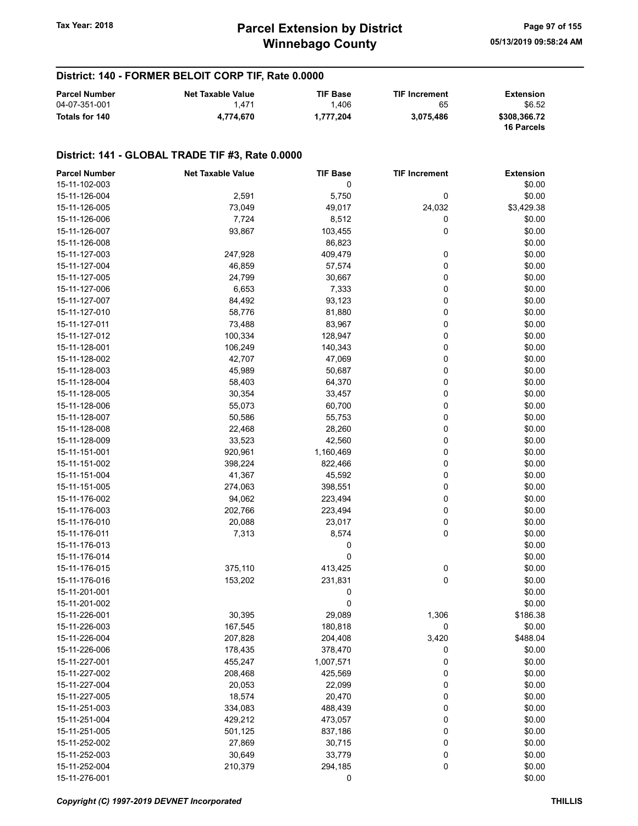### District: 140 - FORMER BELOIT CORP TIF, Rate 0.0000

| <b>Parcel Number</b> | <b>Net Taxable Value</b> | <b>TIF Base</b> | <b>TIF Increment</b> | Extension                         |
|----------------------|--------------------------|-----------------|----------------------|-----------------------------------|
| 04-07-351-001        | 1.471                    | 1.406           | 65                   | \$6.52                            |
| Totals for 140       | 4.774.670                | 1.777.204       | 3.075.486            | \$308,366.72<br><b>16 Parcels</b> |

#### District: 141 - GLOBAL TRADE TIF #3, Rate 0.0000

| <b>Parcel Number</b> | <b>Net Taxable Value</b> | <b>TIF Base</b>  | <b>TIF Increment</b> | <b>Extension</b> |
|----------------------|--------------------------|------------------|----------------------|------------------|
| 15-11-102-003        |                          | 0                |                      | \$0.00           |
| 15-11-126-004        | 2,591                    | 5,750            | 0                    | \$0.00           |
| 15-11-126-005        | 73,049                   | 49,017           | 24,032               | \$3,429.38       |
| 15-11-126-006        | 7,724                    | 8,512            | 0                    | \$0.00           |
| 15-11-126-007        | 93,867                   | 103,455          | 0                    | \$0.00           |
| 15-11-126-008        |                          | 86,823           |                      | \$0.00           |
| 15-11-127-003        | 247,928                  | 409,479          | 0                    | \$0.00           |
| 15-11-127-004        | 46,859                   | 57,574           | 0                    | \$0.00           |
| 15-11-127-005        | 24,799                   | 30,667           | 0                    | \$0.00           |
| 15-11-127-006        | 6,653                    | 7,333            | 0                    | \$0.00           |
| 15-11-127-007        | 84,492                   | 93,123           | 0                    | \$0.00           |
| 15-11-127-010        | 58,776                   | 81,880           | 0                    | \$0.00           |
| 15-11-127-011        | 73,488                   | 83,967           | 0                    | \$0.00           |
| 15-11-127-012        | 100,334                  | 128,947          | 0                    | \$0.00           |
| 15-11-128-001        | 106,249                  | 140,343          | 0                    | \$0.00           |
| 15-11-128-002        | 42,707                   | 47,069           | 0                    | \$0.00           |
| 15-11-128-003        | 45,989                   | 50,687           | 0                    | \$0.00           |
| 15-11-128-004        | 58,403                   | 64,370           | 0                    | \$0.00           |
| 15-11-128-005        | 30,354                   | 33,457           | 0                    | \$0.00           |
| 15-11-128-006        | 55,073                   | 60,700           | 0                    | \$0.00           |
| 15-11-128-007        | 50,586                   | 55,753           | 0                    | \$0.00           |
| 15-11-128-008        | 22,468                   | 28,260           | 0                    | \$0.00           |
| 15-11-128-009        | 33,523                   | 42,560           | 0                    | \$0.00           |
| 15-11-151-001        | 920,961                  | 1,160,469        | 0                    | \$0.00           |
| 15-11-151-002        | 398,224                  | 822,466          | 0                    | \$0.00           |
| 15-11-151-004        | 41,367                   | 45,592           | 0                    | \$0.00           |
| 15-11-151-005        | 274,063                  | 398,551          | 0                    | \$0.00           |
| 15-11-176-002        | 94,062                   | 223,494          | 0                    | \$0.00           |
| 15-11-176-003        | 202,766                  | 223,494          | 0                    | \$0.00           |
| 15-11-176-010        | 20,088                   | 23,017           | 0                    | \$0.00           |
| 15-11-176-011        | 7,313                    | 8,574            | 0                    | \$0.00           |
| 15-11-176-013        |                          | 0                |                      | \$0.00           |
| 15-11-176-014        |                          | 0                |                      | \$0.00           |
| 15-11-176-015        | 375,110                  | 413,425          | 0                    | \$0.00           |
| 15-11-176-016        | 153,202                  |                  | 0                    |                  |
|                      |                          | 231,831          |                      | \$0.00<br>\$0.00 |
| 15-11-201-001        |                          | 0<br>$\mathbf 0$ |                      |                  |
| 15-11-201-002        |                          | 29,089           |                      | \$0.00           |
| 15-11-226-001        | 30,395                   |                  | 1,306                | \$186.38         |
| 15-11-226-003        | 167,545                  | 180,818          | 0                    | \$0.00           |
| 15-11-226-004        | 207,828                  | 204,408          | 3,420                | \$488.04         |
| 15-11-226-006        | 178,435                  | 378,470          | 0                    | \$0.00           |
| 15-11-227-001        | 455,247                  | 1,007,571        | 0                    | \$0.00           |
| 15-11-227-002        | 208,468                  | 425,569          | 0                    | \$0.00           |
| 15-11-227-004        | 20,053                   | 22,099           | 0                    | \$0.00           |
| 15-11-227-005        | 18,574                   | 20,470           | 0                    | \$0.00           |
| 15-11-251-003        | 334,083                  | 488,439          | 0                    | \$0.00           |
| 15-11-251-004        | 429,212                  | 473,057          | 0                    | \$0.00           |
| 15-11-251-005        | 501,125                  | 837,186          | 0                    | \$0.00           |
| 15-11-252-002        | 27,869                   | 30,715           | 0                    | \$0.00           |
| 15-11-252-003        | 30,649                   | 33,779           | 0                    | \$0.00           |
| 15-11-252-004        | 210,379                  | 294,185          | 0                    | \$0.00           |
| 15-11-276-001        |                          | 0                |                      | \$0.00           |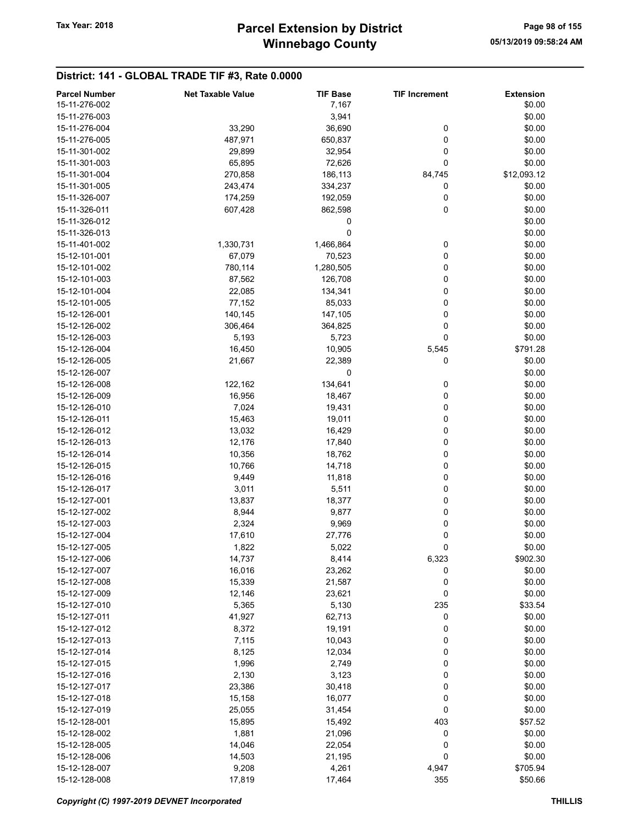### District: 141 - GLOBAL TRADE TIF #3, Rate 0.0000

| <b>Parcel Number</b> | <b>Net Taxable Value</b> | <b>TIF Base</b> | <b>TIF Increment</b> | <b>Extension</b> |
|----------------------|--------------------------|-----------------|----------------------|------------------|
| 15-11-276-002        |                          | 7,167           |                      | \$0.00           |
| 15-11-276-003        |                          | 3,941           |                      | \$0.00           |
| 15-11-276-004        | 33,290                   | 36,690          | 0                    | \$0.00           |
| 15-11-276-005        | 487,971                  | 650,837         | 0                    | \$0.00           |
| 15-11-301-002        | 29,899                   | 32,954          | 0                    | \$0.00           |
| 15-11-301-003        | 65,895                   |                 | 0                    | \$0.00           |
|                      |                          | 72,626          |                      |                  |
| 15-11-301-004        | 270,858                  | 186,113         | 84,745               | \$12,093.12      |
| 15-11-301-005        | 243,474                  | 334,237         | 0                    | \$0.00           |
| 15-11-326-007        | 174,259                  | 192,059         | 0                    | \$0.00           |
| 15-11-326-011        | 607,428                  | 862,598         | 0                    | \$0.00           |
| 15-11-326-012        |                          | 0               |                      | \$0.00           |
| 15-11-326-013        |                          | 0               |                      | \$0.00           |
| 15-11-401-002        | 1,330,731                | 1,466,864       | 0                    | \$0.00           |
| 15-12-101-001        | 67,079                   | 70,523          | 0                    | \$0.00           |
| 15-12-101-002        | 780,114                  | 1,280,505       | 0                    | \$0.00           |
| 15-12-101-003        | 87,562                   | 126,708         | 0                    | \$0.00           |
| 15-12-101-004        | 22,085                   | 134,341         | 0                    | \$0.00           |
| 15-12-101-005        | 77,152                   | 85,033          | 0                    | \$0.00           |
| 15-12-126-001        | 140,145                  | 147,105         | 0                    | \$0.00           |
| 15-12-126-002        | 306,464                  | 364,825         | 0                    | \$0.00           |
|                      |                          |                 |                      |                  |
| 15-12-126-003        | 5,193                    | 5,723           | 0                    | \$0.00           |
| 15-12-126-004        | 16,450                   | 10,905          | 5,545                | \$791.28         |
| 15-12-126-005        | 21,667                   | 22,389          | 0                    | \$0.00           |
| 15-12-126-007        |                          | 0               |                      | \$0.00           |
| 15-12-126-008        | 122,162                  | 134,641         | 0                    | \$0.00           |
| 15-12-126-009        | 16,956                   | 18,467          | 0                    | \$0.00           |
| 15-12-126-010        | 7,024                    | 19,431          | 0                    | \$0.00           |
| 15-12-126-011        | 15,463                   | 19,011          | 0                    | \$0.00           |
| 15-12-126-012        | 13,032                   | 16,429          | 0                    | \$0.00           |
| 15-12-126-013        | 12,176                   | 17,840          | 0                    | \$0.00           |
| 15-12-126-014        | 10,356                   | 18,762          | 0                    | \$0.00           |
| 15-12-126-015        | 10,766                   | 14,718          | 0                    | \$0.00           |
| 15-12-126-016        | 9,449                    | 11,818          | 0                    | \$0.00           |
| 15-12-126-017        | 3,011                    | 5,511           | 0                    | \$0.00           |
| 15-12-127-001        | 13,837                   | 18,377          | 0                    | \$0.00           |
| 15-12-127-002        | 8,944                    | 9,877           | 0                    | \$0.00           |
|                      |                          |                 |                      |                  |
| 15-12-127-003        | 2,324                    | 9,969           | 0                    | \$0.00           |
| 15-12-127-004        | 17,610                   | 27,776          | 0                    | \$0.00           |
| 15-12-127-005        | 1,822                    | 5,022           | 0                    | \$0.00           |
| 15-12-127-006        | 14,737                   | 8,414           | 6,323                | \$902.30         |
| 15-12-127-007        | 16,016                   | 23,262          | 0                    | \$0.00           |
| 15-12-127-008        | 15,339                   | 21,587          | 0                    | \$0.00           |
| 15-12-127-009        | 12,146                   | 23,621          | 0                    | \$0.00           |
| 15-12-127-010        | 5,365                    | 5,130           | 235                  | \$33.54          |
| 15-12-127-011        | 41,927                   | 62,713          | 0                    | \$0.00           |
| 15-12-127-012        | 8,372                    | 19,191          | 0                    | \$0.00           |
| 15-12-127-013        | 7,115                    | 10,043          | 0                    | \$0.00           |
| 15-12-127-014        | 8,125                    | 12,034          | 0                    | \$0.00           |
| 15-12-127-015        | 1,996                    | 2,749           | 0                    | \$0.00           |
| 15-12-127-016        | 2,130                    | 3,123           | 0                    | \$0.00           |
| 15-12-127-017        | 23,386                   | 30,418          | 0                    | \$0.00           |
|                      |                          |                 |                      |                  |
| 15-12-127-018        | 15,158                   | 16,077          | 0                    | \$0.00           |
| 15-12-127-019        | 25,055                   | 31,454          | 0                    | \$0.00           |
| 15-12-128-001        | 15,895                   | 15,492          | 403                  | \$57.52          |
| 15-12-128-002        | 1,881                    | 21,096          | 0                    | \$0.00           |
| 15-12-128-005        | 14,046                   | 22,054          | 0                    | \$0.00           |
| 15-12-128-006        | 14,503                   | 21,195          | 0                    | \$0.00           |
| 15-12-128-007        | 9,208                    | 4,261           | 4,947                | \$705.94         |
| 15-12-128-008        | 17,819                   | 17,464          | 355                  | \$50.66          |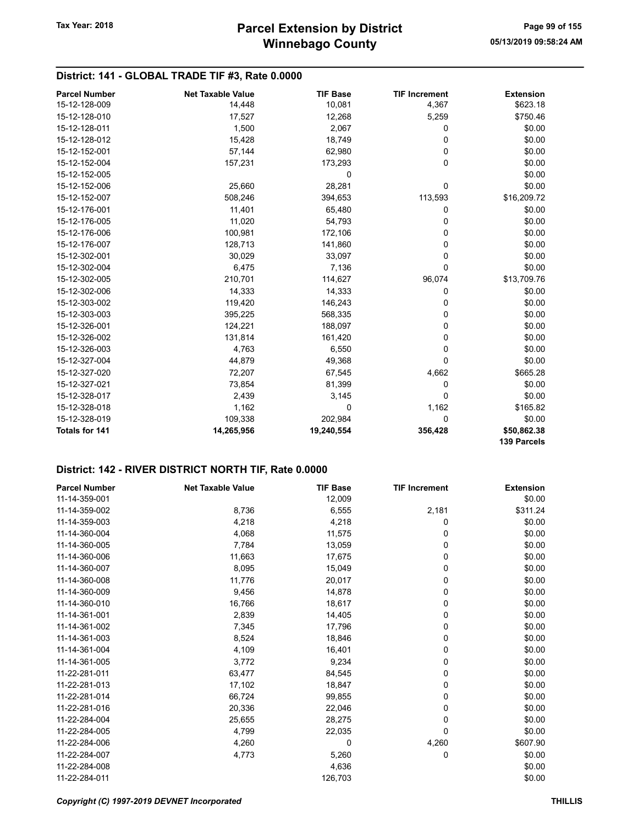### District: 141 - GLOBAL TRADE TIF #3, Rate 0.0000

| <b>Parcel Number</b>  | <b>Net Taxable Value</b> | <b>TIF Base</b> | <b>TIF Increment</b> | <b>Extension</b>   |
|-----------------------|--------------------------|-----------------|----------------------|--------------------|
| 15-12-128-009         | 14,448                   | 10,081          | 4,367                | \$623.18           |
| 15-12-128-010         | 17,527                   | 12,268          | 5,259                | \$750.46           |
| 15-12-128-011         | 1,500                    | 2,067           | 0                    | \$0.00             |
| 15-12-128-012         | 15,428                   | 18,749          | 0                    | \$0.00             |
| 15-12-152-001         | 57,144                   | 62,980          | 0                    | \$0.00             |
| 15-12-152-004         | 157,231                  | 173,293         | 0                    | \$0.00             |
| 15-12-152-005         |                          | 0               |                      | \$0.00             |
| 15-12-152-006         | 25,660                   | 28,281          | 0                    | \$0.00             |
| 15-12-152-007         | 508,246                  | 394,653         | 113,593              | \$16,209.72        |
| 15-12-176-001         | 11,401                   | 65,480          | 0                    | \$0.00             |
| 15-12-176-005         | 11,020                   | 54,793          | 0                    | \$0.00             |
| 15-12-176-006         | 100,981                  | 172,106         | 0                    | \$0.00             |
| 15-12-176-007         | 128,713                  | 141,860         | 0                    | \$0.00             |
| 15-12-302-001         | 30,029                   | 33,097          | 0                    | \$0.00             |
| 15-12-302-004         | 6,475                    | 7,136           | 0                    | \$0.00             |
| 15-12-302-005         | 210,701                  | 114,627         | 96,074               | \$13,709.76        |
| 15-12-302-006         | 14,333                   | 14,333          | 0                    | \$0.00             |
| 15-12-303-002         | 119,420                  | 146,243         | 0                    | \$0.00             |
| 15-12-303-003         | 395,225                  | 568,335         | 0                    | \$0.00             |
| 15-12-326-001         | 124,221                  | 188,097         | 0                    | \$0.00             |
| 15-12-326-002         | 131,814                  | 161,420         | 0                    | \$0.00             |
| 15-12-326-003         | 4,763                    | 6,550           | 0                    | \$0.00             |
| 15-12-327-004         | 44,879                   | 49,368          | 0                    | \$0.00             |
| 15-12-327-020         | 72,207                   | 67,545          | 4,662                | \$665.28           |
| 15-12-327-021         | 73,854                   | 81,399          | 0                    | \$0.00             |
| 15-12-328-017         | 2,439                    | 3,145           | 0                    | \$0.00             |
| 15-12-328-018         | 1,162                    | $\mathbf 0$     | 1,162                | \$165.82           |
| 15-12-328-019         | 109,338                  | 202,984         | 0                    | \$0.00             |
| <b>Totals for 141</b> | 14,265,956               | 19,240,554      | 356,428              | \$50,862.38        |
|                       |                          |                 |                      | <b>139 Parcels</b> |

| <b>Parcel Number</b> | <b>Net Taxable Value</b> | <b>TIF Base</b> | <b>TIF Increment</b> | <b>Extension</b> |
|----------------------|--------------------------|-----------------|----------------------|------------------|
| 11-14-359-001        |                          | 12,009          |                      | \$0.00           |
| 11-14-359-002        | 8,736                    | 6,555           | 2,181                | \$311.24         |
| 11-14-359-003        | 4,218                    | 4,218           | 0                    | \$0.00           |
| 11-14-360-004        | 4,068                    | 11,575          | 0                    | \$0.00           |
| 11-14-360-005        | 7,784                    | 13,059          | 0                    | \$0.00           |
| 11-14-360-006        | 11,663                   | 17,675          | 0                    | \$0.00           |
| 11-14-360-007        | 8,095                    | 15,049          | 0                    | \$0.00           |
| 11-14-360-008        | 11,776                   | 20,017          | 0                    | \$0.00           |
| 11-14-360-009        | 9,456                    | 14,878          | 0                    | \$0.00           |
| 11-14-360-010        | 16,766                   | 18,617          | 0                    | \$0.00           |
| 11-14-361-001        | 2,839                    | 14,405          | 0                    | \$0.00           |
| 11-14-361-002        | 7,345                    | 17,796          | 0                    | \$0.00           |
| 11-14-361-003        | 8,524                    | 18,846          | 0                    | \$0.00           |
| 11-14-361-004        | 4,109                    | 16,401          | 0                    | \$0.00           |
| 11-14-361-005        | 3,772                    | 9,234           | 0                    | \$0.00           |
| 11-22-281-011        | 63,477                   | 84,545          | 0                    | \$0.00           |
| 11-22-281-013        | 17,102                   | 18,847          | 0                    | \$0.00           |
| 11-22-281-014        | 66,724                   | 99,855          | 0                    | \$0.00           |
| 11-22-281-016        | 20,336                   | 22,046          | 0                    | \$0.00           |
| 11-22-284-004        | 25,655                   | 28,275          | 0                    | \$0.00           |
| 11-22-284-005        | 4,799                    | 22,035          | 0                    | \$0.00           |
| 11-22-284-006        | 4,260                    | 0               | 4,260                | \$607.90         |
| 11-22-284-007        | 4,773                    | 5,260           | 0                    | \$0.00           |
| 11-22-284-008        |                          | 4,636           |                      | \$0.00           |
| 11-22-284-011        |                          | 126,703         |                      | \$0.00           |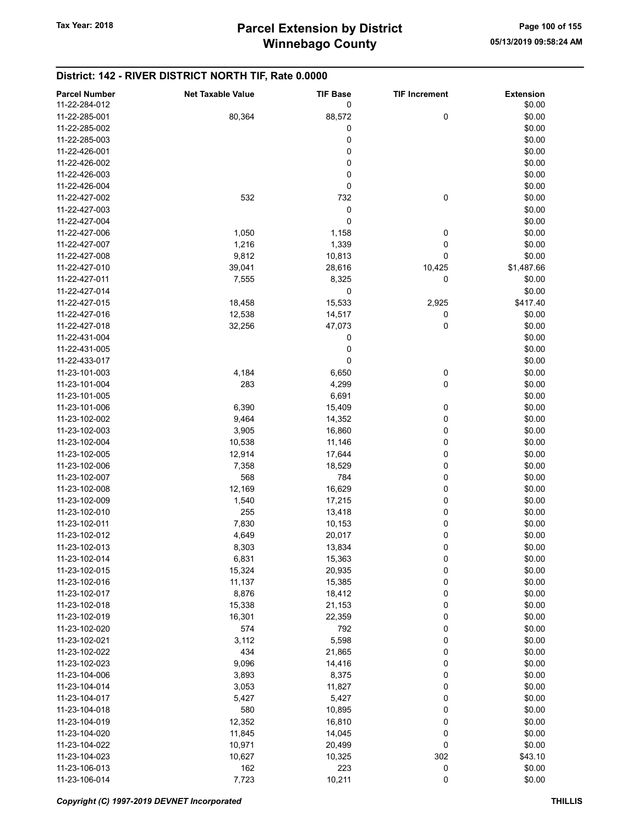| 11-22-284-012<br>0<br>\$0.00<br>88,572<br>0<br>\$0.00<br>11-22-285-001<br>80,364<br>0<br>\$0.00<br>11-22-285-002<br>0<br>11-22-285-003<br>\$0.00<br>0<br>\$0.00<br>11-22-426-001<br>0<br>\$0.00<br>11-22-426-002<br>0<br>\$0.00<br>11-22-426-003<br>0<br>\$0.00<br>11-22-426-004<br>532<br>732<br>0<br>\$0.00<br>11-22-427-002<br>0<br>\$0.00<br>11-22-427-003<br>11-22-427-004<br>0<br>\$0.00<br>0<br>\$0.00<br>11-22-427-006<br>1,050<br>1,158<br>1,339<br>0<br>\$0.00<br>11-22-427-007<br>1,216<br>11-22-427-008<br>9,812<br>10,813<br>0<br>\$0.00<br>\$1,487.66<br>11-22-427-010<br>39,041<br>28,616<br>10,425<br>\$0.00<br>11-22-427-011<br>7,555<br>8,325<br>0<br>0<br>\$0.00<br>11-22-427-014<br>\$417.40<br>11-22-427-015<br>18,458<br>15,533<br>2,925<br>11-22-427-016<br>12,538<br>14,517<br>0<br>\$0.00<br>0<br>11-22-427-018<br>32,256<br>47,073<br>\$0.00<br>0<br>11-22-431-004<br>\$0.00<br>0<br>\$0.00<br>11-22-431-005<br>0<br>\$0.00<br>11-22-433-017<br>0<br>\$0.00<br>11-23-101-003<br>4,184<br>6,650<br>283<br>0<br>\$0.00<br>11-23-101-004<br>4,299<br>\$0.00<br>11-23-101-005<br>6,691<br>15,409<br>0<br>\$0.00<br>11-23-101-006<br>6,390<br>9,464<br>0<br>\$0.00<br>11-23-102-002<br>14,352<br>0<br>\$0.00<br>11-23-102-003<br>3,905<br>16,860<br>0<br>\$0.00<br>11-23-102-004<br>10,538<br>11,146<br>0<br>\$0.00<br>11-23-102-005<br>12,914<br>17,644<br>\$0.00<br>11-23-102-006<br>7,358<br>18,529<br>0<br>11-23-102-007<br>568<br>784<br>0<br>\$0.00<br>0<br>\$0.00<br>11-23-102-008<br>12,169<br>16,629<br>0<br>11-23-102-009<br>1,540<br>17,215<br>\$0.00<br>11-23-102-010<br>255<br>13,418<br>0<br>\$0.00<br>11-23-102-011<br>7,830<br>0<br>\$0.00<br>10,153<br>0<br>\$0.00<br>11-23-102-012<br>4,649<br>20,017<br>0<br>\$0.00<br>11-23-102-013<br>8,303<br>13,834<br>11-23-102-014<br>6,831<br>15,363<br>0<br>\$0.00<br>0<br>\$0.00<br>11-23-102-015<br>15,324<br>20,935<br>0<br>11-23-102-016<br>11,137<br>15,385<br>\$0.00<br>0<br>11-23-102-017<br>8,876<br>18,412<br>\$0.00<br>0<br>11-23-102-018<br>15,338<br>21,153<br>\$0.00<br>0<br>\$0.00<br>11-23-102-019<br>16,301<br>22,359<br>0<br>574<br>792<br>\$0.00<br>11-23-102-020<br>5,598<br>11-23-102-021<br>3,112<br>0<br>\$0.00<br>434<br>0<br>\$0.00<br>11-23-102-022<br>21,865<br>0<br>11-23-102-023<br>9,096<br>14,416<br>\$0.00<br>8,375<br>0<br>11-23-104-006<br>3,893<br>\$0.00<br>0<br>\$0.00<br>11-23-104-014<br>3,053<br>11,827<br>5,427<br>0<br>\$0.00<br>11-23-104-017<br>5,427<br>0<br>11-23-104-018<br>580<br>10,895<br>\$0.00<br>11-23-104-019<br>12,352<br>16,810<br>0<br>\$0.00<br>0<br>11-23-104-020<br>11,845<br>14,045<br>\$0.00<br>0<br>11-23-104-022<br>10,971<br>20,499<br>\$0.00<br>11-23-104-023<br>10,627<br>10,325<br>302<br>\$43.10<br>223<br>0<br>\$0.00<br>11-23-106-013<br>162<br>$\pmb{0}$<br>11-23-106-014<br>7,723<br>10,211<br>\$0.00 | <b>Parcel Number</b> | <b>Net Taxable Value</b> | <b>TIF Base</b> | <b>TIF Increment</b> | <b>Extension</b> |
|---------------------------------------------------------------------------------------------------------------------------------------------------------------------------------------------------------------------------------------------------------------------------------------------------------------------------------------------------------------------------------------------------------------------------------------------------------------------------------------------------------------------------------------------------------------------------------------------------------------------------------------------------------------------------------------------------------------------------------------------------------------------------------------------------------------------------------------------------------------------------------------------------------------------------------------------------------------------------------------------------------------------------------------------------------------------------------------------------------------------------------------------------------------------------------------------------------------------------------------------------------------------------------------------------------------------------------------------------------------------------------------------------------------------------------------------------------------------------------------------------------------------------------------------------------------------------------------------------------------------------------------------------------------------------------------------------------------------------------------------------------------------------------------------------------------------------------------------------------------------------------------------------------------------------------------------------------------------------------------------------------------------------------------------------------------------------------------------------------------------------------------------------------------------------------------------------------------------------------------------------------------------------------------------------------------------------------------------------------------------------------------------------------------------------------------------------------------------------------------------------------------------------------------------------------------------------------------------------------------------------------------------------------------------------------------------------------------------------------------------------------------------------------------------------------------------------------------------------------------|----------------------|--------------------------|-----------------|----------------------|------------------|
|                                                                                                                                                                                                                                                                                                                                                                                                                                                                                                                                                                                                                                                                                                                                                                                                                                                                                                                                                                                                                                                                                                                                                                                                                                                                                                                                                                                                                                                                                                                                                                                                                                                                                                                                                                                                                                                                                                                                                                                                                                                                                                                                                                                                                                                                                                                                                                                                                                                                                                                                                                                                                                                                                                                                                                                                                                                               |                      |                          |                 |                      |                  |
|                                                                                                                                                                                                                                                                                                                                                                                                                                                                                                                                                                                                                                                                                                                                                                                                                                                                                                                                                                                                                                                                                                                                                                                                                                                                                                                                                                                                                                                                                                                                                                                                                                                                                                                                                                                                                                                                                                                                                                                                                                                                                                                                                                                                                                                                                                                                                                                                                                                                                                                                                                                                                                                                                                                                                                                                                                                               |                      |                          |                 |                      |                  |
|                                                                                                                                                                                                                                                                                                                                                                                                                                                                                                                                                                                                                                                                                                                                                                                                                                                                                                                                                                                                                                                                                                                                                                                                                                                                                                                                                                                                                                                                                                                                                                                                                                                                                                                                                                                                                                                                                                                                                                                                                                                                                                                                                                                                                                                                                                                                                                                                                                                                                                                                                                                                                                                                                                                                                                                                                                                               |                      |                          |                 |                      |                  |
|                                                                                                                                                                                                                                                                                                                                                                                                                                                                                                                                                                                                                                                                                                                                                                                                                                                                                                                                                                                                                                                                                                                                                                                                                                                                                                                                                                                                                                                                                                                                                                                                                                                                                                                                                                                                                                                                                                                                                                                                                                                                                                                                                                                                                                                                                                                                                                                                                                                                                                                                                                                                                                                                                                                                                                                                                                                               |                      |                          |                 |                      |                  |
|                                                                                                                                                                                                                                                                                                                                                                                                                                                                                                                                                                                                                                                                                                                                                                                                                                                                                                                                                                                                                                                                                                                                                                                                                                                                                                                                                                                                                                                                                                                                                                                                                                                                                                                                                                                                                                                                                                                                                                                                                                                                                                                                                                                                                                                                                                                                                                                                                                                                                                                                                                                                                                                                                                                                                                                                                                                               |                      |                          |                 |                      |                  |
|                                                                                                                                                                                                                                                                                                                                                                                                                                                                                                                                                                                                                                                                                                                                                                                                                                                                                                                                                                                                                                                                                                                                                                                                                                                                                                                                                                                                                                                                                                                                                                                                                                                                                                                                                                                                                                                                                                                                                                                                                                                                                                                                                                                                                                                                                                                                                                                                                                                                                                                                                                                                                                                                                                                                                                                                                                                               |                      |                          |                 |                      |                  |
|                                                                                                                                                                                                                                                                                                                                                                                                                                                                                                                                                                                                                                                                                                                                                                                                                                                                                                                                                                                                                                                                                                                                                                                                                                                                                                                                                                                                                                                                                                                                                                                                                                                                                                                                                                                                                                                                                                                                                                                                                                                                                                                                                                                                                                                                                                                                                                                                                                                                                                                                                                                                                                                                                                                                                                                                                                                               |                      |                          |                 |                      |                  |
|                                                                                                                                                                                                                                                                                                                                                                                                                                                                                                                                                                                                                                                                                                                                                                                                                                                                                                                                                                                                                                                                                                                                                                                                                                                                                                                                                                                                                                                                                                                                                                                                                                                                                                                                                                                                                                                                                                                                                                                                                                                                                                                                                                                                                                                                                                                                                                                                                                                                                                                                                                                                                                                                                                                                                                                                                                                               |                      |                          |                 |                      |                  |
|                                                                                                                                                                                                                                                                                                                                                                                                                                                                                                                                                                                                                                                                                                                                                                                                                                                                                                                                                                                                                                                                                                                                                                                                                                                                                                                                                                                                                                                                                                                                                                                                                                                                                                                                                                                                                                                                                                                                                                                                                                                                                                                                                                                                                                                                                                                                                                                                                                                                                                                                                                                                                                                                                                                                                                                                                                                               |                      |                          |                 |                      |                  |
|                                                                                                                                                                                                                                                                                                                                                                                                                                                                                                                                                                                                                                                                                                                                                                                                                                                                                                                                                                                                                                                                                                                                                                                                                                                                                                                                                                                                                                                                                                                                                                                                                                                                                                                                                                                                                                                                                                                                                                                                                                                                                                                                                                                                                                                                                                                                                                                                                                                                                                                                                                                                                                                                                                                                                                                                                                                               |                      |                          |                 |                      |                  |
|                                                                                                                                                                                                                                                                                                                                                                                                                                                                                                                                                                                                                                                                                                                                                                                                                                                                                                                                                                                                                                                                                                                                                                                                                                                                                                                                                                                                                                                                                                                                                                                                                                                                                                                                                                                                                                                                                                                                                                                                                                                                                                                                                                                                                                                                                                                                                                                                                                                                                                                                                                                                                                                                                                                                                                                                                                                               |                      |                          |                 |                      |                  |
|                                                                                                                                                                                                                                                                                                                                                                                                                                                                                                                                                                                                                                                                                                                                                                                                                                                                                                                                                                                                                                                                                                                                                                                                                                                                                                                                                                                                                                                                                                                                                                                                                                                                                                                                                                                                                                                                                                                                                                                                                                                                                                                                                                                                                                                                                                                                                                                                                                                                                                                                                                                                                                                                                                                                                                                                                                                               |                      |                          |                 |                      |                  |
|                                                                                                                                                                                                                                                                                                                                                                                                                                                                                                                                                                                                                                                                                                                                                                                                                                                                                                                                                                                                                                                                                                                                                                                                                                                                                                                                                                                                                                                                                                                                                                                                                                                                                                                                                                                                                                                                                                                                                                                                                                                                                                                                                                                                                                                                                                                                                                                                                                                                                                                                                                                                                                                                                                                                                                                                                                                               |                      |                          |                 |                      |                  |
|                                                                                                                                                                                                                                                                                                                                                                                                                                                                                                                                                                                                                                                                                                                                                                                                                                                                                                                                                                                                                                                                                                                                                                                                                                                                                                                                                                                                                                                                                                                                                                                                                                                                                                                                                                                                                                                                                                                                                                                                                                                                                                                                                                                                                                                                                                                                                                                                                                                                                                                                                                                                                                                                                                                                                                                                                                                               |                      |                          |                 |                      |                  |
|                                                                                                                                                                                                                                                                                                                                                                                                                                                                                                                                                                                                                                                                                                                                                                                                                                                                                                                                                                                                                                                                                                                                                                                                                                                                                                                                                                                                                                                                                                                                                                                                                                                                                                                                                                                                                                                                                                                                                                                                                                                                                                                                                                                                                                                                                                                                                                                                                                                                                                                                                                                                                                                                                                                                                                                                                                                               |                      |                          |                 |                      |                  |
|                                                                                                                                                                                                                                                                                                                                                                                                                                                                                                                                                                                                                                                                                                                                                                                                                                                                                                                                                                                                                                                                                                                                                                                                                                                                                                                                                                                                                                                                                                                                                                                                                                                                                                                                                                                                                                                                                                                                                                                                                                                                                                                                                                                                                                                                                                                                                                                                                                                                                                                                                                                                                                                                                                                                                                                                                                                               |                      |                          |                 |                      |                  |
|                                                                                                                                                                                                                                                                                                                                                                                                                                                                                                                                                                                                                                                                                                                                                                                                                                                                                                                                                                                                                                                                                                                                                                                                                                                                                                                                                                                                                                                                                                                                                                                                                                                                                                                                                                                                                                                                                                                                                                                                                                                                                                                                                                                                                                                                                                                                                                                                                                                                                                                                                                                                                                                                                                                                                                                                                                                               |                      |                          |                 |                      |                  |
|                                                                                                                                                                                                                                                                                                                                                                                                                                                                                                                                                                                                                                                                                                                                                                                                                                                                                                                                                                                                                                                                                                                                                                                                                                                                                                                                                                                                                                                                                                                                                                                                                                                                                                                                                                                                                                                                                                                                                                                                                                                                                                                                                                                                                                                                                                                                                                                                                                                                                                                                                                                                                                                                                                                                                                                                                                                               |                      |                          |                 |                      |                  |
|                                                                                                                                                                                                                                                                                                                                                                                                                                                                                                                                                                                                                                                                                                                                                                                                                                                                                                                                                                                                                                                                                                                                                                                                                                                                                                                                                                                                                                                                                                                                                                                                                                                                                                                                                                                                                                                                                                                                                                                                                                                                                                                                                                                                                                                                                                                                                                                                                                                                                                                                                                                                                                                                                                                                                                                                                                                               |                      |                          |                 |                      |                  |
|                                                                                                                                                                                                                                                                                                                                                                                                                                                                                                                                                                                                                                                                                                                                                                                                                                                                                                                                                                                                                                                                                                                                                                                                                                                                                                                                                                                                                                                                                                                                                                                                                                                                                                                                                                                                                                                                                                                                                                                                                                                                                                                                                                                                                                                                                                                                                                                                                                                                                                                                                                                                                                                                                                                                                                                                                                                               |                      |                          |                 |                      |                  |
|                                                                                                                                                                                                                                                                                                                                                                                                                                                                                                                                                                                                                                                                                                                                                                                                                                                                                                                                                                                                                                                                                                                                                                                                                                                                                                                                                                                                                                                                                                                                                                                                                                                                                                                                                                                                                                                                                                                                                                                                                                                                                                                                                                                                                                                                                                                                                                                                                                                                                                                                                                                                                                                                                                                                                                                                                                                               |                      |                          |                 |                      |                  |
|                                                                                                                                                                                                                                                                                                                                                                                                                                                                                                                                                                                                                                                                                                                                                                                                                                                                                                                                                                                                                                                                                                                                                                                                                                                                                                                                                                                                                                                                                                                                                                                                                                                                                                                                                                                                                                                                                                                                                                                                                                                                                                                                                                                                                                                                                                                                                                                                                                                                                                                                                                                                                                                                                                                                                                                                                                                               |                      |                          |                 |                      |                  |
|                                                                                                                                                                                                                                                                                                                                                                                                                                                                                                                                                                                                                                                                                                                                                                                                                                                                                                                                                                                                                                                                                                                                                                                                                                                                                                                                                                                                                                                                                                                                                                                                                                                                                                                                                                                                                                                                                                                                                                                                                                                                                                                                                                                                                                                                                                                                                                                                                                                                                                                                                                                                                                                                                                                                                                                                                                                               |                      |                          |                 |                      |                  |
|                                                                                                                                                                                                                                                                                                                                                                                                                                                                                                                                                                                                                                                                                                                                                                                                                                                                                                                                                                                                                                                                                                                                                                                                                                                                                                                                                                                                                                                                                                                                                                                                                                                                                                                                                                                                                                                                                                                                                                                                                                                                                                                                                                                                                                                                                                                                                                                                                                                                                                                                                                                                                                                                                                                                                                                                                                                               |                      |                          |                 |                      |                  |
|                                                                                                                                                                                                                                                                                                                                                                                                                                                                                                                                                                                                                                                                                                                                                                                                                                                                                                                                                                                                                                                                                                                                                                                                                                                                                                                                                                                                                                                                                                                                                                                                                                                                                                                                                                                                                                                                                                                                                                                                                                                                                                                                                                                                                                                                                                                                                                                                                                                                                                                                                                                                                                                                                                                                                                                                                                                               |                      |                          |                 |                      |                  |
|                                                                                                                                                                                                                                                                                                                                                                                                                                                                                                                                                                                                                                                                                                                                                                                                                                                                                                                                                                                                                                                                                                                                                                                                                                                                                                                                                                                                                                                                                                                                                                                                                                                                                                                                                                                                                                                                                                                                                                                                                                                                                                                                                                                                                                                                                                                                                                                                                                                                                                                                                                                                                                                                                                                                                                                                                                                               |                      |                          |                 |                      |                  |
|                                                                                                                                                                                                                                                                                                                                                                                                                                                                                                                                                                                                                                                                                                                                                                                                                                                                                                                                                                                                                                                                                                                                                                                                                                                                                                                                                                                                                                                                                                                                                                                                                                                                                                                                                                                                                                                                                                                                                                                                                                                                                                                                                                                                                                                                                                                                                                                                                                                                                                                                                                                                                                                                                                                                                                                                                                                               |                      |                          |                 |                      |                  |
|                                                                                                                                                                                                                                                                                                                                                                                                                                                                                                                                                                                                                                                                                                                                                                                                                                                                                                                                                                                                                                                                                                                                                                                                                                                                                                                                                                                                                                                                                                                                                                                                                                                                                                                                                                                                                                                                                                                                                                                                                                                                                                                                                                                                                                                                                                                                                                                                                                                                                                                                                                                                                                                                                                                                                                                                                                                               |                      |                          |                 |                      |                  |
|                                                                                                                                                                                                                                                                                                                                                                                                                                                                                                                                                                                                                                                                                                                                                                                                                                                                                                                                                                                                                                                                                                                                                                                                                                                                                                                                                                                                                                                                                                                                                                                                                                                                                                                                                                                                                                                                                                                                                                                                                                                                                                                                                                                                                                                                                                                                                                                                                                                                                                                                                                                                                                                                                                                                                                                                                                                               |                      |                          |                 |                      |                  |
|                                                                                                                                                                                                                                                                                                                                                                                                                                                                                                                                                                                                                                                                                                                                                                                                                                                                                                                                                                                                                                                                                                                                                                                                                                                                                                                                                                                                                                                                                                                                                                                                                                                                                                                                                                                                                                                                                                                                                                                                                                                                                                                                                                                                                                                                                                                                                                                                                                                                                                                                                                                                                                                                                                                                                                                                                                                               |                      |                          |                 |                      |                  |
|                                                                                                                                                                                                                                                                                                                                                                                                                                                                                                                                                                                                                                                                                                                                                                                                                                                                                                                                                                                                                                                                                                                                                                                                                                                                                                                                                                                                                                                                                                                                                                                                                                                                                                                                                                                                                                                                                                                                                                                                                                                                                                                                                                                                                                                                                                                                                                                                                                                                                                                                                                                                                                                                                                                                                                                                                                                               |                      |                          |                 |                      |                  |
|                                                                                                                                                                                                                                                                                                                                                                                                                                                                                                                                                                                                                                                                                                                                                                                                                                                                                                                                                                                                                                                                                                                                                                                                                                                                                                                                                                                                                                                                                                                                                                                                                                                                                                                                                                                                                                                                                                                                                                                                                                                                                                                                                                                                                                                                                                                                                                                                                                                                                                                                                                                                                                                                                                                                                                                                                                                               |                      |                          |                 |                      |                  |
|                                                                                                                                                                                                                                                                                                                                                                                                                                                                                                                                                                                                                                                                                                                                                                                                                                                                                                                                                                                                                                                                                                                                                                                                                                                                                                                                                                                                                                                                                                                                                                                                                                                                                                                                                                                                                                                                                                                                                                                                                                                                                                                                                                                                                                                                                                                                                                                                                                                                                                                                                                                                                                                                                                                                                                                                                                                               |                      |                          |                 |                      |                  |
|                                                                                                                                                                                                                                                                                                                                                                                                                                                                                                                                                                                                                                                                                                                                                                                                                                                                                                                                                                                                                                                                                                                                                                                                                                                                                                                                                                                                                                                                                                                                                                                                                                                                                                                                                                                                                                                                                                                                                                                                                                                                                                                                                                                                                                                                                                                                                                                                                                                                                                                                                                                                                                                                                                                                                                                                                                                               |                      |                          |                 |                      |                  |
|                                                                                                                                                                                                                                                                                                                                                                                                                                                                                                                                                                                                                                                                                                                                                                                                                                                                                                                                                                                                                                                                                                                                                                                                                                                                                                                                                                                                                                                                                                                                                                                                                                                                                                                                                                                                                                                                                                                                                                                                                                                                                                                                                                                                                                                                                                                                                                                                                                                                                                                                                                                                                                                                                                                                                                                                                                                               |                      |                          |                 |                      |                  |
|                                                                                                                                                                                                                                                                                                                                                                                                                                                                                                                                                                                                                                                                                                                                                                                                                                                                                                                                                                                                                                                                                                                                                                                                                                                                                                                                                                                                                                                                                                                                                                                                                                                                                                                                                                                                                                                                                                                                                                                                                                                                                                                                                                                                                                                                                                                                                                                                                                                                                                                                                                                                                                                                                                                                                                                                                                                               |                      |                          |                 |                      |                  |
|                                                                                                                                                                                                                                                                                                                                                                                                                                                                                                                                                                                                                                                                                                                                                                                                                                                                                                                                                                                                                                                                                                                                                                                                                                                                                                                                                                                                                                                                                                                                                                                                                                                                                                                                                                                                                                                                                                                                                                                                                                                                                                                                                                                                                                                                                                                                                                                                                                                                                                                                                                                                                                                                                                                                                                                                                                                               |                      |                          |                 |                      |                  |
|                                                                                                                                                                                                                                                                                                                                                                                                                                                                                                                                                                                                                                                                                                                                                                                                                                                                                                                                                                                                                                                                                                                                                                                                                                                                                                                                                                                                                                                                                                                                                                                                                                                                                                                                                                                                                                                                                                                                                                                                                                                                                                                                                                                                                                                                                                                                                                                                                                                                                                                                                                                                                                                                                                                                                                                                                                                               |                      |                          |                 |                      |                  |
|                                                                                                                                                                                                                                                                                                                                                                                                                                                                                                                                                                                                                                                                                                                                                                                                                                                                                                                                                                                                                                                                                                                                                                                                                                                                                                                                                                                                                                                                                                                                                                                                                                                                                                                                                                                                                                                                                                                                                                                                                                                                                                                                                                                                                                                                                                                                                                                                                                                                                                                                                                                                                                                                                                                                                                                                                                                               |                      |                          |                 |                      |                  |
|                                                                                                                                                                                                                                                                                                                                                                                                                                                                                                                                                                                                                                                                                                                                                                                                                                                                                                                                                                                                                                                                                                                                                                                                                                                                                                                                                                                                                                                                                                                                                                                                                                                                                                                                                                                                                                                                                                                                                                                                                                                                                                                                                                                                                                                                                                                                                                                                                                                                                                                                                                                                                                                                                                                                                                                                                                                               |                      |                          |                 |                      |                  |
|                                                                                                                                                                                                                                                                                                                                                                                                                                                                                                                                                                                                                                                                                                                                                                                                                                                                                                                                                                                                                                                                                                                                                                                                                                                                                                                                                                                                                                                                                                                                                                                                                                                                                                                                                                                                                                                                                                                                                                                                                                                                                                                                                                                                                                                                                                                                                                                                                                                                                                                                                                                                                                                                                                                                                                                                                                                               |                      |                          |                 |                      |                  |
|                                                                                                                                                                                                                                                                                                                                                                                                                                                                                                                                                                                                                                                                                                                                                                                                                                                                                                                                                                                                                                                                                                                                                                                                                                                                                                                                                                                                                                                                                                                                                                                                                                                                                                                                                                                                                                                                                                                                                                                                                                                                                                                                                                                                                                                                                                                                                                                                                                                                                                                                                                                                                                                                                                                                                                                                                                                               |                      |                          |                 |                      |                  |
|                                                                                                                                                                                                                                                                                                                                                                                                                                                                                                                                                                                                                                                                                                                                                                                                                                                                                                                                                                                                                                                                                                                                                                                                                                                                                                                                                                                                                                                                                                                                                                                                                                                                                                                                                                                                                                                                                                                                                                                                                                                                                                                                                                                                                                                                                                                                                                                                                                                                                                                                                                                                                                                                                                                                                                                                                                                               |                      |                          |                 |                      |                  |
|                                                                                                                                                                                                                                                                                                                                                                                                                                                                                                                                                                                                                                                                                                                                                                                                                                                                                                                                                                                                                                                                                                                                                                                                                                                                                                                                                                                                                                                                                                                                                                                                                                                                                                                                                                                                                                                                                                                                                                                                                                                                                                                                                                                                                                                                                                                                                                                                                                                                                                                                                                                                                                                                                                                                                                                                                                                               |                      |                          |                 |                      |                  |
|                                                                                                                                                                                                                                                                                                                                                                                                                                                                                                                                                                                                                                                                                                                                                                                                                                                                                                                                                                                                                                                                                                                                                                                                                                                                                                                                                                                                                                                                                                                                                                                                                                                                                                                                                                                                                                                                                                                                                                                                                                                                                                                                                                                                                                                                                                                                                                                                                                                                                                                                                                                                                                                                                                                                                                                                                                                               |                      |                          |                 |                      |                  |
|                                                                                                                                                                                                                                                                                                                                                                                                                                                                                                                                                                                                                                                                                                                                                                                                                                                                                                                                                                                                                                                                                                                                                                                                                                                                                                                                                                                                                                                                                                                                                                                                                                                                                                                                                                                                                                                                                                                                                                                                                                                                                                                                                                                                                                                                                                                                                                                                                                                                                                                                                                                                                                                                                                                                                                                                                                                               |                      |                          |                 |                      |                  |
|                                                                                                                                                                                                                                                                                                                                                                                                                                                                                                                                                                                                                                                                                                                                                                                                                                                                                                                                                                                                                                                                                                                                                                                                                                                                                                                                                                                                                                                                                                                                                                                                                                                                                                                                                                                                                                                                                                                                                                                                                                                                                                                                                                                                                                                                                                                                                                                                                                                                                                                                                                                                                                                                                                                                                                                                                                                               |                      |                          |                 |                      |                  |
|                                                                                                                                                                                                                                                                                                                                                                                                                                                                                                                                                                                                                                                                                                                                                                                                                                                                                                                                                                                                                                                                                                                                                                                                                                                                                                                                                                                                                                                                                                                                                                                                                                                                                                                                                                                                                                                                                                                                                                                                                                                                                                                                                                                                                                                                                                                                                                                                                                                                                                                                                                                                                                                                                                                                                                                                                                                               |                      |                          |                 |                      |                  |
|                                                                                                                                                                                                                                                                                                                                                                                                                                                                                                                                                                                                                                                                                                                                                                                                                                                                                                                                                                                                                                                                                                                                                                                                                                                                                                                                                                                                                                                                                                                                                                                                                                                                                                                                                                                                                                                                                                                                                                                                                                                                                                                                                                                                                                                                                                                                                                                                                                                                                                                                                                                                                                                                                                                                                                                                                                                               |                      |                          |                 |                      |                  |
|                                                                                                                                                                                                                                                                                                                                                                                                                                                                                                                                                                                                                                                                                                                                                                                                                                                                                                                                                                                                                                                                                                                                                                                                                                                                                                                                                                                                                                                                                                                                                                                                                                                                                                                                                                                                                                                                                                                                                                                                                                                                                                                                                                                                                                                                                                                                                                                                                                                                                                                                                                                                                                                                                                                                                                                                                                                               |                      |                          |                 |                      |                  |
|                                                                                                                                                                                                                                                                                                                                                                                                                                                                                                                                                                                                                                                                                                                                                                                                                                                                                                                                                                                                                                                                                                                                                                                                                                                                                                                                                                                                                                                                                                                                                                                                                                                                                                                                                                                                                                                                                                                                                                                                                                                                                                                                                                                                                                                                                                                                                                                                                                                                                                                                                                                                                                                                                                                                                                                                                                                               |                      |                          |                 |                      |                  |
|                                                                                                                                                                                                                                                                                                                                                                                                                                                                                                                                                                                                                                                                                                                                                                                                                                                                                                                                                                                                                                                                                                                                                                                                                                                                                                                                                                                                                                                                                                                                                                                                                                                                                                                                                                                                                                                                                                                                                                                                                                                                                                                                                                                                                                                                                                                                                                                                                                                                                                                                                                                                                                                                                                                                                                                                                                                               |                      |                          |                 |                      |                  |
|                                                                                                                                                                                                                                                                                                                                                                                                                                                                                                                                                                                                                                                                                                                                                                                                                                                                                                                                                                                                                                                                                                                                                                                                                                                                                                                                                                                                                                                                                                                                                                                                                                                                                                                                                                                                                                                                                                                                                                                                                                                                                                                                                                                                                                                                                                                                                                                                                                                                                                                                                                                                                                                                                                                                                                                                                                                               |                      |                          |                 |                      |                  |
|                                                                                                                                                                                                                                                                                                                                                                                                                                                                                                                                                                                                                                                                                                                                                                                                                                                                                                                                                                                                                                                                                                                                                                                                                                                                                                                                                                                                                                                                                                                                                                                                                                                                                                                                                                                                                                                                                                                                                                                                                                                                                                                                                                                                                                                                                                                                                                                                                                                                                                                                                                                                                                                                                                                                                                                                                                                               |                      |                          |                 |                      |                  |
|                                                                                                                                                                                                                                                                                                                                                                                                                                                                                                                                                                                                                                                                                                                                                                                                                                                                                                                                                                                                                                                                                                                                                                                                                                                                                                                                                                                                                                                                                                                                                                                                                                                                                                                                                                                                                                                                                                                                                                                                                                                                                                                                                                                                                                                                                                                                                                                                                                                                                                                                                                                                                                                                                                                                                                                                                                                               |                      |                          |                 |                      |                  |
|                                                                                                                                                                                                                                                                                                                                                                                                                                                                                                                                                                                                                                                                                                                                                                                                                                                                                                                                                                                                                                                                                                                                                                                                                                                                                                                                                                                                                                                                                                                                                                                                                                                                                                                                                                                                                                                                                                                                                                                                                                                                                                                                                                                                                                                                                                                                                                                                                                                                                                                                                                                                                                                                                                                                                                                                                                                               |                      |                          |                 |                      |                  |
|                                                                                                                                                                                                                                                                                                                                                                                                                                                                                                                                                                                                                                                                                                                                                                                                                                                                                                                                                                                                                                                                                                                                                                                                                                                                                                                                                                                                                                                                                                                                                                                                                                                                                                                                                                                                                                                                                                                                                                                                                                                                                                                                                                                                                                                                                                                                                                                                                                                                                                                                                                                                                                                                                                                                                                                                                                                               |                      |                          |                 |                      |                  |
|                                                                                                                                                                                                                                                                                                                                                                                                                                                                                                                                                                                                                                                                                                                                                                                                                                                                                                                                                                                                                                                                                                                                                                                                                                                                                                                                                                                                                                                                                                                                                                                                                                                                                                                                                                                                                                                                                                                                                                                                                                                                                                                                                                                                                                                                                                                                                                                                                                                                                                                                                                                                                                                                                                                                                                                                                                                               |                      |                          |                 |                      |                  |
|                                                                                                                                                                                                                                                                                                                                                                                                                                                                                                                                                                                                                                                                                                                                                                                                                                                                                                                                                                                                                                                                                                                                                                                                                                                                                                                                                                                                                                                                                                                                                                                                                                                                                                                                                                                                                                                                                                                                                                                                                                                                                                                                                                                                                                                                                                                                                                                                                                                                                                                                                                                                                                                                                                                                                                                                                                                               |                      |                          |                 |                      |                  |
|                                                                                                                                                                                                                                                                                                                                                                                                                                                                                                                                                                                                                                                                                                                                                                                                                                                                                                                                                                                                                                                                                                                                                                                                                                                                                                                                                                                                                                                                                                                                                                                                                                                                                                                                                                                                                                                                                                                                                                                                                                                                                                                                                                                                                                                                                                                                                                                                                                                                                                                                                                                                                                                                                                                                                                                                                                                               |                      |                          |                 |                      |                  |
|                                                                                                                                                                                                                                                                                                                                                                                                                                                                                                                                                                                                                                                                                                                                                                                                                                                                                                                                                                                                                                                                                                                                                                                                                                                                                                                                                                                                                                                                                                                                                                                                                                                                                                                                                                                                                                                                                                                                                                                                                                                                                                                                                                                                                                                                                                                                                                                                                                                                                                                                                                                                                                                                                                                                                                                                                                                               |                      |                          |                 |                      |                  |
|                                                                                                                                                                                                                                                                                                                                                                                                                                                                                                                                                                                                                                                                                                                                                                                                                                                                                                                                                                                                                                                                                                                                                                                                                                                                                                                                                                                                                                                                                                                                                                                                                                                                                                                                                                                                                                                                                                                                                                                                                                                                                                                                                                                                                                                                                                                                                                                                                                                                                                                                                                                                                                                                                                                                                                                                                                                               |                      |                          |                 |                      |                  |
|                                                                                                                                                                                                                                                                                                                                                                                                                                                                                                                                                                                                                                                                                                                                                                                                                                                                                                                                                                                                                                                                                                                                                                                                                                                                                                                                                                                                                                                                                                                                                                                                                                                                                                                                                                                                                                                                                                                                                                                                                                                                                                                                                                                                                                                                                                                                                                                                                                                                                                                                                                                                                                                                                                                                                                                                                                                               |                      |                          |                 |                      |                  |
|                                                                                                                                                                                                                                                                                                                                                                                                                                                                                                                                                                                                                                                                                                                                                                                                                                                                                                                                                                                                                                                                                                                                                                                                                                                                                                                                                                                                                                                                                                                                                                                                                                                                                                                                                                                                                                                                                                                                                                                                                                                                                                                                                                                                                                                                                                                                                                                                                                                                                                                                                                                                                                                                                                                                                                                                                                                               |                      |                          |                 |                      |                  |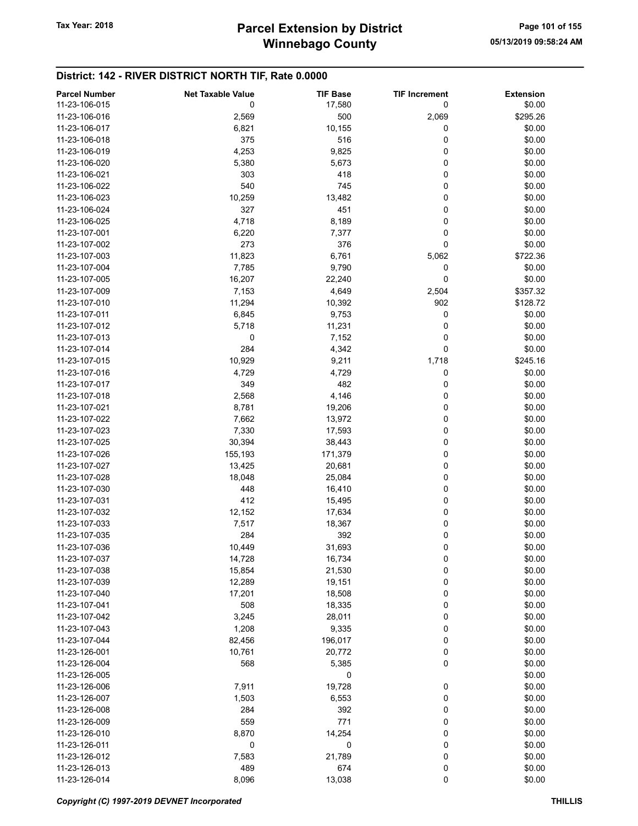| <b>Parcel Number</b> | <b>Net Taxable Value</b> | <b>TIF Base</b> | <b>TIF Increment</b> | <b>Extension</b> |
|----------------------|--------------------------|-----------------|----------------------|------------------|
| 11-23-106-015        | 0                        | 17,580          | 0                    | \$0.00           |
| 11-23-106-016        | 2,569                    | 500             | 2,069                | \$295.26         |
| 11-23-106-017        | 6,821                    | 10,155          | 0                    | \$0.00           |
| 11-23-106-018        | 375                      | 516             | 0                    | \$0.00           |
| 11-23-106-019        | 4,253                    | 9,825           | 0                    | \$0.00           |
|                      |                          |                 |                      |                  |
| 11-23-106-020        | 5,380                    | 5,673           | 0                    | \$0.00           |
| 11-23-106-021        | 303                      | 418             | 0                    | \$0.00           |
| 11-23-106-022        | 540                      | 745             | 0                    | \$0.00           |
| 11-23-106-023        | 10,259                   | 13,482          | 0                    | \$0.00           |
| 11-23-106-024        | 327                      | 451             | 0                    | \$0.00           |
| 11-23-106-025        | 4,718                    | 8,189           | 0                    | \$0.00           |
| 11-23-107-001        | 6,220                    | 7,377           | 0                    | \$0.00           |
| 11-23-107-002        | 273                      | 376             | 0                    | \$0.00           |
| 11-23-107-003        | 11,823                   | 6,761           | 5,062                | \$722.36         |
| 11-23-107-004        | 7,785                    | 9,790           | 0                    | \$0.00           |
| 11-23-107-005        | 16,207                   | 22,240          | 0                    | \$0.00           |
| 11-23-107-009        | 7,153                    | 4,649           | 2,504                | \$357.32         |
| 11-23-107-010        | 11,294                   | 10,392          | 902                  | \$128.72         |
| 11-23-107-011        | 6,845                    | 9,753           | 0                    | \$0.00           |
| 11-23-107-012        | 5,718                    | 11,231          | 0                    | \$0.00           |
| 11-23-107-013        | 0                        | 7,152           | 0                    | \$0.00           |
| 11-23-107-014        | 284                      | 4,342           | 0                    | \$0.00           |
| 11-23-107-015        | 10,929                   | 9,211           | 1,718                | \$245.16         |
| 11-23-107-016        | 4,729                    | 4,729           | 0                    | \$0.00           |
| 11-23-107-017        | 349                      | 482             | 0                    | \$0.00           |
| 11-23-107-018        | 2,568                    | 4,146           | 0                    | \$0.00           |
| 11-23-107-021        | 8,781                    | 19,206          | 0                    | \$0.00           |
| 11-23-107-022        | 7,662                    |                 | 0                    | \$0.00           |
| 11-23-107-023        |                          | 13,972          |                      | \$0.00           |
|                      | 7,330                    | 17,593          | 0                    |                  |
| 11-23-107-025        | 30,394                   | 38,443          | 0                    | \$0.00           |
| 11-23-107-026        | 155,193                  | 171,379         | 0                    | \$0.00           |
| 11-23-107-027        | 13,425                   | 20,681          | 0                    | \$0.00           |
| 11-23-107-028        | 18,048                   | 25,084          | 0                    | \$0.00           |
| 11-23-107-030        | 448                      | 16,410          | 0                    | \$0.00           |
| 11-23-107-031        | 412                      | 15,495          | 0                    | \$0.00           |
| 11-23-107-032        | 12,152                   | 17,634          | 0                    | \$0.00           |
| 11-23-107-033        | 7,517                    | 18,367          | 0                    | \$0.00           |
| 11-23-107-035        | 284                      | 392             | 0                    | \$0.00           |
| 11-23-107-036        | 10,449                   | 31,693          | 0                    | \$0.00           |
| 11-23-107-037        | 14,728                   | 16,734          | 0                    | \$0.00           |
| 11-23-107-038        | 15,854                   | 21,530          | 0                    | \$0.00           |
| 11-23-107-039        | 12,289                   | 19,151          | 0                    | \$0.00           |
| 11-23-107-040        | 17,201                   | 18,508          | 0                    | \$0.00           |
| 11-23-107-041        | 508                      | 18,335          | 0                    | \$0.00           |
| 11-23-107-042        | 3,245                    | 28,011          | 0                    | \$0.00           |
| 11-23-107-043        | 1,208                    | 9,335           | 0                    | \$0.00           |
| 11-23-107-044        | 82,456                   | 196,017         | 0                    | \$0.00           |
| 11-23-126-001        | 10,761                   | 20,772          | 0                    | \$0.00           |
| 11-23-126-004        | 568                      | 5,385           | 0                    | \$0.00           |
| 11-23-126-005        |                          | 0               |                      | \$0.00           |
| 11-23-126-006        | 7,911                    | 19,728          | 0                    | \$0.00           |
| 11-23-126-007        | 1,503                    | 6,553           | 0                    | \$0.00           |
| 11-23-126-008        | 284                      | 392             | 0                    | \$0.00           |
| 11-23-126-009        | 559                      | 771             | 0                    | \$0.00           |
| 11-23-126-010        |                          |                 | 0                    | \$0.00           |
|                      | 8,870                    | 14,254          |                      |                  |
| 11-23-126-011        | 0                        | 0               | 0                    | \$0.00           |
| 11-23-126-012        | 7,583                    | 21,789          | 0                    | \$0.00           |
| 11-23-126-013        | 489                      | 674             | 0                    | \$0.00           |
| 11-23-126-014        | 8,096                    | 13,038          | 0                    | \$0.00           |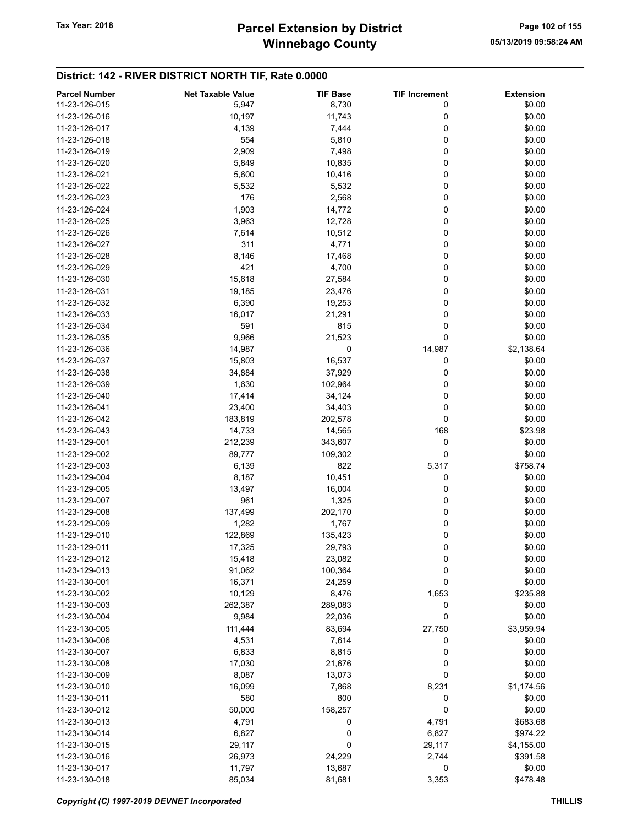## Winnebago County Tax Year: 2018 **Parcel Extension by District** Page 102 of 155

| <b>Parcel Number</b> | <b>Net Taxable Value</b> | <b>TIF Base</b> | <b>TIF Increment</b> | <b>Extension</b> |
|----------------------|--------------------------|-----------------|----------------------|------------------|
| 11-23-126-015        | 5,947                    | 8,730           | 0                    | \$0.00           |
| 11-23-126-016        | 10,197                   | 11,743          | 0                    | \$0.00           |
| 11-23-126-017        | 4,139                    | 7,444           | 0                    | \$0.00           |
| 11-23-126-018        | 554                      | 5,810           | 0                    | \$0.00           |
| 11-23-126-019        | 2,909                    | 7,498           | 0                    | \$0.00           |
| 11-23-126-020        | 5,849                    | 10,835          | 0                    | \$0.00           |
| 11-23-126-021        | 5,600                    | 10,416          | 0                    | \$0.00           |
| 11-23-126-022        | 5,532                    | 5,532           | 0                    | \$0.00           |
| 11-23-126-023        | 176                      |                 | 0                    | \$0.00           |
|                      |                          | 2,568           |                      |                  |
| 11-23-126-024        | 1,903                    | 14,772          | 0                    | \$0.00           |
| 11-23-126-025        | 3,963                    | 12,728          | 0                    | \$0.00           |
| 11-23-126-026        | 7,614                    | 10,512          | 0                    | \$0.00           |
| 11-23-126-027        | 311                      | 4,771           | 0                    | \$0.00           |
| 11-23-126-028        | 8,146                    | 17,468          | 0                    | \$0.00           |
| 11-23-126-029        | 421                      | 4,700           | 0                    | \$0.00           |
| 11-23-126-030        | 15,618                   | 27,584          | 0                    | \$0.00           |
| 11-23-126-031        | 19,185                   | 23,476          | 0                    | \$0.00           |
| 11-23-126-032        | 6,390                    | 19,253          | 0                    | \$0.00           |
| 11-23-126-033        | 16,017                   | 21,291          | 0                    | \$0.00           |
| 11-23-126-034        | 591                      | 815             | 0                    | \$0.00           |
| 11-23-126-035        | 9,966                    | 21,523          | 0                    | \$0.00           |
| 11-23-126-036        | 14,987                   | 0               | 14,987               | \$2,138.64       |
| 11-23-126-037        | 15,803                   | 16,537          | 0                    | \$0.00           |
| 11-23-126-038        | 34,884                   | 37,929          | 0                    | \$0.00           |
| 11-23-126-039        | 1,630                    | 102,964         | 0                    | \$0.00           |
| 11-23-126-040        | 17,414                   | 34,124          | 0                    | \$0.00           |
| 11-23-126-041        |                          |                 | 0                    | \$0.00           |
|                      | 23,400                   | 34,403          |                      |                  |
| 11-23-126-042        | 183,819                  | 202,578         | 0                    | \$0.00           |
| 11-23-126-043        | 14,733                   | 14,565          | 168                  | \$23.98          |
| 11-23-129-001        | 212,239                  | 343,607         | 0                    | \$0.00           |
| 11-23-129-002        | 89,777                   | 109,302         | 0                    | \$0.00           |
| 11-23-129-003        | 6,139                    | 822             | 5,317                | \$758.74         |
| 11-23-129-004        | 8,187                    | 10,451          | 0                    | \$0.00           |
| 11-23-129-005        | 13,497                   | 16,004          | 0                    | \$0.00           |
| 11-23-129-007        | 961                      | 1,325           | 0                    | \$0.00           |
| 11-23-129-008        | 137,499                  | 202,170         | 0                    | \$0.00           |
| 11-23-129-009        | 1,282                    | 1,767           | 0                    | \$0.00           |
| 11-23-129-010        | 122,869                  | 135,423         | 0                    | \$0.00           |
| 11-23-129-011        | 17,325                   | 29,793          | 0                    | \$0.00           |
| 11-23-129-012        | 15,418                   | 23,082          | 0                    | \$0.00           |
| 11-23-129-013        | 91,062                   | 100,364         | 0                    | \$0.00           |
| 11-23-130-001        | 16,371                   | 24,259          | $\pmb{0}$            | \$0.00           |
| 11-23-130-002        | 10,129                   | 8,476           | 1,653                | \$235.88         |
| 11-23-130-003        | 262,387                  | 289,083         | 0                    | \$0.00           |
| 11-23-130-004        | 9,984                    | 22,036          | 0                    | \$0.00           |
| 11-23-130-005        | 111,444                  | 83,694          | 27,750               | \$3,959.94       |
| 11-23-130-006        |                          |                 | 0                    |                  |
|                      | 4,531                    | 7,614           |                      | \$0.00           |
| 11-23-130-007        | 6,833                    | 8,815           | 0                    | \$0.00           |
| 11-23-130-008        | 17,030                   | 21,676          | $\mathbf 0$          | \$0.00           |
| 11-23-130-009        | 8,087                    | 13,073          | 0                    | \$0.00           |
| 11-23-130-010        | 16,099                   | 7,868           | 8,231                | \$1,174.56       |
| 11-23-130-011        | 580                      | 800             | 0                    | \$0.00           |
| 11-23-130-012        | 50,000                   | 158,257         | 0                    | \$0.00           |
| 11-23-130-013        | 4,791                    | 0               | 4,791                | \$683.68         |
| 11-23-130-014        | 6,827                    | 0               | 6,827                | \$974.22         |
| 11-23-130-015        | 29,117                   | 0               | 29,117               | \$4,155.00       |
| 11-23-130-016        | 26,973                   | 24,229          | 2,744                | \$391.58         |
| 11-23-130-017        | 11,797                   | 13,687          | 0                    | \$0.00           |
| 11-23-130-018        | 85,034                   | 81,681          | 3,353                | \$478.48         |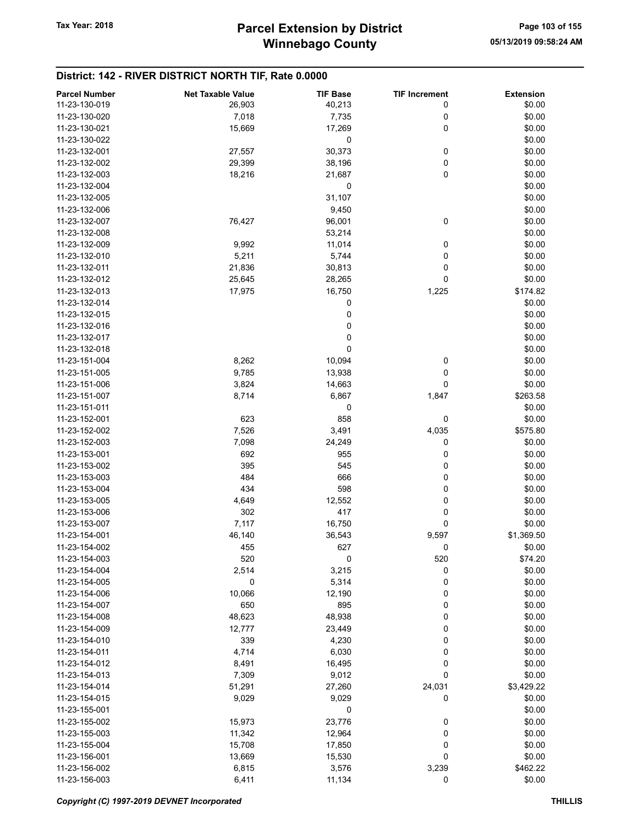| <b>Parcel Number</b> | <b>Net Taxable Value</b> | <b>TIF Base</b> | <b>TIF Increment</b> | <b>Extension</b> |
|----------------------|--------------------------|-----------------|----------------------|------------------|
| 11-23-130-019        | 26,903                   | 40,213          | 0                    | \$0.00           |
| 11-23-130-020        | 7,018                    | 7,735           | 0                    | \$0.00           |
| 11-23-130-021        | 15,669                   | 17,269          | 0                    | \$0.00           |
| 11-23-130-022        |                          | 0               |                      | \$0.00           |
| 11-23-132-001        | 27,557                   | 30,373          | 0                    | \$0.00           |
| 11-23-132-002        | 29,399                   | 38,196          | 0                    | \$0.00           |
| 11-23-132-003        |                          |                 | 0                    |                  |
|                      | 18,216                   | 21,687          |                      | \$0.00           |
| 11-23-132-004        |                          | 0               |                      | \$0.00           |
| 11-23-132-005        |                          | 31,107          |                      | \$0.00           |
| 11-23-132-006        |                          | 9,450           |                      | \$0.00           |
| 11-23-132-007        | 76,427                   | 96,001          | 0                    | \$0.00           |
| 11-23-132-008        |                          | 53,214          |                      | \$0.00           |
| 11-23-132-009        | 9,992                    | 11,014          | 0                    | \$0.00           |
| 11-23-132-010        | 5,211                    | 5,744           | 0                    | \$0.00           |
| 11-23-132-011        | 21,836                   | 30,813          | 0                    | \$0.00           |
| 11-23-132-012        | 25,645                   | 28,265          | 0                    | \$0.00           |
| 11-23-132-013        | 17,975                   | 16,750          | 1,225                | \$174.82         |
| 11-23-132-014        |                          | 0               |                      | \$0.00           |
| 11-23-132-015        |                          | 0               |                      | \$0.00           |
| 11-23-132-016        |                          | $\pmb{0}$       |                      | \$0.00           |
| 11-23-132-017        |                          | 0               |                      | \$0.00           |
| 11-23-132-018        |                          | 0               |                      | \$0.00           |
| 11-23-151-004        | 8,262                    | 10,094          | 0                    | \$0.00           |
| 11-23-151-005        | 9,785                    | 13,938          | 0                    | \$0.00           |
| 11-23-151-006        | 3,824                    | 14,663          | 0                    | \$0.00           |
| 11-23-151-007        | 8,714                    | 6,867           | 1,847                | \$263.58         |
| 11-23-151-011        |                          | 0               |                      | \$0.00           |
| 11-23-152-001        | 623                      | 858             | 0                    | \$0.00           |
| 11-23-152-002        | 7,526                    | 3,491           | 4,035                | \$575.80         |
| 11-23-152-003        | 7,098                    | 24,249          | 0                    | \$0.00           |
|                      |                          |                 |                      |                  |
| 11-23-153-001        | 692                      | 955             | 0                    | \$0.00           |
| 11-23-153-002        | 395                      | 545             | 0                    | \$0.00           |
| 11-23-153-003        | 484                      | 666             | 0                    | \$0.00           |
| 11-23-153-004        | 434                      | 598             | 0                    | \$0.00           |
| 11-23-153-005        | 4,649                    | 12,552          | 0                    | \$0.00           |
| 11-23-153-006        | 302                      | 417             | 0                    | \$0.00           |
| 11-23-153-007        | 7,117                    | 16,750          | 0                    | \$0.00           |
| 11-23-154-001        | 46,140                   | 36,543          | 9,597                | \$1,369.50       |
| 11-23-154-002        | 455                      | 627             | 0                    | \$0.00           |
| 11-23-154-003        | 520                      | 0               | 520                  | \$74.20          |
| 11-23-154-004        | 2,514                    | 3,215           | 0                    | \$0.00           |
| 11-23-154-005        | 0                        | 5,314           | 0                    | \$0.00           |
| 11-23-154-006        | 10,066                   | 12,190          | 0                    | \$0.00           |
| 11-23-154-007        | 650                      | 895             | 0                    | \$0.00           |
| 11-23-154-008        | 48,623                   | 48,938          | 0                    | \$0.00           |
| 11-23-154-009        | 12,777                   | 23,449          | 0                    | \$0.00           |
| 11-23-154-010        | 339                      | 4,230           | 0                    | \$0.00           |
| 11-23-154-011        | 4,714                    | 6,030           | 0                    | \$0.00           |
| 11-23-154-012        | 8,491                    | 16,495          | 0                    | \$0.00           |
| 11-23-154-013        | 7,309                    | 9,012           | 0                    | \$0.00           |
| 11-23-154-014        | 51,291                   | 27,260          | 24,031               | \$3,429.22       |
| 11-23-154-015        | 9,029                    | 9,029           | 0                    | \$0.00           |
| 11-23-155-001        |                          | 0               |                      | \$0.00           |
| 11-23-155-002        | 15,973                   | 23,776          | 0                    | \$0.00           |
| 11-23-155-003        | 11,342                   | 12,964          | 0                    | \$0.00           |
|                      |                          |                 |                      |                  |
| 11-23-155-004        | 15,708                   | 17,850          | 0                    | \$0.00           |
| 11-23-156-001        | 13,669                   | 15,530          | 0                    | \$0.00           |
| 11-23-156-002        | 6,815                    | 3,576           | 3,239                | \$462.22         |
| 11-23-156-003        | 6,411                    | 11,134          | 0                    | \$0.00           |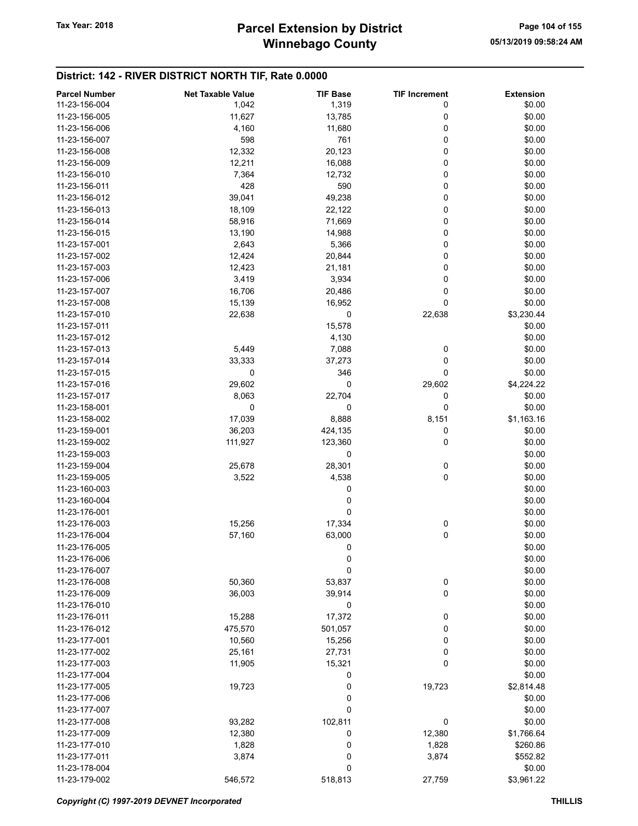| <b>Parcel Number</b> | <b>Net Taxable Value</b> | <b>TIF Base</b> | <b>TIF Increment</b> | <b>Extension</b> |
|----------------------|--------------------------|-----------------|----------------------|------------------|
| 11-23-156-004        | 1,042                    | 1,319           | 0                    | \$0.00           |
| 11-23-156-005        | 11,627                   | 13,785          | 0                    | \$0.00           |
| 11-23-156-006        | 4,160                    | 11,680          | 0                    | \$0.00           |
| 11-23-156-007        | 598                      | 761             | 0                    | \$0.00           |
| 11-23-156-008        | 12,332                   |                 | 0                    | \$0.00           |
|                      |                          | 20,123          |                      |                  |
| 11-23-156-009        | 12,211                   | 16,088          | 0                    | \$0.00           |
| 11-23-156-010        | 7,364                    | 12,732          | 0                    | \$0.00           |
| 11-23-156-011        | 428                      | 590             | 0                    | \$0.00           |
| 11-23-156-012        | 39,041                   | 49,238          | 0                    | \$0.00           |
| 11-23-156-013        | 18,109                   | 22,122          | 0                    | \$0.00           |
| 11-23-156-014        | 58,916                   | 71,669          | 0                    | \$0.00           |
| 11-23-156-015        | 13,190                   | 14,988          | 0                    | \$0.00           |
| 11-23-157-001        | 2,643                    | 5,366           | 0                    | \$0.00           |
| 11-23-157-002        | 12,424                   | 20,844          | 0                    | \$0.00           |
| 11-23-157-003        | 12,423                   | 21,181          | 0                    | \$0.00           |
| 11-23-157-006        | 3,419                    | 3,934           | 0                    | \$0.00           |
| 11-23-157-007        | 16,706                   | 20,486          | 0                    | \$0.00           |
| 11-23-157-008        | 15,139                   | 16,952          | 0                    | \$0.00           |
| 11-23-157-010        | 22,638                   | 0               | 22,638               | \$3,230.44       |
| 11-23-157-011        |                          |                 |                      |                  |
|                      |                          | 15,578          |                      | \$0.00           |
| 11-23-157-012        |                          | 4,130           |                      | \$0.00           |
| 11-23-157-013        | 5,449                    | 7,088           | 0                    | \$0.00           |
| 11-23-157-014        | 33,333                   | 37,273          | 0                    | \$0.00           |
| 11-23-157-015        | 0                        | 346             | 0                    | \$0.00           |
| 11-23-157-016        | 29,602                   | 0               | 29,602               | \$4,224.22       |
| 11-23-157-017        | 8,063                    | 22,704          | 0                    | \$0.00           |
| 11-23-158-001        | 0                        | 0               | 0                    | \$0.00           |
| 11-23-158-002        | 17,039                   | 8,888           | 8,151                | \$1,163.16       |
| 11-23-159-001        | 36,203                   | 424,135         | 0                    | \$0.00           |
| 11-23-159-002        | 111,927                  | 123,360         | 0                    | \$0.00           |
| 11-23-159-003        |                          | 0               |                      | \$0.00           |
| 11-23-159-004        | 25,678                   | 28,301          | 0                    | \$0.00           |
| 11-23-159-005        | 3,522                    | 4,538           | 0                    | \$0.00           |
| 11-23-160-003        |                          | 0               |                      | \$0.00           |
| 11-23-160-004        |                          | 0               |                      |                  |
|                      |                          |                 |                      | \$0.00           |
| 11-23-176-001        |                          | 0               |                      | \$0.00           |
| 11-23-176-003        | 15,256                   | 17,334          | 0                    | \$0.00           |
| 11-23-176-004        | 57,160                   | 63,000          | 0                    | \$0.00           |
| 11-23-176-005        |                          | 0               |                      | \$0.00           |
| 11-23-176-006        |                          | 0               |                      | \$0.00           |
| 11-23-176-007        |                          | 0               |                      | \$0.00           |
| 11-23-176-008        | 50,360                   | 53,837          | 0                    | \$0.00           |
| 11-23-176-009        | 36,003                   | 39,914          | $\mathbf 0$          | \$0.00           |
| 11-23-176-010        |                          | 0               |                      | \$0.00           |
| 11-23-176-011        | 15,288                   | 17,372          | 0                    | \$0.00           |
| 11-23-176-012        | 475,570                  | 501,057         | 0                    | \$0.00           |
| 11-23-177-001        | 10,560                   | 15,256          | 0                    | \$0.00           |
| 11-23-177-002        | 25,161                   | 27,731          | 0                    | \$0.00           |
| 11-23-177-003        | 11,905                   | 15,321          | 0                    | \$0.00           |
| 11-23-177-004        |                          | 0               |                      | \$0.00           |
|                      |                          |                 |                      |                  |
| 11-23-177-005        | 19,723                   | 0               | 19,723               | \$2,814.48       |
| 11-23-177-006        |                          | 0               |                      | \$0.00           |
| 11-23-177-007        |                          | 0               |                      | \$0.00           |
| 11-23-177-008        | 93,282                   | 102,811         | 0                    | \$0.00           |
| 11-23-177-009        | 12,380                   | 0               | 12,380               | \$1,766.64       |
| 11-23-177-010        | 1,828                    | 0               | 1,828                | \$260.86         |
| 11-23-177-011        | 3,874                    | 0               | 3,874                | \$552.82         |
| 11-23-178-004        |                          | 0               |                      | \$0.00           |
| 11-23-179-002        | 546,572                  | 518,813         | 27,759               | \$3,961.22       |

Copyright (C) 1997-2019 DEVNET Incorporated THILLIS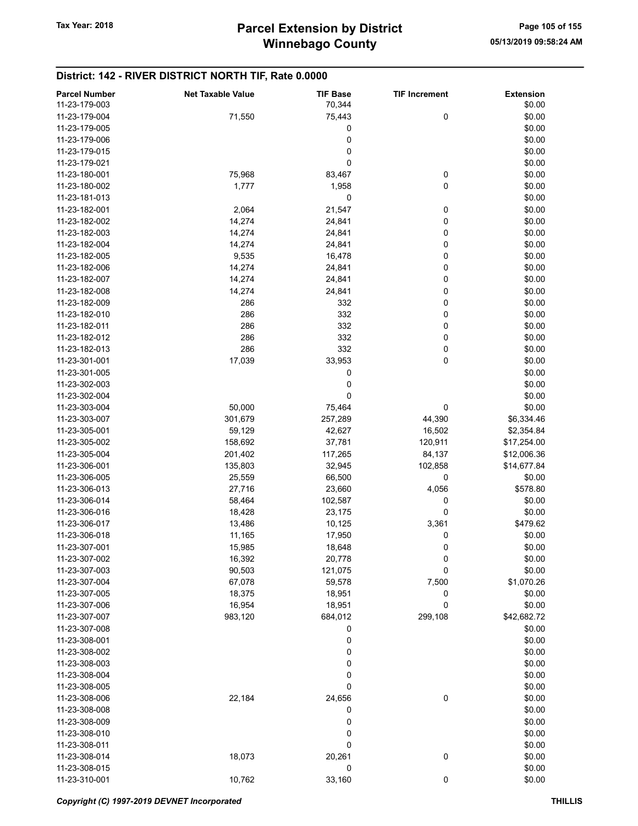| <b>Parcel Number</b> | <b>Net Taxable Value</b> | <b>TIF Base</b> | <b>TIF Increment</b> | <b>Extension</b> |
|----------------------|--------------------------|-----------------|----------------------|------------------|
| 11-23-179-003        |                          | 70,344          |                      | \$0.00           |
| 11-23-179-004        | 71,550                   | 75,443          | 0                    | \$0.00           |
| 11-23-179-005        |                          | 0               |                      | \$0.00           |
| 11-23-179-006        |                          | 0               |                      | \$0.00           |
| 11-23-179-015        |                          |                 |                      |                  |
|                      |                          | 0               |                      | \$0.00           |
| 11-23-179-021        |                          | 0               |                      | \$0.00           |
| 11-23-180-001        | 75,968                   | 83,467          | 0                    | \$0.00           |
| 11-23-180-002        | 1,777                    | 1,958           | 0                    | \$0.00           |
| 11-23-181-013        |                          | 0               |                      | \$0.00           |
| 11-23-182-001        | 2,064                    | 21,547          | 0                    | \$0.00           |
| 11-23-182-002        | 14,274                   | 24,841          | 0                    | \$0.00           |
| 11-23-182-003        | 14,274                   | 24,841          | 0                    | \$0.00           |
| 11-23-182-004        | 14,274                   | 24,841          | 0                    | \$0.00           |
| 11-23-182-005        | 9,535                    | 16,478          | 0                    | \$0.00           |
| 11-23-182-006        | 14,274                   | 24,841          | 0                    | \$0.00           |
| 11-23-182-007        | 14,274                   | 24,841          | 0                    | \$0.00           |
| 11-23-182-008        | 14,274                   | 24,841          | 0                    | \$0.00           |
| 11-23-182-009        | 286                      | 332             | 0                    | \$0.00           |
| 11-23-182-010        | 286                      | 332             | 0                    | \$0.00           |
| 11-23-182-011        |                          |                 |                      |                  |
|                      | 286                      | 332             | 0                    | \$0.00           |
| 11-23-182-012        | 286                      | 332             | 0                    | \$0.00           |
| 11-23-182-013        | 286                      | 332             | 0                    | \$0.00           |
| 11-23-301-001        | 17,039                   | 33,953          | 0                    | \$0.00           |
| 11-23-301-005        |                          | 0               |                      | \$0.00           |
| 11-23-302-003        |                          | 0               |                      | \$0.00           |
| 11-23-302-004        |                          | 0               |                      | \$0.00           |
| 11-23-303-004        | 50,000                   | 75,464          | 0                    | \$0.00           |
| 11-23-303-007        | 301,679                  | 257,289         | 44,390               | \$6,334.46       |
| 11-23-305-001        | 59,129                   | 42,627          | 16,502               | \$2,354.84       |
| 11-23-305-002        | 158,692                  | 37,781          | 120,911              | \$17,254.00      |
| 11-23-305-004        | 201,402                  | 117,265         | 84,137               | \$12,006.36      |
| 11-23-306-001        | 135,803                  | 32,945          | 102,858              | \$14,677.84      |
| 11-23-306-005        | 25,559                   | 66,500          | 0                    | \$0.00           |
| 11-23-306-013        | 27,716                   | 23,660          | 4,056                | \$578.80         |
| 11-23-306-014        | 58,464                   | 102,587         | 0                    | \$0.00           |
|                      |                          |                 | 0                    |                  |
| 11-23-306-016        | 18,428                   | 23,175          |                      | \$0.00           |
| 11-23-306-017        | 13,486                   | 10,125          | 3,361                | \$479.62         |
| 11-23-306-018        | 11,165                   | 17,950          | 0                    | \$0.00           |
| 11-23-307-001        | 15,985                   | 18,648          | 0                    | \$0.00           |
| 11-23-307-002        | 16,392                   | 20,778          | 0                    | \$0.00           |
| 11-23-307-003        | 90,503                   | 121,075         | 0                    | \$0.00           |
| 11-23-307-004        | 67,078                   | 59,578          | 7,500                | \$1,070.26       |
| 11-23-307-005        | 18,375                   | 18,951          | 0                    | \$0.00           |
| 11-23-307-006        | 16,954                   | 18,951          | 0                    | \$0.00           |
| 11-23-307-007        | 983,120                  | 684,012         | 299,108              | \$42,682.72      |
| 11-23-307-008        |                          | 0               |                      | \$0.00           |
| 11-23-308-001        |                          | 0               |                      | \$0.00           |
| 11-23-308-002        |                          | 0               |                      | \$0.00           |
| 11-23-308-003        |                          | 0               |                      | \$0.00           |
| 11-23-308-004        |                          | 0               |                      | \$0.00           |
| 11-23-308-005        |                          | 0               |                      | \$0.00           |
|                      |                          |                 |                      |                  |
| 11-23-308-006        | 22,184                   | 24,656          | 0                    | \$0.00           |
| 11-23-308-008        |                          | 0               |                      | \$0.00           |
| 11-23-308-009        |                          | 0               |                      | \$0.00           |
| 11-23-308-010        |                          | 0               |                      | \$0.00           |
| 11-23-308-011        |                          | 0               |                      | \$0.00           |
| 11-23-308-014        | 18,073                   | 20,261          | 0                    | \$0.00           |
| 11-23-308-015        |                          | 0               |                      | \$0.00           |
| 11-23-310-001        | 10,762                   | 33,160          | 0                    | \$0.00           |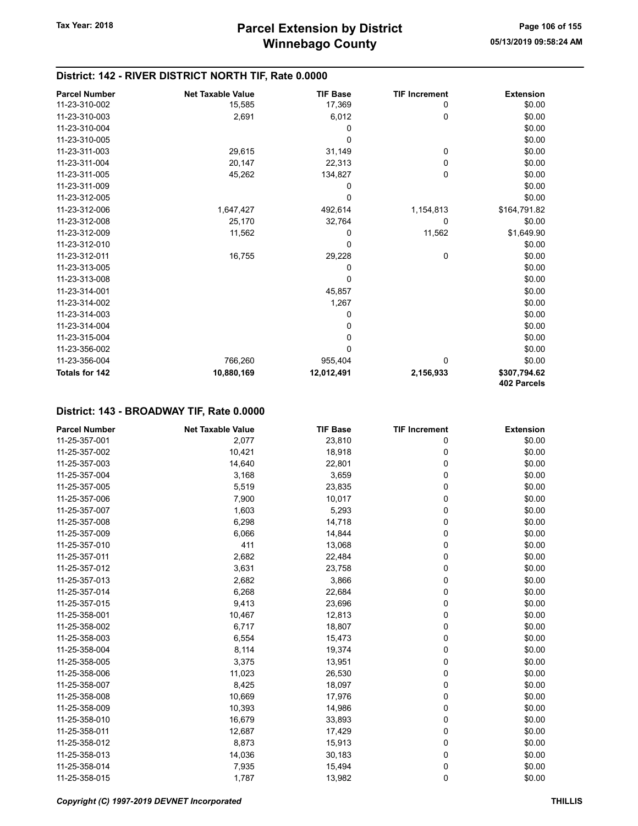| <b>Parcel Number</b>  | <b>Net Taxable Value</b> | <b>TIF Base</b> | <b>TIF Increment</b> | <b>Extension</b> |
|-----------------------|--------------------------|-----------------|----------------------|------------------|
| 11-23-310-002         | 15,585                   | 17,369          | 0                    | \$0.00           |
| 11-23-310-003         | 2,691                    | 6,012           | 0                    | \$0.00           |
| 11-23-310-004         |                          | 0               |                      | \$0.00           |
| 11-23-310-005         |                          | $\mathbf 0$     |                      | \$0.00           |
| 11-23-311-003         | 29,615                   | 31,149          | 0                    | \$0.00           |
| 11-23-311-004         | 20,147                   | 22,313          | 0                    | \$0.00           |
| 11-23-311-005         | 45,262                   | 134,827         | 0                    | \$0.00           |
| 11-23-311-009         |                          | 0               |                      | \$0.00           |
| 11-23-312-005         |                          | 0               |                      | \$0.00           |
| 11-23-312-006         | 1,647,427                | 492,614         | 1,154,813            | \$164,791.82     |
| 11-23-312-008         | 25,170                   | 32,764          | 0                    | \$0.00           |
| 11-23-312-009         | 11,562                   | 0               | 11,562               | \$1,649.90       |
| 11-23-312-010         |                          | 0               |                      | \$0.00           |
| 11-23-312-011         | 16,755                   | 29,228          | 0                    | \$0.00           |
| 11-23-313-005         |                          | 0               |                      | \$0.00           |
| 11-23-313-008         |                          | 0               |                      | \$0.00           |
| 11-23-314-001         |                          | 45,857          |                      | \$0.00           |
| 11-23-314-002         |                          | 1,267           |                      | \$0.00           |
| 11-23-314-003         |                          | 0               |                      | \$0.00           |
| 11-23-314-004         |                          | 0               |                      | \$0.00           |
| 11-23-315-004         |                          | 0               |                      | \$0.00           |
| 11-23-356-002         |                          | 0               |                      | \$0.00           |
| 11-23-356-004         | 766,260                  | 955,404         | 0                    | \$0.00           |
| <b>Totals for 142</b> | 10,880,169               | 12,012,491      | 2,156,933            | \$307,794.62     |
|                       |                          |                 |                      | 402 Parcels      |

#### District: 143 - BROADWAY TIF, Rate 0.0000

| <b>Parcel Number</b> | <b>Net Taxable Value</b> | <b>TIF Base</b> | <b>TIF Increment</b> | <b>Extension</b> |
|----------------------|--------------------------|-----------------|----------------------|------------------|
| 11-25-357-001        | 2,077                    | 23,810          | 0                    | \$0.00           |
| 11-25-357-002        | 10,421                   | 18,918          | 0                    | \$0.00           |
| 11-25-357-003        | 14,640                   | 22,801          | 0                    | \$0.00           |
| 11-25-357-004        | 3,168                    | 3,659           | 0                    | \$0.00           |
| 11-25-357-005        | 5,519                    | 23,835          | 0                    | \$0.00           |
| 11-25-357-006        | 7,900                    | 10,017          | 0                    | \$0.00           |
| 11-25-357-007        | 1,603                    | 5,293           | 0                    | \$0.00           |
| 11-25-357-008        | 6,298                    | 14,718          | 0                    | \$0.00           |
| 11-25-357-009        | 6,066                    | 14,844          | 0                    | \$0.00           |
| 11-25-357-010        | 411                      | 13,068          | 0                    | \$0.00           |
| 11-25-357-011        | 2,682                    | 22,484          | 0                    | \$0.00           |
| 11-25-357-012        | 3,631                    | 23,758          | 0                    | \$0.00           |
| 11-25-357-013        | 2,682                    | 3,866           | 0                    | \$0.00           |
| 11-25-357-014        | 6,268                    | 22,684          | 0                    | \$0.00           |
| 11-25-357-015        | 9,413                    | 23,696          | 0                    | \$0.00           |
| 11-25-358-001        | 10,467                   | 12,813          | 0                    | \$0.00           |
| 11-25-358-002        | 6,717                    | 18,807          | 0                    | \$0.00           |
| 11-25-358-003        | 6,554                    | 15,473          | 0                    | \$0.00           |
| 11-25-358-004        | 8,114                    | 19,374          | 0                    | \$0.00           |
| 11-25-358-005        | 3,375                    | 13,951          | 0                    | \$0.00           |
| 11-25-358-006        | 11,023                   | 26,530          | 0                    | \$0.00           |
| 11-25-358-007        | 8,425                    | 18,097          | 0                    | \$0.00           |
| 11-25-358-008        | 10,669                   | 17,976          | 0                    | \$0.00           |
| 11-25-358-009        | 10,393                   | 14,986          | 0                    | \$0.00           |
| 11-25-358-010        | 16,679                   | 33,893          | 0                    | \$0.00           |
| 11-25-358-011        | 12,687                   | 17,429          | 0                    | \$0.00           |
| 11-25-358-012        | 8,873                    | 15,913          | 0                    | \$0.00           |
| 11-25-358-013        | 14,036                   | 30,183          | 0                    | \$0.00           |
| 11-25-358-014        | 7,935                    | 15,494          | 0                    | \$0.00           |
| 11-25-358-015        | 1,787                    | 13,982          | 0                    | \$0.00           |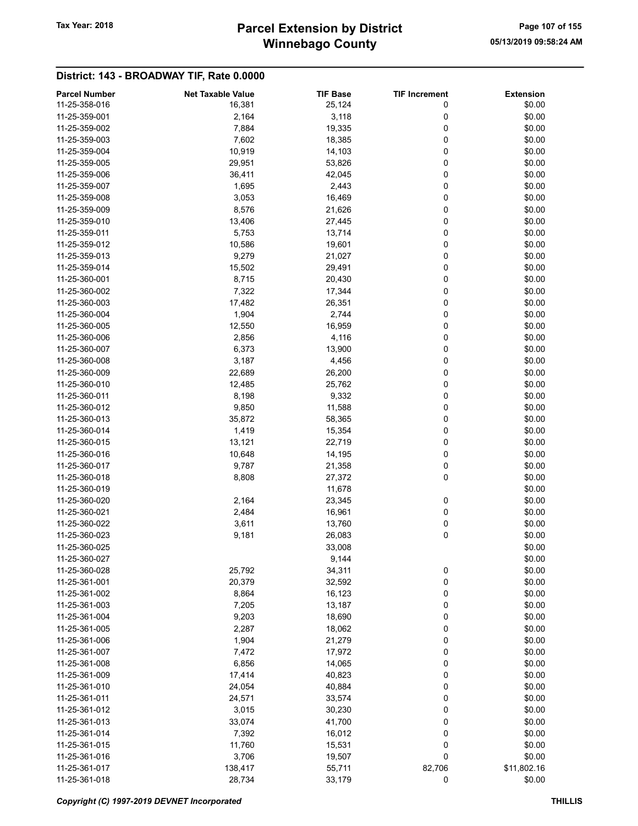## Winnebago County Tax Year: 2018 **Parcel Extension by District** Page 107 of 155

### District: 143 - BROADWAY TIF, Rate 0.0000

| <b>Parcel Number</b> | <b>Net Taxable Value</b> | <b>TIF Base</b> | <b>TIF Increment</b> | <b>Extension</b> |
|----------------------|--------------------------|-----------------|----------------------|------------------|
| 11-25-358-016        | 16,381                   | 25,124          | 0                    | \$0.00           |
| 11-25-359-001        | 2,164                    | 3,118           | 0                    | \$0.00           |
| 11-25-359-002        | 7,884                    | 19,335          | 0                    | \$0.00           |
| 11-25-359-003        | 7,602                    | 18,385          | 0                    | \$0.00           |
| 11-25-359-004        | 10,919                   | 14,103          | 0                    | \$0.00           |
| 11-25-359-005        | 29,951                   | 53,826          | 0                    | \$0.00           |
| 11-25-359-006        | 36,411                   | 42,045          | 0                    | \$0.00           |
| 11-25-359-007        | 1,695                    | 2,443           | 0                    | \$0.00           |
| 11-25-359-008        | 3,053                    | 16,469          | 0                    | \$0.00           |
| 11-25-359-009        | 8,576                    | 21,626          | 0                    | \$0.00           |
| 11-25-359-010        | 13,406                   | 27,445          | 0                    | \$0.00           |
| 11-25-359-011        |                          |                 |                      |                  |
|                      | 5,753                    | 13,714          | 0                    | \$0.00           |
| 11-25-359-012        | 10,586                   | 19,601          | 0                    | \$0.00           |
| 11-25-359-013        | 9,279                    | 21,027          | 0                    | \$0.00           |
| 11-25-359-014        | 15,502                   | 29,491          | 0                    | \$0.00           |
| 11-25-360-001        | 8,715                    | 20,430          | 0                    | \$0.00           |
| 11-25-360-002        | 7,322                    | 17,344          | 0                    | \$0.00           |
| 11-25-360-003        | 17,482                   | 26,351          | 0                    | \$0.00           |
| 11-25-360-004        | 1,904                    | 2,744           | 0                    | \$0.00           |
| 11-25-360-005        | 12,550                   | 16,959          | 0                    | \$0.00           |
| 11-25-360-006        | 2,856                    | 4,116           | 0                    | \$0.00           |
| 11-25-360-007        | 6,373                    | 13,900          | 0                    | \$0.00           |
| 11-25-360-008        | 3,187                    | 4,456           | 0                    | \$0.00           |
| 11-25-360-009        | 22,689                   | 26,200          | 0                    | \$0.00           |
| 11-25-360-010        | 12,485                   | 25,762          | 0                    | \$0.00           |
| 11-25-360-011        | 8,198                    | 9,332           | 0                    | \$0.00           |
| 11-25-360-012        | 9,850                    | 11,588          | 0                    | \$0.00           |
| 11-25-360-013        | 35,872                   | 58,365          | 0                    | \$0.00           |
| 11-25-360-014        | 1,419                    | 15,354          | 0                    | \$0.00           |
| 11-25-360-015        | 13,121                   | 22,719          | 0                    | \$0.00           |
| 11-25-360-016        | 10,648                   | 14,195          | 0                    | \$0.00           |
| 11-25-360-017        | 9,787                    | 21,358          | 0                    | \$0.00           |
| 11-25-360-018        | 8,808                    | 27,372          | 0                    | \$0.00           |
| 11-25-360-019        |                          | 11,678          |                      | \$0.00           |
| 11-25-360-020        | 2,164                    | 23,345          | 0                    | \$0.00           |
| 11-25-360-021        | 2,484                    | 16,961          | 0                    | \$0.00           |
| 11-25-360-022        | 3,611                    | 13,760          | 0                    | \$0.00           |
| 11-25-360-023        | 9,181                    | 26,083          | 0                    | \$0.00           |
| 11-25-360-025        |                          | 33,008          |                      | \$0.00           |
| 11-25-360-027        |                          | 9,144           |                      | \$0.00           |
| 11-25-360-028        | 25,792                   | 34,311          | 0                    | \$0.00           |
| 11-25-361-001        | 20,379                   | 32,592          | 0                    | \$0.00           |
| 11-25-361-002        | 8,864                    | 16,123          | 0                    | \$0.00           |
| 11-25-361-003        |                          | 13,187          |                      | \$0.00           |
| 11-25-361-004        | 7,205<br>9,203           | 18,690          | 0<br>0               | \$0.00           |
|                      |                          |                 |                      |                  |
| 11-25-361-005        | 2,287                    | 18,062          | 0                    | \$0.00           |
| 11-25-361-006        | 1,904                    | 21,279          | 0                    | \$0.00           |
| 11-25-361-007        | 7,472                    | 17,972          | 0                    | \$0.00           |
| 11-25-361-008        | 6,856                    | 14,065          | 0                    | \$0.00           |
| 11-25-361-009        | 17,414                   | 40,823          | 0                    | \$0.00           |
| 11-25-361-010        | 24,054                   | 40,884          | 0                    | \$0.00           |
| 11-25-361-011        | 24,571                   | 33,574          | 0                    | \$0.00           |
| 11-25-361-012        | 3,015                    | 30,230          | 0                    | \$0.00           |
| 11-25-361-013        | 33,074                   | 41,700          | 0                    | \$0.00           |
| 11-25-361-014        | 7,392                    | 16,012          | 0                    | \$0.00           |
| 11-25-361-015        | 11,760                   | 15,531          | 0                    | \$0.00           |
| 11-25-361-016        | 3,706                    | 19,507          | 0                    | \$0.00           |
| 11-25-361-017        | 138,417                  | 55,711          | 82,706               | \$11,802.16      |
| 11-25-361-018        | 28,734                   | 33,179          | $\mathbf 0$          | \$0.00           |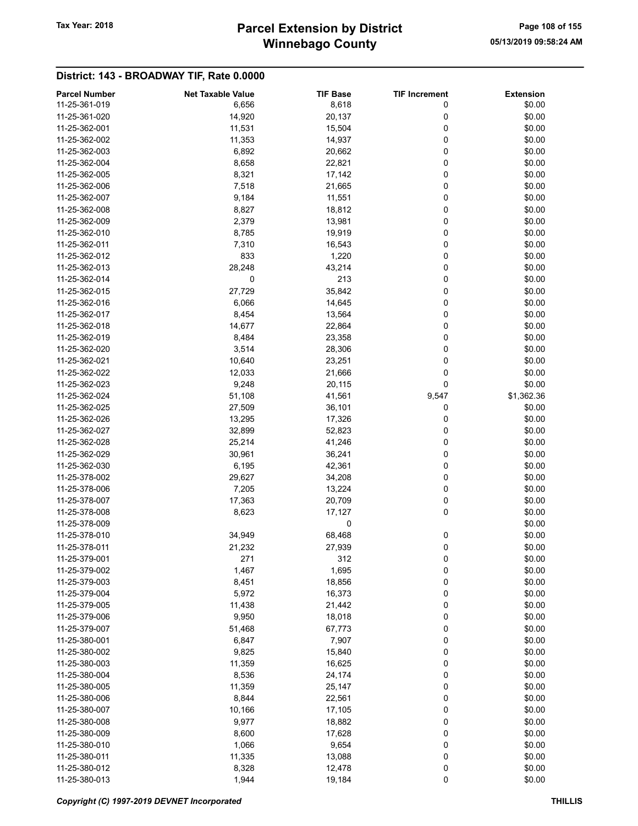## Winnebago County Tax Year: 2018 **Parcel Extension by District** Page 108 of 155

### District: 143 - BROADWAY TIF, Rate 0.0000

| <b>Parcel Number</b> | <b>Net Taxable Value</b> | <b>TIF Base</b> | <b>TIF Increment</b> | <b>Extension</b> |
|----------------------|--------------------------|-----------------|----------------------|------------------|
| 11-25-361-019        | 6,656                    | 8,618           | 0                    | \$0.00           |
| 11-25-361-020        | 14,920                   | 20,137          | 0                    | \$0.00           |
| 11-25-362-001        | 11,531                   | 15,504          | 0                    | \$0.00           |
| 11-25-362-002        | 11,353                   | 14,937          | 0                    | \$0.00           |
| 11-25-362-003        | 6,892                    | 20,662          | 0                    | \$0.00           |
| 11-25-362-004        | 8,658                    | 22,821          | 0                    | \$0.00           |
| 11-25-362-005        | 8,321                    | 17,142          | 0                    | \$0.00           |
|                      |                          |                 | 0                    |                  |
| 11-25-362-006        | 7,518                    | 21,665          |                      | \$0.00           |
| 11-25-362-007        | 9,184                    | 11,551          | 0                    | \$0.00           |
| 11-25-362-008        | 8,827                    | 18,812          | 0                    | \$0.00           |
| 11-25-362-009        | 2,379                    | 13,981          | 0                    | \$0.00           |
| 11-25-362-010        | 8,785                    | 19,919          | 0                    | \$0.00           |
| 11-25-362-011        | 7,310                    | 16,543          | 0                    | \$0.00           |
| 11-25-362-012        | 833                      | 1,220           | 0                    | \$0.00           |
| 11-25-362-013        | 28,248                   | 43,214          | 0                    | \$0.00           |
| 11-25-362-014        | 0                        | 213             | 0                    | \$0.00           |
| 11-25-362-015        | 27,729                   | 35,842          | 0                    | \$0.00           |
| 11-25-362-016        | 6,066                    | 14,645          | 0                    | \$0.00           |
| 11-25-362-017        | 8,454                    | 13,564          | 0                    | \$0.00           |
| 11-25-362-018        | 14,677                   | 22,864          | 0                    | \$0.00           |
| 11-25-362-019        | 8,484                    | 23,358          | 0                    | \$0.00           |
| 11-25-362-020        | 3,514                    | 28,306          | 0                    | \$0.00           |
| 11-25-362-021        | 10,640                   | 23,251          | 0                    | \$0.00           |
| 11-25-362-022        | 12,033                   | 21,666          | 0                    | \$0.00           |
| 11-25-362-023        | 9,248                    | 20,115          | 0                    | \$0.00           |
| 11-25-362-024        |                          | 41,561          |                      | \$1,362.36       |
|                      | 51,108                   |                 | 9,547                |                  |
| 11-25-362-025        | 27,509                   | 36,101          | 0                    | \$0.00           |
| 11-25-362-026        | 13,295                   | 17,326          | 0                    | \$0.00           |
| 11-25-362-027        | 32,899                   | 52,823          | 0                    | \$0.00           |
| 11-25-362-028        | 25,214                   | 41,246          | 0                    | \$0.00           |
| 11-25-362-029        | 30,961                   | 36,241          | 0                    | \$0.00           |
| 11-25-362-030        | 6,195                    | 42,361          | 0                    | \$0.00           |
| 11-25-378-002        | 29,627                   | 34,208          | 0                    | \$0.00           |
| 11-25-378-006        | 7,205                    | 13,224          | 0                    | \$0.00           |
| 11-25-378-007        | 17,363                   | 20,709          | 0                    | \$0.00           |
| 11-25-378-008        | 8,623                    | 17,127          | 0                    | \$0.00           |
| 11-25-378-009        |                          | 0               |                      | \$0.00           |
| 11-25-378-010        | 34,949                   | 68,468          | 0                    | \$0.00           |
| 11-25-378-011        | 21,232                   | 27,939          | 0                    | \$0.00           |
| 11-25-379-001        | 271                      | 312             | 0                    | \$0.00           |
| 11-25-379-002        | 1,467                    | 1,695           | 0                    | \$0.00           |
| 11-25-379-003        | 8,451                    | 18,856          | 0                    | \$0.00           |
| 11-25-379-004        | 5,972                    | 16,373          | 0                    | \$0.00           |
| 11-25-379-005        | 11,438                   | 21,442          | 0                    | \$0.00           |
| 11-25-379-006        | 9,950                    | 18,018          | 0                    | \$0.00           |
| 11-25-379-007        | 51,468                   | 67,773          | 0                    | \$0.00           |
| 11-25-380-001        | 6,847                    | 7,907           | 0                    | \$0.00           |
| 11-25-380-002        | 9,825                    | 15,840          | 0                    | \$0.00           |
| 11-25-380-003        |                          |                 | 0                    | \$0.00           |
|                      | 11,359                   | 16,625          |                      |                  |
| 11-25-380-004        | 8,536                    | 24,174          | 0                    | \$0.00           |
| 11-25-380-005        | 11,359                   | 25,147          | 0                    | \$0.00           |
| 11-25-380-006        | 8,844                    | 22,561          | 0                    | \$0.00           |
| 11-25-380-007        | 10,166                   | 17,105          | 0                    | \$0.00           |
| 11-25-380-008        | 9,977                    | 18,882          | 0                    | \$0.00           |
| 11-25-380-009        | 8,600                    | 17,628          | 0                    | \$0.00           |
| 11-25-380-010        | 1,066                    | 9,654           | 0                    | \$0.00           |
| 11-25-380-011        | 11,335                   | 13,088          | 0                    | \$0.00           |
| 11-25-380-012        | 8,328                    | 12,478          | 0                    | \$0.00           |
| 11-25-380-013        | 1,944                    | 19,184          | 0                    | \$0.00           |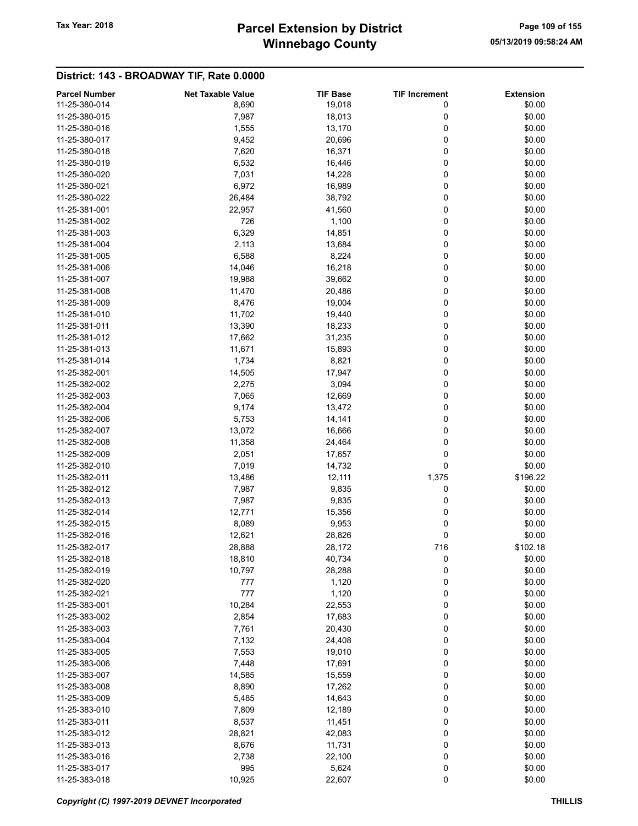# Winnebago County Tax Year: 2018 **Parcel Extension by District** Page 109 of 155

| <b>Parcel Number</b> | <b>Net Taxable Value</b> | <b>TIF Base</b> | <b>TIF Increment</b> | <b>Extension</b> |
|----------------------|--------------------------|-----------------|----------------------|------------------|
| 11-25-380-014        | 8,690                    | 19,018          | 0                    | \$0.00           |
| 11-25-380-015        | 7,987                    | 18,013          | 0                    | \$0.00           |
| 11-25-380-016        | 1,555                    | 13,170          | 0                    | \$0.00           |
| 11-25-380-017        | 9,452                    | 20,696          | 0                    | \$0.00           |
| 11-25-380-018        | 7,620                    | 16,371          | 0                    | \$0.00           |
| 11-25-380-019        | 6,532                    | 16,446          | 0                    | \$0.00           |
| 11-25-380-020        | 7,031                    | 14,228          | 0                    | \$0.00           |
| 11-25-380-021        | 6,972                    | 16,989          | 0                    | \$0.00           |
| 11-25-380-022        | 26,484                   | 38,792          | 0                    | \$0.00           |
| 11-25-381-001        | 22,957                   | 41,560          | 0                    | \$0.00           |
| 11-25-381-002        | 726                      | 1,100           | 0                    | \$0.00           |
| 11-25-381-003        | 6,329                    | 14,851          | 0                    | \$0.00           |
| 11-25-381-004        | 2,113                    | 13,684          | 0                    | \$0.00           |
| 11-25-381-005        | 6,588                    | 8,224           | 0                    | \$0.00           |
| 11-25-381-006        | 14,046                   | 16,218          | 0                    | \$0.00           |
| 11-25-381-007        |                          |                 | 0                    | \$0.00           |
|                      | 19,988                   | 39,662          |                      |                  |
| 11-25-381-008        | 11,470                   | 20,486          | 0                    | \$0.00           |
| 11-25-381-009        | 8,476                    | 19,004          | 0                    | \$0.00           |
| 11-25-381-010        | 11,702                   | 19,440          | 0                    | \$0.00           |
| 11-25-381-011        | 13,390                   | 18,233          | 0                    | \$0.00           |
| 11-25-381-012        | 17,662                   | 31,235          | 0                    | \$0.00           |
| 11-25-381-013        | 11,671                   | 15,893          | 0                    | \$0.00           |
| 11-25-381-014        | 1,734                    | 8,821           | 0                    | \$0.00           |
| 11-25-382-001        | 14,505                   | 17,947          | 0                    | \$0.00           |
| 11-25-382-002        | 2,275                    | 3,094           | 0                    | \$0.00           |
| 11-25-382-003        | 7,065                    | 12,669          | 0                    | \$0.00           |
| 11-25-382-004        | 9,174                    | 13,472          | 0                    | \$0.00           |
| 11-25-382-006        | 5,753                    | 14,141          | 0                    | \$0.00           |
| 11-25-382-007        | 13,072                   | 16,666          | 0                    | \$0.00           |
| 11-25-382-008        | 11,358                   | 24,464          | 0                    | \$0.00           |
| 11-25-382-009        | 2,051                    | 17,657          | 0                    | \$0.00           |
| 11-25-382-010        | 7,019                    | 14,732          | 0                    | \$0.00           |
| 11-25-382-011        | 13,486                   | 12,111          | 1,375                | \$196.22         |
| 11-25-382-012        | 7,987                    | 9,835           | 0                    | \$0.00           |
| 11-25-382-013        | 7,987                    | 9,835           | 0                    | \$0.00           |
| 11-25-382-014        | 12,771                   | 15,356          | 0                    | \$0.00           |
| 11-25-382-015        | 8,089                    | 9,953           | 0                    | \$0.00           |
| 11-25-382-016        | 12,621                   | 28,826          | 0                    | \$0.00           |
| 11-25-382-017        | 28,888                   | 28,172          | 716                  | \$102.18         |
| 11-25-382-018        | 18,810                   | 40,734          | 0                    | \$0.00           |
| 11-25-382-019        | 10,797                   | 28,288          | 0                    | \$0.00           |
| 11-25-382-020        | 777                      | 1,120           | 0                    | \$0.00           |
| 11-25-382-021        | 777                      | 1,120           | 0                    | \$0.00           |
| 11-25-383-001        | 10,284                   | 22,553          | 0                    | \$0.00           |
| 11-25-383-002        | 2,854                    | 17,683          | 0                    | \$0.00           |
| 11-25-383-003        | 7,761                    | 20,430          | 0                    | \$0.00           |
| 11-25-383-004        | 7,132                    | 24,408          | 0                    | \$0.00           |
| 11-25-383-005        | 7,553                    | 19,010          | 0                    | \$0.00           |
| 11-25-383-006        | 7,448                    | 17,691          | 0                    | \$0.00           |
| 11-25-383-007        | 14,585                   | 15,559          | 0                    | \$0.00           |
| 11-25-383-008        |                          |                 |                      |                  |
|                      | 8,890                    | 17,262          | 0                    | \$0.00           |
| 11-25-383-009        | 5,485                    | 14,643          | 0                    | \$0.00           |
| 11-25-383-010        | 7,809                    | 12,189          | 0                    | \$0.00           |
| 11-25-383-011        | 8,537                    | 11,451          | 0                    | \$0.00           |
| 11-25-383-012        | 28,821                   | 42,083          | 0                    | \$0.00           |
| 11-25-383-013        | 8,676                    | 11,731          | 0                    | \$0.00           |
| 11-25-383-016        | 2,738                    | 22,100          | 0                    | \$0.00           |
| 11-25-383-017        | 995                      | 5,624           | 0                    | \$0.00           |
| 11-25-383-018        | 10,925                   | 22,607          | 0                    | \$0.00           |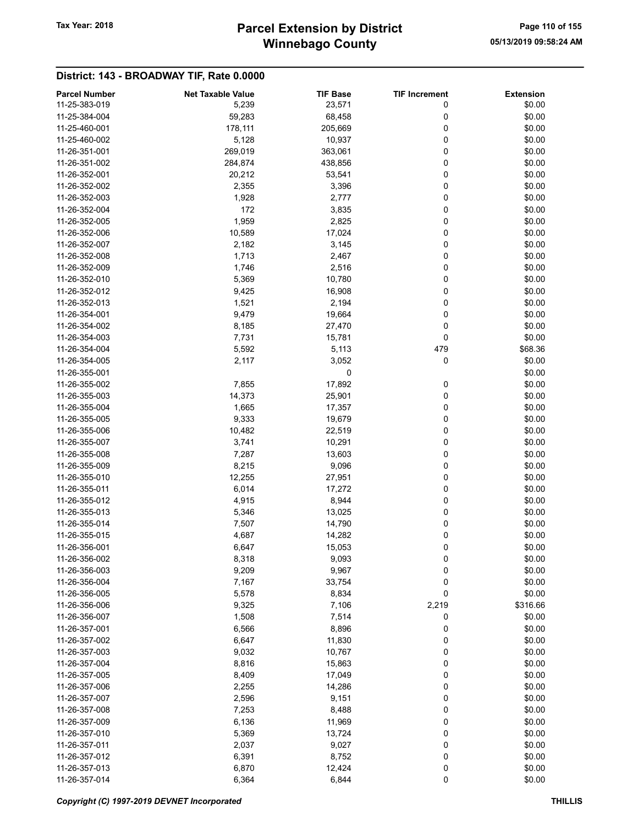# Winnebago County Tax Year: 2018 **Parcel Extension by District** Page 110 of 155

| <b>Parcel Number</b> | <b>Net Taxable Value</b> | <b>TIF Base</b> | <b>TIF Increment</b> | <b>Extension</b> |
|----------------------|--------------------------|-----------------|----------------------|------------------|
| 11-25-383-019        | 5,239                    | 23,571          | 0                    | \$0.00           |
| 11-25-384-004        | 59,283                   | 68,458          | 0                    | \$0.00           |
| 11-25-460-001        | 178,111                  | 205,669         | 0                    | \$0.00           |
| 11-25-460-002        | 5,128                    | 10,937          | 0                    | \$0.00           |
| 11-26-351-001        | 269,019                  | 363,061         | 0                    | \$0.00           |
| 11-26-351-002        |                          |                 | 0                    |                  |
|                      | 284,874                  | 438,856         |                      | \$0.00           |
| 11-26-352-001        | 20,212                   | 53,541          | 0                    | \$0.00           |
| 11-26-352-002        | 2,355                    | 3,396           | 0                    | \$0.00           |
| 11-26-352-003        | 1,928                    | 2,777           | 0                    | \$0.00           |
| 11-26-352-004        | 172                      | 3,835           | 0                    | \$0.00           |
| 11-26-352-005        | 1,959                    | 2,825           | 0                    | \$0.00           |
| 11-26-352-006        | 10,589                   | 17,024          | 0                    | \$0.00           |
| 11-26-352-007        | 2,182                    | 3,145           | 0                    | \$0.00           |
| 11-26-352-008        | 1,713                    | 2,467           | 0                    | \$0.00           |
| 11-26-352-009        | 1,746                    | 2,516           | 0                    | \$0.00           |
| 11-26-352-010        | 5,369                    | 10,780          | 0                    | \$0.00           |
| 11-26-352-012        | 9,425                    | 16,908          | 0                    | \$0.00           |
| 11-26-352-013        | 1,521                    | 2,194           | 0                    | \$0.00           |
| 11-26-354-001        | 9,479                    | 19,664          | 0                    | \$0.00           |
| 11-26-354-002        |                          |                 |                      |                  |
|                      | 8,185                    | 27,470          | 0                    | \$0.00           |
| 11-26-354-003        | 7,731                    | 15,781          | 0                    | \$0.00           |
| 11-26-354-004        | 5,592                    | 5,113           | 479                  | \$68.36          |
| 11-26-354-005        | 2,117                    | 3,052           | 0                    | \$0.00           |
| 11-26-355-001        |                          | 0               |                      | \$0.00           |
| 11-26-355-002        | 7,855                    | 17,892          | 0                    | \$0.00           |
| 11-26-355-003        | 14,373                   | 25,901          | 0                    | \$0.00           |
| 11-26-355-004        | 1,665                    | 17,357          | 0                    | \$0.00           |
| 11-26-355-005        | 9,333                    | 19,679          | 0                    | \$0.00           |
| 11-26-355-006        | 10,482                   | 22,519          | 0                    | \$0.00           |
| 11-26-355-007        | 3,741                    | 10,291          | 0                    | \$0.00           |
| 11-26-355-008        | 7,287                    | 13,603          | 0                    | \$0.00           |
| 11-26-355-009        | 8,215                    | 9,096           | 0                    | \$0.00           |
| 11-26-355-010        | 12,255                   | 27,951          | 0                    | \$0.00           |
|                      |                          |                 |                      |                  |
| 11-26-355-011        | 6,014                    | 17,272          | 0                    | \$0.00           |
| 11-26-355-012        | 4,915                    | 8,944           | 0                    | \$0.00           |
| 11-26-355-013        | 5,346                    | 13,025          | 0                    | \$0.00           |
| 11-26-355-014        | 7,507                    | 14,790          | 0                    | \$0.00           |
| 11-26-355-015        | 4,687                    | 14,282          | 0                    | \$0.00           |
| 11-26-356-001        | 6,647                    | 15,053          | 0                    | \$0.00           |
| 11-26-356-002        | 8,318                    | 9,093           | 0                    | \$0.00           |
| 11-26-356-003        | 9,209                    | 9,967           | 0                    | \$0.00           |
| 11-26-356-004        | 7,167                    | 33,754          | 0                    | \$0.00           |
| 11-26-356-005        | 5,578                    | 8,834           | 0                    | \$0.00           |
| 11-26-356-006        | 9,325                    | 7,106           | 2,219                | \$316.66         |
| 11-26-356-007        | 1,508                    | 7,514           | 0                    | \$0.00           |
| 11-26-357-001        | 6,566                    | 8,896           | 0                    | \$0.00           |
| 11-26-357-002        | 6,647                    | 11,830          | 0                    | \$0.00           |
|                      |                          |                 |                      |                  |
| 11-26-357-003        | 9,032                    | 10,767          | 0                    | \$0.00           |
| 11-26-357-004        | 8,816                    | 15,863          | 0                    | \$0.00           |
| 11-26-357-005        | 8,409                    | 17,049          | 0                    | \$0.00           |
| 11-26-357-006        | 2,255                    | 14,286          | 0                    | \$0.00           |
| 11-26-357-007        | 2,596                    | 9,151           | 0                    | \$0.00           |
| 11-26-357-008        | 7,253                    | 8,488           | 0                    | \$0.00           |
| 11-26-357-009        | 6,136                    | 11,969          | 0                    | \$0.00           |
| 11-26-357-010        | 5,369                    | 13,724          | 0                    | \$0.00           |
| 11-26-357-011        | 2,037                    | 9,027           | 0                    | \$0.00           |
| 11-26-357-012        | 6,391                    | 8,752           | 0                    | \$0.00           |
| 11-26-357-013        | 6,870                    | 12,424          | 0                    | \$0.00           |
| 11-26-357-014        | 6,364                    | 6,844           | $\pmb{0}$            | \$0.00           |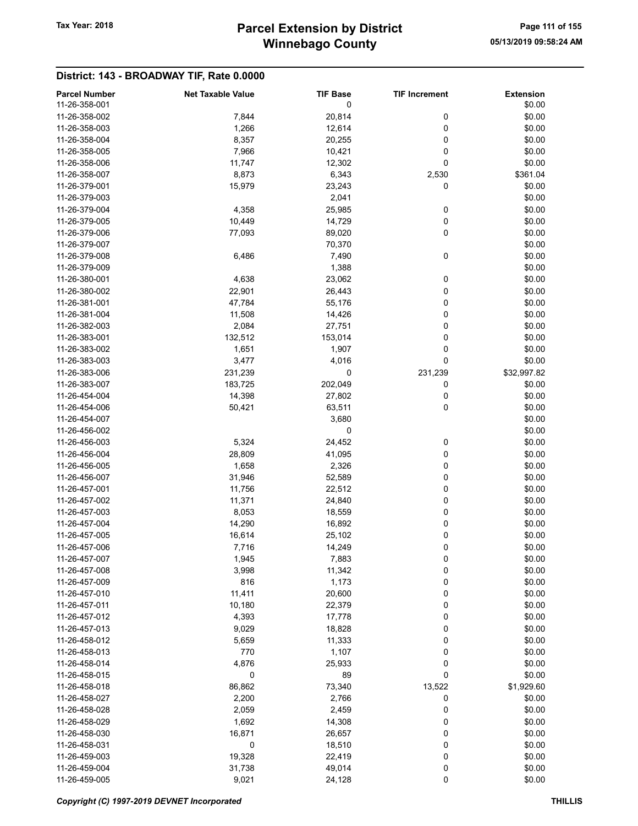| <b>Parcel Number</b> | <b>Net Taxable Value</b> | <b>TIF Base</b> | <b>TIF Increment</b> | <b>Extension</b> |
|----------------------|--------------------------|-----------------|----------------------|------------------|
| 11-26-358-001        |                          | 0               |                      | \$0.00           |
| 11-26-358-002        | 7,844                    | 20,814          | 0                    | \$0.00           |
| 11-26-358-003        | 1,266                    | 12,614          | 0                    | \$0.00           |
| 11-26-358-004        | 8,357                    | 20,255          | 0                    | \$0.00           |
| 11-26-358-005        | 7,966                    | 10,421          | 0                    | \$0.00           |
| 11-26-358-006        | 11,747                   | 12,302          | 0                    | \$0.00           |
| 11-26-358-007        | 8,873                    | 6,343           | 2,530                | \$361.04         |
| 11-26-379-001        | 15,979                   | 23,243          | 0                    | \$0.00           |
| 11-26-379-003        |                          | 2,041           |                      | \$0.00           |
| 11-26-379-004        | 4,358                    | 25,985          | 0                    | \$0.00           |
| 11-26-379-005        | 10,449                   | 14,729          | 0                    | \$0.00           |
| 11-26-379-006        | 77,093                   | 89,020          | 0                    | \$0.00           |
| 11-26-379-007        |                          | 70,370          |                      | \$0.00           |
| 11-26-379-008        | 6,486                    | 7,490           | 0                    | \$0.00           |
| 11-26-379-009        |                          | 1,388           |                      | \$0.00           |
| 11-26-380-001        | 4,638                    | 23,062          | 0                    | \$0.00           |
| 11-26-380-002        | 22,901                   | 26,443          | 0                    | \$0.00           |
| 11-26-381-001        | 47,784                   | 55,176          | 0                    | \$0.00           |
| 11-26-381-004        | 11,508                   | 14,426          | 0                    | \$0.00           |
| 11-26-382-003        | 2,084                    | 27,751          | 0                    | \$0.00           |
| 11-26-383-001        | 132,512                  | 153,014         | 0                    | \$0.00           |
| 11-26-383-002        | 1,651                    | 1,907           | 0                    | \$0.00           |
| 11-26-383-003        | 3,477                    | 4,016           | $\pmb{0}$            | \$0.00           |
| 11-26-383-006        | 231,239                  | 0               | 231,239              | \$32,997.82      |
| 11-26-383-007        | 183,725                  | 202,049         | 0                    | \$0.00           |
| 11-26-454-004        | 14,398                   | 27,802          | 0                    | \$0.00           |
| 11-26-454-006        | 50,421                   | 63,511          | 0                    | \$0.00           |
| 11-26-454-007        |                          | 3,680           |                      | \$0.00           |
| 11-26-456-002        |                          | 0               |                      | \$0.00           |
| 11-26-456-003        | 5,324                    | 24,452          | 0                    | \$0.00           |
| 11-26-456-004        | 28,809                   | 41,095          | 0                    | \$0.00           |
| 11-26-456-005        | 1,658                    | 2,326           | 0                    | \$0.00           |
| 11-26-456-007        | 31,946                   | 52,589          | 0                    | \$0.00           |
| 11-26-457-001        | 11,756                   | 22,512          | 0                    | \$0.00           |
| 11-26-457-002        | 11,371                   | 24,840          | 0                    | \$0.00           |
| 11-26-457-003        | 8,053                    | 18,559          | 0                    | \$0.00           |
| 11-26-457-004        | 14,290                   | 16,892          | 0                    | \$0.00           |
| 11-26-457-005        | 16,614                   | 25,102          | 0                    | \$0.00           |
| 11-26-457-006        | 7,716                    | 14,249          | 0                    | \$0.00           |
| 11-26-457-007        | 1,945                    | 7,883           | 0                    | \$0.00           |
| 11-26-457-008        | 3,998                    | 11,342          | 0                    | \$0.00           |
| 11-26-457-009        | 816                      | 1,173           | 0                    | \$0.00           |
| 11-26-457-010        | 11,411                   | 20,600          | 0                    | \$0.00           |
| 11-26-457-011        | 10,180                   | 22,379          | 0                    | \$0.00           |
| 11-26-457-012        | 4,393                    | 17,778          | 0                    | \$0.00           |
| 11-26-457-013        | 9,029                    | 18,828          | 0                    | \$0.00           |
| 11-26-458-012        | 5,659                    | 11,333          | 0                    | \$0.00           |
| 11-26-458-013        | 770                      | 1,107           | 0                    | \$0.00           |
| 11-26-458-014        | 4,876                    | 25,933          | 0                    | \$0.00           |
| 11-26-458-015        | 0                        | 89              | 0                    | \$0.00           |
| 11-26-458-018        | 86,862                   | 73,340          | 13,522               | \$1,929.60       |
| 11-26-458-027        | 2,200                    | 2,766           | 0                    | \$0.00           |
| 11-26-458-028        | 2,059                    | 2,459           | 0                    | \$0.00           |
| 11-26-458-029        | 1,692                    | 14,308          | 0                    | \$0.00           |
| 11-26-458-030        | 16,871                   | 26,657          | 0                    | \$0.00           |
| 11-26-458-031        | 0                        | 18,510          | 0                    | \$0.00           |
| 11-26-459-003        | 19,328                   | 22,419          | 0                    | \$0.00           |
| 11-26-459-004        | 31,738                   | 49,014          | 0                    | \$0.00           |
| 11-26-459-005        | 9,021                    | 24,128          | $\pmb{0}$            | \$0.00           |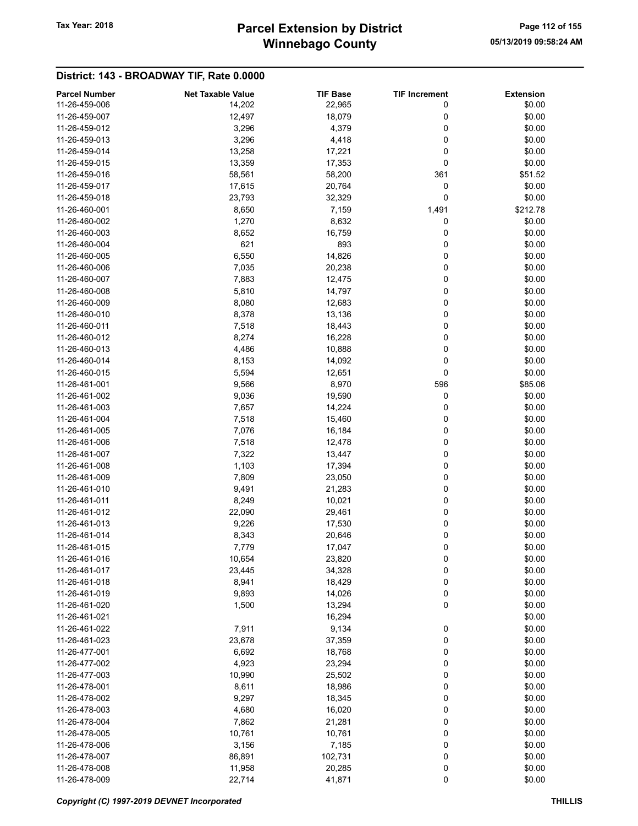# Winnebago County Tax Year: 2018 **Parcel Extension by District** Page 112 of 155

| <b>Parcel Number</b> | <b>Net Taxable Value</b> | <b>TIF Base</b> | <b>TIF Increment</b> | <b>Extension</b> |
|----------------------|--------------------------|-----------------|----------------------|------------------|
| 11-26-459-006        | 14,202                   | 22,965          | 0                    | \$0.00           |
| 11-26-459-007        | 12,497                   | 18,079          | 0                    | \$0.00           |
| 11-26-459-012        | 3,296                    | 4,379           | 0                    | \$0.00           |
| 11-26-459-013        | 3,296                    | 4,418           | 0                    | \$0.00           |
| 11-26-459-014        | 13,258                   | 17,221          | 0                    | \$0.00           |
| 11-26-459-015        | 13,359                   | 17,353          | 0                    | \$0.00           |
| 11-26-459-016        | 58,561                   | 58,200          | 361                  | \$51.52          |
| 11-26-459-017        | 17,615                   | 20,764          | 0                    | \$0.00           |
| 11-26-459-018        | 23,793                   |                 | 0                    | \$0.00           |
| 11-26-460-001        |                          | 32,329          |                      |                  |
|                      | 8,650                    | 7,159           | 1,491                | \$212.78         |
| 11-26-460-002        | 1,270                    | 8,632           | 0                    | \$0.00           |
| 11-26-460-003        | 8,652                    | 16,759          | 0                    | \$0.00           |
| 11-26-460-004        | 621                      | 893             | 0                    | \$0.00           |
| 11-26-460-005        | 6,550                    | 14,826          | 0                    | \$0.00           |
| 11-26-460-006        | 7,035                    | 20,238          | 0                    | \$0.00           |
| 11-26-460-007        | 7,883                    | 12,475          | 0                    | \$0.00           |
| 11-26-460-008        | 5,810                    | 14,797          | 0                    | \$0.00           |
| 11-26-460-009        | 8,080                    | 12,683          | 0                    | \$0.00           |
| 11-26-460-010        | 8,378                    | 13,136          | 0                    | \$0.00           |
| 11-26-460-011        | 7,518                    | 18,443          | 0                    | \$0.00           |
| 11-26-460-012        | 8,274                    | 16,228          | 0                    | \$0.00           |
| 11-26-460-013        | 4,486                    | 10,888          | 0                    | \$0.00           |
| 11-26-460-014        | 8,153                    | 14,092          | 0                    | \$0.00           |
| 11-26-460-015        | 5,594                    | 12,651          | 0                    | \$0.00           |
| 11-26-461-001        | 9,566                    | 8,970           | 596                  | \$85.06          |
| 11-26-461-002        | 9,036                    | 19,590          | 0                    | \$0.00           |
| 11-26-461-003        | 7,657                    | 14,224          | 0                    | \$0.00           |
| 11-26-461-004        | 7,518                    | 15,460          | 0                    | \$0.00           |
| 11-26-461-005        | 7,076                    | 16,184          | 0                    | \$0.00           |
| 11-26-461-006        | 7,518                    | 12,478          | 0                    | \$0.00           |
| 11-26-461-007        | 7,322                    | 13,447          | 0                    | \$0.00           |
| 11-26-461-008        | 1,103                    | 17,394          | 0                    | \$0.00           |
| 11-26-461-009        | 7,809                    | 23,050          | 0                    | \$0.00           |
| 11-26-461-010        | 9,491                    | 21,283          | 0                    | \$0.00           |
| 11-26-461-011        | 8,249                    | 10,021          | 0                    | \$0.00           |
| 11-26-461-012        | 22,090                   | 29,461          | 0                    | \$0.00           |
|                      |                          |                 | 0                    | \$0.00           |
| 11-26-461-013        | 9,226                    | 17,530          |                      |                  |
| 11-26-461-014        | 8,343                    | 20,646          | 0                    | \$0.00           |
| 11-26-461-015        | 7,779                    | 17,047          | 0                    | \$0.00           |
| 11-26-461-016        | 10,654                   | 23,820          | 0                    | \$0.00           |
| 11-26-461-017        | 23,445                   | 34,328          | 0                    | \$0.00           |
| 11-26-461-018        | 8,941                    | 18,429          | 0                    | \$0.00           |
| 11-26-461-019        | 9,893                    | 14,026          | 0                    | \$0.00           |
| 11-26-461-020        | 1,500                    | 13,294          | 0                    | \$0.00           |
| 11-26-461-021        |                          | 16,294          |                      | \$0.00           |
| 11-26-461-022        | 7,911                    | 9,134           | 0                    | \$0.00           |
| 11-26-461-023        | 23,678                   | 37,359          | 0                    | \$0.00           |
| 11-26-477-001        | 6,692                    | 18,768          | 0                    | \$0.00           |
| 11-26-477-002        | 4,923                    | 23,294          | 0                    | \$0.00           |
| 11-26-477-003        | 10,990                   | 25,502          | 0                    | \$0.00           |
| 11-26-478-001        | 8,611                    | 18,986          | 0                    | \$0.00           |
| 11-26-478-002        | 9,297                    | 18,345          | 0                    | \$0.00           |
| 11-26-478-003        | 4,680                    | 16,020          | 0                    | \$0.00           |
| 11-26-478-004        | 7,862                    | 21,281          | 0                    | \$0.00           |
| 11-26-478-005        | 10,761                   | 10,761          | 0                    | \$0.00           |
| 11-26-478-006        | 3,156                    | 7,185           | 0                    | \$0.00           |
| 11-26-478-007        | 86,891                   | 102,731         | 0                    | \$0.00           |
| 11-26-478-008        | 11,958                   | 20,285          | 0                    | \$0.00           |
| 11-26-478-009        | 22,714                   | 41,871          | 0                    | \$0.00           |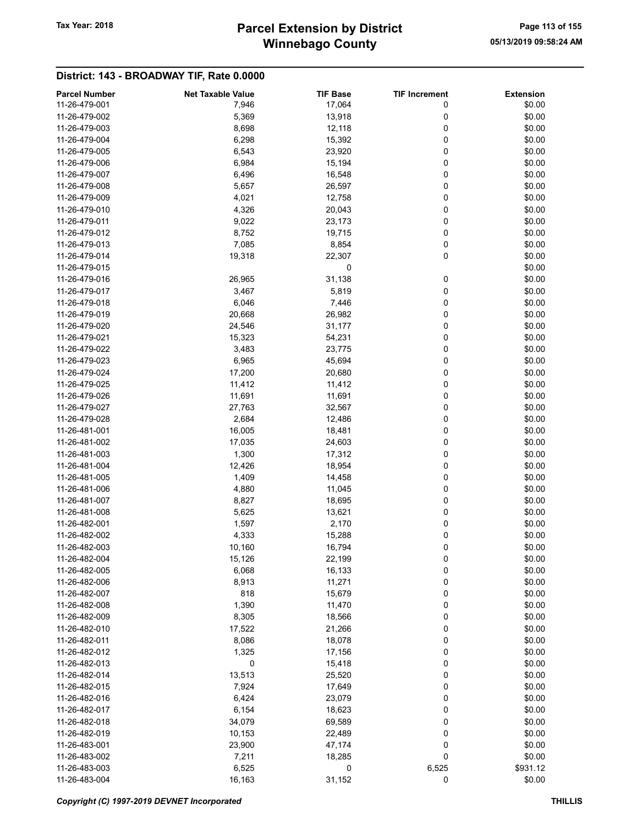# Winnebago County Tax Year: 2018 **Parcel Extension by District** Page 113 of 155

| <b>Parcel Number</b> | <b>Net Taxable Value</b> | <b>TIF Base</b> | <b>TIF Increment</b> | <b>Extension</b> |
|----------------------|--------------------------|-----------------|----------------------|------------------|
| 11-26-479-001        | 7,946                    | 17,064          | 0                    | \$0.00           |
| 11-26-479-002        | 5,369                    | 13,918          | 0                    | \$0.00           |
| 11-26-479-003        | 8,698                    | 12,118          | 0                    | \$0.00           |
| 11-26-479-004        | 6,298                    | 15,392          | 0                    | \$0.00           |
| 11-26-479-005        | 6,543                    | 23,920          | 0                    | \$0.00           |
| 11-26-479-006        | 6,984                    | 15,194          | 0                    | \$0.00           |
| 11-26-479-007        | 6,496                    | 16,548          | 0                    | \$0.00           |
| 11-26-479-008        | 5,657                    | 26,597          | 0                    | \$0.00           |
| 11-26-479-009        | 4,021                    | 12,758          | 0                    | \$0.00           |
| 11-26-479-010        | 4,326                    | 20,043          | 0                    | \$0.00           |
| 11-26-479-011        |                          |                 | 0                    |                  |
|                      | 9,022                    | 23,173          |                      | \$0.00           |
| 11-26-479-012        | 8,752                    | 19,715          | 0                    | \$0.00           |
| 11-26-479-013        | 7,085                    | 8,854           | 0                    | \$0.00           |
| 11-26-479-014        | 19,318                   | 22,307          | 0                    | \$0.00           |
| 11-26-479-015        |                          | 0               |                      | \$0.00           |
| 11-26-479-016        | 26,965                   | 31,138          | 0                    | \$0.00           |
| 11-26-479-017        | 3,467                    | 5,819           | 0                    | \$0.00           |
| 11-26-479-018        | 6,046                    | 7,446           | 0                    | \$0.00           |
| 11-26-479-019        | 20,668                   | 26,982          | 0                    | \$0.00           |
| 11-26-479-020        | 24,546                   | 31,177          | 0                    | \$0.00           |
| 11-26-479-021        | 15,323                   | 54,231          | 0                    | \$0.00           |
| 11-26-479-022        | 3,483                    | 23,775          | 0                    | \$0.00           |
| 11-26-479-023        | 6,965                    | 45,694          | 0                    | \$0.00           |
| 11-26-479-024        | 17,200                   | 20,680          | 0                    | \$0.00           |
| 11-26-479-025        | 11,412                   | 11,412          | 0                    | \$0.00           |
| 11-26-479-026        | 11,691                   | 11,691          | 0                    | \$0.00           |
| 11-26-479-027        | 27,763                   | 32,567          | 0                    | \$0.00           |
| 11-26-479-028        | 2,684                    | 12,486          | 0                    | \$0.00           |
| 11-26-481-001        | 16,005                   | 18,481          | 0                    | \$0.00           |
| 11-26-481-002        | 17,035                   | 24,603          | 0                    | \$0.00           |
| 11-26-481-003        | 1,300                    | 17,312          | 0                    | \$0.00           |
| 11-26-481-004        | 12,426                   | 18,954          | 0                    | \$0.00           |
| 11-26-481-005        | 1,409                    | 14,458          | 0                    | \$0.00           |
| 11-26-481-006        | 4,880                    | 11,045          | 0                    | \$0.00           |
| 11-26-481-007        | 8,827                    | 18,695          | 0                    | \$0.00           |
| 11-26-481-008        | 5,625                    | 13,621          | 0                    | \$0.00           |
| 11-26-482-001        |                          |                 |                      | \$0.00           |
|                      | 1,597                    | 2,170           | 0                    |                  |
| 11-26-482-002        | 4,333                    | 15,288          | 0                    | \$0.00           |
| 11-26-482-003        | 10,160                   | 16,794          | 0                    | \$0.00           |
| 11-26-482-004        | 15,126                   | 22,199          | 0                    | \$0.00           |
| 11-26-482-005        | 6,068                    | 16,133          | 0                    | \$0.00           |
| 11-26-482-006        | 8,913                    | 11,271          | 0                    | \$0.00           |
| 11-26-482-007        | 818                      | 15,679          | 0                    | \$0.00           |
| 11-26-482-008        | 1,390                    | 11,470          | 0                    | \$0.00           |
| 11-26-482-009        | 8,305                    | 18,566          | 0                    | \$0.00           |
| 11-26-482-010        | 17,522                   | 21,266          | 0                    | \$0.00           |
| 11-26-482-011        | 8,086                    | 18,078          | 0                    | \$0.00           |
| 11-26-482-012        | 1,325                    | 17,156          | 0                    | \$0.00           |
| 11-26-482-013        | 0                        | 15,418          | 0                    | \$0.00           |
| 11-26-482-014        | 13,513                   | 25,520          | 0                    | \$0.00           |
| 11-26-482-015        | 7,924                    | 17,649          | 0                    | \$0.00           |
| 11-26-482-016        | 6,424                    | 23,079          | 0                    | \$0.00           |
| 11-26-482-017        | 6,154                    | 18,623          | 0                    | \$0.00           |
| 11-26-482-018        | 34,079                   | 69,589          | 0                    | \$0.00           |
| 11-26-482-019        | 10,153                   | 22,489          | 0                    | \$0.00           |
| 11-26-483-001        | 23,900                   | 47,174          | 0                    | \$0.00           |
| 11-26-483-002        | 7,211                    | 18,285          | 0                    | \$0.00           |
| 11-26-483-003        | 6,525                    | 0               | 6,525                | \$931.12         |
| 11-26-483-004        | 16,163                   | 31,152          | 0                    | \$0.00           |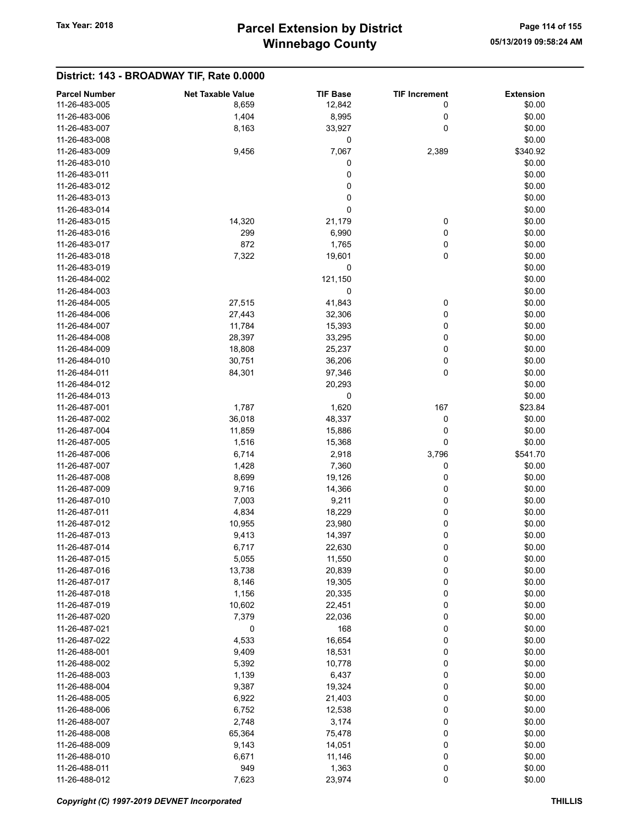| \$0.00<br>11-26-483-005<br>8,659<br>12,842<br>0<br>8,995<br>\$0.00<br>11-26-483-006<br>1,404<br>0<br>0<br>11-26-483-007<br>8,163<br>33,927<br>\$0.00<br>11-26-483-008<br>0<br>\$0.00<br>7,067<br>11-26-483-009<br>9,456<br>2,389<br>\$340.92<br>0<br>11-26-483-010<br>\$0.00<br>0<br>\$0.00<br>11-26-483-011<br>0<br>\$0.00<br>11-26-483-012<br>0<br>\$0.00<br>11-26-483-013<br>0<br>\$0.00<br>11-26-483-014<br>11-26-483-015<br>14,320<br>21,179<br>0<br>\$0.00<br>0<br>11-26-483-016<br>299<br>6,990<br>\$0.00<br>1,765<br>0<br>11-26-483-017<br>872<br>\$0.00<br>19,601<br>0<br>11-26-483-018<br>7,322<br>\$0.00<br>0<br>\$0.00<br>11-26-483-019<br>121,150<br>\$0.00<br>11-26-484-002<br>0<br>11-26-484-003<br>\$0.00<br>\$0.00<br>11-26-484-005<br>27,515<br>41,843<br>0<br>0<br>11-26-484-006<br>27,443<br>\$0.00<br>32,306<br>0<br>11-26-484-007<br>11,784<br>15,393<br>\$0.00<br>33,295<br>0<br>\$0.00<br>11-26-484-008<br>28,397<br>0<br>\$0.00<br>11-26-484-009<br>18,808<br>25,237<br>11-26-484-010<br>0<br>\$0.00<br>30,751<br>36,206<br>0<br>\$0.00<br>11-26-484-011<br>84,301<br>97,346<br>\$0.00<br>11-26-484-012<br>20,293<br>11-26-484-013<br>0<br>\$0.00<br>1,787<br>1,620<br>167<br>\$23.84<br>11-26-487-001<br>48,337<br>0<br>11-26-487-002<br>36,018<br>\$0.00<br>11-26-487-004<br>11,859<br>15,886<br>0<br>\$0.00<br>0<br>\$0.00<br>11-26-487-005<br>1,516<br>15,368<br>\$541.70<br>11-26-487-006<br>6,714<br>2,918<br>3,796<br>11-26-487-007<br>1,428<br>7,360<br>0<br>\$0.00<br>11-26-487-008<br>8,699<br>19,126<br>0<br>\$0.00<br>0<br>\$0.00<br>11-26-487-009<br>9,716<br>14,366<br>9,211<br>0<br>11-26-487-010<br>7,003<br>\$0.00<br>0<br>11-26-487-011<br>4,834<br>18,229<br>\$0.00<br>0<br>11-26-487-012<br>10,955<br>23,980<br>\$0.00<br>0<br>\$0.00<br>11-26-487-013<br>9,413<br>14,397<br>11-26-487-014<br>22,630<br>0<br>\$0.00<br>6.717<br>11,550<br>0<br>\$0.00<br>11-26-487-015<br>5,055<br>0<br>11-26-487-016<br>13,738<br>20,839<br>\$0.00<br>0<br>11-26-487-017<br>19,305<br>\$0.00<br>8,146<br>0<br>11-26-487-018<br>1,156<br>20,335<br>\$0.00<br>0<br>11-26-487-019<br>10,602<br>22,451<br>\$0.00<br>0<br>7,379<br>22,036<br>\$0.00<br>11-26-487-020<br>11-26-487-021<br>0<br>168<br>0<br>\$0.00<br>11-26-487-022<br>4,533<br>16,654<br>0<br>\$0.00<br>11-26-488-001<br>9,409<br>18,531<br>0<br>\$0.00<br>0<br>5,392<br>10,778<br>11-26-488-002<br>\$0.00<br>0<br>11-26-488-003<br>1,139<br>6,437<br>\$0.00<br>0<br>11-26-488-004<br>9,387<br>19,324<br>\$0.00<br>0<br>11-26-488-005<br>6,922<br>21,403<br>\$0.00<br>0<br>11-26-488-006<br>6,752<br>12,538<br>\$0.00<br>11-26-488-007<br>2,748<br>3,174<br>0<br>\$0.00<br>11-26-488-008<br>65,364<br>75,478<br>0<br>\$0.00<br>0<br>11-26-488-009<br>9,143<br>14,051<br>\$0.00<br>0<br>11-26-488-010<br>6,671<br>11,146<br>\$0.00<br>949<br>0<br>11-26-488-011<br>1,363<br>\$0.00 |                      |                          |                 |                      |                  |
|---------------------------------------------------------------------------------------------------------------------------------------------------------------------------------------------------------------------------------------------------------------------------------------------------------------------------------------------------------------------------------------------------------------------------------------------------------------------------------------------------------------------------------------------------------------------------------------------------------------------------------------------------------------------------------------------------------------------------------------------------------------------------------------------------------------------------------------------------------------------------------------------------------------------------------------------------------------------------------------------------------------------------------------------------------------------------------------------------------------------------------------------------------------------------------------------------------------------------------------------------------------------------------------------------------------------------------------------------------------------------------------------------------------------------------------------------------------------------------------------------------------------------------------------------------------------------------------------------------------------------------------------------------------------------------------------------------------------------------------------------------------------------------------------------------------------------------------------------------------------------------------------------------------------------------------------------------------------------------------------------------------------------------------------------------------------------------------------------------------------------------------------------------------------------------------------------------------------------------------------------------------------------------------------------------------------------------------------------------------------------------------------------------------------------------------------------------------------------------------------------------------------------------------------------------------------------------------------------------------------------------------------------------------------------------------------------------------------------------------------------------------------------------------------------------------------------------------------------------------------------|----------------------|--------------------------|-----------------|----------------------|------------------|
|                                                                                                                                                                                                                                                                                                                                                                                                                                                                                                                                                                                                                                                                                                                                                                                                                                                                                                                                                                                                                                                                                                                                                                                                                                                                                                                                                                                                                                                                                                                                                                                                                                                                                                                                                                                                                                                                                                                                                                                                                                                                                                                                                                                                                                                                                                                                                                                                                                                                                                                                                                                                                                                                                                                                                                                                                                                                           | <b>Parcel Number</b> | <b>Net Taxable Value</b> | <b>TIF Base</b> | <b>TIF Increment</b> | <b>Extension</b> |
|                                                                                                                                                                                                                                                                                                                                                                                                                                                                                                                                                                                                                                                                                                                                                                                                                                                                                                                                                                                                                                                                                                                                                                                                                                                                                                                                                                                                                                                                                                                                                                                                                                                                                                                                                                                                                                                                                                                                                                                                                                                                                                                                                                                                                                                                                                                                                                                                                                                                                                                                                                                                                                                                                                                                                                                                                                                                           |                      |                          |                 |                      |                  |
|                                                                                                                                                                                                                                                                                                                                                                                                                                                                                                                                                                                                                                                                                                                                                                                                                                                                                                                                                                                                                                                                                                                                                                                                                                                                                                                                                                                                                                                                                                                                                                                                                                                                                                                                                                                                                                                                                                                                                                                                                                                                                                                                                                                                                                                                                                                                                                                                                                                                                                                                                                                                                                                                                                                                                                                                                                                                           |                      |                          |                 |                      |                  |
|                                                                                                                                                                                                                                                                                                                                                                                                                                                                                                                                                                                                                                                                                                                                                                                                                                                                                                                                                                                                                                                                                                                                                                                                                                                                                                                                                                                                                                                                                                                                                                                                                                                                                                                                                                                                                                                                                                                                                                                                                                                                                                                                                                                                                                                                                                                                                                                                                                                                                                                                                                                                                                                                                                                                                                                                                                                                           |                      |                          |                 |                      |                  |
|                                                                                                                                                                                                                                                                                                                                                                                                                                                                                                                                                                                                                                                                                                                                                                                                                                                                                                                                                                                                                                                                                                                                                                                                                                                                                                                                                                                                                                                                                                                                                                                                                                                                                                                                                                                                                                                                                                                                                                                                                                                                                                                                                                                                                                                                                                                                                                                                                                                                                                                                                                                                                                                                                                                                                                                                                                                                           |                      |                          |                 |                      |                  |
|                                                                                                                                                                                                                                                                                                                                                                                                                                                                                                                                                                                                                                                                                                                                                                                                                                                                                                                                                                                                                                                                                                                                                                                                                                                                                                                                                                                                                                                                                                                                                                                                                                                                                                                                                                                                                                                                                                                                                                                                                                                                                                                                                                                                                                                                                                                                                                                                                                                                                                                                                                                                                                                                                                                                                                                                                                                                           |                      |                          |                 |                      |                  |
|                                                                                                                                                                                                                                                                                                                                                                                                                                                                                                                                                                                                                                                                                                                                                                                                                                                                                                                                                                                                                                                                                                                                                                                                                                                                                                                                                                                                                                                                                                                                                                                                                                                                                                                                                                                                                                                                                                                                                                                                                                                                                                                                                                                                                                                                                                                                                                                                                                                                                                                                                                                                                                                                                                                                                                                                                                                                           |                      |                          |                 |                      |                  |
|                                                                                                                                                                                                                                                                                                                                                                                                                                                                                                                                                                                                                                                                                                                                                                                                                                                                                                                                                                                                                                                                                                                                                                                                                                                                                                                                                                                                                                                                                                                                                                                                                                                                                                                                                                                                                                                                                                                                                                                                                                                                                                                                                                                                                                                                                                                                                                                                                                                                                                                                                                                                                                                                                                                                                                                                                                                                           |                      |                          |                 |                      |                  |
|                                                                                                                                                                                                                                                                                                                                                                                                                                                                                                                                                                                                                                                                                                                                                                                                                                                                                                                                                                                                                                                                                                                                                                                                                                                                                                                                                                                                                                                                                                                                                                                                                                                                                                                                                                                                                                                                                                                                                                                                                                                                                                                                                                                                                                                                                                                                                                                                                                                                                                                                                                                                                                                                                                                                                                                                                                                                           |                      |                          |                 |                      |                  |
|                                                                                                                                                                                                                                                                                                                                                                                                                                                                                                                                                                                                                                                                                                                                                                                                                                                                                                                                                                                                                                                                                                                                                                                                                                                                                                                                                                                                                                                                                                                                                                                                                                                                                                                                                                                                                                                                                                                                                                                                                                                                                                                                                                                                                                                                                                                                                                                                                                                                                                                                                                                                                                                                                                                                                                                                                                                                           |                      |                          |                 |                      |                  |
|                                                                                                                                                                                                                                                                                                                                                                                                                                                                                                                                                                                                                                                                                                                                                                                                                                                                                                                                                                                                                                                                                                                                                                                                                                                                                                                                                                                                                                                                                                                                                                                                                                                                                                                                                                                                                                                                                                                                                                                                                                                                                                                                                                                                                                                                                                                                                                                                                                                                                                                                                                                                                                                                                                                                                                                                                                                                           |                      |                          |                 |                      |                  |
|                                                                                                                                                                                                                                                                                                                                                                                                                                                                                                                                                                                                                                                                                                                                                                                                                                                                                                                                                                                                                                                                                                                                                                                                                                                                                                                                                                                                                                                                                                                                                                                                                                                                                                                                                                                                                                                                                                                                                                                                                                                                                                                                                                                                                                                                                                                                                                                                                                                                                                                                                                                                                                                                                                                                                                                                                                                                           |                      |                          |                 |                      |                  |
|                                                                                                                                                                                                                                                                                                                                                                                                                                                                                                                                                                                                                                                                                                                                                                                                                                                                                                                                                                                                                                                                                                                                                                                                                                                                                                                                                                                                                                                                                                                                                                                                                                                                                                                                                                                                                                                                                                                                                                                                                                                                                                                                                                                                                                                                                                                                                                                                                                                                                                                                                                                                                                                                                                                                                                                                                                                                           |                      |                          |                 |                      |                  |
|                                                                                                                                                                                                                                                                                                                                                                                                                                                                                                                                                                                                                                                                                                                                                                                                                                                                                                                                                                                                                                                                                                                                                                                                                                                                                                                                                                                                                                                                                                                                                                                                                                                                                                                                                                                                                                                                                                                                                                                                                                                                                                                                                                                                                                                                                                                                                                                                                                                                                                                                                                                                                                                                                                                                                                                                                                                                           |                      |                          |                 |                      |                  |
|                                                                                                                                                                                                                                                                                                                                                                                                                                                                                                                                                                                                                                                                                                                                                                                                                                                                                                                                                                                                                                                                                                                                                                                                                                                                                                                                                                                                                                                                                                                                                                                                                                                                                                                                                                                                                                                                                                                                                                                                                                                                                                                                                                                                                                                                                                                                                                                                                                                                                                                                                                                                                                                                                                                                                                                                                                                                           |                      |                          |                 |                      |                  |
|                                                                                                                                                                                                                                                                                                                                                                                                                                                                                                                                                                                                                                                                                                                                                                                                                                                                                                                                                                                                                                                                                                                                                                                                                                                                                                                                                                                                                                                                                                                                                                                                                                                                                                                                                                                                                                                                                                                                                                                                                                                                                                                                                                                                                                                                                                                                                                                                                                                                                                                                                                                                                                                                                                                                                                                                                                                                           |                      |                          |                 |                      |                  |
|                                                                                                                                                                                                                                                                                                                                                                                                                                                                                                                                                                                                                                                                                                                                                                                                                                                                                                                                                                                                                                                                                                                                                                                                                                                                                                                                                                                                                                                                                                                                                                                                                                                                                                                                                                                                                                                                                                                                                                                                                                                                                                                                                                                                                                                                                                                                                                                                                                                                                                                                                                                                                                                                                                                                                                                                                                                                           |                      |                          |                 |                      |                  |
|                                                                                                                                                                                                                                                                                                                                                                                                                                                                                                                                                                                                                                                                                                                                                                                                                                                                                                                                                                                                                                                                                                                                                                                                                                                                                                                                                                                                                                                                                                                                                                                                                                                                                                                                                                                                                                                                                                                                                                                                                                                                                                                                                                                                                                                                                                                                                                                                                                                                                                                                                                                                                                                                                                                                                                                                                                                                           |                      |                          |                 |                      |                  |
|                                                                                                                                                                                                                                                                                                                                                                                                                                                                                                                                                                                                                                                                                                                                                                                                                                                                                                                                                                                                                                                                                                                                                                                                                                                                                                                                                                                                                                                                                                                                                                                                                                                                                                                                                                                                                                                                                                                                                                                                                                                                                                                                                                                                                                                                                                                                                                                                                                                                                                                                                                                                                                                                                                                                                                                                                                                                           |                      |                          |                 |                      |                  |
|                                                                                                                                                                                                                                                                                                                                                                                                                                                                                                                                                                                                                                                                                                                                                                                                                                                                                                                                                                                                                                                                                                                                                                                                                                                                                                                                                                                                                                                                                                                                                                                                                                                                                                                                                                                                                                                                                                                                                                                                                                                                                                                                                                                                                                                                                                                                                                                                                                                                                                                                                                                                                                                                                                                                                                                                                                                                           |                      |                          |                 |                      |                  |
|                                                                                                                                                                                                                                                                                                                                                                                                                                                                                                                                                                                                                                                                                                                                                                                                                                                                                                                                                                                                                                                                                                                                                                                                                                                                                                                                                                                                                                                                                                                                                                                                                                                                                                                                                                                                                                                                                                                                                                                                                                                                                                                                                                                                                                                                                                                                                                                                                                                                                                                                                                                                                                                                                                                                                                                                                                                                           |                      |                          |                 |                      |                  |
|                                                                                                                                                                                                                                                                                                                                                                                                                                                                                                                                                                                                                                                                                                                                                                                                                                                                                                                                                                                                                                                                                                                                                                                                                                                                                                                                                                                                                                                                                                                                                                                                                                                                                                                                                                                                                                                                                                                                                                                                                                                                                                                                                                                                                                                                                                                                                                                                                                                                                                                                                                                                                                                                                                                                                                                                                                                                           |                      |                          |                 |                      |                  |
|                                                                                                                                                                                                                                                                                                                                                                                                                                                                                                                                                                                                                                                                                                                                                                                                                                                                                                                                                                                                                                                                                                                                                                                                                                                                                                                                                                                                                                                                                                                                                                                                                                                                                                                                                                                                                                                                                                                                                                                                                                                                                                                                                                                                                                                                                                                                                                                                                                                                                                                                                                                                                                                                                                                                                                                                                                                                           |                      |                          |                 |                      |                  |
|                                                                                                                                                                                                                                                                                                                                                                                                                                                                                                                                                                                                                                                                                                                                                                                                                                                                                                                                                                                                                                                                                                                                                                                                                                                                                                                                                                                                                                                                                                                                                                                                                                                                                                                                                                                                                                                                                                                                                                                                                                                                                                                                                                                                                                                                                                                                                                                                                                                                                                                                                                                                                                                                                                                                                                                                                                                                           |                      |                          |                 |                      |                  |
|                                                                                                                                                                                                                                                                                                                                                                                                                                                                                                                                                                                                                                                                                                                                                                                                                                                                                                                                                                                                                                                                                                                                                                                                                                                                                                                                                                                                                                                                                                                                                                                                                                                                                                                                                                                                                                                                                                                                                                                                                                                                                                                                                                                                                                                                                                                                                                                                                                                                                                                                                                                                                                                                                                                                                                                                                                                                           |                      |                          |                 |                      |                  |
|                                                                                                                                                                                                                                                                                                                                                                                                                                                                                                                                                                                                                                                                                                                                                                                                                                                                                                                                                                                                                                                                                                                                                                                                                                                                                                                                                                                                                                                                                                                                                                                                                                                                                                                                                                                                                                                                                                                                                                                                                                                                                                                                                                                                                                                                                                                                                                                                                                                                                                                                                                                                                                                                                                                                                                                                                                                                           |                      |                          |                 |                      |                  |
|                                                                                                                                                                                                                                                                                                                                                                                                                                                                                                                                                                                                                                                                                                                                                                                                                                                                                                                                                                                                                                                                                                                                                                                                                                                                                                                                                                                                                                                                                                                                                                                                                                                                                                                                                                                                                                                                                                                                                                                                                                                                                                                                                                                                                                                                                                                                                                                                                                                                                                                                                                                                                                                                                                                                                                                                                                                                           |                      |                          |                 |                      |                  |
|                                                                                                                                                                                                                                                                                                                                                                                                                                                                                                                                                                                                                                                                                                                                                                                                                                                                                                                                                                                                                                                                                                                                                                                                                                                                                                                                                                                                                                                                                                                                                                                                                                                                                                                                                                                                                                                                                                                                                                                                                                                                                                                                                                                                                                                                                                                                                                                                                                                                                                                                                                                                                                                                                                                                                                                                                                                                           |                      |                          |                 |                      |                  |
|                                                                                                                                                                                                                                                                                                                                                                                                                                                                                                                                                                                                                                                                                                                                                                                                                                                                                                                                                                                                                                                                                                                                                                                                                                                                                                                                                                                                                                                                                                                                                                                                                                                                                                                                                                                                                                                                                                                                                                                                                                                                                                                                                                                                                                                                                                                                                                                                                                                                                                                                                                                                                                                                                                                                                                                                                                                                           |                      |                          |                 |                      |                  |
|                                                                                                                                                                                                                                                                                                                                                                                                                                                                                                                                                                                                                                                                                                                                                                                                                                                                                                                                                                                                                                                                                                                                                                                                                                                                                                                                                                                                                                                                                                                                                                                                                                                                                                                                                                                                                                                                                                                                                                                                                                                                                                                                                                                                                                                                                                                                                                                                                                                                                                                                                                                                                                                                                                                                                                                                                                                                           |                      |                          |                 |                      |                  |
|                                                                                                                                                                                                                                                                                                                                                                                                                                                                                                                                                                                                                                                                                                                                                                                                                                                                                                                                                                                                                                                                                                                                                                                                                                                                                                                                                                                                                                                                                                                                                                                                                                                                                                                                                                                                                                                                                                                                                                                                                                                                                                                                                                                                                                                                                                                                                                                                                                                                                                                                                                                                                                                                                                                                                                                                                                                                           |                      |                          |                 |                      |                  |
|                                                                                                                                                                                                                                                                                                                                                                                                                                                                                                                                                                                                                                                                                                                                                                                                                                                                                                                                                                                                                                                                                                                                                                                                                                                                                                                                                                                                                                                                                                                                                                                                                                                                                                                                                                                                                                                                                                                                                                                                                                                                                                                                                                                                                                                                                                                                                                                                                                                                                                                                                                                                                                                                                                                                                                                                                                                                           |                      |                          |                 |                      |                  |
|                                                                                                                                                                                                                                                                                                                                                                                                                                                                                                                                                                                                                                                                                                                                                                                                                                                                                                                                                                                                                                                                                                                                                                                                                                                                                                                                                                                                                                                                                                                                                                                                                                                                                                                                                                                                                                                                                                                                                                                                                                                                                                                                                                                                                                                                                                                                                                                                                                                                                                                                                                                                                                                                                                                                                                                                                                                                           |                      |                          |                 |                      |                  |
|                                                                                                                                                                                                                                                                                                                                                                                                                                                                                                                                                                                                                                                                                                                                                                                                                                                                                                                                                                                                                                                                                                                                                                                                                                                                                                                                                                                                                                                                                                                                                                                                                                                                                                                                                                                                                                                                                                                                                                                                                                                                                                                                                                                                                                                                                                                                                                                                                                                                                                                                                                                                                                                                                                                                                                                                                                                                           |                      |                          |                 |                      |                  |
|                                                                                                                                                                                                                                                                                                                                                                                                                                                                                                                                                                                                                                                                                                                                                                                                                                                                                                                                                                                                                                                                                                                                                                                                                                                                                                                                                                                                                                                                                                                                                                                                                                                                                                                                                                                                                                                                                                                                                                                                                                                                                                                                                                                                                                                                                                                                                                                                                                                                                                                                                                                                                                                                                                                                                                                                                                                                           |                      |                          |                 |                      |                  |
|                                                                                                                                                                                                                                                                                                                                                                                                                                                                                                                                                                                                                                                                                                                                                                                                                                                                                                                                                                                                                                                                                                                                                                                                                                                                                                                                                                                                                                                                                                                                                                                                                                                                                                                                                                                                                                                                                                                                                                                                                                                                                                                                                                                                                                                                                                                                                                                                                                                                                                                                                                                                                                                                                                                                                                                                                                                                           |                      |                          |                 |                      |                  |
|                                                                                                                                                                                                                                                                                                                                                                                                                                                                                                                                                                                                                                                                                                                                                                                                                                                                                                                                                                                                                                                                                                                                                                                                                                                                                                                                                                                                                                                                                                                                                                                                                                                                                                                                                                                                                                                                                                                                                                                                                                                                                                                                                                                                                                                                                                                                                                                                                                                                                                                                                                                                                                                                                                                                                                                                                                                                           |                      |                          |                 |                      |                  |
|                                                                                                                                                                                                                                                                                                                                                                                                                                                                                                                                                                                                                                                                                                                                                                                                                                                                                                                                                                                                                                                                                                                                                                                                                                                                                                                                                                                                                                                                                                                                                                                                                                                                                                                                                                                                                                                                                                                                                                                                                                                                                                                                                                                                                                                                                                                                                                                                                                                                                                                                                                                                                                                                                                                                                                                                                                                                           |                      |                          |                 |                      |                  |
|                                                                                                                                                                                                                                                                                                                                                                                                                                                                                                                                                                                                                                                                                                                                                                                                                                                                                                                                                                                                                                                                                                                                                                                                                                                                                                                                                                                                                                                                                                                                                                                                                                                                                                                                                                                                                                                                                                                                                                                                                                                                                                                                                                                                                                                                                                                                                                                                                                                                                                                                                                                                                                                                                                                                                                                                                                                                           |                      |                          |                 |                      |                  |
|                                                                                                                                                                                                                                                                                                                                                                                                                                                                                                                                                                                                                                                                                                                                                                                                                                                                                                                                                                                                                                                                                                                                                                                                                                                                                                                                                                                                                                                                                                                                                                                                                                                                                                                                                                                                                                                                                                                                                                                                                                                                                                                                                                                                                                                                                                                                                                                                                                                                                                                                                                                                                                                                                                                                                                                                                                                                           |                      |                          |                 |                      |                  |
|                                                                                                                                                                                                                                                                                                                                                                                                                                                                                                                                                                                                                                                                                                                                                                                                                                                                                                                                                                                                                                                                                                                                                                                                                                                                                                                                                                                                                                                                                                                                                                                                                                                                                                                                                                                                                                                                                                                                                                                                                                                                                                                                                                                                                                                                                                                                                                                                                                                                                                                                                                                                                                                                                                                                                                                                                                                                           |                      |                          |                 |                      |                  |
|                                                                                                                                                                                                                                                                                                                                                                                                                                                                                                                                                                                                                                                                                                                                                                                                                                                                                                                                                                                                                                                                                                                                                                                                                                                                                                                                                                                                                                                                                                                                                                                                                                                                                                                                                                                                                                                                                                                                                                                                                                                                                                                                                                                                                                                                                                                                                                                                                                                                                                                                                                                                                                                                                                                                                                                                                                                                           |                      |                          |                 |                      |                  |
|                                                                                                                                                                                                                                                                                                                                                                                                                                                                                                                                                                                                                                                                                                                                                                                                                                                                                                                                                                                                                                                                                                                                                                                                                                                                                                                                                                                                                                                                                                                                                                                                                                                                                                                                                                                                                                                                                                                                                                                                                                                                                                                                                                                                                                                                                                                                                                                                                                                                                                                                                                                                                                                                                                                                                                                                                                                                           |                      |                          |                 |                      |                  |
|                                                                                                                                                                                                                                                                                                                                                                                                                                                                                                                                                                                                                                                                                                                                                                                                                                                                                                                                                                                                                                                                                                                                                                                                                                                                                                                                                                                                                                                                                                                                                                                                                                                                                                                                                                                                                                                                                                                                                                                                                                                                                                                                                                                                                                                                                                                                                                                                                                                                                                                                                                                                                                                                                                                                                                                                                                                                           |                      |                          |                 |                      |                  |
|                                                                                                                                                                                                                                                                                                                                                                                                                                                                                                                                                                                                                                                                                                                                                                                                                                                                                                                                                                                                                                                                                                                                                                                                                                                                                                                                                                                                                                                                                                                                                                                                                                                                                                                                                                                                                                                                                                                                                                                                                                                                                                                                                                                                                                                                                                                                                                                                                                                                                                                                                                                                                                                                                                                                                                                                                                                                           |                      |                          |                 |                      |                  |
|                                                                                                                                                                                                                                                                                                                                                                                                                                                                                                                                                                                                                                                                                                                                                                                                                                                                                                                                                                                                                                                                                                                                                                                                                                                                                                                                                                                                                                                                                                                                                                                                                                                                                                                                                                                                                                                                                                                                                                                                                                                                                                                                                                                                                                                                                                                                                                                                                                                                                                                                                                                                                                                                                                                                                                                                                                                                           |                      |                          |                 |                      |                  |
|                                                                                                                                                                                                                                                                                                                                                                                                                                                                                                                                                                                                                                                                                                                                                                                                                                                                                                                                                                                                                                                                                                                                                                                                                                                                                                                                                                                                                                                                                                                                                                                                                                                                                                                                                                                                                                                                                                                                                                                                                                                                                                                                                                                                                                                                                                                                                                                                                                                                                                                                                                                                                                                                                                                                                                                                                                                                           |                      |                          |                 |                      |                  |
|                                                                                                                                                                                                                                                                                                                                                                                                                                                                                                                                                                                                                                                                                                                                                                                                                                                                                                                                                                                                                                                                                                                                                                                                                                                                                                                                                                                                                                                                                                                                                                                                                                                                                                                                                                                                                                                                                                                                                                                                                                                                                                                                                                                                                                                                                                                                                                                                                                                                                                                                                                                                                                                                                                                                                                                                                                                                           |                      |                          |                 |                      |                  |
|                                                                                                                                                                                                                                                                                                                                                                                                                                                                                                                                                                                                                                                                                                                                                                                                                                                                                                                                                                                                                                                                                                                                                                                                                                                                                                                                                                                                                                                                                                                                                                                                                                                                                                                                                                                                                                                                                                                                                                                                                                                                                                                                                                                                                                                                                                                                                                                                                                                                                                                                                                                                                                                                                                                                                                                                                                                                           |                      |                          |                 |                      |                  |
|                                                                                                                                                                                                                                                                                                                                                                                                                                                                                                                                                                                                                                                                                                                                                                                                                                                                                                                                                                                                                                                                                                                                                                                                                                                                                                                                                                                                                                                                                                                                                                                                                                                                                                                                                                                                                                                                                                                                                                                                                                                                                                                                                                                                                                                                                                                                                                                                                                                                                                                                                                                                                                                                                                                                                                                                                                                                           |                      |                          |                 |                      |                  |
|                                                                                                                                                                                                                                                                                                                                                                                                                                                                                                                                                                                                                                                                                                                                                                                                                                                                                                                                                                                                                                                                                                                                                                                                                                                                                                                                                                                                                                                                                                                                                                                                                                                                                                                                                                                                                                                                                                                                                                                                                                                                                                                                                                                                                                                                                                                                                                                                                                                                                                                                                                                                                                                                                                                                                                                                                                                                           |                      |                          |                 |                      |                  |
|                                                                                                                                                                                                                                                                                                                                                                                                                                                                                                                                                                                                                                                                                                                                                                                                                                                                                                                                                                                                                                                                                                                                                                                                                                                                                                                                                                                                                                                                                                                                                                                                                                                                                                                                                                                                                                                                                                                                                                                                                                                                                                                                                                                                                                                                                                                                                                                                                                                                                                                                                                                                                                                                                                                                                                                                                                                                           |                      |                          |                 |                      |                  |
|                                                                                                                                                                                                                                                                                                                                                                                                                                                                                                                                                                                                                                                                                                                                                                                                                                                                                                                                                                                                                                                                                                                                                                                                                                                                                                                                                                                                                                                                                                                                                                                                                                                                                                                                                                                                                                                                                                                                                                                                                                                                                                                                                                                                                                                                                                                                                                                                                                                                                                                                                                                                                                                                                                                                                                                                                                                                           |                      |                          |                 |                      |                  |
|                                                                                                                                                                                                                                                                                                                                                                                                                                                                                                                                                                                                                                                                                                                                                                                                                                                                                                                                                                                                                                                                                                                                                                                                                                                                                                                                                                                                                                                                                                                                                                                                                                                                                                                                                                                                                                                                                                                                                                                                                                                                                                                                                                                                                                                                                                                                                                                                                                                                                                                                                                                                                                                                                                                                                                                                                                                                           |                      |                          |                 |                      |                  |
|                                                                                                                                                                                                                                                                                                                                                                                                                                                                                                                                                                                                                                                                                                                                                                                                                                                                                                                                                                                                                                                                                                                                                                                                                                                                                                                                                                                                                                                                                                                                                                                                                                                                                                                                                                                                                                                                                                                                                                                                                                                                                                                                                                                                                                                                                                                                                                                                                                                                                                                                                                                                                                                                                                                                                                                                                                                                           |                      |                          |                 |                      |                  |
|                                                                                                                                                                                                                                                                                                                                                                                                                                                                                                                                                                                                                                                                                                                                                                                                                                                                                                                                                                                                                                                                                                                                                                                                                                                                                                                                                                                                                                                                                                                                                                                                                                                                                                                                                                                                                                                                                                                                                                                                                                                                                                                                                                                                                                                                                                                                                                                                                                                                                                                                                                                                                                                                                                                                                                                                                                                                           |                      |                          |                 |                      |                  |
|                                                                                                                                                                                                                                                                                                                                                                                                                                                                                                                                                                                                                                                                                                                                                                                                                                                                                                                                                                                                                                                                                                                                                                                                                                                                                                                                                                                                                                                                                                                                                                                                                                                                                                                                                                                                                                                                                                                                                                                                                                                                                                                                                                                                                                                                                                                                                                                                                                                                                                                                                                                                                                                                                                                                                                                                                                                                           |                      |                          |                 |                      |                  |
|                                                                                                                                                                                                                                                                                                                                                                                                                                                                                                                                                                                                                                                                                                                                                                                                                                                                                                                                                                                                                                                                                                                                                                                                                                                                                                                                                                                                                                                                                                                                                                                                                                                                                                                                                                                                                                                                                                                                                                                                                                                                                                                                                                                                                                                                                                                                                                                                                                                                                                                                                                                                                                                                                                                                                                                                                                                                           |                      |                          |                 |                      |                  |
|                                                                                                                                                                                                                                                                                                                                                                                                                                                                                                                                                                                                                                                                                                                                                                                                                                                                                                                                                                                                                                                                                                                                                                                                                                                                                                                                                                                                                                                                                                                                                                                                                                                                                                                                                                                                                                                                                                                                                                                                                                                                                                                                                                                                                                                                                                                                                                                                                                                                                                                                                                                                                                                                                                                                                                                                                                                                           |                      |                          |                 |                      |                  |
|                                                                                                                                                                                                                                                                                                                                                                                                                                                                                                                                                                                                                                                                                                                                                                                                                                                                                                                                                                                                                                                                                                                                                                                                                                                                                                                                                                                                                                                                                                                                                                                                                                                                                                                                                                                                                                                                                                                                                                                                                                                                                                                                                                                                                                                                                                                                                                                                                                                                                                                                                                                                                                                                                                                                                                                                                                                                           |                      |                          |                 |                      |                  |
|                                                                                                                                                                                                                                                                                                                                                                                                                                                                                                                                                                                                                                                                                                                                                                                                                                                                                                                                                                                                                                                                                                                                                                                                                                                                                                                                                                                                                                                                                                                                                                                                                                                                                                                                                                                                                                                                                                                                                                                                                                                                                                                                                                                                                                                                                                                                                                                                                                                                                                                                                                                                                                                                                                                                                                                                                                                                           |                      |                          |                 |                      |                  |
|                                                                                                                                                                                                                                                                                                                                                                                                                                                                                                                                                                                                                                                                                                                                                                                                                                                                                                                                                                                                                                                                                                                                                                                                                                                                                                                                                                                                                                                                                                                                                                                                                                                                                                                                                                                                                                                                                                                                                                                                                                                                                                                                                                                                                                                                                                                                                                                                                                                                                                                                                                                                                                                                                                                                                                                                                                                                           | 11-26-488-012        | 7,623                    | 23,974          | 0                    | \$0.00           |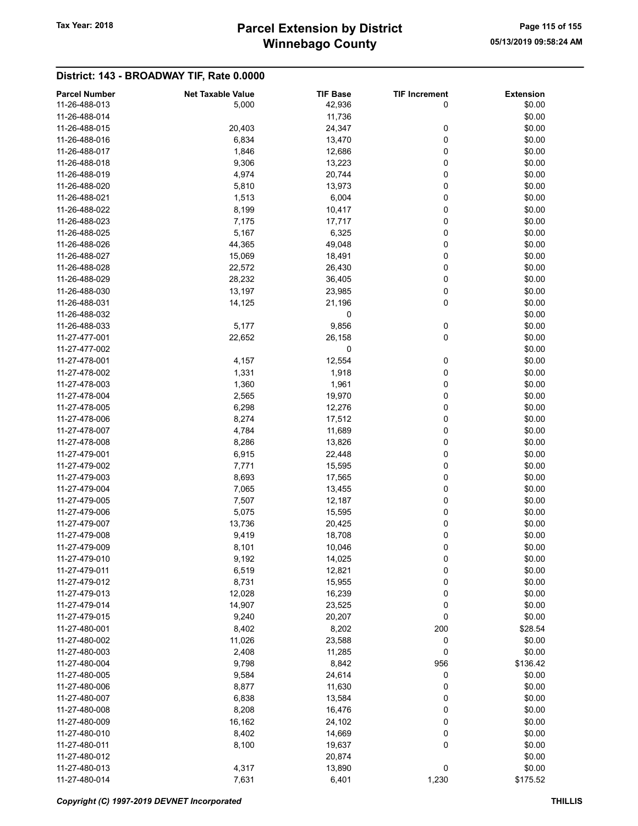# Winnebago County Tax Year: 2018 **Parcel Extension by District** Page 115 of 155

| <b>Parcel Number</b> | <b>Net Taxable Value</b> | <b>TIF Base</b> | <b>TIF Increment</b> | <b>Extension</b> |
|----------------------|--------------------------|-----------------|----------------------|------------------|
| 11-26-488-013        | 5,000                    | 42,936          | 0                    | \$0.00           |
| 11-26-488-014        |                          | 11,736          |                      | \$0.00           |
| 11-26-488-015        | 20,403                   | 24,347          | 0                    | \$0.00           |
| 11-26-488-016        | 6,834                    | 13,470          | 0                    | \$0.00           |
| 11-26-488-017        | 1,846                    | 12,686          | 0                    | \$0.00           |
| 11-26-488-018        | 9,306                    | 13,223          | 0                    | \$0.00           |
| 11-26-488-019        |                          |                 |                      | \$0.00           |
|                      | 4,974                    | 20,744          | 0                    |                  |
| 11-26-488-020        | 5,810                    | 13,973          | 0                    | \$0.00           |
| 11-26-488-021        | 1,513                    | 6,004           | 0                    | \$0.00           |
| 11-26-488-022        | 8,199                    | 10,417          | 0                    | \$0.00           |
| 11-26-488-023        | 7,175                    | 17,717          | 0                    | \$0.00           |
| 11-26-488-025        | 5,167                    | 6,325           | 0                    | \$0.00           |
| 11-26-488-026        | 44,365                   | 49,048          | 0                    | \$0.00           |
| 11-26-488-027        | 15,069                   | 18,491          | 0                    | \$0.00           |
| 11-26-488-028        | 22,572                   | 26,430          | 0                    | \$0.00           |
| 11-26-488-029        | 28,232                   | 36,405          | 0                    | \$0.00           |
| 11-26-488-030        | 13,197                   | 23,985          | 0                    | \$0.00           |
| 11-26-488-031        | 14,125                   | 21,196          | 0                    | \$0.00           |
| 11-26-488-032        |                          | 0               |                      | \$0.00           |
| 11-26-488-033        | 5,177                    | 9,856           | 0                    | \$0.00           |
| 11-27-477-001        | 22,652                   |                 | 0                    | \$0.00           |
|                      |                          | 26,158          |                      |                  |
| 11-27-477-002        |                          | 0               |                      | \$0.00           |
| 11-27-478-001        | 4,157                    | 12,554          | 0                    | \$0.00           |
| 11-27-478-002        | 1,331                    | 1,918           | 0                    | \$0.00           |
| 11-27-478-003        | 1,360                    | 1,961           | 0                    | \$0.00           |
| 11-27-478-004        | 2,565                    | 19,970          | 0                    | \$0.00           |
| 11-27-478-005        | 6,298                    | 12,276          | 0                    | \$0.00           |
| 11-27-478-006        | 8,274                    | 17,512          | 0                    | \$0.00           |
| 11-27-478-007        | 4,784                    | 11,689          | 0                    | \$0.00           |
| 11-27-478-008        | 8,286                    | 13,826          | 0                    | \$0.00           |
| 11-27-479-001        | 6,915                    | 22,448          | 0                    | \$0.00           |
| 11-27-479-002        | 7,771                    | 15,595          | 0                    | \$0.00           |
| 11-27-479-003        | 8,693                    | 17,565          | 0                    | \$0.00           |
| 11-27-479-004        | 7,065                    | 13,455          | 0                    | \$0.00           |
| 11-27-479-005        | 7,507                    | 12,187          | 0                    | \$0.00           |
| 11-27-479-006        | 5,075                    | 15,595          | 0                    | \$0.00           |
|                      |                          |                 |                      |                  |
| 11-27-479-007        | 13,736                   | 20,425          | 0                    | \$0.00           |
| 11-27-479-008        | 9,419                    | 18,708          | 0                    | \$0.00           |
| 11-27-479-009        | 8,101                    | 10,046          | 0                    | \$0.00           |
| 11-27-479-010        | 9,192                    | 14,025          | 0                    | \$0.00           |
| 11-27-479-011        | 6,519                    | 12,821          | 0                    | \$0.00           |
| 11-27-479-012        | 8,731                    | 15,955          | $\mathbf 0$          | \$0.00           |
| 11-27-479-013        | 12,028                   | 16,239          | 0                    | \$0.00           |
| 11-27-479-014        | 14,907                   | 23,525          | 0                    | \$0.00           |
| 11-27-479-015        | 9,240                    | 20,207          | 0                    | \$0.00           |
| 11-27-480-001        | 8,402                    | 8,202           | 200                  | \$28.54          |
| 11-27-480-002        | 11,026                   | 23,588          | 0                    | \$0.00           |
| 11-27-480-003        | 2,408                    | 11,285          | 0                    | \$0.00           |
| 11-27-480-004        | 9,798                    | 8,842           | 956                  | \$136.42         |
| 11-27-480-005        | 9,584                    | 24,614          | 0                    | \$0.00           |
| 11-27-480-006        |                          |                 |                      |                  |
|                      | 8,877                    | 11,630          | 0                    | \$0.00           |
| 11-27-480-007        | 6,838                    | 13,584          | 0                    | \$0.00           |
| 11-27-480-008        | 8,208                    | 16,476          | 0                    | \$0.00           |
| 11-27-480-009        | 16,162                   | 24,102          | 0                    | \$0.00           |
| 11-27-480-010        | 8,402                    | 14,669          | 0                    | \$0.00           |
| 11-27-480-011        | 8,100                    | 19,637          | 0                    | \$0.00           |
| 11-27-480-012        |                          | 20,874          |                      | \$0.00           |
| 11-27-480-013        | 4,317                    | 13,890          | 0                    | \$0.00           |
| 11-27-480-014        | 7,631                    | 6,401           | 1,230                | \$175.52         |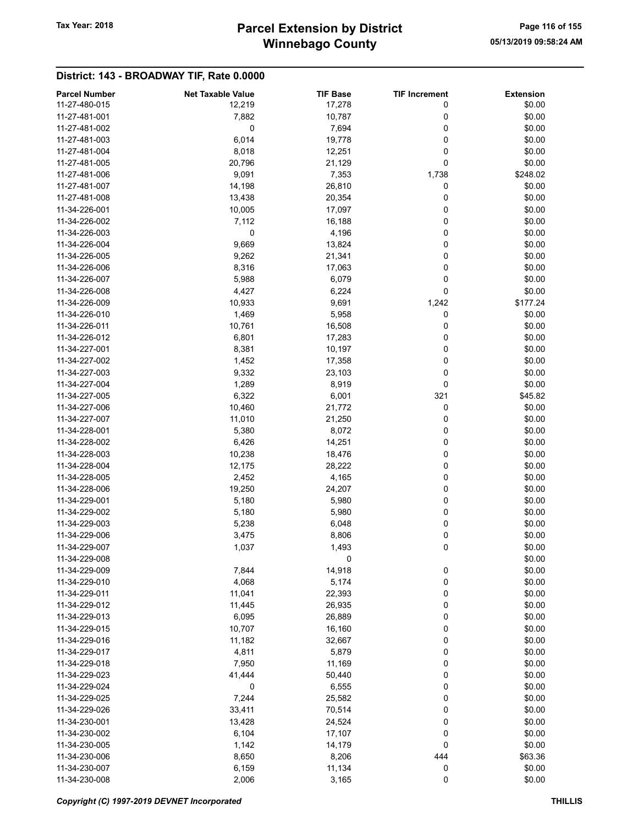# Winnebago County Tax Year: 2018 **Parcel Extension by District** Page 116 of 155

| <b>Parcel Number</b> | <b>Net Taxable Value</b> | <b>TIF Base</b> | <b>TIF Increment</b> | <b>Extension</b> |
|----------------------|--------------------------|-----------------|----------------------|------------------|
| 11-27-480-015        | 12,219                   | 17,278          | 0                    | \$0.00           |
| 11-27-481-001        | 7,882                    | 10,787          | 0                    | \$0.00           |
| 11-27-481-002        | 0                        | 7,694           | 0                    | \$0.00           |
| 11-27-481-003        | 6,014                    | 19,778          | 0                    | \$0.00           |
| 11-27-481-004        | 8,018                    | 12,251          | 0                    | \$0.00           |
| 11-27-481-005        | 20,796                   | 21,129          | 0                    | \$0.00           |
| 11-27-481-006        | 9,091                    | 7,353           | 1,738                | \$248.02         |
| 11-27-481-007        |                          |                 |                      | \$0.00           |
|                      | 14,198                   | 26,810          | 0                    |                  |
| 11-27-481-008        | 13,438                   | 20,354          | 0                    | \$0.00           |
| 11-34-226-001        | 10,005                   | 17,097          | 0                    | \$0.00           |
| 11-34-226-002        | 7,112                    | 16,188          | 0                    | \$0.00           |
| 11-34-226-003        | 0                        | 4,196           | 0                    | \$0.00           |
| 11-34-226-004        | 9,669                    | 13,824          | 0                    | \$0.00           |
| 11-34-226-005        | 9,262                    | 21,341          | 0                    | \$0.00           |
| 11-34-226-006        | 8,316                    | 17,063          | 0                    | \$0.00           |
| 11-34-226-007        | 5,988                    | 6,079           | 0                    | \$0.00           |
| 11-34-226-008        | 4,427                    | 6,224           | 0                    | \$0.00           |
| 11-34-226-009        | 10,933                   | 9,691           | 1,242                | \$177.24         |
| 11-34-226-010        | 1,469                    | 5,958           | 0                    | \$0.00           |
| 11-34-226-011        | 10,761                   | 16,508          | 0                    | \$0.00           |
| 11-34-226-012        | 6,801                    | 17,283          | 0                    | \$0.00           |
| 11-34-227-001        | 8,381                    | 10,197          | 0                    | \$0.00           |
| 11-34-227-002        | 1,452                    | 17,358          | 0                    | \$0.00           |
| 11-34-227-003        | 9,332                    | 23,103          | 0                    | \$0.00           |
| 11-34-227-004        | 1,289                    | 8,919           | 0                    | \$0.00           |
| 11-34-227-005        | 6,322                    | 6,001           | 321                  | \$45.82          |
| 11-34-227-006        |                          |                 | 0                    | \$0.00           |
| 11-34-227-007        | 10,460                   | 21,772          |                      | \$0.00           |
|                      | 11,010                   | 21,250          | 0                    |                  |
| 11-34-228-001        | 5,380                    | 8,072           | 0                    | \$0.00           |
| 11-34-228-002        | 6,426                    | 14,251          | 0                    | \$0.00           |
| 11-34-228-003        | 10,238                   | 18,476          | 0                    | \$0.00           |
| 11-34-228-004        | 12,175                   | 28,222          | 0                    | \$0.00           |
| 11-34-228-005        | 2,452                    | 4,165           | 0                    | \$0.00           |
| 11-34-228-006        | 19,250                   | 24,207          | 0                    | \$0.00           |
| 11-34-229-001        | 5,180                    | 5,980           | 0                    | \$0.00           |
| 11-34-229-002        | 5,180                    | 5,980           | 0                    | \$0.00           |
| 11-34-229-003        | 5,238                    | 6,048           | 0                    | \$0.00           |
| 11-34-229-006        | 3,475                    | 8,806           | 0                    | \$0.00           |
| 11-34-229-007        | 1,037                    | 1,493           | 0                    | \$0.00           |
| 11-34-229-008        |                          | 0               |                      | \$0.00           |
| 11-34-229-009        | 7,844                    | 14,918          | 0                    | \$0.00           |
| 11-34-229-010        | 4,068                    | 5,174           | 0                    | \$0.00           |
| 11-34-229-011        | 11,041                   | 22,393          | 0                    | \$0.00           |
| 11-34-229-012        | 11,445                   | 26,935          | 0                    | \$0.00           |
| 11-34-229-013        | 6,095                    | 26,889          | 0                    | \$0.00           |
| 11-34-229-015        | 10,707                   | 16,160          | 0                    | \$0.00           |
| 11-34-229-016        | 11,182                   | 32,667          | 0                    | \$0.00           |
| 11-34-229-017        | 4,811                    | 5,879           | 0                    | \$0.00           |
| 11-34-229-018        | 7,950                    | 11,169          | 0                    | \$0.00           |
| 11-34-229-023        | 41,444                   | 50,440          | 0                    | \$0.00           |
| 11-34-229-024        | 0                        | 6,555           |                      | \$0.00           |
|                      |                          |                 | 0                    |                  |
| 11-34-229-025        | 7,244                    | 25,582          | 0                    | \$0.00           |
| 11-34-229-026        | 33,411                   | 70,514          | 0                    | \$0.00           |
| 11-34-230-001        | 13,428                   | 24,524          | 0                    | \$0.00           |
| 11-34-230-002        | 6,104                    | 17,107          | 0                    | \$0.00           |
| 11-34-230-005        | 1,142                    | 14,179          | 0                    | \$0.00           |
| 11-34-230-006        | 8,650                    | 8,206           | 444                  | \$63.36          |
| 11-34-230-007        | 6,159                    | 11,134          | 0                    | \$0.00           |
| 11-34-230-008        | 2,006                    | 3,165           | 0                    | \$0.00           |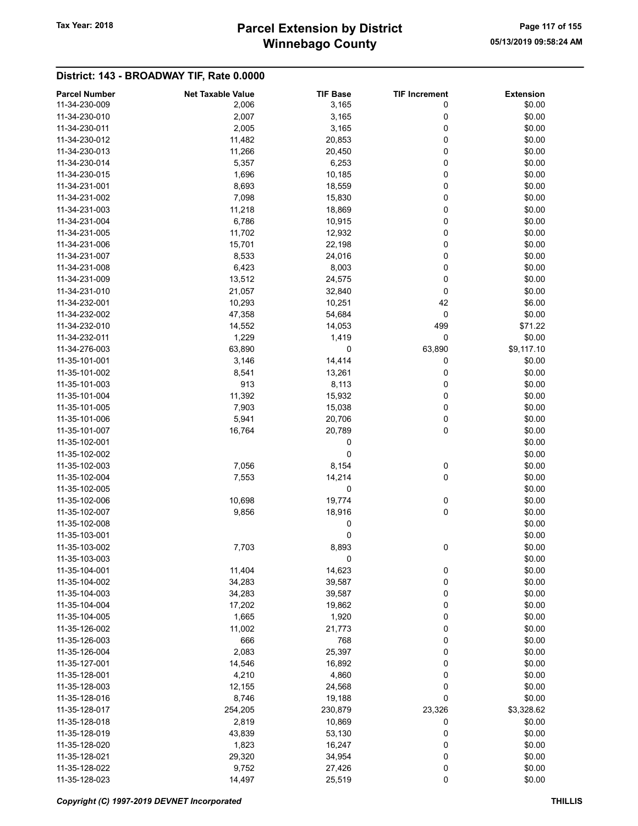# Winnebago County Tax Year: 2018 **Parcel Extension by District** Page 117 of 155

| <b>Parcel Number</b> | <b>Net Taxable Value</b> | <b>TIF Base</b> | <b>TIF Increment</b> | <b>Extension</b> |
|----------------------|--------------------------|-----------------|----------------------|------------------|
| 11-34-230-009        | 2,006                    | 3,165           | 0                    | \$0.00           |
| 11-34-230-010        | 2,007                    | 3,165           | 0                    | \$0.00           |
|                      |                          |                 |                      |                  |
| 11-34-230-011        | 2,005                    | 3,165           | 0                    | \$0.00           |
| 11-34-230-012        | 11,482                   | 20,853          | 0                    | \$0.00           |
| 11-34-230-013        | 11,266                   | 20,450          | 0                    | \$0.00           |
| 11-34-230-014        | 5,357                    | 6,253           | 0                    | \$0.00           |
| 11-34-230-015        | 1,696                    | 10,185          | 0                    | \$0.00           |
| 11-34-231-001        | 8,693                    | 18,559          | 0                    | \$0.00           |
| 11-34-231-002        | 7,098                    | 15,830          | 0                    | \$0.00           |
|                      |                          |                 |                      |                  |
| 11-34-231-003        | 11,218                   | 18,869          | 0                    | \$0.00           |
| 11-34-231-004        | 6,786                    | 10,915          | 0                    | \$0.00           |
| 11-34-231-005        | 11,702                   | 12,932          | 0                    | \$0.00           |
| 11-34-231-006        | 15,701                   | 22,198          | 0                    | \$0.00           |
| 11-34-231-007        | 8,533                    | 24,016          | 0                    | \$0.00           |
| 11-34-231-008        | 6,423                    | 8,003           | 0                    | \$0.00           |
| 11-34-231-009        | 13,512                   | 24,575          | 0                    | \$0.00           |
| 11-34-231-010        |                          |                 | 0                    | \$0.00           |
|                      | 21,057                   | 32,840          |                      |                  |
| 11-34-232-001        | 10,293                   | 10,251          | 42                   | \$6.00           |
| 11-34-232-002        | 47,358                   | 54,684          | $\mathbf 0$          | \$0.00           |
| 11-34-232-010        | 14,552                   | 14,053          | 499                  | \$71.22          |
| 11-34-232-011        | 1,229                    | 1,419           | 0                    | \$0.00           |
| 11-34-276-003        | 63,890                   | 0               | 63,890               | \$9,117.10       |
| 11-35-101-001        | 3,146                    | 14,414          | 0                    | \$0.00           |
| 11-35-101-002        | 8,541                    | 13,261          | 0                    | \$0.00           |
|                      |                          |                 |                      |                  |
| 11-35-101-003        | 913                      | 8,113           | 0                    | \$0.00           |
| 11-35-101-004        | 11,392                   | 15,932          | 0                    | \$0.00           |
| 11-35-101-005        | 7,903                    | 15,038          | 0                    | \$0.00           |
| 11-35-101-006        | 5,941                    | 20,706          | 0                    | \$0.00           |
| 11-35-101-007        | 16,764                   | 20,789          | 0                    | \$0.00           |
| 11-35-102-001        |                          | 0               |                      | \$0.00           |
| 11-35-102-002        |                          | 0               |                      | \$0.00           |
| 11-35-102-003        | 7,056                    | 8,154           | 0                    | \$0.00           |
|                      |                          |                 |                      |                  |
| 11-35-102-004        | 7,553                    | 14,214          | 0                    | \$0.00           |
| 11-35-102-005        |                          | 0               |                      | \$0.00           |
| 11-35-102-006        | 10,698                   | 19,774          | 0                    | \$0.00           |
| 11-35-102-007        | 9,856                    | 18,916          | 0                    | \$0.00           |
| 11-35-102-008        |                          | 0               |                      | \$0.00           |
| 11-35-103-001        |                          | 0               |                      | \$0.00           |
| 11-35-103-002        | 7,703                    | 8,893           | 0                    | \$0.00           |
| 11-35-103-003        |                          | $\pmb{0}$       |                      | \$0.00           |
|                      |                          |                 |                      |                  |
| 11-35-104-001        | 11,404                   | 14,623          | 0                    | \$0.00           |
| 11-35-104-002        | 34,283                   | 39,587          | 0                    | \$0.00           |
| 11-35-104-003        | 34,283                   | 39,587          | 0                    | \$0.00           |
| 11-35-104-004        | 17,202                   | 19,862          | 0                    | \$0.00           |
| 11-35-104-005        | 1,665                    | 1,920           | 0                    | \$0.00           |
| 11-35-126-002        | 11,002                   | 21,773          | 0                    | \$0.00           |
| 11-35-126-003        | 666                      | 768             | 0                    | \$0.00           |
| 11-35-126-004        | 2,083                    | 25,397          | 0                    | \$0.00           |
|                      |                          |                 |                      |                  |
| 11-35-127-001        | 14,546                   | 16,892          | 0                    | \$0.00           |
| 11-35-128-001        | 4,210                    | 4,860           | 0                    | \$0.00           |
| 11-35-128-003        | 12,155                   | 24,568          | 0                    | \$0.00           |
| 11-35-128-016        | 8,746                    | 19,188          | 0                    | \$0.00           |
| 11-35-128-017        | 254,205                  | 230,879         | 23,326               | \$3,328.62       |
| 11-35-128-018        | 2,819                    | 10,869          | 0                    | \$0.00           |
| 11-35-128-019        | 43,839                   | 53,130          | 0                    | \$0.00           |
|                      |                          |                 |                      |                  |
| 11-35-128-020        | 1,823                    | 16,247          | 0                    | \$0.00           |
| 11-35-128-021        | 29,320                   | 34,954          | 0                    | \$0.00           |
| 11-35-128-022        | 9,752                    | 27,426          | 0                    | \$0.00           |
| 11-35-128-023        | 14,497                   | 25,519          | 0                    | \$0.00           |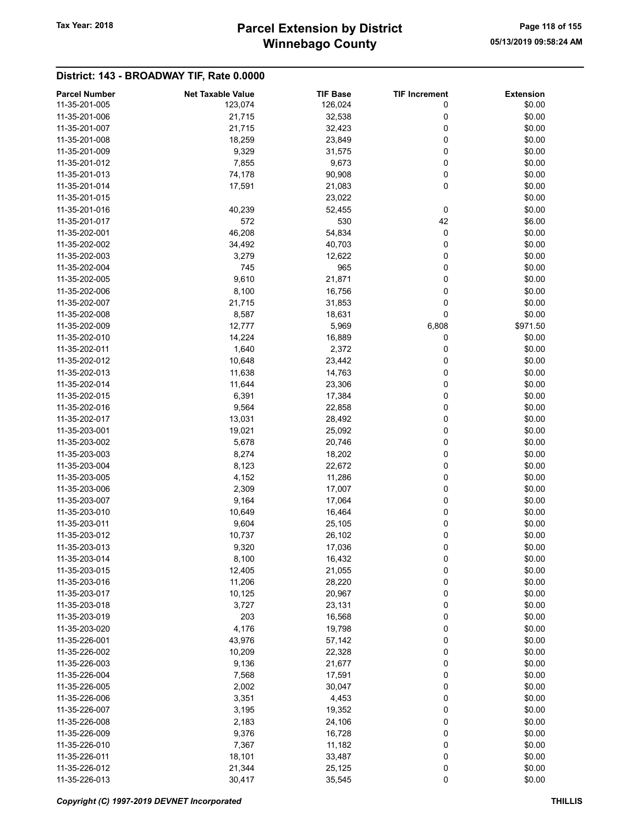# Winnebago County Tax Year: 2018 **Parcel Extension by District** Page 118 of 155

| <b>Parcel Number</b>           | <b>Net Taxable Value</b> | <b>TIF Base</b> | <b>TIF Increment</b> | <b>Extension</b> |
|--------------------------------|--------------------------|-----------------|----------------------|------------------|
| 11-35-201-005                  | 123,074                  | 126,024         | 0                    | \$0.00           |
| 11-35-201-006                  | 21,715                   | 32,538          | 0                    | \$0.00           |
| 11-35-201-007                  | 21,715                   | 32,423          | 0                    | \$0.00           |
| 11-35-201-008                  | 18,259                   | 23,849          | 0                    | \$0.00           |
| 11-35-201-009                  | 9,329                    | 31,575          | 0                    | \$0.00           |
|                                |                          |                 |                      |                  |
| 11-35-201-012                  | 7,855                    | 9,673           | 0                    | \$0.00           |
| 11-35-201-013                  | 74,178                   | 90,908          | 0                    | \$0.00           |
| 11-35-201-014                  | 17,591                   | 21,083          | 0                    | \$0.00           |
| 11-35-201-015                  |                          | 23,022          |                      | \$0.00           |
| 11-35-201-016                  | 40,239                   | 52,455          | 0                    | \$0.00           |
| 11-35-201-017                  | 572                      | 530             | 42                   | \$6.00           |
| 11-35-202-001                  | 46,208                   | 54,834          | 0                    | \$0.00           |
| 11-35-202-002                  | 34,492                   | 40,703          | 0                    | \$0.00           |
| 11-35-202-003                  | 3,279                    | 12,622          | 0                    | \$0.00           |
| 11-35-202-004                  | 745                      | 965             | 0                    | \$0.00           |
| 11-35-202-005                  | 9,610                    | 21,871          | 0                    | \$0.00           |
| 11-35-202-006                  | 8,100                    | 16,756          | 0                    | \$0.00           |
| 11-35-202-007                  | 21,715                   | 31,853          | 0                    | \$0.00           |
| 11-35-202-008                  | 8,587                    | 18,631          | 0                    | \$0.00           |
| 11-35-202-009                  | 12,777                   | 5,969           | 6,808                | \$971.50         |
| 11-35-202-010                  | 14,224                   | 16,889          | 0                    | \$0.00           |
| 11-35-202-011                  | 1,640                    | 2,372           | 0                    | \$0.00           |
| 11-35-202-012                  | 10,648                   | 23,442          | 0                    | \$0.00           |
| 11-35-202-013                  | 11,638                   | 14,763          | 0                    | \$0.00           |
| 11-35-202-014                  | 11,644                   | 23,306          | 0                    | \$0.00           |
| 11-35-202-015                  | 6,391                    | 17,384          | 0                    | \$0.00           |
| 11-35-202-016                  | 9,564                    | 22,858          | 0                    | \$0.00           |
| 11-35-202-017                  | 13,031                   | 28,492          | 0                    | \$0.00           |
| 11-35-203-001                  | 19,021                   | 25,092          | 0                    | \$0.00           |
| 11-35-203-002                  | 5,678                    | 20,746          | 0                    | \$0.00           |
| 11-35-203-003                  | 8,274                    | 18,202          | 0                    | \$0.00           |
| 11-35-203-004                  | 8,123                    | 22,672          | 0                    | \$0.00           |
| 11-35-203-005                  | 4,152                    | 11,286          | 0                    | \$0.00           |
| 11-35-203-006                  | 2,309                    | 17,007          | 0                    | \$0.00           |
| 11-35-203-007                  | 9,164                    | 17,064          | 0                    | \$0.00           |
| 11-35-203-010                  | 10,649                   | 16,464          | 0                    | \$0.00           |
| 11-35-203-011                  | 9,604                    | 25,105          | 0                    | \$0.00           |
| 11-35-203-012                  | 10,737                   | 26,102          | 0                    | \$0.00           |
| 11-35-203-013                  | 9,320                    | 17,036          | 0                    | \$0.00           |
| 11-35-203-014                  | 8,100                    | 16,432          | 0                    | \$0.00           |
| 11-35-203-015                  | 12,405                   | 21,055          | 0                    | \$0.00           |
| 11-35-203-016                  | 11,206                   | 28,220          | 0                    | \$0.00           |
| 11-35-203-017                  | 10,125                   | 20,967          | 0                    | \$0.00           |
| 11-35-203-018                  | 3,727                    | 23,131          | 0                    | \$0.00           |
| 11-35-203-019                  | 203                      | 16,568          | 0                    | \$0.00           |
| 11-35-203-020                  | 4,176                    | 19,798          | 0                    | \$0.00           |
| 11-35-226-001                  | 43,976                   | 57,142          | 0                    | \$0.00           |
| 11-35-226-002                  | 10,209                   | 22,328          | 0                    | \$0.00           |
| 11-35-226-003                  | 9,136                    | 21,677          | 0                    | \$0.00           |
|                                |                          |                 |                      |                  |
| 11-35-226-004<br>11-35-226-005 | 7,568                    | 17,591          | 0<br>0               | \$0.00           |
|                                | 2,002                    | 30,047          |                      | \$0.00           |
| 11-35-226-006                  | 3,351                    | 4,453           | 0                    | \$0.00           |
| 11-35-226-007                  | 3,195                    | 19,352          | 0                    | \$0.00           |
| 11-35-226-008                  | 2,183                    | 24,106          | 0                    | \$0.00           |
| 11-35-226-009                  | 9,376                    | 16,728          | 0                    | \$0.00           |
| 11-35-226-010                  | 7,367                    | 11,182          | 0                    | \$0.00           |
| 11-35-226-011                  | 18,101                   | 33,487          | 0                    | \$0.00           |
| 11-35-226-012                  | 21,344                   | 25,125          | 0                    | \$0.00           |
| 11-35-226-013                  | 30,417                   | 35,545          | $\pmb{0}$            | \$0.00           |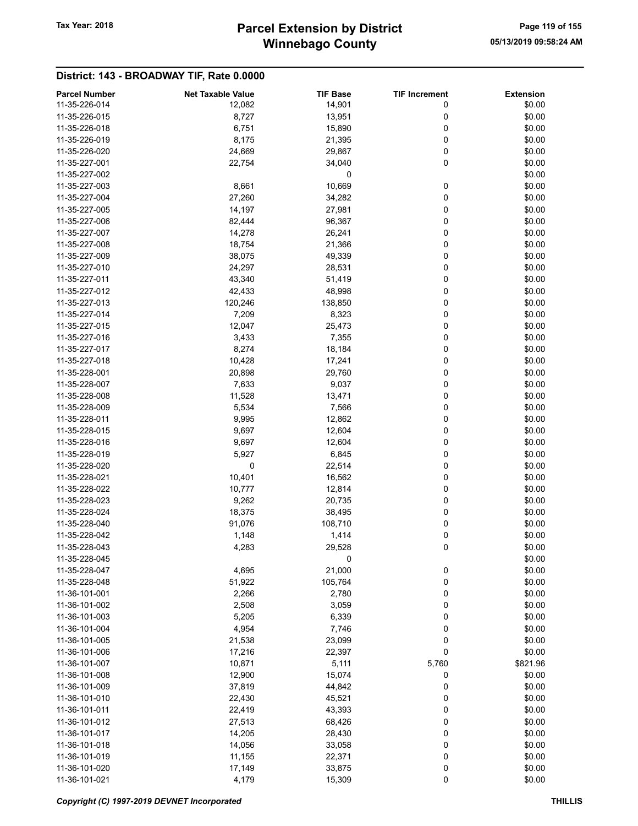# Winnebago County Tax Year: 2018 **Parcel Extension by District** Page 119 of 155

|                      |                          |                 | <b>TIF Increment</b> | <b>Extension</b> |
|----------------------|--------------------------|-----------------|----------------------|------------------|
| <b>Parcel Number</b> | <b>Net Taxable Value</b> | <b>TIF Base</b> |                      |                  |
| 11-35-226-014        | 12,082                   | 14,901          | 0                    | \$0.00           |
| 11-35-226-015        | 8,727                    | 13,951          | 0                    | \$0.00           |
| 11-35-226-018        | 6,751                    | 15,890          | 0                    | \$0.00           |
| 11-35-226-019        | 8,175                    | 21,395          | 0                    | \$0.00           |
| 11-35-226-020        | 24,669                   | 29,867          | 0                    | \$0.00           |
| 11-35-227-001        | 22,754                   | 34,040          | 0                    | \$0.00           |
| 11-35-227-002        |                          | 0               |                      | \$0.00           |
| 11-35-227-003        | 8,661                    | 10,669          | 0                    | \$0.00           |
| 11-35-227-004        | 27,260                   | 34,282          | 0                    | \$0.00           |
| 11-35-227-005        | 14,197                   | 27,981          | 0                    | \$0.00           |
| 11-35-227-006        | 82,444                   | 96,367          | 0                    | \$0.00           |
| 11-35-227-007        | 14,278                   | 26,241          | 0                    | \$0.00           |
|                      |                          |                 |                      |                  |
| 11-35-227-008        | 18,754                   | 21,366          | 0                    | \$0.00           |
| 11-35-227-009        | 38,075                   | 49,339          | 0                    | \$0.00           |
| 11-35-227-010        | 24,297                   | 28,531          | 0                    | \$0.00           |
| 11-35-227-011        | 43,340                   | 51,419          | 0                    | \$0.00           |
| 11-35-227-012        | 42,433                   | 48,998          | 0                    | \$0.00           |
| 11-35-227-013        | 120,246                  | 138,850         | 0                    | \$0.00           |
| 11-35-227-014        | 7,209                    | 8,323           | 0                    | \$0.00           |
| 11-35-227-015        | 12,047                   | 25,473          | 0                    | \$0.00           |
| 11-35-227-016        | 3,433                    | 7,355           | 0                    | \$0.00           |
| 11-35-227-017        | 8,274                    | 18,184          | 0                    | \$0.00           |
| 11-35-227-018        | 10,428                   | 17,241          | 0                    | \$0.00           |
| 11-35-228-001        | 20,898                   | 29,760          | 0                    | \$0.00           |
|                      |                          |                 |                      |                  |
| 11-35-228-007        | 7,633                    | 9,037           | 0                    | \$0.00           |
| 11-35-228-008        | 11,528                   | 13,471          | 0                    | \$0.00           |
| 11-35-228-009        | 5,534                    | 7,566           | 0                    | \$0.00           |
| 11-35-228-011        | 9,995                    | 12,862          | 0                    | \$0.00           |
| 11-35-228-015        | 9,697                    | 12,604          | 0                    | \$0.00           |
| 11-35-228-016        | 9,697                    | 12,604          | 0                    | \$0.00           |
| 11-35-228-019        | 5,927                    | 6,845           | 0                    | \$0.00           |
| 11-35-228-020        | 0                        | 22,514          | 0                    | \$0.00           |
| 11-35-228-021        | 10,401                   | 16,562          | 0                    | \$0.00           |
| 11-35-228-022        | 10,777                   | 12,814          | 0                    | \$0.00           |
| 11-35-228-023        | 9,262                    | 20,735          | 0                    | \$0.00           |
| 11-35-228-024        | 18,375                   | 38,495          | 0                    | \$0.00           |
| 11-35-228-040        | 91,076                   | 108,710         | 0                    | \$0.00           |
| 11-35-228-042        |                          |                 | 0                    | \$0.00           |
|                      | 1,148                    | 1,414           |                      |                  |
| 11-35-228-043        | 4,283                    | 29,528          | 0                    | \$0.00           |
| 11-35-228-045        |                          | 0               |                      | \$0.00           |
| 11-35-228-047        | 4,695                    | 21,000          | $\bf{0}$             | \$0.00           |
| 11-35-228-048        | 51,922                   | 105,764         | 0                    | \$0.00           |
| 11-36-101-001        | 2,266                    | 2,780           | 0                    | \$0.00           |
| 11-36-101-002        | 2,508                    | 3,059           | 0                    | \$0.00           |
| 11-36-101-003        | 5,205                    | 6,339           | 0                    | \$0.00           |
| 11-36-101-004        | 4,954                    | 7,746           | 0                    | \$0.00           |
| 11-36-101-005        | 21,538                   | 23,099          | 0                    | \$0.00           |
| 11-36-101-006        | 17,216                   | 22,397          | 0                    | \$0.00           |
| 11-36-101-007        | 10,871                   | 5,111           | 5,760                | \$821.96         |
| 11-36-101-008        | 12,900                   | 15,074          | 0                    | \$0.00           |
| 11-36-101-009        | 37,819                   | 44,842          | 0                    | \$0.00           |
| 11-36-101-010        | 22,430                   | 45,521          | 0                    | \$0.00           |
| 11-36-101-011        | 22,419                   | 43,393          | 0                    | \$0.00           |
| 11-36-101-012        |                          |                 | 0                    | \$0.00           |
|                      | 27,513                   | 68,426          |                      |                  |
| 11-36-101-017        | 14,205                   | 28,430          | 0                    | \$0.00           |
| 11-36-101-018        | 14,056                   | 33,058          | 0                    | \$0.00           |
| 11-36-101-019        | 11,155                   | 22,371          | 0                    | \$0.00           |
| 11-36-101-020        | 17,149                   | 33,875          | 0                    | \$0.00           |
| 11-36-101-021        | 4,179                    | 15,309          | 0                    | \$0.00           |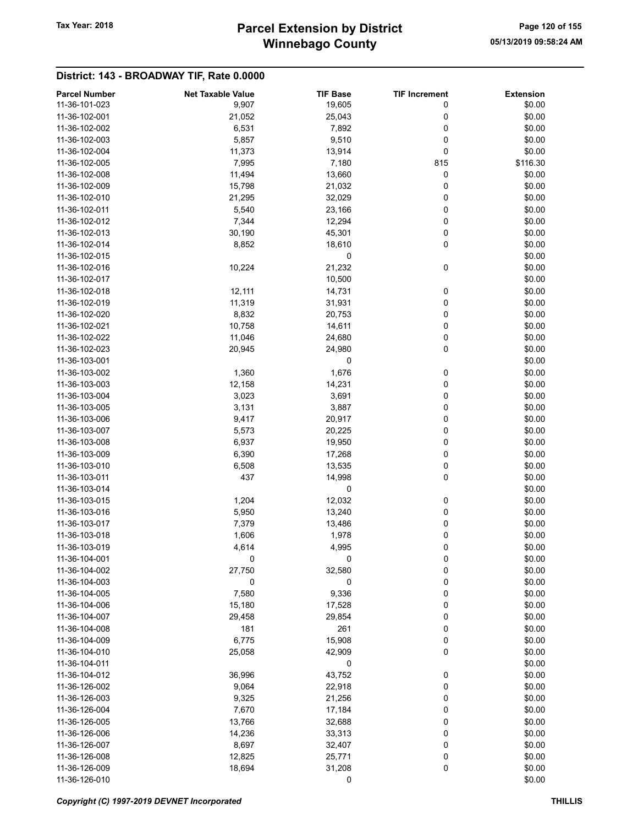# Winnebago County Tax Year: 2018 **Parcel Extension by District** Page 120 of 155

| <b>Parcel Number</b> | <b>Net Taxable Value</b> | <b>TIF Base</b> | <b>TIF Increment</b> | <b>Extension</b> |
|----------------------|--------------------------|-----------------|----------------------|------------------|
| 11-36-101-023        | 9,907                    | 19,605          | 0                    | \$0.00           |
| 11-36-102-001        | 21,052                   | 25,043          | 0                    | \$0.00           |
| 11-36-102-002        | 6,531                    | 7,892           | 0                    | \$0.00           |
| 11-36-102-003        | 5,857                    | 9,510           | 0                    | \$0.00           |
| 11-36-102-004        | 11,373                   |                 | 0                    | \$0.00           |
|                      |                          | 13,914          |                      |                  |
| 11-36-102-005        | 7,995                    | 7,180           | 815                  | \$116.30         |
| 11-36-102-008        | 11,494                   | 13,660          | 0                    | \$0.00           |
| 11-36-102-009        | 15,798                   | 21,032          | 0                    | \$0.00           |
| 11-36-102-010        | 21,295                   | 32,029          | 0                    | \$0.00           |
| 11-36-102-011        | 5,540                    | 23,166          | 0                    | \$0.00           |
| 11-36-102-012        | 7,344                    | 12,294          | 0                    | \$0.00           |
| 11-36-102-013        | 30,190                   | 45,301          | 0                    | \$0.00           |
| 11-36-102-014        | 8,852                    | 18,610          | 0                    | \$0.00           |
| 11-36-102-015        |                          | 0               |                      | \$0.00           |
| 11-36-102-016        | 10,224                   | 21,232          | 0                    | \$0.00           |
| 11-36-102-017        |                          | 10,500          |                      | \$0.00           |
| 11-36-102-018        | 12,111                   | 14,731          | 0                    | \$0.00           |
| 11-36-102-019        | 11,319                   | 31,931          | 0                    | \$0.00           |
| 11-36-102-020        | 8,832                    | 20,753          | 0                    | \$0.00           |
| 11-36-102-021        |                          |                 |                      |                  |
|                      | 10,758                   | 14,611          | 0                    | \$0.00           |
| 11-36-102-022        | 11,046                   | 24,680          | 0                    | \$0.00           |
| 11-36-102-023        | 20,945                   | 24,980          | 0                    | \$0.00           |
| 11-36-103-001        |                          | 0               |                      | \$0.00           |
| 11-36-103-002        | 1,360                    | 1,676           | 0                    | \$0.00           |
| 11-36-103-003        | 12,158                   | 14,231          | 0                    | \$0.00           |
| 11-36-103-004        | 3,023                    | 3,691           | 0                    | \$0.00           |
| 11-36-103-005        | 3,131                    | 3,887           | 0                    | \$0.00           |
| 11-36-103-006        | 9,417                    | 20,917          | 0                    | \$0.00           |
| 11-36-103-007        | 5,573                    | 20,225          | 0                    | \$0.00           |
| 11-36-103-008        | 6,937                    | 19,950          | 0                    | \$0.00           |
| 11-36-103-009        | 6,390                    | 17,268          | 0                    | \$0.00           |
| 11-36-103-010        | 6,508                    | 13,535          | 0                    | \$0.00           |
| 11-36-103-011        | 437                      | 14,998          | 0                    | \$0.00           |
| 11-36-103-014        |                          | 0               |                      | \$0.00           |
| 11-36-103-015        | 1,204                    | 12,032          | 0                    | \$0.00           |
| 11-36-103-016        | 5,950                    | 13,240          | 0                    | \$0.00           |
| 11-36-103-017        |                          |                 |                      |                  |
|                      | 7,379                    | 13,486          | 0                    | \$0.00           |
| 11-36-103-018        | 1,606                    | 1,978           | 0                    | \$0.00           |
| 11-36-103-019        | 4,614                    | 4,995           | 0                    | \$0.00           |
| 11-36-104-001        | 0                        | 0               | 0                    | \$0.00           |
| 11-36-104-002        | 27,750                   | 32,580          | 0                    | \$0.00           |
| 11-36-104-003        | 0                        | 0               | 0                    | \$0.00           |
| 11-36-104-005        | 7,580                    | 9,336           | 0                    | \$0.00           |
| 11-36-104-006        | 15,180                   | 17,528          | 0                    | \$0.00           |
| 11-36-104-007        | 29,458                   | 29,854          | 0                    | \$0.00           |
| 11-36-104-008        | 181                      | 261             | 0                    | \$0.00           |
| 11-36-104-009        | 6,775                    | 15,908          | 0                    | \$0.00           |
| 11-36-104-010        | 25,058                   | 42,909          | 0                    | \$0.00           |
| 11-36-104-011        |                          | 0               |                      | \$0.00           |
| 11-36-104-012        | 36,996                   | 43,752          | 0                    | \$0.00           |
| 11-36-126-002        | 9,064                    | 22,918          | 0                    | \$0.00           |
| 11-36-126-003        |                          |                 |                      | \$0.00           |
|                      | 9,325                    | 21,256          | 0                    |                  |
| 11-36-126-004        | 7,670                    | 17,184          | 0                    | \$0.00           |
| 11-36-126-005        | 13,766                   | 32,688          | 0                    | \$0.00           |
| 11-36-126-006        | 14,236                   | 33,313          | 0                    | \$0.00           |
| 11-36-126-007        | 8,697                    | 32,407          | 0                    | \$0.00           |
| 11-36-126-008        | 12,825                   | 25,771          | 0                    | \$0.00           |
| 11-36-126-009        | 18,694                   | 31,208          | 0                    | \$0.00           |
| 11-36-126-010        |                          | 0               |                      | \$0.00           |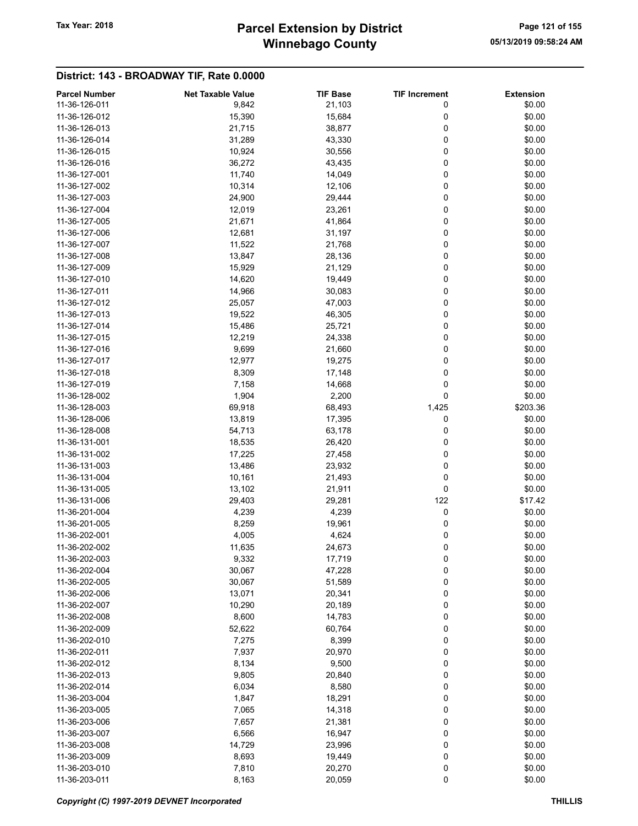# Winnebago County Tax Year: 2018 **Parcel Extension by District** Page 121 of 155

| <b>Parcel Number</b> | <b>Net Taxable Value</b> | <b>TIF Base</b> | <b>TIF Increment</b> | <b>Extension</b> |
|----------------------|--------------------------|-----------------|----------------------|------------------|
| 11-36-126-011        | 9,842                    | 21,103          | 0                    | \$0.00           |
| 11-36-126-012        | 15,390                   | 15,684          | 0                    | \$0.00           |
| 11-36-126-013        | 21,715                   | 38,877          | 0                    | \$0.00           |
| 11-36-126-014        | 31,289                   | 43,330          | 0                    | \$0.00           |
| 11-36-126-015        |                          |                 | 0                    | \$0.00           |
|                      | 10,924                   | 30,556          |                      |                  |
| 11-36-126-016        | 36,272                   | 43,435          | 0                    | \$0.00           |
| 11-36-127-001        | 11,740                   | 14,049          | 0                    | \$0.00           |
| 11-36-127-002        | 10,314                   | 12,106          | 0                    | \$0.00           |
| 11-36-127-003        | 24,900                   | 29,444          | 0                    | \$0.00           |
| 11-36-127-004        | 12,019                   | 23,261          | 0                    | \$0.00           |
| 11-36-127-005        | 21,671                   | 41,864          | 0                    | \$0.00           |
| 11-36-127-006        | 12,681                   | 31,197          | 0                    | \$0.00           |
| 11-36-127-007        | 11,522                   | 21,768          | 0                    | \$0.00           |
| 11-36-127-008        | 13,847                   | 28,136          | 0                    | \$0.00           |
| 11-36-127-009        | 15,929                   | 21,129          | 0                    | \$0.00           |
| 11-36-127-010        | 14,620                   | 19,449          | 0                    | \$0.00           |
| 11-36-127-011        | 14,966                   | 30,083          | 0                    | \$0.00           |
| 11-36-127-012        | 25,057                   | 47,003          | 0                    | \$0.00           |
| 11-36-127-013        | 19,522                   | 46,305          | 0                    | \$0.00           |
|                      |                          |                 |                      |                  |
| 11-36-127-014        | 15,486                   | 25,721          | 0                    | \$0.00           |
| 11-36-127-015        | 12,219                   | 24,338          | 0                    | \$0.00           |
| 11-36-127-016        | 9,699                    | 21,660          | 0                    | \$0.00           |
| 11-36-127-017        | 12,977                   | 19,275          | 0                    | \$0.00           |
| 11-36-127-018        | 8,309                    | 17,148          | 0                    | \$0.00           |
| 11-36-127-019        | 7,158                    | 14,668          | 0                    | \$0.00           |
| 11-36-128-002        | 1,904                    | 2,200           | 0                    | \$0.00           |
| 11-36-128-003        | 69,918                   | 68,493          | 1,425                | \$203.36         |
| 11-36-128-006        | 13,819                   | 17,395          | 0                    | \$0.00           |
| 11-36-128-008        | 54,713                   | 63,178          | 0                    | \$0.00           |
| 11-36-131-001        | 18,535                   | 26,420          | 0                    | \$0.00           |
| 11-36-131-002        | 17,225                   | 27,458          | 0                    | \$0.00           |
| 11-36-131-003        | 13,486                   | 23,932          | 0                    | \$0.00           |
| 11-36-131-004        | 10,161                   | 21,493          | 0                    | \$0.00           |
| 11-36-131-005        | 13,102                   | 21,911          | 0                    | \$0.00           |
| 11-36-131-006        | 29,403                   | 29,281          | 122                  | \$17.42          |
| 11-36-201-004        |                          |                 | 0                    |                  |
|                      | 4,239                    | 4,239           |                      | \$0.00           |
| 11-36-201-005        | 8,259                    | 19,961          | 0                    | \$0.00           |
| 11-36-202-001        | 4,005                    | 4,624           | 0                    | \$0.00           |
| 11-36-202-002        | 11,635                   | 24,673          | 0                    | \$0.00           |
| 11-36-202-003        | 9,332                    | 17,719          | 0                    | \$0.00           |
| 11-36-202-004        | 30,067                   | 47,228          | 0                    | \$0.00           |
| 11-36-202-005        | 30,067                   | 51,589          | 0                    | \$0.00           |
| 11-36-202-006        | 13,071                   | 20,341          | 0                    | \$0.00           |
| 11-36-202-007        | 10,290                   | 20,189          | 0                    | \$0.00           |
| 11-36-202-008        | 8,600                    | 14,783          | 0                    | \$0.00           |
| 11-36-202-009        | 52,622                   | 60,764          | 0                    | \$0.00           |
| 11-36-202-010        | 7,275                    | 8,399           | 0                    | \$0.00           |
| 11-36-202-011        | 7,937                    | 20,970          | 0                    | \$0.00           |
| 11-36-202-012        | 8,134                    | 9,500           | 0                    | \$0.00           |
| 11-36-202-013        | 9,805                    | 20,840          | 0                    | \$0.00           |
|                      |                          |                 |                      |                  |
| 11-36-202-014        | 6,034                    | 8,580           | 0                    | \$0.00           |
| 11-36-203-004        | 1,847                    | 18,291          | 0                    | \$0.00           |
| 11-36-203-005        | 7,065                    | 14,318          | 0                    | \$0.00           |
| 11-36-203-006        | 7,657                    | 21,381          | 0                    | \$0.00           |
| 11-36-203-007        | 6,566                    | 16,947          | 0                    | \$0.00           |
| 11-36-203-008        | 14,729                   | 23,996          | 0                    | \$0.00           |
| 11-36-203-009        | 8,693                    | 19,449          | 0                    | \$0.00           |
| 11-36-203-010        | 7,810                    | 20,270          | 0                    | \$0.00           |
| 11-36-203-011        | 8,163                    | 20,059          | $\pmb{0}$            | \$0.00           |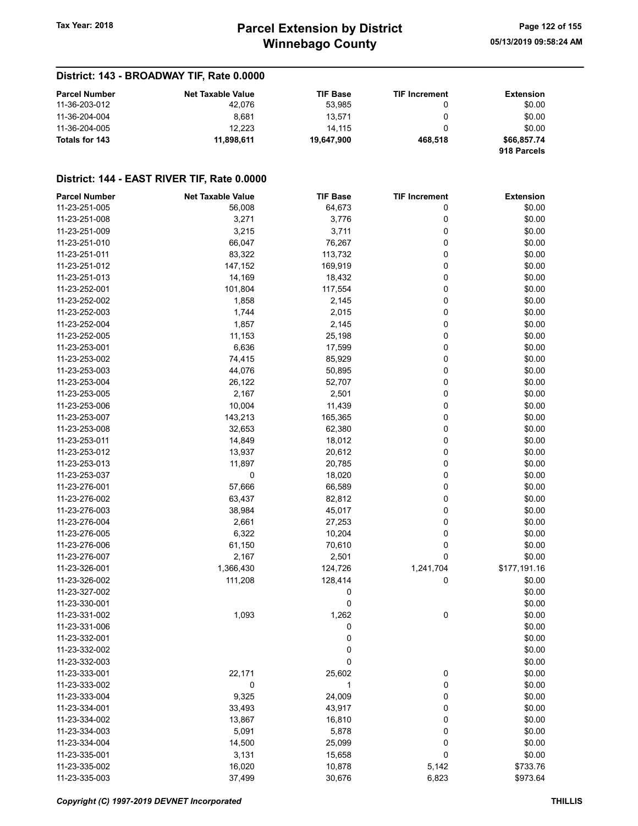# Winnebago County Tax Year: 2018 **Parcel Extension by District** Page 122 of 155

## District: 143 - BROADWAY TIF, Rate 0.0000

| <b>Parcel Number</b> | <b>Net Taxable Value</b> | <b>TIF Base</b> | <b>TIF Increment</b> | Extension   |
|----------------------|--------------------------|-----------------|----------------------|-------------|
| 11-36-203-012        | 42.076                   | 53.985          |                      | \$0.00      |
| 11-36-204-004        | 8.681                    | 13.571          |                      | \$0.00      |
| 11-36-204-005        | 12.223                   | 14.115          |                      | \$0.00      |
| Totals for 143       | 11.898.611               | 19.647.900      | 468.518              | \$66,857.74 |
|                      |                          |                 |                      | 918 Parcels |

| <b>Parcel Number</b> | <b>Net Taxable Value</b> | <b>TIF Base</b> | <b>TIF Increment</b> | <b>Extension</b> |
|----------------------|--------------------------|-----------------|----------------------|------------------|
| 11-23-251-005        | 56,008                   | 64,673          | 0                    | \$0.00           |
| 11-23-251-008        | 3,271                    | 3,776           | 0                    | \$0.00           |
| 11-23-251-009        | 3,215                    | 3,711           | 0                    | \$0.00           |
| 11-23-251-010        | 66,047                   | 76,267          | 0                    | \$0.00           |
| 11-23-251-011        | 83,322                   | 113,732         | 0                    | \$0.00           |
| 11-23-251-012        | 147,152                  | 169,919         | 0                    | \$0.00           |
| 11-23-251-013        | 14,169                   | 18,432          | 0                    | \$0.00           |
| 11-23-252-001        | 101,804                  | 117,554         | 0                    | \$0.00           |
| 11-23-252-002        | 1,858                    | 2,145           | 0                    | \$0.00           |
| 11-23-252-003        | 1,744                    | 2,015           | 0                    | \$0.00           |
| 11-23-252-004        | 1,857                    | 2,145           | 0                    | \$0.00           |
| 11-23-252-005        | 11,153                   | 25,198          | 0                    | \$0.00           |
| 11-23-253-001        | 6,636                    | 17,599          | 0                    | \$0.00           |
| 11-23-253-002        | 74,415                   | 85,929          | 0                    | \$0.00           |
| 11-23-253-003        | 44,076                   | 50,895          | 0                    | \$0.00           |
| 11-23-253-004        | 26,122                   | 52,707          | 0                    | \$0.00           |
| 11-23-253-005        | 2,167                    |                 | 0                    | \$0.00           |
|                      |                          | 2,501           |                      |                  |
| 11-23-253-006        | 10,004                   | 11,439          | 0                    | \$0.00           |
| 11-23-253-007        | 143,213                  | 165,365         | 0                    | \$0.00           |
| 11-23-253-008        | 32,653                   | 62,380          | 0                    | \$0.00           |
| 11-23-253-011        | 14,849                   | 18,012          | 0                    | \$0.00           |
| 11-23-253-012        | 13,937                   | 20,612          | 0                    | \$0.00           |
| 11-23-253-013        | 11,897                   | 20,785          | 0                    | \$0.00           |
| 11-23-253-037        | 0                        | 18,020          | 0                    | \$0.00           |
| 11-23-276-001        | 57,666                   | 66,589          | 0                    | \$0.00           |
| 11-23-276-002        | 63,437                   | 82,812          | 0                    | \$0.00           |
| 11-23-276-003        | 38,984                   | 45,017          | 0                    | \$0.00           |
| 11-23-276-004        | 2,661                    | 27,253          | 0                    | \$0.00           |
| 11-23-276-005        | 6,322                    | 10,204          | 0                    | \$0.00           |
| 11-23-276-006        | 61,150                   | 70,610          | 0                    | \$0.00           |
| 11-23-276-007        | 2,167                    | 2,501           | 0                    | \$0.00           |
| 11-23-326-001        | 1,366,430                | 124,726         | 1,241,704            | \$177,191.16     |
| 11-23-326-002        | 111,208                  | 128,414         | 0                    | \$0.00           |
| 11-23-327-002        |                          | 0               |                      | \$0.00           |
| 11-23-330-001        |                          | 0               |                      | \$0.00           |
| 11-23-331-002        | 1,093                    | 1,262           | 0                    | \$0.00           |
| 11-23-331-006        |                          | 0               |                      | \$0.00           |
| 11-23-332-001        |                          | 0               |                      | \$0.00           |
| 11-23-332-002        |                          | 0               |                      | \$0.00           |
| 11-23-332-003        |                          | 0               |                      | \$0.00           |
| 11-23-333-001        | 22,171                   | 25,602          | 0                    | \$0.00           |
| 11-23-333-002        | 0                        | 1               | $\pmb{0}$            | \$0.00           |
| 11-23-333-004        | 9,325                    | 24,009          | 0                    | \$0.00           |
| 11-23-334-001        | 33,493                   | 43,917          | 0                    | \$0.00           |
| 11-23-334-002        | 13,867                   | 16,810          | 0                    | \$0.00           |
| 11-23-334-003        | 5,091                    | 5,878           | 0                    | \$0.00           |
| 11-23-334-004        | 14,500                   | 25,099          | 0                    | \$0.00           |
| 11-23-335-001        | 3,131                    | 15,658          | 0                    | \$0.00           |
| 11-23-335-002        | 16,020                   | 10,878          | 5,142                | \$733.76         |
| 11-23-335-003        | 37,499                   | 30,676          | 6,823                | \$973.64         |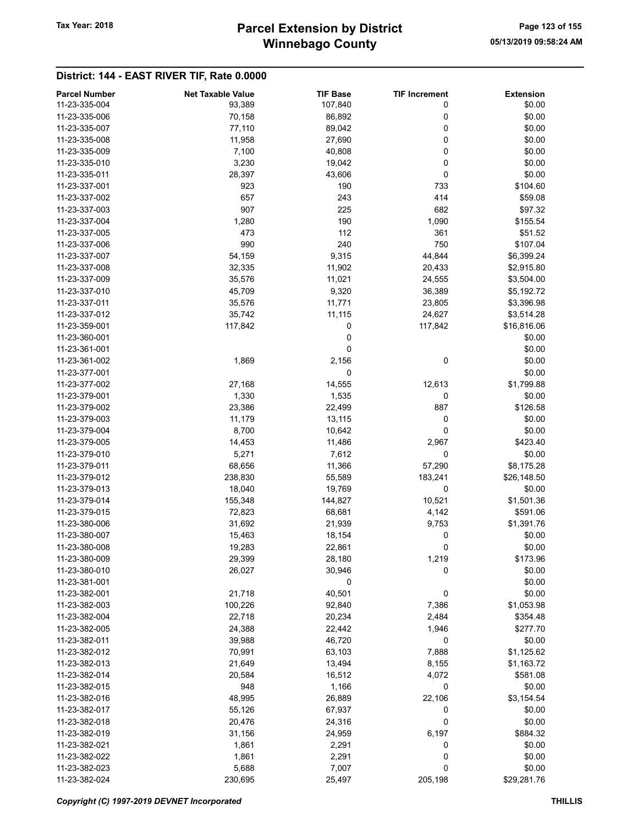| <b>Parcel Number</b> | <b>Net Taxable Value</b> | <b>TIF Base</b> | <b>TIF Increment</b> | <b>Extension</b> |
|----------------------|--------------------------|-----------------|----------------------|------------------|
| 11-23-335-004        | 93,389                   | 107,840         | 0                    | \$0.00           |
| 11-23-335-006        | 70,158                   | 86,892          | 0                    | \$0.00           |
| 11-23-335-007        |                          |                 | 0                    | \$0.00           |
|                      | 77,110                   | 89,042          |                      |                  |
| 11-23-335-008        | 11,958                   | 27,690          | 0                    | \$0.00           |
| 11-23-335-009        | 7,100                    | 40,808          | 0                    | \$0.00           |
| 11-23-335-010        | 3,230                    | 19,042          | 0                    | \$0.00           |
| 11-23-335-011        | 28,397                   | 43,606          | 0                    | \$0.00           |
| 11-23-337-001        | 923                      | 190             | 733                  | \$104.60         |
| 11-23-337-002        | 657                      | 243             | 414                  | \$59.08          |
| 11-23-337-003        | 907                      | 225             | 682                  | \$97.32          |
| 11-23-337-004        | 1,280                    | 190             | 1,090                | \$155.54         |
| 11-23-337-005        | 473                      | 112             | 361                  | \$51.52          |
| 11-23-337-006        | 990                      | 240             | 750                  | \$107.04         |
| 11-23-337-007        | 54,159                   | 9,315           | 44,844               | \$6,399.24       |
| 11-23-337-008        | 32,335                   | 11,902          | 20,433               | \$2,915.80       |
| 11-23-337-009        | 35,576                   | 11,021          | 24,555               | \$3,504.00       |
| 11-23-337-010        |                          | 9,320           |                      |                  |
|                      | 45,709                   |                 | 36,389               | \$5,192.72       |
| 11-23-337-011        | 35,576                   | 11,771          | 23,805               | \$3,396.98       |
| 11-23-337-012        | 35,742                   | 11,115          | 24,627               | \$3,514.28       |
| 11-23-359-001        | 117,842                  | 0               | 117,842              | \$16,816.06      |
| 11-23-360-001        |                          | 0               |                      | \$0.00           |
| 11-23-361-001        |                          | 0               |                      | \$0.00           |
| 11-23-361-002        | 1,869                    | 2,156           | 0                    | \$0.00           |
| 11-23-377-001        |                          | 0               |                      | \$0.00           |
| 11-23-377-002        | 27,168                   | 14,555          | 12,613               | \$1,799.88       |
| 11-23-379-001        | 1,330                    | 1,535           | 0                    | \$0.00           |
| 11-23-379-002        | 23,386                   | 22,499          | 887                  | \$126.58         |
| 11-23-379-003        | 11,179                   | 13,115          | 0                    | \$0.00           |
| 11-23-379-004        | 8,700                    | 10,642          | 0                    | \$0.00           |
| 11-23-379-005        | 14,453                   | 11,486          | 2,967                | \$423.40         |
| 11-23-379-010        | 5,271                    | 7,612           | 0                    | \$0.00           |
|                      |                          |                 |                      |                  |
| 11-23-379-011        | 68,656                   | 11,366          | 57,290               | \$8,175.28       |
| 11-23-379-012        | 238,830                  | 55,589          | 183,241              | \$26,148.50      |
| 11-23-379-013        | 18,040                   | 19,769          | 0                    | \$0.00           |
| 11-23-379-014        | 155,348                  | 144,827         | 10,521               | \$1,501.36       |
| 11-23-379-015        | 72,823                   | 68,681          | 4,142                | \$591.06         |
| 11-23-380-006        | 31,692                   | 21,939          | 9,753                | \$1,391.76       |
| 11-23-380-007        | 15,463                   | 18,154          | 0                    | \$0.00           |
| 11-23-380-008        | 19,283                   | 22,861          | 0                    | \$0.00           |
| 11-23-380-009        | 29,399                   | 28,180          | 1,219                | \$173.96         |
| 11-23-380-010        | 26,027                   | 30,946          | 0                    | \$0.00           |
| 11-23-381-001        |                          | 0               |                      | \$0.00           |
| 11-23-382-001        | 21,718                   | 40,501          | 0                    | \$0.00           |
| 11-23-382-003        | 100,226                  | 92,840          | 7,386                | \$1,053.98       |
| 11-23-382-004        | 22,718                   | 20,234          | 2,484                | \$354.48         |
| 11-23-382-005        | 24,388                   | 22,442          | 1,946                | \$277.70         |
| 11-23-382-011        | 39,988                   | 46,720          | 0                    | \$0.00           |
|                      |                          |                 |                      |                  |
| 11-23-382-012        | 70,991                   | 63,103          | 7,888                | \$1,125.62       |
| 11-23-382-013        | 21,649                   | 13,494          | 8,155                | \$1,163.72       |
| 11-23-382-014        | 20,584                   | 16,512          | 4,072                | \$581.08         |
| 11-23-382-015        | 948                      | 1,166           | 0                    | \$0.00           |
| 11-23-382-016        | 48,995                   | 26,889          | 22,106               | \$3,154.54       |
| 11-23-382-017        | 55,126                   | 67,937          | 0                    | \$0.00           |
| 11-23-382-018        | 20,476                   | 24,316          | 0                    | \$0.00           |
| 11-23-382-019        | 31,156                   | 24,959          | 6,197                | \$884.32         |
| 11-23-382-021        | 1,861                    | 2,291           | 0                    | \$0.00           |
| 11-23-382-022        | 1,861                    | 2,291           | 0                    | \$0.00           |
| 11-23-382-023        | 5,688                    | 7,007           | 0                    | \$0.00           |
| 11-23-382-024        | 230,695                  | 25,497          | 205,198              | \$29,281.76      |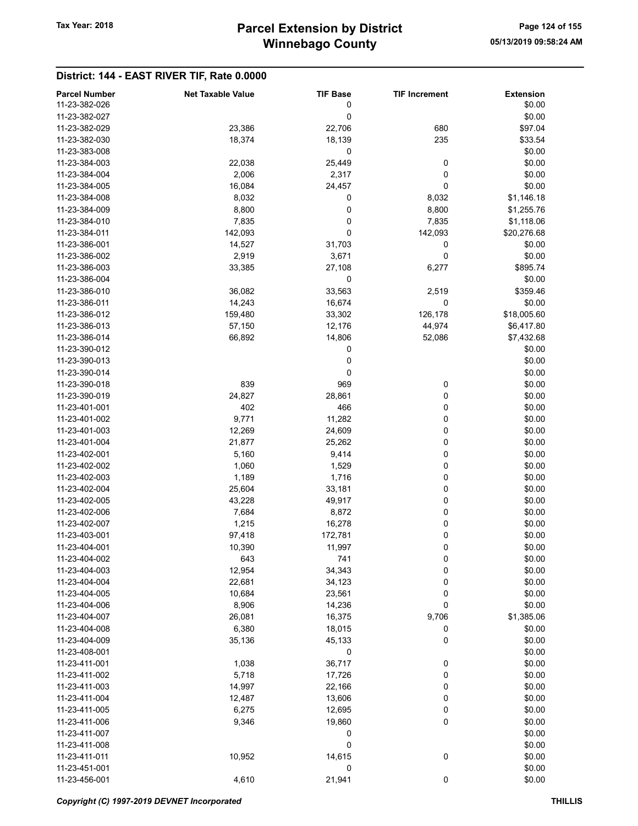| <b>Parcel Number</b> | <b>Net Taxable Value</b> | <b>TIF Base</b> | <b>TIF Increment</b> | <b>Extension</b> |
|----------------------|--------------------------|-----------------|----------------------|------------------|
| 11-23-382-026        |                          | 0               |                      | \$0.00           |
| 11-23-382-027        |                          | 0               |                      | \$0.00           |
| 11-23-382-029        | 23,386                   | 22,706          | 680                  | \$97.04          |
| 11-23-382-030        | 18,374                   | 18,139          | 235                  | \$33.54          |
| 11-23-383-008        |                          | 0               |                      | \$0.00           |
| 11-23-384-003        | 22,038                   | 25,449          | 0                    | \$0.00           |
| 11-23-384-004        | 2,006                    | 2,317           | 0                    | \$0.00           |
| 11-23-384-005        | 16,084                   | 24,457          | 0                    | \$0.00           |
| 11-23-384-008        | 8,032                    | 0               | 8,032                | \$1,146.18       |
| 11-23-384-009        | 8,800                    | 0               | 8,800                | \$1,255.76       |
| 11-23-384-010        | 7,835                    | 0               | 7,835                | \$1,118.06       |
| 11-23-384-011        | 142,093                  | 0               | 142,093              | \$20,276.68      |
| 11-23-386-001        | 14,527                   | 31,703          | 0                    | \$0.00           |
| 11-23-386-002        | 2,919                    | 3,671           | 0                    | \$0.00           |
| 11-23-386-003        | 33,385                   | 27,108          | 6,277                | \$895.74         |
| 11-23-386-004        |                          | 0               |                      | \$0.00           |
| 11-23-386-010        | 36,082                   | 33,563          | 2,519                | \$359.46         |
| 11-23-386-011        | 14,243                   | 16,674          | 0                    | \$0.00           |
| 11-23-386-012        | 159,480                  | 33,302          | 126,178              | \$18,005.60      |
| 11-23-386-013        | 57,150                   | 12,176          | 44,974               | \$6,417.80       |
| 11-23-386-014        | 66,892                   | 14,806          | 52,086               | \$7,432.68       |
| 11-23-390-012        |                          | 0               |                      | \$0.00           |
| 11-23-390-013        |                          | 0               |                      | \$0.00           |
| 11-23-390-014        |                          | 0               |                      | \$0.00           |
| 11-23-390-018        | 839                      | 969             | 0                    | \$0.00           |
| 11-23-390-019        | 24,827                   | 28,861          | 0                    | \$0.00           |
| 11-23-401-001        | 402                      | 466             | 0                    | \$0.00           |
| 11-23-401-002        | 9,771                    | 11,282          | 0                    | \$0.00           |
| 11-23-401-003        | 12,269                   | 24,609          | 0                    | \$0.00           |
| 11-23-401-004        | 21,877                   | 25,262          | 0                    | \$0.00           |
| 11-23-402-001        | 5,160                    | 9,414           | 0                    | \$0.00           |
| 11-23-402-002        | 1,060                    | 1,529           | 0                    | \$0.00           |
| 11-23-402-003        | 1,189                    | 1,716           | 0                    | \$0.00           |
| 11-23-402-004        | 25,604                   | 33,181          | 0                    | \$0.00           |
| 11-23-402-005        | 43,228                   | 49,917          | 0                    | \$0.00           |
| 11-23-402-006        | 7,684                    | 8,872           | 0                    | \$0.00           |
| 11-23-402-007        | 1,215                    | 16,278          | 0                    | \$0.00           |
| 11-23-403-001        | 97,418                   | 172,781         | 0                    | \$0.00           |
| 11-23-404-001        | 10,390                   | 11,997          | 0                    | \$0.00           |
| 11-23-404-002        | 643                      | 741             | 0                    | \$0.00           |
| 11-23-404-003        | 12,954                   | 34,343          | 0                    | \$0.00           |
| 11-23-404-004        | 22,681                   | 34,123          | 0                    | \$0.00           |
| 11-23-404-005        | 10,684                   | 23,561          | 0                    | \$0.00           |
| 11-23-404-006        | 8,906                    | 14,236          | 0                    | \$0.00           |
| 11-23-404-007        | 26,081                   | 16,375          | 9,706                | \$1,385.06       |
| 11-23-404-008        | 6,380                    | 18,015          | 0                    | \$0.00           |
| 11-23-404-009        | 35,136                   | 45,133          | 0                    | \$0.00           |
| 11-23-408-001        |                          | 0               |                      | \$0.00           |
| 11-23-411-001        | 1,038                    | 36,717          | 0                    | \$0.00           |
| 11-23-411-002        | 5,718                    | 17,726          | 0                    | \$0.00           |
| 11-23-411-003        | 14,997                   | 22,166          | 0                    | \$0.00           |
| 11-23-411-004        | 12,487                   | 13,606          | 0                    | \$0.00           |
| 11-23-411-005        | 6,275                    | 12,695          | 0                    | \$0.00           |
| 11-23-411-006        | 9,346                    | 19,860          | 0                    | \$0.00           |
| 11-23-411-007        |                          | 0               |                      | \$0.00           |
| 11-23-411-008        |                          | 0               |                      | \$0.00           |
| 11-23-411-011        | 10,952                   | 14,615          | 0                    | \$0.00           |
| 11-23-451-001        |                          | 0               |                      | \$0.00           |
| 11-23-456-001        | 4,610                    | 21,941          | $\pmb{0}$            | \$0.00           |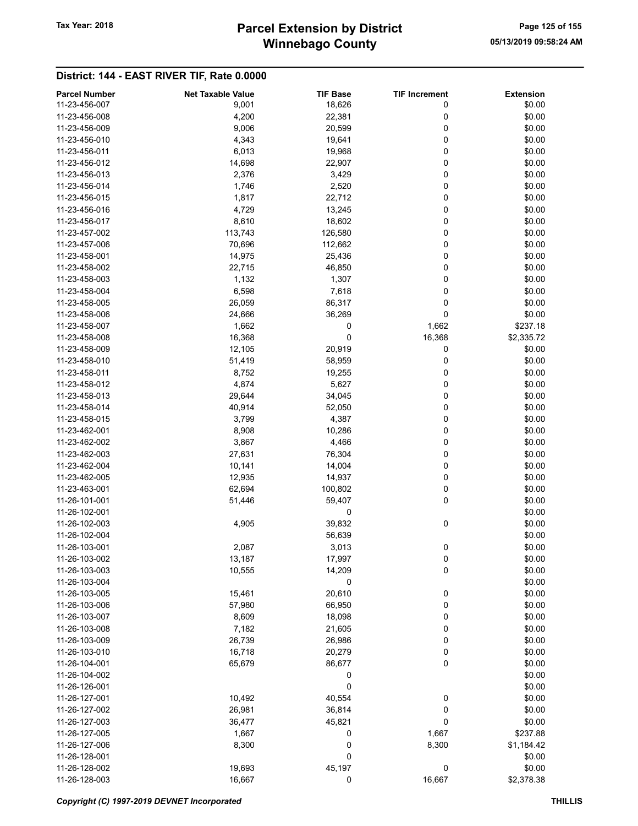# Winnebago County Tax Year: 2018 **Parcel Extension by District** Page 125 of 155

| <b>Parcel Number</b> | <b>Net Taxable Value</b> | <b>TIF Base</b> | <b>TIF Increment</b> | <b>Extension</b> |
|----------------------|--------------------------|-----------------|----------------------|------------------|
| 11-23-456-007        | 9,001                    | 18,626          | 0                    | \$0.00           |
| 11-23-456-008        | 4,200                    | 22,381          | 0                    | \$0.00           |
| 11-23-456-009        | 9,006                    | 20,599          | 0                    | \$0.00           |
| 11-23-456-010        | 4,343                    | 19,641          | 0                    | \$0.00           |
| 11-23-456-011        | 6,013                    | 19,968          | 0                    | \$0.00           |
| 11-23-456-012        | 14,698                   | 22,907          | 0                    | \$0.00           |
| 11-23-456-013        | 2,376                    | 3,429           | 0                    | \$0.00           |
| 11-23-456-014        | 1,746                    | 2,520           | 0                    | \$0.00           |
| 11-23-456-015        | 1,817                    | 22,712          | 0                    | \$0.00           |
| 11-23-456-016        | 4,729                    | 13,245          | 0                    | \$0.00           |
| 11-23-456-017        |                          |                 | 0                    |                  |
|                      | 8,610                    | 18,602          |                      | \$0.00           |
| 11-23-457-002        | 113,743                  | 126,580         | 0                    | \$0.00           |
| 11-23-457-006        | 70,696                   | 112,662         | 0                    | \$0.00           |
| 11-23-458-001        | 14,975                   | 25,436          | 0                    | \$0.00           |
| 11-23-458-002        | 22,715                   | 46,850          | 0                    | \$0.00           |
| 11-23-458-003        | 1,132                    | 1,307           | 0                    | \$0.00           |
| 11-23-458-004        | 6,598                    | 7,618           | 0                    | \$0.00           |
| 11-23-458-005        | 26,059                   | 86,317          | 0                    | \$0.00           |
| 11-23-458-006        | 24,666                   | 36,269          | 0                    | \$0.00           |
| 11-23-458-007        | 1,662                    | 0               | 1,662                | \$237.18         |
| 11-23-458-008        | 16,368                   | 0               | 16,368               | \$2,335.72       |
| 11-23-458-009        | 12,105                   | 20,919          | 0                    | \$0.00           |
| 11-23-458-010        | 51,419                   | 58,959          | 0                    | \$0.00           |
| 11-23-458-011        | 8,752                    | 19,255          | 0                    | \$0.00           |
| 11-23-458-012        | 4,874                    | 5,627           | 0                    | \$0.00           |
| 11-23-458-013        | 29,644                   | 34,045          | 0                    | \$0.00           |
| 11-23-458-014        | 40,914                   | 52,050          | 0                    | \$0.00           |
| 11-23-458-015        | 3,799                    | 4,387           | 0                    | \$0.00           |
| 11-23-462-001        | 8,908                    | 10,286          | 0                    | \$0.00           |
| 11-23-462-002        | 3,867                    | 4,466           | 0                    | \$0.00           |
| 11-23-462-003        | 27,631                   |                 | 0                    | \$0.00           |
|                      |                          | 76,304          | 0                    |                  |
| 11-23-462-004        | 10,141                   | 14,004          |                      | \$0.00           |
| 11-23-462-005        | 12,935                   | 14,937          | 0                    | \$0.00           |
| 11-23-463-001        | 62,694                   | 100,802         | 0                    | \$0.00           |
| 11-26-101-001        | 51,446                   | 59,407          | 0                    | \$0.00           |
| 11-26-102-001        |                          | 0               |                      | \$0.00           |
| 11-26-102-003        | 4,905                    | 39,832          | 0                    | \$0.00           |
| 11-26-102-004        |                          | 56,639          |                      | \$0.00           |
| 11-26-103-001        | 2,087                    | 3,013           | 0                    | \$0.00           |
| 11-26-103-002        | 13,187                   | 17,997          | 0                    | \$0.00           |
| 11-26-103-003        | 10,555                   | 14,209          | 0                    | \$0.00           |
| 11-26-103-004        |                          | 0               |                      | \$0.00           |
| 11-26-103-005        | 15,461                   | 20,610          | 0                    | \$0.00           |
| 11-26-103-006        | 57,980                   | 66,950          | 0                    | \$0.00           |
| 11-26-103-007        | 8,609                    | 18,098          | 0                    | \$0.00           |
| 11-26-103-008        | 7,182                    | 21,605          | 0                    | \$0.00           |
| 11-26-103-009        | 26,739                   | 26,986          | 0                    | \$0.00           |
| 11-26-103-010        | 16,718                   | 20,279          | 0                    | \$0.00           |
| 11-26-104-001        | 65,679                   | 86,677          | 0                    | \$0.00           |
| 11-26-104-002        |                          | 0               |                      | \$0.00           |
| 11-26-126-001        |                          | 0               |                      | \$0.00           |
| 11-26-127-001        |                          |                 |                      | \$0.00           |
|                      | 10,492                   | 40,554          | 0                    |                  |
| 11-26-127-002        | 26,981                   | 36,814          | 0                    | \$0.00           |
| 11-26-127-003        | 36,477                   | 45,821          | 0                    | \$0.00           |
| 11-26-127-005        | 1,667                    | 0               | 1,667                | \$237.88         |
| 11-26-127-006        | 8,300                    | $\bf{0}$        | 8,300                | \$1,184.42       |
| 11-26-128-001        |                          | 0               |                      | \$0.00           |
| 11-26-128-002        | 19,693                   | 45,197          | $\boldsymbol{0}$     | \$0.00           |
| 11-26-128-003        | 16,667                   | 0               | 16,667               | \$2,378.38       |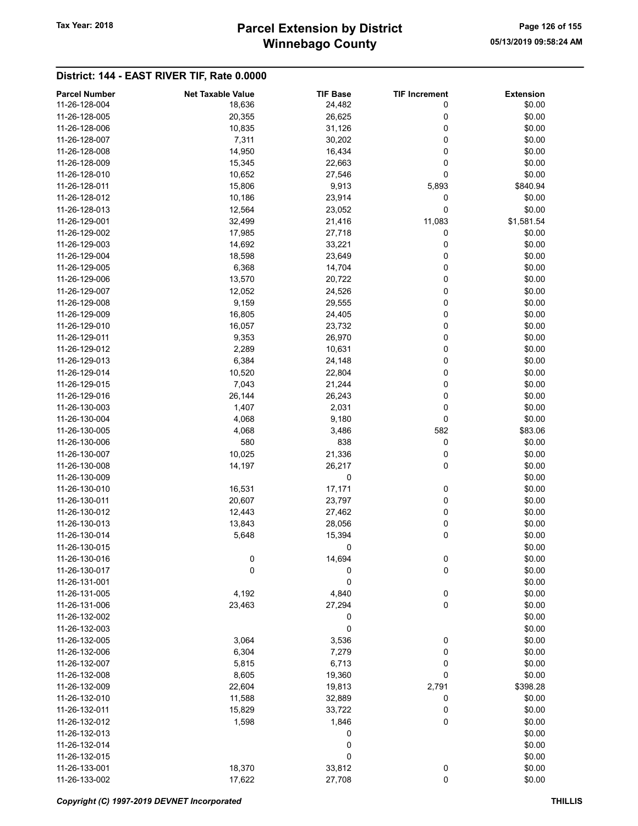# Winnebago County Tax Year: 2018 **Parcel Extension by District** Page 126 of 155

| <b>Parcel Number</b> | <b>Net Taxable Value</b> | <b>TIF Base</b> | <b>TIF Increment</b> | <b>Extension</b> |
|----------------------|--------------------------|-----------------|----------------------|------------------|
| 11-26-128-004        | 18,636                   | 24,482          | 0                    | \$0.00           |
| 11-26-128-005        | 20,355                   | 26,625          | 0                    | \$0.00           |
| 11-26-128-006        | 10,835                   | 31,126          | 0                    | \$0.00           |
| 11-26-128-007        | 7,311                    | 30,202          | 0                    | \$0.00           |
| 11-26-128-008        | 14,950                   | 16,434          | 0                    | \$0.00           |
| 11-26-128-009        | 15,345                   | 22,663          | 0                    | \$0.00           |
| 11-26-128-010        | 10,652                   | 27,546          | 0                    | \$0.00           |
|                      |                          |                 |                      |                  |
| 11-26-128-011        | 15,806                   | 9,913           | 5,893                | \$840.94         |
| 11-26-128-012        | 10,186                   | 23,914          | 0                    | \$0.00           |
| 11-26-128-013        | 12,564                   | 23,052          | 0                    | \$0.00           |
| 11-26-129-001        | 32,499                   | 21,416          | 11,083               | \$1,581.54       |
| 11-26-129-002        | 17,985                   | 27,718          | 0                    | \$0.00           |
| 11-26-129-003        | 14,692                   | 33,221          | 0                    | \$0.00           |
| 11-26-129-004        | 18,598                   | 23,649          | 0                    | \$0.00           |
| 11-26-129-005        | 6,368                    | 14,704          | 0                    | \$0.00           |
| 11-26-129-006        | 13,570                   | 20,722          | 0                    | \$0.00           |
| 11-26-129-007        | 12,052                   | 24,526          | 0                    | \$0.00           |
| 11-26-129-008        | 9,159                    | 29,555          | 0                    | \$0.00           |
| 11-26-129-009        | 16,805                   | 24,405          | 0                    | \$0.00           |
| 11-26-129-010        | 16,057                   | 23,732          | 0                    | \$0.00           |
| 11-26-129-011        |                          |                 | 0                    |                  |
|                      | 9,353                    | 26,970          |                      | \$0.00           |
| 11-26-129-012        | 2,289                    | 10,631          | 0                    | \$0.00           |
| 11-26-129-013        | 6,384                    | 24,148          | 0                    | \$0.00           |
| 11-26-129-014        | 10,520                   | 22,804          | 0                    | \$0.00           |
| 11-26-129-015        | 7,043                    | 21,244          | 0                    | \$0.00           |
| 11-26-129-016        | 26,144                   | 26,243          | 0                    | \$0.00           |
| 11-26-130-003        | 1,407                    | 2,031           | 0                    | \$0.00           |
| 11-26-130-004        | 4,068                    | 9,180           | 0                    | \$0.00           |
| 11-26-130-005        | 4,068                    | 3,486           | 582                  | \$83.06          |
| 11-26-130-006        | 580                      | 838             | 0                    | \$0.00           |
| 11-26-130-007        | 10,025                   | 21,336          | 0                    | \$0.00           |
| 11-26-130-008        | 14,197                   | 26,217          | 0                    | \$0.00           |
| 11-26-130-009        |                          | 0               |                      | \$0.00           |
| 11-26-130-010        | 16,531                   | 17,171          | 0                    | \$0.00           |
| 11-26-130-011        | 20,607                   | 23,797          | 0                    | \$0.00           |
|                      |                          |                 | 0                    |                  |
| 11-26-130-012        | 12,443                   | 27,462          |                      | \$0.00           |
| 11-26-130-013        | 13,843                   | 28,056          | 0                    | \$0.00           |
| 11-26-130-014        | 5,648                    | 15,394          | 0                    | \$0.00           |
| 11-26-130-015        |                          | 0               |                      | \$0.00           |
| 11-26-130-016        | 0                        | 14,694          | 0                    | \$0.00           |
| 11-26-130-017        | 0                        | 0               | 0                    | \$0.00           |
| 11-26-131-001        |                          | 0               |                      | \$0.00           |
| 11-26-131-005        | 4,192                    | 4,840           | $\bf{0}$             | \$0.00           |
| 11-26-131-006        | 23,463                   | 27,294          | 0                    | \$0.00           |
| 11-26-132-002        |                          | 0               |                      | \$0.00           |
| 11-26-132-003        |                          | 0               |                      | \$0.00           |
| 11-26-132-005        | 3,064                    | 3,536           | 0                    | \$0.00           |
| 11-26-132-006        | 6,304                    | 7,279           | 0                    | \$0.00           |
| 11-26-132-007        | 5,815                    | 6,713           | 0                    | \$0.00           |
| 11-26-132-008        | 8,605                    | 19,360          | 0                    | \$0.00           |
|                      |                          |                 |                      |                  |
| 11-26-132-009        | 22,604                   | 19,813          | 2,791                | \$398.28         |
| 11-26-132-010        | 11,588                   | 32,889          | 0                    | \$0.00           |
| 11-26-132-011        | 15,829                   | 33,722          | 0                    | \$0.00           |
| 11-26-132-012        | 1,598                    | 1,846           | 0                    | \$0.00           |
| 11-26-132-013        |                          | 0               |                      | \$0.00           |
| 11-26-132-014        |                          | 0               |                      | \$0.00           |
| 11-26-132-015        |                          | 0               |                      | \$0.00           |
| 11-26-133-001        | 18,370                   | 33,812          | 0                    | \$0.00           |
| 11-26-133-002        | 17,622                   | 27,708          | 0                    | \$0.00           |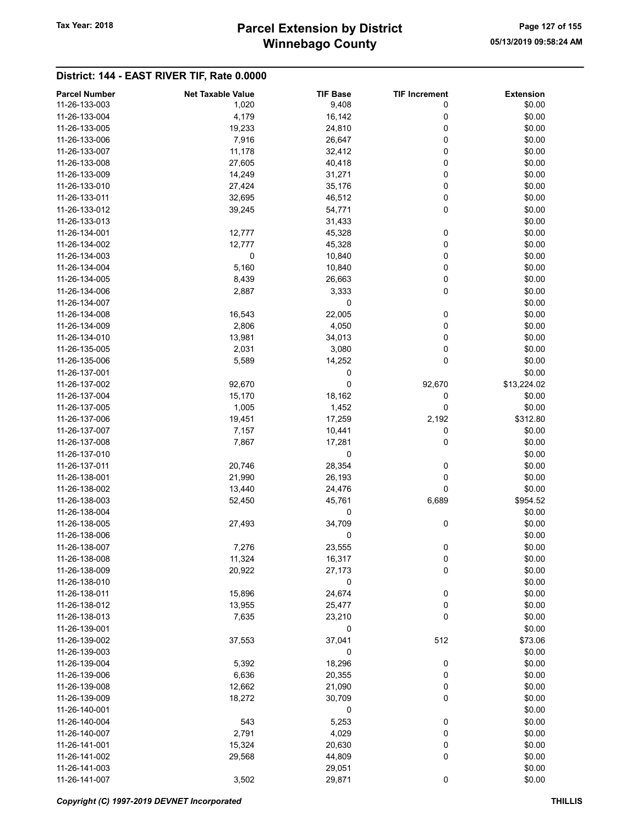# Winnebago County Tax Year: 2018 **Parcel Extension by District** Page 127 of 155

| <b>Parcel Number</b> | <b>Net Taxable Value</b> | <b>TIF Base</b> | <b>TIF Increment</b> | <b>Extension</b> |
|----------------------|--------------------------|-----------------|----------------------|------------------|
| 11-26-133-003        | 1,020                    | 9,408           | 0                    | \$0.00           |
| 11-26-133-004        | 4,179                    | 16,142          | 0                    | \$0.00           |
|                      |                          |                 |                      |                  |
| 11-26-133-005        | 19,233                   | 24,810          | 0                    | \$0.00           |
| 11-26-133-006        | 7,916                    | 26,647          | 0                    | \$0.00           |
| 11-26-133-007        | 11,178                   | 32,412          | 0                    | \$0.00           |
| 11-26-133-008        | 27,605                   | 40,418          | 0                    | \$0.00           |
| 11-26-133-009        | 14,249                   | 31,271          | 0                    | \$0.00           |
| 11-26-133-010        | 27,424                   | 35,176          | 0                    | \$0.00           |
| 11-26-133-011        | 32,695                   | 46,512          | 0                    | \$0.00           |
| 11-26-133-012        | 39,245                   | 54,771          | 0                    | \$0.00           |
| 11-26-133-013        |                          | 31,433          |                      | \$0.00           |
|                      |                          |                 |                      |                  |
| 11-26-134-001        | 12,777                   | 45,328          | 0                    | \$0.00           |
| 11-26-134-002        | 12,777                   | 45,328          | 0                    | \$0.00           |
| 11-26-134-003        | 0                        | 10,840          | 0                    | \$0.00           |
| 11-26-134-004        | 5,160                    | 10,840          | 0                    | \$0.00           |
| 11-26-134-005        | 8,439                    | 26,663          | 0                    | \$0.00           |
| 11-26-134-006        | 2,887                    | 3,333           | 0                    | \$0.00           |
| 11-26-134-007        |                          | 0               |                      | \$0.00           |
| 11-26-134-008        | 16,543                   | 22,005          | 0                    | \$0.00           |
| 11-26-134-009        | 2,806                    | 4,050           | 0                    | \$0.00           |
| 11-26-134-010        | 13,981                   | 34,013          | 0                    | \$0.00           |
|                      |                          |                 |                      |                  |
| 11-26-135-005        | 2,031                    | 3,080           | 0                    | \$0.00           |
| 11-26-135-006        | 5,589                    | 14,252          | 0                    | \$0.00           |
| 11-26-137-001        |                          | 0               |                      | \$0.00           |
| 11-26-137-002        | 92,670                   | 0               | 92,670               | \$13,224.02      |
| 11-26-137-004        | 15,170                   | 18,162          | 0                    | \$0.00           |
| 11-26-137-005        | 1,005                    | 1,452           | 0                    | \$0.00           |
| 11-26-137-006        | 19,451                   | 17,259          | 2,192                | \$312.80         |
| 11-26-137-007        | 7,157                    | 10,441          | 0                    | \$0.00           |
| 11-26-137-008        | 7,867                    | 17,281          | 0                    | \$0.00           |
| 11-26-137-010        |                          | 0               |                      | \$0.00           |
| 11-26-137-011        | 20,746                   | 28,354          | 0                    | \$0.00           |
|                      |                          |                 |                      |                  |
| 11-26-138-001        | 21,990                   | 26,193          | 0                    | \$0.00           |
| 11-26-138-002        | 13,440                   | 24,476          | 0                    | \$0.00           |
| 11-26-138-003        | 52,450                   | 45,761          | 6,689                | \$954.52         |
| 11-26-138-004        |                          | 0               |                      | \$0.00           |
| 11-26-138-005        | 27,493                   | 34,709          | 0                    | \$0.00           |
| 11-26-138-006        |                          | 0               |                      | \$0.00           |
| 11-26-138-007        | 7,276                    | 23,555          | 0                    | \$0.00           |
| 11-26-138-008        | 11,324                   | 16,317          | 0                    | \$0.00           |
| 11-26-138-009        | 20,922                   | 27,173          | 0                    | \$0.00           |
| 11-26-138-010        |                          | 0               |                      | \$0.00           |
|                      |                          |                 |                      |                  |
| 11-26-138-011        | 15,896                   | 24,674          | $\bf{0}$             | \$0.00           |
| 11-26-138-012        | 13,955                   | 25,477          | 0                    | \$0.00           |
| 11-26-138-013        | 7,635                    | 23,210          | 0                    | \$0.00           |
| 11-26-139-001        |                          | 0               |                      | \$0.00           |
| 11-26-139-002        | 37,553                   | 37,041          | 512                  | \$73.06          |
| 11-26-139-003        |                          | 0               |                      | \$0.00           |
| 11-26-139-004        | 5,392                    | 18,296          | 0                    | \$0.00           |
| 11-26-139-006        | 6,636                    | 20,355          | 0                    | \$0.00           |
| 11-26-139-008        | 12,662                   | 21,090          | 0                    | \$0.00           |
| 11-26-139-009        | 18,272                   | 30,709          | 0                    | \$0.00           |
|                      |                          |                 |                      |                  |
| 11-26-140-001        |                          | 0               |                      | \$0.00           |
| 11-26-140-004        | 543                      | 5,253           | 0                    | \$0.00           |
| 11-26-140-007        | 2,791                    | 4,029           | 0                    | \$0.00           |
| 11-26-141-001        | 15,324                   | 20,630          | 0                    | \$0.00           |
| 11-26-141-002        | 29,568                   | 44,809          | 0                    | \$0.00           |
| 11-26-141-003        |                          | 29,051          |                      | \$0.00           |
| 11-26-141-007        | 3,502                    | 29,871          | 0                    | \$0.00           |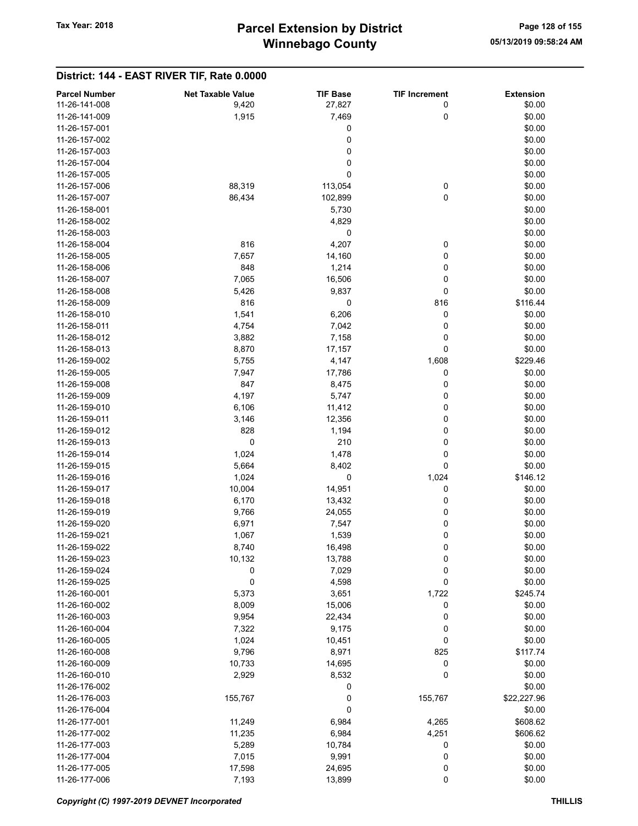| <b>Parcel Number</b> | <b>Net Taxable Value</b> | <b>TIF Base</b> | <b>TIF Increment</b> | <b>Extension</b> |
|----------------------|--------------------------|-----------------|----------------------|------------------|
| 11-26-141-008        | 9,420                    | 27,827          | 0                    | \$0.00           |
| 11-26-141-009        | 1,915                    | 7,469           | 0                    | \$0.00           |
| 11-26-157-001        |                          | 0               |                      | \$0.00           |
| 11-26-157-002        |                          | 0               |                      | \$0.00           |
| 11-26-157-003        |                          | 0               |                      | \$0.00           |
| 11-26-157-004        |                          | $\mathbf 0$     |                      | \$0.00           |
| 11-26-157-005        |                          | 0               |                      | \$0.00           |
| 11-26-157-006        | 88,319                   | 113,054         | 0                    | \$0.00           |
| 11-26-157-007        | 86,434                   | 102,899         | $\mathbf 0$          | \$0.00           |
| 11-26-158-001        |                          | 5,730           |                      | \$0.00           |
| 11-26-158-002        |                          | 4,829           |                      | \$0.00           |
| 11-26-158-003        |                          | 0               |                      | \$0.00           |
| 11-26-158-004        | 816                      | 4,207           | 0                    | \$0.00           |
| 11-26-158-005        | 7,657                    | 14,160          | 0                    | \$0.00           |
| 11-26-158-006        | 848                      | 1,214           | 0                    | \$0.00           |
| 11-26-158-007        | 7,065                    | 16,506          | 0                    | \$0.00           |
| 11-26-158-008        | 5,426                    | 9,837           | 0                    | \$0.00           |
| 11-26-158-009        | 816                      | 0               | 816                  | \$116.44         |
| 11-26-158-010        | 1,541                    | 6,206           | 0                    | \$0.00           |
| 11-26-158-011        | 4,754                    | 7,042           | 0                    | \$0.00           |
|                      |                          |                 |                      | \$0.00           |
| 11-26-158-012        | 3,882                    | 7,158           | 0                    |                  |
| 11-26-158-013        | 8,870                    | 17,157          | 0                    | \$0.00           |
| 11-26-159-002        | 5,755                    | 4,147           | 1,608                | \$229.46         |
| 11-26-159-005        | 7,947                    | 17,786          | 0                    | \$0.00           |
| 11-26-159-008        | 847                      | 8,475           | 0                    | \$0.00           |
| 11-26-159-009        | 4,197                    | 5,747           | 0                    | \$0.00           |
| 11-26-159-010        | 6,106                    | 11,412          | 0                    | \$0.00           |
| 11-26-159-011        | 3,146                    | 12,356          | 0                    | \$0.00           |
| 11-26-159-012        | 828                      | 1,194           | 0                    | \$0.00           |
| 11-26-159-013        | 0                        | 210             | 0                    | \$0.00           |
| 11-26-159-014        | 1,024                    | 1,478           | 0                    | \$0.00           |
| 11-26-159-015        | 5,664                    | 8,402           | 0                    | \$0.00           |
| 11-26-159-016        | 1,024                    | 0               | 1,024                | \$146.12         |
| 11-26-159-017        | 10,004                   | 14,951          | 0                    | \$0.00           |
| 11-26-159-018        | 6,170                    | 13,432          | 0                    | \$0.00           |
| 11-26-159-019        | 9,766                    | 24,055          | 0                    | \$0.00           |
| 11-26-159-020        | 6,971                    | 7,547           | 0                    | \$0.00           |
| 11-26-159-021        | 1,067                    | 1,539           | 0                    | \$0.00           |
| 11-26-159-022        | 8,740                    | 16,498          | 0                    | \$0.00           |
| 11-26-159-023        | 10,132                   | 13,788          | 0                    | \$0.00           |
| 11-26-159-024        | 0                        | 7,029           | 0                    | \$0.00           |
| 11-26-159-025        | $\pmb{0}$                | 4,598           | 0                    | \$0.00           |
| 11-26-160-001        | 5,373                    | 3,651           | 1,722                | \$245.74         |
| 11-26-160-002        | 8,009                    | 15,006          | 0                    | \$0.00           |
| 11-26-160-003        | 9,954                    | 22,434          | 0                    | \$0.00           |
| 11-26-160-004        |                          |                 | 0                    |                  |
|                      | 7,322                    | 9,175           |                      | \$0.00           |
| 11-26-160-005        | 1,024                    | 10,451          | 0                    | \$0.00           |
| 11-26-160-008        | 9,796                    | 8,971           | 825                  | \$117.74         |
| 11-26-160-009        | 10,733                   | 14,695          | 0                    | \$0.00           |
| 11-26-160-010        | 2,929                    | 8,532           | 0                    | \$0.00           |
| 11-26-176-002        |                          | 0               |                      | \$0.00           |
| 11-26-176-003        | 155,767                  | 0               | 155,767              | \$22,227.96      |
| 11-26-176-004        |                          | 0               |                      | \$0.00           |
| 11-26-177-001        | 11,249                   | 6,984           | 4,265                | \$608.62         |
| 11-26-177-002        | 11,235                   | 6,984           | 4,251                | \$606.62         |
| 11-26-177-003        | 5,289                    | 10,784          | 0                    | \$0.00           |
| 11-26-177-004        | 7,015                    | 9,991           | 0                    | \$0.00           |
| 11-26-177-005        | 17,598                   | 24,695          | 0                    | \$0.00           |
| 11-26-177-006        | 7,193                    | 13,899          | $\pmb{0}$            | \$0.00           |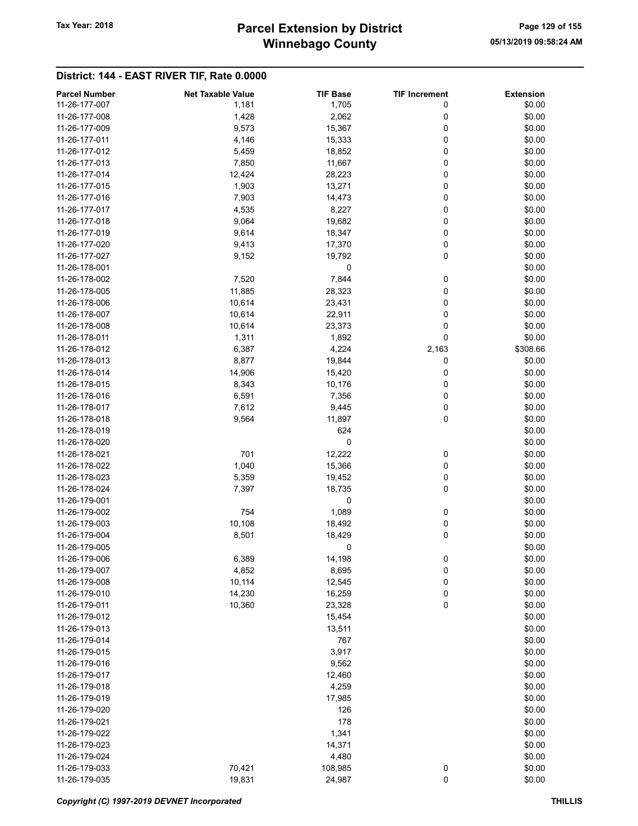# Winnebago County Tax Year: 2018 **Parcel Extension by District** Page 129 of 155

| <b>Parcel Number</b> | <b>Net Taxable Value</b> | <b>TIF Base</b> | <b>TIF Increment</b> | <b>Extension</b> |
|----------------------|--------------------------|-----------------|----------------------|------------------|
| 11-26-177-007        | 1,181                    | 1,705           | 0                    | \$0.00           |
| 11-26-177-008        | 1,428                    | 2,062           | 0                    | \$0.00           |
| 11-26-177-009        | 9,573                    | 15,367          | 0                    | \$0.00           |
| 11-26-177-011        | 4,146                    | 15,333          | 0                    | \$0.00           |
| 11-26-177-012        | 5,459                    | 18,852          | 0                    | \$0.00           |
| 11-26-177-013        | 7,850                    | 11,667          | 0                    | \$0.00           |
| 11-26-177-014        | 12,424                   | 28,223          | 0                    | \$0.00           |
|                      | 1,903                    |                 |                      |                  |
| 11-26-177-015        |                          | 13,271          | 0                    | \$0.00           |
| 11-26-177-016        | 7,903                    | 14,473          | 0                    | \$0.00           |
| 11-26-177-017        | 4,535                    | 8,227           | 0                    | \$0.00           |
| 11-26-177-018        | 9,064                    | 19,682          | 0                    | \$0.00           |
| 11-26-177-019        | 9,614                    | 18,347          | 0                    | \$0.00           |
| 11-26-177-020        | 9,413                    | 17,370          | 0                    | \$0.00           |
| 11-26-177-027        | 9,152                    | 19,792          | 0                    | \$0.00           |
| 11-26-178-001        |                          | 0               |                      | \$0.00           |
| 11-26-178-002        | 7,520                    | 7,844           | 0                    | \$0.00           |
| 11-26-178-005        | 11,885                   | 28,323          | 0                    | \$0.00           |
| 11-26-178-006        | 10,614                   | 23,431          | 0                    | \$0.00           |
| 11-26-178-007        | 10,614                   | 22,911          | 0                    | \$0.00           |
| 11-26-178-008        | 10,614                   | 23,373          | 0                    | \$0.00           |
| 11-26-178-011        | 1,311                    | 1,892           | 0                    | \$0.00           |
| 11-26-178-012        | 6,387                    | 4,224           | 2,163                | \$308.66         |
| 11-26-178-013        | 8,877                    | 19,844          | 0                    | \$0.00           |
| 11-26-178-014        | 14,906                   | 15,420          | 0                    | \$0.00           |
| 11-26-178-015        | 8,343                    | 10,176          | 0                    | \$0.00           |
| 11-26-178-016        |                          |                 | 0                    | \$0.00           |
|                      | 6,591                    | 7,356           |                      |                  |
| 11-26-178-017        | 7,612                    | 9,445           | 0                    | \$0.00           |
| 11-26-178-018        | 9,564                    | 11,897          | 0                    | \$0.00           |
| 11-26-178-019        |                          | 624             |                      | \$0.00           |
| 11-26-178-020        |                          | 0               |                      | \$0.00           |
| 11-26-178-021        | 701                      | 12,222          | 0                    | \$0.00           |
| 11-26-178-022        | 1,040                    | 15,366          | 0                    | \$0.00           |
| 11-26-178-023        | 5,359                    | 19,452          | 0                    | \$0.00           |
| 11-26-178-024        | 7,397                    | 18,735          | 0                    | \$0.00           |
| 11-26-179-001        |                          | 0               |                      | \$0.00           |
| 11-26-179-002        | 754                      | 1,089           | 0                    | \$0.00           |
| 11-26-179-003        | 10,108                   | 18,492          | 0                    | \$0.00           |
| 11-26-179-004        | 8,501                    | 18,429          | 0                    | \$0.00           |
| 11-26-179-005        |                          | 0               |                      | \$0.00           |
| 11-26-179-006        | 6,389                    | 14,198          | 0                    | \$0.00           |
| 11-26-179-007        | 4,852                    | 8,695           | 0                    | \$0.00           |
| 11-26-179-008        | 10,114                   | 12,545          | 0                    | \$0.00           |
| 11-26-179-010        | 14,230                   | 16,259          | 0                    | \$0.00           |
| 11-26-179-011        | 10,360                   | 23,328          | 0                    | \$0.00           |
| 11-26-179-012        |                          | 15,454          |                      | \$0.00           |
| 11-26-179-013        |                          | 13,511          |                      | \$0.00           |
| 11-26-179-014        |                          | 767             |                      | \$0.00           |
| 11-26-179-015        |                          | 3,917           |                      | \$0.00           |
| 11-26-179-016        |                          | 9,562           |                      | \$0.00           |
|                      |                          |                 |                      |                  |
| 11-26-179-017        |                          | 12,460          |                      | \$0.00           |
| 11-26-179-018        |                          | 4,259           |                      | \$0.00           |
| 11-26-179-019        |                          | 17,985          |                      | \$0.00           |
| 11-26-179-020        |                          | 126             |                      | \$0.00           |
| 11-26-179-021        |                          | 178             |                      | \$0.00           |
| 11-26-179-022        |                          | 1,341           |                      | \$0.00           |
| 11-26-179-023        |                          | 14,371          |                      | \$0.00           |
| 11-26-179-024        |                          | 4,480           |                      | \$0.00           |
| 11-26-179-033        | 70,421                   | 108,985         | 0                    | \$0.00           |
| 11-26-179-035        | 19,831                   | 24,987          | 0                    | \$0.00           |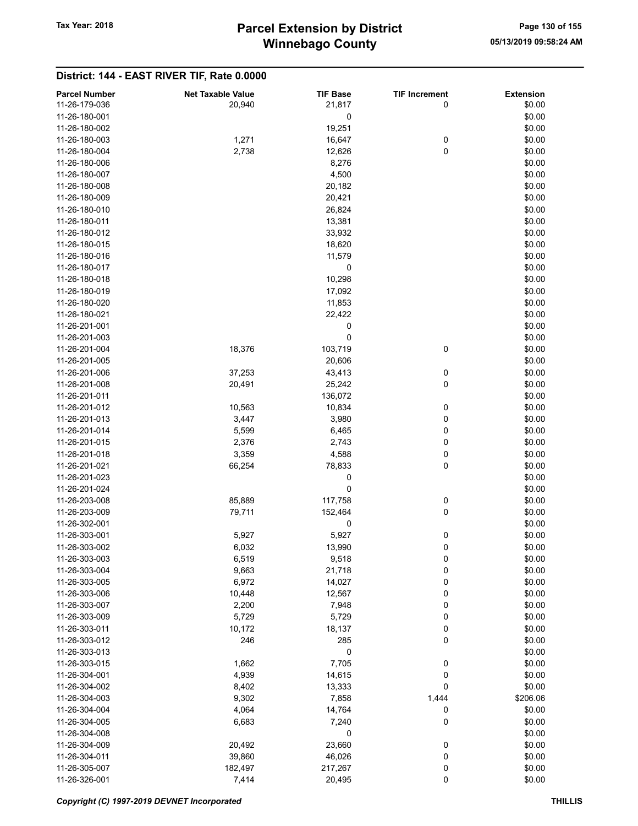| <b>Parcel Number</b> | <b>Net Taxable Value</b> | <b>TIF Base</b> | <b>TIF Increment</b> | <b>Extension</b> |
|----------------------|--------------------------|-----------------|----------------------|------------------|
| 11-26-179-036        | 20,940                   | 21,817          | 0                    | \$0.00           |
| 11-26-180-001        |                          | 0               |                      | \$0.00           |
| 11-26-180-002        |                          | 19,251          |                      | \$0.00           |
| 11-26-180-003        | 1,271                    | 16,647          | 0                    | \$0.00           |
| 11-26-180-004        | 2,738                    |                 | 0                    | \$0.00           |
|                      |                          | 12,626          |                      |                  |
| 11-26-180-006        |                          | 8,276           |                      | \$0.00           |
| 11-26-180-007        |                          | 4,500           |                      | \$0.00           |
| 11-26-180-008        |                          | 20,182          |                      | \$0.00           |
| 11-26-180-009        |                          | 20,421          |                      | \$0.00           |
| 11-26-180-010        |                          | 26,824          |                      | \$0.00           |
| 11-26-180-011        |                          | 13,381          |                      | \$0.00           |
| 11-26-180-012        |                          | 33,932          |                      | \$0.00           |
| 11-26-180-015        |                          | 18,620          |                      | \$0.00           |
| 11-26-180-016        |                          | 11,579          |                      | \$0.00           |
| 11-26-180-017        |                          | 0               |                      | \$0.00           |
| 11-26-180-018        |                          | 10,298          |                      | \$0.00           |
| 11-26-180-019        |                          | 17,092          |                      | \$0.00           |
| 11-26-180-020        |                          | 11,853          |                      | \$0.00           |
|                      |                          |                 |                      |                  |
| 11-26-180-021        |                          | 22,422          |                      | \$0.00           |
| 11-26-201-001        |                          | 0               |                      | \$0.00           |
| 11-26-201-003        |                          | 0               |                      | \$0.00           |
| 11-26-201-004        | 18,376                   | 103,719         | 0                    | \$0.00           |
| 11-26-201-005        |                          | 20,606          |                      | \$0.00           |
| 11-26-201-006        | 37,253                   | 43,413          | 0                    | \$0.00           |
| 11-26-201-008        | 20,491                   | 25,242          | 0                    | \$0.00           |
| 11-26-201-011        |                          | 136,072         |                      | \$0.00           |
| 11-26-201-012        | 10,563                   | 10,834          | 0                    | \$0.00           |
| 11-26-201-013        | 3,447                    | 3,980           | 0                    | \$0.00           |
| 11-26-201-014        | 5,599                    | 6,465           | 0                    | \$0.00           |
| 11-26-201-015        | 2,376                    | 2,743           | 0                    | \$0.00           |
| 11-26-201-018        | 3,359                    | 4,588           | 0                    | \$0.00           |
| 11-26-201-021        | 66,254                   | 78,833          | 0                    | \$0.00           |
| 11-26-201-023        |                          | 0               |                      | \$0.00           |
| 11-26-201-024        |                          | 0               |                      |                  |
|                      |                          |                 |                      | \$0.00           |
| 11-26-203-008        | 85,889                   | 117,758         | 0                    | \$0.00           |
| 11-26-203-009        | 79,711                   | 152,464         | 0                    | \$0.00           |
| 11-26-302-001        |                          | 0               |                      | \$0.00           |
| 11-26-303-001        | 5,927                    | 5,927           | 0                    | \$0.00           |
| 11-26-303-002        | 6,032                    | 13,990          | 0                    | \$0.00           |
| 11-26-303-003        | 6,519                    | 9,518           | 0                    | \$0.00           |
| 11-26-303-004        | 9,663                    | 21,718          | 0                    | \$0.00           |
| 11-26-303-005        | 6,972                    | 14,027          | 0                    | \$0.00           |
| 11-26-303-006        | 10,448                   | 12,567          | 0                    | \$0.00           |
| 11-26-303-007        | 2,200                    | 7,948           | 0                    | \$0.00           |
| 11-26-303-009        | 5,729                    | 5,729           | 0                    | \$0.00           |
| 11-26-303-011        | 10,172                   | 18,137          | 0                    | \$0.00           |
| 11-26-303-012        | 246                      | 285             | 0                    | \$0.00           |
| 11-26-303-013        |                          | 0               |                      | \$0.00           |
| 11-26-303-015        |                          | 7,705           |                      | \$0.00           |
|                      | 1,662                    |                 | 0                    |                  |
| 11-26-304-001        | 4,939                    | 14,615          | 0                    | \$0.00           |
| 11-26-304-002        | 8,402                    | 13,333          | 0                    | \$0.00           |
| 11-26-304-003        | 9,302                    | 7,858           | 1,444                | \$206.06         |
| 11-26-304-004        | 4,064                    | 14,764          | 0                    | \$0.00           |
| 11-26-304-005        | 6,683                    | 7,240           | 0                    | \$0.00           |
| 11-26-304-008        |                          | 0               |                      | \$0.00           |
| 11-26-304-009        | 20,492                   | 23,660          | 0                    | \$0.00           |
| 11-26-304-011        | 39,860                   | 46,026          | 0                    | \$0.00           |
| 11-26-305-007        | 182,497                  | 217,267         | 0                    | \$0.00           |
| 11-26-326-001        | 7,414                    | 20,495          | 0                    | \$0.00           |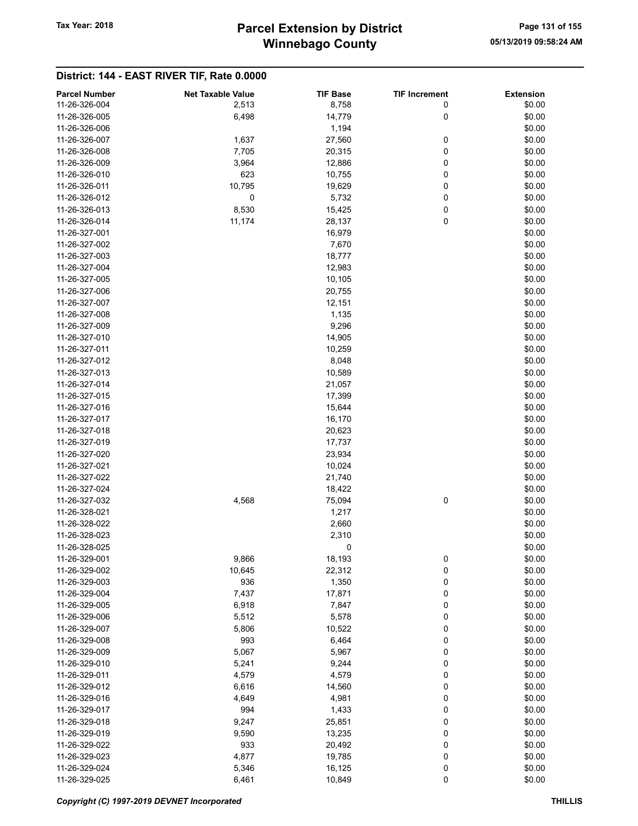| <b>Parcel Number</b> | <b>Net Taxable Value</b> | <b>TIF Base</b> | <b>TIF Increment</b> | <b>Extension</b> |
|----------------------|--------------------------|-----------------|----------------------|------------------|
| 11-26-326-004        | 2,513                    | 8,758           | 0                    | \$0.00           |
| 11-26-326-005        | 6,498                    | 14,779          | 0                    | \$0.00           |
| 11-26-326-006        |                          | 1,194           |                      | \$0.00           |
| 11-26-326-007        | 1,637                    | 27,560          | 0                    | \$0.00           |
| 11-26-326-008        | 7,705                    | 20,315          | 0                    | \$0.00           |
|                      |                          |                 |                      |                  |
| 11-26-326-009        | 3,964                    | 12,886          | 0                    | \$0.00           |
| 11-26-326-010        | 623                      | 10,755          | 0                    | \$0.00           |
| 11-26-326-011        | 10,795                   | 19,629          | 0                    | \$0.00           |
| 11-26-326-012        | 0                        | 5,732           | 0                    | \$0.00           |
| 11-26-326-013        | 8,530                    | 15,425          | 0                    | \$0.00           |
| 11-26-326-014        | 11,174                   | 28,137          | 0                    | \$0.00           |
| 11-26-327-001        |                          | 16,979          |                      | \$0.00           |
| 11-26-327-002        |                          | 7,670           |                      | \$0.00           |
| 11-26-327-003        |                          | 18,777          |                      | \$0.00           |
| 11-26-327-004        |                          | 12,983          |                      | \$0.00           |
| 11-26-327-005        |                          | 10,105          |                      | \$0.00           |
| 11-26-327-006        |                          | 20,755          |                      | \$0.00           |
| 11-26-327-007        |                          | 12,151          |                      | \$0.00           |
| 11-26-327-008        |                          | 1,135           |                      | \$0.00           |
| 11-26-327-009        |                          | 9,296           |                      | \$0.00           |
| 11-26-327-010        |                          | 14,905          |                      | \$0.00           |
| 11-26-327-011        |                          | 10,259          |                      | \$0.00           |
| 11-26-327-012        |                          | 8,048           |                      | \$0.00           |
| 11-26-327-013        |                          | 10,589          |                      | \$0.00           |
| 11-26-327-014        |                          | 21,057          |                      | \$0.00           |
| 11-26-327-015        |                          | 17,399          |                      | \$0.00           |
| 11-26-327-016        |                          | 15,644          |                      | \$0.00           |
| 11-26-327-017        |                          | 16,170          |                      | \$0.00           |
| 11-26-327-018        |                          | 20,623          |                      | \$0.00           |
| 11-26-327-019        |                          | 17,737          |                      | \$0.00           |
| 11-26-327-020        |                          | 23,934          |                      | \$0.00           |
| 11-26-327-021        |                          | 10,024          |                      | \$0.00           |
| 11-26-327-022        |                          |                 |                      | \$0.00           |
|                      |                          | 21,740          |                      |                  |
| 11-26-327-024        |                          | 18,422          |                      | \$0.00           |
| 11-26-327-032        | 4,568                    | 75,094          | 0                    | \$0.00           |
| 11-26-328-021        |                          | 1,217           |                      | \$0.00           |
| 11-26-328-022        |                          | 2,660           |                      | \$0.00           |
| 11-26-328-023        |                          | 2,310           |                      | \$0.00           |
| 11-26-328-025        |                          | 0               |                      | \$0.00           |
| 11-26-329-001        | 9,866                    | 18,193          | 0                    | \$0.00           |
| 11-26-329-002        | 10,645                   | 22,312          | 0                    | \$0.00           |
| 11-26-329-003        | 936                      | 1,350           | 0                    | \$0.00           |
| 11-26-329-004        | 7,437                    | 17,871          | 0                    | \$0.00           |
| 11-26-329-005        | 6,918                    | 7,847           | 0                    | \$0.00           |
| 11-26-329-006        | 5,512                    | 5,578           | 0                    | \$0.00           |
| 11-26-329-007        | 5,806                    | 10,522          | 0                    | \$0.00           |
| 11-26-329-008        | 993                      | 6,464           | 0                    | \$0.00           |
| 11-26-329-009        | 5,067                    | 5,967           | 0                    | \$0.00           |
| 11-26-329-010        | 5,241                    | 9,244           | 0                    | \$0.00           |
| 11-26-329-011        | 4,579                    | 4,579           | 0                    | \$0.00           |
| 11-26-329-012        | 6,616                    | 14,560          | 0                    | \$0.00           |
| 11-26-329-016        | 4,649                    | 4,981           | 0                    | \$0.00           |
| 11-26-329-017        | 994                      | 1,433           | 0                    | \$0.00           |
| 11-26-329-018        | 9,247                    | 25,851          | 0                    | \$0.00           |
| 11-26-329-019        | 9,590                    | 13,235          | 0                    | \$0.00           |
| 11-26-329-022        | 933                      | 20,492          | 0                    | \$0.00           |
| 11-26-329-023        | 4,877                    | 19,785          | 0                    | \$0.00           |
| 11-26-329-024        | 5,346                    | 16,125          | 0                    | \$0.00           |
| 11-26-329-025        | 6,461                    | 10,849          | 0                    | \$0.00           |
|                      |                          |                 |                      |                  |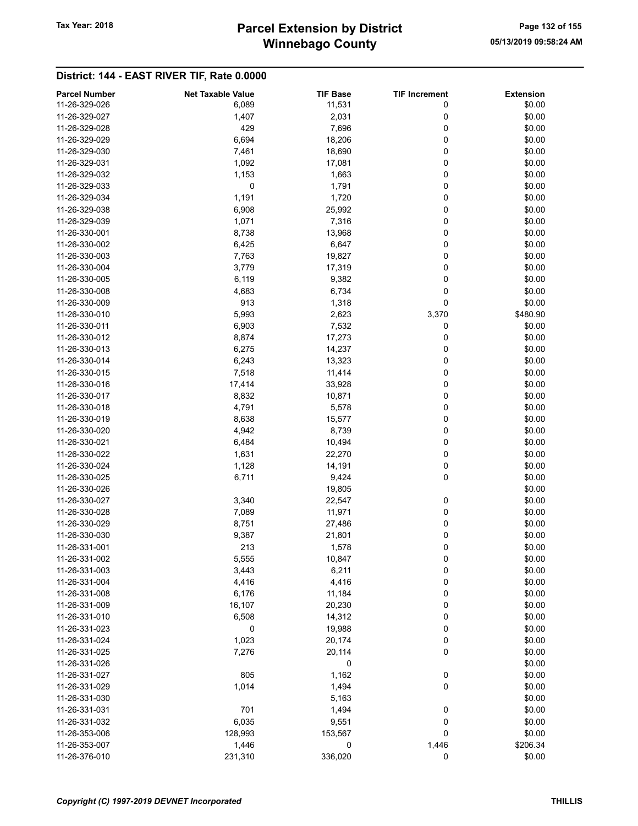# Winnebago County Tax Year: 2018 **Parcel Extension by District** Page 132 of 155

| <b>Parcel Number</b> | <b>Net Taxable Value</b> | <b>TIF Base</b> | <b>TIF Increment</b> | <b>Extension</b> |
|----------------------|--------------------------|-----------------|----------------------|------------------|
| 11-26-329-026        | 6,089                    | 11,531          | 0                    | \$0.00           |
| 11-26-329-027        | 1,407                    | 2,031           | 0                    | \$0.00           |
| 11-26-329-028        | 429                      | 7,696           | 0                    | \$0.00           |
|                      |                          |                 |                      |                  |
| 11-26-329-029        | 6,694                    | 18,206          | 0                    | \$0.00           |
| 11-26-329-030        | 7,461                    | 18,690          | 0                    | \$0.00           |
| 11-26-329-031        | 1,092                    | 17,081          | 0                    | \$0.00           |
| 11-26-329-032        | 1,153                    | 1,663           | 0                    | \$0.00           |
| 11-26-329-033        | 0                        | 1,791           | 0                    | \$0.00           |
| 11-26-329-034        | 1,191                    | 1,720           | 0                    | \$0.00           |
| 11-26-329-038        | 6,908                    | 25,992          | 0                    | \$0.00           |
| 11-26-329-039        | 1,071                    | 7,316           | 0                    | \$0.00           |
| 11-26-330-001        | 8,738                    | 13,968          | 0                    | \$0.00           |
| 11-26-330-002        | 6,425                    | 6,647           | 0                    | \$0.00           |
| 11-26-330-003        | 7,763                    | 19,827          | 0                    | \$0.00           |
| 11-26-330-004        | 3,779                    | 17,319          | 0                    | \$0.00           |
| 11-26-330-005        | 6,119                    | 9,382           | 0                    | \$0.00           |
| 11-26-330-008        | 4,683                    | 6,734           | 0                    | \$0.00           |
| 11-26-330-009        | 913                      | 1,318           | 0                    | \$0.00           |
| 11-26-330-010        | 5,993                    | 2,623           |                      | \$480.90         |
|                      |                          |                 | 3,370                |                  |
| 11-26-330-011        | 6,903                    | 7,532           | 0                    | \$0.00           |
| 11-26-330-012        | 8,874                    | 17,273          | 0                    | \$0.00           |
| 11-26-330-013        | 6,275                    | 14,237          | 0                    | \$0.00           |
| 11-26-330-014        | 6,243                    | 13,323          | 0                    | \$0.00           |
| 11-26-330-015        | 7,518                    | 11,414          | 0                    | \$0.00           |
| 11-26-330-016        | 17,414                   | 33,928          | 0                    | \$0.00           |
| 11-26-330-017        | 8,832                    | 10,871          | 0                    | \$0.00           |
| 11-26-330-018        | 4,791                    | 5,578           | 0                    | \$0.00           |
| 11-26-330-019        | 8,638                    | 15,577          | 0                    | \$0.00           |
| 11-26-330-020        | 4,942                    | 8,739           | 0                    | \$0.00           |
| 11-26-330-021        | 6,484                    | 10,494          | 0                    | \$0.00           |
| 11-26-330-022        | 1,631                    | 22,270          | 0                    | \$0.00           |
| 11-26-330-024        | 1,128                    | 14,191          | 0                    | \$0.00           |
| 11-26-330-025        | 6,711                    | 9,424           | 0                    | \$0.00           |
| 11-26-330-026        |                          | 19,805          |                      | \$0.00           |
| 11-26-330-027        | 3,340                    | 22,547          | 0                    | \$0.00           |
| 11-26-330-028        | 7,089                    | 11,971          | 0                    | \$0.00           |
| 11-26-330-029        |                          |                 | 0                    |                  |
|                      | 8,751                    | 27,486          |                      | \$0.00           |
| 11-26-330-030        | 9,387                    | 21,801          | 0                    | \$0.00           |
| 11-26-331-001        | 213                      | 1,578           | 0                    | \$0.00           |
| 11-26-331-002        | 5,555                    | 10,847          | 0                    | \$0.00           |
| 11-26-331-003        | 3,443                    | 6,211           | 0                    | \$0.00           |
| 11-26-331-004        | 4,416                    | 4,416           | 0                    | \$0.00           |
| 11-26-331-008        | 6,176                    | 11,184          | 0                    | \$0.00           |
| 11-26-331-009        | 16,107                   | 20,230          | 0                    | \$0.00           |
| 11-26-331-010        | 6,508                    | 14,312          | 0                    | \$0.00           |
| 11-26-331-023        | 0                        | 19,988          | 0                    | \$0.00           |
| 11-26-331-024        | 1,023                    | 20,174          | 0                    | \$0.00           |
| 11-26-331-025        | 7,276                    | 20,114          | 0                    | \$0.00           |
| 11-26-331-026        |                          | 0               |                      | \$0.00           |
| 11-26-331-027        | 805                      | 1,162           | 0                    | \$0.00           |
| 11-26-331-029        | 1,014                    | 1,494           | 0                    | \$0.00           |
| 11-26-331-030        |                          | 5,163           |                      | \$0.00           |
| 11-26-331-031        | 701                      | 1,494           | 0                    | \$0.00           |
| 11-26-331-032        | 6,035                    | 9,551           | 0                    | \$0.00           |
|                      |                          |                 |                      |                  |
| 11-26-353-006        | 128,993                  | 153,567         | 0                    | \$0.00           |
| 11-26-353-007        | 1,446                    | 0               | 1,446                | \$206.34         |
| 11-26-376-010        | 231,310                  | 336,020         | 0                    | \$0.00           |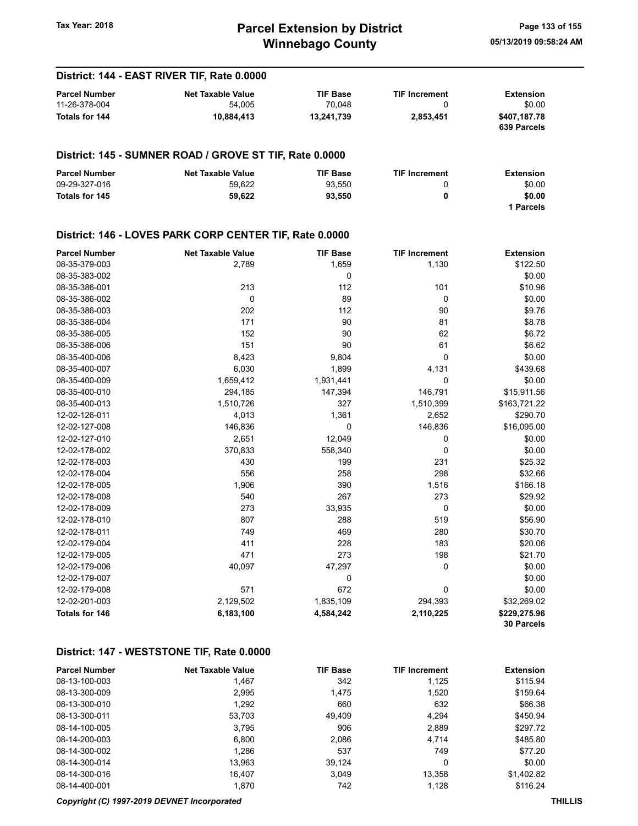# Winnebago County Tax Year: 2018 **Parcel Extension by District** Page 133 of 155

05/13/2019 09:58:24 AM

| District: 144 - EAST RIVER TIF, Rate 0.0000                    |                                                         |                           |                           |                             |  |
|----------------------------------------------------------------|---------------------------------------------------------|---------------------------|---------------------------|-----------------------------|--|
| <b>Parcel Number</b><br>11-26-378-004<br><b>Totals for 144</b> | <b>Net Taxable Value</b><br>54,005                      | <b>TIF Base</b><br>70,048 | <b>TIF Increment</b><br>0 | <b>Extension</b><br>\$0.00  |  |
|                                                                | 10,884,413                                              | 13,241,739                | 2,853,451                 | \$407,187.78<br>639 Parcels |  |
|                                                                | District: 145 - SUMNER ROAD / GROVE ST TIF, Rate 0.0000 |                           |                           |                             |  |
| <b>Parcel Number</b><br>09-29-327-016                          | <b>Net Taxable Value</b><br>59,622                      | <b>TIF Base</b><br>93,550 | <b>TIF Increment</b><br>0 | <b>Extension</b><br>\$0.00  |  |
| <b>Totals for 145</b>                                          | 59,622                                                  | 93,550                    | 0                         | \$0.00<br>1 Parcels         |  |
|                                                                | District: 146 - LOVES PARK CORP CENTER TIF, Rate 0.0000 |                           |                           |                             |  |
| <b>Parcel Number</b>                                           | <b>Net Taxable Value</b>                                | <b>TIF Base</b>           | <b>TIF Increment</b>      | <b>Extension</b>            |  |
| 08-35-379-003                                                  | 2,789                                                   | 1,659                     | 1,130                     | \$122.50                    |  |
| 08-35-383-002                                                  |                                                         | 0                         |                           | \$0.00                      |  |
| 08-35-386-001                                                  | 213                                                     | 112                       | 101                       | \$10.96                     |  |
| 08-35-386-002                                                  | 0                                                       | 89                        | 0                         | \$0.00                      |  |
| 08-35-386-003                                                  | 202                                                     | 112                       | 90                        | \$9.76                      |  |
| 08-35-386-004                                                  | 171                                                     | 90                        | 81                        | \$8.78                      |  |
| 08-35-386-005                                                  | 152                                                     | 90                        | 62                        | \$6.72                      |  |
| 08-35-386-006                                                  | 151                                                     | 90                        | 61                        | \$6.62                      |  |
| 08-35-400-006                                                  | 8,423                                                   | 9,804                     | 0                         | \$0.00                      |  |
| 08-35-400-007                                                  | 6,030                                                   | 1,899                     | 4,131                     | \$439.68                    |  |
| 08-35-400-009                                                  | 1,659,412                                               | 1,931,441                 | 0                         | \$0.00                      |  |
| 08-35-400-010                                                  | 294,185                                                 | 147,394                   | 146,791                   | \$15,911.56                 |  |
| 08-35-400-013                                                  | 1,510,726                                               | 327                       | 1,510,399                 | \$163,721.22                |  |
| 12-02-126-011<br>12-02-127-008                                 | 4,013                                                   | 1,361<br>0                | 2,652                     | \$290.70<br>\$16,095.00     |  |
| 12-02-127-010                                                  | 146,836<br>2,651                                        | 12,049                    | 146,836<br>0              | \$0.00                      |  |
| 12-02-178-002                                                  | 370,833                                                 | 558,340                   | 0                         | \$0.00                      |  |
| 12-02-178-003                                                  | 430                                                     | 199                       | 231                       | \$25.32                     |  |
| 12-02-178-004                                                  | 556                                                     | 258                       | 298                       | \$32.66                     |  |
| 12-02-178-005                                                  | 1,906                                                   | 390                       | 1,516                     | \$166.18                    |  |
| 12-02-178-008                                                  | 540                                                     | 267                       | 273                       | \$29.92                     |  |
| 12-02-178-009                                                  | 273                                                     | 33,935                    | 0                         | \$0.00                      |  |
| 12-02-178-010                                                  | 807                                                     | 288                       | 519                       | \$56.90                     |  |
| 12-02-178-011                                                  | 749                                                     | 469                       | 280                       | \$30.70                     |  |
| 12-02-179-004                                                  | 411                                                     | 228                       | 183                       | \$20.06                     |  |
| 12-02-179-005                                                  | 471                                                     | 273                       | 198                       | \$21.70                     |  |
| 12-02-179-006                                                  | 40,097                                                  | 47,297                    | 0                         | \$0.00                      |  |
| 12-02-179-007                                                  |                                                         | 0                         |                           | \$0.00                      |  |
| 12-02-179-008                                                  | 571                                                     | 672                       | 0                         | \$0.00                      |  |
| 12-02-201-003                                                  | 2,129,502                                               | 1,835,109                 | 294,393                   | \$32,269.02                 |  |
| <b>Totals for 146</b>                                          | 6,183,100                                               | 4,584,242                 | 2,110,225                 | \$229,275.96                |  |
|                                                                |                                                         |                           |                           | 30 Parcels                  |  |

## District: 147 - WESTSTONE TIF, Rate 0.0000

| <b>Parcel Number</b> | <b>Net Taxable Value</b> | <b>TIF Base</b> | <b>TIF Increment</b> | <b>Extension</b> |
|----------------------|--------------------------|-----------------|----------------------|------------------|
| 08-13-100-003        | 1.467                    | 342             | 1,125                | \$115.94         |
| 08-13-300-009        | 2,995                    | 1.475           | 1,520                | \$159.64         |
| 08-13-300-010        | 1,292                    | 660             | 632                  | \$66.38          |
| 08-13-300-011        | 53,703                   | 49.409          | 4.294                | \$450.94         |
| 08-14-100-005        | 3.795                    | 906             | 2,889                | \$297.72         |
| 08-14-200-003        | 6.800                    | 2,086           | 4,714                | \$485.80         |
| 08-14-300-002        | 1,286                    | 537             | 749                  | \$77.20          |
| 08-14-300-014        | 13.963                   | 39.124          | 0                    | \$0.00           |
| 08-14-300-016        | 16.407                   | 3.049           | 13.358               | \$1.402.82       |
| 08-14-400-001        | 1,870                    | 742             | 1,128                | \$116.24         |

#### Copyright (C) 1997-2019 DEVNET Incorporated THILLIS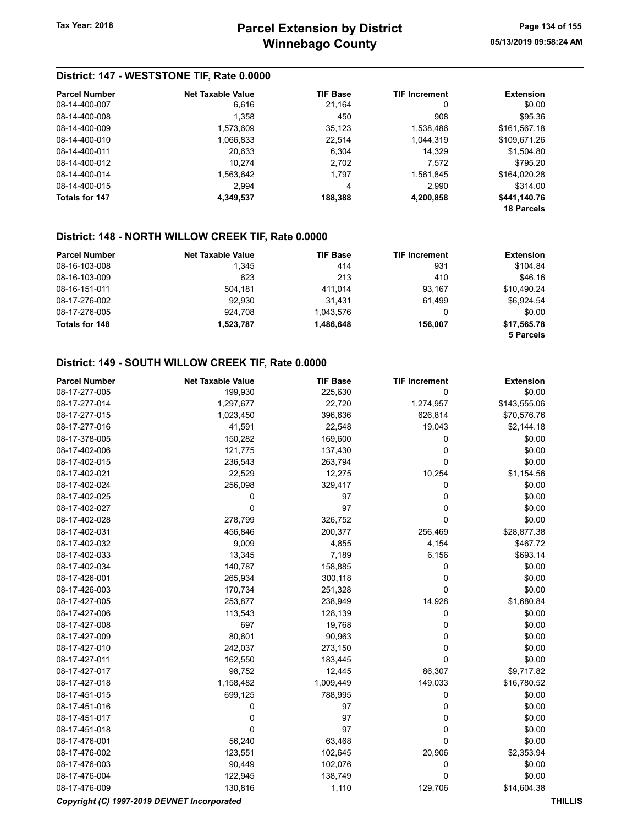## District: 147 - WESTSTONE TIF, Rate 0.0000

| <b>Parcel Number</b> | Net Taxable Value | <b>TIF Base</b> | <b>TIF Increment</b> | <b>Extension</b>  |
|----------------------|-------------------|-----------------|----------------------|-------------------|
| 08-14-400-007        | 6,616             | 21.164          | 0                    | \$0.00            |
| 08-14-400-008        | 1,358             | 450             | 908                  | \$95.36           |
| 08-14-400-009        | 1,573,609         | 35,123          | 1,538,486            | \$161,567.18      |
| 08-14-400-010        | 1,066,833         | 22.514          | 1,044,319            | \$109,671.26      |
| 08-14-400-011        | 20,633            | 6.304           | 14,329               | \$1,504.80        |
| 08-14-400-012        | 10.274            | 2.702           | 7,572                | \$795.20          |
| 08-14-400-014        | 1.563.642         | 1.797           | 1,561,845            | \$164,020.28      |
| 08-14-400-015        | 2.994             | 4               | 2,990                | \$314.00          |
| Totals for 147       | 4,349,537         | 188,388         | 4,200,858            | \$441,140.76      |
|                      |                   |                 |                      | <b>18 Parcels</b> |

## District: 148 - NORTH WILLOW CREEK TIF, Rate 0.0000

| <b>Parcel Number</b> | <b>Net Taxable Value</b> | <b>TIF Base</b> | <b>TIF Increment</b> | <b>Extension</b> |
|----------------------|--------------------------|-----------------|----------------------|------------------|
| 08-16-103-008        | 1.345                    | 414             | 931                  | \$104.84         |
| 08-16-103-009        | 623                      | 213             | 410                  | \$46.16          |
| 08-16-151-011        | 504.181                  | 411.014         | 93.167               | \$10.490.24      |
| 08-17-276-002        | 92.930                   | 31.431          | 61.499               | \$6.924.54       |
| 08-17-276-005        | 924.708                  | 1.043.576       | 0                    | \$0.00           |
| Totals for 148       | 1,523,787                | 1,486,648       | 156.007              | \$17,565.78      |
|                      |                          |                 |                      | 5 Parcels        |

## District: 149 - SOUTH WILLOW CREEK TIF, Rate 0.0000

| <b>Parcel Number</b>                        | <b>Net Taxable Value</b> | <b>TIF Base</b> | <b>TIF Increment</b> | <b>Extension</b> |  |
|---------------------------------------------|--------------------------|-----------------|----------------------|------------------|--|
| 08-17-277-005                               | 199,930                  | 225,630         | 0                    | \$0.00           |  |
| 08-17-277-014                               | 1,297,677                | 22,720          | 1,274,957            | \$143,555.06     |  |
| 08-17-277-015                               | 1,023,450                | 396,636         | 626,814              | \$70,576.76      |  |
| 08-17-277-016                               | 41,591                   | 22,548          | 19,043               | \$2,144.18       |  |
| 08-17-378-005                               | 150,282                  | 169,600         | 0                    | \$0.00           |  |
| 08-17-402-006                               | 121,775                  | 137,430         | 0                    | \$0.00           |  |
| 08-17-402-015                               | 236,543                  | 263,794         | $\mathbf 0$          | \$0.00           |  |
| 08-17-402-021                               | 22,529                   | 12,275          | 10,254               | \$1,154.56       |  |
| 08-17-402-024                               | 256,098                  | 329,417         | 0                    | \$0.00           |  |
| 08-17-402-025                               | 0                        | 97              | 0                    | \$0.00           |  |
| 08-17-402-027                               | 0                        | 97              | 0                    | \$0.00           |  |
| 08-17-402-028                               | 278,799                  | 326,752         | $\mathbf 0$          | \$0.00           |  |
| 08-17-402-031                               | 456,846                  | 200,377         | 256,469              | \$28,877.38      |  |
| 08-17-402-032                               | 9,009                    | 4,855           | 4,154                | \$467.72         |  |
| 08-17-402-033                               | 13,345                   | 7,189           | 6,156                | \$693.14         |  |
| 08-17-402-034                               | 140,787                  | 158,885         | 0                    | \$0.00           |  |
| 08-17-426-001                               | 265,934                  | 300,118         | 0                    | \$0.00           |  |
| 08-17-426-003                               | 170,734                  | 251,328         | $\mathbf 0$          | \$0.00           |  |
| 08-17-427-005                               | 253,877                  | 238,949         | 14,928               | \$1,680.84       |  |
| 08-17-427-006                               | 113,543                  | 128,139         | 0                    | \$0.00           |  |
| 08-17-427-008                               | 697                      | 19,768          | 0                    | \$0.00           |  |
| 08-17-427-009                               | 80,601                   | 90,963          | 0                    | \$0.00           |  |
| 08-17-427-010                               | 242,037                  | 273,150         | 0                    | \$0.00           |  |
| 08-17-427-011                               | 162,550                  | 183,445         | 0                    | \$0.00           |  |
| 08-17-427-017                               | 98,752                   | 12,445          | 86,307               | \$9,717.82       |  |
| 08-17-427-018                               | 1,158,482                | 1,009,449       | 149,033              | \$16,780.52      |  |
| 08-17-451-015                               | 699,125                  | 788,995         | 0                    | \$0.00           |  |
| 08-17-451-016                               | 0                        | 97              | 0                    | \$0.00           |  |
| 08-17-451-017                               | 0                        | 97              | 0                    | \$0.00           |  |
| 08-17-451-018                               | $\mathbf 0$              | 97              | 0                    | \$0.00           |  |
| 08-17-476-001                               | 56,240                   | 63,468          | $\mathbf 0$          | \$0.00           |  |
| 08-17-476-002                               | 123,551                  | 102,645         | 20,906               | \$2,353.94       |  |
| 08-17-476-003                               | 90,449                   | 102,076         | 0                    | \$0.00           |  |
| 08-17-476-004                               | 122,945                  | 138,749         | 0                    | \$0.00           |  |
| 08-17-476-009                               | 130,816                  | 1,110           | 129,706              | \$14,604.38      |  |
| Copyright (C) 1997-2019 DEVNET Incorporated |                          |                 |                      | <b>THILLIS</b>   |  |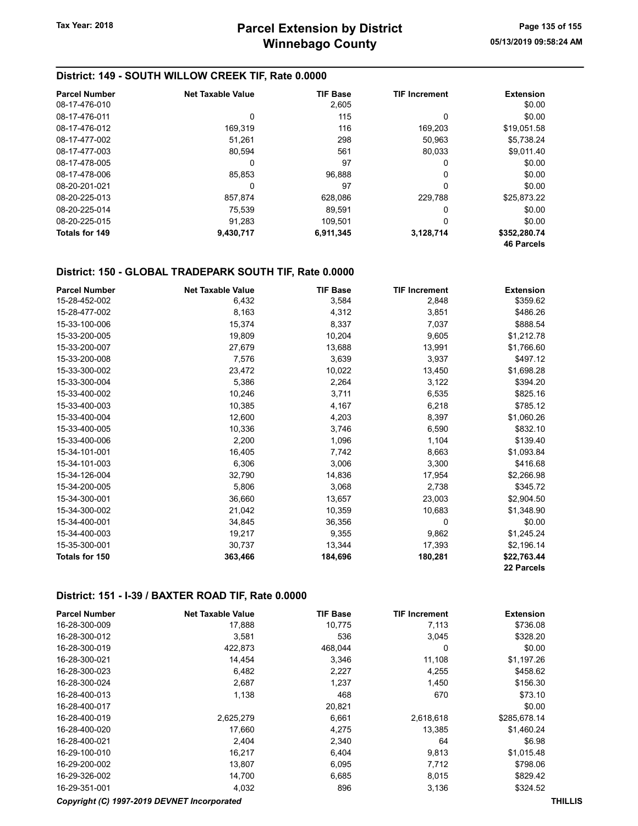## District: 149 - SOUTH WILLOW CREEK TIF, Rate 0.0000

| <b>Parcel Number</b> | <b>Net Taxable Value</b> | <b>TIF Base</b> | <b>TIF Increment</b> | <b>Extension</b>  |
|----------------------|--------------------------|-----------------|----------------------|-------------------|
| 08-17-476-010        |                          | 2,605           |                      | \$0.00            |
| 08-17-476-011        | 0                        | 115             | 0                    | \$0.00            |
| 08-17-476-012        | 169.319                  | 116             | 169.203              | \$19.051.58       |
| 08-17-477-002        | 51,261                   | 298             | 50.963               | \$5.738.24        |
| 08-17-477-003        | 80.594                   | 561             | 80.033               | \$9.011.40        |
| 08-17-478-005        | 0                        | 97              | 0                    | \$0.00            |
| 08-17-478-006        | 85,853                   | 96.888          | 0                    | \$0.00            |
| 08-20-201-021        | 0                        | 97              | 0                    | \$0.00            |
| 08-20-225-013        | 857.874                  | 628.086         | 229.788              | \$25.873.22       |
| 08-20-225-014        | 75.539                   | 89.591          | 0                    | \$0.00            |
| 08-20-225-015        | 91,283                   | 109.501         | 0                    | \$0.00            |
| Totals for 149       | 9,430,717                | 6,911,345       | 3,128,714            | \$352,280.74      |
|                      |                          |                 |                      | <b>46 Parcels</b> |

## District: 150 - GLOBAL TRADEPARK SOUTH TIF, Rate 0.0000

| <b>Parcel Number</b> | <b>Net Taxable Value</b> | <b>TIF Base</b> | <b>TIF Increment</b> | <b>Extension</b> |
|----------------------|--------------------------|-----------------|----------------------|------------------|
| 15-28-452-002        | 6,432                    | 3,584           | 2,848                | \$359.62         |
| 15-28-477-002        | 8,163                    | 4,312           | 3,851                | \$486.26         |
| 15-33-100-006        | 15,374                   | 8,337           | 7,037                | \$888.54         |
| 15-33-200-005        | 19,809                   | 10,204          | 9,605                | \$1,212.78       |
| 15-33-200-007        | 27,679                   | 13,688          | 13,991               | \$1,766.60       |
| 15-33-200-008        | 7,576                    | 3,639           | 3,937                | \$497.12         |
| 15-33-300-002        | 23,472                   | 10,022          | 13,450               | \$1,698.28       |
| 15-33-300-004        | 5,386                    | 2,264           | 3,122                | \$394.20         |
| 15-33-400-002        | 10,246                   | 3,711           | 6,535                | \$825.16         |
| 15-33-400-003        | 10,385                   | 4,167           | 6,218                | \$785.12         |
| 15-33-400-004        | 12,600                   | 4,203           | 8,397                | \$1,060.26       |
| 15-33-400-005        | 10,336                   | 3,746           | 6,590                | \$832.10         |
| 15-33-400-006        | 2,200                    | 1,096           | 1,104                | \$139.40         |
| 15-34-101-001        | 16,405                   | 7,742           | 8,663                | \$1,093.84       |
| 15-34-101-003        | 6,306                    | 3,006           | 3,300                | \$416.68         |
| 15-34-126-004        | 32,790                   | 14,836          | 17,954               | \$2,266.98       |
| 15-34-200-005        | 5,806                    | 3,068           | 2,738                | \$345.72         |
| 15-34-300-001        | 36,660                   | 13,657          | 23,003               | \$2,904.50       |
| 15-34-300-002        | 21,042                   | 10,359          | 10,683               | \$1,348.90       |
| 15-34-400-001        | 34,845                   | 36,356          | 0                    | \$0.00           |
| 15-34-400-003        | 19,217                   | 9,355           | 9,862                | \$1,245.24       |
| 15-35-300-001        | 30,737                   | 13,344          | 17,393               | \$2,196.14       |
| Totals for 150       | 363,466                  | 184,696         | 180,281              | \$22,763.44      |
|                      |                          |                 |                      | 22 Parcels       |

#### District: 151 - I-39 / BAXTER ROAD TIF, Rate 0.0000

| <b>Parcel Number</b>                        | <b>Net Taxable Value</b> | <b>TIF Base</b> | <b>TIF Increment</b> | <b>Extension</b> |                |
|---------------------------------------------|--------------------------|-----------------|----------------------|------------------|----------------|
| 16-28-300-009                               | 17,888                   | 10,775          | 7,113                | \$736.08         |                |
| 16-28-300-012                               | 3,581                    | 536             | 3,045                | \$328.20         |                |
| 16-28-300-019                               | 422,873                  | 468,044         | 0                    | \$0.00           |                |
| 16-28-300-021                               | 14,454                   | 3,346           | 11,108               | \$1,197.26       |                |
| 16-28-300-023                               | 6,482                    | 2,227           | 4,255                | \$458.62         |                |
| 16-28-300-024                               | 2,687                    | 1,237           | 1,450                | \$156.30         |                |
| 16-28-400-013                               | 1,138                    | 468             | 670                  | \$73.10          |                |
| 16-28-400-017                               |                          | 20,821          |                      | \$0.00           |                |
| 16-28-400-019                               | 2,625,279                | 6,661           | 2,618,618            | \$285,678.14     |                |
| 16-28-400-020                               | 17,660                   | 4,275           | 13,385               | \$1,460.24       |                |
| 16-28-400-021                               | 2,404                    | 2,340           | 64                   | \$6.98           |                |
| 16-29-100-010                               | 16,217                   | 6,404           | 9,813                | \$1,015.48       |                |
| 16-29-200-002                               | 13,807                   | 6,095           | 7,712                | \$798.06         |                |
| 16-29-326-002                               | 14,700                   | 6,685           | 8,015                | \$829.42         |                |
| 16-29-351-001                               | 4,032                    | 896             | 3,136                | \$324.52         |                |
| Copyright (C) 1997-2019 DEVNET Incorporated |                          |                 |                      |                  | <b>THILLIS</b> |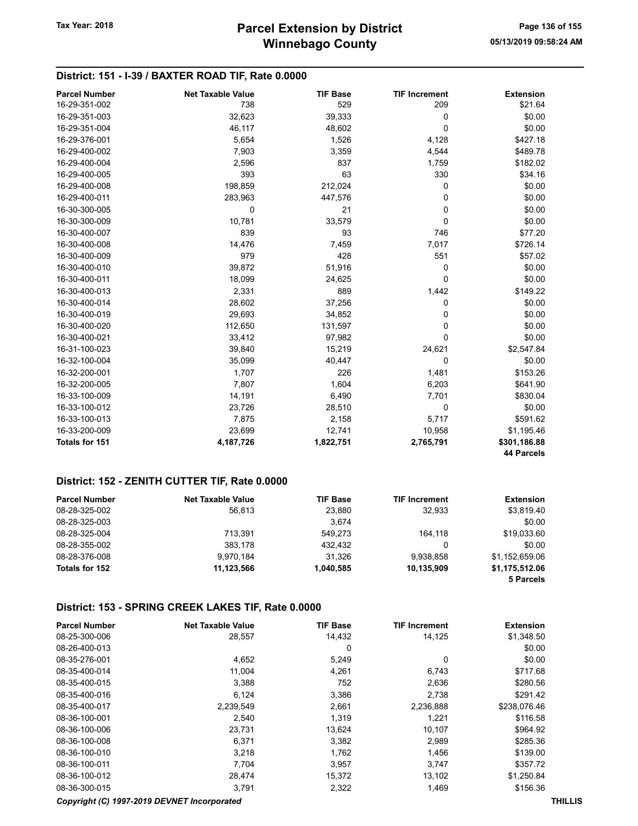## District: 151 - I-39 / BAXTER ROAD TIF, Rate 0.0000

| <b>Parcel Number</b> | <b>Net Taxable Value</b> | <b>TIF Base</b> | <b>TIF Increment</b> | <b>Extension</b>  |
|----------------------|--------------------------|-----------------|----------------------|-------------------|
| 16-29-351-002        | 738                      | 529             | 209                  | \$21.64           |
| 16-29-351-003        | 32,623                   | 39,333          | 0                    | \$0.00            |
| 16-29-351-004        | 46,117                   | 48,602          | $\Omega$             | \$0.00            |
| 16-29-376-001        | 5,654                    | 1,526           | 4,128                | \$427.18          |
| 16-29-400-002        | 7,903                    | 3,359           | 4,544                | \$489.78          |
| 16-29-400-004        | 2,596                    | 837             | 1,759                | \$182.02          |
| 16-29-400-005        | 393                      | 63              | 330                  | \$34.16           |
| 16-29-400-008        | 198,859                  | 212,024         | 0                    | \$0.00            |
| 16-29-400-011        | 283,963                  | 447,576         | 0                    | \$0.00            |
| 16-30-300-005        | $\Omega$                 | 21              | 0                    | \$0.00            |
| 16-30-300-009        | 10,781                   | 33,579          | $\Omega$             | \$0.00            |
| 16-30-400-007        | 839                      | 93              | 746                  | \$77.20           |
| 16-30-400-008        | 14,476                   | 7,459           | 7,017                | \$726.14          |
| 16-30-400-009        | 979                      | 428             | 551                  | \$57.02           |
| 16-30-400-010        | 39,872                   | 51,916          | 0                    | \$0.00            |
| 16-30-400-011        | 18,099                   | 24,625          | 0                    | \$0.00            |
| 16-30-400-013        | 2,331                    | 889             | 1,442                | \$149.22          |
| 16-30-400-014        | 28,602                   | 37,256          | 0                    | \$0.00            |
| 16-30-400-019        | 29,693                   | 34,852          | 0                    | \$0.00            |
| 16-30-400-020        | 112,650                  | 131,597         | 0                    | \$0.00            |
| 16-30-400-021        | 33,412                   | 97,982          | 0                    | \$0.00            |
| 16-31-100-023        | 39,840                   | 15,219          | 24,621               | \$2,547.84        |
| 16-32-100-004        | 35,099                   | 40,447          | 0                    | \$0.00            |
| 16-32-200-001        | 1,707                    | 226             | 1,481                | \$153.26          |
| 16-32-200-005        | 7,807                    | 1,604           | 6,203                | \$641.90          |
| 16-33-100-009        | 14,191                   | 6,490           | 7,701                | \$830.04          |
| 16-33-100-012        | 23,726                   | 28,510          | $\mathbf 0$          | \$0.00            |
| 16-33-100-013        | 7,875                    | 2,158           | 5,717                | \$591.62          |
| 16-33-200-009        | 23,699                   | 12,741          | 10,958               | \$1,195.46        |
| Totals for 151       | 4,187,726                | 1,822,751       | 2,765,791            | \$301,186.88      |
|                      |                          |                 |                      | <b>44 Parcels</b> |

#### District: 152 - ZENITH CUTTER TIF, Rate 0.0000

| <b>Parcel Number</b> | <b>Net Taxable Value</b> | <b>TIF Base</b> | <b>TIF Increment</b> | <b>Extension</b> |
|----------------------|--------------------------|-----------------|----------------------|------------------|
| 08-28-325-002        | 56.813                   | 23.880          | 32.933               | \$3,819.40       |
| 08-28-325-003        |                          | 3.674           |                      | \$0.00           |
| 08-28-325-004        | 713.391                  | 549.273         | 164.118              | \$19,033.60      |
| 08-28-355-002        | 383.178                  | 432.432         | 0                    | \$0.00           |
| 08-28-376-008        | 9.970.184                | 31.326          | 9.938.858            | \$1.152.659.06   |
| Totals for 152       | 11,123,566               | 1,040,585       | 10,135,909           | \$1,175,512.06   |
|                      |                          |                 |                      | 5 Parcels        |

#### District: 153 - SPRING CREEK LAKES TIF, Rate 0.0000

| <b>Parcel Number</b> | <b>Net Taxable Value</b> | <b>TIF Base</b> | <b>TIF Increment</b> | <b>Extension</b> |
|----------------------|--------------------------|-----------------|----------------------|------------------|
| 08-25-300-006        | 28,557                   | 14,432          | 14.125               | \$1,348.50       |
| 08-26-400-013        |                          | 0               |                      | \$0.00           |
| 08-35-276-001        | 4,652                    | 5,249           | 0                    | \$0.00           |
| 08-35-400-014        | 11.004                   | 4,261           | 6,743                | \$717.68         |
| 08-35-400-015        | 3,388                    | 752             | 2,636                | \$280.56         |
| 08-35-400-016        | 6.124                    | 3,386           | 2.738                | \$291.42         |
| 08-35-400-017        | 2.239.549                | 2,661           | 2,236,888            | \$238,076.46     |
| 08-36-100-001        | 2.540                    | 1.319           | 1,221                | \$116.58         |
| 08-36-100-006        | 23,731                   | 13.624          | 10.107               | \$964.92         |
| 08-36-100-008        | 6,371                    | 3,382           | 2,989                | \$285.36         |
| 08-36-100-010        | 3.218                    | 1.762           | 1,456                | \$139.00         |
| 08-36-100-011        | 7.704                    | 3,957           | 3.747                | \$357.72         |
| 08-36-100-012        | 28,474                   | 15,372          | 13,102               | \$1,250.84       |
| 08-36-300-015        | 3,791                    | 2,322           | 1,469                | \$156.36         |

#### Copyright (C) 1997-2019 DEVNET Incorporated THILLIS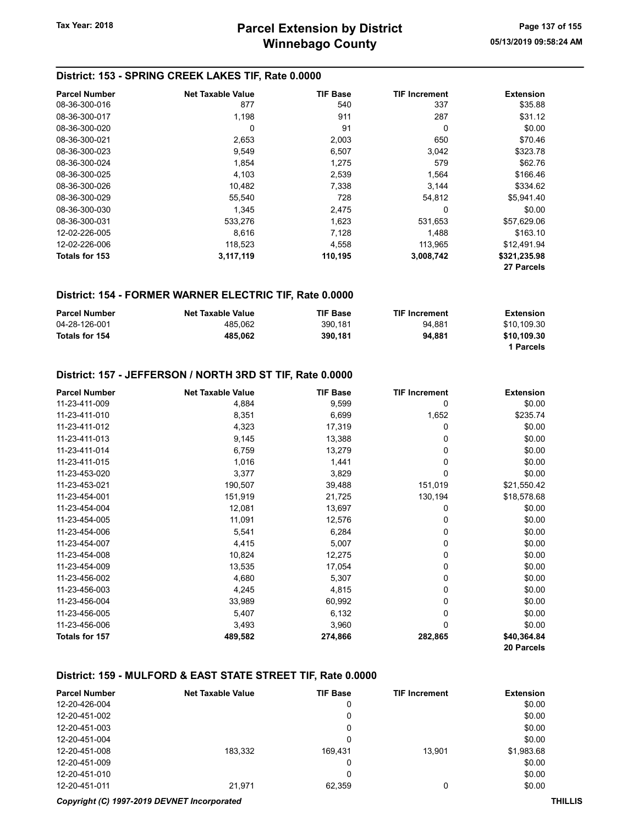#### District: 153 - SPRING CREEK LAKES TIF, Rate 0.0000

| <b>Parcel Number</b> | Net Taxable Value | <b>TIF Base</b> | <b>TIF Increment</b> | Extension    |
|----------------------|-------------------|-----------------|----------------------|--------------|
| 08-36-300-016        | 877               | 540             | 337                  | \$35.88      |
| 08-36-300-017        | 1,198             | 911             | 287                  | \$31.12      |
| 08-36-300-020        | 0                 | 91              | 0                    | \$0.00       |
| 08-36-300-021        | 2,653             | 2,003           | 650                  | \$70.46      |
| 08-36-300-023        | 9,549             | 6,507           | 3,042                | \$323.78     |
| 08-36-300-024        | 1,854             | 1.275           | 579                  | \$62.76      |
| 08-36-300-025        | 4,103             | 2,539           | 1,564                | \$166.46     |
| 08-36-300-026        | 10,482            | 7,338           | 3,144                | \$334.62     |
| 08-36-300-029        | 55,540            | 728             | 54,812               | \$5,941.40   |
| 08-36-300-030        | 1.345             | 2,475           | 0                    | \$0.00       |
| 08-36-300-031        | 533,276           | 1,623           | 531,653              | \$57,629.06  |
| 12-02-226-005        | 8.616             | 7,128           | 1,488                | \$163.10     |
| 12-02-226-006        | 118,523           | 4,558           | 113,965              | \$12.491.94  |
| Totals for 153       | 3,117,119         | 110,195         | 3,008,742            | \$321,235.98 |
|                      |                   |                 |                      | 27 Parcels   |

#### District: 154 - FORMER WARNER ELECTRIC TIF, Rate 0.0000

| <b>Parcel Number</b> | <b>Net Taxable Value</b> | <b>TIF Base</b> | <b>TIF Increment</b> | Extension   |
|----------------------|--------------------------|-----------------|----------------------|-------------|
| 04-28-126-001        | 485.062                  | 390.181         | 94.881               | \$10,109.30 |
| Totals for 154       | 485.062                  | 390.181         | 94.881               | \$10.109.30 |
|                      |                          |                 |                      | 1 Parcels   |

#### District: 157 - JEFFERSON / NORTH 3RD ST TIF, Rate 0.0000

| <b>Parcel Number</b> | <b>Net Taxable Value</b> | <b>TIF Base</b> | <b>TIF Increment</b> | <b>Extension</b> |
|----------------------|--------------------------|-----------------|----------------------|------------------|
| 11-23-411-009        | 4,884                    | 9,599           | 0                    | \$0.00           |
| 11-23-411-010        | 8,351                    | 6,699           | 1,652                | \$235.74         |
| 11-23-411-012        | 4,323                    | 17,319          | 0                    | \$0.00           |
| 11-23-411-013        | 9,145                    | 13,388          | 0                    | \$0.00           |
| 11-23-411-014        | 6,759                    | 13,279          | 0                    | \$0.00           |
| 11-23-411-015        | 1,016                    | 1,441           | 0                    | \$0.00           |
| 11-23-453-020        | 3,377                    | 3,829           | 0                    | \$0.00           |
| 11-23-453-021        | 190,507                  | 39,488          | 151,019              | \$21,550.42      |
| 11-23-454-001        | 151,919                  | 21,725          | 130,194              | \$18,578.68      |
| 11-23-454-004        | 12,081                   | 13,697          | 0                    | \$0.00           |
| 11-23-454-005        | 11,091                   | 12,576          | 0                    | \$0.00           |
| 11-23-454-006        | 5,541                    | 6,284           | 0                    | \$0.00           |
| 11-23-454-007        | 4,415                    | 5,007           | 0                    | \$0.00           |
| 11-23-454-008        | 10,824                   | 12,275          | 0                    | \$0.00           |
| 11-23-454-009        | 13,535                   | 17,054          | 0                    | \$0.00           |
| 11-23-456-002        | 4,680                    | 5,307           | 0                    | \$0.00           |
| 11-23-456-003        | 4,245                    | 4,815           | 0                    | \$0.00           |
| 11-23-456-004        | 33,989                   | 60,992          | 0                    | \$0.00           |
| 11-23-456-005        | 5,407                    | 6,132           | 0                    | \$0.00           |
| 11-23-456-006        | 3,493                    | 3,960           | 0                    | \$0.00           |
| Totals for 157       | 489,582                  | 274,866         | 282,865              | \$40,364.84      |
|                      |                          |                 |                      | 20 Parcels       |

#### District: 159 - MULFORD & EAST STATE STREET TIF, Rate 0.0000

| <b>Parcel Number</b> | <b>Net Taxable Value</b> | <b>TIF Base</b> | <b>TIF Increment</b> | <b>Extension</b> |
|----------------------|--------------------------|-----------------|----------------------|------------------|
| 12-20-426-004        |                          | 0               |                      | \$0.00           |
| 12-20-451-002        |                          | 0               |                      | \$0.00           |
| 12-20-451-003        |                          | 0               |                      | \$0.00           |
| 12-20-451-004        |                          | 0               |                      | \$0.00           |
| 12-20-451-008        | 183,332                  | 169.431         | 13.901               | \$1,983.68       |
| 12-20-451-009        |                          | 0               |                      | \$0.00           |
| 12-20-451-010        |                          | 0               |                      | \$0.00           |
| 12-20-451-011        | 21,971                   | 62,359          |                      | \$0.00           |

Copyright (C) 1997-2019 DEVNET Incorporated THILLIS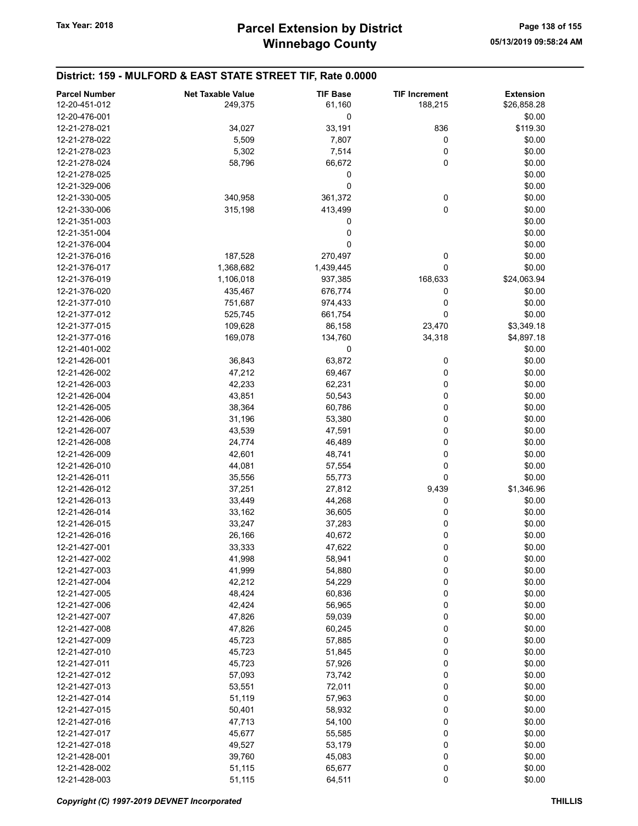| <b>Parcel Number</b> | <b>Net Taxable Value</b> | <b>TIF Base</b> | <b>TIF Increment</b> | <b>Extension</b> |
|----------------------|--------------------------|-----------------|----------------------|------------------|
| 12-20-451-012        | 249,375                  | 61,160          | 188,215              | \$26,858.28      |
| 12-20-476-001        |                          | 0               |                      | \$0.00           |
| 12-21-278-021        | 34,027                   | 33,191          | 836                  | \$119.30         |
| 12-21-278-022        | 5,509                    | 7,807           | 0                    | \$0.00           |
| 12-21-278-023        | 5,302                    | 7,514           | 0                    | \$0.00           |
| 12-21-278-024        | 58,796                   | 66,672          | 0                    | \$0.00           |
| 12-21-278-025        |                          | 0               |                      | \$0.00           |
| 12-21-329-006        |                          | 0               |                      | \$0.00           |
| 12-21-330-005        | 340,958                  | 361,372         | 0                    | \$0.00           |
| 12-21-330-006        | 315,198                  | 413,499         | 0                    | \$0.00           |
| 12-21-351-003        |                          | 0               |                      | \$0.00           |
| 12-21-351-004        |                          | 0               |                      | \$0.00           |
| 12-21-376-004        |                          | 0               |                      | \$0.00           |
| 12-21-376-016        | 187,528                  | 270,497         | 0                    | \$0.00           |
| 12-21-376-017        | 1,368,682                | 1,439,445       | 0                    | \$0.00           |
| 12-21-376-019        | 1,106,018                | 937,385         | 168,633              | \$24,063.94      |
| 12-21-376-020        | 435,467                  | 676,774         | 0                    | \$0.00           |
| 12-21-377-010        | 751,687                  | 974,433         | 0                    | \$0.00           |
| 12-21-377-012        | 525,745                  | 661,754         | 0                    | \$0.00           |
| 12-21-377-015        | 109,628                  | 86,158          | 23,470               | \$3,349.18       |
| 12-21-377-016        | 169,078                  | 134,760         | 34,318               | \$4,897.18       |
| 12-21-401-002        |                          | 0               |                      | \$0.00           |
| 12-21-426-001        | 36,843                   | 63,872          | 0                    | \$0.00           |
| 12-21-426-002        | 47,212                   | 69,467          | 0                    | \$0.00           |
| 12-21-426-003        | 42,233                   | 62,231          | 0                    | \$0.00           |
| 12-21-426-004        | 43,851                   | 50,543          | 0                    | \$0.00           |
| 12-21-426-005        | 38,364                   | 60,786          | 0                    | \$0.00           |
| 12-21-426-006        | 31,196                   | 53,380          | 0                    | \$0.00           |
| 12-21-426-007        | 43,539                   | 47,591          | 0                    | \$0.00           |
| 12-21-426-008        | 24,774                   | 46,489          | 0                    | \$0.00           |
| 12-21-426-009        | 42,601                   | 48,741          | 0                    | \$0.00           |
| 12-21-426-010        | 44,081                   | 57,554          | 0                    | \$0.00           |
| 12-21-426-011        | 35,556                   | 55,773          | 0                    | \$0.00           |
| 12-21-426-012        | 37,251                   | 27,812          | 9,439                | \$1,346.96       |
| 12-21-426-013        | 33,449                   | 44,268          | 0                    | \$0.00           |
| 12-21-426-014        | 33,162                   | 36,605          | 0                    | \$0.00           |
| 12-21-426-015        | 33,247                   | 37,283          | 0                    | \$0.00           |
| 12-21-426-016        | 26,166                   | 40,672          | 0                    | \$0.00           |
| 12-21-427-001        | 33,333                   | 47,622          | $\mathbf 0$          | \$0.00           |
| 12-21-427-002        | 41,998                   | 58,941          | 0                    | \$0.00           |
| 12-21-427-003        | 41,999                   | 54,880          | 0                    | \$0.00           |
| 12-21-427-004        | 42,212                   | 54,229          | 0                    | \$0.00           |
| 12-21-427-005        | 48,424                   | 60,836          | 0                    | \$0.00           |
| 12-21-427-006        | 42,424                   | 56,965          | 0                    | \$0.00           |
| 12-21-427-007        | 47,826                   | 59,039          | 0                    | \$0.00           |
| 12-21-427-008        | 47,826                   | 60,245          | 0                    | \$0.00           |
| 12-21-427-009        | 45,723                   | 57,885          | 0                    | \$0.00           |
| 12-21-427-010        | 45,723                   | 51,845          | 0                    | \$0.00           |
| 12-21-427-011        | 45,723                   | 57,926          | 0                    | \$0.00           |
| 12-21-427-012        | 57,093                   | 73,742          | 0                    | \$0.00           |
| 12-21-427-013        | 53,551                   | 72,011          | 0                    | \$0.00           |
| 12-21-427-014        | 51,119                   | 57,963          | 0                    | \$0.00           |
| 12-21-427-015        | 50,401                   | 58,932          | 0                    | \$0.00           |
| 12-21-427-016        | 47,713                   | 54,100          | 0                    | \$0.00           |
| 12-21-427-017        | 45,677                   | 55,585          | 0                    | \$0.00           |
| 12-21-427-018        | 49,527                   | 53,179          | 0                    | \$0.00           |
| 12-21-428-001        | 39,760                   | 45,083          | 0                    | \$0.00           |
| 12-21-428-002        | 51,115                   | 65,677          | 0                    | \$0.00           |
| 12-21-428-003        | 51,115                   | 64,511          | $\pmb{0}$            | \$0.00           |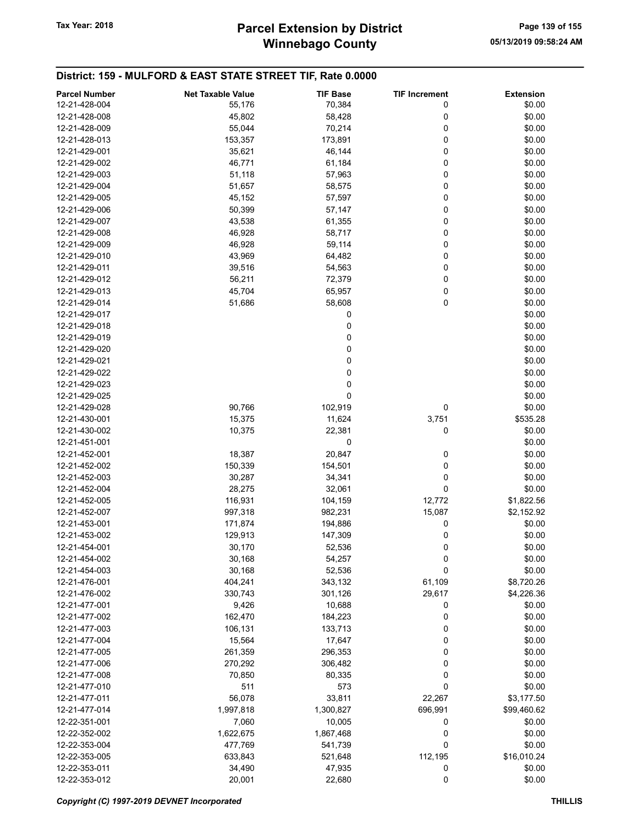# Winnebago County Tax Year: 2018 **Parcel Extension by District** Page 139 of 155

|                      |                          |                 |                      | <b>Extension</b> |
|----------------------|--------------------------|-----------------|----------------------|------------------|
| <b>Parcel Number</b> | <b>Net Taxable Value</b> | <b>TIF Base</b> | <b>TIF Increment</b> |                  |
| 12-21-428-004        | 55,176                   | 70,384          | 0                    | \$0.00           |
| 12-21-428-008        | 45,802                   | 58,428          | 0                    | \$0.00           |
| 12-21-428-009        | 55,044                   | 70,214          | 0                    | \$0.00           |
| 12-21-428-013        | 153,357                  | 173,891         | 0                    | \$0.00           |
| 12-21-429-001        | 35,621                   | 46,144          | 0                    | \$0.00           |
| 12-21-429-002        | 46,771                   | 61,184          | 0                    | \$0.00           |
| 12-21-429-003        | 51,118                   | 57,963          | 0                    | \$0.00           |
| 12-21-429-004        | 51,657                   | 58,575          | 0                    | \$0.00           |
| 12-21-429-005        | 45,152                   | 57,597          | 0                    | \$0.00           |
| 12-21-429-006        | 50,399                   | 57,147          | 0                    | \$0.00           |
| 12-21-429-007        | 43,538                   | 61,355          | 0                    | \$0.00           |
|                      |                          |                 |                      |                  |
| 12-21-429-008        | 46,928                   | 58,717          | 0                    | \$0.00           |
| 12-21-429-009        | 46,928                   | 59,114          | 0                    | \$0.00           |
| 12-21-429-010        | 43,969                   | 64,482          | 0                    | \$0.00           |
| 12-21-429-011        | 39,516                   | 54,563          | 0                    | \$0.00           |
| 12-21-429-012        | 56,211                   | 72,379          | 0                    | \$0.00           |
| 12-21-429-013        | 45,704                   | 65,957          | 0                    | \$0.00           |
| 12-21-429-014        | 51,686                   | 58,608          | 0                    | \$0.00           |
| 12-21-429-017        |                          | 0               |                      | \$0.00           |
| 12-21-429-018        |                          | 0               |                      | \$0.00           |
| 12-21-429-019        |                          | 0               |                      | \$0.00           |
|                      |                          |                 |                      |                  |
| 12-21-429-020        |                          | 0               |                      | \$0.00           |
| 12-21-429-021        |                          | 0               |                      | \$0.00           |
| 12-21-429-022        |                          | 0               |                      | \$0.00           |
| 12-21-429-023        |                          | 0               |                      | \$0.00           |
| 12-21-429-025        |                          | 0               |                      | \$0.00           |
| 12-21-429-028        | 90,766                   | 102,919         | 0                    | \$0.00           |
| 12-21-430-001        | 15,375                   | 11,624          | 3,751                | \$535.28         |
| 12-21-430-002        | 10,375                   | 22,381          | 0                    | \$0.00           |
| 12-21-451-001        |                          | 0               |                      | \$0.00           |
| 12-21-452-001        | 18,387                   | 20,847          | 0                    | \$0.00           |
| 12-21-452-002        | 150,339                  | 154,501         | 0                    | \$0.00           |
|                      |                          |                 |                      |                  |
| 12-21-452-003        | 30,287                   | 34,341          | 0                    | \$0.00           |
| 12-21-452-004        | 28,275                   | 32,061          | 0                    | \$0.00           |
| 12-21-452-005        | 116,931                  | 104,159         | 12,772               | \$1,822.56       |
| 12-21-452-007        | 997,318                  | 982,231         | 15,087               | \$2,152.92       |
| 12-21-453-001        | 171,874                  | 194,886         | 0                    | \$0.00           |
| 12-21-453-002        | 129,913                  | 147,309         | 0                    | \$0.00           |
| 12-21-454-001        | 30,170                   | 52,536          | 0                    | \$0.00           |
| 12-21-454-002        | 30,168                   | 54,257          | 0                    | \$0.00           |
| 12-21-454-003        | 30,168                   | 52,536          | 0                    | \$0.00           |
| 12-21-476-001        | 404,241                  | 343,132         | 61,109               | \$8,720.26       |
| 12-21-476-002        | 330,743                  | 301,126         | 29,617               | \$4,226.36       |
| 12-21-477-001        | 9,426                    | 10,688          | 0                    | \$0.00           |
|                      |                          |                 |                      |                  |
| 12-21-477-002        | 162,470                  | 184,223         | 0                    | \$0.00           |
| 12-21-477-003        | 106,131                  | 133,713         | 0                    | \$0.00           |
| 12-21-477-004        | 15,564                   | 17,647          | 0                    | \$0.00           |
| 12-21-477-005        | 261,359                  | 296,353         | 0                    | \$0.00           |
| 12-21-477-006        | 270,292                  | 306,482         | 0                    | \$0.00           |
| 12-21-477-008        | 70,850                   | 80,335          | 0                    | \$0.00           |
| 12-21-477-010        | 511                      | 573             | 0                    | \$0.00           |
| 12-21-477-011        | 56,078                   | 33,811          | 22,267               | \$3,177.50       |
| 12-21-477-014        | 1,997,818                | 1,300,827       | 696,991              | \$99,460.62      |
| 12-22-351-001        | 7,060                    | 10,005          | 0                    | \$0.00           |
| 12-22-352-002        | 1,622,675                | 1,867,468       | 0                    | \$0.00           |
|                      |                          |                 |                      |                  |
| 12-22-353-004        | 477,769                  | 541,739         | 0                    | \$0.00           |
| 12-22-353-005        | 633,843                  | 521,648         | 112,195              | \$16,010.24      |
| 12-22-353-011        | 34,490                   | 47,935          | 0                    | \$0.00           |
| 12-22-353-012        | 20,001                   | 22,680          | 0                    | \$0.00           |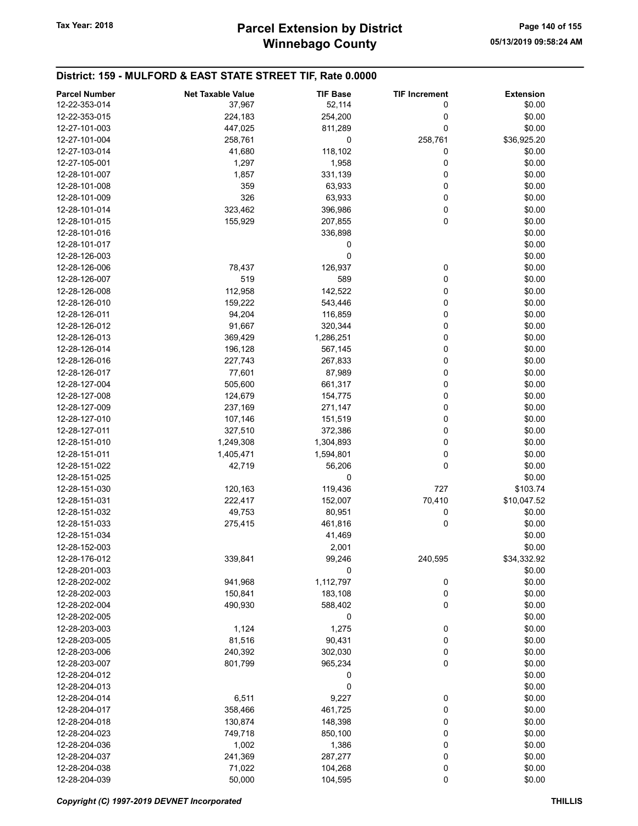| <b>Parcel Number</b> | <b>Net Taxable Value</b> | <b>TIF Base</b> | <b>TIF Increment</b> | <b>Extension</b> |
|----------------------|--------------------------|-----------------|----------------------|------------------|
| 12-22-353-014        | 37,967                   | 52,114          | 0                    | \$0.00           |
| 12-22-353-015        | 224,183                  | 254,200         | 0                    | \$0.00           |
| 12-27-101-003        | 447,025                  | 811,289         | 0                    | \$0.00           |
| 12-27-101-004        | 258,761                  | 0               | 258,761              | \$36,925.20      |
| 12-27-103-014        | 41,680                   | 118,102         | 0                    | \$0.00           |
| 12-27-105-001        | 1,297                    | 1,958           | 0                    | \$0.00           |
| 12-28-101-007        | 1,857                    | 331,139         | 0                    | \$0.00           |
| 12-28-101-008        | 359                      | 63,933          | 0                    | \$0.00           |
| 12-28-101-009        | 326                      | 63,933          | 0                    | \$0.00           |
| 12-28-101-014        | 323,462                  | 396,986         | 0                    | \$0.00           |
| 12-28-101-015        | 155,929                  | 207,855         | $\mathbf 0$          | \$0.00           |
| 12-28-101-016        |                          | 336,898         |                      | \$0.00           |
| 12-28-101-017        |                          | 0               |                      | \$0.00           |
| 12-28-126-003        |                          | 0               |                      | \$0.00           |
| 12-28-126-006        | 78,437                   | 126,937         | 0                    | \$0.00           |
| 12-28-126-007        | 519                      | 589             | 0                    | \$0.00           |
| 12-28-126-008        | 112,958                  | 142,522         | 0                    | \$0.00           |
| 12-28-126-010        | 159,222                  | 543,446         | $\pmb{0}$            | \$0.00           |
| 12-28-126-011        | 94,204                   | 116,859         | 0                    | \$0.00           |
| 12-28-126-012        | 91,667                   | 320,344         | 0                    | \$0.00           |
| 12-28-126-013        | 369,429                  | 1,286,251       | 0                    | \$0.00           |
|                      |                          |                 |                      |                  |
| 12-28-126-014        | 196,128                  | 567,145         | 0                    | \$0.00           |
| 12-28-126-016        | 227,743                  | 267,833         | 0                    | \$0.00           |
| 12-28-126-017        | 77,601                   | 87,989          | 0                    | \$0.00           |
| 12-28-127-004        | 505,600                  | 661,317         | $\pmb{0}$            | \$0.00           |
| 12-28-127-008        | 124,679                  | 154,775         | 0                    | \$0.00           |
| 12-28-127-009        | 237,169                  | 271,147         | 0                    | \$0.00           |
| 12-28-127-010        | 107,146                  | 151,519         | 0                    | \$0.00           |
| 12-28-127-011        | 327,510                  | 372,386         | 0                    | \$0.00           |
| 12-28-151-010        | 1,249,308                | 1,304,893       | 0                    | \$0.00           |
| 12-28-151-011        | 1,405,471                | 1,594,801       | 0                    | \$0.00           |
| 12-28-151-022        | 42,719                   | 56,206          | $\mathbf 0$          | \$0.00           |
| 12-28-151-025        |                          | 0               |                      | \$0.00           |
| 12-28-151-030        | 120,163                  | 119,436         | 727                  | \$103.74         |
| 12-28-151-031        | 222,417                  | 152,007         | 70,410               | \$10,047.52      |
| 12-28-151-032        | 49,753                   | 80,951          | 0                    | \$0.00           |
| 12-28-151-033        | 275,415                  | 461,816         | 0                    | \$0.00           |
| 12-28-151-034        |                          | 41,469          |                      | \$0.00           |
| 12-28-152-003        |                          | 2,001           |                      | \$0.00           |
| 12-28-176-012        | 339,841                  | 99,246          | 240,595              | \$34,332.92      |
| 12-28-201-003        |                          | 0               |                      | \$0.00           |
| 12-28-202-002        | 941,968                  | 1,112,797       | 0                    | \$0.00           |
| 12-28-202-003        | 150,841                  | 183,108         | 0                    | \$0.00           |
| 12-28-202-004        | 490,930                  | 588,402         | 0                    | \$0.00           |
| 12-28-202-005        |                          | 0               |                      | \$0.00           |
| 12-28-203-003        | 1,124                    | 1,275           | 0                    | \$0.00           |
| 12-28-203-005        | 81,516                   | 90,431          | 0                    | \$0.00           |
| 12-28-203-006        | 240,392                  | 302,030         | 0                    | \$0.00           |
| 12-28-203-007        | 801,799                  | 965,234         | 0                    | \$0.00           |
| 12-28-204-012        |                          | 0               |                      | \$0.00           |
| 12-28-204-013        |                          | 0               |                      | \$0.00           |
| 12-28-204-014        | 6,511                    | 9,227           | 0                    | \$0.00           |
| 12-28-204-017        | 358,466                  | 461,725         | 0                    | \$0.00           |
| 12-28-204-018        | 130,874                  | 148,398         | 0                    | \$0.00           |
| 12-28-204-023        | 749,718                  | 850,100         | 0                    | \$0.00           |
| 12-28-204-036        | 1,002                    | 1,386           | 0                    | \$0.00           |
| 12-28-204-037        | 241,369                  | 287,277         | 0                    | \$0.00           |
| 12-28-204-038        | 71,022                   | 104,268         | 0                    | \$0.00           |
| 12-28-204-039        | 50,000                   | 104,595         | 0                    | \$0.00           |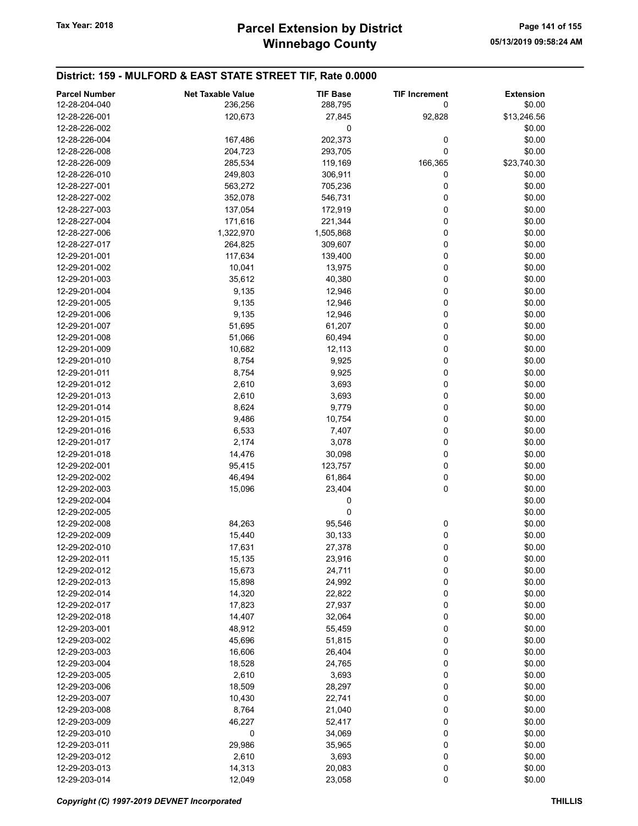| <b>Parcel Number</b> | <b>Net Taxable Value</b> | <b>TIF Base</b> | <b>TIF Increment</b> | <b>Extension</b> |
|----------------------|--------------------------|-----------------|----------------------|------------------|
| 12-28-204-040        | 236,256                  | 288,795         | 0                    | \$0.00           |
| 12-28-226-001        | 120,673                  | 27,845          | 92,828               | \$13,246.56      |
| 12-28-226-002        |                          | 0               |                      | \$0.00           |
| 12-28-226-004        | 167,486                  | 202,373         | 0                    | \$0.00           |
| 12-28-226-008        | 204,723                  | 293,705         | 0                    | \$0.00           |
| 12-28-226-009        | 285,534                  | 119,169         | 166,365              | \$23,740.30      |
| 12-28-226-010        | 249,803                  | 306,911         | 0                    | \$0.00           |
| 12-28-227-001        | 563,272                  | 705,236         | 0                    | \$0.00           |
| 12-28-227-002        | 352,078                  | 546,731         | 0                    | \$0.00           |
| 12-28-227-003        | 137,054                  | 172,919         | 0                    | \$0.00           |
| 12-28-227-004        | 171,616                  | 221,344         | 0                    | \$0.00           |
| 12-28-227-006        | 1,322,970                | 1,505,868       | 0                    | \$0.00           |
| 12-28-227-017        | 264,825                  | 309,607         | 0                    | \$0.00           |
| 12-29-201-001        | 117,634                  | 139,400         | 0                    | \$0.00           |
| 12-29-201-002        | 10,041                   | 13,975          | 0                    | \$0.00           |
| 12-29-201-003        | 35,612                   | 40,380          | 0                    | \$0.00           |
| 12-29-201-004        | 9,135                    | 12,946          | $\pmb{0}$            | \$0.00           |
| 12-29-201-005        | 9,135                    | 12,946          | 0                    | \$0.00           |
| 12-29-201-006        | 9,135                    | 12,946          | 0                    | \$0.00           |
| 12-29-201-007        | 51,695                   | 61,207          | 0                    | \$0.00           |
| 12-29-201-008        | 51,066                   | 60,494          | 0                    | \$0.00           |
| 12-29-201-009        |                          |                 | 0                    | \$0.00           |
| 12-29-201-010        | 10,682                   | 12,113          | 0                    |                  |
| 12-29-201-011        | 8,754                    | 9,925           | $\pmb{0}$            | \$0.00           |
|                      | 8,754                    | 9,925           |                      | \$0.00           |
| 12-29-201-012        | 2,610                    | 3,693           | 0                    | \$0.00           |
| 12-29-201-013        | 2,610                    | 3,693           | 0                    | \$0.00           |
| 12-29-201-014        | 8,624                    | 9,779           | 0                    | \$0.00           |
| 12-29-201-015        | 9,486                    | 10,754          | 0                    | \$0.00           |
| 12-29-201-016        | 6,533                    | 7,407           | 0                    | \$0.00           |
| 12-29-201-017        | 2,174                    | 3,078           | 0                    | \$0.00           |
| 12-29-201-018        | 14,476                   | 30,098          | 0                    | \$0.00           |
| 12-29-202-001        | 95,415                   | 123,757         | 0                    | \$0.00           |
| 12-29-202-002        | 46,494                   | 61,864          | 0                    | \$0.00           |
| 12-29-202-003        | 15,096                   | 23,404          | 0                    | \$0.00           |
| 12-29-202-004        |                          | 0               |                      | \$0.00           |
| 12-29-202-005        |                          | 0               |                      | \$0.00           |
| 12-29-202-008        | 84,263                   | 95,546          | 0                    | \$0.00           |
| 12-29-202-009        | 15,440                   | 30,133          | 0                    | \$0.00           |
| 12-29-202-010        | 17,631                   | 27,378          | 0                    | \$0.00           |
| 12-29-202-011        | 15,135                   | 23,916          | 0                    | \$0.00           |
| 12-29-202-012        | 15,673                   | 24,711          | 0                    | \$0.00           |
| 12-29-202-013        | 15,898                   | 24,992          | 0                    | \$0.00           |
| 12-29-202-014        | 14,320                   | 22,822          | 0                    | \$0.00           |
| 12-29-202-017        | 17,823                   | 27,937          | 0                    | \$0.00           |
| 12-29-202-018        | 14,407                   | 32,064          | 0                    | \$0.00           |
| 12-29-203-001        | 48,912                   | 55,459          | 0                    | \$0.00           |
| 12-29-203-002        | 45,696                   | 51,815          | 0                    | \$0.00           |
| 12-29-203-003        | 16,606                   | 26,404          | 0                    | \$0.00           |
| 12-29-203-004        | 18,528                   | 24,765          | 0                    | \$0.00           |
| 12-29-203-005        | 2,610                    | 3,693           | 0                    | \$0.00           |
| 12-29-203-006        | 18,509                   | 28,297          | 0                    | \$0.00           |
| 12-29-203-007        | 10,430                   | 22,741          | 0                    | \$0.00           |
| 12-29-203-008        | 8,764                    | 21,040          | 0                    | \$0.00           |
| 12-29-203-009        | 46,227                   | 52,417          | 0                    | \$0.00           |
| 12-29-203-010        | 0                        | 34,069          | 0                    | \$0.00           |
| 12-29-203-011        | 29,986                   | 35,965          | 0                    | \$0.00           |
| 12-29-203-012        | 2,610                    | 3,693           | 0                    | \$0.00           |
| 12-29-203-013        | 14,313                   | 20,083          | 0                    | \$0.00           |
| 12-29-203-014        | 12,049                   | 23,058          | $\mathbf 0$          | \$0.00           |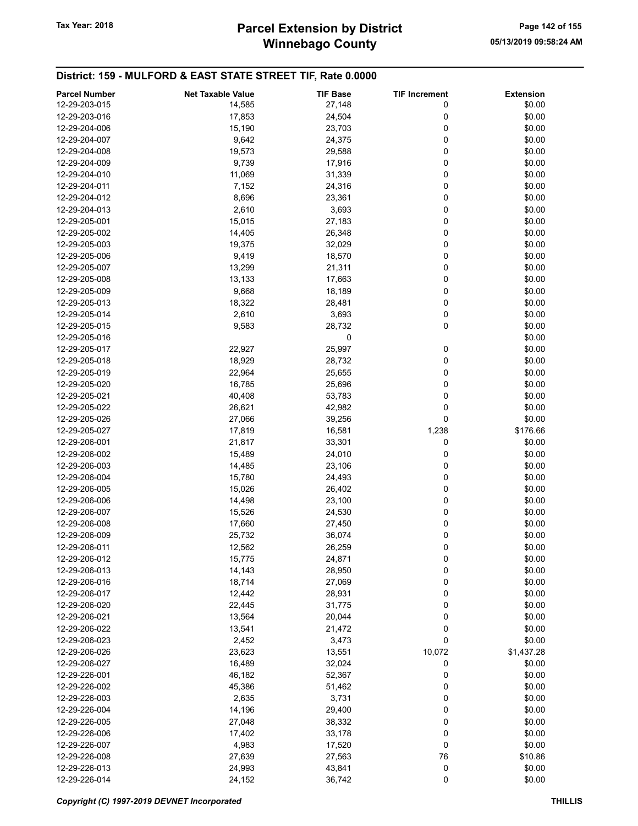# Winnebago County Tax Year: 2018 **Parcel Extension by District** Page 142 of 155

| <b>Parcel Number</b> | <b>Net Taxable Value</b> | <b>TIF Base</b> | <b>TIF Increment</b> | <b>Extension</b> |
|----------------------|--------------------------|-----------------|----------------------|------------------|
| 12-29-203-015        | 14,585                   | 27,148          | 0                    | \$0.00           |
| 12-29-203-016        | 17,853                   | 24,504          | 0                    | \$0.00           |
| 12-29-204-006        | 15,190                   | 23,703          | 0                    | \$0.00           |
| 12-29-204-007        | 9,642                    | 24,375          | 0                    | \$0.00           |
|                      |                          |                 |                      |                  |
| 12-29-204-008        | 19,573                   | 29,588          | 0                    | \$0.00           |
| 12-29-204-009        | 9,739                    | 17,916          | 0                    | \$0.00           |
| 12-29-204-010        | 11,069                   | 31,339          | 0                    | \$0.00           |
| 12-29-204-011        | 7,152                    | 24,316          | 0                    | \$0.00           |
| 12-29-204-012        | 8,696                    | 23,361          | 0                    | \$0.00           |
| 12-29-204-013        | 2,610                    | 3,693           | 0                    | \$0.00           |
| 12-29-205-001        | 15,015                   | 27,183          | 0                    | \$0.00           |
| 12-29-205-002        | 14,405                   | 26,348          | 0                    | \$0.00           |
| 12-29-205-003        | 19,375                   | 32,029          | 0                    | \$0.00           |
| 12-29-205-006        | 9,419                    | 18,570          | 0                    | \$0.00           |
| 12-29-205-007        | 13,299                   | 21,311          | 0                    | \$0.00           |
| 12-29-205-008        | 13,133                   | 17,663          | 0                    | \$0.00           |
| 12-29-205-009        | 9,668                    | 18,189          | 0                    | \$0.00           |
| 12-29-205-013        | 18,322                   | 28,481          | 0                    | \$0.00           |
| 12-29-205-014        | 2,610                    | 3,693           | 0                    | \$0.00           |
|                      |                          |                 | 0                    |                  |
| 12-29-205-015        | 9,583                    | 28,732          |                      | \$0.00           |
| 12-29-205-016        |                          | 0               |                      | \$0.00           |
| 12-29-205-017        | 22,927                   | 25,997          | 0                    | \$0.00           |
| 12-29-205-018        | 18,929                   | 28,732          | 0                    | \$0.00           |
| 12-29-205-019        | 22,964                   | 25,655          | 0                    | \$0.00           |
| 12-29-205-020        | 16,785                   | 25,696          | 0                    | \$0.00           |
| 12-29-205-021        | 40,408                   | 53,783          | 0                    | \$0.00           |
| 12-29-205-022        | 26,621                   | 42,982          | 0                    | \$0.00           |
| 12-29-205-026        | 27,066                   | 39,256          | 0                    | \$0.00           |
| 12-29-205-027        | 17,819                   | 16,581          | 1,238                | \$176.66         |
| 12-29-206-001        | 21,817                   | 33,301          | 0                    | \$0.00           |
| 12-29-206-002        | 15,489                   | 24,010          | 0                    | \$0.00           |
| 12-29-206-003        | 14,485                   | 23,106          | 0                    | \$0.00           |
| 12-29-206-004        | 15,780                   | 24,493          | 0                    | \$0.00           |
| 12-29-206-005        | 15,026                   | 26,402          | 0                    | \$0.00           |
| 12-29-206-006        | 14,498                   | 23,100          | 0                    | \$0.00           |
| 12-29-206-007        | 15,526                   | 24,530          | 0                    | \$0.00           |
| 12-29-206-008        |                          |                 |                      |                  |
|                      | 17,660                   | 27,450          | 0                    | \$0.00           |
| 12-29-206-009        | 25,732                   | 36,074          | 0                    | \$0.00           |
| 12-29-206-011        | 12,562                   | 26,259          | 0                    | \$0.00           |
| 12-29-206-012        | 15,775                   | 24,871          | 0                    | \$0.00           |
| 12-29-206-013        | 14,143                   | 28,950          | 0                    | \$0.00           |
| 12-29-206-016        | 18,714                   | 27,069          | 0                    | \$0.00           |
| 12-29-206-017        | 12,442                   | 28,931          | 0                    | \$0.00           |
| 12-29-206-020        | 22,445                   | 31,775          | 0                    | \$0.00           |
| 12-29-206-021        | 13,564                   | 20,044          | 0                    | \$0.00           |
| 12-29-206-022        | 13,541                   | 21,472          | 0                    | \$0.00           |
| 12-29-206-023        | 2,452                    | 3,473           | 0                    | \$0.00           |
| 12-29-206-026        | 23,623                   | 13,551          | 10,072               | \$1,437.28       |
| 12-29-206-027        | 16,489                   | 32,024          | 0                    | \$0.00           |
| 12-29-226-001        | 46,182                   | 52,367          | 0                    | \$0.00           |
| 12-29-226-002        | 45,386                   | 51,462          | 0                    | \$0.00           |
| 12-29-226-003        | 2,635                    | 3,731           | 0                    | \$0.00           |
| 12-29-226-004        | 14,196                   | 29,400          | 0                    | \$0.00           |
|                      |                          |                 |                      |                  |
| 12-29-226-005        | 27,048                   | 38,332          | 0                    | \$0.00           |
| 12-29-226-006        | 17,402                   | 33,178          | 0                    | \$0.00           |
| 12-29-226-007        | 4,983                    | 17,520          | 0                    | \$0.00           |
| 12-29-226-008        | 27,639                   | 27,563          | 76                   | \$10.86          |
| 12-29-226-013        | 24,993                   | 43,841          | 0                    | \$0.00           |
| 12-29-226-014        | 24,152                   | 36,742          | 0                    | \$0.00           |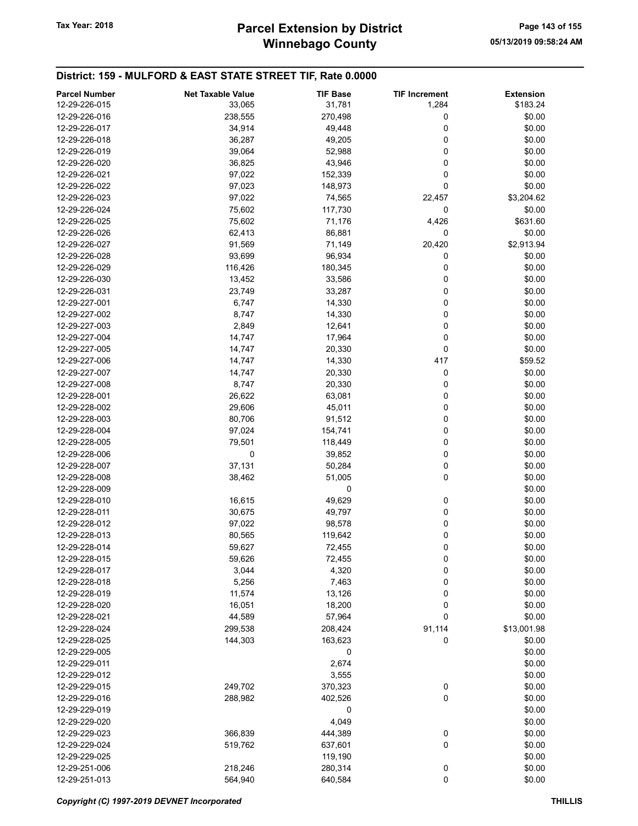| <b>Parcel Number</b> | <b>Net Taxable Value</b> | <b>TIF Base</b> | <b>TIF Increment</b> | <b>Extension</b> |
|----------------------|--------------------------|-----------------|----------------------|------------------|
| 12-29-226-015        | 33,065                   | 31,781          | 1,284                | \$183.24         |
| 12-29-226-016        | 238,555                  | 270,498         | 0                    | \$0.00           |
| 12-29-226-017        | 34,914                   | 49,448          | 0                    | \$0.00           |
| 12-29-226-018        | 36,287                   | 49,205          | 0                    | \$0.00           |
|                      |                          |                 |                      |                  |
| 12-29-226-019        | 39,064                   | 52,988          | 0                    | \$0.00           |
| 12-29-226-020        | 36,825                   | 43,946          | 0                    | \$0.00           |
| 12-29-226-021        | 97,022                   | 152,339         | 0                    | \$0.00           |
| 12-29-226-022        | 97,023                   | 148,973         | 0                    | \$0.00           |
| 12-29-226-023        | 97,022                   | 74,565          | 22,457               | \$3,204.62       |
| 12-29-226-024        | 75,602                   | 117,730         | 0                    | \$0.00           |
| 12-29-226-025        | 75,602                   | 71,176          | 4,426                | \$631.60         |
| 12-29-226-026        | 62,413                   | 86,881          | 0                    | \$0.00           |
| 12-29-226-027        | 91,569                   | 71,149          | 20,420               | \$2,913.94       |
| 12-29-226-028        | 93,699                   | 96,934          | 0                    | \$0.00           |
| 12-29-226-029        | 116,426                  | 180,345         | 0                    | \$0.00           |
| 12-29-226-030        | 13,452                   | 33,586          | 0                    | \$0.00           |
| 12-29-226-031        | 23,749                   | 33,287          | 0                    | \$0.00           |
| 12-29-227-001        | 6,747                    | 14,330          | 0                    | \$0.00           |
| 12-29-227-002        | 8,747                    |                 | 0                    | \$0.00           |
|                      |                          | 14,330          |                      |                  |
| 12-29-227-003        | 2,849                    | 12,641          | 0                    | \$0.00           |
| 12-29-227-004        | 14,747                   | 17,964          | 0                    | \$0.00           |
| 12-29-227-005        | 14,747                   | 20,330          | 0                    | \$0.00           |
| 12-29-227-006        | 14,747                   | 14,330          | 417                  | \$59.52          |
| 12-29-227-007        | 14,747                   | 20,330          | 0                    | \$0.00           |
| 12-29-227-008        | 8,747                    | 20,330          | 0                    | \$0.00           |
| 12-29-228-001        | 26,622                   | 63,081          | 0                    | \$0.00           |
| 12-29-228-002        | 29,606                   | 45,011          | 0                    | \$0.00           |
| 12-29-228-003        | 80,706                   | 91,512          | 0                    | \$0.00           |
| 12-29-228-004        | 97,024                   | 154,741         | 0                    | \$0.00           |
| 12-29-228-005        | 79,501                   | 118,449         | 0                    | \$0.00           |
| 12-29-228-006        | 0                        | 39,852          | 0                    | \$0.00           |
| 12-29-228-007        | 37,131                   | 50,284          | 0                    | \$0.00           |
| 12-29-228-008        | 38,462                   | 51,005          | 0                    | \$0.00           |
| 12-29-228-009        |                          | 0               |                      | \$0.00           |
|                      |                          |                 |                      |                  |
| 12-29-228-010        | 16,615                   | 49,629          | 0                    | \$0.00           |
| 12-29-228-011        | 30,675                   | 49,797          | 0                    | \$0.00           |
| 12-29-228-012        | 97,022                   | 98,578          | 0                    | \$0.00           |
| 12-29-228-013        | 80,565                   | 119,642         | 0                    | \$0.00           |
| 12-29-228-014        | 59,627                   | 72,455          | 0                    | \$0.00           |
| 12-29-228-015        | 59,626                   | 72,455          | 0                    | \$0.00           |
| 12-29-228-017        | 3,044                    | 4,320           | 0                    | \$0.00           |
| 12-29-228-018        | 5,256                    | 7,463           | 0                    | \$0.00           |
| 12-29-228-019        | 11,574                   | 13,126          | 0                    | \$0.00           |
| 12-29-228-020        | 16,051                   | 18,200          | 0                    | \$0.00           |
| 12-29-228-021        | 44,589                   | 57,964          | 0                    | \$0.00           |
| 12-29-228-024        | 299,538                  | 208,424         | 91,114               | \$13,001.98      |
| 12-29-228-025        | 144,303                  | 163,623         | 0                    | \$0.00           |
| 12-29-229-005        |                          | 0               |                      | \$0.00           |
| 12-29-229-011        |                          | 2,674           |                      | \$0.00           |
|                      |                          |                 |                      |                  |
| 12-29-229-012        |                          | 3,555           |                      | \$0.00           |
| 12-29-229-015        | 249,702                  | 370,323         | $\boldsymbol{0}$     | \$0.00           |
| 12-29-229-016        | 288,982                  | 402,526         | 0                    | \$0.00           |
| 12-29-229-019        |                          | 0               |                      | \$0.00           |
| 12-29-229-020        |                          | 4,049           |                      | \$0.00           |
| 12-29-229-023        | 366,839                  | 444,389         | 0                    | \$0.00           |
| 12-29-229-024        | 519,762                  | 637,601         | 0                    | \$0.00           |
| 12-29-229-025        |                          | 119,190         |                      | \$0.00           |
| 12-29-251-006        | 218,246                  | 280,314         | 0                    | \$0.00           |
| 12-29-251-013        | 564,940                  | 640,584         | 0                    | \$0.00           |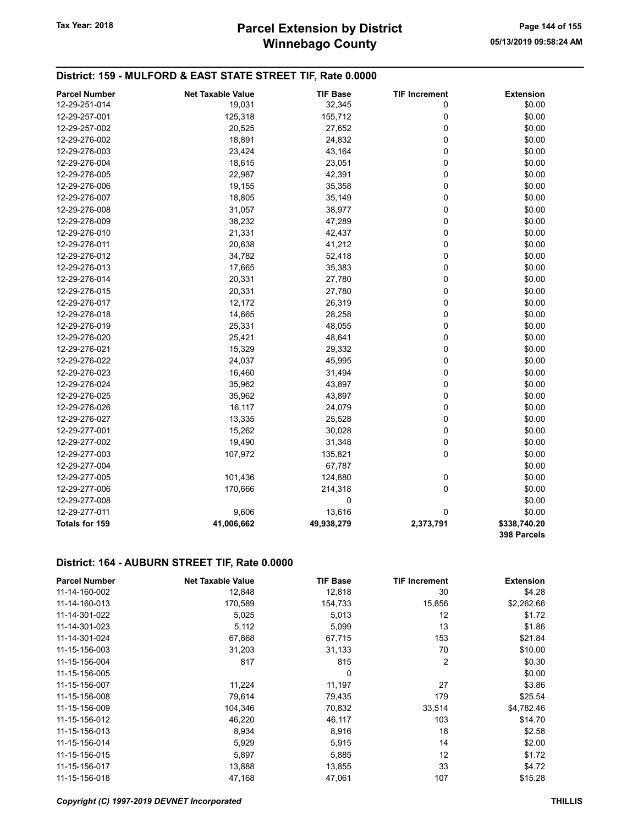# Winnebago County Tax Year: 2018 **Parcel Extension by District** Page 144 of 155

## District: 159 - MULFORD & EAST STATE STREET TIF, Rate 0.0000

| <b>Parcel Number</b>  | <b>Net Taxable Value</b> | <b>TIF Base</b> | <b>TIF Increment</b> | <b>Extension</b>            |
|-----------------------|--------------------------|-----------------|----------------------|-----------------------------|
| 12-29-251-014         | 19,031                   | 32,345          | 0                    | \$0.00                      |
| 12-29-257-001         | 125,318                  | 155,712         | 0                    | \$0.00                      |
| 12-29-257-002         | 20,525                   | 27,652          | $\mathbf 0$          | \$0.00                      |
| 12-29-276-002         | 18,891                   | 24,832          | $\mathbf 0$          | \$0.00                      |
| 12-29-276-003         | 23,424                   | 43,164          | $\pmb{0}$            | \$0.00                      |
| 12-29-276-004         | 18,615                   | 23,051          | 0                    | \$0.00                      |
| 12-29-276-005         | 22,987                   | 42,391          | 0                    | \$0.00                      |
| 12-29-276-006         | 19,155                   | 35,358          | 0                    | \$0.00                      |
| 12-29-276-007         | 18,805                   | 35,149          | 0                    | \$0.00                      |
| 12-29-276-008         | 31,057                   | 38,977          | $\mathbf 0$          | \$0.00                      |
| 12-29-276-009         | 38,232                   | 47,289          | $\mathbf 0$          | \$0.00                      |
| 12-29-276-010         | 21,331                   | 42,437          | $\mathbf 0$          | \$0.00                      |
| 12-29-276-011         | 20,638                   | 41,212          | 0                    | \$0.00                      |
| 12-29-276-012         | 34,782                   | 52,418          | $\mathbf 0$          | \$0.00                      |
| 12-29-276-013         | 17,665                   | 35,383          | $\mathbf 0$          | \$0.00                      |
| 12-29-276-014         | 20,331                   | 27,780          | $\mathbf 0$          | \$0.00                      |
| 12-29-276-015         | 20,331                   | 27,780          | $\mathbf 0$          | \$0.00                      |
| 12-29-276-017         | 12,172                   | 26,319          | $\mathbf 0$          | \$0.00                      |
| 12-29-276-018         | 14,665                   | 28,258          | 0                    | \$0.00                      |
| 12-29-276-019         | 25,331                   | 48,055          | 0                    | \$0.00                      |
| 12-29-276-020         | 25,421                   | 48,641          | 0                    | \$0.00                      |
| 12-29-276-021         | 15,329                   | 29,332          | $\mathbf 0$          | \$0.00                      |
| 12-29-276-022         | 24,037                   | 45,995          | $\mathbf 0$          | \$0.00                      |
| 12-29-276-023         | 16,460                   | 31,494          | $\mathbf 0$          | \$0.00                      |
| 12-29-276-024         | 35,962                   | 43,897          | $\mathbf 0$          | \$0.00                      |
| 12-29-276-025         | 35,962                   | 43,897          | $\mathbf 0$          | \$0.00                      |
| 12-29-276-026         | 16,117                   | 24,079          | 0                    | \$0.00                      |
| 12-29-276-027         | 13,335                   | 25,528          | $\mathbf 0$          | \$0.00                      |
| 12-29-277-001         | 15,262                   | 30,028          | $\pmb{0}$            | \$0.00                      |
| 12-29-277-002         | 19,490                   | 31,348          | $\pmb{0}$            | \$0.00                      |
| 12-29-277-003         | 107,972                  | 135,821         | $\mathbf 0$          | \$0.00                      |
| 12-29-277-004         |                          | 67,787          |                      | \$0.00                      |
| 12-29-277-005         | 101,436                  | 124,880         | 0                    | \$0.00                      |
| 12-29-277-006         | 170,666                  | 214,318         | $\mathbf 0$          | \$0.00                      |
| 12-29-277-008         |                          | 0               |                      | \$0.00                      |
| 12-29-277-011         | 9,606                    | 13,616          | $\mathbf 0$          | \$0.00                      |
| <b>Totals for 159</b> | 41,006,662               | 49,938,279      | 2,373,791            | \$338,740.20<br>398 Parcels |

#### District: 164 - AUBURN STREET TIF, Rate 0.0000

| <b>Parcel Number</b> | <b>Net Taxable Value</b> | TIF Base | <b>TIF Increment</b> | <b>Extension</b> |
|----------------------|--------------------------|----------|----------------------|------------------|
| 11-14-160-002        | 12,848                   | 12,818   | 30                   | \$4.28           |
| 11-14-160-013        | 170,589                  | 154,733  | 15,856               | \$2,262.66       |
| 11-14-301-022        | 5,025                    | 5,013    | 12                   | \$1.72           |
| 11-14-301-023        | 5,112                    | 5,099    | 13                   | \$1.86           |
| 11-14-301-024        | 67,868                   | 67,715   | 153                  | \$21.84          |
| 11-15-156-003        | 31,203                   | 31,133   | 70                   | \$10.00          |
| 11-15-156-004        | 817                      | 815      | 2                    | \$0.30           |
| 11-15-156-005        |                          | 0        |                      | \$0.00           |
| 11-15-156-007        | 11,224                   | 11,197   | 27                   | \$3.86           |
| 11-15-156-008        | 79,614                   | 79,435   | 179                  | \$25.54          |
| 11-15-156-009        | 104,346                  | 70,832   | 33,514               | \$4,782.46       |
| 11-15-156-012        | 46,220                   | 46,117   | 103                  | \$14.70          |
| 11-15-156-013        | 8,934                    | 8,916    | 18                   | \$2.58           |
| 11-15-156-014        | 5,929                    | 5,915    | 14                   | \$2.00           |
| 11-15-156-015        | 5,897                    | 5,885    | 12                   | \$1.72           |
| 11-15-156-017        | 13,888                   | 13,855   | 33                   | \$4.72           |
| 11-15-156-018        | 47,168                   | 47,061   | 107                  | \$15.28          |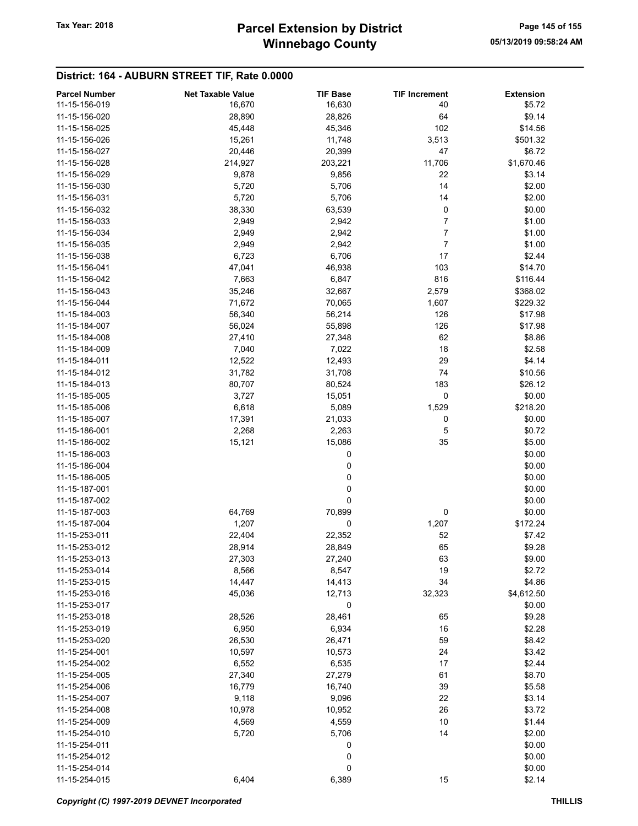| <b>Parcel Number</b> | <b>Net Taxable Value</b> | <b>TIF Base</b> | <b>TIF Increment</b> | <b>Extension</b> |
|----------------------|--------------------------|-----------------|----------------------|------------------|
| 11-15-156-019        | 16,670                   | 16,630          | 40                   | \$5.72           |
| 11-15-156-020        | 28,890                   | 28,826          | 64                   | \$9.14           |
| 11-15-156-025        | 45,448                   | 45,346          | 102                  | \$14.56          |
| 11-15-156-026        | 15,261                   | 11,748          | 3,513                | \$501.32         |
| 11-15-156-027        | 20,446                   | 20,399          | 47                   | \$6.72           |
| 11-15-156-028        | 214,927                  | 203,221         | 11,706               | \$1,670.46       |
| 11-15-156-029        | 9,878                    | 9,856           | 22                   | \$3.14           |
|                      | 5,720                    |                 | 14                   | \$2.00           |
| 11-15-156-030        |                          | 5,706           |                      |                  |
| 11-15-156-031        | 5,720                    | 5,706           | 14                   | \$2.00           |
| 11-15-156-032        | 38,330                   | 63,539          | 0                    | \$0.00           |
| 11-15-156-033        | 2,949                    | 2,942           | 7                    | \$1.00           |
| 11-15-156-034        | 2,949                    | 2,942           | 7                    | \$1.00           |
| 11-15-156-035        | 2,949                    | 2,942           | $\overline{7}$       | \$1.00           |
| 11-15-156-038        | 6,723                    | 6,706           | 17                   | \$2.44           |
| 11-15-156-041        | 47,041                   | 46,938          | 103                  | \$14.70          |
| 11-15-156-042        | 7,663                    | 6,847           | 816                  | \$116.44         |
| 11-15-156-043        | 35,246                   | 32,667          | 2,579                | \$368.02         |
| 11-15-156-044        | 71,672                   | 70,065          | 1,607                | \$229.32         |
| 11-15-184-003        | 56,340                   | 56,214          | 126                  | \$17.98          |
| 11-15-184-007        | 56,024                   | 55,898          | 126                  | \$17.98          |
| 11-15-184-008        | 27,410                   | 27,348          | 62                   | \$8.86           |
| 11-15-184-009        | 7,040                    | 7,022           | 18                   | \$2.58           |
| 11-15-184-011        | 12,522                   | 12,493          | 29                   | \$4.14           |
| 11-15-184-012        | 31,782                   | 31,708          | 74                   | \$10.56          |
| 11-15-184-013        | 80,707                   | 80,524          | 183                  | \$26.12          |
| 11-15-185-005        | 3,727                    |                 | 0                    | \$0.00           |
|                      |                          | 15,051          |                      |                  |
| 11-15-185-006        | 6,618                    | 5,089           | 1,529                | \$218.20         |
| 11-15-185-007        | 17,391                   | 21,033          | 0                    | \$0.00           |
| 11-15-186-001        | 2,268                    | 2,263           | 5                    | \$0.72           |
| 11-15-186-002        | 15,121                   | 15,086          | 35                   | \$5.00           |
| 11-15-186-003        |                          | 0               |                      | \$0.00           |
| 11-15-186-004        |                          | 0               |                      | \$0.00           |
| 11-15-186-005        |                          | 0               |                      | \$0.00           |
| 11-15-187-001        |                          | 0               |                      | \$0.00           |
| 11-15-187-002        |                          | 0               |                      | \$0.00           |
| 11-15-187-003        | 64,769                   | 70,899          | 0                    | \$0.00           |
| 11-15-187-004        | 1,207                    | 0               | 1,207                | \$172.24         |
| 11-15-253-011        | 22,404                   | 22,352          | 52                   | \$7.42           |
| 11-15-253-012        | 28,914                   | 28,849          | 65                   | \$9.28           |
| 11-15-253-013        | 27,303                   | 27,240          | 63                   | \$9.00           |
| 11-15-253-014        | 8,566                    | 8,547           | 19                   | \$2.72           |
| 11-15-253-015        | 14,447                   | 14,413          | 34                   | \$4.86           |
| 11-15-253-016        | 45,036                   | 12,713          | 32,323               | \$4,612.50       |
| 11-15-253-017        |                          | 0               |                      | \$0.00           |
| 11-15-253-018        | 28,526                   | 28,461          | 65                   | \$9.28           |
| 11-15-253-019        | 6,950                    | 6,934           | 16                   | \$2.28           |
|                      |                          |                 | 59                   | \$8.42           |
| 11-15-253-020        | 26,530                   | 26,471          |                      |                  |
| 11-15-254-001        | 10,597                   | 10,573          | 24                   | \$3.42           |
| 11-15-254-002        | 6,552                    | 6,535           | 17                   | \$2.44           |
| 11-15-254-005        | 27,340                   | 27,279          | 61                   | \$8.70           |
| 11-15-254-006        | 16,779                   | 16,740          | 39                   | \$5.58           |
| 11-15-254-007        | 9,118                    | 9,096           | 22                   | \$3.14           |
| 11-15-254-008        | 10,978                   | 10,952          | 26                   | \$3.72           |
| 11-15-254-009        | 4,569                    | 4,559           | 10                   | \$1.44           |
| 11-15-254-010        | 5,720                    | 5,706           | 14                   | \$2.00           |
| 11-15-254-011        |                          | 0               |                      | \$0.00           |
| 11-15-254-012        |                          | 0               |                      | \$0.00           |
| 11-15-254-014        |                          | 0               |                      | \$0.00           |
| 11-15-254-015        | 6,404                    | 6,389           | 15                   | \$2.14           |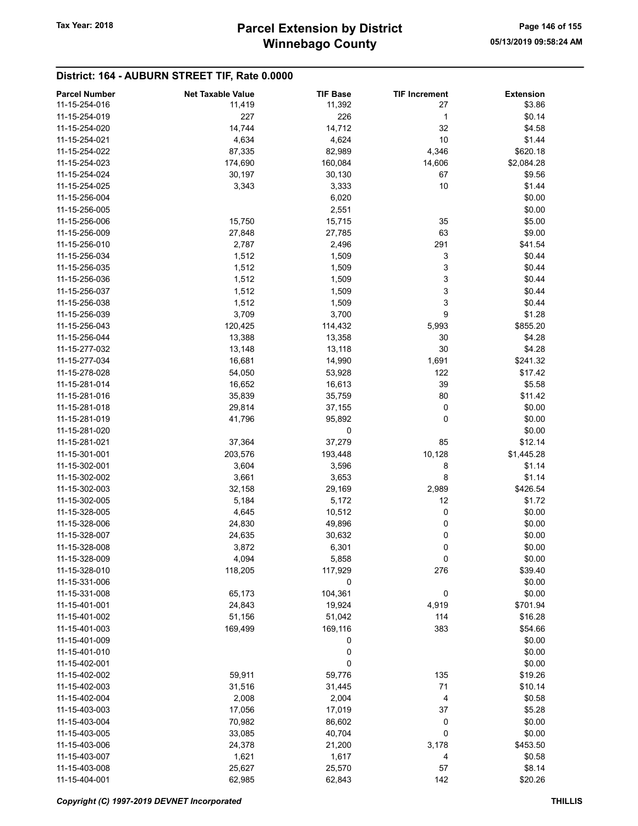| <b>Parcel Number</b> | <b>Net Taxable Value</b> | <b>TIF Base</b> | <b>TIF Increment</b> | <b>Extension</b> |
|----------------------|--------------------------|-----------------|----------------------|------------------|
| 11-15-254-016        | 11,419                   | 11,392          | 27                   | \$3.86           |
| 11-15-254-019        | 227                      | 226             | 1                    | \$0.14           |
| 11-15-254-020        | 14,744                   | 14,712          | 32                   | \$4.58           |
| 11-15-254-021        | 4,634                    | 4,624           | 10                   | \$1.44           |
| 11-15-254-022        | 87,335                   | 82,989          | 4,346                | \$620.18         |
| 11-15-254-023        | 174,690                  | 160,084         | 14,606               | \$2,084.28       |
| 11-15-254-024        | 30,197                   | 30,130          | 67                   | \$9.56           |
| 11-15-254-025        | 3,343                    | 3,333           | 10                   | \$1.44           |
| 11-15-256-004        |                          |                 |                      |                  |
|                      |                          | 6,020           |                      | \$0.00           |
| 11-15-256-005        |                          | 2,551           |                      | \$0.00           |
| 11-15-256-006        | 15,750                   | 15,715          | 35                   | \$5.00           |
| 11-15-256-009        | 27,848                   | 27,785          | 63                   | \$9.00           |
| 11-15-256-010        | 2,787                    | 2,496           | 291                  | \$41.54          |
| 11-15-256-034        | 1,512                    | 1,509           | 3                    | \$0.44           |
| 11-15-256-035        | 1,512                    | 1,509           | 3                    | \$0.44           |
| 11-15-256-036        | 1,512                    | 1,509           | 3                    | \$0.44           |
| 11-15-256-037        | 1,512                    | 1,509           | 3                    | \$0.44           |
| 11-15-256-038        | 1,512                    | 1,509           | 3                    | \$0.44           |
| 11-15-256-039        | 3,709                    | 3,700           | 9                    | \$1.28           |
| 11-15-256-043        | 120,425                  | 114,432         | 5,993                | \$855.20         |
| 11-15-256-044        | 13,388                   | 13,358          | 30                   | \$4.28           |
| 11-15-277-032        | 13,148                   | 13,118          | 30                   | \$4.28           |
| 11-15-277-034        | 16,681                   | 14,990          | 1,691                | \$241.32         |
| 11-15-278-028        | 54,050                   | 53,928          | 122                  | \$17.42          |
| 11-15-281-014        | 16,652                   | 16,613          | 39                   | \$5.58           |
| 11-15-281-016        | 35,839                   | 35,759          | 80                   | \$11.42          |
|                      |                          |                 |                      |                  |
| 11-15-281-018        | 29,814                   | 37,155          | 0                    | \$0.00           |
| 11-15-281-019        | 41,796                   | 95,892          | 0                    | \$0.00           |
| 11-15-281-020        |                          | 0               |                      | \$0.00           |
| 11-15-281-021        | 37,364                   | 37,279          | 85                   | \$12.14          |
| 11-15-301-001        | 203,576                  | 193,448         | 10,128               | \$1,445.28       |
| 11-15-302-001        | 3,604                    | 3,596           | 8                    | \$1.14           |
| 11-15-302-002        | 3,661                    | 3,653           | 8                    | \$1.14           |
| 11-15-302-003        | 32,158                   | 29,169          | 2,989                | \$426.54         |
| 11-15-302-005        | 5,184                    | 5,172           | 12                   | \$1.72           |
| 11-15-328-005        | 4,645                    | 10,512          | 0                    | \$0.00           |
| 11-15-328-006        | 24,830                   | 49,896          | 0                    | \$0.00           |
| 11-15-328-007        | 24,635                   | 30,632          | 0                    | \$0.00           |
| 11-15-328-008        | 3,872                    | 6,301           | 0                    | \$0.00           |
| 11-15-328-009        | 4,094                    | 5,858           | 0                    | \$0.00           |
| 11-15-328-010        | 118,205                  | 117,929         | 276                  | \$39.40          |
| 11-15-331-006        |                          | 0               |                      | \$0.00           |
| 11-15-331-008        | 65,173                   | 104,361         | 0                    | \$0.00           |
| 11-15-401-001        | 24,843                   | 19,924          | 4,919                | \$701.94         |
| 11-15-401-002        | 51,156                   | 51,042          | 114                  | \$16.28          |
| 11-15-401-003        | 169,499                  | 169,116         | 383                  | \$54.66          |
| 11-15-401-009        |                          |                 |                      | \$0.00           |
|                      |                          | 0               |                      |                  |
| 11-15-401-010        |                          | 0               |                      | \$0.00           |
| 11-15-402-001        |                          | 0               |                      | \$0.00           |
| 11-15-402-002        | 59,911                   | 59,776          | 135                  | \$19.26          |
| 11-15-402-003        | 31,516                   | 31,445          | 71                   | \$10.14          |
| 11-15-402-004        | 2,008                    | 2,004           | 4                    | \$0.58           |
| 11-15-403-003        | 17,056                   | 17,019          | 37                   | \$5.28           |
| 11-15-403-004        | 70,982                   | 86,602          | 0                    | \$0.00           |
| 11-15-403-005        | 33,085                   | 40,704          | 0                    | \$0.00           |
| 11-15-403-006        | 24,378                   | 21,200          | 3,178                | \$453.50         |
| 11-15-403-007        | 1,621                    | 1,617           | 4                    | \$0.58           |
| 11-15-403-008        | 25,627                   | 25,570          | 57                   | \$8.14           |
| 11-15-404-001        | 62,985                   | 62,843          | 142                  | \$20.26          |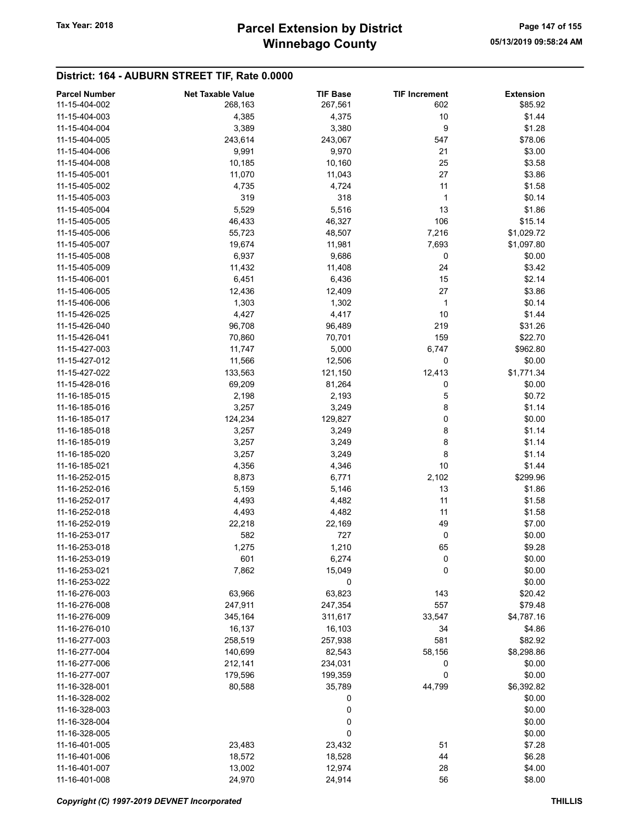| <b>Parcel Number</b> | <b>Net Taxable Value</b> | <b>TIF Base</b> | <b>TIF Increment</b> | <b>Extension</b> |
|----------------------|--------------------------|-----------------|----------------------|------------------|
| 11-15-404-002        | 268,163                  | 267,561         | 602                  | \$85.92          |
| 11-15-404-003        | 4,385                    | 4,375           | 10                   | \$1.44           |
| 11-15-404-004        | 3,389                    | 3,380           | 9                    | \$1.28           |
| 11-15-404-005        | 243,614                  | 243,067         | 547                  | \$78.06          |
| 11-15-404-006        | 9,991                    | 9,970           | 21                   | \$3.00           |
| 11-15-404-008        | 10,185                   | 10,160          | 25                   | \$3.58           |
| 11-15-405-001        |                          |                 | 27                   | \$3.86           |
| 11-15-405-002        | 11,070                   | 11,043          | 11                   |                  |
|                      | 4,735                    | 4,724           |                      | \$1.58           |
| 11-15-405-003        | 319                      | 318             | 1                    | \$0.14           |
| 11-15-405-004        | 5,529                    | 5,516           | 13                   | \$1.86           |
| 11-15-405-005        | 46,433                   | 46,327          | 106                  | \$15.14          |
| 11-15-405-006        | 55,723                   | 48,507          | 7,216                | \$1,029.72       |
| 11-15-405-007        | 19,674                   | 11,981          | 7,693                | \$1,097.80       |
| 11-15-405-008        | 6,937                    | 9,686           | 0                    | \$0.00           |
| 11-15-405-009        | 11,432                   | 11,408          | 24                   | \$3.42           |
| 11-15-406-001        | 6,451                    | 6,436           | 15                   | \$2.14           |
| 11-15-406-005        | 12,436                   | 12,409          | 27                   | \$3.86           |
| 11-15-406-006        | 1,303                    | 1,302           | $\mathbf{1}$         | \$0.14           |
| 11-15-426-025        | 4,427                    | 4,417           | 10                   | \$1.44           |
| 11-15-426-040        | 96,708                   | 96,489          | 219                  | \$31.26          |
| 11-15-426-041        | 70,860                   | 70,701          | 159                  | \$22.70          |
| 11-15-427-003        | 11,747                   | 5,000           | 6,747                | \$962.80         |
| 11-15-427-012        | 11,566                   | 12,506          | 0                    | \$0.00           |
| 11-15-427-022        | 133,563                  | 121,150         | 12,413               | \$1,771.34       |
| 11-15-428-016        | 69,209                   | 81,264          | 0                    | \$0.00           |
| 11-16-185-015        | 2,198                    | 2,193           | 5                    | \$0.72           |
| 11-16-185-016        | 3,257                    | 3,249           | 8                    | \$1.14           |
| 11-16-185-017        | 124,234                  | 129,827         | 0                    | \$0.00           |
| 11-16-185-018        | 3,257                    | 3,249           | 8                    | \$1.14           |
| 11-16-185-019        | 3,257                    | 3,249           | 8                    | \$1.14           |
| 11-16-185-020        | 3,257                    | 3,249           | 8                    | \$1.14           |
| 11-16-185-021        | 4,356                    | 4,346           | 10                   | \$1.44           |
| 11-16-252-015        | 8,873                    | 6,771           | 2,102                | \$299.96         |
| 11-16-252-016        | 5,159                    | 5,146           | 13                   | \$1.86           |
| 11-16-252-017        | 4,493                    | 4,482           | 11                   | \$1.58           |
| 11-16-252-018        | 4,493                    | 4,482           | 11                   | \$1.58           |
| 11-16-252-019        | 22,218                   | 22,169          | 49                   | \$7.00           |
| 11-16-253-017        |                          | 727             | 0                    | \$0.00           |
|                      | 582                      |                 |                      |                  |
| 11-16-253-018        | 1,275                    | 1,210           | 65                   | \$9.28           |
| 11-16-253-019        | 601                      | 6,274           | 0                    | \$0.00           |
| 11-16-253-021        | 7,862                    | 15,049          | 0                    | \$0.00           |
| 11-16-253-022        |                          | 0               |                      | \$0.00           |
| 11-16-276-003        | 63,966                   | 63,823          | 143                  | \$20.42          |
| 11-16-276-008        | 247,911                  | 247,354         | 557                  | \$79.48          |
| 11-16-276-009        | 345,164                  | 311,617         | 33,547               | \$4,787.16       |
| 11-16-276-010        | 16,137                   | 16,103          | 34                   | \$4.86           |
| 11-16-277-003        | 258,519                  | 257,938         | 581                  | \$82.92          |
| 11-16-277-004        | 140,699                  | 82,543          | 58,156               | \$8,298.86       |
| 11-16-277-006        | 212,141                  | 234,031         | 0                    | \$0.00           |
| 11-16-277-007        | 179,596                  | 199,359         | 0                    | \$0.00           |
| 11-16-328-001        | 80,588                   | 35,789          | 44,799               | \$6,392.82       |
| 11-16-328-002        |                          | 0               |                      | \$0.00           |
| 11-16-328-003        |                          | 0               |                      | \$0.00           |
| 11-16-328-004        |                          | 0               |                      | \$0.00           |
| 11-16-328-005        |                          | 0               |                      | \$0.00           |
| 11-16-401-005        | 23,483                   | 23,432          | 51                   | \$7.28           |
| 11-16-401-006        | 18,572                   | 18,528          | 44                   | \$6.28           |
| 11-16-401-007        | 13,002                   | 12,974          | 28                   | \$4.00           |
| 11-16-401-008        | 24,970                   | 24,914          | 56                   | \$8.00           |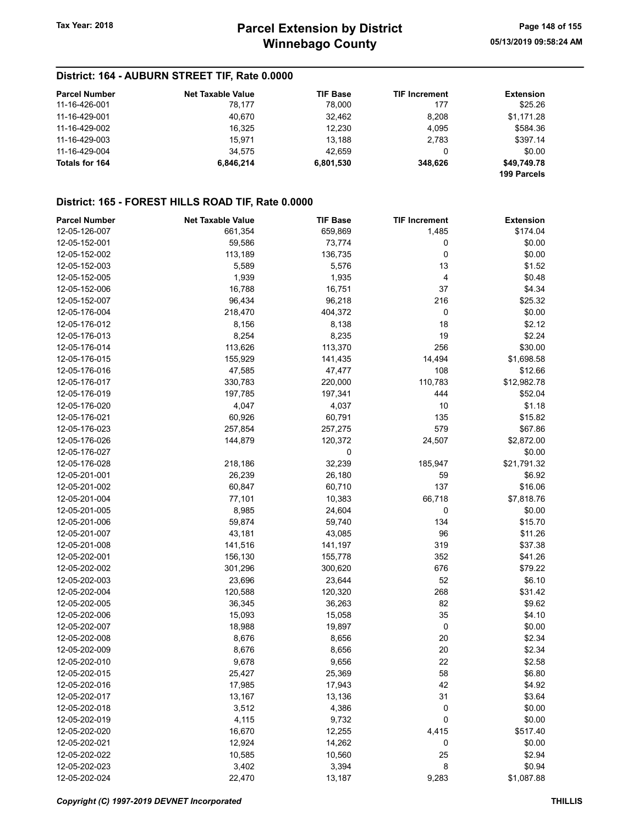| <b>Parcel Number</b> | <b>Net Taxable Value</b> | <b>TIF Base</b> | <b>TIF Increment</b> | <b>Extension</b>           |
|----------------------|--------------------------|-----------------|----------------------|----------------------------|
| 11-16-426-001        | 78.177                   | 78.000          | 177                  | \$25.26                    |
| 11-16-429-001        | 40.670                   | 32,462          | 8.208                | \$1,171.28                 |
| 11-16-429-002        | 16.325                   | 12.230          | 4.095                | \$584.36                   |
| 11-16-429-003        | 15.971                   | 13.188          | 2,783                | \$397.14                   |
| 11-16-429-004        | 34.575                   | 42.659          | 0                    | \$0.00                     |
| Totals for 164       | 6.846.214                | 6,801,530       | 348.626              | \$49,749.78<br>199 Parcels |

### District: 165 - FOREST HILLS ROAD TIF, Rate 0.0000

| <b>Parcel Number</b> | <b>Net Taxable Value</b> | <b>TIF Base</b> | <b>TIF Increment</b> | <b>Extension</b> |
|----------------------|--------------------------|-----------------|----------------------|------------------|
| 12-05-126-007        | 661,354                  | 659,869         | 1,485                | \$174.04         |
| 12-05-152-001        | 59,586                   | 73,774          | 0                    | \$0.00           |
| 12-05-152-002        | 113,189                  | 136,735         | 0                    | \$0.00           |
| 12-05-152-003        | 5,589                    | 5,576           | 13                   | \$1.52           |
| 12-05-152-005        | 1,939                    | 1,935           | 4                    | \$0.48           |
| 12-05-152-006        | 16,788                   | 16,751          | 37                   | \$4.34           |
| 12-05-152-007        | 96,434                   | 96,218          | 216                  | \$25.32          |
| 12-05-176-004        | 218,470                  | 404,372         | 0                    | \$0.00           |
| 12-05-176-012        | 8,156                    | 8,138           | 18                   | \$2.12           |
| 12-05-176-013        | 8,254                    | 8,235           | 19                   | \$2.24           |
| 12-05-176-014        | 113,626                  | 113,370         | 256                  | \$30.00          |
| 12-05-176-015        | 155,929                  | 141,435         | 14,494               | \$1,698.58       |
| 12-05-176-016        | 47,585                   | 47,477          | 108                  | \$12.66          |
| 12-05-176-017        | 330,783                  | 220,000         | 110,783              | \$12,982.78      |
| 12-05-176-019        | 197,785                  | 197,341         | 444                  | \$52.04          |
| 12-05-176-020        | 4,047                    | 4,037           | 10                   | \$1.18           |
| 12-05-176-021        | 60,926                   | 60,791          | 135                  | \$15.82          |
| 12-05-176-023        | 257,854                  | 257,275         | 579                  | \$67.86          |
| 12-05-176-026        | 144,879                  | 120,372         | 24,507               | \$2,872.00       |
| 12-05-176-027        |                          | 0               |                      | \$0.00           |
| 12-05-176-028        | 218,186                  | 32,239          | 185,947              | \$21,791.32      |
| 12-05-201-001        | 26,239                   | 26,180          | 59                   | \$6.92           |
| 12-05-201-002        | 60,847                   | 60,710          | 137                  | \$16.06          |
| 12-05-201-004        | 77,101                   | 10,383          | 66,718               | \$7,818.76       |
| 12-05-201-005        | 8,985                    | 24,604          | 0                    | \$0.00           |
| 12-05-201-006        | 59,874                   | 59,740          | 134                  | \$15.70          |
| 12-05-201-007        | 43,181                   | 43,085          | 96                   | \$11.26          |
| 12-05-201-008        | 141,516                  | 141,197         | 319                  | \$37.38          |
| 12-05-202-001        | 156,130                  | 155,778         | 352                  | \$41.26          |
| 12-05-202-002        | 301,296                  | 300,620         | 676                  | \$79.22          |
| 12-05-202-003        | 23,696                   | 23,644          | 52                   | \$6.10           |
| 12-05-202-004        | 120,588                  | 120,320         | 268                  | \$31.42          |
| 12-05-202-005        | 36,345                   | 36,263          | 82                   | \$9.62           |
| 12-05-202-006        | 15,093                   | 15,058          | 35                   | \$4.10           |
| 12-05-202-007        | 18,988                   | 19,897          | $\mathbf 0$          | \$0.00           |
| 12-05-202-008        | 8,676                    | 8,656           | 20                   | \$2.34           |
| 12-05-202-009        | 8,676                    | 8,656           | 20                   | \$2.34           |
| 12-05-202-010        | 9,678                    | 9,656           | 22                   | \$2.58           |
| 12-05-202-015        | 25,427                   | 25,369          | 58                   | \$6.80           |
| 12-05-202-016        | 17,985                   | 17,943          | 42                   | \$4.92           |
| 12-05-202-017        | 13,167                   | 13,136          | 31                   | \$3.64           |
| 12-05-202-018        | 3,512                    | 4,386           | $\mathbf 0$          | \$0.00           |
| 12-05-202-019        | 4,115                    | 9,732           | 0                    | \$0.00           |
| 12-05-202-020        | 16,670                   | 12,255          | 4,415                | \$517.40         |
| 12-05-202-021        | 12,924                   | 14,262          | 0                    | \$0.00           |
| 12-05-202-022        | 10,585                   | 10,560          | 25                   | \$2.94           |
| 12-05-202-023        | 3,402                    | 3,394           | 8                    | \$0.94           |
| 12-05-202-024        | 22,470                   | 13,187          | 9,283                | \$1,087.88       |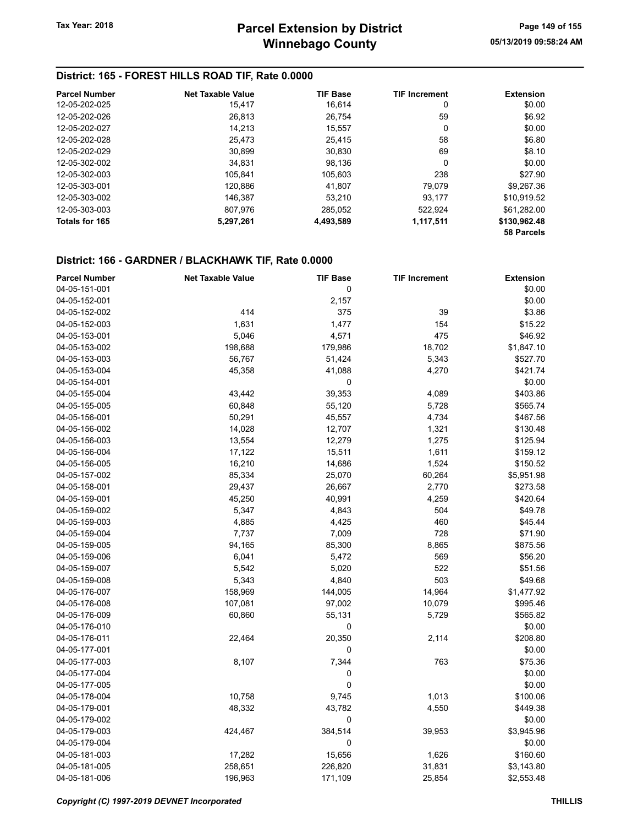### District: 165 - FOREST HILLS ROAD TIF, Rate 0.0000

| <b>Parcel Number</b> | <b>Net Taxable Value</b> | <b>TIF Base</b> | <b>TIF Increment</b> | <b>Extension</b> |
|----------------------|--------------------------|-----------------|----------------------|------------------|
| 12-05-202-025        | 15,417                   | 16.614          | 0                    | \$0.00           |
| 12-05-202-026        | 26.813                   | 26.754          | 59                   | \$6.92           |
| 12-05-202-027        | 14.213                   | 15.557          | 0                    | \$0.00           |
| 12-05-202-028        | 25.473                   | 25.415          | 58                   | \$6.80           |
| 12-05-202-029        | 30,899                   | 30,830          | 69                   | \$8.10           |
| 12-05-302-002        | 34.831                   | 98.136          | 0                    | \$0.00           |
| 12-05-302-003        | 105.841                  | 105.603         | 238                  | \$27.90          |
| 12-05-303-001        | 120.886                  | 41.807          | 79.079               | \$9.267.36       |
| 12-05-303-002        | 146,387                  | 53.210          | 93.177               | \$10.919.52      |
| 12-05-303-003        | 807.976                  | 285.052         | 522.924              | \$61.282.00      |
| Totals for 165       | 5,297,261                | 4,493,589       | 1,117,511            | \$130,962.48     |
|                      |                          |                 |                      | 58 Parcels       |

| <b>Parcel Number</b> | <b>Net Taxable Value</b> | <b>TIF Base</b> | <b>TIF Increment</b> | <b>Extension</b> |
|----------------------|--------------------------|-----------------|----------------------|------------------|
| 04-05-151-001        |                          | 0               |                      | \$0.00           |
| 04-05-152-001        |                          | 2,157           |                      | \$0.00           |
| 04-05-152-002        | 414                      | 375             | 39                   | \$3.86           |
| 04-05-152-003        | 1,631                    | 1,477           | 154                  | \$15.22          |
| 04-05-153-001        | 5,046                    | 4,571           | 475                  | \$46.92          |
| 04-05-153-002        | 198,688                  | 179,986         | 18,702               | \$1,847.10       |
| 04-05-153-003        | 56,767                   | 51,424          | 5,343                | \$527.70         |
| 04-05-153-004        | 45,358                   | 41,088          | 4,270                | \$421.74         |
| 04-05-154-001        |                          | 0               |                      | \$0.00           |
| 04-05-155-004        | 43,442                   | 39,353          | 4,089                | \$403.86         |
| 04-05-155-005        | 60,848                   | 55,120          | 5,728                | \$565.74         |
| 04-05-156-001        | 50,291                   | 45,557          | 4,734                | \$467.56         |
| 04-05-156-002        | 14,028                   | 12,707          | 1,321                | \$130.48         |
| 04-05-156-003        | 13,554                   | 12,279          | 1,275                | \$125.94         |
| 04-05-156-004        | 17,122                   | 15,511          | 1,611                | \$159.12         |
| 04-05-156-005        | 16,210                   | 14,686          | 1,524                | \$150.52         |
| 04-05-157-002        | 85,334                   | 25,070          | 60,264               | \$5,951.98       |
| 04-05-158-001        | 29,437                   | 26,667          | 2,770                | \$273.58         |
| 04-05-159-001        | 45,250                   | 40,991          | 4,259                | \$420.64         |
| 04-05-159-002        | 5,347                    | 4,843           | 504                  | \$49.78          |
| 04-05-159-003        | 4,885                    | 4,425           | 460                  | \$45.44          |
| 04-05-159-004        | 7,737                    | 7,009           | 728                  | \$71.90          |
| 04-05-159-005        | 94,165                   | 85,300          | 8,865                | \$875.56         |
| 04-05-159-006        | 6,041                    | 5,472           | 569                  | \$56.20          |
| 04-05-159-007        | 5,542                    | 5,020           | 522                  | \$51.56          |
| 04-05-159-008        | 5,343                    | 4,840           | 503                  | \$49.68          |
| 04-05-176-007        | 158,969                  | 144,005         | 14,964               | \$1,477.92       |
| 04-05-176-008        | 107,081                  | 97,002          | 10,079               | \$995.46         |
| 04-05-176-009        | 60,860                   | 55,131          | 5,729                | \$565.82         |
| 04-05-176-010        |                          | $\mathbf 0$     |                      | \$0.00           |
| 04-05-176-011        | 22,464                   | 20,350          | 2,114                | \$208.80         |
| 04-05-177-001        |                          | 0               |                      | \$0.00           |
| 04-05-177-003        | 8,107                    | 7,344           | 763                  | \$75.36          |
| 04-05-177-004        |                          | 0               |                      | \$0.00           |
| 04-05-177-005        |                          | $\mathbf 0$     |                      | \$0.00           |
| 04-05-178-004        | 10,758                   | 9,745           | 1,013                | \$100.06         |
| 04-05-179-001        | 48,332                   | 43,782          | 4,550                | \$449.38         |
| 04-05-179-002        |                          | 0               |                      | \$0.00           |
| 04-05-179-003        | 424,467                  | 384,514         | 39,953               | \$3,945.96       |
| 04-05-179-004        |                          | 0               |                      | \$0.00           |
| 04-05-181-003        | 17,282                   | 15,656          | 1,626                | \$160.60         |
| 04-05-181-005        | 258,651                  | 226,820         | 31,831               | \$3,143.80       |
| 04-05-181-006        | 196,963                  | 171,109         | 25,854               | \$2,553.48       |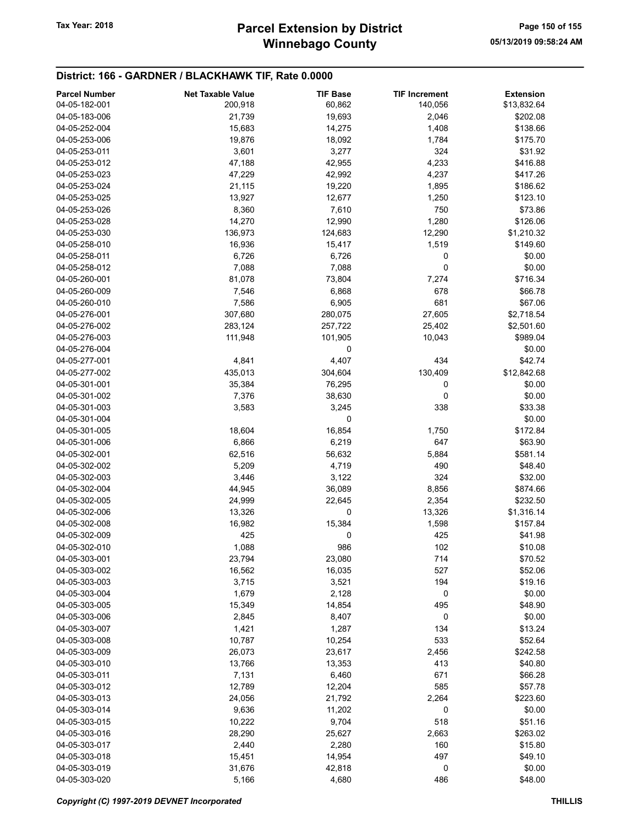# Winnebago County Tax Year: 2018 **Parcel Extension by District** Page 150 of 155

| <b>Parcel Number</b> | <b>Net Taxable Value</b> | <b>TIF Base</b> | <b>TIF Increment</b> | <b>Extension</b> |
|----------------------|--------------------------|-----------------|----------------------|------------------|
| 04-05-182-001        | 200,918                  | 60,862          | 140,056              | \$13,832.64      |
| 04-05-183-006        | 21,739                   | 19,693          | 2,046                | \$202.08         |
| 04-05-252-004        | 15,683                   | 14,275          | 1,408                | \$138.66         |
| 04-05-253-006        | 19,876                   | 18,092          | 1,784                | \$175.70         |
| 04-05-253-011        | 3,601                    | 3,277           | 324                  | \$31.92          |
| 04-05-253-012        | 47,188                   | 42,955          | 4,233                | \$416.88         |
| 04-05-253-023        | 47,229                   | 42,992          | 4,237                | \$417.26         |
|                      |                          |                 |                      |                  |
| 04-05-253-024        | 21,115                   | 19,220          | 1,895                | \$186.62         |
| 04-05-253-025        | 13,927                   | 12,677          | 1,250                | \$123.10         |
| 04-05-253-026        | 8,360                    | 7,610           | 750                  | \$73.86          |
| 04-05-253-028        | 14,270                   | 12,990          | 1,280                | \$126.06         |
| 04-05-253-030        | 136,973                  | 124,683         | 12,290               | \$1,210.32       |
| 04-05-258-010        | 16,936                   | 15,417          | 1,519                | \$149.60         |
| 04-05-258-011        | 6,726                    | 6,726           | 0                    | \$0.00           |
| 04-05-258-012        | 7,088                    | 7,088           | 0                    | \$0.00           |
| 04-05-260-001        | 81,078                   | 73,804          | 7,274                | \$716.34         |
| 04-05-260-009        | 7,546                    | 6,868           | 678                  | \$66.78          |
| 04-05-260-010        | 7,586                    | 6,905           | 681                  | \$67.06          |
| 04-05-276-001        | 307,680                  | 280,075         | 27,605               | \$2,718.54       |
| 04-05-276-002        | 283,124                  | 257,722         | 25,402               | \$2,501.60       |
| 04-05-276-003        | 111,948                  | 101,905         | 10,043               | \$989.04         |
| 04-05-276-004        |                          | 0               |                      | \$0.00           |
| 04-05-277-001        | 4,841                    | 4,407           | 434                  | \$42.74          |
| 04-05-277-002        | 435,013                  | 304,604         | 130,409              | \$12,842.68      |
| 04-05-301-001        | 35,384                   | 76,295          | 0                    | \$0.00           |
| 04-05-301-002        |                          |                 | 0                    | \$0.00           |
|                      | 7,376                    | 38,630          |                      |                  |
| 04-05-301-003        | 3,583                    | 3,245           | 338                  | \$33.38          |
| 04-05-301-004        |                          | 0               |                      | \$0.00           |
| 04-05-301-005        | 18,604                   | 16,854          | 1,750                | \$172.84         |
| 04-05-301-006        | 6,866                    | 6,219           | 647                  | \$63.90          |
| 04-05-302-001        | 62,516                   | 56,632          | 5,884                | \$581.14         |
| 04-05-302-002        | 5,209                    | 4,719           | 490                  | \$48.40          |
| 04-05-302-003        | 3,446                    | 3,122           | 324                  | \$32.00          |
| 04-05-302-004        | 44,945                   | 36,089          | 8,856                | \$874.66         |
| 04-05-302-005        | 24,999                   | 22,645          | 2,354                | \$232.50         |
| 04-05-302-006        | 13,326                   | 0               | 13,326               | \$1,316.14       |
| 04-05-302-008        | 16,982                   | 15,384          | 1,598                | \$157.84         |
| 04-05-302-009        | 425                      | 0               | 425                  | \$41.98          |
| 04-05-302-010        | 1,088                    | 986             | 102                  | \$10.08          |
| 04-05-303-001        | 23,794                   | 23,080          | 714                  | \$70.52          |
| 04-05-303-002        | 16,562                   | 16,035          | 527                  | \$52.06          |
| 04-05-303-003        | 3,715                    | 3,521           | 194                  | \$19.16          |
| 04-05-303-004        | 1,679                    | 2,128           | 0                    | \$0.00           |
| 04-05-303-005        | 15,349                   | 14,854          | 495                  | \$48.90          |
| 04-05-303-006        | 2,845                    | 8,407           | 0                    | \$0.00           |
| 04-05-303-007        | 1,421                    | 1,287           | 134                  | \$13.24          |
| 04-05-303-008        |                          |                 | 533                  |                  |
|                      | 10,787                   | 10,254          |                      | \$52.64          |
| 04-05-303-009        | 26,073                   | 23,617          | 2,456                | \$242.58         |
| 04-05-303-010        | 13,766                   | 13,353          | 413                  | \$40.80          |
| 04-05-303-011        | 7,131                    | 6,460           | 671                  | \$66.28          |
| 04-05-303-012        | 12,789                   | 12,204          | 585                  | \$57.78          |
| 04-05-303-013        | 24,056                   | 21,792          | 2,264                | \$223.60         |
| 04-05-303-014        | 9,636                    | 11,202          | 0                    | \$0.00           |
| 04-05-303-015        | 10,222                   | 9,704           | 518                  | \$51.16          |
| 04-05-303-016        | 28,290                   | 25,627          | 2,663                | \$263.02         |
| 04-05-303-017        | 2,440                    | 2,280           | 160                  | \$15.80          |
| 04-05-303-018        | 15,451                   | 14,954          | 497                  | \$49.10          |
| 04-05-303-019        | 31,676                   | 42,818          | 0                    | \$0.00           |
| 04-05-303-020        | 5,166                    | 4,680           | 486                  | \$48.00          |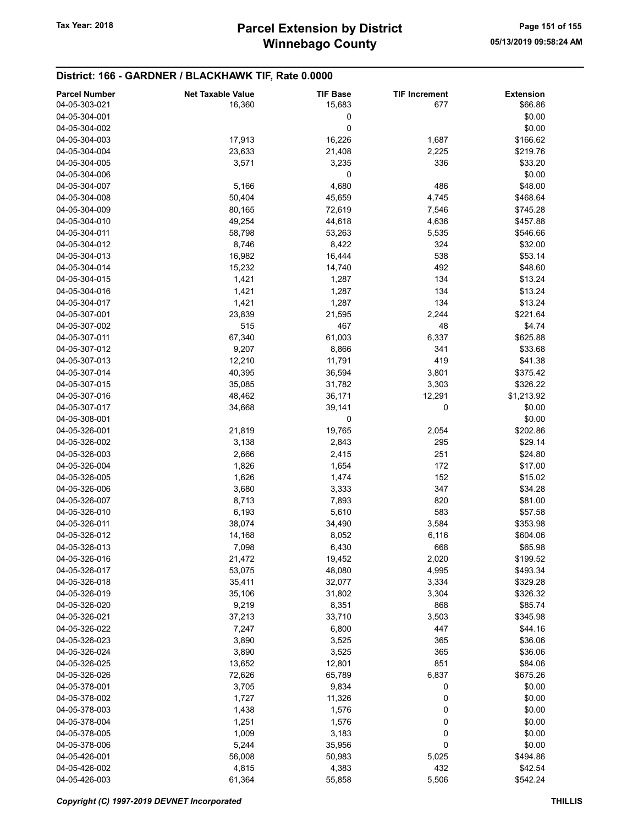| <b>Parcel Number</b> | <b>Net Taxable Value</b> | <b>TIF Base</b> | <b>TIF Increment</b> | <b>Extension</b> |
|----------------------|--------------------------|-----------------|----------------------|------------------|
| 04-05-303-021        | 16,360                   | 15,683          | 677                  | \$66.86          |
| 04-05-304-001        |                          |                 |                      | \$0.00           |
|                      |                          | 0               |                      |                  |
| 04-05-304-002        |                          | 0               |                      | \$0.00           |
| 04-05-304-003        | 17,913                   | 16,226          | 1,687                | \$166.62         |
| 04-05-304-004        | 23,633                   | 21,408          | 2,225                | \$219.76         |
| 04-05-304-005        | 3,571                    | 3,235           | 336                  | \$33.20          |
| 04-05-304-006        |                          | 0               |                      | \$0.00           |
| 04-05-304-007        | 5,166                    | 4,680           | 486                  | \$48.00          |
| 04-05-304-008        | 50,404                   | 45,659          | 4,745                | \$468.64         |
| 04-05-304-009        | 80,165                   | 72,619          | 7,546                | \$745.28         |
| 04-05-304-010        | 49,254                   | 44,618          | 4,636                | \$457.88         |
| 04-05-304-011        | 58,798                   | 53,263          | 5,535                | \$546.66         |
| 04-05-304-012        | 8,746                    | 8,422           | 324                  | \$32.00          |
|                      |                          |                 |                      |                  |
| 04-05-304-013        | 16,982                   | 16,444          | 538                  | \$53.14          |
| 04-05-304-014        | 15,232                   | 14,740          | 492                  | \$48.60          |
| 04-05-304-015        | 1,421                    | 1,287           | 134                  | \$13.24          |
| 04-05-304-016        | 1,421                    | 1,287           | 134                  | \$13.24          |
| 04-05-304-017        | 1,421                    | 1,287           | 134                  | \$13.24          |
| 04-05-307-001        | 23,839                   | 21,595          | 2,244                | \$221.64         |
| 04-05-307-002        | 515                      | 467             | 48                   | \$4.74           |
| 04-05-307-011        | 67,340                   | 61,003          | 6,337                | \$625.88         |
| 04-05-307-012        | 9,207                    | 8,866           | 341                  | \$33.68          |
| 04-05-307-013        | 12,210                   | 11,791          | 419                  | \$41.38          |
| 04-05-307-014        | 40,395                   | 36,594          | 3,801                | \$375.42         |
|                      |                          |                 |                      |                  |
| 04-05-307-015        | 35,085                   | 31,782          | 3,303                | \$326.22         |
| 04-05-307-016        | 48,462                   | 36,171          | 12,291               | \$1,213.92       |
| 04-05-307-017        | 34,668                   | 39,141          | 0                    | \$0.00           |
| 04-05-308-001        |                          | 0               |                      | \$0.00           |
| 04-05-326-001        | 21,819                   | 19,765          | 2,054                | \$202.86         |
| 04-05-326-002        | 3,138                    | 2,843           | 295                  | \$29.14          |
| 04-05-326-003        | 2,666                    | 2,415           | 251                  | \$24.80          |
| 04-05-326-004        | 1,826                    | 1,654           | 172                  | \$17.00          |
| 04-05-326-005        | 1,626                    | 1,474           | 152                  | \$15.02          |
| 04-05-326-006        | 3,680                    | 3,333           | 347                  | \$34.28          |
| 04-05-326-007        | 8,713                    | 7,893           | 820                  | \$81.00          |
| 04-05-326-010        | 6,193                    | 5,610           | 583                  | \$57.58          |
| 04-05-326-011        | 38,074                   | 34,490          | 3,584                | \$353.98         |
|                      |                          |                 |                      |                  |
| 04-05-326-012        | 14,168                   | 8,052           | 6,116                | \$604.06         |
| 04-05-326-013        | 7,098                    | 6,430           | 668                  | \$65.98          |
| 04-05-326-016        | 21,472                   | 19,452          | 2,020                | \$199.52         |
| 04-05-326-017        | 53,075                   | 48,080          | 4,995                | \$493.34         |
| 04-05-326-018        | 35,411                   | 32,077          | 3,334                | \$329.28         |
| 04-05-326-019        | 35,106                   | 31,802          | 3,304                | \$326.32         |
| 04-05-326-020        | 9,219                    | 8,351           | 868                  | \$85.74          |
| 04-05-326-021        | 37,213                   | 33,710          | 3,503                | \$345.98         |
| 04-05-326-022        | 7,247                    | 6,800           | 447                  | \$44.16          |
| 04-05-326-023        | 3,890                    | 3,525           | 365                  | \$36.06          |
| 04-05-326-024        | 3,890                    | 3,525           | 365                  | \$36.06          |
| 04-05-326-025        | 13,652                   | 12,801          | 851                  | \$84.06          |
| 04-05-326-026        | 72,626                   | 65,789          | 6,837                | \$675.26         |
|                      |                          |                 |                      |                  |
| 04-05-378-001        | 3,705                    | 9,834           | 0                    | \$0.00           |
| 04-05-378-002        | 1,727                    | 11,326          | 0                    | \$0.00           |
| 04-05-378-003        | 1,438                    | 1,576           | 0                    | \$0.00           |
| 04-05-378-004        | 1,251                    | 1,576           | 0                    | \$0.00           |
| 04-05-378-005        | 1,009                    | 3,183           | 0                    | \$0.00           |
| 04-05-378-006        | 5,244                    | 35,956          | 0                    | \$0.00           |
| 04-05-426-001        | 56,008                   | 50,983          | 5,025                | \$494.86         |
| 04-05-426-002        | 4,815                    | 4,383           | 432                  | \$42.54          |
| 04-05-426-003        | 61,364                   | 55,858          | 5,506                | \$542.24         |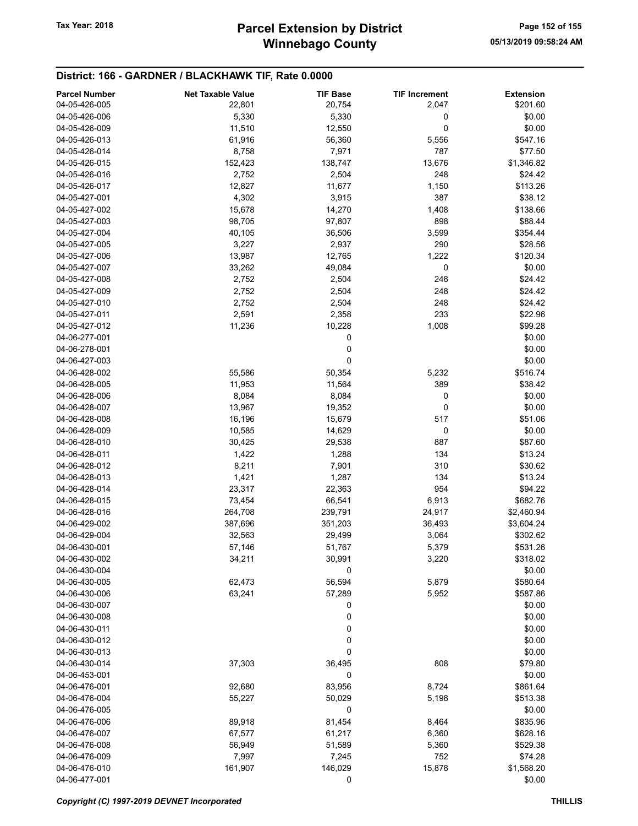| <b>Parcel Number</b> | <b>Net Taxable Value</b> | <b>TIF Base</b> | <b>TIF Increment</b> | <b>Extension</b> |
|----------------------|--------------------------|-----------------|----------------------|------------------|
| 04-05-426-005        | 22,801                   | 20,754          | 2,047                | \$201.60         |
| 04-05-426-006        | 5,330                    | 5,330           | 0                    | \$0.00           |
| 04-05-426-009        | 11,510                   | 12,550          | 0                    | \$0.00           |
| 04-05-426-013        | 61,916                   | 56,360          | 5,556                | \$547.16         |
| 04-05-426-014        | 8,758                    | 7,971           | 787                  | \$77.50          |
| 04-05-426-015        | 152,423                  | 138,747         | 13,676               | \$1,346.82       |
| 04-05-426-016        | 2,752                    | 2,504           | 248                  | \$24.42          |
| 04-05-426-017        | 12,827                   | 11,677          | 1,150                | \$113.26         |
| 04-05-427-001        | 4,302                    | 3,915           | 387                  | \$38.12          |
| 04-05-427-002        | 15,678                   | 14,270          | 1,408                | \$138.66         |
| 04-05-427-003        | 98,705                   | 97,807          | 898                  | \$88.44          |
| 04-05-427-004        | 40,105                   | 36,506          | 3,599                | \$354.44         |
| 04-05-427-005        | 3,227                    | 2,937           | 290                  | \$28.56          |
| 04-05-427-006        | 13,987                   | 12,765          | 1,222                | \$120.34         |
| 04-05-427-007        | 33,262                   | 49,084          | 0                    | \$0.00           |
| 04-05-427-008        | 2,752                    | 2,504           | 248                  | \$24.42          |
| 04-05-427-009        | 2,752                    | 2,504           | 248                  | \$24.42          |
| 04-05-427-010        | 2,752                    | 2,504           | 248                  | \$24.42          |
| 04-05-427-011        | 2,591                    | 2,358           | 233                  | \$22.96          |
| 04-05-427-012        | 11,236                   | 10,228          | 1,008                | \$99.28          |
| 04-06-277-001        |                          | 0               |                      | \$0.00           |
| 04-06-278-001        |                          | 0               |                      | \$0.00           |
| 04-06-427-003        |                          | 0               |                      | \$0.00           |
| 04-06-428-002        | 55,586                   | 50,354          | 5,232                | \$516.74         |
| 04-06-428-005        | 11,953                   | 11,564          | 389                  | \$38.42          |
| 04-06-428-006        | 8,084                    | 8,084           | 0                    | \$0.00           |
| 04-06-428-007        | 13,967                   | 19,352          | 0                    | \$0.00           |
| 04-06-428-008        | 16,196                   | 15,679          | 517                  | \$51.06          |
| 04-06-428-009        | 10,585                   | 14,629          | 0                    | \$0.00           |
| 04-06-428-010        | 30,425                   | 29,538          | 887                  | \$87.60          |
| 04-06-428-011        | 1,422                    | 1,288           | 134                  | \$13.24          |
| 04-06-428-012        | 8,211                    | 7,901           | 310                  | \$30.62          |
| 04-06-428-013        | 1,421                    | 1,287           | 134                  | \$13.24          |
| 04-06-428-014        | 23,317                   | 22,363          | 954                  | \$94.22          |
| 04-06-428-015        | 73,454                   | 66,541          | 6,913                | \$682.76         |
| 04-06-428-016        | 264,708                  | 239,791         | 24,917               | \$2,460.94       |
| 04-06-429-002        | 387,696                  | 351,203         | 36,493               | \$3,604.24       |
| 04-06-429-004        | 32,563                   | 29,499          | 3,064                | \$302.62         |
| 04-06-430-001        | 57,146                   | 51,767          | 5,379                | \$531.26         |
| 04-06-430-002        | 34,211                   | 30,991          | 3,220                | \$318.02         |
| 04-06-430-004        |                          | 0               |                      | \$0.00           |
| 04-06-430-005        | 62,473                   | 56,594          | 5,879                | \$580.64         |
| 04-06-430-006        | 63,241                   | 57,289          | 5,952                | \$587.86         |
| 04-06-430-007        |                          | 0               |                      | \$0.00           |
| 04-06-430-008        |                          | 0               |                      | \$0.00           |
| 04-06-430-011        |                          | 0               |                      | \$0.00           |
| 04-06-430-012        |                          | 0               |                      | \$0.00           |
| 04-06-430-013        |                          | 0               |                      | \$0.00           |
| 04-06-430-014        | 37,303                   | 36,495          | 808                  | \$79.80          |
| 04-06-453-001        |                          | 0               |                      | \$0.00           |
| 04-06-476-001        | 92,680                   | 83,956          | 8,724                | \$861.64         |
| 04-06-476-004        | 55,227                   | 50,029          | 5,198                | \$513.38         |
| 04-06-476-005        |                          | 0               |                      | \$0.00           |
| 04-06-476-006        | 89,918                   | 81,454          | 8,464                | \$835.96         |
| 04-06-476-007        | 67,577                   | 61,217          | 6,360                | \$628.16         |
| 04-06-476-008        | 56,949                   | 51,589          | 5,360                | \$529.38         |
| 04-06-476-009        | 7,997                    | 7,245           | 752                  | \$74.28          |
| 04-06-476-010        | 161,907                  | 146,029         | 15,878               | \$1,568.20       |
| 04-06-477-001        |                          | 0               |                      | \$0.00           |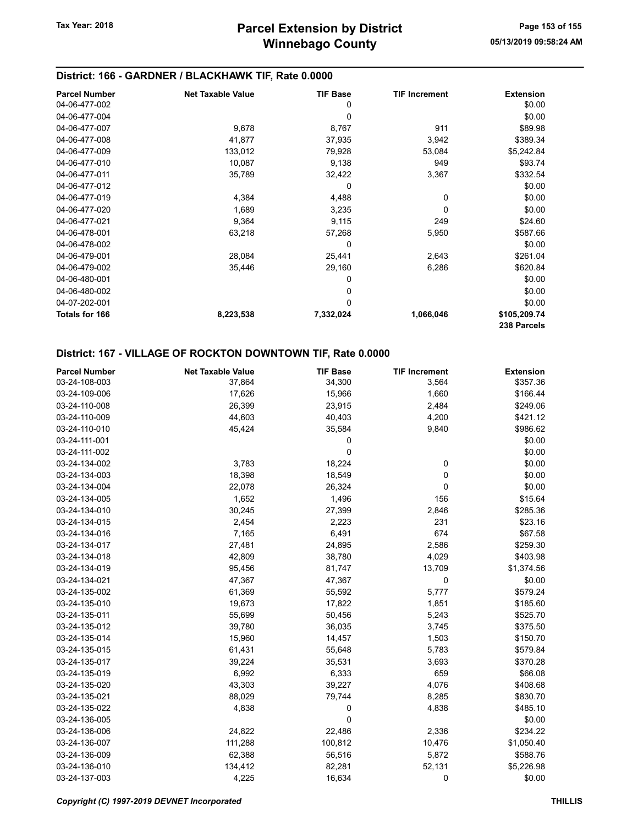#### District: 166 - GARDNER / BLACKHAWK TIF, Rate 0.0000

| <b>Parcel Number</b>  | <b>Net Taxable Value</b> | <b>TIF Base</b> | <b>TIF Increment</b> | <b>Extension</b>            |
|-----------------------|--------------------------|-----------------|----------------------|-----------------------------|
| 04-06-477-002         |                          | 0               |                      | \$0.00                      |
| 04-06-477-004         |                          | 0               |                      | \$0.00                      |
| 04-06-477-007         | 9,678                    | 8,767           | 911                  | \$89.98                     |
| 04-06-477-008         | 41,877                   | 37,935          | 3,942                | \$389.34                    |
| 04-06-477-009         | 133,012                  | 79,928          | 53,084               | \$5,242.84                  |
| 04-06-477-010         | 10,087                   | 9,138           | 949                  | \$93.74                     |
| 04-06-477-011         | 35,789                   | 32,422          | 3,367                | \$332.54                    |
| 04-06-477-012         |                          | 0               |                      | \$0.00                      |
| 04-06-477-019         | 4,384                    | 4,488           | 0                    | \$0.00                      |
| 04-06-477-020         | 1,689                    | 3,235           | 0                    | \$0.00                      |
| 04-06-477-021         | 9,364                    | 9,115           | 249                  | \$24.60                     |
| 04-06-478-001         | 63,218                   | 57,268          | 5,950                | \$587.66                    |
| 04-06-478-002         |                          | 0               |                      | \$0.00                      |
| 04-06-479-001         | 28,084                   | 25,441          | 2,643                | \$261.04                    |
| 04-06-479-002         | 35,446                   | 29,160          | 6,286                | \$620.84                    |
| 04-06-480-001         |                          | 0               |                      | \$0.00                      |
| 04-06-480-002         |                          | 0               |                      | \$0.00                      |
| 04-07-202-001         |                          | $\mathbf 0$     |                      | \$0.00                      |
| <b>Totals for 166</b> | 8,223,538                | 7,332,024       | 1,066,046            | \$105,209.74<br>238 Parcels |

### District: 167 - VILLAGE OF ROCKTON DOWNTOWN TIF, Rate 0.0000

| <b>Parcel Number</b> | <b>Net Taxable Value</b> | <b>TIF Base</b> | <b>TIF Increment</b> | <b>Extension</b> |
|----------------------|--------------------------|-----------------|----------------------|------------------|
| 03-24-108-003        | 37,864                   | 34,300          | 3,564                | \$357.36         |
| 03-24-109-006        | 17,626                   | 15,966          | 1,660                | \$166.44         |
| 03-24-110-008        | 26,399                   | 23,915          | 2,484                | \$249.06         |
| 03-24-110-009        | 44,603                   | 40,403          | 4,200                | \$421.12         |
| 03-24-110-010        | 45,424                   | 35,584          | 9,840                | \$986.62         |
| 03-24-111-001        |                          | 0               |                      | \$0.00           |
| 03-24-111-002        |                          | 0               |                      | \$0.00           |
| 03-24-134-002        | 3,783                    | 18,224          | 0                    | \$0.00           |
| 03-24-134-003        | 18,398                   | 18,549          | 0                    | \$0.00           |
| 03-24-134-004        | 22,078                   | 26,324          | 0                    | \$0.00           |
| 03-24-134-005        | 1,652                    | 1,496           | 156                  | \$15.64          |
| 03-24-134-010        | 30,245                   | 27,399          | 2,846                | \$285.36         |
| 03-24-134-015        | 2,454                    | 2,223           | 231                  | \$23.16          |
| 03-24-134-016        | 7,165                    | 6,491           | 674                  | \$67.58          |
| 03-24-134-017        | 27,481                   | 24,895          | 2,586                | \$259.30         |
| 03-24-134-018        | 42,809                   | 38,780          | 4,029                | \$403.98         |
| 03-24-134-019        | 95,456                   | 81,747          | 13,709               | \$1,374.56       |
| 03-24-134-021        | 47,367                   | 47,367          | 0                    | \$0.00           |
| 03-24-135-002        | 61,369                   | 55,592          | 5,777                | \$579.24         |
| 03-24-135-010        | 19,673                   | 17,822          | 1,851                | \$185.60         |
| 03-24-135-011        | 55,699                   | 50,456          | 5,243                | \$525.70         |
| 03-24-135-012        | 39,780                   | 36,035          | 3,745                | \$375.50         |
| 03-24-135-014        | 15,960                   | 14,457          | 1,503                | \$150.70         |
| 03-24-135-015        | 61,431                   | 55,648          | 5,783                | \$579.84         |
| 03-24-135-017        | 39,224                   | 35,531          | 3,693                | \$370.28         |
| 03-24-135-019        | 6,992                    | 6,333           | 659                  | \$66.08          |
| 03-24-135-020        | 43,303                   | 39,227          | 4,076                | \$408.68         |
| 03-24-135-021        | 88,029                   | 79,744          | 8,285                | \$830.70         |
| 03-24-135-022        | 4,838                    | 0               | 4,838                | \$485.10         |
| 03-24-136-005        |                          | 0               |                      | \$0.00           |
| 03-24-136-006        | 24,822                   | 22,486          | 2,336                | \$234.22         |
| 03-24-136-007        | 111,288                  | 100,812         | 10,476               | \$1,050.40       |
| 03-24-136-009        | 62,388                   | 56,516          | 5,872                | \$588.76         |
| 03-24-136-010        | 134,412                  | 82,281          | 52,131               | \$5,226.98       |
| 03-24-137-003        | 4,225                    | 16,634          | 0                    | \$0.00           |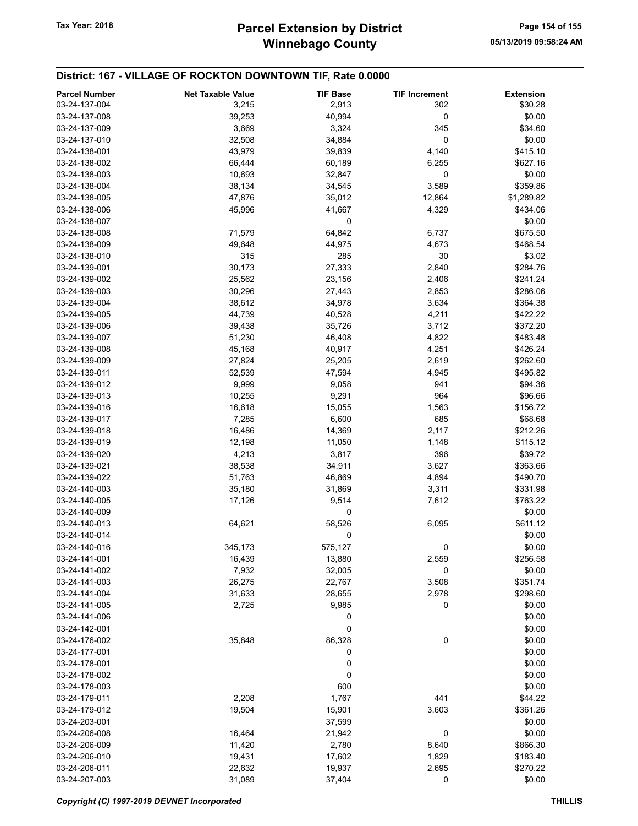### District: 167 - VILLAGE OF ROCKTON DOWNTOWN TIF, Rate 0.0000

| <b>Parcel Number</b><br>03-24-137-004 | <b>Net Taxable Value</b> | <b>TIF Base</b> | <b>TIF Increment</b><br>302 | <b>Extension</b><br>\$30.28 |
|---------------------------------------|--------------------------|-----------------|-----------------------------|-----------------------------|
|                                       | 3,215                    | 2,913           |                             |                             |
| 03-24-137-008                         | 39,253                   | 40,994          | 0                           | \$0.00                      |
| 03-24-137-009                         | 3,669                    | 3,324           | 345                         | \$34.60                     |
| 03-24-137-010                         | 32,508                   | 34,884          | 0                           | \$0.00                      |
| 03-24-138-001                         | 43,979                   | 39,839          | 4,140                       | \$415.10                    |
| 03-24-138-002                         | 66,444                   | 60,189          | 6,255                       | \$627.16                    |
| 03-24-138-003                         | 10,693                   | 32,847          | 0                           | \$0.00                      |
| 03-24-138-004                         | 38,134                   | 34,545          | 3,589                       | \$359.86                    |
| 03-24-138-005                         | 47,876                   | 35,012          | 12,864                      | \$1,289.82                  |
| 03-24-138-006                         | 45,996                   | 41,667          | 4,329                       | \$434.06                    |
| 03-24-138-007                         |                          | 0               |                             | \$0.00                      |
| 03-24-138-008                         | 71,579                   | 64,842          | 6,737                       | \$675.50                    |
| 03-24-138-009                         | 49,648                   | 44,975          | 4,673                       | \$468.54                    |
| 03-24-138-010                         | 315                      | 285             | 30                          | \$3.02                      |
| 03-24-139-001                         | 30,173                   | 27,333          | 2,840                       | \$284.76                    |
| 03-24-139-002                         | 25,562                   | 23,156          | 2,406                       | \$241.24                    |
| 03-24-139-003                         | 30,296                   | 27,443          | 2,853                       | \$286.06                    |
| 03-24-139-004                         | 38,612                   | 34,978          | 3,634                       | \$364.38                    |
| 03-24-139-005                         | 44,739                   | 40,528          | 4,211                       | \$422.22                    |
| 03-24-139-006                         | 39,438                   | 35,726          | 3,712                       | \$372.20                    |
| 03-24-139-007                         | 51,230                   | 46,408          | 4,822                       | \$483.48                    |
| 03-24-139-008                         | 45,168                   | 40,917          | 4,251                       | \$426.24                    |
| 03-24-139-009                         | 27,824                   | 25,205          | 2,619                       | \$262.60                    |
| 03-24-139-011                         | 52,539                   | 47,594          | 4,945                       | \$495.82                    |
| 03-24-139-012                         | 9,999                    | 9,058           | 941                         | \$94.36                     |
| 03-24-139-013                         | 10,255                   | 9,291           | 964                         | \$96.66                     |
| 03-24-139-016                         | 16,618                   | 15,055          | 1,563                       | \$156.72                    |
| 03-24-139-017                         | 7,285                    | 6,600           | 685                         | \$68.68                     |
| 03-24-139-018                         | 16,486                   | 14,369          | 2,117                       | \$212.26                    |
| 03-24-139-019                         | 12,198                   | 11,050          | 1,148                       | \$115.12                    |
|                                       |                          |                 |                             |                             |
| 03-24-139-020                         | 4,213                    | 3,817           | 396                         | \$39.72                     |
| 03-24-139-021                         | 38,538                   | 34,911          | 3,627                       | \$363.66                    |
| 03-24-139-022                         | 51,763                   | 46,869          | 4,894                       | \$490.70                    |
| 03-24-140-003                         | 35,180                   | 31,869          | 3,311                       | \$331.98                    |
| 03-24-140-005                         | 17,126                   | 9,514           | 7,612                       | \$763.22                    |
| 03-24-140-009                         |                          | 0               |                             | \$0.00                      |
| 03-24-140-013                         | 64,621                   | 58,526          | 6,095                       | \$611.12                    |
| 03-24-140-014                         |                          | 0               |                             | \$0.00                      |
| 03-24-140-016                         | 345,173                  | 575,127         | 0                           | \$0.00                      |
| 03-24-141-001                         | 16,439                   | 13,880          | 2,559                       | \$256.58                    |
| 03-24-141-002                         | 7,932                    | 32,005          | 0                           | \$0.00                      |
| 03-24-141-003                         | 26,275                   | 22,767          | 3,508                       | \$351.74                    |
| 03-24-141-004                         | 31,633                   | 28,655          | 2,978                       | \$298.60                    |
| 03-24-141-005                         | 2,725                    | 9,985           | 0                           | \$0.00                      |
| 03-24-141-006                         |                          | 0               |                             | \$0.00                      |
| 03-24-142-001                         |                          | 0               |                             | \$0.00                      |
| 03-24-176-002                         | 35,848                   | 86,328          | 0                           | \$0.00                      |
| 03-24-177-001                         |                          | 0               |                             | \$0.00                      |
| 03-24-178-001                         |                          | 0               |                             | \$0.00                      |
| 03-24-178-002                         |                          | 0               |                             | \$0.00                      |
| 03-24-178-003                         |                          | 600             |                             | \$0.00                      |
| 03-24-179-011                         | 2,208                    | 1,767           | 441                         | \$44.22                     |
| 03-24-179-012                         | 19,504                   | 15,901          | 3,603                       | \$361.26                    |
| 03-24-203-001                         |                          | 37,599          |                             | \$0.00                      |
| 03-24-206-008                         | 16,464                   | 21,942          | 0                           | \$0.00                      |
| 03-24-206-009                         | 11,420                   | 2,780           | 8,640                       | \$866.30                    |
| 03-24-206-010                         | 19,431                   | 17,602          | 1,829                       | \$183.40                    |
| 03-24-206-011                         | 22,632                   | 19,937          | 2,695                       | \$270.22                    |
| 03-24-207-003                         | 31,089                   | 37,404          | 0                           | \$0.00                      |